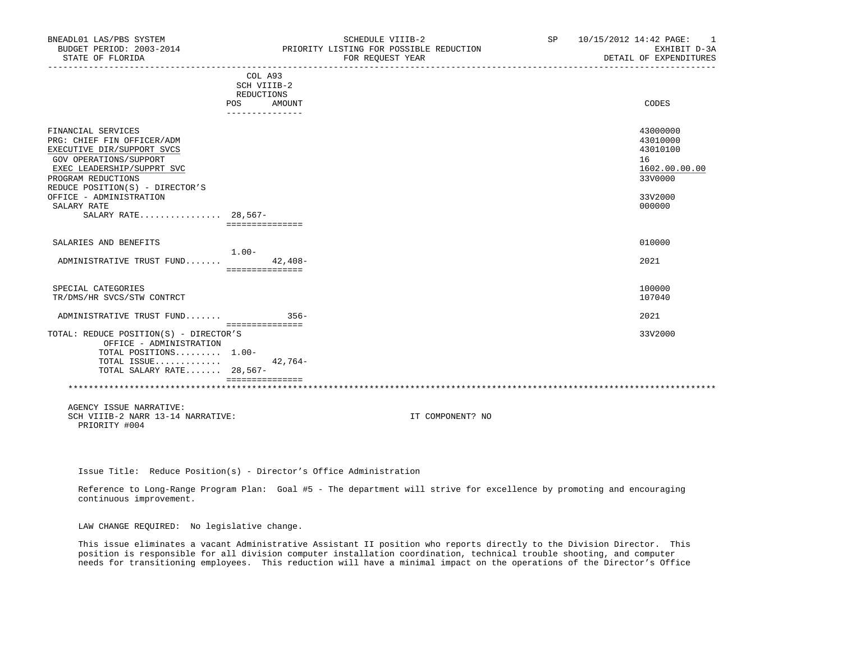| BNEADL01 LAS/PBS SYSTEM<br>BUDGET PERIOD: 2003-2014<br>STATE OF FLORIDA                                                                                                                                                                                          | SCHEDULE VIIIB-2<br>PRIORITY LISTING FOR POSSIBLE REDUCTION<br>FOR REQUEST YEAR | SP <sub>2</sub><br>10/15/2012 14:42 PAGE:<br>EXHIBIT D-3A<br>DETAIL OF EXPENDITURES     |
|------------------------------------------------------------------------------------------------------------------------------------------------------------------------------------------------------------------------------------------------------------------|---------------------------------------------------------------------------------|-----------------------------------------------------------------------------------------|
|                                                                                                                                                                                                                                                                  | COL A93<br>SCH VIIIB-2<br>REDUCTIONS                                            | ___________________________                                                             |
|                                                                                                                                                                                                                                                                  | POS<br>AMOUNT<br>_______________                                                | CODES                                                                                   |
| FINANCIAL SERVICES<br>PRG: CHIEF FIN OFFICER/ADM<br>EXECUTIVE DIR/SUPPORT SVCS<br>GOV OPERATIONS/SUPPORT<br>EXEC LEADERSHIP/SUPPRT SVC<br>PROGRAM REDUCTIONS<br>REDUCE POSITION(S) - DIRECTOR'S<br>OFFICE - ADMINISTRATION<br>SALARY RATE<br>SALARY RATE 28,567- | ===============                                                                 | 43000000<br>43010000<br>43010100<br>16<br>1602.00.00.00<br>33V0000<br>33V2000<br>000000 |
| SALARIES AND BENEFITS                                                                                                                                                                                                                                            | $1.00-$                                                                         | 010000                                                                                  |
| ADMINISTRATIVE TRUST FUND                                                                                                                                                                                                                                        | $42.408 -$<br>===============                                                   | 2021                                                                                    |
| SPECIAL CATEGORIES<br>TR/DMS/HR SVCS/STW CONTRCT                                                                                                                                                                                                                 |                                                                                 | 100000<br>107040                                                                        |
| ADMINISTRATIVE TRUST FUND                                                                                                                                                                                                                                        | $356 -$<br>===============                                                      | 2021                                                                                    |
| TOTAL: REDUCE POSITION(S) - DIRECTOR'S<br>OFFICE - ADMINISTRATION<br>TOTAL POSITIONS 1.00-<br>TOTAL ISSUE<br>TOTAL SALARY RATE 28,567-                                                                                                                           | $42,764-$                                                                       | 33V2000                                                                                 |
|                                                                                                                                                                                                                                                                  | ===============                                                                 |                                                                                         |
| AGENCY ISSUE NARRATIVE:                                                                                                                                                                                                                                          |                                                                                 |                                                                                         |

SCH VIIIB-2 NARR 13-14 NARRATIVE: IT COMPONENT? NO PRIORITY #004

Issue Title: Reduce Position(s) - Director's Office Administration

 Reference to Long-Range Program Plan: Goal #5 - The department will strive for excellence by promoting and encouraging continuous improvement.

LAW CHANGE REQUIRED: No legislative change.

 This issue eliminates a vacant Administrative Assistant II position who reports directly to the Division Director. This position is responsible for all division computer installation coordination, technical trouble shooting, and computer needs for transitioning employees. This reduction will have a minimal impact on the operations of the Director's Office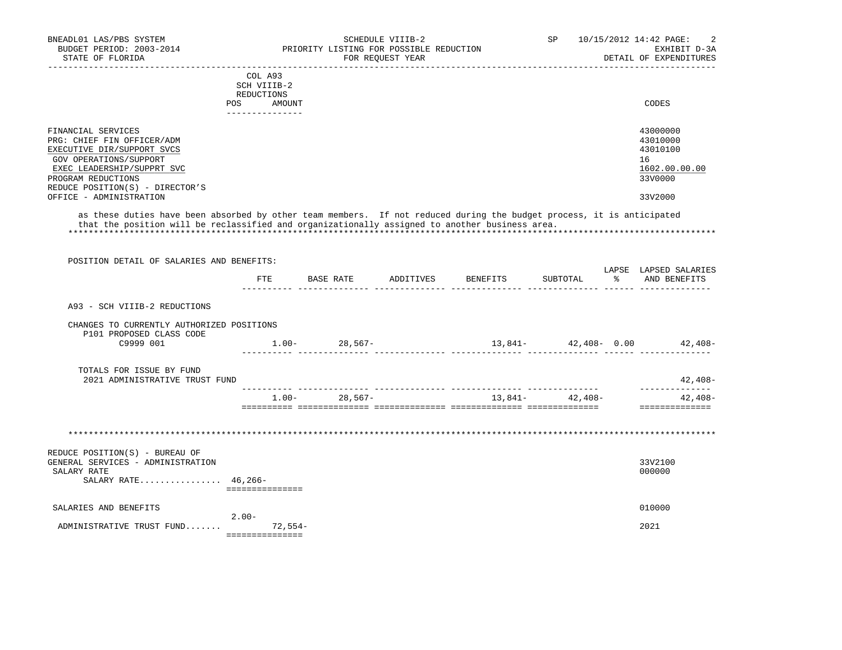| BUDGET PERIOD: 2003-2014<br>PRIORITY LISTING FOR POSSIBLE REDUCTION<br>FOR REOUEST YEAR<br>STATE OF FLORIDA<br>FOR REQUEST YEAR<br>COL A93<br>SCH VIIIB-2<br>REDUCTIONS<br>POS<br>AMOUNT<br>_______________<br>FINANCIAL SERVICES<br>PRG: CHIEF FIN OFFICER/ADM<br>EXECUTIVE DIR/SUPPORT SVCS<br>GOV OPERATIONS/SUPPORT<br>EXEC LEADERSHIP/SUPPRT SVC<br>PROGRAM REDUCTIONS<br>REDUCE POSITION(S) - DIRECTOR'S<br>OFFICE - ADMINISTRATION<br>as these duties have been absorbed by other team members. If not reduced during the budget process, it is anticipated<br>that the position will be reclassified and organizationally assigned to another business area.<br>POSITION DETAIL OF SALARIES AND BENEFITS:<br>FTE BASE RATE ADDITIVES BENEFITS<br>SUBTOTAL % AND BENEFITS<br>A93 - SCH VIIIB-2 REDUCTIONS<br>CHANGES TO CURRENTLY AUTHORIZED POSITIONS<br>P101 PROPOSED CLASS CODE<br>C9999 001<br>TOTALS FOR ISSUE BY FUND<br>2021 ADMINISTRATIVE TRUST FUND<br>$1.00 - 28,567 - 13,841 - 42,408 -$<br>$1.00-28,567-12.408-42,408-13.841-42.408-142.408-10.408-10.408-10.408-10.408-10.408-10.408-10.408-10.408-10.408-10.408-10.408-10.408-10.408-10.408-10.408-10.408-10.408-10.408-10.408-10.408-10.408-10.408-10.408-10.408-10.4$ | 10/15/2012 14:42 PAGE:<br>2 |
|-----------------------------------------------------------------------------------------------------------------------------------------------------------------------------------------------------------------------------------------------------------------------------------------------------------------------------------------------------------------------------------------------------------------------------------------------------------------------------------------------------------------------------------------------------------------------------------------------------------------------------------------------------------------------------------------------------------------------------------------------------------------------------------------------------------------------------------------------------------------------------------------------------------------------------------------------------------------------------------------------------------------------------------------------------------------------------------------------------------------------------------------------------------------------------------------------------------------------------------------------|-----------------------------|
|                                                                                                                                                                                                                                                                                                                                                                                                                                                                                                                                                                                                                                                                                                                                                                                                                                                                                                                                                                                                                                                                                                                                                                                                                                               | EXHIBIT D-3A                |
|                                                                                                                                                                                                                                                                                                                                                                                                                                                                                                                                                                                                                                                                                                                                                                                                                                                                                                                                                                                                                                                                                                                                                                                                                                               | DETAIL OF EXPENDITURES      |
|                                                                                                                                                                                                                                                                                                                                                                                                                                                                                                                                                                                                                                                                                                                                                                                                                                                                                                                                                                                                                                                                                                                                                                                                                                               |                             |
|                                                                                                                                                                                                                                                                                                                                                                                                                                                                                                                                                                                                                                                                                                                                                                                                                                                                                                                                                                                                                                                                                                                                                                                                                                               |                             |
|                                                                                                                                                                                                                                                                                                                                                                                                                                                                                                                                                                                                                                                                                                                                                                                                                                                                                                                                                                                                                                                                                                                                                                                                                                               |                             |
|                                                                                                                                                                                                                                                                                                                                                                                                                                                                                                                                                                                                                                                                                                                                                                                                                                                                                                                                                                                                                                                                                                                                                                                                                                               | CODES                       |
|                                                                                                                                                                                                                                                                                                                                                                                                                                                                                                                                                                                                                                                                                                                                                                                                                                                                                                                                                                                                                                                                                                                                                                                                                                               |                             |
|                                                                                                                                                                                                                                                                                                                                                                                                                                                                                                                                                                                                                                                                                                                                                                                                                                                                                                                                                                                                                                                                                                                                                                                                                                               | 43000000                    |
|                                                                                                                                                                                                                                                                                                                                                                                                                                                                                                                                                                                                                                                                                                                                                                                                                                                                                                                                                                                                                                                                                                                                                                                                                                               | 43010000                    |
|                                                                                                                                                                                                                                                                                                                                                                                                                                                                                                                                                                                                                                                                                                                                                                                                                                                                                                                                                                                                                                                                                                                                                                                                                                               | 43010100                    |
|                                                                                                                                                                                                                                                                                                                                                                                                                                                                                                                                                                                                                                                                                                                                                                                                                                                                                                                                                                                                                                                                                                                                                                                                                                               | 16                          |
|                                                                                                                                                                                                                                                                                                                                                                                                                                                                                                                                                                                                                                                                                                                                                                                                                                                                                                                                                                                                                                                                                                                                                                                                                                               | 1602.00.00.00               |
|                                                                                                                                                                                                                                                                                                                                                                                                                                                                                                                                                                                                                                                                                                                                                                                                                                                                                                                                                                                                                                                                                                                                                                                                                                               | 33V0000                     |
|                                                                                                                                                                                                                                                                                                                                                                                                                                                                                                                                                                                                                                                                                                                                                                                                                                                                                                                                                                                                                                                                                                                                                                                                                                               |                             |
|                                                                                                                                                                                                                                                                                                                                                                                                                                                                                                                                                                                                                                                                                                                                                                                                                                                                                                                                                                                                                                                                                                                                                                                                                                               | 33V2000                     |
|                                                                                                                                                                                                                                                                                                                                                                                                                                                                                                                                                                                                                                                                                                                                                                                                                                                                                                                                                                                                                                                                                                                                                                                                                                               |                             |
|                                                                                                                                                                                                                                                                                                                                                                                                                                                                                                                                                                                                                                                                                                                                                                                                                                                                                                                                                                                                                                                                                                                                                                                                                                               |                             |
|                                                                                                                                                                                                                                                                                                                                                                                                                                                                                                                                                                                                                                                                                                                                                                                                                                                                                                                                                                                                                                                                                                                                                                                                                                               | LAPSE LAPSED SALARIES       |
|                                                                                                                                                                                                                                                                                                                                                                                                                                                                                                                                                                                                                                                                                                                                                                                                                                                                                                                                                                                                                                                                                                                                                                                                                                               |                             |
|                                                                                                                                                                                                                                                                                                                                                                                                                                                                                                                                                                                                                                                                                                                                                                                                                                                                                                                                                                                                                                                                                                                                                                                                                                               |                             |
|                                                                                                                                                                                                                                                                                                                                                                                                                                                                                                                                                                                                                                                                                                                                                                                                                                                                                                                                                                                                                                                                                                                                                                                                                                               |                             |
|                                                                                                                                                                                                                                                                                                                                                                                                                                                                                                                                                                                                                                                                                                                                                                                                                                                                                                                                                                                                                                                                                                                                                                                                                                               |                             |
|                                                                                                                                                                                                                                                                                                                                                                                                                                                                                                                                                                                                                                                                                                                                                                                                                                                                                                                                                                                                                                                                                                                                                                                                                                               |                             |
|                                                                                                                                                                                                                                                                                                                                                                                                                                                                                                                                                                                                                                                                                                                                                                                                                                                                                                                                                                                                                                                                                                                                                                                                                                               |                             |
|                                                                                                                                                                                                                                                                                                                                                                                                                                                                                                                                                                                                                                                                                                                                                                                                                                                                                                                                                                                                                                                                                                                                                                                                                                               |                             |
|                                                                                                                                                                                                                                                                                                                                                                                                                                                                                                                                                                                                                                                                                                                                                                                                                                                                                                                                                                                                                                                                                                                                                                                                                                               | 42,408-                     |
|                                                                                                                                                                                                                                                                                                                                                                                                                                                                                                                                                                                                                                                                                                                                                                                                                                                                                                                                                                                                                                                                                                                                                                                                                                               | ______________<br>42,408-   |
|                                                                                                                                                                                                                                                                                                                                                                                                                                                                                                                                                                                                                                                                                                                                                                                                                                                                                                                                                                                                                                                                                                                                                                                                                                               |                             |
|                                                                                                                                                                                                                                                                                                                                                                                                                                                                                                                                                                                                                                                                                                                                                                                                                                                                                                                                                                                                                                                                                                                                                                                                                                               |                             |
|                                                                                                                                                                                                                                                                                                                                                                                                                                                                                                                                                                                                                                                                                                                                                                                                                                                                                                                                                                                                                                                                                                                                                                                                                                               |                             |
|                                                                                                                                                                                                                                                                                                                                                                                                                                                                                                                                                                                                                                                                                                                                                                                                                                                                                                                                                                                                                                                                                                                                                                                                                                               |                             |
|                                                                                                                                                                                                                                                                                                                                                                                                                                                                                                                                                                                                                                                                                                                                                                                                                                                                                                                                                                                                                                                                                                                                                                                                                                               |                             |
| REDUCE POSITION(S) - BUREAU OF                                                                                                                                                                                                                                                                                                                                                                                                                                                                                                                                                                                                                                                                                                                                                                                                                                                                                                                                                                                                                                                                                                                                                                                                                |                             |
| GENERAL SERVICES - ADMINISTRATION                                                                                                                                                                                                                                                                                                                                                                                                                                                                                                                                                                                                                                                                                                                                                                                                                                                                                                                                                                                                                                                                                                                                                                                                             | 33V2100                     |
| SALARY RATE                                                                                                                                                                                                                                                                                                                                                                                                                                                                                                                                                                                                                                                                                                                                                                                                                                                                                                                                                                                                                                                                                                                                                                                                                                   | 000000                      |
| SALARY RATE 46,266-                                                                                                                                                                                                                                                                                                                                                                                                                                                                                                                                                                                                                                                                                                                                                                                                                                                                                                                                                                                                                                                                                                                                                                                                                           |                             |
| ===============                                                                                                                                                                                                                                                                                                                                                                                                                                                                                                                                                                                                                                                                                                                                                                                                                                                                                                                                                                                                                                                                                                                                                                                                                               |                             |
| SALARIES AND BENEFITS                                                                                                                                                                                                                                                                                                                                                                                                                                                                                                                                                                                                                                                                                                                                                                                                                                                                                                                                                                                                                                                                                                                                                                                                                         | 010000                      |
| $2.00-$                                                                                                                                                                                                                                                                                                                                                                                                                                                                                                                                                                                                                                                                                                                                                                                                                                                                                                                                                                                                                                                                                                                                                                                                                                       |                             |
| ADMINISTRATIVE TRUST FUND<br>$72.554-$                                                                                                                                                                                                                                                                                                                                                                                                                                                                                                                                                                                                                                                                                                                                                                                                                                                                                                                                                                                                                                                                                                                                                                                                        |                             |
| ===============                                                                                                                                                                                                                                                                                                                                                                                                                                                                                                                                                                                                                                                                                                                                                                                                                                                                                                                                                                                                                                                                                                                                                                                                                               | 2021                        |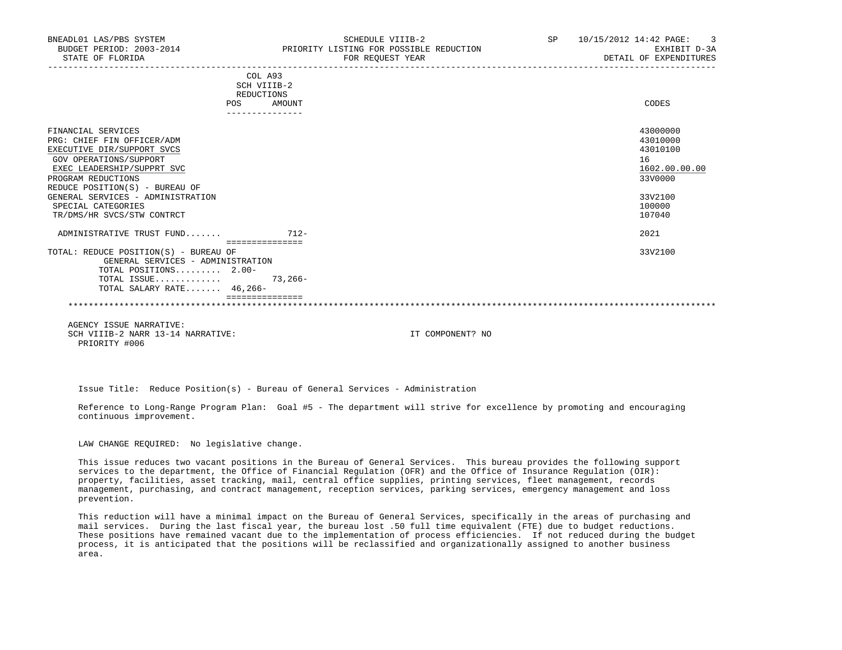| BNEADL01 LAS/PBS SYSTEM<br>BUDGET PERIOD: 2003-2014<br>STATE OF FLORIDA |     |                        | SCHEDULE VIIIB-2<br>PRIORITY LISTING FOR POSSIBLE REDUCTION<br>FOR REOUEST YEAR | SP | $\overline{\phantom{a}}$<br>10/15/2012 14:42 PAGE:<br>EXHIBIT D-3A<br>DETAIL OF EXPENDITURES |
|-------------------------------------------------------------------------|-----|------------------------|---------------------------------------------------------------------------------|----|----------------------------------------------------------------------------------------------|
|                                                                         |     | COL A93<br>SCH VIIIB-2 |                                                                                 |    |                                                                                              |
|                                                                         |     | REDUCTIONS             |                                                                                 |    |                                                                                              |
|                                                                         | POS | AMOUNT                 |                                                                                 |    | CODES                                                                                        |
| FINANCIAL SERVICES                                                      |     |                        |                                                                                 |    | 43000000                                                                                     |
| PRG: CHIEF FIN OFFICER/ADM                                              |     |                        |                                                                                 |    | 43010000                                                                                     |
| EXECUTIVE DIR/SUPPORT SVCS                                              |     |                        |                                                                                 |    | 43010100                                                                                     |
| GOV OPERATIONS/SUPPORT                                                  |     |                        |                                                                                 |    | 16                                                                                           |
| EXEC LEADERSHIP/SUPPRT SVC                                              |     |                        |                                                                                 |    | 1602.00.00.00                                                                                |
| PROGRAM REDUCTIONS                                                      |     |                        |                                                                                 |    | 33V0000                                                                                      |
| REDUCE POSITION(S) - BUREAU OF                                          |     |                        |                                                                                 |    |                                                                                              |
| GENERAL SERVICES - ADMINISTRATION                                       |     |                        |                                                                                 |    | 33V2100                                                                                      |
| SPECIAL CATEGORIES                                                      |     |                        |                                                                                 |    | 100000                                                                                       |
| TR/DMS/HR SVCS/STW CONTRCT                                              |     |                        |                                                                                 |    | 107040                                                                                       |
| ADMINISTRATIVE TRUST FUND 712-                                          |     | ===============        |                                                                                 |    | 2021                                                                                         |
| TOTAL: REDUCE POSITION(S) - BUREAU OF                                   |     |                        |                                                                                 |    | 33V2100                                                                                      |
| GENERAL SERVICES - ADMINISTRATION                                       |     |                        |                                                                                 |    |                                                                                              |
| TOTAL POSITIONS 2.00-                                                   |     |                        |                                                                                 |    |                                                                                              |
| TOTAL ISSUE                                                             |     | $73.266-$              |                                                                                 |    |                                                                                              |
| TOTAL SALARY RATE 46,266-                                               |     |                        |                                                                                 |    |                                                                                              |
|                                                                         |     |                        |                                                                                 |    |                                                                                              |
|                                                                         |     |                        |                                                                                 |    |                                                                                              |

 AGENCY ISSUE NARRATIVE: SCH VIIIB-2 NARR 13-14 NARRATIVE: IT COMPONENT? NO PRIORITY #006

Issue Title: Reduce Position(s) - Bureau of General Services - Administration

 Reference to Long-Range Program Plan: Goal #5 - The department will strive for excellence by promoting and encouraging continuous improvement.

LAW CHANGE REQUIRED: No legislative change.

 This issue reduces two vacant positions in the Bureau of General Services. This bureau provides the following support services to the department, the Office of Financial Regulation (OFR) and the Office of Insurance Regulation (OIR): property, facilities, asset tracking, mail, central office supplies, printing services, fleet management, records management, purchasing, and contract management, reception services, parking services, emergency management and loss prevention.

 This reduction will have a minimal impact on the Bureau of General Services, specifically in the areas of purchasing and mail services. During the last fiscal year, the bureau lost .50 full time equivalent (FTE) due to budget reductions. These positions have remained vacant due to the implementation of process efficiencies. If not reduced during the budget process, it is anticipated that the positions will be reclassified and organizationally assigned to another business area.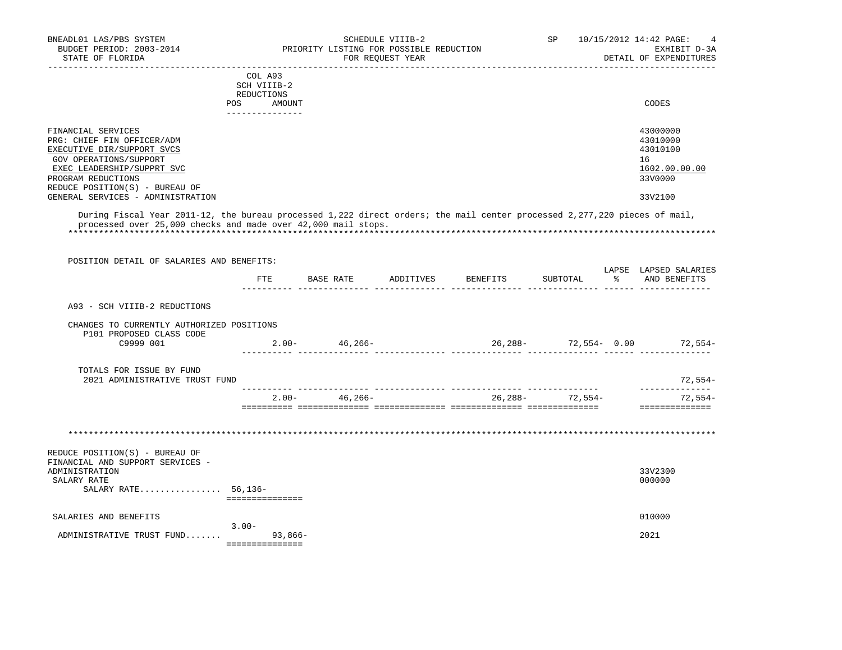| BNEADL01 LAS/PBS SYSTEM<br>BUDGET PERIOD: 2003-2014<br>STATE OF FLORIDA                                                                                                                                                                 |                                        | PRIORITY LISTING FOR POSSIBLE REDUCTION | SCHEDULE VIIIB-2<br>FOR REQUEST YEAR |                                  | SP                    | 10/15/2012 14:42 PAGE:<br>$\overline{4}$<br>EXHIBIT D-3A<br>DETAIL OF EXPENDITURES |
|-----------------------------------------------------------------------------------------------------------------------------------------------------------------------------------------------------------------------------------------|----------------------------------------|-----------------------------------------|--------------------------------------|----------------------------------|-----------------------|------------------------------------------------------------------------------------|
|                                                                                                                                                                                                                                         | COL A93<br>SCH VIIIB-2<br>REDUCTIONS   |                                         |                                      |                                  |                       |                                                                                    |
|                                                                                                                                                                                                                                         | POS AMOUNT<br>_______________          |                                         |                                      |                                  |                       | CODES                                                                              |
| FINANCIAL SERVICES<br>PRG: CHIEF FIN OFFICER/ADM<br>EXECUTIVE DIR/SUPPORT SVCS<br>GOV OPERATIONS/SUPPORT<br>EXEC LEADERSHIP/SUPPRT SVC<br>PROGRAM REDUCTIONS<br>REDUCE POSITION(S) - BUREAU OF                                          |                                        |                                         |                                      |                                  |                       | 43000000<br>43010000<br>43010100<br>16<br>1602.00.00.00<br>33V0000                 |
| GENERAL SERVICES - ADMINISTRATION                                                                                                                                                                                                       |                                        |                                         |                                      |                                  |                       | 33V2100                                                                            |
| During Fiscal Year 2011-12, the bureau processed 1,222 direct orders; the mail center processed 2,277,220 pieces of mail,<br>processed over 25,000 checks and made over 42,000 mail stops.<br>POSITION DETAIL OF SALARIES AND BENEFITS: |                                        |                                         |                                      |                                  |                       |                                                                                    |
|                                                                                                                                                                                                                                         |                                        |                                         |                                      | FTE BASE RATE ADDITIVES BENEFITS |                       | LAPSE LAPSED SALARIES<br>SUBTOTAL % AND BENEFITS                                   |
| A93 - SCH VIIIB-2 REDUCTIONS                                                                                                                                                                                                            |                                        |                                         |                                      |                                  |                       |                                                                                    |
| CHANGES TO CURRENTLY AUTHORIZED POSITIONS                                                                                                                                                                                               |                                        |                                         |                                      |                                  |                       |                                                                                    |
| P101 PROPOSED CLASS CODE<br>C9999 001                                                                                                                                                                                                   |                                        | $2.00 - 46,266 -$                       |                                      |                                  |                       | 26,288- 72,554- 0.00 72,554-                                                       |
| TOTALS FOR ISSUE BY FUND<br>2021 ADMINISTRATIVE TRUST FUND                                                                                                                                                                              |                                        |                                         |                                      |                                  |                       | 72,554-<br>______________                                                          |
|                                                                                                                                                                                                                                         |                                        | $2.00 - 46,266 -$                       |                                      |                                  | $26, 288 - 72, 554 -$ | 72,554-                                                                            |
|                                                                                                                                                                                                                                         |                                        |                                         |                                      |                                  |                       |                                                                                    |
| REDUCE POSITION(S) - BUREAU OF<br>FINANCIAL AND SUPPORT SERVICES -                                                                                                                                                                      |                                        |                                         |                                      |                                  |                       |                                                                                    |
| ADMINISTRATION<br>SALARY RATE<br>SALARY RATE 56,136-                                                                                                                                                                                    | ________________                       |                                         |                                      |                                  |                       | 33V2300<br>000000                                                                  |
| SALARIES AND BENEFITS                                                                                                                                                                                                                   |                                        |                                         |                                      |                                  |                       | 010000                                                                             |
| ADMINISTRATIVE TRUST FUND                                                                                                                                                                                                               | $3.00 -$<br>93,866-<br>=============== |                                         |                                      |                                  |                       | 2021                                                                               |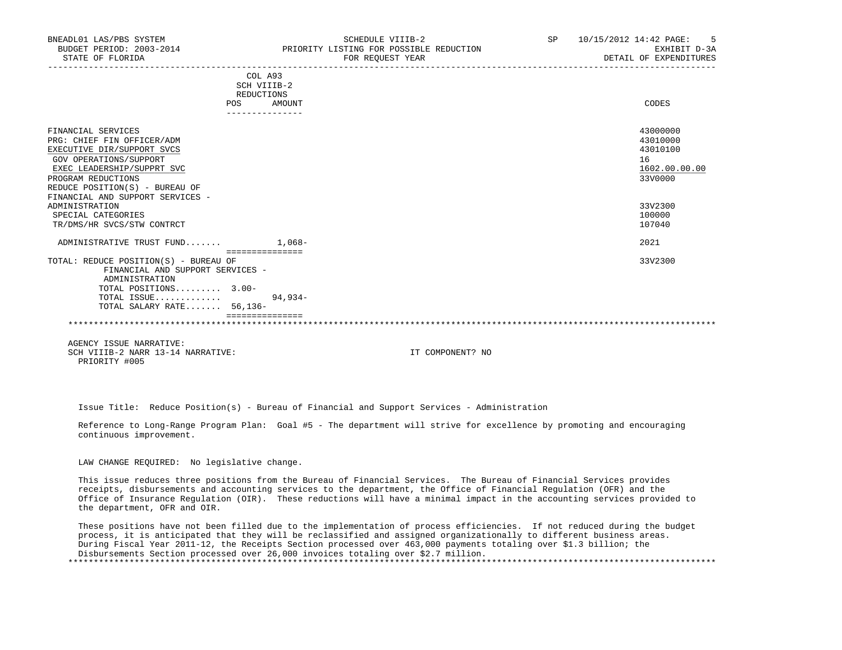| BNEADL01 LAS/PBS SYSTEM<br>BUDGET PERIOD: 2003-2014<br>STATE OF FLORIDA |                                   | SCHEDULE VIIIB-2<br>PRIORITY LISTING FOR POSSIBLE REDUCTION<br>FOR REOUEST YEAR | SP and the set of the set of the set of the set of the set of the set of the set of the set of the set of the set of the set of the set of the set of the set of the set of the set of the set of the set of the set of the se | 10/15/2012 14:42 PAGE: 5<br>EXHIBIT D-3A<br>DETAIL OF EXPENDITURES |
|-------------------------------------------------------------------------|-----------------------------------|---------------------------------------------------------------------------------|--------------------------------------------------------------------------------------------------------------------------------------------------------------------------------------------------------------------------------|--------------------------------------------------------------------|
|                                                                         | COL A93                           |                                                                                 |                                                                                                                                                                                                                                |                                                                    |
|                                                                         | SCH VIIIB-2                       |                                                                                 |                                                                                                                                                                                                                                |                                                                    |
|                                                                         | REDUCTIONS                        |                                                                                 |                                                                                                                                                                                                                                |                                                                    |
|                                                                         | POS.<br>AMOUNT<br>--------------- |                                                                                 |                                                                                                                                                                                                                                | <b>CODES</b>                                                       |
| FINANCIAL SERVICES                                                      |                                   |                                                                                 |                                                                                                                                                                                                                                | 43000000                                                           |
| PRG: CHIEF FIN OFFICER/ADM                                              |                                   |                                                                                 |                                                                                                                                                                                                                                | 43010000                                                           |
| EXECUTIVE DIR/SUPPORT SVCS                                              |                                   |                                                                                 |                                                                                                                                                                                                                                | 43010100                                                           |
| GOV OPERATIONS/SUPPORT                                                  |                                   |                                                                                 |                                                                                                                                                                                                                                | 16                                                                 |
| EXEC LEADERSHIP/SUPPRT SVC                                              |                                   |                                                                                 |                                                                                                                                                                                                                                | 1602.00.00.00                                                      |
| PROGRAM REDUCTIONS<br>REDUCE POSITION(S) - BUREAU OF                    |                                   |                                                                                 |                                                                                                                                                                                                                                | 33V0000                                                            |
| FINANCIAL AND SUPPORT SERVICES -                                        |                                   |                                                                                 |                                                                                                                                                                                                                                |                                                                    |
| ADMINISTRATION                                                          |                                   |                                                                                 |                                                                                                                                                                                                                                | 33V2300                                                            |
| SPECIAL CATEGORIES                                                      |                                   |                                                                                 |                                                                                                                                                                                                                                | 100000                                                             |
| TR/DMS/HR SVCS/STW CONTRCT                                              |                                   |                                                                                 |                                                                                                                                                                                                                                | 107040                                                             |
| ADMINISTRATIVE TRUST FUND 1,068-                                        | ________________                  |                                                                                 |                                                                                                                                                                                                                                | 2021                                                               |
| TOTAL: REDUCE POSITION(S) - BUREAU OF                                   |                                   |                                                                                 |                                                                                                                                                                                                                                | 33V2300                                                            |
| FINANCIAL AND SUPPORT SERVICES -<br>ADMINISTRATION                      |                                   |                                                                                 |                                                                                                                                                                                                                                |                                                                    |
| TOTAL POSITIONS 3.00-                                                   |                                   |                                                                                 |                                                                                                                                                                                                                                |                                                                    |
| TOTAL ISSUE                                                             | 94,934-                           |                                                                                 |                                                                                                                                                                                                                                |                                                                    |
| TOTAL SALARY RATE 56,136-                                               |                                   |                                                                                 |                                                                                                                                                                                                                                |                                                                    |
|                                                                         |                                   |                                                                                 |                                                                                                                                                                                                                                |                                                                    |
| AGENCY ISSUE NARRATIVE:                                                 |                                   |                                                                                 |                                                                                                                                                                                                                                |                                                                    |
| SCH VIIIB-2 NARR 13-14 NARRATIVE:                                       |                                   | IT COMPONENT? NO                                                                |                                                                                                                                                                                                                                |                                                                    |

PRIORITY #005

Issue Title: Reduce Position(s) - Bureau of Financial and Support Services - Administration

 Reference to Long-Range Program Plan: Goal #5 - The department will strive for excellence by promoting and encouraging continuous improvement.

LAW CHANGE REQUIRED: No legislative change.

 This issue reduces three positions from the Bureau of Financial Services. The Bureau of Financial Services provides receipts, disbursements and accounting services to the department, the Office of Financial Regulation (OFR) and the Office of Insurance Regulation (OIR). These reductions will have a minimal impact in the accounting services provided to the department, OFR and OIR.

 These positions have not been filled due to the implementation of process efficiencies. If not reduced during the budget process, it is anticipated that they will be reclassified and assigned organizationally to different business areas. During Fiscal Year 2011-12, the Receipts Section processed over 463,000 payments totaling over \$1.3 billion; the Disbursements Section processed over 26,000 invoices totaling over \$2.7 million. \*\*\*\*\*\*\*\*\*\*\*\*\*\*\*\*\*\*\*\*\*\*\*\*\*\*\*\*\*\*\*\*\*\*\*\*\*\*\*\*\*\*\*\*\*\*\*\*\*\*\*\*\*\*\*\*\*\*\*\*\*\*\*\*\*\*\*\*\*\*\*\*\*\*\*\*\*\*\*\*\*\*\*\*\*\*\*\*\*\*\*\*\*\*\*\*\*\*\*\*\*\*\*\*\*\*\*\*\*\*\*\*\*\*\*\*\*\*\*\*\*\*\*\*\*\*\*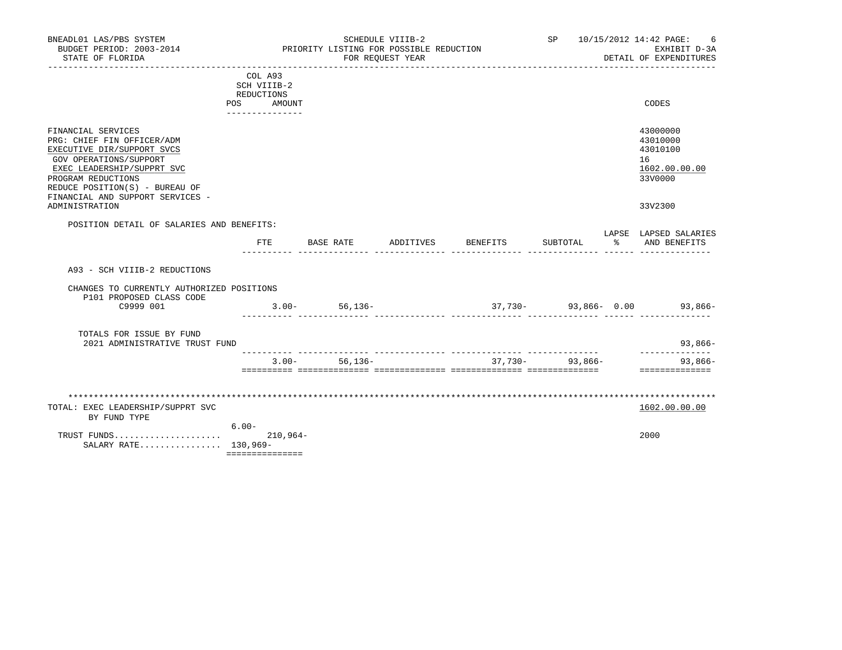| BNEADL01 LAS/PBS SYSTEM<br>BUDGET PERIOD: 2003-2014<br>STATE OF FLORIDA                                                                                                                                                                              | _______________________                                                   | PRIORITY LISTING FOR POSSIBLE REDUCTION | SCHEDULE VIIIB-2<br>FOR REQUEST YEAR |          |                     | SP 10/15/2012 14:42 PAGE:<br>6<br>EXHIBIT D-3A<br>DETAIL OF EXPENDITURES      |
|------------------------------------------------------------------------------------------------------------------------------------------------------------------------------------------------------------------------------------------------------|---------------------------------------------------------------------------|-----------------------------------------|--------------------------------------|----------|---------------------|-------------------------------------------------------------------------------|
|                                                                                                                                                                                                                                                      | COL A93<br>SCH VIIIB-2<br>REDUCTIONS<br>POS.<br>AMOUNT<br>_______________ |                                         |                                      |          |                     | CODES                                                                         |
| FINANCIAL SERVICES<br>PRG: CHIEF FIN OFFICER/ADM<br>EXECUTIVE DIR/SUPPORT SVCS<br>GOV OPERATIONS/SUPPORT<br>EXEC LEADERSHIP/SUPPRT SVC<br>PROGRAM REDUCTIONS<br>REDUCE POSITION(S) - BUREAU OF<br>FINANCIAL AND SUPPORT SERVICES -<br>ADMINISTRATION |                                                                           |                                         |                                      |          |                     | 43000000<br>43010000<br>43010100<br>16<br>1602.00.00.00<br>33V0000<br>33V2300 |
| POSITION DETAIL OF SALARIES AND BENEFITS:                                                                                                                                                                                                            |                                                                           |                                         |                                      |          |                     | LAPSE LAPSED SALARIES                                                         |
|                                                                                                                                                                                                                                                      |                                                                           | FTE BASE RATE                           | ADDITIVES                            | BENEFITS | SUBTOTAL            | AND BENEFITS                                                                  |
| A93 - SCH VIIIB-2 REDUCTIONS                                                                                                                                                                                                                         |                                                                           |                                         |                                      |          |                     |                                                                               |
| CHANGES TO CURRENTLY AUTHORIZED POSITIONS<br>P101 PROPOSED CLASS CODE                                                                                                                                                                                |                                                                           |                                         |                                      |          |                     |                                                                               |
| C9999 001                                                                                                                                                                                                                                            |                                                                           | $3.00 - 56,136 -$                       |                                      |          |                     | $37,730 - 93,866 - 0.00$ 93,866-                                              |
| TOTALS FOR ISSUE BY FUND<br>2021 ADMINISTRATIVE TRUST FUND                                                                                                                                                                                           |                                                                           |                                         |                                      |          |                     | 93,866-                                                                       |
|                                                                                                                                                                                                                                                      |                                                                           | $3.00 - 56,136 -$                       |                                      |          | $37,730 - 93,866 -$ | ______________<br>$93,866 -$<br>==============                                |
| TOTAL: EXEC LEADERSHIP/SUPPRT SVC<br>BY FUND TYPE<br>TRUST FUNDS<br>SALARY RATE 130,969-                                                                                                                                                             | $6.00 -$<br>$210,964-$<br>===============                                 |                                         |                                      |          |                     | 1602.00.00.00<br>2000                                                         |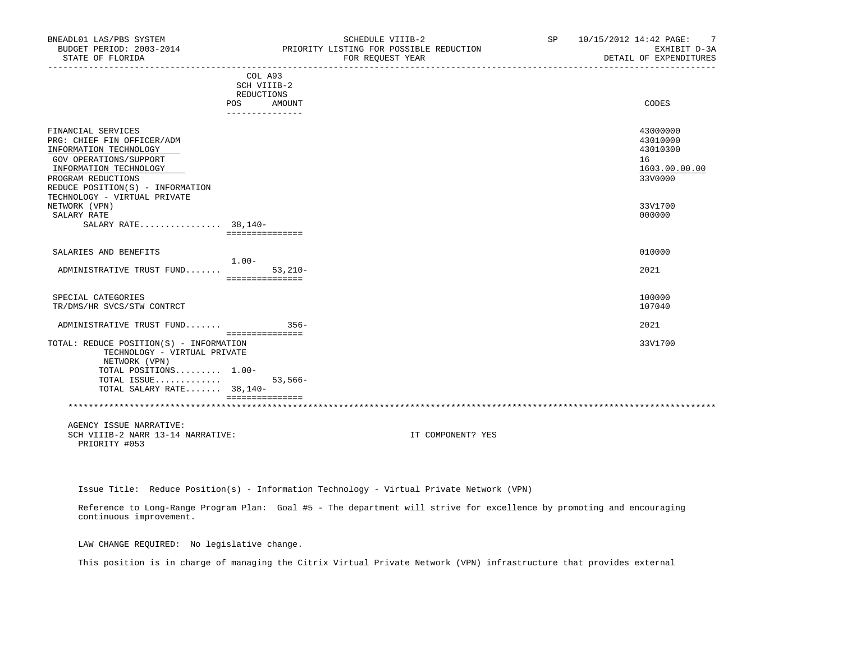| COL A93<br>SCH VIIIB-2<br>REDUCTIONS<br>POS<br>AMOUNT<br>CODES<br>--------------<br>FINANCIAL SERVICES<br>43000000<br>PRG: CHIEF FIN OFFICER/ADM<br>43010000<br>43010300<br>INFORMATION TECHNOLOGY<br>16<br>GOV OPERATIONS/SUPPORT<br>1603.00.00.00<br>INFORMATION TECHNOLOGY<br>33V0000<br>PROGRAM REDUCTIONS<br>REDUCE POSITION(S) - INFORMATION<br>TECHNOLOGY - VIRTUAL PRIVATE<br>NETWORK (VPN)<br>33V1700<br>000000<br>SALARY RATE<br>SALARY RATE $38.140 -$<br>===============<br>010000<br>SALARIES AND BENEFITS<br>$1.00-$<br>ADMINISTRATIVE TRUST FUND<br>$53,210-$<br>2021<br>===============<br>SPECIAL CATEGORIES<br>100000<br>TR/DMS/HR SVCS/STW CONTRCT<br>107040<br>2021<br>$356-$<br>ADMINISTRATIVE TRUST FUND<br>===============<br>33V1700<br>TOTAL: REDUCE POSITION(S) - INFORMATION<br>TECHNOLOGY - VIRTUAL PRIVATE<br>NETWORK (VPN)<br>TOTAL POSITIONS 1.00-<br>TOTAL ISSUE<br>$53,566-$<br>TOTAL SALARY RATE 38,140-<br>===============<br>AGENCY ISSUE NARRATIVE:<br>SCH VIIIB-2 NARR 13-14 NARRATIVE:<br>IT COMPONENT? YES | BNEADL01 LAS/PBS SYSTEM<br>BUDGET PERIOD: 2003-2014<br>STATE OF FLORIDA | SCHEDULE VIIIB-2<br>PRIORITY LISTING FOR POSSIBLE REDUCTION<br>FOR REQUEST YEAR | SP 10/15/2012 14:42 PAGE: | 7<br>EXHIBIT D-3A<br>DETAIL OF EXPENDITURES |
|----------------------------------------------------------------------------------------------------------------------------------------------------------------------------------------------------------------------------------------------------------------------------------------------------------------------------------------------------------------------------------------------------------------------------------------------------------------------------------------------------------------------------------------------------------------------------------------------------------------------------------------------------------------------------------------------------------------------------------------------------------------------------------------------------------------------------------------------------------------------------------------------------------------------------------------------------------------------------------------------------------------------------------------------------|-------------------------------------------------------------------------|---------------------------------------------------------------------------------|---------------------------|---------------------------------------------|
|                                                                                                                                                                                                                                                                                                                                                                                                                                                                                                                                                                                                                                                                                                                                                                                                                                                                                                                                                                                                                                                    |                                                                         |                                                                                 |                           |                                             |
|                                                                                                                                                                                                                                                                                                                                                                                                                                                                                                                                                                                                                                                                                                                                                                                                                                                                                                                                                                                                                                                    |                                                                         |                                                                                 |                           |                                             |
|                                                                                                                                                                                                                                                                                                                                                                                                                                                                                                                                                                                                                                                                                                                                                                                                                                                                                                                                                                                                                                                    |                                                                         |                                                                                 |                           |                                             |
|                                                                                                                                                                                                                                                                                                                                                                                                                                                                                                                                                                                                                                                                                                                                                                                                                                                                                                                                                                                                                                                    |                                                                         |                                                                                 |                           |                                             |
|                                                                                                                                                                                                                                                                                                                                                                                                                                                                                                                                                                                                                                                                                                                                                                                                                                                                                                                                                                                                                                                    |                                                                         |                                                                                 |                           |                                             |
|                                                                                                                                                                                                                                                                                                                                                                                                                                                                                                                                                                                                                                                                                                                                                                                                                                                                                                                                                                                                                                                    |                                                                         |                                                                                 |                           |                                             |
|                                                                                                                                                                                                                                                                                                                                                                                                                                                                                                                                                                                                                                                                                                                                                                                                                                                                                                                                                                                                                                                    |                                                                         |                                                                                 |                           |                                             |
|                                                                                                                                                                                                                                                                                                                                                                                                                                                                                                                                                                                                                                                                                                                                                                                                                                                                                                                                                                                                                                                    |                                                                         |                                                                                 |                           |                                             |
|                                                                                                                                                                                                                                                                                                                                                                                                                                                                                                                                                                                                                                                                                                                                                                                                                                                                                                                                                                                                                                                    |                                                                         |                                                                                 |                           |                                             |
|                                                                                                                                                                                                                                                                                                                                                                                                                                                                                                                                                                                                                                                                                                                                                                                                                                                                                                                                                                                                                                                    |                                                                         |                                                                                 |                           |                                             |
|                                                                                                                                                                                                                                                                                                                                                                                                                                                                                                                                                                                                                                                                                                                                                                                                                                                                                                                                                                                                                                                    |                                                                         |                                                                                 |                           |                                             |
|                                                                                                                                                                                                                                                                                                                                                                                                                                                                                                                                                                                                                                                                                                                                                                                                                                                                                                                                                                                                                                                    |                                                                         |                                                                                 |                           |                                             |
|                                                                                                                                                                                                                                                                                                                                                                                                                                                                                                                                                                                                                                                                                                                                                                                                                                                                                                                                                                                                                                                    |                                                                         |                                                                                 |                           |                                             |
|                                                                                                                                                                                                                                                                                                                                                                                                                                                                                                                                                                                                                                                                                                                                                                                                                                                                                                                                                                                                                                                    |                                                                         |                                                                                 |                           |                                             |
|                                                                                                                                                                                                                                                                                                                                                                                                                                                                                                                                                                                                                                                                                                                                                                                                                                                                                                                                                                                                                                                    |                                                                         |                                                                                 |                           |                                             |
|                                                                                                                                                                                                                                                                                                                                                                                                                                                                                                                                                                                                                                                                                                                                                                                                                                                                                                                                                                                                                                                    |                                                                         |                                                                                 |                           |                                             |
|                                                                                                                                                                                                                                                                                                                                                                                                                                                                                                                                                                                                                                                                                                                                                                                                                                                                                                                                                                                                                                                    |                                                                         |                                                                                 |                           |                                             |
|                                                                                                                                                                                                                                                                                                                                                                                                                                                                                                                                                                                                                                                                                                                                                                                                                                                                                                                                                                                                                                                    |                                                                         |                                                                                 |                           |                                             |
|                                                                                                                                                                                                                                                                                                                                                                                                                                                                                                                                                                                                                                                                                                                                                                                                                                                                                                                                                                                                                                                    |                                                                         |                                                                                 |                           |                                             |
|                                                                                                                                                                                                                                                                                                                                                                                                                                                                                                                                                                                                                                                                                                                                                                                                                                                                                                                                                                                                                                                    |                                                                         |                                                                                 |                           |                                             |
|                                                                                                                                                                                                                                                                                                                                                                                                                                                                                                                                                                                                                                                                                                                                                                                                                                                                                                                                                                                                                                                    |                                                                         |                                                                                 |                           |                                             |
|                                                                                                                                                                                                                                                                                                                                                                                                                                                                                                                                                                                                                                                                                                                                                                                                                                                                                                                                                                                                                                                    |                                                                         |                                                                                 |                           |                                             |
|                                                                                                                                                                                                                                                                                                                                                                                                                                                                                                                                                                                                                                                                                                                                                                                                                                                                                                                                                                                                                                                    |                                                                         |                                                                                 |                           |                                             |
|                                                                                                                                                                                                                                                                                                                                                                                                                                                                                                                                                                                                                                                                                                                                                                                                                                                                                                                                                                                                                                                    |                                                                         |                                                                                 |                           |                                             |
|                                                                                                                                                                                                                                                                                                                                                                                                                                                                                                                                                                                                                                                                                                                                                                                                                                                                                                                                                                                                                                                    |                                                                         |                                                                                 |                           |                                             |
|                                                                                                                                                                                                                                                                                                                                                                                                                                                                                                                                                                                                                                                                                                                                                                                                                                                                                                                                                                                                                                                    |                                                                         |                                                                                 |                           |                                             |
|                                                                                                                                                                                                                                                                                                                                                                                                                                                                                                                                                                                                                                                                                                                                                                                                                                                                                                                                                                                                                                                    |                                                                         |                                                                                 |                           |                                             |
|                                                                                                                                                                                                                                                                                                                                                                                                                                                                                                                                                                                                                                                                                                                                                                                                                                                                                                                                                                                                                                                    |                                                                         |                                                                                 |                           |                                             |
|                                                                                                                                                                                                                                                                                                                                                                                                                                                                                                                                                                                                                                                                                                                                                                                                                                                                                                                                                                                                                                                    |                                                                         |                                                                                 |                           |                                             |
|                                                                                                                                                                                                                                                                                                                                                                                                                                                                                                                                                                                                                                                                                                                                                                                                                                                                                                                                                                                                                                                    |                                                                         |                                                                                 |                           |                                             |
|                                                                                                                                                                                                                                                                                                                                                                                                                                                                                                                                                                                                                                                                                                                                                                                                                                                                                                                                                                                                                                                    |                                                                         |                                                                                 |                           |                                             |
|                                                                                                                                                                                                                                                                                                                                                                                                                                                                                                                                                                                                                                                                                                                                                                                                                                                                                                                                                                                                                                                    |                                                                         |                                                                                 |                           |                                             |
|                                                                                                                                                                                                                                                                                                                                                                                                                                                                                                                                                                                                                                                                                                                                                                                                                                                                                                                                                                                                                                                    |                                                                         |                                                                                 |                           |                                             |
|                                                                                                                                                                                                                                                                                                                                                                                                                                                                                                                                                                                                                                                                                                                                                                                                                                                                                                                                                                                                                                                    |                                                                         |                                                                                 |                           |                                             |
|                                                                                                                                                                                                                                                                                                                                                                                                                                                                                                                                                                                                                                                                                                                                                                                                                                                                                                                                                                                                                                                    |                                                                         |                                                                                 |                           |                                             |
|                                                                                                                                                                                                                                                                                                                                                                                                                                                                                                                                                                                                                                                                                                                                                                                                                                                                                                                                                                                                                                                    |                                                                         |                                                                                 |                           |                                             |
|                                                                                                                                                                                                                                                                                                                                                                                                                                                                                                                                                                                                                                                                                                                                                                                                                                                                                                                                                                                                                                                    | PRIORITY #053                                                           |                                                                                 |                           |                                             |

Issue Title: Reduce Position(s) - Information Technology - Virtual Private Network (VPN)

 Reference to Long-Range Program Plan: Goal #5 - The department will strive for excellence by promoting and encouraging continuous improvement.

LAW CHANGE REQUIRED: No legislative change.

This position is in charge of managing the Citrix Virtual Private Network (VPN) infrastructure that provides external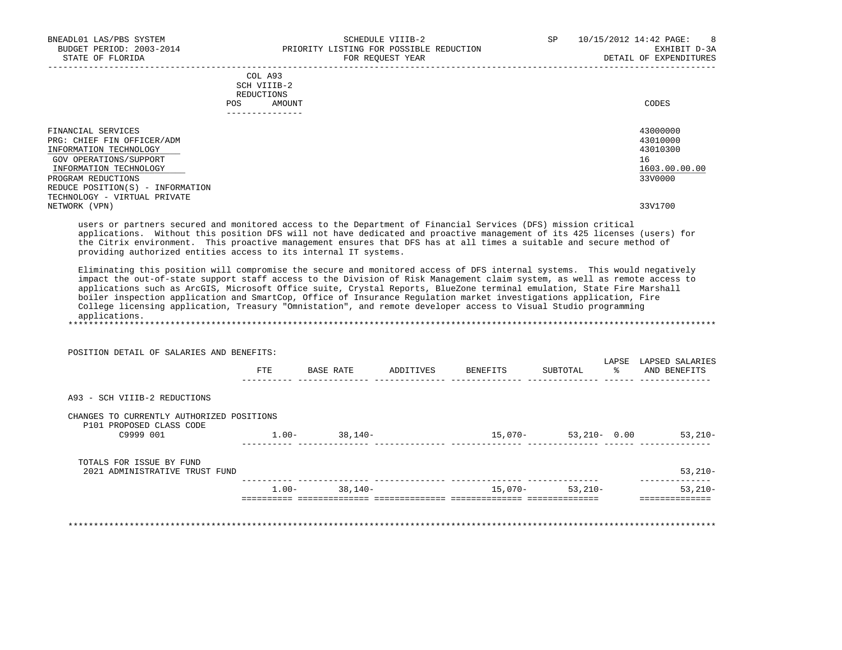| FINANCIAL SERVICES               | 43000000      |
|----------------------------------|---------------|
| PRG: CHIEF FIN OFFICER/ADM       | 43010000      |
| INFORMATION TECHNOLOGY           | 43010300      |
| GOV OPERATIONS/SUPPORT           | 16            |
| INFORMATION TECHNOLOGY           | 1603.00.00.00 |
| PROGRAM REDUCTIONS               | 33V0000       |
| REDUCE POSITION(S) - INFORMATION |               |
| TECHNOLOGY - VIRTUAL PRIVATE     |               |
| (VPN)<br>NETWORK                 | 33V1700       |
|                                  |               |

 users or partners secured and monitored access to the Department of Financial Services (DFS) mission critical applications. Without this position DFS will not have dedicated and proactive management of its 425 licenses (users) for the Citrix environment. This proactive management ensures that DFS has at all times a suitable and secure method of providing authorized entities access to its internal IT systems.

 Eliminating this position will compromise the secure and monitored access of DFS internal systems. This would negatively impact the out-of-state support staff access to the Division of Risk Management claim system, as well as remote access to applications such as ArcGIS, Microsoft Office suite, Crystal Reports, BlueZone terminal emulation, State Fire Marshall boiler inspection application and SmartCop, Office of Insurance Regulation market investigations application, Fire College licensing application, Treasury "Omnistation", and remote developer access to Visual Studio programming applications. \*\*\*\*\*\*\*\*\*\*\*\*\*\*\*\*\*\*\*\*\*\*\*\*\*\*\*\*\*\*\*\*\*\*\*\*\*\*\*\*\*\*\*\*\*\*\*\*\*\*\*\*\*\*\*\*\*\*\*\*\*\*\*\*\*\*\*\*\*\*\*\*\*\*\*\*\*\*\*\*\*\*\*\*\*\*\*\*\*\*\*\*\*\*\*\*\*\*\*\*\*\*\*\*\*\*\*\*\*\*\*\*\*\*\*\*\*\*\*\*\*\*\*\*\*\*\*

| POSITION DETAIL OF SALARIES AND BENEFITS:                             |          |           |           |          |                 | LAPSE | LAPSED SALARIES |
|-----------------------------------------------------------------------|----------|-----------|-----------|----------|-----------------|-------|-----------------|
|                                                                       | FTE      | BASE RATE | ADDITIVES | BENEFITS | SUBTOTAL        | ዱ     | AND BENEFITS    |
| A93 - SCH VIIIB-2 REDUCTIONS                                          |          |           |           |          |                 |       |                 |
| CHANGES TO CURRENTLY AUTHORIZED POSITIONS<br>P101 PROPOSED CLASS CODE |          |           |           |          |                 |       |                 |
| C9999 001                                                             | $1.00 -$ | 38,140-   |           | 15,070-  | $53,210 - 0.00$ |       | $53,210-$       |
| TOTALS FOR ISSUE BY FUND<br>2021 ADMINISTRATIVE TRUST FUND            |          |           |           |          |                 |       | $53,210-$       |
|                                                                       | $1.00 -$ | 38,140-   |           | 15,070-  | $53,210-$       |       | $53,210-$       |

\*\*\*\*\*\*\*\*\*\*\*\*\*\*\*\*\*\*\*\*\*\*\*\*\*\*\*\*\*\*\*\*\*\*\*\*\*\*\*\*\*\*\*\*\*\*\*\*\*\*\*\*\*\*\*\*\*\*\*\*\*\*\*\*\*\*\*\*\*\*\*\*\*\*\*\*\*\*\*\*\*\*\*\*\*\*\*\*\*\*\*\*\*\*\*\*\*\*\*\*\*\*\*\*\*\*\*\*\*\*\*\*\*\*\*\*\*\*\*\*\*\*\*\*\*\*\*

POSITION DETAIL OF SALARIES AND BENEFITS: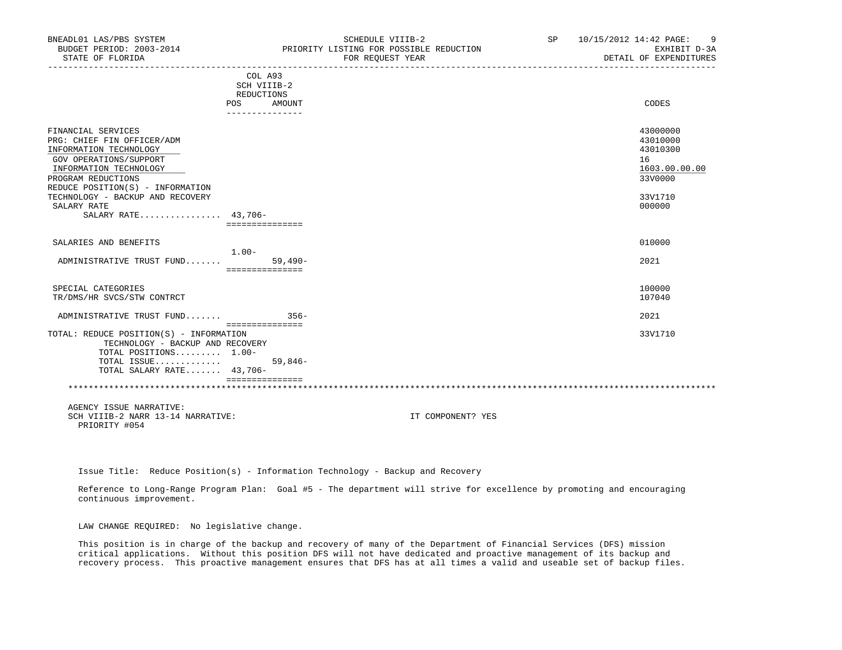| BNEADL01 LAS/PBS SYSTEM<br>BUDGET PERIOD: 2003-2014<br>STATE OF FLORIDA                                                                                                                                                                                            |                                                                          | SCHEDULE VIIIB-2<br>PRIORITY LISTING FOR POSSIBLE REDUCTION<br>FOR REOUEST YEAR | SP <sub>2</sub> | -9<br>10/15/2012 14:42 PAGE:<br>EXHIBIT D-3A<br>DETAIL OF EXPENDITURES                  |
|--------------------------------------------------------------------------------------------------------------------------------------------------------------------------------------------------------------------------------------------------------------------|--------------------------------------------------------------------------|---------------------------------------------------------------------------------|-----------------|-----------------------------------------------------------------------------------------|
|                                                                                                                                                                                                                                                                    | COL A93<br>SCH VIIIB-2<br>REDUCTIONS<br>POS<br>AMOUNT<br>--------------- |                                                                                 |                 | CODES                                                                                   |
| FINANCIAL SERVICES<br>PRG: CHIEF FIN OFFICER/ADM<br>INFORMATION TECHNOLOGY<br>GOV OPERATIONS/SUPPORT<br>INFORMATION TECHNOLOGY<br>PROGRAM REDUCTIONS<br>REDUCE POSITION(S) - INFORMATION<br>TECHNOLOGY - BACKUP AND RECOVERY<br>SALARY RATE<br>SALARY RATE 43,706- | ===============                                                          |                                                                                 |                 | 43000000<br>43010000<br>43010300<br>16<br>1603.00.00.00<br>33V0000<br>33V1710<br>000000 |
| SALARIES AND BENEFITS                                                                                                                                                                                                                                              | $1.00-$                                                                  |                                                                                 |                 | 010000                                                                                  |
| ADMINISTRATIVE TRUST FUND                                                                                                                                                                                                                                          | $59.490 -$<br>===============                                            |                                                                                 |                 | 2021                                                                                    |
| SPECIAL CATEGORIES<br>TR/DMS/HR SVCS/STW CONTRCT                                                                                                                                                                                                                   |                                                                          |                                                                                 |                 | 100000<br>107040                                                                        |
| ADMINISTRATIVE TRUST FUND                                                                                                                                                                                                                                          | $356-$<br>================                                               |                                                                                 |                 | 2021                                                                                    |
| TOTAL: REDUCE POSITION(S) - INFORMATION<br>TECHNOLOGY - BACKUP AND RECOVERY<br>TOTAL POSITIONS 1.00-<br>TOTAL ISSUE<br>TOTAL SALARY RATE 43,706-                                                                                                                   | $59,846-$                                                                |                                                                                 |                 | 33V1710                                                                                 |
|                                                                                                                                                                                                                                                                    | ===============                                                          |                                                                                 |                 |                                                                                         |
| ACRAIGLE TOOTH MARRATITIC                                                                                                                                                                                                                                          |                                                                          |                                                                                 |                 |                                                                                         |

 AGENCY ISSUE NARRATIVE: SCH VIIIB-2 NARR 13-14 NARRATIVE: IT COMPONENT? YES PRIORITY #054

Issue Title: Reduce Position(s) - Information Technology - Backup and Recovery

 Reference to Long-Range Program Plan: Goal #5 - The department will strive for excellence by promoting and encouraging continuous improvement.

LAW CHANGE REQUIRED: No legislative change.

 This position is in charge of the backup and recovery of many of the Department of Financial Services (DFS) mission critical applications. Without this position DFS will not have dedicated and proactive management of its backup and recovery process. This proactive management ensures that DFS has at all times a valid and useable set of backup files.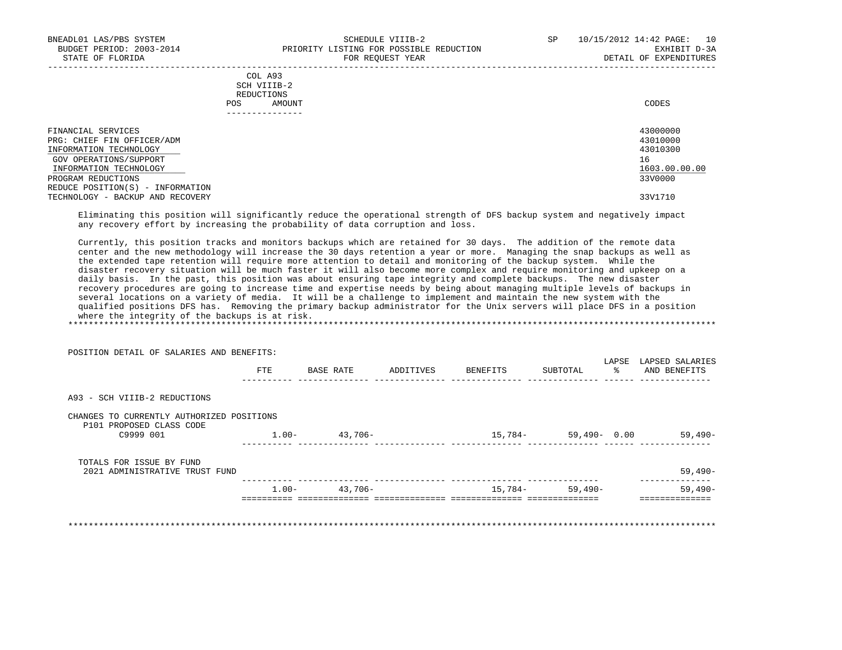-----------------------------------------------------------------------------------------------------------------------------------

|     | --------------- |       |
|-----|-----------------|-------|
| POS | AMOUNT          | CODES |
|     | REDUCTIONS      |       |
|     | SCH VIIIB-2     |       |
|     | COL A93         |       |

| FINANCIAL SERVICES               | 43000000      |
|----------------------------------|---------------|
| PRG: CHIEF FIN OFFICER/ADM       | 43010000      |
| INFORMATION TECHNOLOGY           | 43010300      |
| GOV OPERATIONS/SUPPORT           | 16            |
| INFORMATION TECHNOLOGY           | 1603.00.00.00 |
| PROGRAM REDUCTIONS               | 33V0000       |
| REDUCE POSITION(S) - INFORMATION |               |
| TECHNOLOGY - BACKUP AND RECOVERY | 33V1710       |
|                                  |               |

 Eliminating this position will significantly reduce the operational strength of DFS backup system and negatively impact any recovery effort by increasing the probability of data corruption and loss.

 Currently, this position tracks and monitors backups which are retained for 30 days. The addition of the remote data center and the new methodology will increase the 30 days retention a year or more. Managing the snap backups as well as the extended tape retention will require more attention to detail and monitoring of the backup system. While the disaster recovery situation will be much faster it will also become more complex and require monitoring and upkeep on a daily basis. In the past, this position was about ensuring tape integrity and complete backups. The new disaster recovery procedures are going to increase time and expertise needs by being about managing multiple levels of backups in several locations on a variety of media. It will be a challenge to implement and maintain the new system with the qualified positions DFS has. Removing the primary backup administrator for the Unix servers will place DFS in a position where the integrity of the backups is at risk. \*\*\*\*\*\*\*\*\*\*\*\*\*\*\*\*\*\*\*\*\*\*\*\*\*\*\*\*\*\*\*\*\*\*\*\*\*\*\*\*\*\*\*\*\*\*\*\*\*\*\*\*\*\*\*\*\*\*\*\*\*\*\*\*\*\*\*\*\*\*\*\*\*\*\*\*\*\*\*\*\*\*\*\*\*\*\*\*\*\*\*\*\*\*\*\*\*\*\*\*\*\*\*\*\*\*\*\*\*\*\*\*\*\*\*\*\*\*\*\*\*\*\*\*\*\*\*

| POSITION DETAIL OF SALARIES AND BENEFITS:                             |          |           |           |          | LAPSE                     | LAPSED SALARIES |
|-----------------------------------------------------------------------|----------|-----------|-----------|----------|---------------------------|-----------------|
|                                                                       | FTE      | BASE RATE | ADDITIVES | BENEFITS | SUBTOTAL<br>$\frac{1}{6}$ | AND BENEFITS    |
| A93 - SCH VIIIB-2 REDUCTIONS                                          |          |           |           |          |                           |                 |
| CHANGES TO CURRENTLY AUTHORIZED POSITIONS<br>P101 PROPOSED CLASS CODE |          |           |           |          |                           |                 |
| C9999 001                                                             | $1.00 -$ | 43,706-   |           | 15,784-  | $59,490 - 0.00$           | $59,490-$       |
| TOTALS FOR ISSUE BY FUND<br>2021 ADMINISTRATIVE TRUST FUND            |          |           |           |          |                           | $59,490-$       |
|                                                                       |          |           |           |          |                           |                 |
|                                                                       | $1.00 -$ | 43,706-   |           | 15,784-  | 59,490-                   | $59,490-$       |

\*\*\*\*\*\*\*\*\*\*\*\*\*\*\*\*\*\*\*\*\*\*\*\*\*\*\*\*\*\*\*\*\*\*\*\*\*\*\*\*\*\*\*\*\*\*\*\*\*\*\*\*\*\*\*\*\*\*\*\*\*\*\*\*\*\*\*\*\*\*\*\*\*\*\*\*\*\*\*\*\*\*\*\*\*\*\*\*\*\*\*\*\*\*\*\*\*\*\*\*\*\*\*\*\*\*\*\*\*\*\*\*\*\*\*\*\*\*\*\*\*\*\*\*\*\*\*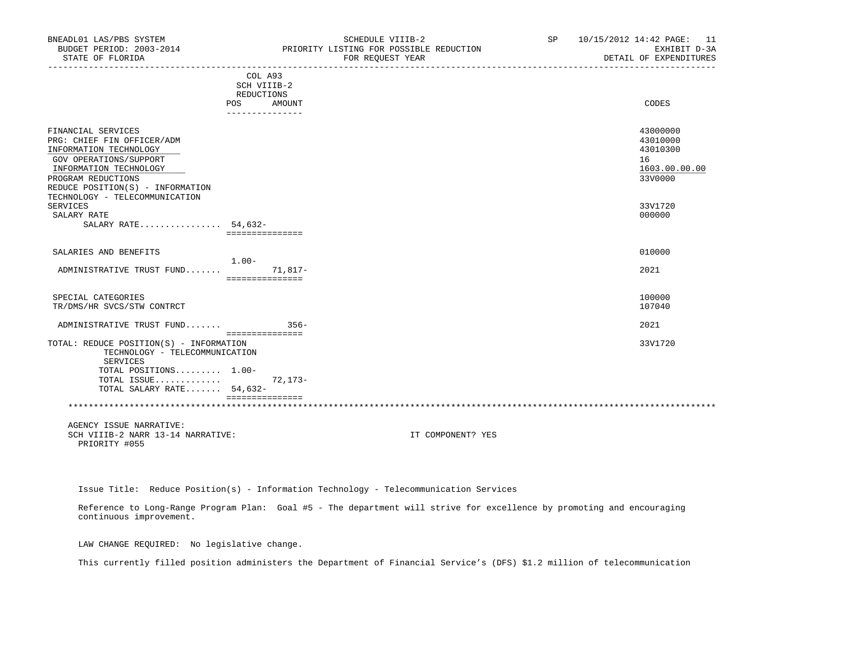| BNEADL01 LAS/PBS SYSTEM<br>BUDGET PERIOD: 2003-2014<br>STATE OF FLORIDA                                                                                                                  |                                         | SCHEDULE VIIIB-2<br>PRIORITY LISTING FOR POSSIBLE REDUCTION<br>FOR REQUEST YEAR | SP and the set of the set of the set of the set of the set of the set of the set of the set of the set of the set of the set of the set of the set of the set of the set of the set of the set of the set of the set of the se | 10/15/2012 14:42 PAGE: 11<br>EXHIBIT D-3A<br>DETAIL OF EXPENDITURES |
|------------------------------------------------------------------------------------------------------------------------------------------------------------------------------------------|-----------------------------------------|---------------------------------------------------------------------------------|--------------------------------------------------------------------------------------------------------------------------------------------------------------------------------------------------------------------------------|---------------------------------------------------------------------|
|                                                                                                                                                                                          | COL A93<br>SCH VIIIB-2<br>REDUCTIONS    |                                                                                 |                                                                                                                                                                                                                                |                                                                     |
|                                                                                                                                                                                          | <b>POS</b><br>AMOUNT<br>--------------- |                                                                                 |                                                                                                                                                                                                                                | CODES                                                               |
| FINANCIAL SERVICES<br>PRG: CHIEF FIN OFFICER/ADM<br>INFORMATION TECHNOLOGY<br>GOV OPERATIONS/SUPPORT<br>INFORMATION TECHNOLOGY<br>PROGRAM REDUCTIONS<br>REDUCE POSITION(S) - INFORMATION |                                         |                                                                                 |                                                                                                                                                                                                                                | 43000000<br>43010000<br>43010300<br>16<br>1603.00.00.00<br>33V0000  |
| TECHNOLOGY - TELECOMMUNICATION<br>SERVICES<br>SALARY RATE<br>SALARY RATE 54,632-                                                                                                         | ===============                         |                                                                                 |                                                                                                                                                                                                                                | 33V1720<br>000000                                                   |
| SALARIES AND BENEFITS                                                                                                                                                                    |                                         |                                                                                 |                                                                                                                                                                                                                                | 010000                                                              |
| ADMINISTRATIVE TRUST FUND                                                                                                                                                                | $1.00-$<br>71,817-<br>===============   |                                                                                 |                                                                                                                                                                                                                                | 2021                                                                |
| SPECIAL CATEGORIES<br>TR/DMS/HR SVCS/STW CONTRCT                                                                                                                                         |                                         |                                                                                 |                                                                                                                                                                                                                                | 100000<br>107040                                                    |
| ADMINISTRATIVE TRUST FUND                                                                                                                                                                | $356 -$                                 |                                                                                 |                                                                                                                                                                                                                                | 2021                                                                |
| TOTAL: REDUCE POSITION(S) - INFORMATION<br>TECHNOLOGY - TELECOMMUNICATION<br>SERVICES<br>TOTAL POSITIONS 1.00-<br>TOTAL ISSUE<br>TOTAL SALARY RATE 54,632-                               | ===============<br>$72, 173 -$          |                                                                                 |                                                                                                                                                                                                                                | 33V1720                                                             |
|                                                                                                                                                                                          | ===============                         |                                                                                 |                                                                                                                                                                                                                                |                                                                     |
| AGENCY ISSUE NARRATIVE:<br>SCH VIIIB-2 NARR 13-14 NARRATIVE:<br>PRIORITY #055                                                                                                            |                                         | IT COMPONENT? YES                                                               |                                                                                                                                                                                                                                |                                                                     |

Issue Title: Reduce Position(s) - Information Technology - Telecommunication Services

 Reference to Long-Range Program Plan: Goal #5 - The department will strive for excellence by promoting and encouraging continuous improvement.

LAW CHANGE REQUIRED: No legislative change.

This currently filled position administers the Department of Financial Service's (DFS) \$1.2 million of telecommunication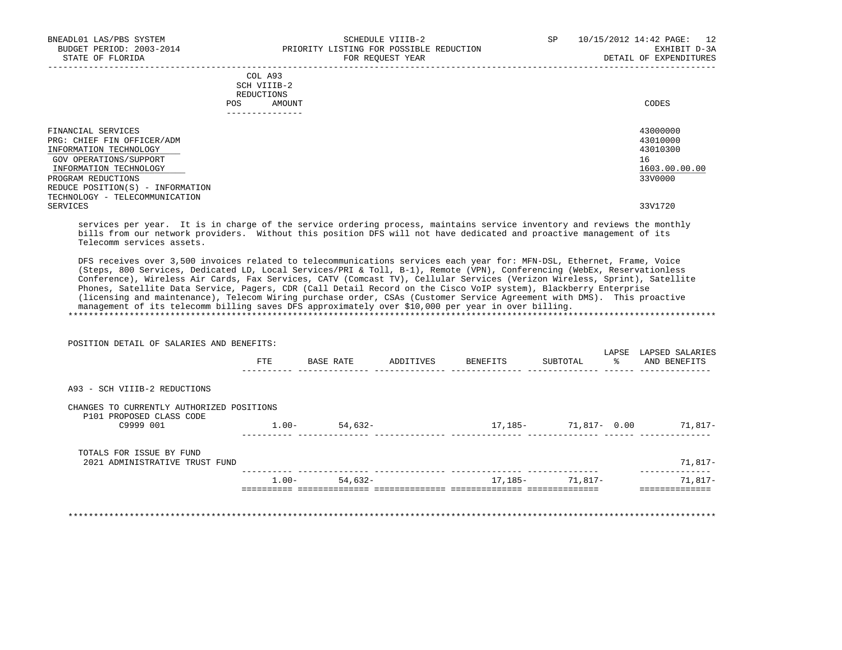| BNEADL01 LAS/PBS SYSTEM<br>BUDGET PERIOD: 2003-2014<br>STATE OF FLORIDA | SCHEDULE VIIIB-2<br>PRIORITY LISTING FOR POSSIBLE REDUCTION<br>FOR REOUEST YEAR | SP | 10/15/2012 14:42 PAGE: 12<br>EXHIBIT D-3A<br>DETAIL OF EXPENDITURES |
|-------------------------------------------------------------------------|---------------------------------------------------------------------------------|----|---------------------------------------------------------------------|
|                                                                         | COL A93<br>SCH VIIIB-2<br>REDUCTIONS                                            |    |                                                                     |
|                                                                         | AMOUNT<br>POS                                                                   |    | CODES                                                               |
| FINANCIAI CFDVICTO                                                      |                                                                                 |    | 43000000                                                            |

| FINANCIAL SERVICES               | 43000000      |
|----------------------------------|---------------|
| PRG: CHIEF FIN OFFICER/ADM       | 43010000      |
| INFORMATION TECHNOLOGY           | 43010300      |
| GOV OPERATIONS/SUPPORT           | 16            |
| INFORMATION TECHNOLOGY           | 1603.00.00.00 |
| PROGRAM REDUCTIONS               | 33V0000       |
| REDUCE POSITION(S) - INFORMATION |               |
| TECHNOLOGY - TELECOMMUNICATION   |               |
| SERVICES                         | 33V1720       |
|                                  |               |

 services per year. It is in charge of the service ordering process, maintains service inventory and reviews the monthly bills from our network providers. Without this position DFS will not have dedicated and proactive management of its Telecomm services assets.

 DFS receives over 3,500 invoices related to telecommunications services each year for: MFN-DSL, Ethernet, Frame, Voice (Steps, 800 Services, Dedicated LD, Local Services/PRI & Toll, B-1), Remote (VPN), Conferencing (WebEx, Reservationless Conference), Wireless Air Cards, Fax Services, CATV (Comcast TV), Cellular Services (Verizon Wireless, Sprint), Satellite Phones, Satellite Data Service, Pagers, CDR (Call Detail Record on the Cisco VoIP system), Blackberry Enterprise (licensing and maintenance), Telecom Wiring purchase order, CSAs (Customer Service Agreement with DMS). This proactive management of its telecomm billing saves DFS approximately over \$10,000 per year in over billing. \*\*\*\*\*\*\*\*\*\*\*\*\*\*\*\*\*\*\*\*\*\*\*\*\*\*\*\*\*\*\*\*\*\*\*\*\*\*\*\*\*\*\*\*\*\*\*\*\*\*\*\*\*\*\*\*\*\*\*\*\*\*\*\*\*\*\*\*\*\*\*\*\*\*\*\*\*\*\*\*\*\*\*\*\*\*\*\*\*\*\*\*\*\*\*\*\*\*\*\*\*\*\*\*\*\*\*\*\*\*\*\*\*\*\*\*\*\*\*\*\*\*\*\*\*\*\*

 POSITION DETAIL OF SALARIES AND BENEFITS: LAPSE LAPSED SALARIES FTE BASE RATE ADDITIVES BENEFITS SUBTOTAL % AND BENEFITS ---------- -------------- -------------- -------------- -------------- ------ -------------- A93 - SCH VIIIB-2 REDUCTIONS CHANGES TO CURRENTLY AUTHORIZED POSITIONS P101 PROPOSED CLASS CODE C9999 001 1.00- 54,632- 17,185- 71,817- 0.00 71,817- ---------- -------------- -------------- -------------- -------------- ------ -------------- TOTALS FOR ISSUE BY FUND 2021 ADMINISTRATIVE TRUST FUND 71,817- ---------- -------------- -------------- -------------- -------------- -------------- 1.00- 54,632- 17,185- 71,817- 71,817- ========== ============== ============== ============== ============== ==============

\*\*\*\*\*\*\*\*\*\*\*\*\*\*\*\*\*\*\*\*\*\*\*\*\*\*\*\*\*\*\*\*\*\*\*\*\*\*\*\*\*\*\*\*\*\*\*\*\*\*\*\*\*\*\*\*\*\*\*\*\*\*\*\*\*\*\*\*\*\*\*\*\*\*\*\*\*\*\*\*\*\*\*\*\*\*\*\*\*\*\*\*\*\*\*\*\*\*\*\*\*\*\*\*\*\*\*\*\*\*\*\*\*\*\*\*\*\*\*\*\*\*\*\*\*\*\*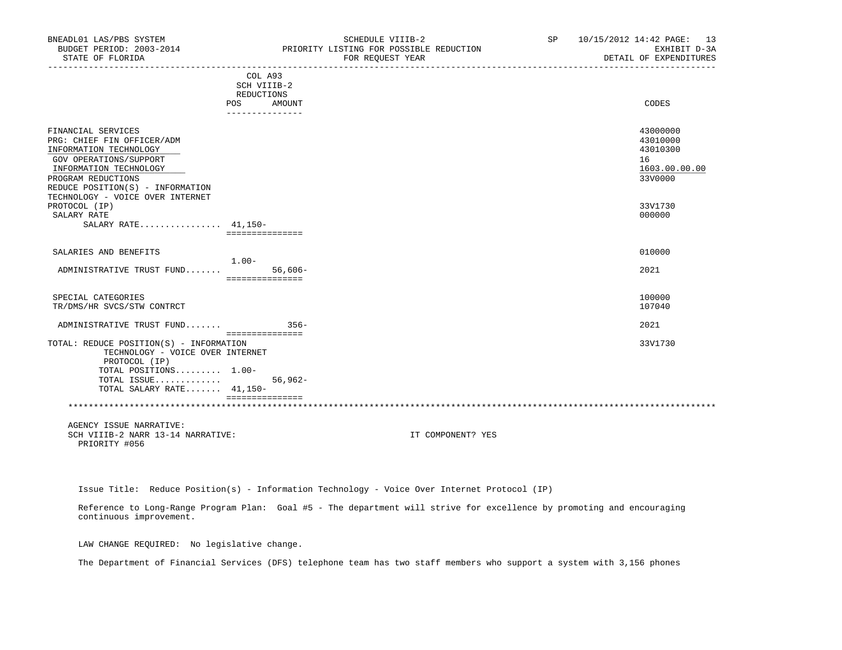| BNEADL01 LAS/PBS SYSTEM<br>BUDGET PERIOD: 2003-2014<br>STATE OF FLORIDA                                                                                                                  |                                                    |            | SCHEDULE VIIIB-2<br>PRIORITY LISTING FOR POSSIBLE REDUCTION<br>FOR REOUEST YEAR |  | SP 10/15/2012 14:42 PAGE: 13<br>EXHIBIT D-3A<br>DETAIL OF EXPENDITURES |
|------------------------------------------------------------------------------------------------------------------------------------------------------------------------------------------|----------------------------------------------------|------------|---------------------------------------------------------------------------------|--|------------------------------------------------------------------------|
|                                                                                                                                                                                          | COL A93<br>SCH VIIIB-2<br>REDUCTIONS<br>POS AMOUNT |            |                                                                                 |  | CODES                                                                  |
|                                                                                                                                                                                          | ---------------                                    |            |                                                                                 |  |                                                                        |
| FINANCIAL SERVICES<br>PRG: CHIEF FIN OFFICER/ADM<br>INFORMATION TECHNOLOGY<br>GOV OPERATIONS/SUPPORT<br>INFORMATION TECHNOLOGY<br>PROGRAM REDUCTIONS<br>REDUCE POSITION(S) - INFORMATION |                                                    |            |                                                                                 |  | 43000000<br>43010000<br>43010300<br>16<br>1603.00.00.00<br>33V0000     |
| TECHNOLOGY - VOICE OVER INTERNET<br>PROTOCOL (IP)<br>SALARY RATE<br>SALARY RATE 41,150-                                                                                                  | _===============                                   |            |                                                                                 |  | 33V1730<br>000000                                                      |
| SALARIES AND BENEFITS                                                                                                                                                                    |                                                    |            |                                                                                 |  | 010000                                                                 |
| ADMINISTRATIVE TRUST FUND                                                                                                                                                                | $1.00-$<br><b>BEBBBBBBBBBBBBB</b>                  | $56.606 -$ |                                                                                 |  | 2021                                                                   |
| SPECIAL CATEGORIES<br>TR/DMS/HR SVCS/STW CONTRCT                                                                                                                                         |                                                    |            |                                                                                 |  | 100000<br>107040                                                       |
| ADMINISTRATIVE TRUST FUND                                                                                                                                                                |                                                    | $356-$     |                                                                                 |  | 2021                                                                   |
| TOTAL: REDUCE POSITION(S) - INFORMATION<br>TECHNOLOGY - VOICE OVER INTERNET<br>PROTOCOL (IP)<br>TOTAL POSITIONS 1.00-                                                                    | - ===============                                  |            |                                                                                 |  | 33V1730                                                                |
| TOTAL ISSUE<br>TOTAL SALARY RATE 41,150-                                                                                                                                                 |                                                    | $56,962-$  |                                                                                 |  |                                                                        |
|                                                                                                                                                                                          | ===============                                    |            |                                                                                 |  |                                                                        |
| AGENCY ISSUE NARRATIVE:<br>SCH VIIIB-2 NARR 13-14 NARRATIVE:<br>PRIORITY #056                                                                                                            |                                                    |            | IT COMPONENT? YES                                                               |  |                                                                        |

Issue Title: Reduce Position(s) - Information Technology - Voice Over Internet Protocol (IP)

 Reference to Long-Range Program Plan: Goal #5 - The department will strive for excellence by promoting and encouraging continuous improvement.

LAW CHANGE REQUIRED: No legislative change.

The Department of Financial Services (DFS) telephone team has two staff members who support a system with 3,156 phones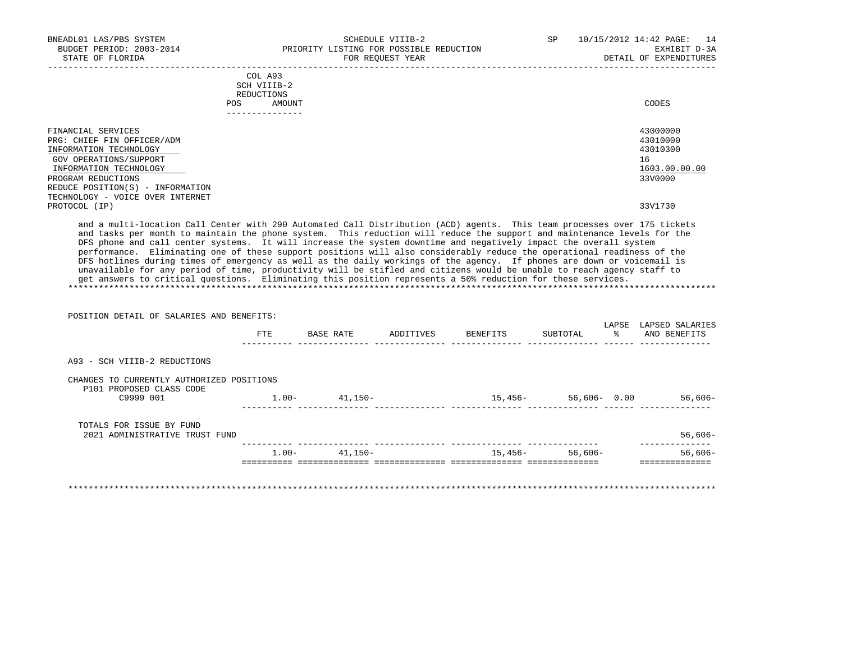| BNEADL01 LAS/PBS SYSTEM<br>BUDGET PERIOD: 2003-2014<br>STATE OF FLORIDA                                                                                                                                                      | SCHEDULE VIIIB-2<br>PRIORITY LISTING FOR POSSIBLE REDUCTION<br>FOR REQUEST YEAR                                                                                                                                                                                                                                                                                                                                                                                                                                                                                                                                                                                                                                                                                                                                                                                      | 10/15/2012 14:42 PAGE: 14<br>SP.<br>EXHIBIT D-3A<br>DETAIL OF EXPENDITURES |
|------------------------------------------------------------------------------------------------------------------------------------------------------------------------------------------------------------------------------|----------------------------------------------------------------------------------------------------------------------------------------------------------------------------------------------------------------------------------------------------------------------------------------------------------------------------------------------------------------------------------------------------------------------------------------------------------------------------------------------------------------------------------------------------------------------------------------------------------------------------------------------------------------------------------------------------------------------------------------------------------------------------------------------------------------------------------------------------------------------|----------------------------------------------------------------------------|
|                                                                                                                                                                                                                              | COL A93<br>SCH VIIIB-2<br>REDUCTIONS                                                                                                                                                                                                                                                                                                                                                                                                                                                                                                                                                                                                                                                                                                                                                                                                                                 |                                                                            |
|                                                                                                                                                                                                                              | POS FOR<br>AMOUNT<br>---------------                                                                                                                                                                                                                                                                                                                                                                                                                                                                                                                                                                                                                                                                                                                                                                                                                                 | CODES                                                                      |
| FINANCIAL SERVICES<br>PRG: CHIEF FIN OFFICER/ADM<br>INFORMATION TECHNOLOGY<br>GOV OPERATIONS/SUPPORT<br>INFORMATION TECHNOLOGY<br>PROGRAM REDUCTIONS<br>REDUCE POSITION(S) - INFORMATION<br>TECHNOLOGY - VOICE OVER INTERNET |                                                                                                                                                                                                                                                                                                                                                                                                                                                                                                                                                                                                                                                                                                                                                                                                                                                                      | 43000000<br>43010000<br>43010300<br>16<br>1603.00.00.00<br>33V0000         |
| PROTOCOL (IP)                                                                                                                                                                                                                |                                                                                                                                                                                                                                                                                                                                                                                                                                                                                                                                                                                                                                                                                                                                                                                                                                                                      | 33V1730                                                                    |
|                                                                                                                                                                                                                              | and a multi-location Call Center with 290 Automated Call Distribution (ACD) agents. This team processes over 175 tickets<br>and tasks per month to maintain the phone system. This reduction will reduce the support and maintenance levels for the<br>DFS phone and call center systems. It will increase the system downtime and negatively impact the overall system<br>performance. Eliminating one of these support positions will also considerably reduce the operational readiness of the<br>DFS hotlines during times of emergency as well as the daily workings of the agency. If phones are down or voicemail is<br>unavailable for any period of time, productivity will be stifled and citizens would be unable to reach agency staff to<br>get answers to critical questions. Eliminating this position represents a 50% reduction for these services. |                                                                            |

\*\*\*\*\*\*\*\*\*\*\*\*\*\*\*\*\*\*\*\*\*\*\*\*\*\*\*\*\*\*\*\*\*\*\*\*\*\*\*\*\*\*\*\*\*\*\*\*\*\*\*\*\*\*\*\*\*\*\*\*\*\*\*\*\*\*\*\*\*\*\*\*\*\*\*\*\*\*\*\*\*\*\*\*\*\*\*\*\*\*\*\*\*\*\*\*\*\*\*\*\*\*\*\*\*\*\*\*\*\*\*\*\*\*\*\*\*\*\*\*\*\*\*\*\*\*\*

 POSITION DETAIL OF SALARIES AND BENEFITS: LAPSE LAPSED SALARIES FTE BASE RATE ADDITIVES BENEFITS SUBTOTAL % AND BENEFITS ---------- -------------- -------------- -------------- -------------- ------ -------------- A93 - SCH VIIIB-2 REDUCTIONS CHANGES TO CURRENTLY AUTHORIZED POSITIONS P101 PROPOSED CLASS CODE<br>C9999 001 1.00- 41,150- 15,456- 56,606- 0.00 56,606- ---------- -------------- -------------- -------------- -------------- ------ -------------- TOTALS FOR ISSUE BY FUND 2021 ADMINISTRATIVE TRUST FUND 56,606- ---------- -------------- -------------- -------------- -------------- -------------- 1.00- 41,150- 15,456- 56,606- 56,606- ========== ============== ============== ============== ============== ============== \*\*\*\*\*\*\*\*\*\*\*\*\*\*\*\*\*\*\*\*\*\*\*\*\*\*\*\*\*\*\*\*\*\*\*\*\*\*\*\*\*\*\*\*\*\*\*\*\*\*\*\*\*\*\*\*\*\*\*\*\*\*\*\*\*\*\*\*\*\*\*\*\*\*\*\*\*\*\*\*\*\*\*\*\*\*\*\*\*\*\*\*\*\*\*\*\*\*\*\*\*\*\*\*\*\*\*\*\*\*\*\*\*\*\*\*\*\*\*\*\*\*\*\*\*\*\*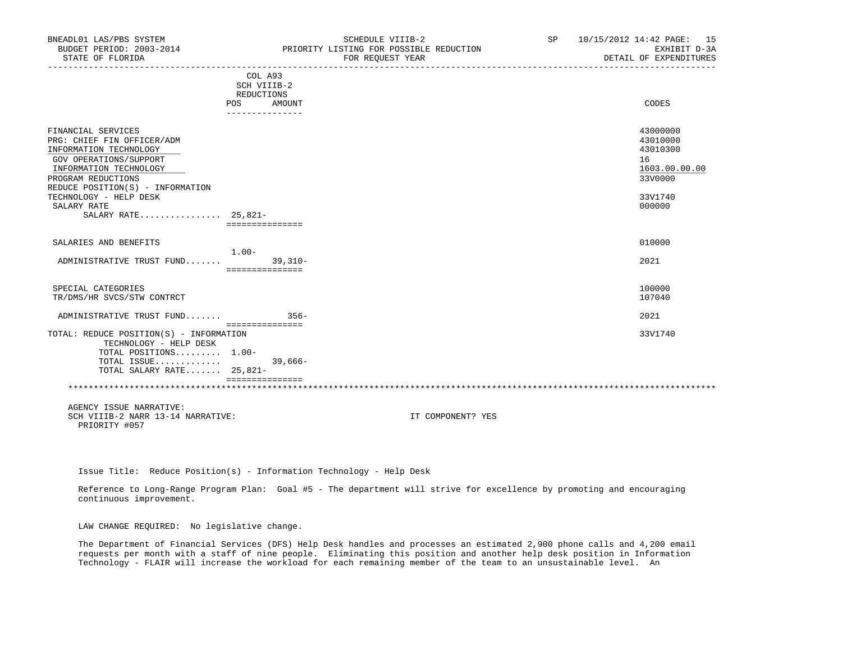| BNEADL01 LAS/PBS SYSTEM<br>BUDGET PERIOD: 2003-2014<br>STATE OF FLORIDA                                                                                                                                                                                  |                                                                          | SCHEDULE VIIIB-2<br>PRIORITY LISTING FOR POSSIBLE REDUCTION<br>FOR REOUEST YEAR | SP 10/15/2012 14:42 PAGE: 15<br>EXHIBIT D-3A<br>DETAIL OF EXPENDITURES                  |
|----------------------------------------------------------------------------------------------------------------------------------------------------------------------------------------------------------------------------------------------------------|--------------------------------------------------------------------------|---------------------------------------------------------------------------------|-----------------------------------------------------------------------------------------|
|                                                                                                                                                                                                                                                          | COL A93<br>SCH VIIIB-2<br>REDUCTIONS<br>POS<br>AMOUNT<br>--------------- |                                                                                 | CODES                                                                                   |
| FINANCIAL SERVICES<br>PRG: CHIEF FIN OFFICER/ADM<br>INFORMATION TECHNOLOGY<br>GOV OPERATIONS/SUPPORT<br>INFORMATION TECHNOLOGY<br>PROGRAM REDUCTIONS<br>REDUCE POSITION(S) - INFORMATION<br>TECHNOLOGY - HELP DESK<br>SALARY RATE<br>SALARY RATE 25,821- | ===============                                                          |                                                                                 | 43000000<br>43010000<br>43010300<br>16<br>1603.00.00.00<br>33V0000<br>33V1740<br>000000 |
| SALARIES AND BENEFITS<br>ADMINISTRATIVE TRUST FUND                                                                                                                                                                                                       | $1.00 -$<br>$39,310-$                                                    |                                                                                 | 010000<br>2021                                                                          |
| SPECIAL CATEGORIES<br>TR/DMS/HR SVCS/STW CONTRCT                                                                                                                                                                                                         | ===============                                                          |                                                                                 | 100000<br>107040                                                                        |
| ADMINISTRATIVE TRUST FUND                                                                                                                                                                                                                                | $356-$                                                                   |                                                                                 | 2021                                                                                    |
| TOTAL: REDUCE POSITION(S) - INFORMATION<br>TECHNOLOGY - HELP DESK<br>TOTAL POSITIONS 1.00-<br>TOTAL ISSUE<br>TOTAL SALARY RATE 25,821-                                                                                                                   | ===============<br>$39,666-$                                             |                                                                                 | 33V1740                                                                                 |
|                                                                                                                                                                                                                                                          |                                                                          |                                                                                 |                                                                                         |

 AGENCY ISSUE NARRATIVE: SCH VIIIB-2 NARR 13-14 NARRATIVE: IT COMPONENT? YES PRIORITY #057

Issue Title: Reduce Position(s) - Information Technology - Help Desk

 Reference to Long-Range Program Plan: Goal #5 - The department will strive for excellence by promoting and encouraging continuous improvement.

LAW CHANGE REQUIRED: No legislative change.

 The Department of Financial Services (DFS) Help Desk handles and processes an estimated 2,900 phone calls and 4,200 email requests per month with a staff of nine people. Eliminating this position and another help desk position in Information Technology - FLAIR will increase the workload for each remaining member of the team to an unsustainable level. An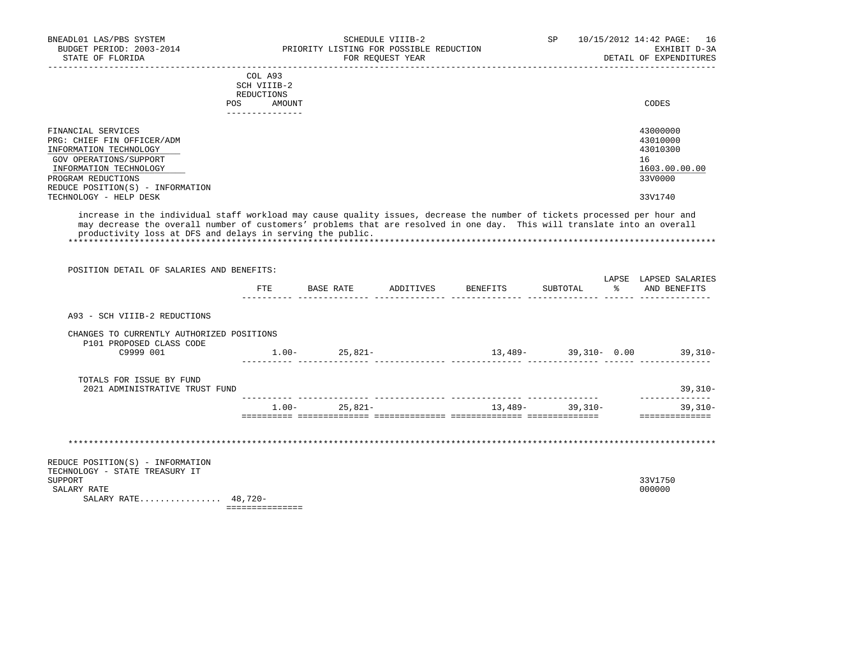| COL A93<br>SCH VIIIB-2<br>REDUCTIONS<br>AMOUNT<br><b>POS</b><br>-------------                                                  | CODES                                                   |
|--------------------------------------------------------------------------------------------------------------------------------|---------------------------------------------------------|
| FINANCIAL SERVICES<br>PRG: CHIEF FIN OFFICER/ADM<br>INFORMATION TECHNOLOGY<br>GOV OPERATIONS/SUPPORT<br>INFORMATION TECHNOLOGY | 43000000<br>43010000<br>43010300<br>16<br>1603.00.00.00 |
| PROGRAM REDUCTIONS<br>REDUCE POSITION(S) - INFORMATION                                                                         | 33V0000                                                 |
| TECHNOLOGY - HELP DESK                                                                                                         | 33V1740                                                 |

 increase in the individual staff workload may cause quality issues, decrease the number of tickets processed per hour and may decrease the overall number of customers' problems that are resolved in one day. This will translate into an overall productivity loss at DFS and delays in serving the public.

\*\*\*\*\*\*\*\*\*\*\*\*\*\*\*\*\*\*\*\*\*\*\*\*\*\*\*\*\*\*\*\*\*\*\*\*\*\*\*\*\*\*\*\*\*\*\*\*\*\*\*\*\*\*\*\*\*\*\*\*\*\*\*\*\*\*\*\*\*\*\*\*\*\*\*\*\*\*\*\*\*\*\*\*\*\*\*\*\*\*\*\*\*\*\*\*\*\*\*\*\*\*\*\*\*\*\*\*\*\*\*\*\*\*\*\*\*\*\*\*\*\*\*\*\*\*\*

| POSITION DETAIL OF SALARIES AND BENEFITS:                                          |                   |                                                          |  |                                 |
|------------------------------------------------------------------------------------|-------------------|----------------------------------------------------------|--|---------------------------------|
|                                                                                    |                   | FTE BASE RATE ADDITIVES BENEFITS SUBTOTAL % AND BENEFITS |  | LAPSE LAPSED SALARIES           |
| A93 - SCH VIIIB-2 REDUCTIONS                                                       |                   |                                                          |  |                                 |
| CHANGES TO CURRENTLY AUTHORIZED POSITIONS<br>P101 PROPOSED CLASS CODE<br>C9999 001 | $1.00 - 25,821 -$ |                                                          |  | $13,489 39,310-$ 0.00 $39,310-$ |
|                                                                                    |                   |                                                          |  |                                 |
| TOTALS FOR ISSUE BY FUND<br>2021 ADMINISTRATIVE TRUST FUND                         |                   |                                                          |  | $39,310-$                       |
|                                                                                    | $1.00 - 25.821 -$ | $13,489-39,310-$                                         |  | $39,310 -$<br>==============    |
|                                                                                    |                   |                                                          |  |                                 |
| REDUCE POSITION(S) - INFORMATION<br>TECHNOLOGY - STATE TREASURY IT                 |                   |                                                          |  |                                 |
| SUPPORT<br>SALARY RATE<br>SALARY RATE 48,720-                                      |                   |                                                          |  | 33V1750<br>000000               |

===============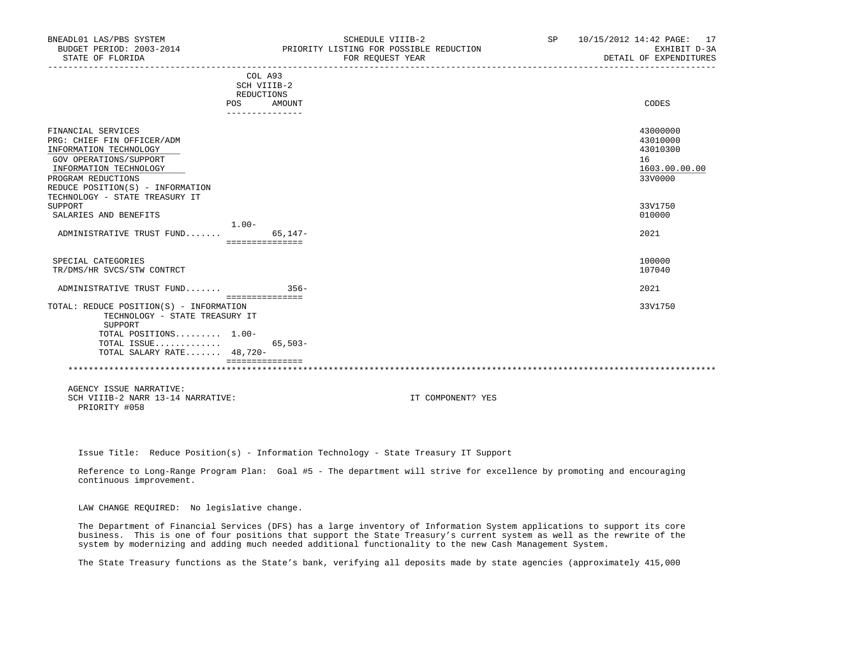| BNEADL01 LAS/PBS SYSTEM<br>BUDGET PERIOD: 2003-2014<br>STATE OF FLORIDA                                                                                                                  |                                             |           | SCHEDULE VIIIB-2<br>PRIORITY LISTING FOR POSSIBLE REDUCTION<br>FOR REQUEST YEAR | SP and the set of the set of the set of the set of the set of the set of the set of the set of the set of the set of the set of the set of the set of the set of the set of the set of the set of the set of the set of the se | 10/15/2012 14:42 PAGE: 17<br>EXHIBIT D-3A<br>DETAIL OF EXPENDITURES |
|------------------------------------------------------------------------------------------------------------------------------------------------------------------------------------------|---------------------------------------------|-----------|---------------------------------------------------------------------------------|--------------------------------------------------------------------------------------------------------------------------------------------------------------------------------------------------------------------------------|---------------------------------------------------------------------|
|                                                                                                                                                                                          | COL A93<br>SCH VIIIB-2<br>REDUCTIONS<br>POS | AMOUNT    |                                                                                 |                                                                                                                                                                                                                                | CODES                                                               |
|                                                                                                                                                                                          | ---------------                             |           |                                                                                 |                                                                                                                                                                                                                                |                                                                     |
| FINANCIAL SERVICES<br>PRG: CHIEF FIN OFFICER/ADM<br>INFORMATION TECHNOLOGY<br>GOV OPERATIONS/SUPPORT<br>INFORMATION TECHNOLOGY<br>PROGRAM REDUCTIONS<br>REDUCE POSITION(S) - INFORMATION |                                             |           |                                                                                 |                                                                                                                                                                                                                                | 43000000<br>43010000<br>43010300<br>16<br>1603.00.00.00<br>33V0000  |
| TECHNOLOGY - STATE TREASURY IT<br>SUPPORT<br>SALARIES AND BENEFITS                                                                                                                       | $1.00 -$                                    |           |                                                                                 |                                                                                                                                                                                                                                | 33V1750<br>010000                                                   |
| ADMINISTRATIVE TRUST FUND                                                                                                                                                                | ===============                             | $65.147-$ |                                                                                 |                                                                                                                                                                                                                                | 2021                                                                |
| SPECIAL CATEGORIES<br>TR/DMS/HR SVCS/STW CONTRCT                                                                                                                                         |                                             |           |                                                                                 |                                                                                                                                                                                                                                | 100000<br>107040                                                    |
| ADMINISTRATIVE TRUST FUND                                                                                                                                                                |                                             | $356-$    |                                                                                 |                                                                                                                                                                                                                                | 2021                                                                |
| TOTAL: REDUCE POSITION(S) - INFORMATION<br>TECHNOLOGY - STATE TREASURY IT<br>SUPPORT<br>TOTAL POSITIONS 1.00-<br>TOTAL ISSUE                                                             | ===============                             | $65,503-$ |                                                                                 |                                                                                                                                                                                                                                | 33V1750                                                             |
| TOTAL SALARY RATE 48,720-                                                                                                                                                                | ===============                             |           |                                                                                 |                                                                                                                                                                                                                                |                                                                     |
|                                                                                                                                                                                          |                                             |           |                                                                                 |                                                                                                                                                                                                                                |                                                                     |
| AGENCY ISSUE NARRATIVE:<br>SCH VIIIB-2 NARR 13-14 NARRATIVE:                                                                                                                             |                                             |           | IT COMPONENT? YES                                                               |                                                                                                                                                                                                                                |                                                                     |

Issue Title: Reduce Position(s) - Information Technology - State Treasury IT Support

 Reference to Long-Range Program Plan: Goal #5 - The department will strive for excellence by promoting and encouraging continuous improvement.

LAW CHANGE REQUIRED: No legislative change.

PRIORITY #058

 The Department of Financial Services (DFS) has a large inventory of Information System applications to support its core business. This is one of four positions that support the State Treasury's current system as well as the rewrite of the system by modernizing and adding much needed additional functionality to the new Cash Management System.

The State Treasury functions as the State's bank, verifying all deposits made by state agencies (approximately 415,000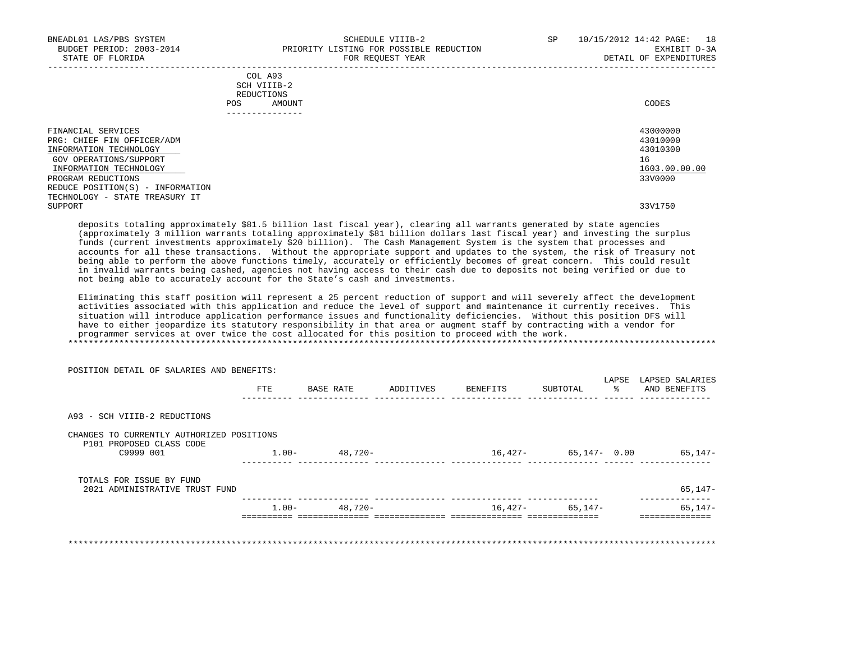| BNEADL01 LAS/PBS SYSTEM<br>BUDGET PERIOD: 2003-2014<br>STATE OF FLORIDA                                                        | SCHEDULE VIIIB-2<br>PRIORITY LISTING FOR POSSIBLE REDUCTION<br>FOR REOUEST YEAR | <b>SP</b> | 10/15/2012 14:42 PAGE:<br>18<br>EXHIBIT D-3A<br>DETAIL OF EXPENDITURES |
|--------------------------------------------------------------------------------------------------------------------------------|---------------------------------------------------------------------------------|-----------|------------------------------------------------------------------------|
|                                                                                                                                | COL A93<br>SCH VIIIB-2<br>REDUCTIONS<br>POS<br>AMOUNT                           |           | CODES                                                                  |
| FINANCIAL SERVICES<br>PRG: CHIEF FIN OFFICER/ADM<br>INFORMATION TECHNOLOGY<br>GOV OPERATIONS/SUPPORT<br>INFORMATION TECHNOLOGY |                                                                                 |           | 43000000<br>43010000<br>43010300<br>16<br>1603.00.00.00                |
| PROGRAM REDUCTIONS<br>REDUCE POSITION(S) - INFORMATION<br>TECHNOLOGY - STATE TREASURY IT<br>SUPPORT                            |                                                                                 |           | 33V0000<br>33V1750                                                     |

 deposits totaling approximately \$81.5 billion last fiscal year), clearing all warrants generated by state agencies (approximately 3 million warrants totaling approximately \$81 billion dollars last fiscal year) and investing the surplus funds (current investments approximately \$20 billion). The Cash Management System is the system that processes and accounts for all these transactions. Without the appropriate support and updates to the system, the risk of Treasury not being able to perform the above functions timely, accurately or efficiently becomes of great concern. This could result in invalid warrants being cashed, agencies not having access to their cash due to deposits not being verified or due to not being able to accurately account for the State's cash and investments.

 Eliminating this staff position will represent a 25 percent reduction of support and will severely affect the development activities associated with this application and reduce the level of support and maintenance it currently receives. This situation will introduce application performance issues and functionality deficiencies. Without this position DFS will have to either jeopardize its statutory responsibility in that area or augment staff by contracting with a vendor for programmer services at over twice the cost allocated for this position to proceed with the work. \*\*\*\*\*\*\*\*\*\*\*\*\*\*\*\*\*\*\*\*\*\*\*\*\*\*\*\*\*\*\*\*\*\*\*\*\*\*\*\*\*\*\*\*\*\*\*\*\*\*\*\*\*\*\*\*\*\*\*\*\*\*\*\*\*\*\*\*\*\*\*\*\*\*\*\*\*\*\*\*\*\*\*\*\*\*\*\*\*\*\*\*\*\*\*\*\*\*\*\*\*\*\*\*\*\*\*\*\*\*\*\*\*\*\*\*\*\*\*\*\*\*\*\*\*\*\*

| POSITION DETAIL OF SALARIES AND BENEFITS:                             |          |           |           |          | LAPSE          | LAPSED SALARIES |
|-----------------------------------------------------------------------|----------|-----------|-----------|----------|----------------|-----------------|
|                                                                       | FTE      | BASE RATE | ADDITIVES | BENEFITS | ႜၟ<br>SUBTOTAL | AND BENEFITS    |
| A93 - SCH VIIIB-2 REDUCTIONS                                          |          |           |           |          |                |                 |
| CHANGES TO CURRENTLY AUTHORIZED POSITIONS<br>P101 PROPOSED CLASS CODE |          |           |           |          |                |                 |
| C9999 001                                                             | $1.00 -$ | 48,720-   |           | 16,427-  | 65,147- 0.00   | 65,147-         |
| TOTALS FOR ISSUE BY FUND                                              |          |           |           |          |                |                 |
| 2021 ADMINISTRATIVE TRUST FUND                                        |          |           |           |          |                | 65,147-         |
|                                                                       | $1.00 -$ | 48,720-   |           | 16,427-  | 65,147-        | 65,147-         |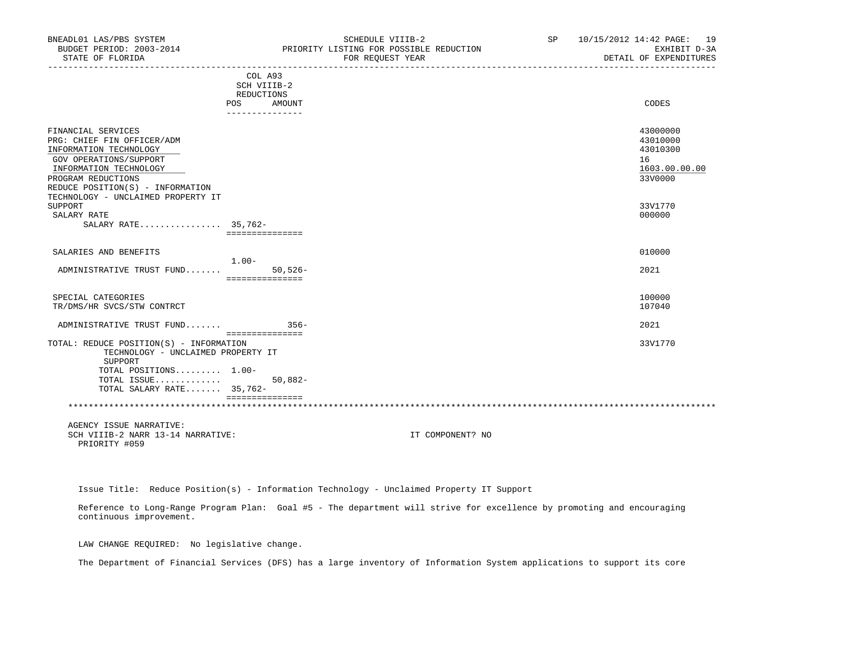| BNEADL01 LAS/PBS SYSTEM<br>BUDGET PERIOD: 2003-2014<br>STATE OF FLORIDA |                        |           | SCHEDULE VIIIB-2<br>PRIORITY LISTING FOR POSSIBLE REDUCTION<br>FOR REOUEST YEAR |                  |  | SP 10/15/2012 14:42 PAGE: 19<br>EXHIBIT D-3A<br>DETAIL OF EXPENDITURES |
|-------------------------------------------------------------------------|------------------------|-----------|---------------------------------------------------------------------------------|------------------|--|------------------------------------------------------------------------|
|                                                                         | COL A93<br>SCH VIIIB-2 |           |                                                                                 |                  |  |                                                                        |
|                                                                         | REDUCTIONS             |           |                                                                                 |                  |  |                                                                        |
|                                                                         | POS                    | AMOUNT    |                                                                                 |                  |  | CODES                                                                  |
|                                                                         | ______________         |           |                                                                                 |                  |  |                                                                        |
| FINANCIAL SERVICES                                                      |                        |           |                                                                                 |                  |  | 43000000                                                               |
| PRG: CHIEF FIN OFFICER/ADM                                              |                        |           |                                                                                 |                  |  | 43010000                                                               |
| INFORMATION TECHNOLOGY                                                  |                        |           |                                                                                 |                  |  | 43010300                                                               |
| GOV OPERATIONS/SUPPORT                                                  |                        |           |                                                                                 |                  |  | 16                                                                     |
| INFORMATION TECHNOLOGY                                                  |                        |           |                                                                                 |                  |  | 1603.00.00.00                                                          |
| PROGRAM REDUCTIONS                                                      |                        |           |                                                                                 |                  |  | 33V0000                                                                |
| REDUCE POSITION(S) - INFORMATION                                        |                        |           |                                                                                 |                  |  |                                                                        |
| TECHNOLOGY - UNCLAIMED PROPERTY IT                                      |                        |           |                                                                                 |                  |  |                                                                        |
| SUPPORT                                                                 |                        |           |                                                                                 |                  |  | 33V1770                                                                |
| SALARY RATE                                                             |                        |           |                                                                                 |                  |  | 000000                                                                 |
| SALARY RATE 35,762-                                                     |                        |           |                                                                                 |                  |  |                                                                        |
|                                                                         | ===============        |           |                                                                                 |                  |  |                                                                        |
|                                                                         |                        |           |                                                                                 |                  |  |                                                                        |
| SALARIES AND BENEFITS                                                   |                        |           |                                                                                 |                  |  | 010000                                                                 |
|                                                                         | $1.00-$                |           |                                                                                 |                  |  |                                                                        |
| ADMINISTRATIVE TRUST FUND                                               |                        | $50,526-$ |                                                                                 |                  |  | 2021                                                                   |
|                                                                         | ===============        |           |                                                                                 |                  |  |                                                                        |
| SPECIAL CATEGORIES                                                      |                        |           |                                                                                 |                  |  | 100000                                                                 |
| TR/DMS/HR SVCS/STW CONTRCT                                              |                        |           |                                                                                 |                  |  | 107040                                                                 |
|                                                                         |                        |           |                                                                                 |                  |  |                                                                        |
| ADMINISTRATIVE TRUST FUND                                               | ===============        | $356-$    |                                                                                 |                  |  | 2021                                                                   |
| TOTAL: REDUCE POSITION(S) - INFORMATION                                 |                        |           |                                                                                 |                  |  | 33V1770                                                                |
| TECHNOLOGY - UNCLAIMED PROPERTY IT                                      |                        |           |                                                                                 |                  |  |                                                                        |
| SUPPORT                                                                 |                        |           |                                                                                 |                  |  |                                                                        |
| TOTAL POSITIONS 1.00-                                                   |                        |           |                                                                                 |                  |  |                                                                        |
| TOTAL ISSUE                                                             |                        | $50,882-$ |                                                                                 |                  |  |                                                                        |
| TOTAL SALARY RATE 35,762-                                               |                        |           |                                                                                 |                  |  |                                                                        |
|                                                                         | ===============        |           |                                                                                 |                  |  |                                                                        |
|                                                                         |                        |           |                                                                                 |                  |  |                                                                        |
| AGENCY ISSUE NARRATIVE:                                                 |                        |           |                                                                                 |                  |  |                                                                        |
| SCH VIIIB-2 NARR 13-14 NARRATIVE:                                       |                        |           |                                                                                 | IT COMPONENT? NO |  |                                                                        |
| PRIORITY #059                                                           |                        |           |                                                                                 |                  |  |                                                                        |

Issue Title: Reduce Position(s) - Information Technology - Unclaimed Property IT Support

 Reference to Long-Range Program Plan: Goal #5 - The department will strive for excellence by promoting and encouraging continuous improvement.

LAW CHANGE REQUIRED: No legislative change.

The Department of Financial Services (DFS) has a large inventory of Information System applications to support its core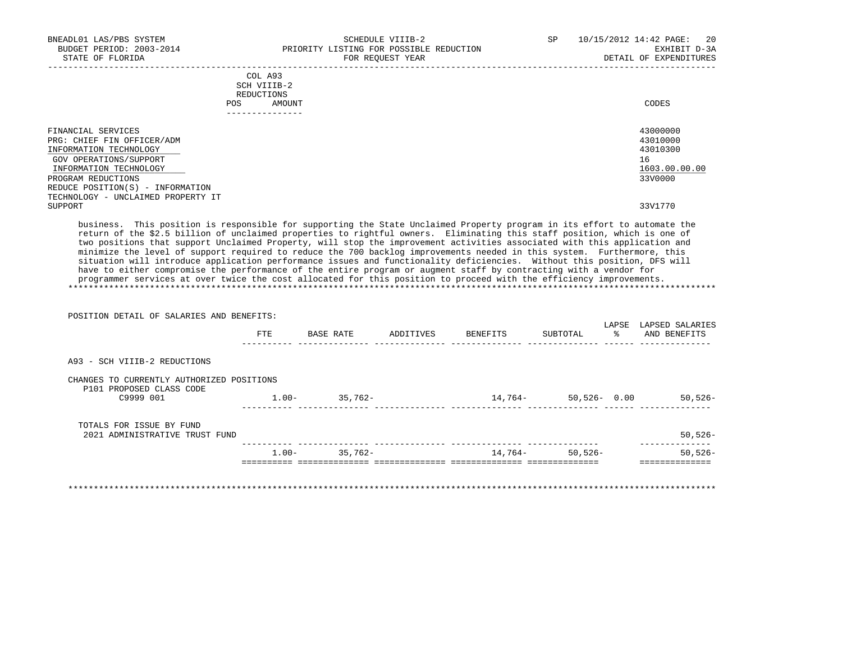| BNEADL01 LAS/PBS SYSTEM<br>BUDGET PERIOD: 2003-2014<br>STATE OF FLORIDA                                                                                                                                                                   | SCHEDULE VIIIB-2<br>PRIORITY LISTING FOR POSSIBLE REDUCTION<br>FOR REQUEST YEAR                                                                                                                                                                                                                                                                                                                                                                                                                                                                                                                                                                                                                                                                                                                                                                                                   | SP | 10/15/2012 14:42 PAGE:<br>-20<br>EXHIBIT D-3A<br>DETAIL OF EXPENDITURES       |
|-------------------------------------------------------------------------------------------------------------------------------------------------------------------------------------------------------------------------------------------|-----------------------------------------------------------------------------------------------------------------------------------------------------------------------------------------------------------------------------------------------------------------------------------------------------------------------------------------------------------------------------------------------------------------------------------------------------------------------------------------------------------------------------------------------------------------------------------------------------------------------------------------------------------------------------------------------------------------------------------------------------------------------------------------------------------------------------------------------------------------------------------|----|-------------------------------------------------------------------------------|
|                                                                                                                                                                                                                                           | COL A93<br>SCH VIIIB-2<br>REDUCTIONS<br><b>POS</b><br>AMOUNT                                                                                                                                                                                                                                                                                                                                                                                                                                                                                                                                                                                                                                                                                                                                                                                                                      |    | CODES                                                                         |
|                                                                                                                                                                                                                                           |                                                                                                                                                                                                                                                                                                                                                                                                                                                                                                                                                                                                                                                                                                                                                                                                                                                                                   |    |                                                                               |
| FINANCIAL SERVICES<br>PRG: CHIEF FIN OFFICER/ADM<br>INFORMATION TECHNOLOGY<br>GOV OPERATIONS/SUPPORT<br>INFORMATION TECHNOLOGY<br>PROGRAM REDUCTIONS<br>REDUCE POSITION(S) - INFORMATION<br>TECHNOLOGY - UNCLAIMED PROPERTY IT<br>SUPPORT |                                                                                                                                                                                                                                                                                                                                                                                                                                                                                                                                                                                                                                                                                                                                                                                                                                                                                   |    | 43000000<br>43010000<br>43010300<br>16<br>1603.00.00.00<br>33V0000<br>33V1770 |
|                                                                                                                                                                                                                                           | business. This position is responsible for supporting the State Unclaimed Property program in its effort to automate the<br>return of the \$2.5 billion of unclaimed properties to rightful owners. Eliminating this staff position, which is one of<br>two positions that support Unclaimed Property, will stop the improvement activities associated with this application and<br>minimize the level of support required to reduce the 700 backlog improvements needed in this system. Furthermore, this<br>situation will introduce application performance issues and functionality deficiencies. Without this position, DFS will<br>have to either compromise the performance of the entire program or augment staff by contracting with a vendor for<br>programmer services at over twice the cost allocated for this position to proceed with the efficiency improvements. |    |                                                                               |

 POSITION DETAIL OF SALARIES AND BENEFITS: LAPSE LAPSED SALARIES FTE BASE RATE ADDITIVES BENEFITS SUBTOTAL % AND BENEFITS ---------- -------------- -------------- -------------- -------------- ------ -------------- A93 - SCH VIIIB-2 REDUCTIONS CHANGES TO CURRENTLY AUTHORIZED POSITIONS P101 PROPOSED CLASS CODE<br>C9999 001 C9999 001 1.00- 35,762- 14,764- 50,526- 0.00 50,526- ---------- -------------- -------------- -------------- -------------- ------ -------------- TOTALS FOR ISSUE BY FUND 2021 ADMINISTRATIVE TRUST FUND 50,526- ---------- -------------- -------------- -------------- -------------- -------------- 1.00- 35,762- 14,764- 50,526- 50,526- ========== ============== ============== ============== ============== ============== \*\*\*\*\*\*\*\*\*\*\*\*\*\*\*\*\*\*\*\*\*\*\*\*\*\*\*\*\*\*\*\*\*\*\*\*\*\*\*\*\*\*\*\*\*\*\*\*\*\*\*\*\*\*\*\*\*\*\*\*\*\*\*\*\*\*\*\*\*\*\*\*\*\*\*\*\*\*\*\*\*\*\*\*\*\*\*\*\*\*\*\*\*\*\*\*\*\*\*\*\*\*\*\*\*\*\*\*\*\*\*\*\*\*\*\*\*\*\*\*\*\*\*\*\*\*\*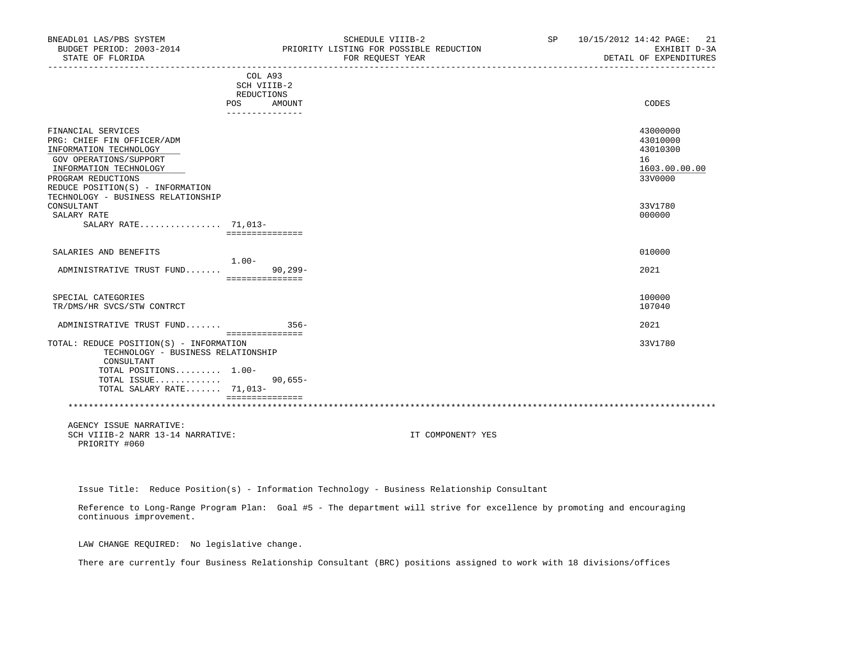| BNEADL01 LAS/PBS SYSTEM<br>BUDGET PERIOD: 2003-2014<br>STATE OF FLORIDA                                                                                                                  |                                             |             | SCHEDULE VIIIB-2<br>PRIORITY LISTING FOR POSSIBLE REDUCTION<br>FOR REOUEST YEAR | SP <sub>2</sub> | 10/15/2012 14:42 PAGE: 21<br>EXHIBIT D-3A<br>DETAIL OF EXPENDITURES |
|------------------------------------------------------------------------------------------------------------------------------------------------------------------------------------------|---------------------------------------------|-------------|---------------------------------------------------------------------------------|-----------------|---------------------------------------------------------------------|
|                                                                                                                                                                                          | COL A93<br>SCH VIIIB-2<br>REDUCTIONS<br>POS | AMOUNT      | _____________________________________                                           |                 | CODES                                                               |
|                                                                                                                                                                                          | ---------------                             |             |                                                                                 |                 |                                                                     |
| FINANCIAL SERVICES<br>PRG: CHIEF FIN OFFICER/ADM<br>INFORMATION TECHNOLOGY<br>GOV OPERATIONS/SUPPORT<br>INFORMATION TECHNOLOGY<br>PROGRAM REDUCTIONS<br>REDUCE POSITION(S) - INFORMATION |                                             |             |                                                                                 |                 | 43000000<br>43010000<br>43010300<br>16<br>1603.00.00.00<br>33V0000  |
| TECHNOLOGY - BUSINESS RELATIONSHIP<br>CONSULTANT<br>SALARY RATE<br>SALARY RATE 71,013-                                                                                                   | ===============                             |             |                                                                                 |                 | 33V1780<br>000000                                                   |
| SALARIES AND BENEFITS                                                                                                                                                                    |                                             |             |                                                                                 |                 | 010000                                                              |
| ADMINISTRATIVE TRUST FUND                                                                                                                                                                | 1.00-<br>===============                    | $90, 299 -$ |                                                                                 |                 | 2021                                                                |
| SPECIAL CATEGORIES<br>TR/DMS/HR SVCS/STW CONTRCT                                                                                                                                         |                                             |             |                                                                                 |                 | 100000<br>107040                                                    |
| ADMINISTRATIVE TRUST FUND                                                                                                                                                                |                                             | $356 -$     |                                                                                 |                 | 2021                                                                |
| TOTAL: REDUCE POSITION(S) - INFORMATION<br>TECHNOLOGY - BUSINESS RELATIONSHIP<br>CONSULTANT<br>TOTAL POSITIONS 1.00-<br>TOTAL ISSUE<br>TOTAL SALARY RATE 71,013-                         | ===============                             | $90,655 -$  |                                                                                 |                 | 33V1780                                                             |
|                                                                                                                                                                                          | ===============                             |             |                                                                                 |                 |                                                                     |
| AGENCY ISSUE NARRATIVE:<br>SCH VIIIB-2 NARR 13-14 NARRATIVE:<br>PRIORITY #060                                                                                                            |                                             |             | IT COMPONENT? YES                                                               |                 |                                                                     |

Issue Title: Reduce Position(s) - Information Technology - Business Relationship Consultant

 Reference to Long-Range Program Plan: Goal #5 - The department will strive for excellence by promoting and encouraging continuous improvement.

LAW CHANGE REQUIRED: No legislative change.

There are currently four Business Relationship Consultant (BRC) positions assigned to work with 18 divisions/offices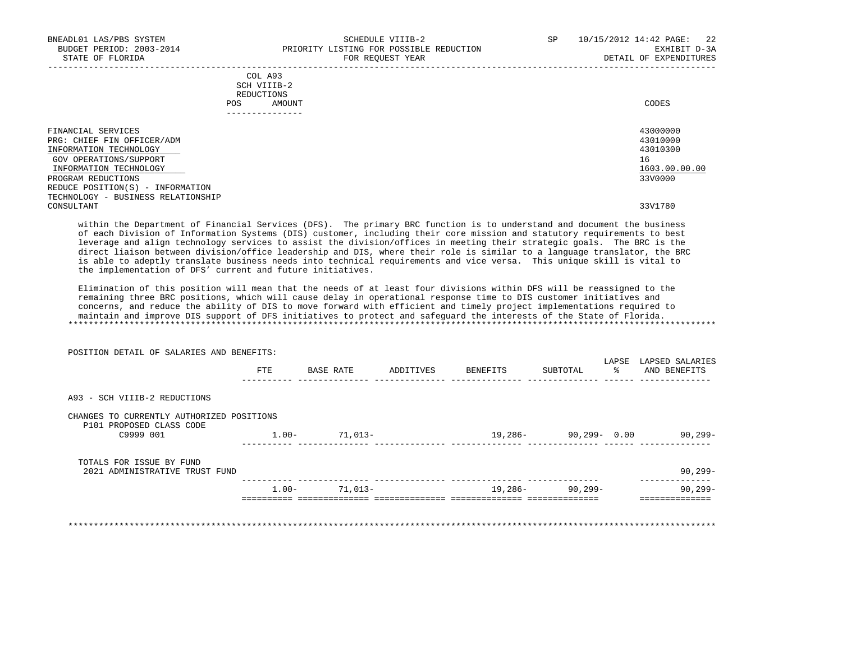| BNEADL01 LAS/PBS SYSTEM<br>BUDGET PERIOD: 2003-2014<br>STATE OF FLORIDA | SCHEDULE VIIIB-2<br>PRIORITY LISTING FOR POSSIBLE REDUCTION<br>FOR REOUEST YEAR | -22<br>SP<br>10/15/2012 14:42 PAGE:<br>EXHIBIT D-3A<br>DETAIL OF EXPENDITURES |
|-------------------------------------------------------------------------|---------------------------------------------------------------------------------|-------------------------------------------------------------------------------|
|                                                                         | COL A93                                                                         |                                                                               |
|                                                                         | SCH VIIIB-2                                                                     |                                                                               |
|                                                                         | REDUCTIONS                                                                      |                                                                               |
|                                                                         | AMOUNT<br>POS.                                                                  | CODES                                                                         |
|                                                                         | - – – – – – – – – – – – –                                                       |                                                                               |
| FINANCIAL SERVICES                                                      |                                                                                 | 43000000                                                                      |
| PRG: CHIEF FIN OFFICER/ADM                                              |                                                                                 | 43010000                                                                      |
| INFORMATION TECHNOLOGY                                                  |                                                                                 | 43010300                                                                      |
| GOV OPERATIONS/SUPPORT                                                  |                                                                                 | 16                                                                            |
| INFORMATION TECHNOLOGY                                                  |                                                                                 | 1603.00.00.00                                                                 |
| PROGRAM REDUCTIONS                                                      |                                                                                 | 33V0000                                                                       |

PROGRAM REDUCTIONS REDUCE POSITION(S) - INFORMATION TECHNOLOGY - BUSINESS RELATIONSHIP CONSULTANT 33V1780

 within the Department of Financial Services (DFS). The primary BRC function is to understand and document the business of each Division of Information Systems (DIS) customer, including their core mission and statutory requirements to best leverage and align technology services to assist the division/offices in meeting their strategic goals. The BRC is the direct liaison between division/office leadership and DIS, where their role is similar to a language translator, the BRC is able to adeptly translate business needs into technical requirements and vice versa. This unique skill is vital to the implementation of DFS' current and future initiatives.

 Elimination of this position will mean that the needs of at least four divisions within DFS will be reassigned to the remaining three BRC positions, which will cause delay in operational response time to DIS customer initiatives and concerns, and reduce the ability of DIS to move forward with efficient and timely project implementations required to maintain and improve DIS support of DFS initiatives to protect and safeguard the interests of the State of Florida. \*\*\*\*\*\*\*\*\*\*\*\*\*\*\*\*\*\*\*\*\*\*\*\*\*\*\*\*\*\*\*\*\*\*\*\*\*\*\*\*\*\*\*\*\*\*\*\*\*\*\*\*\*\*\*\*\*\*\*\*\*\*\*\*\*\*\*\*\*\*\*\*\*\*\*\*\*\*\*\*\*\*\*\*\*\*\*\*\*\*\*\*\*\*\*\*\*\*\*\*\*\*\*\*\*\*\*\*\*\*\*\*\*\*\*\*\*\*\*\*\*\*\*\*\*\*\*

| POSITION DETAIL OF SALARIES AND BENEFITS:                             |         |           |           |          | LAPSE          | LAPSED SALARIES |
|-----------------------------------------------------------------------|---------|-----------|-----------|----------|----------------|-----------------|
|                                                                       | FTE     | BASE RATE | ADDITIVES | BENEFITS | ႜၟ<br>SUBTOTAL | AND BENEFITS    |
| A93 - SCH VIIIB-2 REDUCTIONS                                          |         |           |           |          |                |                 |
| CHANGES TO CURRENTLY AUTHORIZED POSITIONS<br>P101 PROPOSED CLASS CODE |         |           |           |          |                |                 |
| C9999 001                                                             | $1.00-$ | 71,013-   |           | 19,286-  | 90,299-0.00    | 90,299-         |
| TOTALS FOR ISSUE BY FUND                                              |         |           |           |          |                |                 |
| 2021 ADMINISTRATIVE TRUST FUND                                        |         |           |           |          |                | $90, 299 -$     |
|                                                                       | $1.00-$ | $71,013-$ |           | 19,286-  | $90,299-$      | $90, 299 -$     |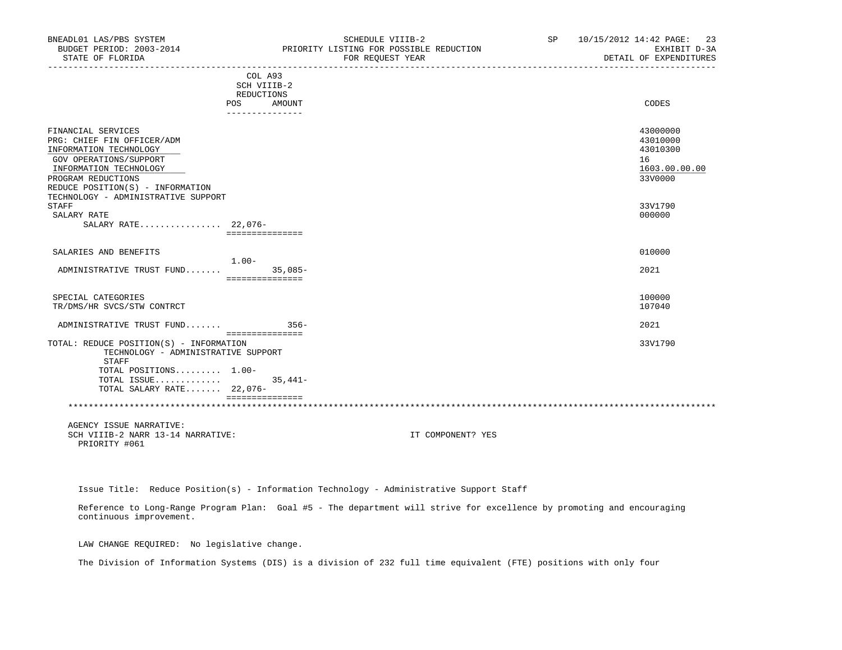| BNEADL01 LAS/PBS SYSTEM<br>BUDGET PERIOD: 2003-2014<br>STATE OF FLORIDA |                        |           | SCHEDULE VIIIB-2<br>PRIORITY LISTING FOR POSSIBLE REDUCTION<br>FOR REOUEST YEAR | SP and the set of the set of the set of the set of the set of the set of the set of the set of the set of the set of the set of the set of the set of the set of the set of the set of the set of the set of the set of the se | 10/15/2012 14:42 PAGE: 23<br>DETAIL OF EXPENDITURES | EXHIBIT D-3A |
|-------------------------------------------------------------------------|------------------------|-----------|---------------------------------------------------------------------------------|--------------------------------------------------------------------------------------------------------------------------------------------------------------------------------------------------------------------------------|-----------------------------------------------------|--------------|
|                                                                         | COL A93                |           |                                                                                 |                                                                                                                                                                                                                                |                                                     |              |
|                                                                         | SCH VIIIB-2            |           |                                                                                 |                                                                                                                                                                                                                                |                                                     |              |
|                                                                         | REDUCTIONS             |           |                                                                                 |                                                                                                                                                                                                                                |                                                     |              |
|                                                                         | POS<br>--------------- | AMOUNT    |                                                                                 |                                                                                                                                                                                                                                | CODES                                               |              |
| FINANCIAL SERVICES                                                      |                        |           |                                                                                 |                                                                                                                                                                                                                                | 43000000                                            |              |
| PRG: CHIEF FIN OFFICER/ADM                                              |                        |           |                                                                                 |                                                                                                                                                                                                                                | 43010000                                            |              |
| INFORMATION TECHNOLOGY                                                  |                        |           |                                                                                 |                                                                                                                                                                                                                                | 43010300                                            |              |
| GOV OPERATIONS/SUPPORT                                                  |                        |           |                                                                                 |                                                                                                                                                                                                                                | 16                                                  |              |
| INFORMATION TECHNOLOGY                                                  |                        |           |                                                                                 |                                                                                                                                                                                                                                | 1603.00.00.00                                       |              |
| PROGRAM REDUCTIONS                                                      |                        |           |                                                                                 |                                                                                                                                                                                                                                | 33V0000                                             |              |
| REDUCE POSITION(S) - INFORMATION                                        |                        |           |                                                                                 |                                                                                                                                                                                                                                |                                                     |              |
| TECHNOLOGY - ADMINISTRATIVE SUPPORT                                     |                        |           |                                                                                 |                                                                                                                                                                                                                                |                                                     |              |
| STAFF                                                                   |                        |           |                                                                                 |                                                                                                                                                                                                                                | 33V1790                                             |              |
| SALARY RATE                                                             |                        |           |                                                                                 |                                                                                                                                                                                                                                | 000000                                              |              |
| SALARY RATE 22,076-                                                     |                        |           |                                                                                 |                                                                                                                                                                                                                                |                                                     |              |
|                                                                         | ===============        |           |                                                                                 |                                                                                                                                                                                                                                |                                                     |              |
| SALARIES AND BENEFITS                                                   |                        |           |                                                                                 |                                                                                                                                                                                                                                | 010000                                              |              |
|                                                                         | $1.00-$                |           |                                                                                 |                                                                                                                                                                                                                                |                                                     |              |
| ADMINISTRATIVE TRUST FUND                                               | ===============        | $35,085-$ |                                                                                 |                                                                                                                                                                                                                                | 2021                                                |              |
| SPECIAL CATEGORIES                                                      |                        |           |                                                                                 |                                                                                                                                                                                                                                | 100000                                              |              |
| TR/DMS/HR SVCS/STW CONTRCT                                              |                        |           |                                                                                 |                                                                                                                                                                                                                                | 107040                                              |              |
|                                                                         |                        |           |                                                                                 |                                                                                                                                                                                                                                |                                                     |              |
| ADMINISTRATIVE TRUST FUND                                               | ===============        | $356-$    |                                                                                 |                                                                                                                                                                                                                                | 2021                                                |              |
| TOTAL: REDUCE POSITION(S) - INFORMATION                                 |                        |           |                                                                                 |                                                                                                                                                                                                                                | 33V1790                                             |              |
| TECHNOLOGY - ADMINISTRATIVE SUPPORT<br>STAFF                            |                        |           |                                                                                 |                                                                                                                                                                                                                                |                                                     |              |
| TOTAL POSITIONS 1.00-                                                   |                        |           |                                                                                 |                                                                                                                                                                                                                                |                                                     |              |
| TOTAL ISSUE                                                             |                        | $35,441-$ |                                                                                 |                                                                                                                                                                                                                                |                                                     |              |
| TOTAL SALARY RATE 22,076-                                               |                        |           |                                                                                 |                                                                                                                                                                                                                                |                                                     |              |
|                                                                         | ===============        |           |                                                                                 |                                                                                                                                                                                                                                |                                                     |              |
| AGENCY ISSUE NARRATIVE:                                                 |                        |           |                                                                                 |                                                                                                                                                                                                                                |                                                     |              |
| SCH VIIIB-2 NARR 13-14 NARRATIVE:<br>PRIORITY #061                      |                        |           | IT COMPONENT? YES                                                               |                                                                                                                                                                                                                                |                                                     |              |

Issue Title: Reduce Position(s) - Information Technology - Administrative Support Staff

 Reference to Long-Range Program Plan: Goal #5 - The department will strive for excellence by promoting and encouraging continuous improvement.

LAW CHANGE REQUIRED: No legislative change.

The Division of Information Systems (DIS) is a division of 232 full time equivalent (FTE) positions with only four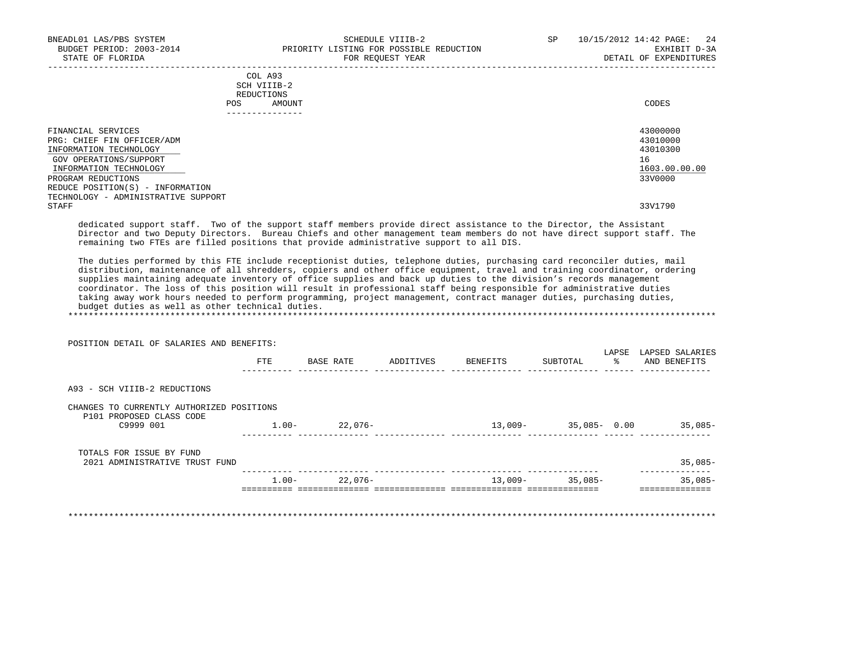| BNEADL01 LAS/PBS SYSTEM<br>BUDGET PERIOD: 2003-2014<br>STATE OF FLORIDA                                                        | SCHEDULE VIIIB-2<br>PRIORITY LISTING FOR POSSIBLE REDUCTION<br>FOR REOUEST YEAR | 10/15/2012 14:42 PAGE: 24<br>SP<br>EXHIBIT D-3A<br>DETAIL OF EXPENDITURES |
|--------------------------------------------------------------------------------------------------------------------------------|---------------------------------------------------------------------------------|---------------------------------------------------------------------------|
|                                                                                                                                | COL A93<br>SCH VIIIB-2<br>REDUCTIONS<br>AMOUNT<br>POS.                          | CODES                                                                     |
| FINANCIAL SERVICES<br>PRG: CHIEF FIN OFFICER/ADM<br>INFORMATION TECHNOLOGY<br>GOV OPERATIONS/SUPPORT<br>INFORMATION TECHNOLOGY |                                                                                 | 43000000<br>43010000<br>43010300<br>16<br>1603.00.00.00                   |

 PROGRAM REDUCTIONS 33V0000 REDUCE POSITION(S) - INFORMATION TECHNOLOGY - ADMINISTRATIVE SUPPORT STAFF 33V1790

 dedicated support staff. Two of the support staff members provide direct assistance to the Director, the Assistant Director and two Deputy Directors. Bureau Chiefs and other management team members do not have direct support staff. The remaining two FTEs are filled positions that provide administrative support to all DIS.

 The duties performed by this FTE include receptionist duties, telephone duties, purchasing card reconciler duties, mail distribution, maintenance of all shredders, copiers and other office equipment, travel and training coordinator, ordering supplies maintaining adequate inventory of office supplies and back up duties to the division's records management coordinator. The loss of this position will result in professional staff being responsible for administrative duties taking away work hours needed to perform programming, project management, contract manager duties, purchasing duties, budget duties as well as other technical duties. \*\*\*\*\*\*\*\*\*\*\*\*\*\*\*\*\*\*\*\*\*\*\*\*\*\*\*\*\*\*\*\*\*\*\*\*\*\*\*\*\*\*\*\*\*\*\*\*\*\*\*\*\*\*\*\*\*\*\*\*\*\*\*\*\*\*\*\*\*\*\*\*\*\*\*\*\*\*\*\*\*\*\*\*\*\*\*\*\*\*\*\*\*\*\*\*\*\*\*\*\*\*\*\*\*\*\*\*\*\*\*\*\*\*\*\*\*\*\*\*\*\*\*\*\*\*\*

 POSITION DETAIL OF SALARIES AND BENEFITS: LAPSE LAPSED SALARIES FTE BASE RATE ADDITIVES BENEFITS SUBTOTAL % AND BENEFITS ---------- -------------- -------------- -------------- -------------- ------ -------------- A93 - SCH VIIIB-2 REDUCTIONS CHANGES TO CURRENTLY AUTHORIZED POSITIONS P101 PROPOSED CLASS CODE C9999 001 1.00- 22,076- 13,009- 35,085- 0.00 35,085- ---------- -------------- -------------- -------------- -------------- ------ -------------- TOTALS FOR ISSUE BY FUND 2021 ADMINISTRATIVE TRUST FUND 35,085- ---------- -------------- -------------- -------------- -------------- -------------- 1.00- 22,076- 13,009- 35,085- 35,085- ========== ============== ============== ============== ============== ==============

\*\*\*\*\*\*\*\*\*\*\*\*\*\*\*\*\*\*\*\*\*\*\*\*\*\*\*\*\*\*\*\*\*\*\*\*\*\*\*\*\*\*\*\*\*\*\*\*\*\*\*\*\*\*\*\*\*\*\*\*\*\*\*\*\*\*\*\*\*\*\*\*\*\*\*\*\*\*\*\*\*\*\*\*\*\*\*\*\*\*\*\*\*\*\*\*\*\*\*\*\*\*\*\*\*\*\*\*\*\*\*\*\*\*\*\*\*\*\*\*\*\*\*\*\*\*\*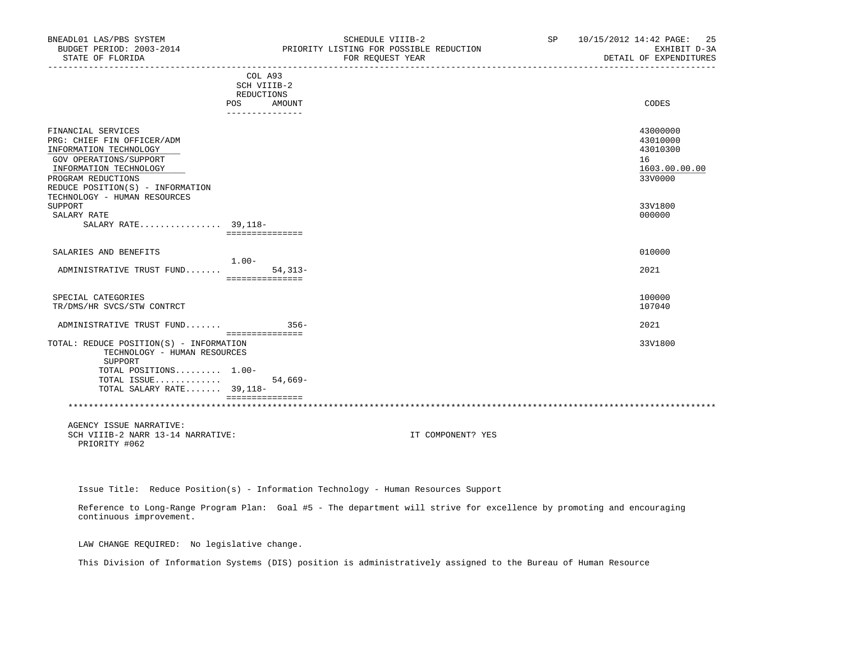| BNEADL01 LAS/PBS SYSTEM<br>BUDGET PERIOD: 2003-2014<br>STATE OF FLORIDA |                             | SCHEDULE VIIIB-2<br>PRIORITY LISTING FOR POSSIBLE REDUCTION<br>FOR REQUEST YEAR<br>-------------------------------------- | SP <sub>2</sub> | 10/15/2012 14:42 PAGE: 25<br>EXHIBIT D-3A<br>DETAIL OF EXPENDITURES |
|-------------------------------------------------------------------------|-----------------------------|---------------------------------------------------------------------------------------------------------------------------|-----------------|---------------------------------------------------------------------|
|                                                                         | COL A93                     |                                                                                                                           |                 |                                                                     |
|                                                                         | SCH VIIIB-2                 |                                                                                                                           |                 |                                                                     |
|                                                                         | REDUCTIONS                  |                                                                                                                           |                 |                                                                     |
|                                                                         | POS<br>AMOUNT               |                                                                                                                           |                 | CODES                                                               |
|                                                                         | ---------------             |                                                                                                                           |                 |                                                                     |
| FINANCIAL SERVICES                                                      |                             |                                                                                                                           |                 | 43000000                                                            |
| PRG: CHIEF FIN OFFICER/ADM                                              |                             |                                                                                                                           |                 | 43010000                                                            |
| INFORMATION TECHNOLOGY                                                  |                             |                                                                                                                           |                 | 43010300                                                            |
| GOV OPERATIONS/SUPPORT                                                  |                             |                                                                                                                           |                 | 16                                                                  |
| INFORMATION TECHNOLOGY                                                  |                             |                                                                                                                           |                 | 1603.00.00.00                                                       |
| PROGRAM REDUCTIONS                                                      |                             |                                                                                                                           |                 | 33V0000                                                             |
| REDUCE POSITION(S) - INFORMATION                                        |                             |                                                                                                                           |                 |                                                                     |
| TECHNOLOGY - HUMAN RESOURCES                                            |                             |                                                                                                                           |                 |                                                                     |
| SUPPORT                                                                 |                             |                                                                                                                           |                 | 33V1800                                                             |
| SALARY RATE                                                             |                             |                                                                                                                           |                 | 000000                                                              |
| SALARY RATE 39,118-                                                     |                             |                                                                                                                           |                 |                                                                     |
|                                                                         | ===============             |                                                                                                                           |                 |                                                                     |
|                                                                         |                             |                                                                                                                           |                 |                                                                     |
| SALARIES AND BENEFITS                                                   |                             |                                                                                                                           |                 | 010000                                                              |
|                                                                         | 1.00-                       |                                                                                                                           |                 |                                                                     |
| ADMINISTRATIVE TRUST FUND                                               | $54.313-$                   |                                                                                                                           |                 | 2021                                                                |
|                                                                         | ===============             |                                                                                                                           |                 |                                                                     |
| SPECIAL CATEGORIES                                                      |                             |                                                                                                                           |                 | 100000                                                              |
| TR/DMS/HR SVCS/STW CONTRCT                                              |                             |                                                                                                                           |                 | 107040                                                              |
|                                                                         |                             |                                                                                                                           |                 |                                                                     |
| ADMINISTRATIVE TRUST FUND                                               | $356-$<br>- =============== |                                                                                                                           |                 | 2021                                                                |
| TOTAL: REDUCE POSITION(S) - INFORMATION                                 |                             |                                                                                                                           |                 | 33V1800                                                             |
| TECHNOLOGY - HUMAN RESOURCES                                            |                             |                                                                                                                           |                 |                                                                     |
| SUPPORT                                                                 |                             |                                                                                                                           |                 |                                                                     |
| TOTAL POSITIONS 1.00-                                                   |                             |                                                                                                                           |                 |                                                                     |
| TOTAL ISSUE                                                             | $54,669-$                   |                                                                                                                           |                 |                                                                     |
| TOTAL SALARY RATE $39,118-$                                             |                             |                                                                                                                           |                 |                                                                     |
|                                                                         | ===============             |                                                                                                                           |                 |                                                                     |
|                                                                         |                             |                                                                                                                           |                 |                                                                     |
| AGENCY ISSUE NARRATIVE:                                                 |                             |                                                                                                                           |                 |                                                                     |
| SCH VIIIB-2 NARR 13-14 NARRATIVE:                                       |                             | IT COMPONENT? YES                                                                                                         |                 |                                                                     |
| PRIORITY #062                                                           |                             |                                                                                                                           |                 |                                                                     |

Issue Title: Reduce Position(s) - Information Technology - Human Resources Support

 Reference to Long-Range Program Plan: Goal #5 - The department will strive for excellence by promoting and encouraging continuous improvement.

LAW CHANGE REQUIRED: No legislative change.

This Division of Information Systems (DIS) position is administratively assigned to the Bureau of Human Resource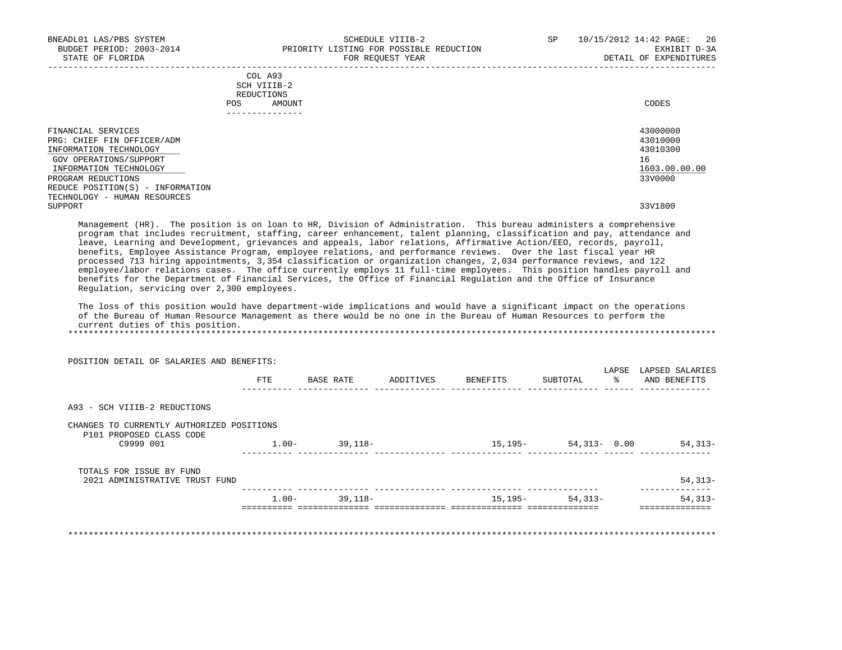| BNEADL01 LAS/PBS SYSTEM<br>BUDGET PERIOD: 2003-2014<br>STATE OF FLORIDA                                                                                                                                                  | SCHEDULE VIIIB-2<br>PRIORITY LISTING FOR POSSIBLE REDUCTION<br>FOR REOUEST YEAR | SP | -26<br>10/15/2012 14:42 PAGE:<br>EXHIBIT D-3A<br>DETAIL OF EXPENDITURES |
|--------------------------------------------------------------------------------------------------------------------------------------------------------------------------------------------------------------------------|---------------------------------------------------------------------------------|----|-------------------------------------------------------------------------|
|                                                                                                                                                                                                                          | COL A93<br>SCH VIIIB-2<br>REDUCTIONS<br>AMOUNT<br><b>POS</b>                    |    | CODES                                                                   |
| FINANCIAL SERVICES<br>PRG: CHIEF FIN OFFICER/ADM<br>INFORMATION TECHNOLOGY<br>GOV OPERATIONS/SUPPORT<br>INFORMATION TECHNOLOGY<br>PROGRAM REDUCTIONS<br>REDUCE POSITION(S) - INFORMATION<br>TECHNOLOGY - HUMAN RESOURCES |                                                                                 |    | 43000000<br>43010000<br>43010300<br>16<br>1603.00.00.00<br>33V0000      |

SUPPORT 33V1800

 Management (HR). The position is on loan to HR, Division of Administration. This bureau administers a comprehensive program that includes recruitment, staffing, career enhancement, talent planning, classification and pay, attendance and leave, Learning and Development, grievances and appeals, labor relations, Affirmative Action/EEO, records, payroll, benefits, Employee Assistance Program, employee relations, and performance reviews. Over the last fiscal year HR processed 713 hiring appointments, 3,354 classification or organization changes, 2,034 performance reviews, and 122 employee/labor relations cases. The office currently employs 11 full-time employees. This position handles payroll and benefits for the Department of Financial Services, the Office of Financial Regulation and the Office of Insurance Regulation, servicing over 2,300 employees.

 The loss of this position would have department-wide implications and would have a significant impact on the operations of the Bureau of Human Resource Management as there would be no one in the Bureau of Human Resources to perform the current duties of this position. \*\*\*\*\*\*\*\*\*\*\*\*\*\*\*\*\*\*\*\*\*\*\*\*\*\*\*\*\*\*\*\*\*\*\*\*\*\*\*\*\*\*\*\*\*\*\*\*\*\*\*\*\*\*\*\*\*\*\*\*\*\*\*\*\*\*\*\*\*\*\*\*\*\*\*\*\*\*\*\*\*\*\*\*\*\*\*\*\*\*\*\*\*\*\*\*\*\*\*\*\*\*\*\*\*\*\*\*\*\*\*\*\*\*\*\*\*\*\*\*\*\*\*\*\*\*\*

 LAPSE LAPSED SALARIES SUBTOTAL % AND BENEFITS ---------- -------------- -------------- -------------- -------------- ------ -------------- A93 - SCH VIIIB-2 REDUCTIONS CHANGES TO CURRENTLY AUTHORIZED POSITIONS P101 PROPOSED CLASS CODE C9999 001 1.00- 39,118- 15,195- 54,313- 0.00 54,313- ---------- -------------- -------------- -------------- -------------- ------ -------------- TOTALS FOR ISSUE BY FUND 2021 ADMINISTRATIVE TRUST FUND 54,313- ---------- -------------- -------------- -------------- -------------- -------------- 1.00- 39,118- 15,195- 54,313- 54,313- ========== ============== ============== ============== ============== ============== \*\*\*\*\*\*\*\*\*\*\*\*\*\*\*\*\*\*\*\*\*\*\*\*\*\*\*\*\*\*\*\*\*\*\*\*\*\*\*\*\*\*\*\*\*\*\*\*\*\*\*\*\*\*\*\*\*\*\*\*\*\*\*\*\*\*\*\*\*\*\*\*\*\*\*\*\*\*\*\*\*\*\*\*\*\*\*\*\*\*\*\*\*\*\*\*\*\*\*\*\*\*\*\*\*\*\*\*\*\*\*\*\*\*\*\*\*\*\*\*\*\*\*\*\*\*\*

POSITION DETAIL OF SALARIES AND BENEFITS: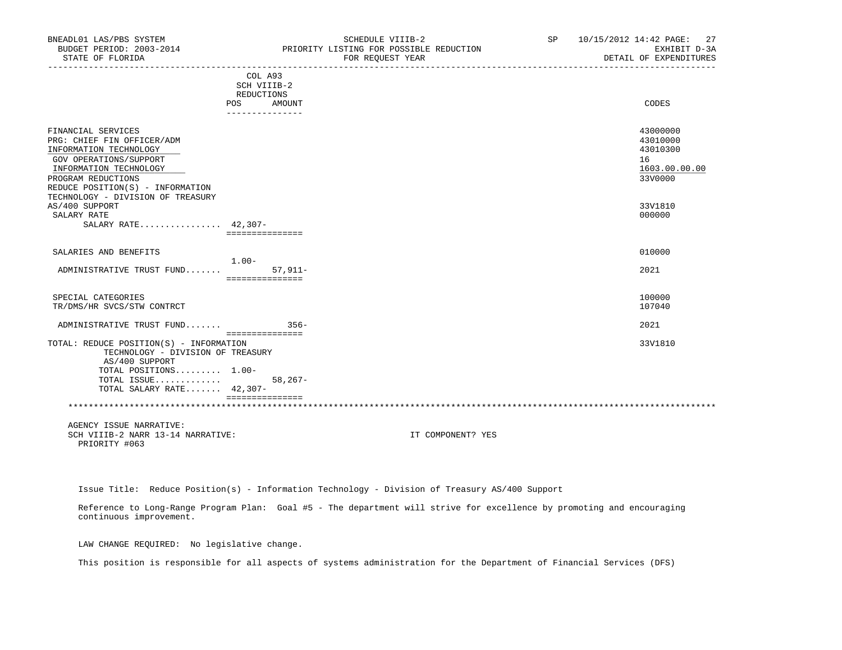| BNEADL01 LAS/PBS SYSTEM<br>BUDGET PERIOD: 2003-2014<br>STATE OF FLORIDA |                        |             | SCHEDULE VIIIB-2<br>PRIORITY LISTING FOR POSSIBLE REDUCTION<br>FOR REOUEST YEAR |  | SP 10/15/2012 14:42 PAGE: 27<br>EXHIBIT D-3A<br>DETAIL OF EXPENDITURES |
|-------------------------------------------------------------------------|------------------------|-------------|---------------------------------------------------------------------------------|--|------------------------------------------------------------------------|
|                                                                         | COL A93<br>SCH VIIIB-2 |             |                                                                                 |  |                                                                        |
|                                                                         | REDUCTIONS             |             |                                                                                 |  |                                                                        |
|                                                                         | POS<br>_______________ | AMOUNT      |                                                                                 |  | CODES                                                                  |
|                                                                         |                        |             |                                                                                 |  |                                                                        |
| FINANCIAL SERVICES                                                      |                        |             |                                                                                 |  | 43000000                                                               |
| PRG: CHIEF FIN OFFICER/ADM                                              |                        |             |                                                                                 |  | 43010000                                                               |
| INFORMATION TECHNOLOGY                                                  |                        |             |                                                                                 |  | 43010300                                                               |
| GOV OPERATIONS/SUPPORT                                                  |                        |             |                                                                                 |  | 16                                                                     |
| INFORMATION TECHNOLOGY                                                  |                        |             |                                                                                 |  | 1603.00.00.00                                                          |
| PROGRAM REDUCTIONS                                                      |                        |             |                                                                                 |  | 33V0000                                                                |
| REDUCE POSITION(S) - INFORMATION                                        |                        |             |                                                                                 |  |                                                                        |
| TECHNOLOGY - DIVISION OF TREASURY                                       |                        |             |                                                                                 |  |                                                                        |
| AS/400 SUPPORT                                                          |                        |             |                                                                                 |  | 33V1810                                                                |
| SALARY RATE                                                             |                        |             |                                                                                 |  | 000000                                                                 |
| SALARY RATE 42,307-                                                     |                        |             |                                                                                 |  |                                                                        |
|                                                                         | ===============        |             |                                                                                 |  |                                                                        |
| SALARIES AND BENEFITS                                                   |                        |             |                                                                                 |  | 010000                                                                 |
|                                                                         | $1.00-$                |             |                                                                                 |  |                                                                        |
| ADMINISTRATIVE TRUST FUND                                               | ===============        | $57,911-$   |                                                                                 |  | 2021                                                                   |
| SPECIAL CATEGORIES                                                      |                        |             |                                                                                 |  | 100000                                                                 |
|                                                                         |                        |             |                                                                                 |  | 107040                                                                 |
| TR/DMS/HR SVCS/STW CONTRCT                                              |                        |             |                                                                                 |  |                                                                        |
| ADMINISTRATIVE TRUST FUND                                               | ===============        | $356-$      |                                                                                 |  | 2021                                                                   |
| TOTAL: REDUCE POSITION(S) - INFORMATION                                 |                        |             |                                                                                 |  | 33V1810                                                                |
| TECHNOLOGY - DIVISION OF TREASURY                                       |                        |             |                                                                                 |  |                                                                        |
| AS/400 SUPPORT                                                          |                        |             |                                                                                 |  |                                                                        |
| TOTAL POSITIONS 1.00-                                                   |                        |             |                                                                                 |  |                                                                        |
| TOTAL ISSUE                                                             |                        | $58, 267 -$ |                                                                                 |  |                                                                        |
| TOTAL SALARY RATE 42,307-                                               |                        |             |                                                                                 |  |                                                                        |
|                                                                         | ===============        |             |                                                                                 |  |                                                                        |
| AGENCY ISSUE NARRATIVE:                                                 |                        |             |                                                                                 |  |                                                                        |
| SCH VIIIB-2 NARR 13-14 NARRATIVE:                                       |                        |             | IT COMPONENT? YES                                                               |  |                                                                        |
| PRIORITY #063                                                           |                        |             |                                                                                 |  |                                                                        |

Issue Title: Reduce Position(s) - Information Technology - Division of Treasury AS/400 Support

 Reference to Long-Range Program Plan: Goal #5 - The department will strive for excellence by promoting and encouraging continuous improvement.

LAW CHANGE REQUIRED: No legislative change.

This position is responsible for all aspects of systems administration for the Department of Financial Services (DFS)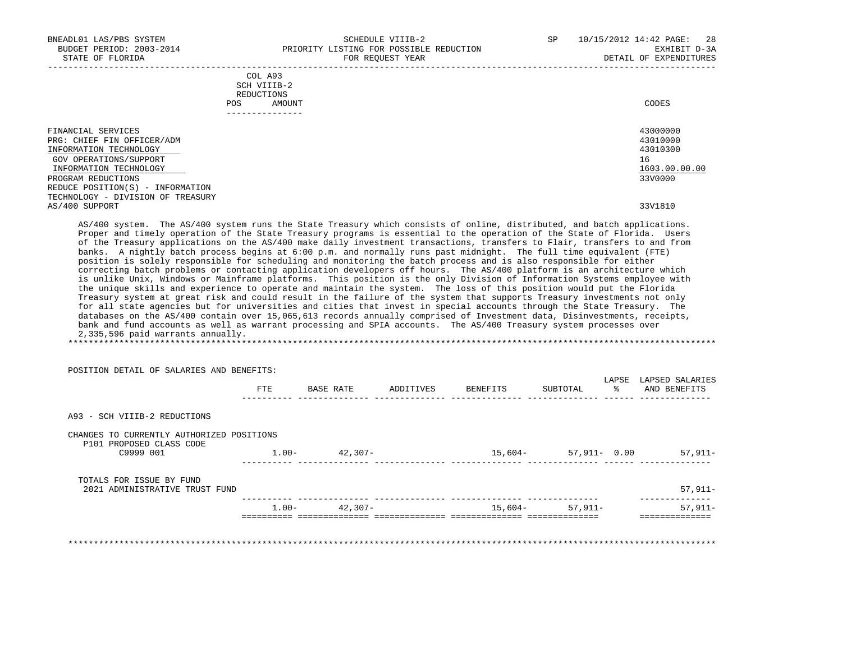| BNEADL01 LAS/PBS SYSTEM<br>BUDGET PERIOD: 2003-2014<br>STATE OF FLORIDA                                                        | SCHEDULE VIIIB-2<br>PRIORITY LISTING FOR POSSIBLE REDUCTION<br>FOR REQUEST YEAR | 10/15/2012 14:42 PAGE: 28<br>SP<br>EXHIBIT D-3A<br>DETAIL OF EXPENDITURES |
|--------------------------------------------------------------------------------------------------------------------------------|---------------------------------------------------------------------------------|---------------------------------------------------------------------------|
|                                                                                                                                | COL A93<br>SCH VIIIB-2<br>REDUCTIONS<br>AMOUNT<br><b>POS</b><br>--------------  | CODES                                                                     |
| FINANCIAL SERVICES<br>PRG: CHIEF FIN OFFICER/ADM<br>INFORMATION TECHNOLOGY<br>GOV OPERATIONS/SUPPORT<br>INFORMATION TECHNOLOGY |                                                                                 | 43000000<br>43010000<br>43010300<br>16<br>1603.00.00.00                   |

 INFORMATION TECHNOLOGY 1603.00.00.00 \_\_\_\_\_\_\_\_\_\_\_\_\_\_\_\_\_\_\_\_\_\_\_\_\_\_ \_\_\_\_\_\_\_\_\_\_\_\_\_ PROGRAM REDUCTIONS REDUCE POSITION(S) - INFORMATION TECHNOLOGY - DIVISION OF TREASURY AS/400 SUPPORT 33V1810

 AS/400 system. The AS/400 system runs the State Treasury which consists of online, distributed, and batch applications. Proper and timely operation of the State Treasury programs is essential to the operation of the State of Florida. Users of the Treasury applications on the AS/400 make daily investment transactions, transfers to Flair, transfers to and from banks. A nightly batch process begins at 6:00 p.m. and normally runs past midnight. The full time equivalent (FTE) position is solely responsible for scheduling and monitoring the batch process and is also responsible for either correcting batch problems or contacting application developers off hours. The AS/400 platform is an architecture which is unlike Unix, Windows or Mainframe platforms. This position is the only Division of Information Systems employee with the unique skills and experience to operate and maintain the system. The loss of this position would put the Florida Treasury system at great risk and could result in the failure of the system that supports Treasury investments not only for all state agencies but for universities and cities that invest in special accounts through the State Treasury. The databases on the AS/400 contain over 15,065,613 records annually comprised of Investment data, Disinvestments, receipts, bank and fund accounts as well as warrant processing and SPIA accounts. The AS/400 Treasury system processes over 2,335,596 paid warrants annually. \*\*\*\*\*\*\*\*\*\*\*\*\*\*\*\*\*\*\*\*\*\*\*\*\*\*\*\*\*\*\*\*\*\*\*\*\*\*\*\*\*\*\*\*\*\*\*\*\*\*\*\*\*\*\*\*\*\*\*\*\*\*\*\*\*\*\*\*\*\*\*\*\*\*\*\*\*\*\*\*\*\*\*\*\*\*\*\*\*\*\*\*\*\*\*\*\*\*\*\*\*\*\*\*\*\*\*\*\*\*\*\*\*\*\*\*\*\*\*\*\*\*\*\*\*\*\*

 POSITION DETAIL OF SALARIES AND BENEFITS: LAPSE LAPSED SALARIES FTE BASE RATE ADDITIVES BENEFITS SUBTOTAL % AND BENEFITS ---------- -------------- -------------- -------------- -------------- ------ -------------- A93 - SCH VIIIB-2 REDUCTIONS CHANGES TO CURRENTLY AUTHORIZED POSITIONS P101 PROPOSED CLASS CODE<br>C9999 001  $1.00 - 42,307 - 15,604 - 57,911 - 0.00$  57,911- ---------- -------------- -------------- -------------- -------------- ------ -------------- TOTALS FOR ISSUE BY FUND 2021 ADMINISTRATIVE TRUST FUND 57,911- ---------- -------------- -------------- -------------- -------------- -------------- 1.00- 42,307- 15,604- 57,911- 57,911- ========== ============== ============== ============== ============== ============== \*\*\*\*\*\*\*\*\*\*\*\*\*\*\*\*\*\*\*\*\*\*\*\*\*\*\*\*\*\*\*\*\*\*\*\*\*\*\*\*\*\*\*\*\*\*\*\*\*\*\*\*\*\*\*\*\*\*\*\*\*\*\*\*\*\*\*\*\*\*\*\*\*\*\*\*\*\*\*\*\*\*\*\*\*\*\*\*\*\*\*\*\*\*\*\*\*\*\*\*\*\*\*\*\*\*\*\*\*\*\*\*\*\*\*\*\*\*\*\*\*\*\*\*\*\*\*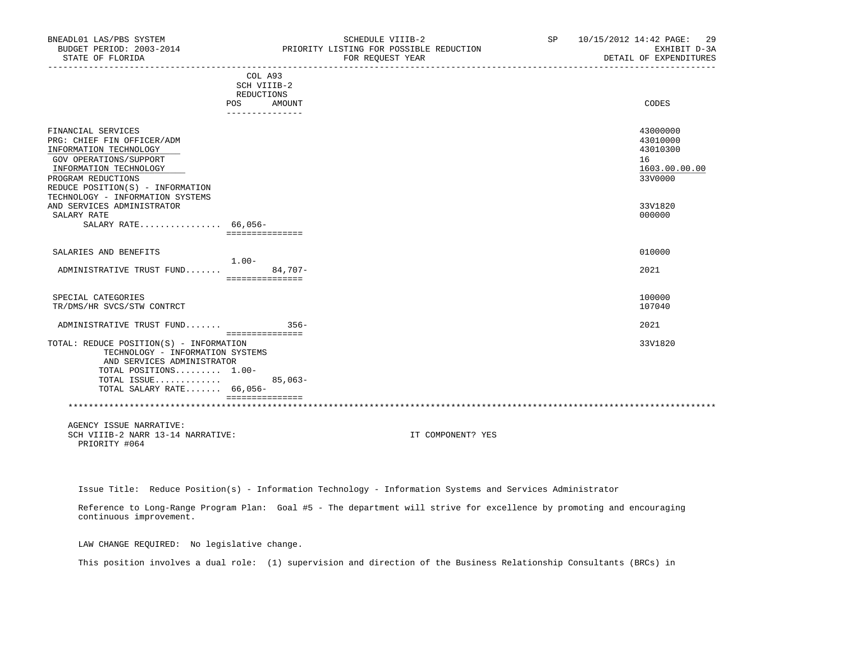| BNEADL01 LAS/PBS SYSTEM<br>BUDGET PERIOD: 2003-2014<br>STATE OF FLORIDA                                                                                                                  |                                      |           | SCHEDULE VIIIB-2<br>PRIORITY LISTING FOR POSSIBLE REDUCTION<br>FOR REOUEST YEAR |  | SP 10/15/2012 14:42 PAGE: 29<br>EXHIBIT D-3A<br>DETAIL OF EXPENDITURES |
|------------------------------------------------------------------------------------------------------------------------------------------------------------------------------------------|--------------------------------------|-----------|---------------------------------------------------------------------------------|--|------------------------------------------------------------------------|
|                                                                                                                                                                                          | COL A93<br>SCH VIIIB-2<br>REDUCTIONS |           |                                                                                 |  |                                                                        |
|                                                                                                                                                                                          | POS<br>_______________               | AMOUNT    |                                                                                 |  | CODES                                                                  |
| FINANCIAL SERVICES<br>PRG: CHIEF FIN OFFICER/ADM<br>INFORMATION TECHNOLOGY<br>GOV OPERATIONS/SUPPORT<br>INFORMATION TECHNOLOGY<br>PROGRAM REDUCTIONS<br>REDUCE POSITION(S) - INFORMATION |                                      |           |                                                                                 |  | 43000000<br>43010000<br>43010300<br>16<br>1603.00.00.00<br>33V0000     |
| TECHNOLOGY - INFORMATION SYSTEMS<br>AND SERVICES ADMINISTRATOR<br>SALARY RATE<br>SALARY RATE 66,056-                                                                                     | ===============                      |           |                                                                                 |  | 33V1820<br>000000                                                      |
| SALARIES AND BENEFITS                                                                                                                                                                    |                                      |           |                                                                                 |  | 010000                                                                 |
| ADMINISTRATIVE TRUST FUND                                                                                                                                                                | $1.00-$<br>===============           | 84,707-   |                                                                                 |  | 2021                                                                   |
| SPECIAL CATEGORIES<br>TR/DMS/HR SVCS/STW CONTRCT                                                                                                                                         |                                      |           |                                                                                 |  | 100000<br>107040                                                       |
| ADMINISTRATIVE TRUST FUND                                                                                                                                                                |                                      | $356-$    |                                                                                 |  | 2021                                                                   |
| TOTAL: REDUCE POSITION(S) - INFORMATION<br>TECHNOLOGY - INFORMATION SYSTEMS<br>AND SERVICES ADMINISTRATOR<br>TOTAL POSITIONS 1.00-                                                       | ===============                      |           |                                                                                 |  | 33V1820                                                                |
| TOTAL ISSUE<br>TOTAL SALARY RATE 66,056-                                                                                                                                                 |                                      | $85,063-$ |                                                                                 |  |                                                                        |
|                                                                                                                                                                                          | ===============                      |           |                                                                                 |  |                                                                        |
| AGENCY ISSUE NARRATIVE:<br>SCH VIIIB-2 NARR 13-14 NARRATIVE:<br>PRIORITY #064                                                                                                            |                                      |           | IT COMPONENT? YES                                                               |  |                                                                        |

Issue Title: Reduce Position(s) - Information Technology - Information Systems and Services Administrator

 Reference to Long-Range Program Plan: Goal #5 - The department will strive for excellence by promoting and encouraging continuous improvement.

LAW CHANGE REQUIRED: No legislative change.

This position involves a dual role: (1) supervision and direction of the Business Relationship Consultants (BRCs) in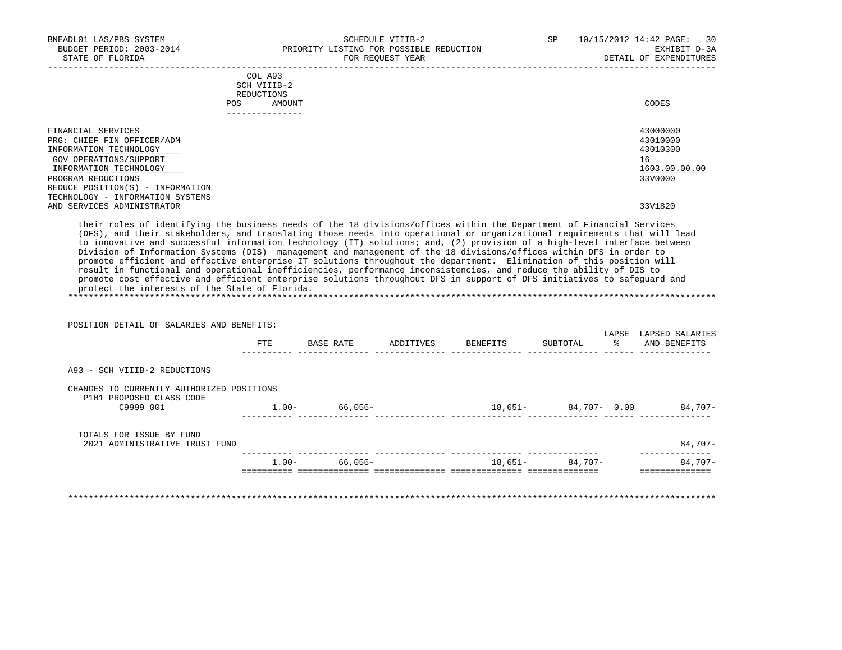| BUDGET PERIOD: 2003-2014 PRIORITY LISTING FOR POSSIBLE REDUCTION                                                                                                                                                                                                                                                                                                                                                                                                                                                                                                                                                                                                                                                                                     |                                                                          | SCHEDULE VIIIB-2  |                                       | SP | 10/15/2012 14:42 PAGE:<br>30<br>EXHIBIT D-3A                       |
|------------------------------------------------------------------------------------------------------------------------------------------------------------------------------------------------------------------------------------------------------------------------------------------------------------------------------------------------------------------------------------------------------------------------------------------------------------------------------------------------------------------------------------------------------------------------------------------------------------------------------------------------------------------------------------------------------------------------------------------------------|--------------------------------------------------------------------------|-------------------|---------------------------------------|----|--------------------------------------------------------------------|
| STATE OF FLORIDA                                                                                                                                                                                                                                                                                                                                                                                                                                                                                                                                                                                                                                                                                                                                     |                                                                          | FOR REOUEST YEAR  |                                       |    | DETAIL OF EXPENDITURES                                             |
|                                                                                                                                                                                                                                                                                                                                                                                                                                                                                                                                                                                                                                                                                                                                                      | COL A93<br>SCH VIIIB-2<br>REDUCTIONS<br>POS<br>AMOUNT<br>--------------- |                   |                                       |    | CODES                                                              |
| FINANCIAL SERVICES<br>PRG: CHIEF FIN OFFICER/ADM<br>INFORMATION TECHNOLOGY<br>GOV OPERATIONS/SUPPORT<br>INFORMATION TECHNOLOGY<br>PROGRAM REDUCTIONS<br>REDUCE POSITION(S) - INFORMATION                                                                                                                                                                                                                                                                                                                                                                                                                                                                                                                                                             |                                                                          |                   |                                       |    | 43000000<br>43010000<br>43010300<br>16<br>1603.00.00.00<br>33V0000 |
| TECHNOLOGY - INFORMATION SYSTEMS<br>AND SERVICES ADMINISTRATOR                                                                                                                                                                                                                                                                                                                                                                                                                                                                                                                                                                                                                                                                                       |                                                                          |                   |                                       |    | 33V1820                                                            |
| (DFS), and their stakeholders, and translating those needs into operational or organizational requirements that will lead<br>to innovative and successful information technology (IT) solutions; and, (2) provision of a high-level interface between<br>Division of Information Systems (DIS) management and management of the 18 divisions/offices within DFS in order to<br>promote efficient and effective enterprise IT solutions throughout the department. Elimination of this position will<br>result in functional and operational inefficiencies, performance inconsistencies, and reduce the ability of DIS to<br>promote cost effective and efficient enterprise solutions throughout DFS in support of DFS initiatives to safeguard and |                                                                          |                   |                                       |    |                                                                    |
| protect the interests of the State of Florida.                                                                                                                                                                                                                                                                                                                                                                                                                                                                                                                                                                                                                                                                                                       |                                                                          |                   |                                       |    |                                                                    |
| POSITION DETAIL OF SALARIES AND BENEFITS:                                                                                                                                                                                                                                                                                                                                                                                                                                                                                                                                                                                                                                                                                                            |                                                                          |                   |                                       |    |                                                                    |
|                                                                                                                                                                                                                                                                                                                                                                                                                                                                                                                                                                                                                                                                                                                                                      | FTE.                                                                     |                   | BASE RATE ADDITIVES BENEFITS SUBTOTAL |    | % AND BENEFITS                                                     |
| A93 - SCH VIIIB-2 REDUCTIONS                                                                                                                                                                                                                                                                                                                                                                                                                                                                                                                                                                                                                                                                                                                         |                                                                          |                   |                                       |    | LAPSE LAPSED SALARIES                                              |
| CHANGES TO CURRENTLY AUTHORIZED POSITIONS<br>P101 PROPOSED CLASS CODE                                                                                                                                                                                                                                                                                                                                                                                                                                                                                                                                                                                                                                                                                |                                                                          | $1.00 - 66,056 -$ |                                       |    | $18,651 84,707-$ 0.00 $84,707-$                                    |

| $\sim$ $\sim$ $\sim$<br>ים <i>ז</i> דיד אפידים דגר אות<br>FUND<br><b>TOTICT</b><br>2 U |       |  |         | $\neg \wedge \neg$ |
|----------------------------------------------------------------------------------------|-------|--|---------|--------------------|
|                                                                                        | $00-$ |  | $707 -$ | 707                |
|                                                                                        |       |  | ------  | $-$                |

\*\*\*\*\*\*\*\*\*\*\*\*\*\*\*\*\*\*\*\*\*\*\*\*\*\*\*\*\*\*\*\*\*\*\*\*\*\*\*\*\*\*\*\*\*\*\*\*\*\*\*\*\*\*\*\*\*\*\*\*\*\*\*\*\*\*\*\*\*\*\*\*\*\*\*\*\*\*\*\*\*\*\*\*\*\*\*\*\*\*\*\*\*\*\*\*\*\*\*\*\*\*\*\*\*\*\*\*\*\*\*\*\*\*\*\*\*\*\*\*\*\*\*\*\*\*\*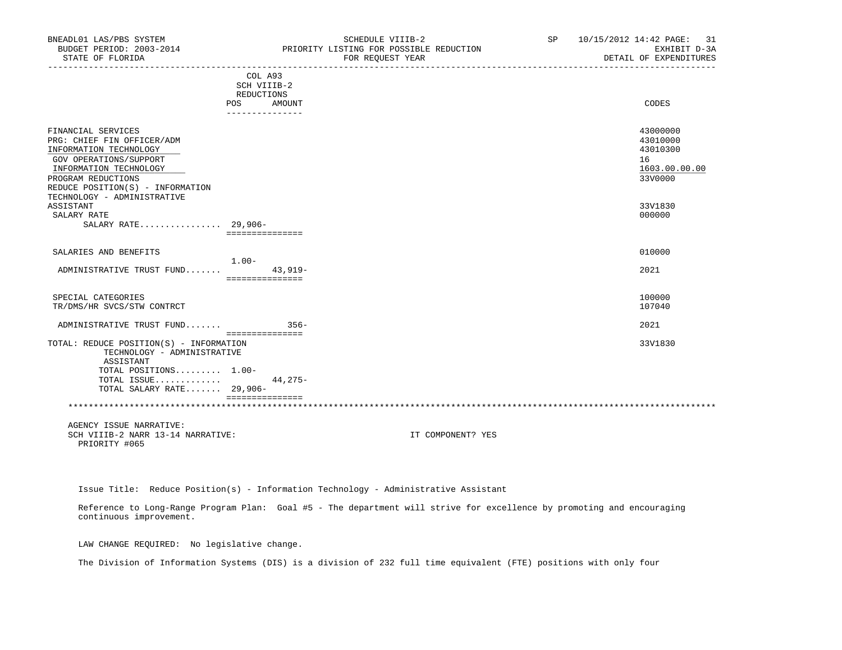| BNEADL01 LAS/PBS SYSTEM<br>BUDGET PERIOD: 2003-2014<br>STATE OF FLORIDA                                                                                                                                                 |                                         | SCHEDULE VIIIB-2<br>PRIORITY LISTING FOR POSSIBLE REDUCTION<br>FOR REQUEST YEAR | SP and the set of the set of the set of the set of the set of the set of the set of the set of the set of the set of the set of the set of the set of the set of the set of the set of the set of the set of the set of the se | 10/15/2012 14:42 PAGE: 31<br>EXHIBIT D-3A<br>DETAIL OF EXPENDITURES |
|-------------------------------------------------------------------------------------------------------------------------------------------------------------------------------------------------------------------------|-----------------------------------------|---------------------------------------------------------------------------------|--------------------------------------------------------------------------------------------------------------------------------------------------------------------------------------------------------------------------------|---------------------------------------------------------------------|
|                                                                                                                                                                                                                         | COL A93<br>SCH VIIIB-2<br>REDUCTIONS    |                                                                                 | -----------------------------                                                                                                                                                                                                  |                                                                     |
|                                                                                                                                                                                                                         | <b>POS</b><br>AMOUNT<br>--------------- |                                                                                 |                                                                                                                                                                                                                                | CODES                                                               |
| FINANCIAL SERVICES<br>PRG: CHIEF FIN OFFICER/ADM<br>INFORMATION TECHNOLOGY<br>GOV OPERATIONS/SUPPORT<br>INFORMATION TECHNOLOGY<br>PROGRAM REDUCTIONS<br>REDUCE POSITION(S) - INFORMATION<br>TECHNOLOGY - ADMINISTRATIVE |                                         |                                                                                 |                                                                                                                                                                                                                                | 43000000<br>43010000<br>43010300<br>16<br>1603.00.00.00<br>33V0000  |
| ASSISTANT<br>SALARY RATE<br>SALARY RATE 29,906-                                                                                                                                                                         | ===============                         |                                                                                 |                                                                                                                                                                                                                                | 33V1830<br>000000                                                   |
| SALARIES AND BENEFITS                                                                                                                                                                                                   |                                         |                                                                                 |                                                                                                                                                                                                                                | 010000                                                              |
| ADMINISTRATIVE TRUST FUND                                                                                                                                                                                               | $1.00-$<br>===============              | $43.919-$                                                                       |                                                                                                                                                                                                                                | 2021                                                                |
| SPECIAL CATEGORIES<br>TR/DMS/HR SVCS/STW CONTRCT                                                                                                                                                                        |                                         |                                                                                 |                                                                                                                                                                                                                                | 100000<br>107040                                                    |
| ADMINISTRATIVE TRUST FUND                                                                                                                                                                                               |                                         | $356 -$                                                                         |                                                                                                                                                                                                                                | 2021                                                                |
| TOTAL: REDUCE POSITION(S) - INFORMATION<br>TECHNOLOGY - ADMINISTRATIVE<br>ASSISTANT<br>TOTAL POSITIONS 1.00-<br>TOTAL ISSUE<br>TOTAL SALARY RATE 29,906-                                                                | - ===============<br>===============    | $44, 275 -$                                                                     |                                                                                                                                                                                                                                | 33V1830                                                             |
|                                                                                                                                                                                                                         |                                         |                                                                                 |                                                                                                                                                                                                                                |                                                                     |
| AGENCY ISSUE NARRATIVE:<br>SCH VIIIB-2 NARR 13-14 NARRATIVE:<br>PRIORITY #065                                                                                                                                           |                                         |                                                                                 | IT COMPONENT? YES                                                                                                                                                                                                              |                                                                     |

Issue Title: Reduce Position(s) - Information Technology - Administrative Assistant

 Reference to Long-Range Program Plan: Goal #5 - The department will strive for excellence by promoting and encouraging continuous improvement.

LAW CHANGE REQUIRED: No legislative change.

The Division of Information Systems (DIS) is a division of 232 full time equivalent (FTE) positions with only four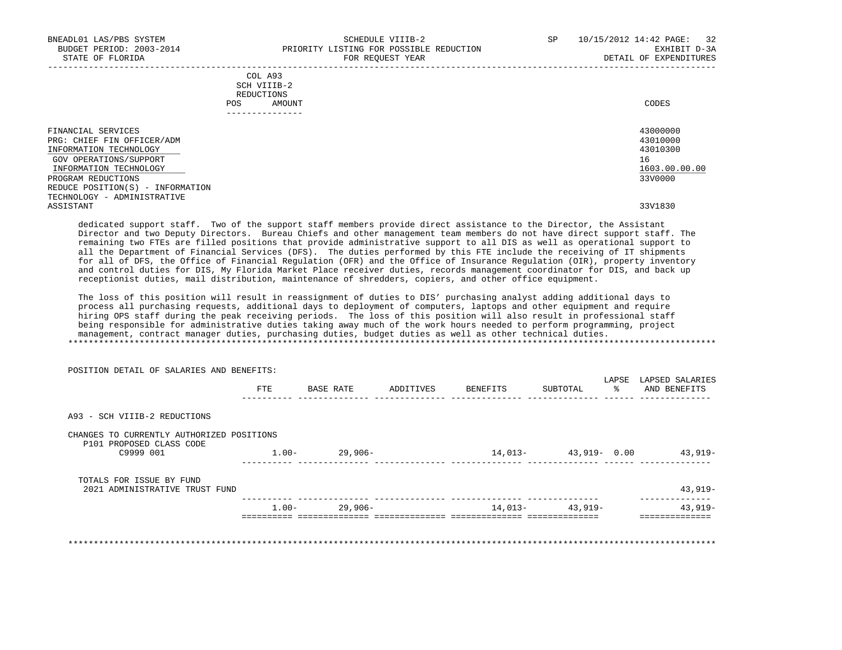| BNEADL01 LAS/PBS SYSTEM<br>BUDGET PERIOD: 2003-2014<br>STATE OF FLORIDA                                                                              |                                                        | SCHEDULE VIIIB-2<br>PRIORITY LISTING FOR POSSIBLE REDUCTION<br>FOR REQUEST YEAR | SP | 10/15/2012 14:42 PAGE: 32<br>EXHIBIT D-3A<br>DETAIL OF EXPENDITURES |
|------------------------------------------------------------------------------------------------------------------------------------------------------|--------------------------------------------------------|---------------------------------------------------------------------------------|----|---------------------------------------------------------------------|
|                                                                                                                                                      | COL A93<br>SCH VIIIB-2<br>REDUCTIONS<br>AMOUNT<br>POS. |                                                                                 |    | CODES                                                               |
| FINANCIAL SERVICES<br>PRG: CHIEF FIN OFFICER/ADM<br>INFORMATION TECHNOLOGY<br>GOV OPERATIONS/SUPPORT<br>INFORMATION TECHNOLOGY<br>PROGRAM REDUCTIONS |                                                        |                                                                                 |    | 43000000<br>43010000<br>43010300<br>16<br>1603.00.00.00<br>33V0000  |
| REDUCE POSITION(S) - INFORMATION<br>TECHNOLOGY - ADMINISTRATIVE<br>ASSISTANT                                                                         |                                                        |                                                                                 |    | 33V1830                                                             |

 dedicated support staff. Two of the support staff members provide direct assistance to the Director, the Assistant Director and two Deputy Directors. Bureau Chiefs and other management team members do not have direct support staff. The remaining two FTEs are filled positions that provide administrative support to all DIS as well as operational support to all the Department of Financial Services (DFS). The duties performed by this FTE include the receiving of IT shipments for all of DFS, the Office of Financial Regulation (OFR) and the Office of Insurance Regulation (OIR), property inventory and control duties for DIS, My Florida Market Place receiver duties, records management coordinator for DIS, and back up receptionist duties, mail distribution, maintenance of shredders, copiers, and other office equipment.

 The loss of this position will result in reassignment of duties to DIS' purchasing analyst adding additional days to process all purchasing requests, additional days to deployment of computers, laptops and other equipment and require hiring OPS staff during the peak receiving periods. The loss of this position will also result in professional staff being responsible for administrative duties taking away much of the work hours needed to perform programming, project management, contract manager duties, purchasing duties, budget duties as well as other technical duties. \*\*\*\*\*\*\*\*\*\*\*\*\*\*\*\*\*\*\*\*\*\*\*\*\*\*\*\*\*\*\*\*\*\*\*\*\*\*\*\*\*\*\*\*\*\*\*\*\*\*\*\*\*\*\*\*\*\*\*\*\*\*\*\*\*\*\*\*\*\*\*\*\*\*\*\*\*\*\*\*\*\*\*\*\*\*\*\*\*\*\*\*\*\*\*\*\*\*\*\*\*\*\*\*\*\*\*\*\*\*\*\*\*\*\*\*\*\*\*\*\*\*\*\*\*\*\*

| POSITION DETAIL OF SALARIES AND BENEFITS:                             |            |           |           |          | LAPSE         | LAPSED SALARIES |
|-----------------------------------------------------------------------|------------|-----------|-----------|----------|---------------|-----------------|
|                                                                       | <b>FTE</b> | BASE RATE | ADDITIVES | BENEFITS | SUBTOTAL<br>ႜ | AND BENEFITS    |
| A93 - SCH VIIIB-2 REDUCTIONS                                          |            |           |           |          |               |                 |
| CHANGES TO CURRENTLY AUTHORIZED POSITIONS<br>P101 PROPOSED CLASS CODE |            |           |           |          |               |                 |
| C9999 001                                                             | $1.00 -$   | 29,906-   |           | 14,013-  | 43,919- 0.00  | 43,919-         |
| TOTALS FOR ISSUE BY FUND                                              |            |           |           |          |               |                 |
| 2021 ADMINISTRATIVE TRUST FUND                                        |            |           |           |          |               | $43,919-$       |
|                                                                       | $1.00 -$   | 29,906-   |           | 14,013-  | 43,919-       | $43,919-$       |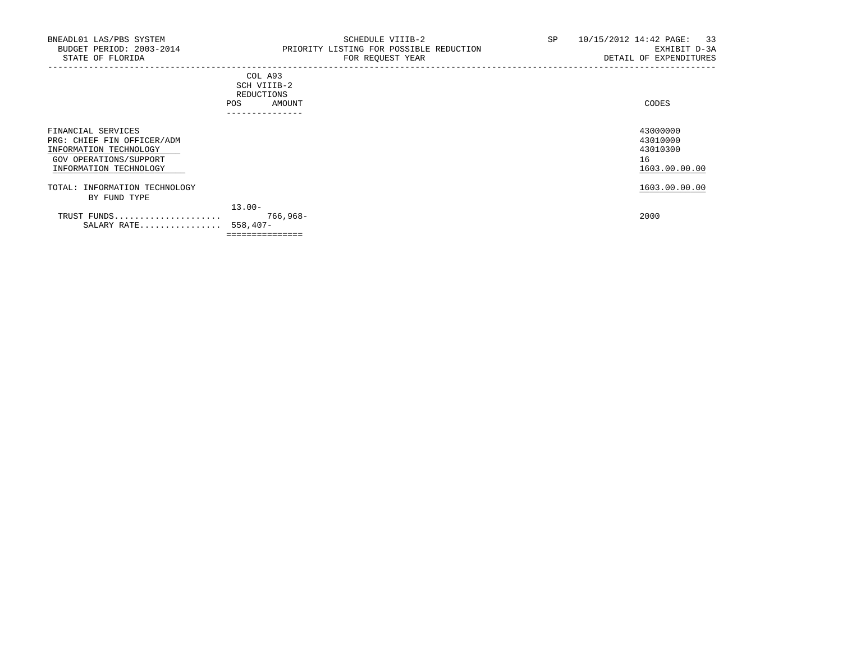|                                                                                                                                | COL A93<br>SCH VIIIB-2<br>REDUCTIONS<br>AMOUNT<br><b>POS</b><br>-------------- | CODES                                                   |
|--------------------------------------------------------------------------------------------------------------------------------|--------------------------------------------------------------------------------|---------------------------------------------------------|
| FINANCIAL SERVICES<br>PRG: CHIEF FIN OFFICER/ADM<br>INFORMATION TECHNOLOGY<br>GOV OPERATIONS/SUPPORT<br>INFORMATION TECHNOLOGY |                                                                                | 43000000<br>43010000<br>43010300<br>16<br>1603.00.00.00 |
| TOTAL: INFORMATION TECHNOLOGY<br>BY FUND TYPE                                                                                  |                                                                                | 1603.00.00.00                                           |
| TRUST FUNDS<br>SALARY RATE                                                                                                     | $13.00 -$<br>$766,968-$<br>$558,407-$                                          | 2000                                                    |

===============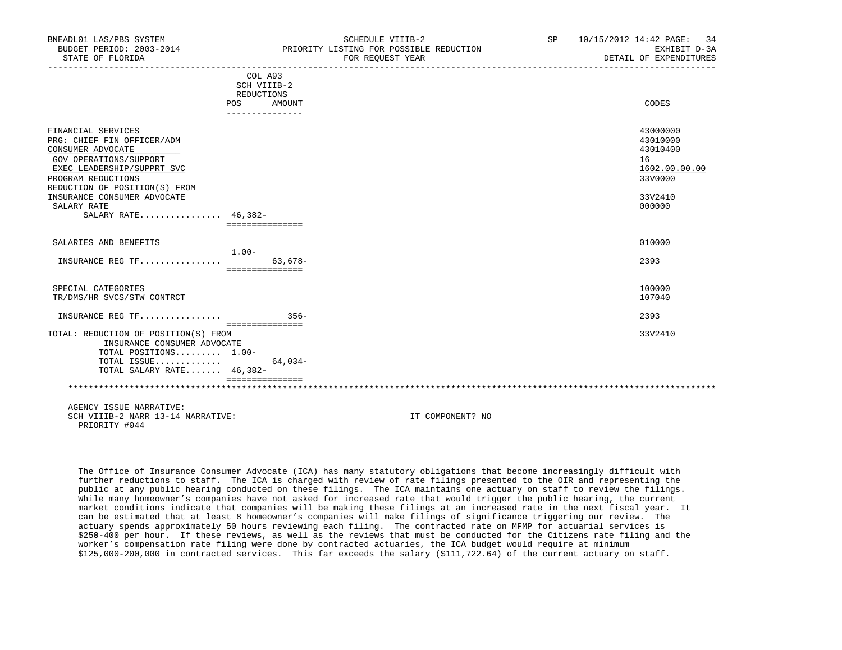| BNEADL01 LAS/PBS SYSTEM<br>BUDGET PERIOD: 2003-2014<br>STATE OF FLORIDA                                                                             | SCHEDULE VIIIB-2<br>PRIORITY LISTING FOR POSSIBLE REDUCTION<br>FOR REQUEST YEAR | <b>SP</b>                     | 10/15/2012 14:42 PAGE:<br>34<br>EXHIBIT D-3A<br>DETAIL OF EXPENDITURES |
|-----------------------------------------------------------------------------------------------------------------------------------------------------|---------------------------------------------------------------------------------|-------------------------------|------------------------------------------------------------------------|
|                                                                                                                                                     | COL A93<br>SCH VIIIB-2                                                          | _____________________________ |                                                                        |
|                                                                                                                                                     | REDUCTIONS                                                                      |                               |                                                                        |
|                                                                                                                                                     | POS<br>AMOUNT<br>---------------                                                |                               | CODES                                                                  |
| FINANCIAL SERVICES<br>PRG: CHIEF FIN OFFICER/ADM<br>CONSUMER ADVOCATE<br>GOV OPERATIONS/SUPPORT<br>EXEC LEADERSHIP/SUPPRT SVC<br>PROGRAM REDUCTIONS |                                                                                 |                               | 43000000<br>43010000<br>43010400<br>16<br>1602.00.00.00<br>33V0000     |
| REDUCTION OF POSITION(S) FROM<br>INSURANCE CONSUMER ADVOCATE<br>SALARY RATE<br>SALARY RATE 46,382-                                                  |                                                                                 |                               | 33V2410<br>000000                                                      |
|                                                                                                                                                     | ===============                                                                 |                               |                                                                        |
| SALARIES AND BENEFITS                                                                                                                               |                                                                                 |                               | 010000                                                                 |
| INSURANCE REG TF                                                                                                                                    | $1.00-$<br>$63.678-$<br>===============                                         |                               | 2393                                                                   |
| SPECIAL CATEGORIES<br>TR/DMS/HR SVCS/STW CONTRCT                                                                                                    |                                                                                 |                               | 100000<br>107040                                                       |
| INSURANCE REG TF                                                                                                                                    | $356-$                                                                          |                               | 2393                                                                   |
| TOTAL: REDUCTION OF POSITION(S) FROM<br>INSURANCE CONSUMER ADVOCATE<br>TOTAL POSITIONS 1.00-                                                        | ===============                                                                 |                               | 33V2410                                                                |
| TOTAL ISSUE<br>TOTAL SALARY RATE 46,382-                                                                                                            | 64,034-                                                                         |                               |                                                                        |
|                                                                                                                                                     | ===============                                                                 |                               |                                                                        |
|                                                                                                                                                     |                                                                                 |                               |                                                                        |
| AGENCY ISSUE NARRATIVE:                                                                                                                             |                                                                                 |                               |                                                                        |

SCH VIIIB-2 NARR 13-14 NARRATIVE: IT COMPONENT? NO PRIORITY #044

 The Office of Insurance Consumer Advocate (ICA) has many statutory obligations that become increasingly difficult with further reductions to staff. The ICA is charged with review of rate filings presented to the OIR and representing the public at any public hearing conducted on these filings. The ICA maintains one actuary on staff to review the filings. While many homeowner's companies have not asked for increased rate that would trigger the public hearing, the current market conditions indicate that companies will be making these filings at an increased rate in the next fiscal year. It can be estimated that at least 8 homeowner's companies will make filings of significance triggering our review. The actuary spends approximately 50 hours reviewing each filing. The contracted rate on MFMP for actuarial services is \$250-400 per hour. If these reviews, as well as the reviews that must be conducted for the Citizens rate filing and the worker's compensation rate filing were done by contracted actuaries, the ICA budget would require at minimum \$125,000-200,000 in contracted services. This far exceeds the salary (\$111,722.64) of the current actuary on staff.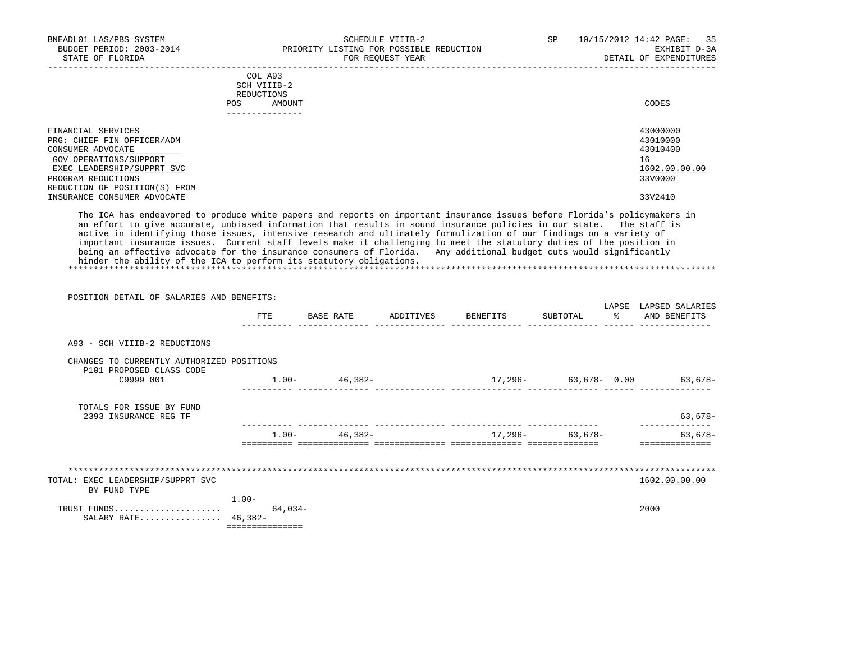## SCH VIIIB-2 REDUCTIONS POS AMOUNT AND AND A RESERVE AND LODGED AND LODGED AND LODGED AND LODGED AND LODGED AND LODGED AND LODGED AT A LODGED AND LODGED AT A LODGED AT A LODGED AND LODGED AT A LODGED AT A LODGED AT A LODGED AT A LODGED AT A LODGE ---------------

| FINANCIAL SERVICES<br>PRG: CHIEF FIN OFFICER/ADM | 43000000<br>43010000 |
|--------------------------------------------------|----------------------|
| CONSUMER ADVOCATE                                | 43010400             |
| GOV OPERATIONS/SUPPORT                           | 16                   |
| EXEC LEADERSHIP/SUPPRT SVC                       | 1602.00.00.00        |
| PROGRAM REDUCTIONS                               | 33V0000              |
| REDUCTION OF POSITION(S) FROM                    |                      |
| INSURANCE CONSUMER ADVOCATE                      | 33V2410              |

 The ICA has endeavored to produce white papers and reports on important insurance issues before Florida's policymakers in an effort to give accurate, unbiased information that results in sound insurance policies in our state. The staff is active in identifying those issues, intensive research and ultimately formulization of our findings on a variety of important insurance issues. Current staff levels make it challenging to meet the statutory duties of the position in being an effective advocate for the insurance consumers of Florida. Any additional budget cuts would significantly hinder the ability of the ICA to perform its statutory obligations. \*\*\*\*\*\*\*\*\*\*\*\*\*\*\*\*\*\*\*\*\*\*\*\*\*\*\*\*\*\*\*\*\*\*\*\*\*\*\*\*\*\*\*\*\*\*\*\*\*\*\*\*\*\*\*\*\*\*\*\*\*\*\*\*\*\*\*\*\*\*\*\*\*\*\*\*\*\*\*\*\*\*\*\*\*\*\*\*\*\*\*\*\*\*\*\*\*\*\*\*\*\*\*\*\*\*\*\*\*\*\*\*\*\*\*\*\*\*\*\*\*\*\*\*\*\*\*

| POSITION DETAIL OF SALARIES AND BENEFITS:                             |                 |           |                   |                                                                           |                 |                 |                                 |
|-----------------------------------------------------------------------|-----------------|-----------|-------------------|---------------------------------------------------------------------------|-----------------|-----------------|---------------------------------|
|                                                                       | ETE             |           |                   | BASE RATE ADDITIVES BENEFITS                                              | SUBTOTAL        | LAPSE<br>း ကိုး | LAPSED SALARIES<br>AND BENEFITS |
| A93 - SCH VIIIB-2 REDUCTIONS                                          |                 |           |                   |                                                                           |                 |                 |                                 |
| CHANGES TO CURRENTLY AUTHORIZED POSITIONS<br>P101 PROPOSED CLASS CODE |                 |           |                   |                                                                           |                 |                 |                                 |
| C9999 001                                                             |                 |           | $1.00 - 46,382 -$ |                                                                           |                 |                 | $17,296-$ 63,678- 0.00 63,678-  |
| TOTALS FOR ISSUE BY FUND<br>2393 INSURANCE REG TF                     |                 |           |                   |                                                                           |                 |                 | $63,678-$                       |
|                                                                       |                 |           | $1.00 - 46,382 -$ | <u> sosoosoos oosoosoosoosa oosoosoosoosa oosoosoosoosa oosoosoosooso</u> | 17,296- 63,678- |                 | 63,678-<br>==============       |
|                                                                       |                 |           |                   |                                                                           |                 |                 |                                 |
| TOTAL: EXEC LEADERSHIP/SUPPRT SVC<br>BY FUND TYPE                     |                 |           |                   |                                                                           |                 |                 | 1602.00.00.00                   |
| TRUST FUNDS<br>SALARY RATE 46,382-                                    | $1.00 -$        | $64,034-$ |                   |                                                                           |                 |                 | 2000                            |
|                                                                       | =============== |           |                   |                                                                           |                 |                 |                                 |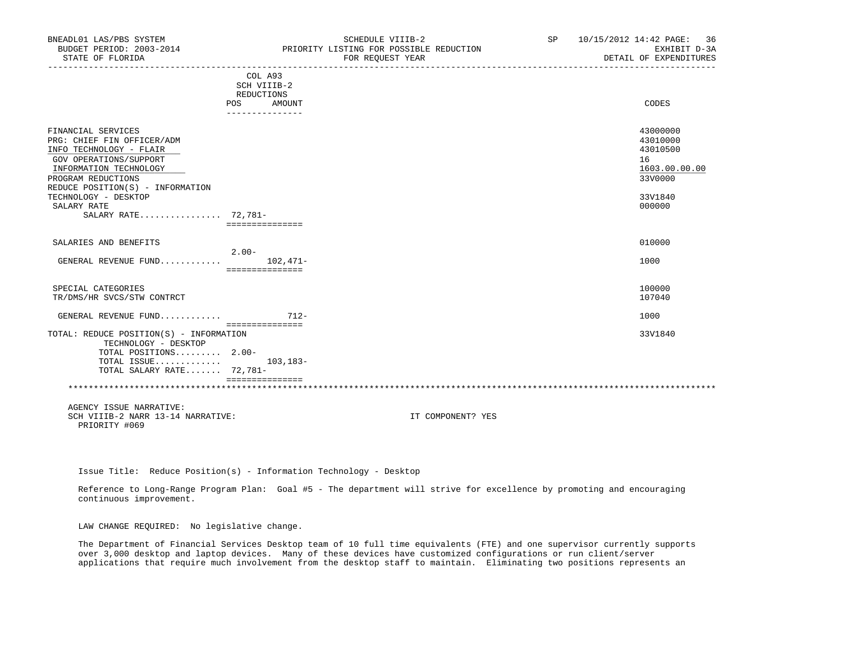| BNEADL01 LAS/PBS SYSTEM<br>BUDGET PERIOD: 2003-2014<br>STATE OF FLORIDA                                                                                                                                                                                 |                                                                                 | SCHEDULE VIIIB-2<br>PRIORITY LISTING FOR POSSIBLE REDUCTION<br>FOR REQUEST YEAR | SP 10/15/2012 14:42 PAGE: 36<br>EXHIBIT D-3A<br>DETAIL OF EXPENDITURES                  |
|---------------------------------------------------------------------------------------------------------------------------------------------------------------------------------------------------------------------------------------------------------|---------------------------------------------------------------------------------|---------------------------------------------------------------------------------|-----------------------------------------------------------------------------------------|
|                                                                                                                                                                                                                                                         | COL A93<br>SCH VIIIB-2<br>REDUCTIONS<br><b>POS</b><br>AMOUNT<br>_______________ |                                                                                 | CODES                                                                                   |
| FINANCIAL SERVICES<br>PRG: CHIEF FIN OFFICER/ADM<br>INFO TECHNOLOGY - FLAIR<br>GOV OPERATIONS/SUPPORT<br>INFORMATION TECHNOLOGY<br>PROGRAM REDUCTIONS<br>REDUCE POSITION(S) - INFORMATION<br>TECHNOLOGY - DESKTOP<br>SALARY RATE<br>SALARY RATE 72,781- | ===============                                                                 |                                                                                 | 43000000<br>43010000<br>43010500<br>16<br>1603.00.00.00<br>33V0000<br>33V1840<br>000000 |
| SALARIES AND BENEFITS                                                                                                                                                                                                                                   | $2.00 -$                                                                        |                                                                                 | 010000                                                                                  |
| GENERAL REVENUE FUND                                                                                                                                                                                                                                    | $102.471-$<br>===============                                                   |                                                                                 | 1000                                                                                    |
| SPECIAL CATEGORIES<br>TR/DMS/HR SVCS/STW CONTRCT                                                                                                                                                                                                        |                                                                                 |                                                                                 | 100000<br>107040                                                                        |
| GENERAL REVENUE FUND                                                                                                                                                                                                                                    | $712 -$<br>================                                                     |                                                                                 | 1000                                                                                    |
| TOTAL: REDUCE POSITION(S) - INFORMATION<br>TECHNOLOGY - DESKTOP<br>TOTAL POSITIONS 2.00-<br>TOTAL ISSUE<br>TOTAL SALARY RATE 72,781-                                                                                                                    | $103, 183 -$                                                                    |                                                                                 | 33V1840                                                                                 |
|                                                                                                                                                                                                                                                         | ---------------                                                                 |                                                                                 |                                                                                         |

 AGENCY ISSUE NARRATIVE: SCH VIIIB-2 NARR 13-14 NARRATIVE: IT COMPONENT? YES PRIORITY #069

Issue Title: Reduce Position(s) - Information Technology - Desktop

 Reference to Long-Range Program Plan: Goal #5 - The department will strive for excellence by promoting and encouraging continuous improvement.

LAW CHANGE REQUIRED: No legislative change.

 The Department of Financial Services Desktop team of 10 full time equivalents (FTE) and one supervisor currently supports over 3,000 desktop and laptop devices. Many of these devices have customized configurations or run client/server applications that require much involvement from the desktop staff to maintain. Eliminating two positions represents an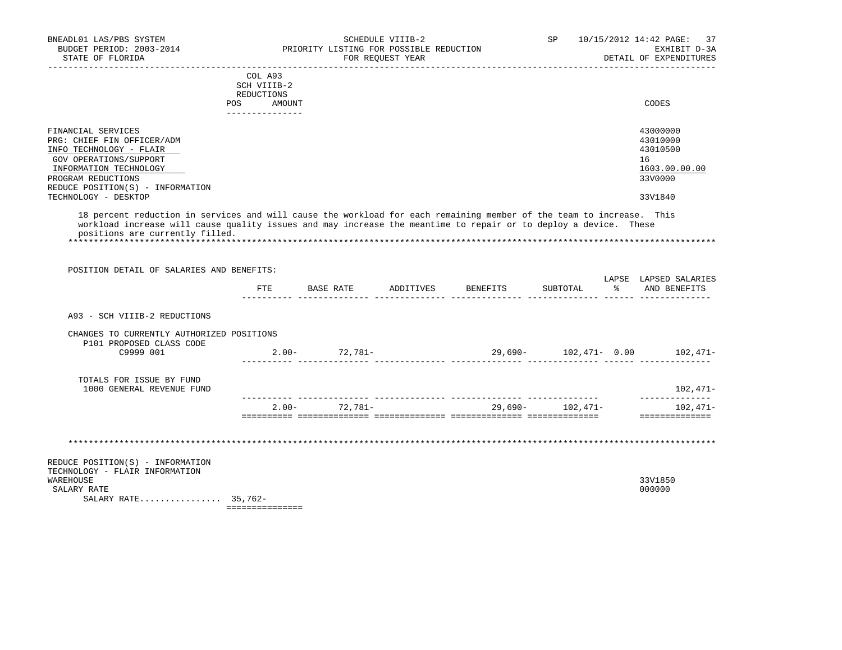| <b>POS</b>                                                                                                                                                                                                        | COL A93<br>SCH VIIIB-2<br>REDUCTIONS<br>AMOUNT<br>_ _ _ _ _ _ _ _ _ _ _ _ | CODES                                                                         |
|-------------------------------------------------------------------------------------------------------------------------------------------------------------------------------------------------------------------|---------------------------------------------------------------------------|-------------------------------------------------------------------------------|
| FINANCIAL SERVICES<br>PRG: CHIEF FIN OFFICER/ADM<br>INFO TECHNOLOGY - FLAIR<br>GOV OPERATIONS/SUPPORT<br>INFORMATION TECHNOLOGY<br>PROGRAM REDUCTIONS<br>REDUCE POSITION(S) - INFORMATION<br>TECHNOLOGY - DESKTOP |                                                                           | 43000000<br>43010000<br>43010500<br>16<br>1603.00.00.00<br>33V0000<br>33V1840 |

 18 percent reduction in services and will cause the workload for each remaining member of the team to increase. This workload increase will cause quality issues and may increase the meantime to repair or to deploy a device. These positions are currently filled. \*\*\*\*\*\*\*\*\*\*\*\*\*\*\*\*\*\*\*\*\*\*\*\*\*\*\*\*\*\*\*\*\*\*\*\*\*\*\*\*\*\*\*\*\*\*\*\*\*\*\*\*\*\*\*\*\*\*\*\*\*\*\*\*\*\*\*\*\*\*\*\*\*\*\*\*\*\*\*\*\*\*\*\*\*\*\*\*\*\*\*\*\*\*\*\*\*\*\*\*\*\*\*\*\*\*\*\*\*\*\*\*\*\*\*\*\*\*\*\*\*\*\*\*\*\*\*

| POSITION DETAIL OF SALARIES AND BENEFITS:                                          |                 |                   |                    |                  |                                                  |
|------------------------------------------------------------------------------------|-----------------|-------------------|--------------------|------------------|--------------------------------------------------|
|                                                                                    | FTE             | <b>BASE RATE</b>  | ADDITIVES BENEFITS |                  | LAPSE LAPSED SALARIES<br>SUBTOTAL % AND BENEFITS |
| A93 - SCH VIIIB-2 REDUCTIONS                                                       |                 |                   |                    |                  |                                                  |
| CHANGES TO CURRENTLY AUTHORIZED POSITIONS<br>P101 PROPOSED CLASS CODE<br>C9999 001 |                 | $2.00 - 72,781 -$ |                    |                  | 29,690- 102,471- 0.00 102,471-                   |
|                                                                                    |                 |                   |                    |                  |                                                  |
| TOTALS FOR ISSUE BY FUND<br>1000 GENERAL REVENUE FUND                              |                 |                   |                    |                  | 102,471-                                         |
|                                                                                    | $2.00 -$        | $72,781-$         |                    | 29,690- 102,471- | 102,471-                                         |
|                                                                                    |                 |                   |                    |                  |                                                  |
| REDUCE POSITION(S) - INFORMATION<br>TECHNOLOGY - FLAIR INFORMATION                 |                 |                   |                    |                  |                                                  |
| WAREHOUSE<br>SALARY RATE                                                           |                 |                   |                    |                  | 33V1850<br>000000                                |
| SALARY RATE 35,762-                                                                | =============== |                   |                    |                  |                                                  |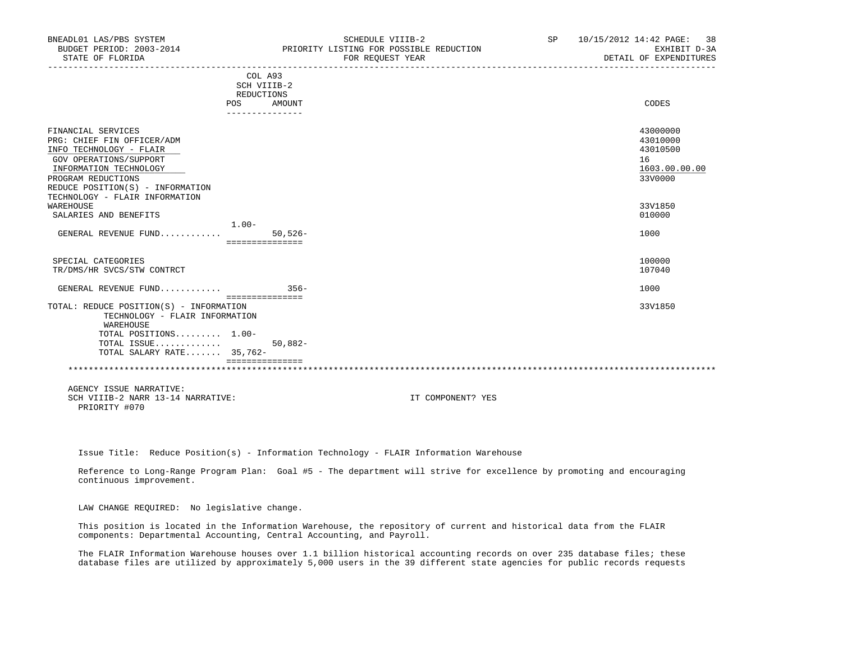| BNEADL01 LAS/PBS SYSTEM<br>BUDGET PERIOD: 2003-2014<br>STATE OF FLORIDA |                           | SCHEDULE VIIIB-2<br>PRIORITY LISTING FOR POSSIBLE REDUCTION<br>FOR REQUEST YEAR | SP | 10/15/2012 14:42 PAGE: 38<br>EXHIBIT D-3A<br>DETAIL OF EXPENDITURES |
|-------------------------------------------------------------------------|---------------------------|---------------------------------------------------------------------------------|----|---------------------------------------------------------------------|
|                                                                         | COL A93                   |                                                                                 |    |                                                                     |
|                                                                         | SCH VIIIB-2               |                                                                                 |    |                                                                     |
|                                                                         | REDUCTIONS                |                                                                                 |    |                                                                     |
|                                                                         | POS<br>AMOUNT             |                                                                                 |    | CODES                                                               |
|                                                                         | ---------------           |                                                                                 |    |                                                                     |
| FINANCIAL SERVICES                                                      |                           |                                                                                 |    | 43000000                                                            |
| PRG: CHIEF FIN OFFICER/ADM                                              |                           |                                                                                 |    | 43010000                                                            |
| INFO TECHNOLOGY - FLAIR                                                 |                           |                                                                                 |    | 43010500                                                            |
| GOV OPERATIONS/SUPPORT                                                  |                           |                                                                                 |    | 16                                                                  |
| INFORMATION TECHNOLOGY                                                  |                           |                                                                                 |    | 1603.00.00.00                                                       |
| PROGRAM REDUCTIONS                                                      |                           |                                                                                 |    | 33V0000                                                             |
| REDUCE POSITION(S) - INFORMATION                                        |                           |                                                                                 |    |                                                                     |
| TECHNOLOGY - FLAIR INFORMATION                                          |                           |                                                                                 |    |                                                                     |
| WAREHOUSE                                                               |                           |                                                                                 |    | 33V1850                                                             |
| SALARIES AND BENEFITS                                                   |                           |                                                                                 |    | 010000                                                              |
|                                                                         | $1.00 -$                  |                                                                                 |    |                                                                     |
| GENERAL REVENUE FUND                                                    | $50.526 -$                |                                                                                 |    | 1000                                                                |
|                                                                         | ===============           |                                                                                 |    |                                                                     |
| SPECIAL CATEGORIES                                                      |                           |                                                                                 |    | 100000                                                              |
| TR/DMS/HR SVCS/STW CONTRCT                                              |                           |                                                                                 |    | 107040                                                              |
|                                                                         |                           |                                                                                 |    |                                                                     |
| GENERAL REVENUE FUND                                                    | $356-$<br>=============== |                                                                                 |    | 1000                                                                |
| TOTAL: REDUCE POSITION(S) - INFORMATION                                 |                           |                                                                                 |    | 33V1850                                                             |
| TECHNOLOGY - FLAIR INFORMATION                                          |                           |                                                                                 |    |                                                                     |
| WAREHOUSE                                                               |                           |                                                                                 |    |                                                                     |
| TOTAL POSITIONS $1.00 -$                                                |                           |                                                                                 |    |                                                                     |
| TOTAL ISSUE                                                             | $50,882-$                 |                                                                                 |    |                                                                     |
| TOTAL SALARY RATE 35,762-                                               |                           |                                                                                 |    |                                                                     |
|                                                                         | ================          |                                                                                 |    |                                                                     |
|                                                                         |                           |                                                                                 |    |                                                                     |
| AGENCY ISSUE NARRATIVE:                                                 |                           |                                                                                 |    |                                                                     |
| SCH VIIIB-2 NARR 13-14 NARRATIVE:                                       |                           | TT COMPONENT? YES                                                               |    |                                                                     |

PRIORITY #070

Issue Title: Reduce Position(s) - Information Technology - FLAIR Information Warehouse

 Reference to Long-Range Program Plan: Goal #5 - The department will strive for excellence by promoting and encouraging continuous improvement.

LAW CHANGE REQUIRED: No legislative change.

 This position is located in the Information Warehouse, the repository of current and historical data from the FLAIR components: Departmental Accounting, Central Accounting, and Payroll.

 The FLAIR Information Warehouse houses over 1.1 billion historical accounting records on over 235 database files; these database files are utilized by approximately 5,000 users in the 39 different state agencies for public records requests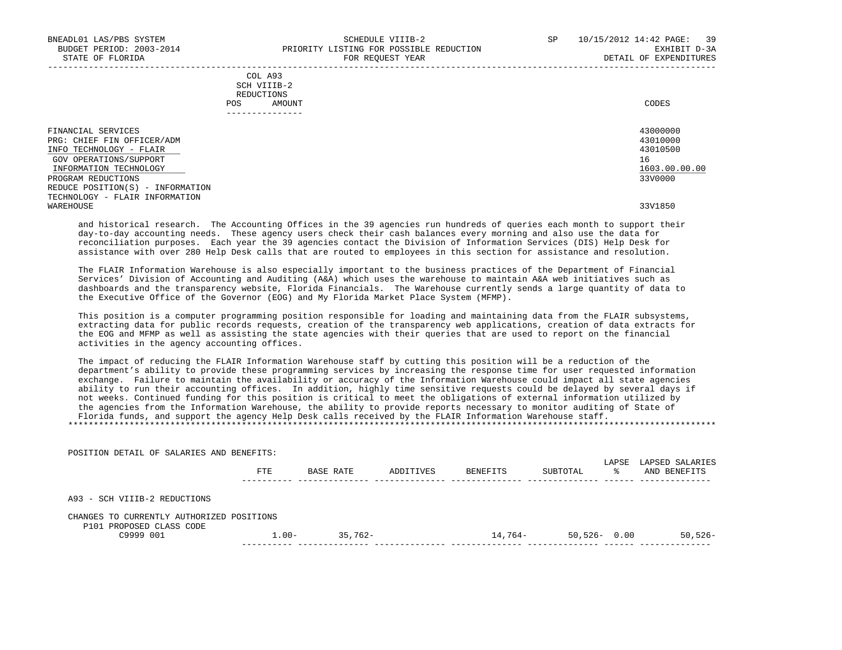POSITION DETAIL OF SALARIES AND BENEFITS:

-----------------------------------------------------------------------------------------------------------------------------------

|            | _______________ |       |
|------------|-----------------|-------|
| POS        | AMOUNT          | CODES |
| REDUCTIONS |                 |       |
|            | SCH VIIIB-2     |       |
|            | COL A93         |       |

| FINANCIAL SERVICES               | 43000000      |
|----------------------------------|---------------|
| PRG: CHIEF FIN OFFICER/ADM       | 43010000      |
| INFO TECHNOLOGY - FLAIR          | 43010500      |
| GOV OPERATIONS/SUPPORT           | 16            |
| INFORMATION TECHNOLOGY           | 1603.00.00.00 |
| PROGRAM REDUCTIONS               | 33V0000       |
| REDUCE POSITION(S) - INFORMATION |               |
| TECHNOLOGY - FLAIR INFORMATION   |               |
| WAREHOUSE                        | 33V1850       |

 and historical research. The Accounting Offices in the 39 agencies run hundreds of queries each month to support their day-to-day accounting needs. These agency users check their cash balances every morning and also use the data for reconciliation purposes. Each year the 39 agencies contact the Division of Information Services (DIS) Help Desk for assistance with over 280 Help Desk calls that are routed to employees in this section for assistance and resolution.

 The FLAIR Information Warehouse is also especially important to the business practices of the Department of Financial Services' Division of Accounting and Auditing (A&A) which uses the warehouse to maintain A&A web initiatives such as dashboards and the transparency website, Florida Financials. The Warehouse currently sends a large quantity of data to the Executive Office of the Governor (EOG) and My Florida Market Place System (MFMP).

 This position is a computer programming position responsible for loading and maintaining data from the FLAIR subsystems, extracting data for public records requests, creation of the transparency web applications, creation of data extracts for the EOG and MFMP as well as assisting the state agencies with their queries that are used to report on the financial activities in the agency accounting offices.

 The impact of reducing the FLAIR Information Warehouse staff by cutting this position will be a reduction of the department's ability to provide these programming services by increasing the response time for user requested information exchange. Failure to maintain the availability or accuracy of the Information Warehouse could impact all state agencies ability to run their accounting offices. In addition, highly time sensitive requests could be delayed by several days if not weeks. Continued funding for this position is critical to meet the obligations of external information utilized by the agencies from the Information Warehouse, the ability to provide reports necessary to monitor auditing of State of Florida funds, and support the agency Help Desk calls received by the FLAIR Information Warehouse staff. \*\*\*\*\*\*\*\*\*\*\*\*\*\*\*\*\*\*\*\*\*\*\*\*\*\*\*\*\*\*\*\*\*\*\*\*\*\*\*\*\*\*\*\*\*\*\*\*\*\*\*\*\*\*\*\*\*\*\*\*\*\*\*\*\*\*\*\*\*\*\*\*\*\*\*\*\*\*\*\*\*\*\*\*\*\*\*\*\*\*\*\*\*\*\*\*\*\*\*\*\*\*\*\*\*\*\*\*\*\*\*\*\*\*\*\*\*\*\*\*\*\*\*\*\*\*\*

 LAPSE LAPSED SALARIES FTE BASE RATE ADDITIVES BENEFITS SUBTOTAL ---------- -------------- -------------- -------------- -------------- ------ -------------- A93 - SCH VIIIB-2 REDUCTIONS CHANGES TO CURRENTLY AUTHORIZED POSITIONS P101 PROPOSED CLASS CODE C9999 001 1.00- 35,762- 14,764- 50,526- 0.00 50,526- ---------- -------------- -------------- -------------- -------------- ------ --------------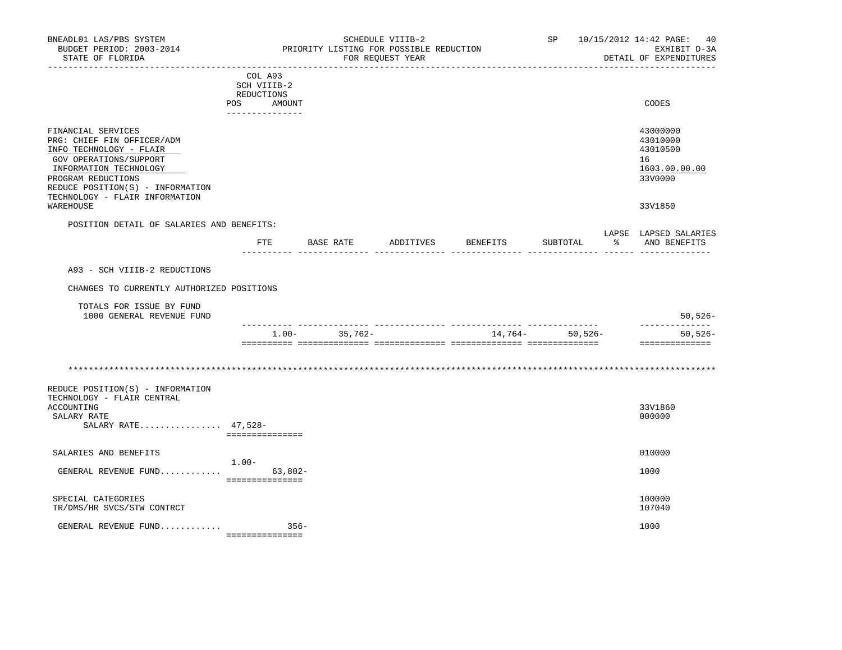| BNEADL01 LAS/PBS SYSTEM<br>BUDGET PERIOD: 2003-2014<br>STATE OF FLORIDA<br>-------------------                                                                                                                              |                                                                | SCHEDULE VIIIB-2<br>PRIORITY LISTING FOR POSSIBLE REDUCTION<br>FOR REQUEST YEAR |                   |  |                    | SP 10/15/2012 14:42 PAGE:<br>EXHIBIT D-3A<br>DETAIL OF EXPENDITURES |  |                                                                    |
|-----------------------------------------------------------------------------------------------------------------------------------------------------------------------------------------------------------------------------|----------------------------------------------------------------|---------------------------------------------------------------------------------|-------------------|--|--------------------|---------------------------------------------------------------------|--|--------------------------------------------------------------------|
|                                                                                                                                                                                                                             | COL A93<br>SCH VIIIB-2<br>REDUCTIONS<br>POS<br>_______________ | AMOUNT                                                                          |                   |  |                    |                                                                     |  | CODES                                                              |
| FINANCIAL SERVICES<br>PRG: CHIEF FIN OFFICER/ADM<br>INFO TECHNOLOGY - FLAIR<br>GOV OPERATIONS/SUPPORT<br>INFORMATION TECHNOLOGY<br>PROGRAM REDUCTIONS<br>REDUCE POSITION(S) - INFORMATION<br>TECHNOLOGY - FLAIR INFORMATION |                                                                |                                                                                 |                   |  |                    |                                                                     |  | 43000000<br>43010000<br>43010500<br>16<br>1603.00.00.00<br>33V0000 |
| WAREHOUSE                                                                                                                                                                                                                   |                                                                |                                                                                 |                   |  |                    |                                                                     |  | 33V1850                                                            |
| POSITION DETAIL OF SALARIES AND BENEFITS:                                                                                                                                                                                   |                                                                |                                                                                 |                   |  |                    |                                                                     |  | LAPSE LAPSED SALARIES                                              |
|                                                                                                                                                                                                                             |                                                                | ETE                                                                             | <b>BASE RATE</b>  |  | ADDITIVES BENEFITS | SUBTOTAL                                                            |  | % AND BENEFITS                                                     |
| A93 - SCH VIIIB-2 REDUCTIONS                                                                                                                                                                                                |                                                                |                                                                                 |                   |  |                    |                                                                     |  |                                                                    |
| CHANGES TO CURRENTLY AUTHORIZED POSITIONS                                                                                                                                                                                   |                                                                |                                                                                 |                   |  |                    |                                                                     |  |                                                                    |
| TOTALS FOR ISSUE BY FUND<br>1000 GENERAL REVENUE FUND                                                                                                                                                                       |                                                                |                                                                                 |                   |  |                    |                                                                     |  | $50,526-$                                                          |
|                                                                                                                                                                                                                             |                                                                |                                                                                 | $1.00 - 35,762 -$ |  |                    | $14,764-50,526-$                                                    |  | --------------<br>$50,526-$<br>==============                      |
| REDUCE POSITION(S) - INFORMATION<br>TECHNOLOGY - FLAIR CENTRAL                                                                                                                                                              |                                                                |                                                                                 |                   |  |                    |                                                                     |  |                                                                    |
| ACCOUNTING<br>SALARY RATE<br>SALARY RATE 47,528-                                                                                                                                                                            | ===============                                                |                                                                                 |                   |  |                    |                                                                     |  | 33V1860<br>000000                                                  |
| SALARIES AND BENEFITS                                                                                                                                                                                                       | $1.00 -$                                                       |                                                                                 |                   |  |                    |                                                                     |  | 010000                                                             |
| GENERAL REVENUE FUND                                                                                                                                                                                                        | ===============                                                | $63,802-$                                                                       |                   |  |                    |                                                                     |  | 1000                                                               |
| SPECIAL CATEGORIES<br>TR/DMS/HR SVCS/STW CONTRCT                                                                                                                                                                            |                                                                |                                                                                 |                   |  |                    |                                                                     |  | 100000<br>107040                                                   |
| GENERAL REVENUE FUND                                                                                                                                                                                                        | ----------------                                               | - 356 -                                                                         |                   |  |                    |                                                                     |  | 1000                                                               |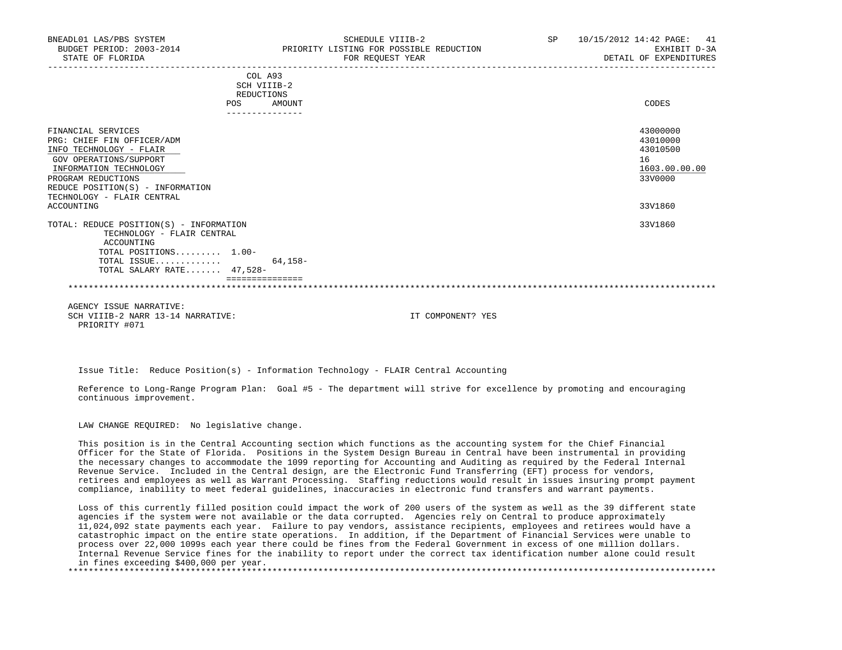| BNEADL01 LAS/PBS SYSTEM<br>BUDGET PERIOD: 2003-2014<br>STATE OF FLORIDA                                                                                                                                                 | SCHEDULE VIIIB-2<br>PRIORITY LISTING FOR POSSIBLE REDUCTION<br>FOR REOUEST YEAR | SP | 10/15/2012 14:42 PAGE: 41<br>EXHIBIT D-3A<br>DETAIL OF EXPENDITURES |
|-------------------------------------------------------------------------------------------------------------------------------------------------------------------------------------------------------------------------|---------------------------------------------------------------------------------|----|---------------------------------------------------------------------|
|                                                                                                                                                                                                                         | COL A93<br>SCH VIIIB-2<br>REDUCTIONS<br>AMOUNT<br><b>POS</b><br>--------------- |    | CODES                                                               |
| FINANCIAL SERVICES<br>PRG: CHIEF FIN OFFICER/ADM<br>INFO TECHNOLOGY - FLAIR<br>GOV OPERATIONS/SUPPORT<br>INFORMATION TECHNOLOGY<br>PROGRAM REDUCTIONS<br>REDUCE POSITION(S) - INFORMATION<br>TECHNOLOGY - FLAIR CENTRAL |                                                                                 |    | 43000000<br>43010000<br>43010500<br>16<br>1603.00.00.00<br>33V0000  |
| ACCOUNTING                                                                                                                                                                                                              |                                                                                 |    | 33V1860                                                             |
| TOTAL: REDUCE POSITION(S) - INFORMATION<br>TECHNOLOGY - FLAIR CENTRAL<br>ACCOUNTING<br>TOTAL POSITIONS $1.00-$<br>TOTAL ISSUE<br>TOTAL SALARY RATE 47,528-                                                              | $64.158 -$                                                                      |    | 33V1860                                                             |
|                                                                                                                                                                                                                         |                                                                                 |    |                                                                     |

 AGENCY ISSUE NARRATIVE: SCH VIIIB-2 NARR 13-14 NARRATIVE: IT COMPONENT? YES PRIORITY #071

Issue Title: Reduce Position(s) - Information Technology - FLAIR Central Accounting

 Reference to Long-Range Program Plan: Goal #5 - The department will strive for excellence by promoting and encouraging continuous improvement.

LAW CHANGE REQUIRED: No legislative change.

 This position is in the Central Accounting section which functions as the accounting system for the Chief Financial Officer for the State of Florida. Positions in the System Design Bureau in Central have been instrumental in providing the necessary changes to accommodate the 1099 reporting for Accounting and Auditing as required by the Federal Internal Revenue Service. Included in the Central design, are the Electronic Fund Transferring (EFT) process for vendors, retirees and employees as well as Warrant Processing. Staffing reductions would result in issues insuring prompt payment compliance, inability to meet federal guidelines, inaccuracies in electronic fund transfers and warrant payments.

 Loss of this currently filled position could impact the work of 200 users of the system as well as the 39 different state agencies if the system were not available or the data corrupted. Agencies rely on Central to produce approximately 11,024,092 state payments each year. Failure to pay vendors, assistance recipients, employees and retirees would have a catastrophic impact on the entire state operations. In addition, if the Department of Financial Services were unable to process over 22,000 1099s each year there could be fines from the Federal Government in excess of one million dollars. Internal Revenue Service fines for the inability to report under the correct tax identification number alone could result in fines exceeding \$400,000 per year. \*\*\*\*\*\*\*\*\*\*\*\*\*\*\*\*\*\*\*\*\*\*\*\*\*\*\*\*\*\*\*\*\*\*\*\*\*\*\*\*\*\*\*\*\*\*\*\*\*\*\*\*\*\*\*\*\*\*\*\*\*\*\*\*\*\*\*\*\*\*\*\*\*\*\*\*\*\*\*\*\*\*\*\*\*\*\*\*\*\*\*\*\*\*\*\*\*\*\*\*\*\*\*\*\*\*\*\*\*\*\*\*\*\*\*\*\*\*\*\*\*\*\*\*\*\*\*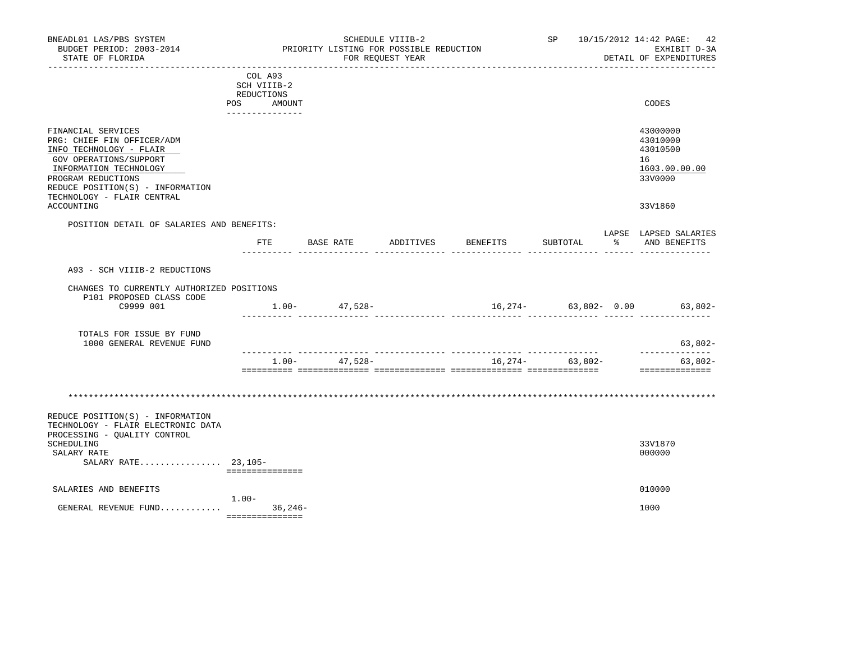| BNEADL01 LAS/PBS SYSTEM<br>BUDGET PERIOD: 2003-2014<br>STATE OF FLORIDA                                                                                                                                                               |                                                                      |           | PRIORITY LISTING FOR POSSIBLE REDUCTION | SCHEDULE VIIIB-2<br>FOR REQUEST YEAR |          |                   | SP 10/15/2012 14:42 PAGE: 42<br>EXHIBIT D-3A<br>DETAIL OF EXPENDITURES        |
|---------------------------------------------------------------------------------------------------------------------------------------------------------------------------------------------------------------------------------------|----------------------------------------------------------------------|-----------|-----------------------------------------|--------------------------------------|----------|-------------------|-------------------------------------------------------------------------------|
|                                                                                                                                                                                                                                       | COL A93<br>SCH VIIIB-2<br>REDUCTIONS<br>POS AMOUNT<br>-------------- |           |                                         |                                      |          |                   | CODES                                                                         |
| FINANCIAL SERVICES<br>PRG: CHIEF FIN OFFICER/ADM<br>INFO TECHNOLOGY - FLAIR<br>GOV OPERATIONS/SUPPORT<br>INFORMATION TECHNOLOGY<br>PROGRAM REDUCTIONS<br>REDUCE POSITION(S) - INFORMATION<br>TECHNOLOGY - FLAIR CENTRAL<br>ACCOUNTING |                                                                      |           |                                         |                                      |          |                   | 43000000<br>43010000<br>43010500<br>16<br>1603.00.00.00<br>33V0000<br>33V1860 |
|                                                                                                                                                                                                                                       |                                                                      |           |                                         |                                      |          |                   |                                                                               |
| POSITION DETAIL OF SALARIES AND BENEFITS:                                                                                                                                                                                             |                                                                      |           | FTE BASE RATE ADDITIVES                 |                                      | BENEFITS | SUBTOTAL          | LAPSE LAPSED SALARIES<br>% AND BENEFITS                                       |
| A93 - SCH VIIIB-2 REDUCTIONS<br>CHANGES TO CURRENTLY AUTHORIZED POSITIONS<br>P101 PROPOSED CLASS CODE<br>C9999 001<br>TOTALS FOR ISSUE BY FUND<br>1000 GENERAL REVENUE FUND                                                           |                                                                      |           | $1.00 - 47,528 -$                       |                                      |          |                   | 16,274- 63,802- 0.00 63,802-<br>$63,802-$<br>--------------                   |
|                                                                                                                                                                                                                                       |                                                                      |           | $1.00 - 47,528 -$                       |                                      |          | $16,274-$ 63,802- | 63,802-<br>===============                                                    |
| REDUCE POSITION(S) - INFORMATION<br>TECHNOLOGY - FLAIR ELECTRONIC DATA                                                                                                                                                                |                                                                      |           |                                         |                                      |          |                   |                                                                               |
| PROCESSING - QUALITY CONTROL<br>SCHEDULING<br>SALARY RATE<br>SALARY RATE 23,105-                                                                                                                                                      | ===============                                                      |           |                                         |                                      |          |                   | 33V1870<br>000000                                                             |
| SALARIES AND BENEFITS                                                                                                                                                                                                                 |                                                                      |           |                                         |                                      |          |                   | 010000                                                                        |
| GENERAL REVENUE FUND                                                                                                                                                                                                                  | $1.00 -$<br>===============                                          | $36,246-$ |                                         |                                      |          |                   | 1000                                                                          |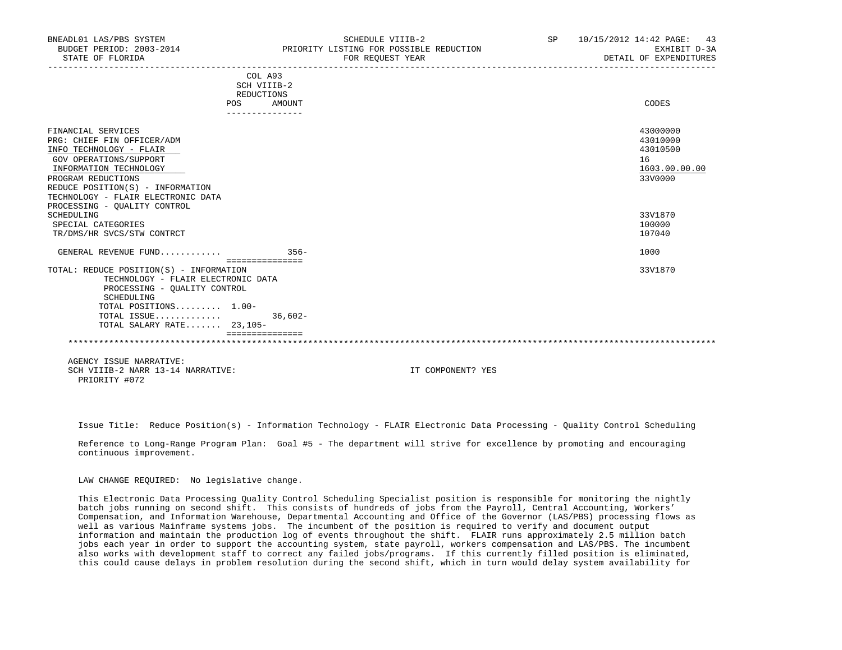| BNEADL01 LAS/PBS SYSTEM<br>BUDGET PERIOD: 2003-2014<br>STATE OF FLORIDA                                                                                                                                                                                                                                                           |                                      | SCHEDULE VIIIB-2<br>PRIORITY LISTING FOR POSSIBLE REDUCTION<br>FOR REOUEST YEAR | <b>SP</b> | 10/15/2012 14:42 PAGE: 43<br>EXHIBIT D-3A<br>DETAIL OF EXPENDITURES                               |
|-----------------------------------------------------------------------------------------------------------------------------------------------------------------------------------------------------------------------------------------------------------------------------------------------------------------------------------|--------------------------------------|---------------------------------------------------------------------------------|-----------|---------------------------------------------------------------------------------------------------|
|                                                                                                                                                                                                                                                                                                                                   | COL A93<br>SCH VIIIB-2<br>REDUCTIONS |                                                                                 |           |                                                                                                   |
|                                                                                                                                                                                                                                                                                                                                   | POS<br>AMOUNT                        |                                                                                 |           | CODES                                                                                             |
| FINANCIAL SERVICES<br>PRG: CHIEF FIN OFFICER/ADM<br>INFO TECHNOLOGY - FLAIR<br>GOV OPERATIONS/SUPPORT<br>INFORMATION TECHNOLOGY<br>PROGRAM REDUCTIONS<br>REDUCE POSITION(S) - INFORMATION<br>TECHNOLOGY - FLAIR ELECTRONIC DATA<br>PROCESSING - QUALITY CONTROL<br>SCHEDULING<br>SPECIAL CATEGORIES<br>TR/DMS/HR SVCS/STW CONTRCT |                                      |                                                                                 |           | 43000000<br>43010000<br>43010500<br>16<br>1603.00.00.00<br>33V0000<br>33V1870<br>100000<br>107040 |
| GENERAL REVENUE FUND                                                                                                                                                                                                                                                                                                              | $356-$<br>================           |                                                                                 |           | 1000                                                                                              |
| TOTAL: REDUCE POSITION(S) - INFORMATION<br>TECHNOLOGY - FLAIR ELECTRONIC DATA<br>PROCESSING - OUALITY CONTROL<br>SCHEDULING<br>TOTAL POSITIONS 1.00-<br>TOTAL ISSUE<br>TOTAL SALARY RATE 23,105-                                                                                                                                  | $36.602 -$                           |                                                                                 |           | 33V1870                                                                                           |
|                                                                                                                                                                                                                                                                                                                                   | ---------------                      |                                                                                 |           |                                                                                                   |

 AGENCY ISSUE NARRATIVE: SCH VIIIB-2 NARR 13-14 NARRATIVE: IT COMPONENT? YES PRIORITY #072

Issue Title: Reduce Position(s) - Information Technology - FLAIR Electronic Data Processing - Quality Control Scheduling

 Reference to Long-Range Program Plan: Goal #5 - The department will strive for excellence by promoting and encouraging continuous improvement.

LAW CHANGE REQUIRED: No legislative change.

 This Electronic Data Processing Quality Control Scheduling Specialist position is responsible for monitoring the nightly batch jobs running on second shift. This consists of hundreds of jobs from the Payroll, Central Accounting, Workers' Compensation, and Information Warehouse, Departmental Accounting and Office of the Governor (LAS/PBS) processing flows as well as various Mainframe systems jobs. The incumbent of the position is required to verify and document output information and maintain the production log of events throughout the shift. FLAIR runs approximately 2.5 million batch jobs each year in order to support the accounting system, state payroll, workers compensation and LAS/PBS. The incumbent also works with development staff to correct any failed jobs/programs. If this currently filled position is eliminated, this could cause delays in problem resolution during the second shift, which in turn would delay system availability for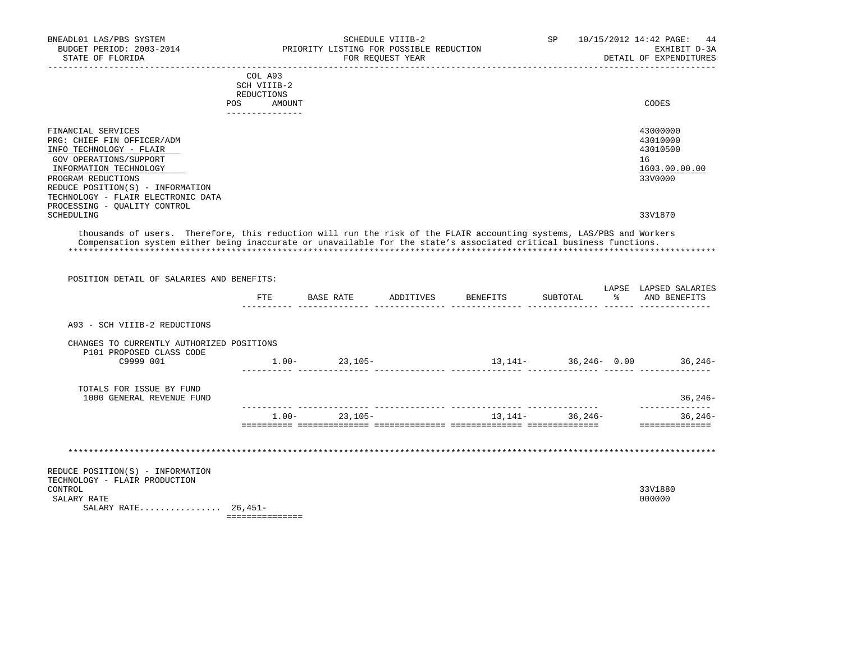| BNEADL01 LAS/PBS SYSTEM<br>BUDGET PERIOD: 2003-2014<br>STATE OF FLORIDA                                                         | SCHEDULE VIIIB-2<br>PRIORITY LISTING FOR POSSIBLE REDUCTION<br>FOR REQUEST YEAR | SP<br>10/15/2012 14:42 PAGE: | 44<br>EXHIBIT D-3A<br>DETAIL OF EXPENDITURES            |
|---------------------------------------------------------------------------------------------------------------------------------|---------------------------------------------------------------------------------|------------------------------|---------------------------------------------------------|
|                                                                                                                                 | COL A93<br>SCH VIIIB-2<br>REDUCTIONS<br>AMOUNT<br><b>POS</b>                    |                              | CODES                                                   |
| FINANCIAL SERVICES<br>PRG: CHIEF FIN OFFICER/ADM<br>INFO TECHNOLOGY - FLAIR<br>GOV OPERATIONS/SUPPORT<br>INFORMATION TECHNOLOGY |                                                                                 |                              | 43000000<br>43010000<br>43010500<br>16<br>1603.00.00.00 |
| PROGRAM REDUCTIONS<br>REDUCE POSITION(S) - INFORMATION<br>TECHNOLOGY - FLAIR ELECTRONIC DATA<br>PROCESSING - OUALITY CONTROL    |                                                                                 |                              | 33V0000                                                 |
| SCHEDULING                                                                                                                      |                                                                                 |                              | 33V1870                                                 |

 thousands of users. Therefore, this reduction will run the risk of the FLAIR accounting systems, LAS/PBS and Workers Compensation system either being inaccurate or unavailable for the state's associated critical business functions. \*\*\*\*\*\*\*\*\*\*\*\*\*\*\*\*\*\*\*\*\*\*\*\*\*\*\*\*\*\*\*\*\*\*\*\*\*\*\*\*\*\*\*\*\*\*\*\*\*\*\*\*\*\*\*\*\*\*\*\*\*\*\*\*\*\*\*\*\*\*\*\*\*\*\*\*\*\*\*\*\*\*\*\*\*\*\*\*\*\*\*\*\*\*\*\*\*\*\*\*\*\*\*\*\*\*\*\*\*\*\*\*\*\*\*\*\*\*\*\*\*\*\*\*\*\*\*

| POSITION DETAIL OF SALARIES AND BENEFITS:                             |                 |                   |                                                          |                   |                                |
|-----------------------------------------------------------------------|-----------------|-------------------|----------------------------------------------------------|-------------------|--------------------------------|
|                                                                       |                 |                   | FTE BASE RATE ADDITIVES BENEFITS SUBTOTAL % AND BENEFITS |                   | LAPSE LAPSED SALARIES          |
| A93 - SCH VIIIB-2 REDUCTIONS                                          |                 |                   |                                                          |                   |                                |
| CHANGES TO CURRENTLY AUTHORIZED POSITIONS<br>P101 PROPOSED CLASS CODE |                 |                   |                                                          |                   |                                |
| C9999 001                                                             |                 |                   | $1.00-$ 23,105- $13,141-$ 36,246- 0.00 36,246-           |                   |                                |
| TOTALS FOR ISSUE BY FUND<br>1000 GENERAL REVENUE FUND                 |                 |                   |                                                          |                   | $36, 246 -$<br>------------    |
|                                                                       |                 | $1.00 - 23,105 -$ |                                                          | $13,141-$ 36,246- | $36, 246 -$<br>_______________ |
|                                                                       |                 |                   |                                                          |                   |                                |
| REDUCE POSITION(S) - INFORMATION<br>TECHNOLOGY - FLAIR PRODUCTION     |                 |                   |                                                          |                   |                                |
| CONTROL<br>SALARY RATE                                                |                 |                   |                                                          |                   | 33V1880<br>000000              |
| SALARY RATE 26,451-                                                   | =============== |                   |                                                          |                   |                                |
|                                                                       |                 |                   |                                                          |                   |                                |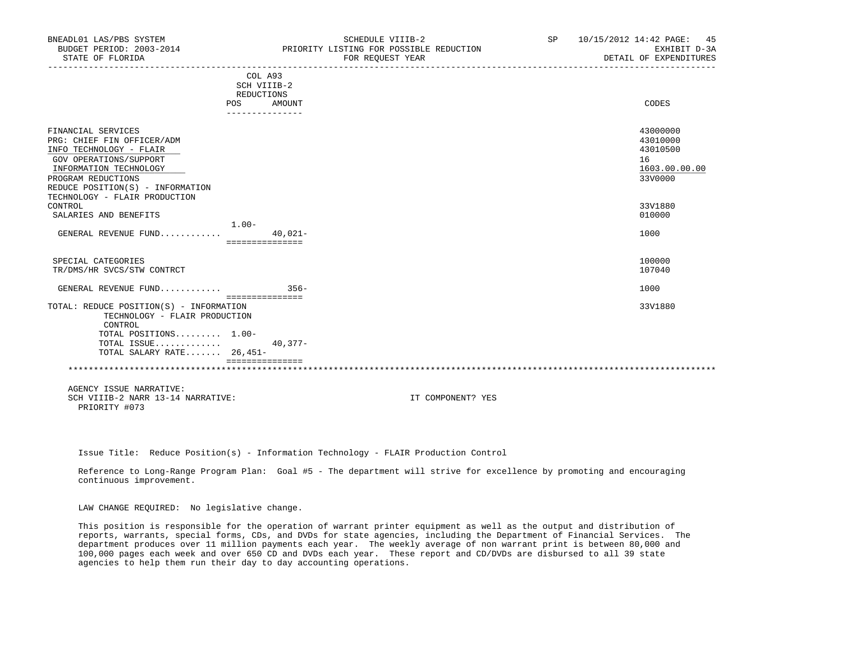| BNEADL01 LAS/PBS SYSTEM<br>BUDGET PERIOD: 2003-2014<br>STATE OF FLORIDA |                               | SCHEDULE VIIIB-2<br>PRIORITY LISTING FOR POSSIBLE REDUCTION<br>FOR REQUEST YEAR | <b>SP</b> | 10/15/2012 14:42 PAGE:<br>45<br>EXHIBIT D-3A<br>DETAIL OF EXPENDITURES |
|-------------------------------------------------------------------------|-------------------------------|---------------------------------------------------------------------------------|-----------|------------------------------------------------------------------------|
|                                                                         | COL A93                       |                                                                                 |           |                                                                        |
|                                                                         | SCH VIIIB-2                   |                                                                                 |           |                                                                        |
|                                                                         | REDUCTIONS                    |                                                                                 |           |                                                                        |
|                                                                         | POS<br>AMOUNT                 |                                                                                 |           | CODES                                                                  |
|                                                                         | ---------------               |                                                                                 |           |                                                                        |
| FINANCIAL SERVICES                                                      |                               |                                                                                 |           | 43000000                                                               |
| PRG: CHIEF FIN OFFICER/ADM                                              |                               |                                                                                 |           | 43010000                                                               |
| INFO TECHNOLOGY - FLAIR                                                 |                               |                                                                                 |           | 43010500                                                               |
| GOV OPERATIONS/SUPPORT                                                  |                               |                                                                                 |           | 16                                                                     |
| INFORMATION TECHNOLOGY                                                  |                               |                                                                                 |           | 1603.00.00.00                                                          |
| PROGRAM REDUCTIONS                                                      |                               |                                                                                 |           | 33V0000                                                                |
| REDUCE POSITION(S) - INFORMATION                                        |                               |                                                                                 |           |                                                                        |
| TECHNOLOGY - FLAIR PRODUCTION                                           |                               |                                                                                 |           |                                                                        |
| CONTROL                                                                 |                               |                                                                                 |           | 33V1880                                                                |
| SALARIES AND BENEFITS                                                   |                               |                                                                                 |           | 010000                                                                 |
|                                                                         | $1.00 -$                      |                                                                                 |           |                                                                        |
| GENERAL REVENUE FUND                                                    | $40.021 -$<br>=============== |                                                                                 |           | 1000                                                                   |
| SPECIAL CATEGORIES                                                      |                               |                                                                                 |           | 100000                                                                 |
| TR/DMS/HR SVCS/STW CONTRCT                                              |                               |                                                                                 |           | 107040                                                                 |
|                                                                         |                               |                                                                                 |           |                                                                        |
| GENERAL REVENUE FUND                                                    | $356-$                        |                                                                                 |           | 1000                                                                   |
|                                                                         | ===============               |                                                                                 |           |                                                                        |
| TOTAL: REDUCE POSITION(S) - INFORMATION                                 |                               |                                                                                 |           | 33V1880                                                                |
| TECHNOLOGY - FLAIR PRODUCTION                                           |                               |                                                                                 |           |                                                                        |
| CONTROL                                                                 |                               |                                                                                 |           |                                                                        |
| TOTAL POSITIONS 1.00-                                                   |                               |                                                                                 |           |                                                                        |
| TOTAL ISSUE<br>TOTAL SALARY RATE 26,451-                                | $40,377-$                     |                                                                                 |           |                                                                        |
|                                                                         | ===============               |                                                                                 |           |                                                                        |
|                                                                         |                               |                                                                                 |           |                                                                        |
| AGENCY ISSUE NARRATIVE:                                                 |                               |                                                                                 |           |                                                                        |
| SCH VIIIB-2 NARR 13-14 NARRATIVE:                                       |                               | IT COMPONENT? YES                                                               |           |                                                                        |
| PRIORITY #073                                                           |                               |                                                                                 |           |                                                                        |

Issue Title: Reduce Position(s) - Information Technology - FLAIR Production Control

 Reference to Long-Range Program Plan: Goal #5 - The department will strive for excellence by promoting and encouraging continuous improvement.

LAW CHANGE REQUIRED: No legislative change.

 This position is responsible for the operation of warrant printer equipment as well as the output and distribution of reports, warrants, special forms, CDs, and DVDs for state agencies, including the Department of Financial Services. The department produces over 11 million payments each year. The weekly average of non warrant print is between 80,000 and 100,000 pages each week and over 650 CD and DVDs each year. These report and CD/DVDs are disbursed to all 39 state agencies to help them run their day to day accounting operations.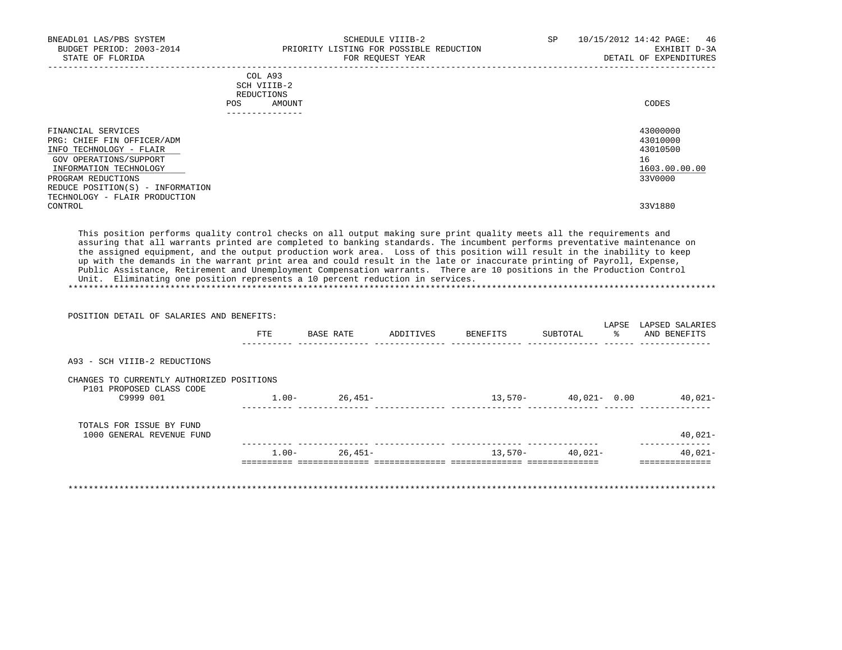| BNEADL01 LAS/PBS SYSTEM<br>BUDGET PERIOD: 2003-2014<br>STATE OF FLORIDA                                                                                                                   | SCHEDULE VIIIB-2<br>SP.<br>PRIORITY LISTING FOR POSSIBLE REDUCTION<br>FOR REOUEST YEAR                                                                                                                                                                                                                                                                                                                                                                                                                                                                                                                                    | 10/15/2012 14:42 PAGE: 46<br>EXHIBIT D-3A<br>DETAIL OF EXPENDITURES |
|-------------------------------------------------------------------------------------------------------------------------------------------------------------------------------------------|---------------------------------------------------------------------------------------------------------------------------------------------------------------------------------------------------------------------------------------------------------------------------------------------------------------------------------------------------------------------------------------------------------------------------------------------------------------------------------------------------------------------------------------------------------------------------------------------------------------------------|---------------------------------------------------------------------|
|                                                                                                                                                                                           | COL A93<br>SCH VIIIB-2<br>REDUCTIONS<br><b>POS</b><br>AMOUNT                                                                                                                                                                                                                                                                                                                                                                                                                                                                                                                                                              | CODES                                                               |
| FINANCIAL SERVICES<br>PRG: CHIEF FIN OFFICER/ADM<br>INFO TECHNOLOGY - FLAIR<br>GOV OPERATIONS/SUPPORT<br>INFORMATION TECHNOLOGY<br>PROGRAM REDUCTIONS<br>REDUCE POSITION(S) - INFORMATION |                                                                                                                                                                                                                                                                                                                                                                                                                                                                                                                                                                                                                           | 43000000<br>43010000<br>43010500<br>16<br>1603.00.00.00<br>33V0000  |
| TECHNOLOGY - FLAIR PRODUCTION<br>CONTROL                                                                                                                                                  |                                                                                                                                                                                                                                                                                                                                                                                                                                                                                                                                                                                                                           | 33V1880                                                             |
|                                                                                                                                                                                           | This position performs quality control checks on all output making sure print quality meets all the requirements and<br>assuring that all warrants printed are completed to banking standards. The incumbent performs preventative maintenance on<br>the assigned equipment, and the output production work area. Loss of this position will result in the inability to keep<br>up with the demands in the warrant print area and could result in the late or inaccurate printing of Payroll, Expense,<br>Bublis and money arbitrary and House Irange Armica arbitra consumers. Both in the first and the Bordens arbitra |                                                                     |

Public Assistance, Retirement and Unemployment Compensation warrants. There are 10 positions in the Production Control

 Unit. Eliminating one position represents a 10 percent reduction in services. \*\*\*\*\*\*\*\*\*\*\*\*\*\*\*\*\*\*\*\*\*\*\*\*\*\*\*\*\*\*\*\*\*\*\*\*\*\*\*\*\*\*\*\*\*\*\*\*\*\*\*\*\*\*\*\*\*\*\*\*\*\*\*\*\*\*\*\*\*\*\*\*\*\*\*\*\*\*\*\*\*\*\*\*\*\*\*\*\*\*\*\*\*\*\*\*\*\*\*\*\*\*\*\*\*\*\*\*\*\*\*\*\*\*\*\*\*\*\*\*\*\*\*\*\*\*\*

| POSITION DETAIL OF SALARIES AND BENEFITS:                             |          |           |           |          |                      |                        |                                 |
|-----------------------------------------------------------------------|----------|-----------|-----------|----------|----------------------|------------------------|---------------------------------|
|                                                                       | FTE      | BASE RATE | ADDITIVES | BENEFITS | SUBTOTAL             | LAPSE<br>$\frac{1}{2}$ | LAPSED SALARIES<br>AND BENEFITS |
| A93 - SCH VIIIB-2 REDUCTIONS                                          |          |           |           |          |                      |                        |                                 |
| CHANGES TO CURRENTLY AUTHORIZED POSITIONS<br>P101 PROPOSED CLASS CODE |          |           |           |          |                      |                        |                                 |
| C9999 001                                                             | $1.00-$  | $26,451-$ |           |          | $13,570-40,021-0.00$ |                        | 40,021-                         |
| TOTALS FOR ISSUE BY FUND<br>1000 GENERAL REVENUE FUND                 |          |           |           |          |                      |                        | $40,021-$                       |
|                                                                       | $1.00 -$ | $26,451-$ |           | 13,570-  | 40,021-              |                        | --------------<br>40,021-       |

\*\*\*\*\*\*\*\*\*\*\*\*\*\*\*\*\*\*\*\*\*\*\*\*\*\*\*\*\*\*\*\*\*\*\*\*\*\*\*\*\*\*\*\*\*\*\*\*\*\*\*\*\*\*\*\*\*\*\*\*\*\*\*\*\*\*\*\*\*\*\*\*\*\*\*\*\*\*\*\*\*\*\*\*\*\*\*\*\*\*\*\*\*\*\*\*\*\*\*\*\*\*\*\*\*\*\*\*\*\*\*\*\*\*\*\*\*\*\*\*\*\*\*\*\*\*\*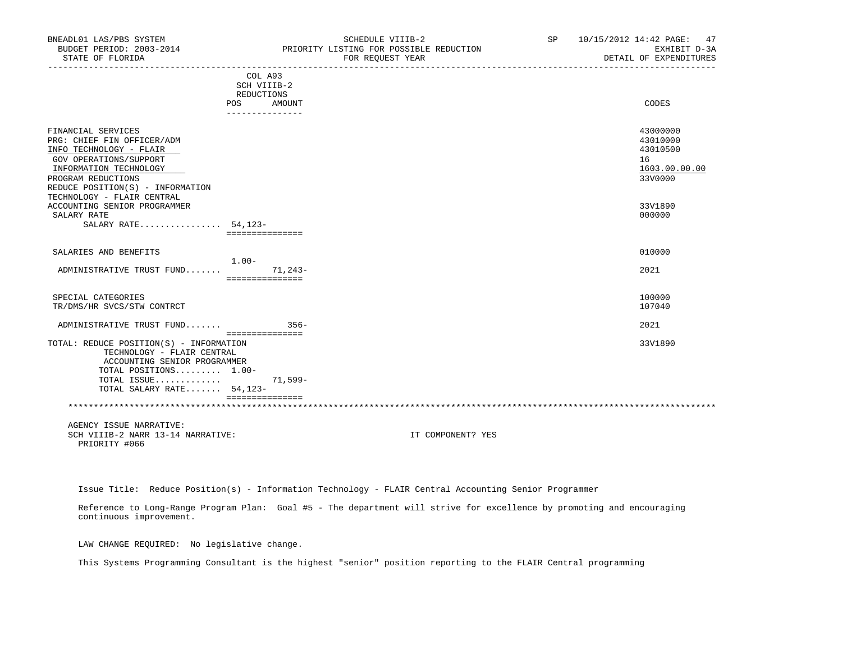| BNEADL01 LAS/PBS SYSTEM<br>BUDGET PERIOD: 2003-2014<br>STATE OF FLORIDA                                                                                                                   |                                                    |           | SCHEDULE VIIIB-2<br>PRIORITY LISTING FOR POSSIBLE REDUCTION<br>FOR REOUEST YEAR | SP 10/15/2012 14:42 PAGE: 47 | EXHIBIT D-3A<br>DETAIL OF EXPENDITURES                 |
|-------------------------------------------------------------------------------------------------------------------------------------------------------------------------------------------|----------------------------------------------------|-----------|---------------------------------------------------------------------------------|------------------------------|--------------------------------------------------------|
|                                                                                                                                                                                           | COL A93<br>SCH VIIIB-2<br>REDUCTIONS<br>POS AMOUNT |           |                                                                                 |                              | CODES                                                  |
|                                                                                                                                                                                           | _______________                                    |           |                                                                                 |                              | 43000000                                               |
| FINANCIAL SERVICES<br>PRG: CHIEF FIN OFFICER/ADM<br>INFO TECHNOLOGY - FLAIR<br>GOV OPERATIONS/SUPPORT<br>INFORMATION TECHNOLOGY<br>PROGRAM REDUCTIONS<br>REDUCE POSITION(S) - INFORMATION |                                                    |           |                                                                                 |                              | 43010000<br>43010500<br>16<br>1603.00.00.00<br>33V0000 |
| TECHNOLOGY - FLAIR CENTRAL<br>ACCOUNTING SENIOR PROGRAMMER<br>SALARY RATE<br>SALARY RATE $54,123-$                                                                                        | ===============                                    |           |                                                                                 |                              | 33V1890<br>000000                                      |
| SALARIES AND BENEFITS                                                                                                                                                                     |                                                    |           |                                                                                 |                              | 010000                                                 |
| ADMINISTRATIVE TRUST FUND                                                                                                                                                                 | 1.00-<br><b>BEBBBBBBBBBBBBB</b>                    | $71,243-$ |                                                                                 |                              | 2021                                                   |
| SPECIAL CATEGORIES<br>TR/DMS/HR SVCS/STW CONTRCT                                                                                                                                          |                                                    |           |                                                                                 |                              | 100000<br>107040                                       |
| ADMINISTRATIVE TRUST FUND                                                                                                                                                                 |                                                    | $356-$    |                                                                                 |                              | 2021                                                   |
| TOTAL: REDUCE POSITION(S) - INFORMATION<br>TECHNOLOGY - FLAIR CENTRAL<br>ACCOUNTING SENIOR PROGRAMMER<br>TOTAL POSITIONS 1.00-<br>TOTAL ISSUE                                             | ----------------                                   | 71,599-   |                                                                                 |                              | 33V1890                                                |
| TOTAL SALARY RATE 54,123-                                                                                                                                                                 | ===============                                    |           |                                                                                 |                              |                                                        |
|                                                                                                                                                                                           |                                                    |           |                                                                                 |                              |                                                        |
| AGENCY ISSUE NARRATIVE:<br>SCH VIIIB-2 NARR 13-14 NARRATIVE:<br>PRIORITY #066                                                                                                             |                                                    |           | IT COMPONENT? YES                                                               |                              |                                                        |

Issue Title: Reduce Position(s) - Information Technology - FLAIR Central Accounting Senior Programmer

 Reference to Long-Range Program Plan: Goal #5 - The department will strive for excellence by promoting and encouraging continuous improvement.

LAW CHANGE REQUIRED: No legislative change.

This Systems Programming Consultant is the highest "senior" position reporting to the FLAIR Central programming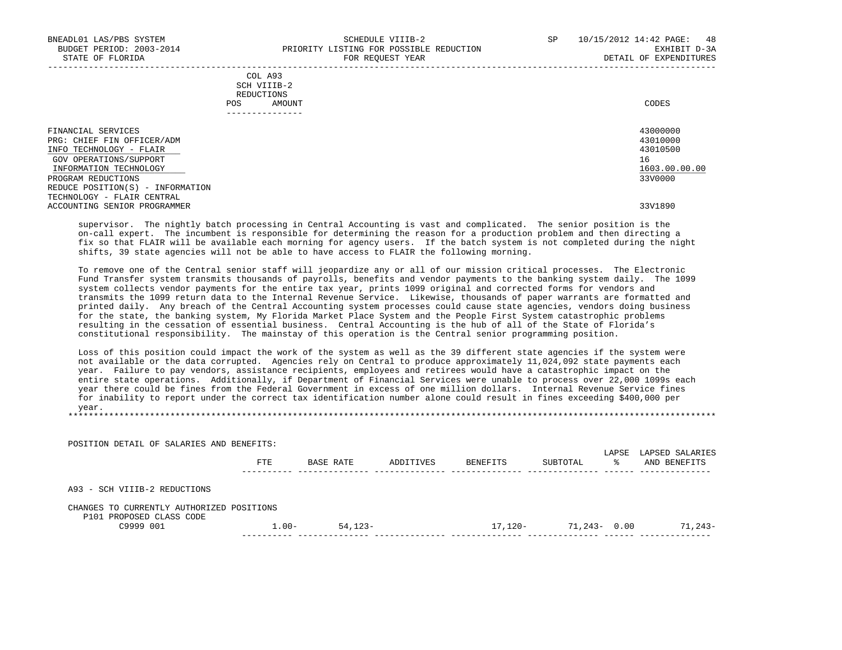-----------------------------------------------------------------------------------------------------------------------------------

|            | _______________ |       |
|------------|-----------------|-------|
| POS        | AMOUNT          | CODES |
| REDUCTIONS |                 |       |
|            | SCH VIIIB-2     |       |
|            | COL A93         |       |

| FINANCIAL SERVICES               | 43000000      |
|----------------------------------|---------------|
| PRG: CHIEF FIN OFFICER/ADM       | 43010000      |
| INFO TECHNOLOGY - FLAIR          | 43010500      |
| GOV OPERATIONS/SUPPORT           | 16            |
| INFORMATION TECHNOLOGY           | 1603.00.00.00 |
| PROGRAM REDUCTIONS               | 33V0000       |
| REDUCE POSITION(S) - INFORMATION |               |
| TECHNOLOGY - FLAIR CENTRAL       |               |
| ACCOUNTING SENIOR PROGRAMMER     | 33V1890       |
|                                  |               |

 supervisor. The nightly batch processing in Central Accounting is vast and complicated. The senior position is the on-call expert. The incumbent is responsible for determining the reason for a production problem and then directing a fix so that FLAIR will be available each morning for agency users. If the batch system is not completed during the night shifts, 39 state agencies will not be able to have access to FLAIR the following morning.

 To remove one of the Central senior staff will jeopardize any or all of our mission critical processes. The Electronic Fund Transfer system transmits thousands of payrolls, benefits and vendor payments to the banking system daily. The 1099 system collects vendor payments for the entire tax year, prints 1099 original and corrected forms for vendors and transmits the 1099 return data to the Internal Revenue Service. Likewise, thousands of paper warrants are formatted and printed daily. Any breach of the Central Accounting system processes could cause state agencies, vendors doing business for the state, the banking system, My Florida Market Place System and the People First System catastrophic problems resulting in the cessation of essential business. Central Accounting is the hub of all of the State of Florida's constitutional responsibility. The mainstay of this operation is the Central senior programming position.

 Loss of this position could impact the work of the system as well as the 39 different state agencies if the system were not available or the data corrupted. Agencies rely on Central to produce approximately 11,024,092 state payments each year. Failure to pay vendors, assistance recipients, employees and retirees would have a catastrophic impact on the entire state operations. Additionally, if Department of Financial Services were unable to process over 22,000 1099s each year there could be fines from the Federal Government in excess of one million dollars. Internal Revenue Service fines for inability to report under the correct tax identification number alone could result in fines exceeding \$400,000 per year.<br>\*\*\*\*\*\*\*\*\*\* \*\*\*\*\*\*\*\*\*\*\*\*\*\*\*\*\*\*\*\*\*\*\*\*\*\*\*\*\*\*\*\*\*\*\*\*\*\*\*\*\*\*\*\*\*\*\*\*\*\*\*\*\*\*\*\*\*\*\*\*\*\*\*\*\*\*\*\*\*\*\*\*\*\*\*\*\*\*\*\*\*\*\*\*\*\*\*\*\*\*\*\*\*\*\*\*\*\*\*\*\*\*\*\*\*\*\*\*\*\*\*\*\*\*\*\*\*\*\*\*\*\*\*\*\*\*\*

| POSITION DETAIL OF SALARIES AND BENEFITS:                             |            |            |           |          |                 |            |                                 |
|-----------------------------------------------------------------------|------------|------------|-----------|----------|-----------------|------------|---------------------------------|
|                                                                       | <b>FTE</b> | BASE RATE  | ADDITIVES | BENEFITS | SUBTOTAL        | LAPSE<br>ୁ | LAPSED SALARIES<br>AND BENEFITS |
| A93 - SCH VIIIB-2 REDUCTIONS                                          |            |            |           |          |                 |            |                                 |
| CHANGES TO CURRENTLY AUTHORIZED POSITIONS<br>P101 PROPOSED CLASS CODE |            |            |           |          |                 |            |                                 |
| C9999 001                                                             | $1.00 -$   | $54.123 -$ |           | 17,120-  | $71,243 - 0.00$ |            | $71.243-$                       |
|                                                                       |            |            |           |          |                 |            |                                 |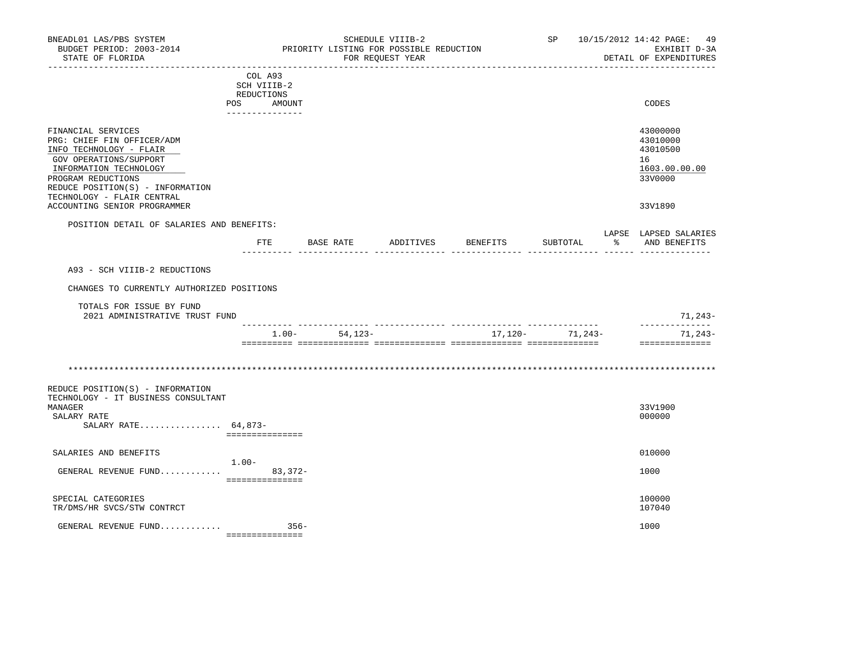| BNEADL01 LAS/PBS SYSTEM<br>BUDGET PERIOD: 2003-2014<br>STATE OF FLORIDA                                                                                                                                                 |            |                                                         |                   | SCHEDULE VIIIB-2<br>PRIORITY LISTING FOR POSSIBLE REDUCTION<br>FOR REOUEST YEAR | _______________________ |                  |                              | SP 10/15/2012 14:42 PAGE: 49<br>EXHIBIT D-3A<br>DETAIL OF EXPENDITURES |
|-------------------------------------------------------------------------------------------------------------------------------------------------------------------------------------------------------------------------|------------|---------------------------------------------------------|-------------------|---------------------------------------------------------------------------------|-------------------------|------------------|------------------------------|------------------------------------------------------------------------|
|                                                                                                                                                                                                                         | REDUCTIONS | COL A93<br>SCH VIIIB-2<br>POS AMOUNT<br>_______________ |                   |                                                                                 |                         |                  |                              | CODES                                                                  |
| FINANCIAL SERVICES<br>PRG: CHIEF FIN OFFICER/ADM<br>INFO TECHNOLOGY - FLAIR<br>GOV OPERATIONS/SUPPORT<br>INFORMATION TECHNOLOGY<br>PROGRAM REDUCTIONS<br>REDUCE POSITION(S) - INFORMATION<br>TECHNOLOGY - FLAIR CENTRAL |            |                                                         |                   |                                                                                 |                         |                  |                              | 43000000<br>43010000<br>43010500<br>16<br>1603.00.00.00<br>33V0000     |
| ACCOUNTING SENIOR PROGRAMMER                                                                                                                                                                                            |            |                                                         |                   |                                                                                 |                         |                  |                              | 33V1890                                                                |
| POSITION DETAIL OF SALARIES AND BENEFITS:                                                                                                                                                                               |            | FTE                                                     | BASE RATE         | ADDITIVES BENEFITS                                                              |                         | SUBTOTAL         | - 왕 - 왕<br>------ ------ --- | LAPSE LAPSED SALARIES<br>AND BENEFITS                                  |
| A93 - SCH VIIIB-2 REDUCTIONS                                                                                                                                                                                            |            |                                                         |                   |                                                                                 |                         |                  |                              |                                                                        |
| CHANGES TO CURRENTLY AUTHORIZED POSITIONS                                                                                                                                                                               |            |                                                         |                   |                                                                                 |                         |                  |                              |                                                                        |
| TOTALS FOR ISSUE BY FUND<br>2021 ADMINISTRATIVE TRUST FUND                                                                                                                                                              |            |                                                         |                   |                                                                                 |                         |                  |                              | 71,243-                                                                |
|                                                                                                                                                                                                                         |            |                                                         | $1.00 - 54.123 -$ |                                                                                 |                         | $17,120-71,243-$ |                              | --------------<br>71,243-<br>==============                            |
| REDUCE POSITION(S) - INFORMATION<br>TECHNOLOGY - IT BUSINESS CONSULTANT<br>MANAGER<br>SALARY RATE                                                                                                                       |            |                                                         |                   |                                                                                 |                         |                  |                              | 33V1900<br>000000                                                      |
| SALARY RATE $64,873-$                                                                                                                                                                                                   |            | ===============                                         |                   |                                                                                 |                         |                  |                              |                                                                        |
| SALARIES AND BENEFITS                                                                                                                                                                                                   | $1.00-$    |                                                         |                   |                                                                                 |                         |                  |                              | 010000                                                                 |
| GENERAL REVENUE FUND                                                                                                                                                                                                    |            | 83,372-<br>===============                              |                   |                                                                                 |                         |                  |                              | 1000                                                                   |
| SPECIAL CATEGORIES<br>TR/DMS/HR SVCS/STW CONTRCT                                                                                                                                                                        |            |                                                         |                   |                                                                                 |                         |                  |                              | 100000<br>107040                                                       |
| GENERAL REVENUE FUND                                                                                                                                                                                                    |            | $356-$<br>----------------                              |                   |                                                                                 |                         |                  |                              | 1000                                                                   |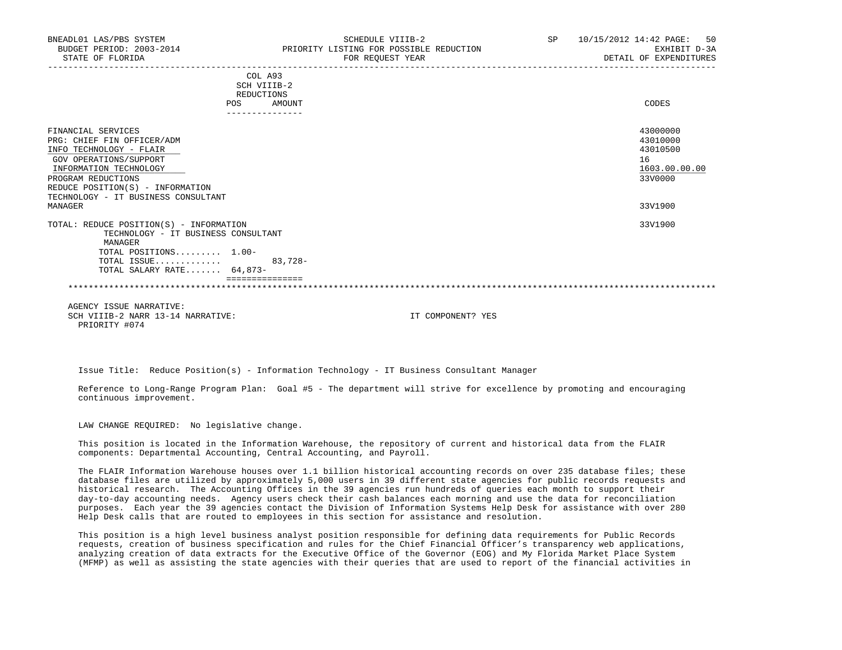| BNEADL01 LAS/PBS SYSTEM<br>BUDGET PERIOD: 2003-2014<br>STATE OF FLORIDA                                                                                                                                                                     | SCHEDULE VIIIB-2<br>PRIORITY LISTING FOR POSSIBLE REDUCTION<br>FOR REOUEST YEAR | SP 10/15/2012 14:42 PAGE: 50<br>EXHIBIT D-3A<br>DETAIL OF EXPENDITURES        |
|---------------------------------------------------------------------------------------------------------------------------------------------------------------------------------------------------------------------------------------------|---------------------------------------------------------------------------------|-------------------------------------------------------------------------------|
|                                                                                                                                                                                                                                             | COL A93<br>SCH VIIIB-2<br>REDUCTIONS<br>AMOUNT<br>POS<br>---------------        | CODES                                                                         |
| FINANCIAL SERVICES<br>PRG: CHIEF FIN OFFICER/ADM<br>INFO TECHNOLOGY - FLAIR<br>GOV OPERATIONS/SUPPORT<br>INFORMATION TECHNOLOGY<br>PROGRAM REDUCTIONS<br>REDUCE POSITION(S) - INFORMATION<br>TECHNOLOGY - IT BUSINESS CONSULTANT<br>MANAGER |                                                                                 | 43000000<br>43010000<br>43010500<br>16<br>1603.00.00.00<br>33V0000<br>33V1900 |
| TOTAL: REDUCE POSITION(S) - INFORMATION<br>TECHNOLOGY - IT BUSINESS CONSULTANT<br>MANAGER<br>TOTAL POSITIONS $1.00-$<br>TOTAL ISSUE<br>TOTAL SALARY RATE 64,873-                                                                            | $83,728-$                                                                       | 33V1900                                                                       |
|                                                                                                                                                                                                                                             |                                                                                 |                                                                               |

 AGENCY ISSUE NARRATIVE: SCH VIIIB-2 NARR 13-14 NARRATIVE: IT COMPONENT? YES PRIORITY #074

Issue Title: Reduce Position(s) - Information Technology - IT Business Consultant Manager

 Reference to Long-Range Program Plan: Goal #5 - The department will strive for excellence by promoting and encouraging continuous improvement.

LAW CHANGE REQUIRED: No legislative change.

 This position is located in the Information Warehouse, the repository of current and historical data from the FLAIR components: Departmental Accounting, Central Accounting, and Payroll.

 The FLAIR Information Warehouse houses over 1.1 billion historical accounting records on over 235 database files; these database files are utilized by approximately 5,000 users in 39 different state agencies for public records requests and historical research. The Accounting Offices in the 39 agencies run hundreds of queries each month to support their day-to-day accounting needs. Agency users check their cash balances each morning and use the data for reconciliation purposes. Each year the 39 agencies contact the Division of Information Systems Help Desk for assistance with over 280 Help Desk calls that are routed to employees in this section for assistance and resolution.

 This position is a high level business analyst position responsible for defining data requirements for Public Records requests, creation of business specification and rules for the Chief Financial Officer's transparency web applications, analyzing creation of data extracts for the Executive Office of the Governor (EOG) and My Florida Market Place System (MFMP) as well as assisting the state agencies with their queries that are used to report of the financial activities in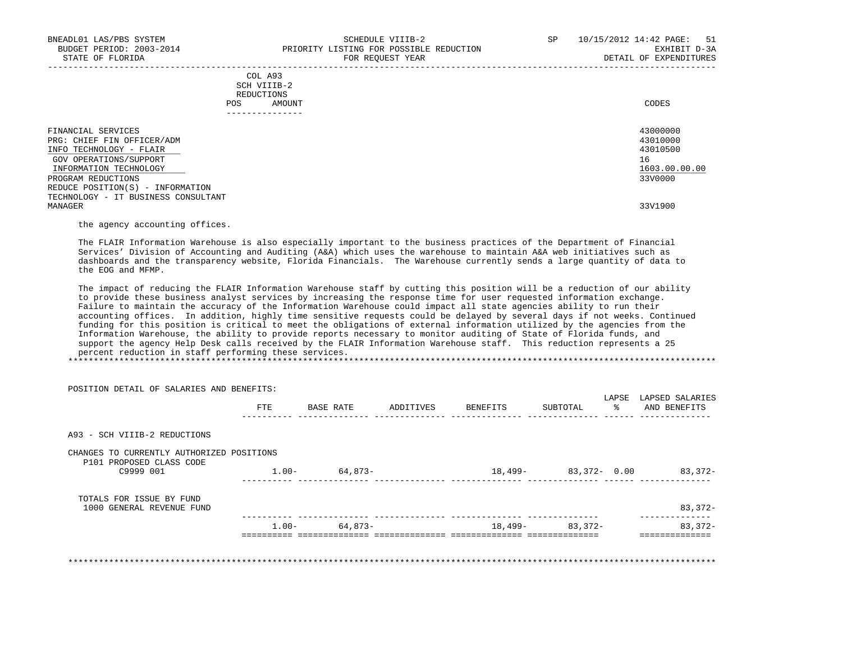-----------------------------------------------------------------------------------------------------------------------------------

|            | COL A93     |       |
|------------|-------------|-------|
|            | SCH VIIIB-2 |       |
| REDUCTIONS |             |       |
| POS        | AMOUNT      | CODES |

| ____________                                     |                      |
|--------------------------------------------------|----------------------|
| FINANCIAL SERVICES<br>PRG: CHIEF FIN OFFICER/ADM | 43000000<br>43010000 |
| INFO TECHNOLOGY - FLAIR                          | 43010500             |
| GOV OPERATIONS/SUPPORT                           | 16                   |
| INFORMATION TECHNOLOGY                           | 1603.00.00.00        |
| PROGRAM REDUCTIONS                               | 33V0000              |
| REDUCE POSITION(S) - INFORMATION                 |                      |
| TECHNOLOGY - IT BUSINESS CONSULTANT              |                      |
| MANAGER                                          | 33V1900              |

## the agency accounting offices.

 The FLAIR Information Warehouse is also especially important to the business practices of the Department of Financial Services' Division of Accounting and Auditing (A&A) which uses the warehouse to maintain A&A web initiatives such as dashboards and the transparency website, Florida Financials. The Warehouse currently sends a large quantity of data to the EOG and MFMP.

 The impact of reducing the FLAIR Information Warehouse staff by cutting this position will be a reduction of our ability to provide these business analyst services by increasing the response time for user requested information exchange. Failure to maintain the accuracy of the Information Warehouse could impact all state agencies ability to run their accounting offices. In addition, highly time sensitive requests could be delayed by several days if not weeks. Continued funding for this position is critical to meet the obligations of external information utilized by the agencies from the Information Warehouse, the ability to provide reports necessary to monitor auditing of State of Florida funds, and support the agency Help Desk calls received by the FLAIR Information Warehouse staff. This reduction represents a 25 percent reduction in staff performing these services.

\*\*\*\*\*\*\*\*\*\*\*\*\*\*\*\*\*\*\*\*\*\*\*\*\*\*\*\*\*\*\*\*\*\*\*\*\*\*\*\*\*\*\*\*\*\*\*\*\*\*\*\*\*\*\*\*\*\*\*\*\*\*\*\*\*\*\*\*\*\*\*\*\*\*\*\*\*\*\*\*\*\*\*\*\*\*\*\*\*\*\*\*\*\*\*\*\*\*\*\*\*\*\*\*\*\*\*\*\*\*\*\*\*\*\*\*\*\*\*\*\*\*\*\*\*\*\*

| POSITION DETAIL OF SALARIES AND BENEFITS:                             |          |           |           |          |             | LAPSE | LAPSED SALARIES |
|-----------------------------------------------------------------------|----------|-----------|-----------|----------|-------------|-------|-----------------|
|                                                                       | FTE      | BASE RATE | ADDITIVES | BENEFITS | SUBTOTAL    | - 왕   | AND BENEFITS    |
| A93 - SCH VIIIB-2 REDUCTIONS                                          |          |           |           |          |             |       |                 |
| CHANGES TO CURRENTLY AUTHORIZED POSITIONS<br>P101 PROPOSED CLASS CODE |          |           |           |          |             |       |                 |
| C9999 001                                                             | $1.00 -$ | 64,873-   |           | 18,499–  | 83,372-0.00 |       | 83,372-         |
| TOTALS FOR ISSUE BY FUND                                              |          |           |           |          |             |       |                 |
| 1000 GENERAL REVENUE FUND                                             |          |           |           |          |             |       | $83,372-$       |
|                                                                       | $1.00 -$ | 64,873-   |           | 18,499-  | 83,372-     |       | 83,372-         |

\*\*\*\*\*\*\*\*\*\*\*\*\*\*\*\*\*\*\*\*\*\*\*\*\*\*\*\*\*\*\*\*\*\*\*\*\*\*\*\*\*\*\*\*\*\*\*\*\*\*\*\*\*\*\*\*\*\*\*\*\*\*\*\*\*\*\*\*\*\*\*\*\*\*\*\*\*\*\*\*\*\*\*\*\*\*\*\*\*\*\*\*\*\*\*\*\*\*\*\*\*\*\*\*\*\*\*\*\*\*\*\*\*\*\*\*\*\*\*\*\*\*\*\*\*\*\*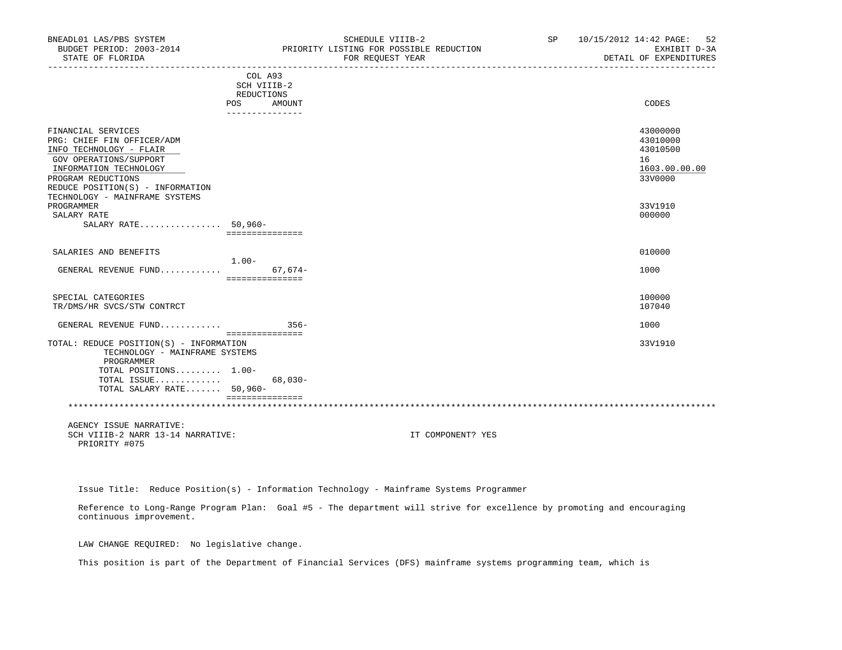| BNEADL01 LAS/PBS SYSTEM                      |                                         | SCHEDULE VIIIB-2                        | SP | 10/15/2012 14:42 PAGE: 52 |
|----------------------------------------------|-----------------------------------------|-----------------------------------------|----|---------------------------|
| BUDGET PERIOD: 2003-2014                     |                                         | PRIORITY LISTING FOR POSSIBLE REDUCTION |    | EXHIBIT D-3A              |
| STATE OF FLORIDA                             |                                         | FOR REOUEST YEAR                        |    | DETAIL OF EXPENDITURES    |
|                                              | COL A93                                 |                                         |    |                           |
|                                              | SCH VIIIB-2                             |                                         |    |                           |
|                                              | REDUCTIONS                              |                                         |    |                           |
|                                              | <b>POS</b><br>AMOUNT<br>--------------- |                                         |    | CODES                     |
| FINANCIAL SERVICES                           |                                         |                                         |    | 43000000                  |
| PRG: CHIEF FIN OFFICER/ADM                   |                                         |                                         |    | 43010000                  |
| INFO TECHNOLOGY - FLAIR                      |                                         |                                         |    | 43010500                  |
| GOV OPERATIONS/SUPPORT                       |                                         |                                         |    | 16                        |
| INFORMATION TECHNOLOGY                       |                                         |                                         |    | 1603.00.00.00             |
|                                              |                                         |                                         |    |                           |
| PROGRAM REDUCTIONS                           |                                         |                                         |    | 33V0000                   |
| REDUCE POSITION(S) - INFORMATION             |                                         |                                         |    |                           |
| TECHNOLOGY - MAINFRAME SYSTEMS               |                                         |                                         |    |                           |
| PROGRAMMER                                   |                                         |                                         |    | 33V1910                   |
| SALARY RATE                                  |                                         |                                         |    | 000000                    |
| SALARY RATE 50,960-                          |                                         |                                         |    |                           |
|                                              | ===============                         |                                         |    |                           |
| SALARIES AND BENEFITS                        |                                         |                                         |    | 010000                    |
|                                              | $1.00-$                                 |                                         |    |                           |
| GENERAL REVENUE FUND                         | $67,674-$                               |                                         |    | 1000                      |
|                                              | - ===============                       |                                         |    |                           |
| SPECIAL CATEGORIES                           |                                         |                                         |    | 100000                    |
| TR/DMS/HR SVCS/STW CONTRCT                   |                                         |                                         |    | 107040                    |
| GENERAL REVENUE FUND                         | $356 -$                                 |                                         |    | 1000                      |
|                                              | - ================                      |                                         |    |                           |
| TOTAL: REDUCE POSITION(S) - INFORMATION      |                                         |                                         |    | 33V1910                   |
| TECHNOLOGY - MAINFRAME SYSTEMS<br>PROGRAMMER |                                         |                                         |    |                           |
| TOTAL POSITIONS 1.00-                        |                                         |                                         |    |                           |
| TOTAL ISSUE                                  | $68,030-$                               |                                         |    |                           |
| TOTAL SALARY RATE 50,960-                    |                                         |                                         |    |                           |
|                                              | ===============                         |                                         |    |                           |
|                                              |                                         |                                         |    |                           |
| AGENCY ISSUE NARRATIVE:                      |                                         |                                         |    |                           |
| SCH VIIIB-2 NARR 13-14 NARRATIVE:            |                                         | IT COMPONENT? YES                       |    |                           |
| PRIORITY #075                                |                                         |                                         |    |                           |

Issue Title: Reduce Position(s) - Information Technology - Mainframe Systems Programmer

 Reference to Long-Range Program Plan: Goal #5 - The department will strive for excellence by promoting and encouraging continuous improvement.

LAW CHANGE REQUIRED: No legislative change.

This position is part of the Department of Financial Services (DFS) mainframe systems programming team, which is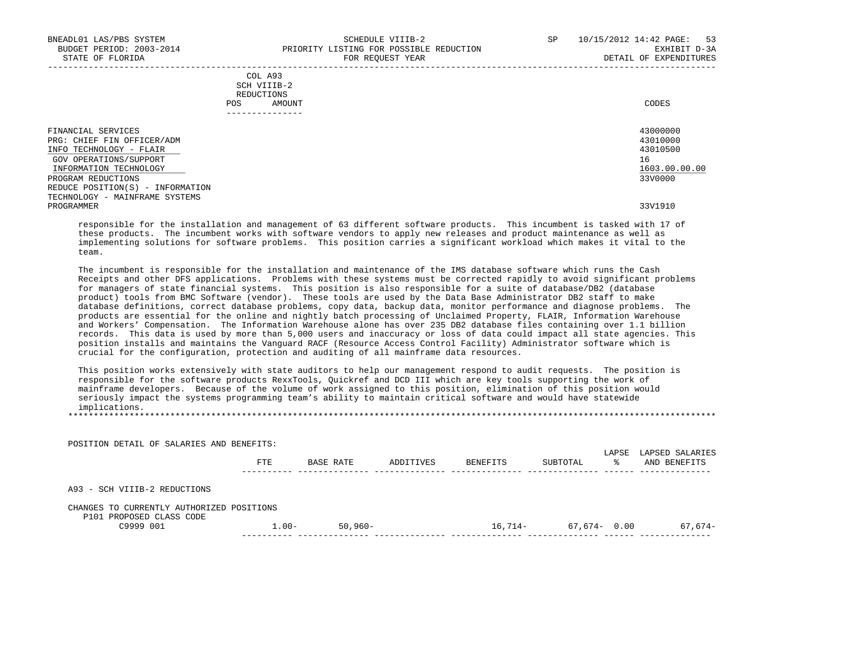-----------------------------------------------------------------------------------------------------------------------------------

|            | _______________ |       |
|------------|-----------------|-------|
| POS        | AMOUNT          | CODES |
| REDUCTIONS |                 |       |
|            | SCH VIIIB-2     |       |
|            | COL A93         |       |

| FINANCIAL SERVICES<br>PRG: CHIEF FIN OFFICER/ADM | 43000000<br>43010000 |
|--------------------------------------------------|----------------------|
| INFO TECHNOLOGY - FLAIR                          | 43010500             |
| GOV OPERATIONS/SUPPORT                           | 16                   |
| INFORMATION TECHNOLOGY                           | 1603.00.00.00        |
| PROGRAM REDUCTIONS                               | 33V0000              |
| REDUCE POSITION(S) - INFORMATION                 |                      |
| TECHNOLOGY - MAINFRAME SYSTEMS                   |                      |
| PROGRAMMER                                       | 33V1910              |

 responsible for the installation and management of 63 different software products. This incumbent is tasked with 17 of these products. The incumbent works with software vendors to apply new releases and product maintenance as well as implementing solutions for software problems. This position carries a significant workload which makes it vital to the team.

 The incumbent is responsible for the installation and maintenance of the IMS database software which runs the Cash Receipts and other DFS applications. Problems with these systems must be corrected rapidly to avoid significant problems for managers of state financial systems. This position is also responsible for a suite of database/DB2 (database product) tools from BMC Software (vendor). These tools are used by the Data Base Administrator DB2 staff to make database definitions, correct database problems, copy data, backup data, monitor performance and diagnose problems. The products are essential for the online and nightly batch processing of Unclaimed Property, FLAIR, Information Warehouse and Workers' Compensation. The Information Warehouse alone has over 235 DB2 database files containing over 1.1 billion records. This data is used by more than 5,000 users and inaccuracy or loss of data could impact all state agencies. This position installs and maintains the Vanguard RACF (Resource Access Control Facility) Administrator software which is crucial for the configuration, protection and auditing of all mainframe data resources.

 This position works extensively with state auditors to help our management respond to audit requests. The position is responsible for the software products RexxTools, Quickref and DCD III which are key tools supporting the work of mainframe developers. Because of the volume of work assigned to this position, elimination of this position would seriously impact the systems programming team's ability to maintain critical software and would have statewide implications. \*\*\*\*\*\*\*\*\*\*\*\*\*\*\*\*\*\*\*\*\*\*\*\*\*\*\*\*\*\*\*\*\*\*\*\*\*\*\*\*\*\*\*\*\*\*\*\*\*\*\*\*\*\*\*\*\*\*\*\*\*\*\*\*\*\*\*\*\*\*\*\*\*\*\*\*\*\*\*\*\*\*\*\*\*\*\*\*\*\*\*\*\*\*\*\*\*\*\*\*\*\*\*\*\*\*\*\*\*\*\*\*\*\*\*\*\*\*\*\*\*\*\*\*\*\*\*

| POSITION DETAIL OF SALARIES AND BENEFITS:                             |          |            |           |          |                 |            |                                 |
|-----------------------------------------------------------------------|----------|------------|-----------|----------|-----------------|------------|---------------------------------|
|                                                                       | FTE      | BASE RATE  | ADDITIVES | BENEFITS | SUBTOTAL        | LAPSE<br>° | LAPSED SALARIES<br>AND BENEFITS |
| A93 - SCH VIIIB-2 REDUCTIONS                                          |          |            |           |          |                 |            |                                 |
| CHANGES TO CURRENTLY AUTHORIZED POSITIONS<br>P101 PROPOSED CLASS CODE |          |            |           |          |                 |            |                                 |
| C9999 001                                                             | $1.00 -$ | $50.960 -$ |           | 16,714-  | $67,674 - 0.00$ |            | $67.674-$                       |
|                                                                       |          |            |           |          |                 |            |                                 |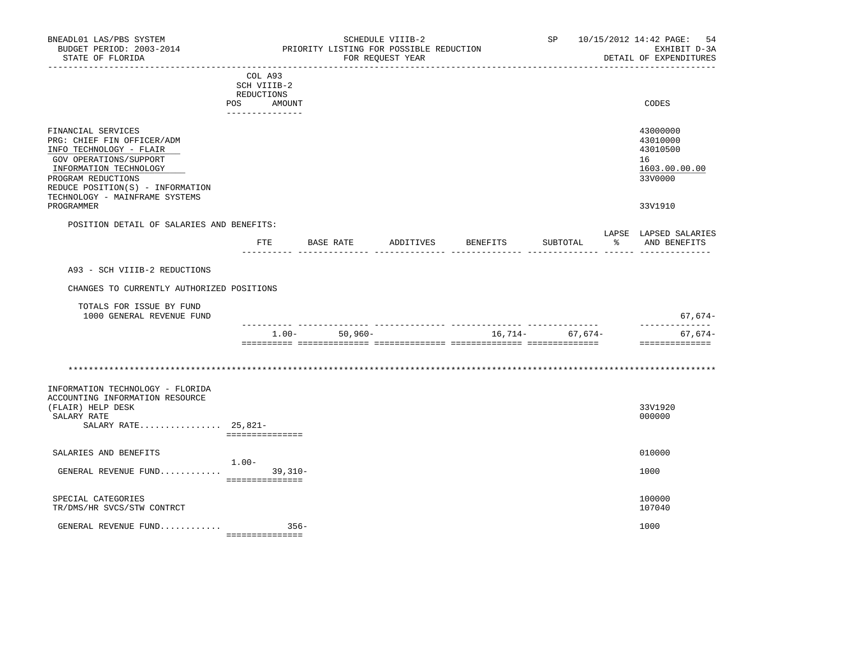| BNEADL01 LAS/PBS SYSTEM<br>BUDGET PERIOD: 2003-2014<br>STATE OF FLORIDA                                                                                                                                                     |                                                                       |           | SCHEDULE VIIIB-2<br>PRIORITY LISTING FOR POSSIBLE REDUCTION<br>FOR REQUEST YEAR |  |                                       |                       | SP 10/15/2012 14:42 PAGE:<br>DETAIL OF EXPENDITURES |                                                                    |  |
|-----------------------------------------------------------------------------------------------------------------------------------------------------------------------------------------------------------------------------|-----------------------------------------------------------------------|-----------|---------------------------------------------------------------------------------|--|---------------------------------------|-----------------------|-----------------------------------------------------|--------------------------------------------------------------------|--|
|                                                                                                                                                                                                                             | COL A93<br>SCH VIIIB-2<br>REDUCTIONS<br>POS AMOUNT<br>--------------- |           |                                                                                 |  | ------------------------------------- |                       |                                                     | CODES                                                              |  |
| FINANCIAL SERVICES<br>PRG: CHIEF FIN OFFICER/ADM<br>INFO TECHNOLOGY - FLAIR<br>GOV OPERATIONS/SUPPORT<br>INFORMATION TECHNOLOGY<br>PROGRAM REDUCTIONS<br>REDUCE POSITION(S) - INFORMATION<br>TECHNOLOGY - MAINFRAME SYSTEMS |                                                                       |           |                                                                                 |  |                                       |                       |                                                     | 43000000<br>43010000<br>43010500<br>16<br>1603.00.00.00<br>33V0000 |  |
| PROGRAMMER                                                                                                                                                                                                                  |                                                                       |           |                                                                                 |  |                                       |                       |                                                     | 33V1910                                                            |  |
| POSITION DETAIL OF SALARIES AND BENEFITS:                                                                                                                                                                                   |                                                                       |           |                                                                                 |  | FTE BASE RATE ADDITIVES BENEFITS      | SUBTOTAL              |                                                     | LAPSE LAPSED SALARIES<br>% AND BENEFITS                            |  |
| A93 - SCH VIIIB-2 REDUCTIONS                                                                                                                                                                                                |                                                                       |           |                                                                                 |  |                                       |                       |                                                     |                                                                    |  |
| CHANGES TO CURRENTLY AUTHORIZED POSITIONS                                                                                                                                                                                   |                                                                       |           |                                                                                 |  |                                       |                       |                                                     |                                                                    |  |
| TOTALS FOR ISSUE BY FUND<br>1000 GENERAL REVENUE FUND                                                                                                                                                                       |                                                                       |           |                                                                                 |  |                                       |                       |                                                     | $67,674-$                                                          |  |
|                                                                                                                                                                                                                             |                                                                       |           | $1.00 - 50,960 -$                                                               |  |                                       | $16, 714 - 67, 674 -$ |                                                     | --------------<br>67,674-<br>==============                        |  |
|                                                                                                                                                                                                                             |                                                                       |           |                                                                                 |  |                                       |                       |                                                     |                                                                    |  |
| INFORMATION TECHNOLOGY - FLORIDA<br>ACCOUNTING INFORMATION RESOURCE<br>(FLAIR) HELP DESK<br>SALARY RATE<br>SALARY RATE $25,821-$                                                                                            |                                                                       |           |                                                                                 |  |                                       |                       |                                                     | 33V1920<br>000000                                                  |  |
| SALARIES AND BENEFITS                                                                                                                                                                                                       | ===============                                                       |           |                                                                                 |  |                                       |                       |                                                     | 010000                                                             |  |
| GENERAL REVENUE FUND                                                                                                                                                                                                        | $1.00-$<br>===============                                            | $39,310-$ |                                                                                 |  |                                       |                       |                                                     | 1000                                                               |  |
| SPECIAL CATEGORIES<br>TR/DMS/HR SVCS/STW CONTRCT                                                                                                                                                                            |                                                                       |           |                                                                                 |  |                                       |                       |                                                     | 100000<br>107040                                                   |  |
| GENERAL REVENUE FUND                                                                                                                                                                                                        | ----------------                                                      | $356-$    |                                                                                 |  |                                       |                       |                                                     | 1000                                                               |  |
|                                                                                                                                                                                                                             |                                                                       |           |                                                                                 |  |                                       |                       |                                                     |                                                                    |  |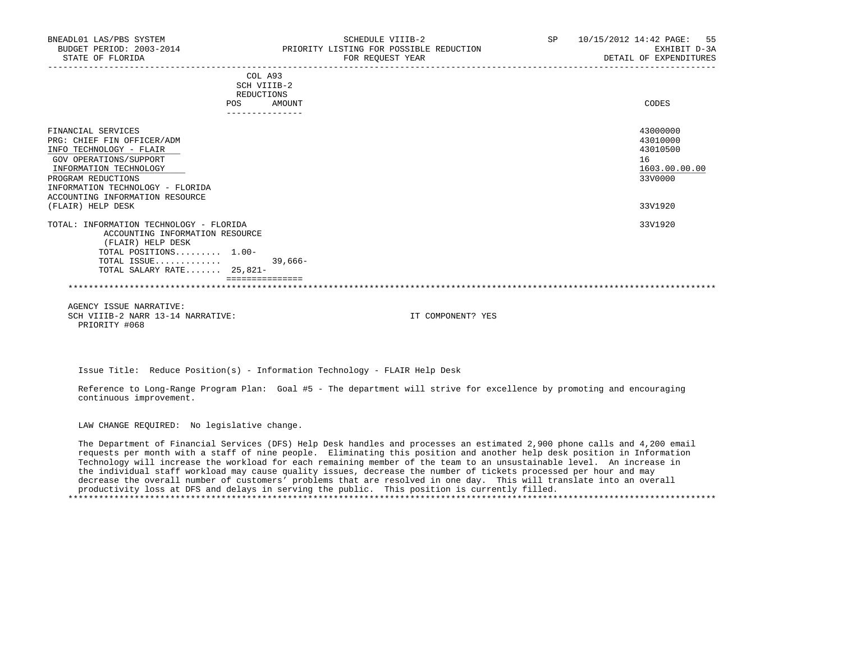| BNEADL01 LAS/PBS SYSTEM<br>BUDGET PERIOD: 2003-2014<br>STATE OF FLORIDA                                                                                                                                                                           | SCHEDULE VIIIB-2<br>PRIORITY LISTING FOR POSSIBLE REDUCTION<br>FOR REOUEST YEAR | SP 10/15/2012 14:42 PAGE: 55<br>EXHIBIT D-3A<br>DETAIL OF EXPENDITURES        |
|---------------------------------------------------------------------------------------------------------------------------------------------------------------------------------------------------------------------------------------------------|---------------------------------------------------------------------------------|-------------------------------------------------------------------------------|
| POS                                                                                                                                                                                                                                               | COL A93<br>SCH VIIIB-2<br>REDUCTIONS<br>AMOUNT                                  | CODES                                                                         |
| FINANCIAL SERVICES<br>PRG: CHIEF FIN OFFICER/ADM<br>INFO TECHNOLOGY - FLAIR<br>GOV OPERATIONS/SUPPORT<br>INFORMATION TECHNOLOGY<br>PROGRAM REDUCTIONS<br>INFORMATION TECHNOLOGY - FLORIDA<br>ACCOUNTING INFORMATION RESOURCE<br>(FLAIR) HELP DESK |                                                                                 | 43000000<br>43010000<br>43010500<br>16<br>1603.00.00.00<br>33V0000<br>33V1920 |
| TOTAL: INFORMATION TECHNOLOGY - FLORIDA<br>ACCOUNTING INFORMATION RESOURCE<br>(FLAIR) HELP DESK<br>TOTAL POSITIONS 1.00-<br>TOTAL ISSUE<br>TOTAL SALARY RATE 25,821-                                                                              | $39,666-$                                                                       | 33V1920                                                                       |
|                                                                                                                                                                                                                                                   |                                                                                 |                                                                               |
|                                                                                                                                                                                                                                                   |                                                                                 |                                                                               |

 AGENCY ISSUE NARRATIVE: SCH VIIIB-2 NARR 13-14 NARRATIVE: IT COMPONENT? YES PRIORITY #068

Issue Title: Reduce Position(s) - Information Technology - FLAIR Help Desk

 Reference to Long-Range Program Plan: Goal #5 - The department will strive for excellence by promoting and encouraging continuous improvement.

LAW CHANGE REQUIRED: No legislative change.

 The Department of Financial Services (DFS) Help Desk handles and processes an estimated 2,900 phone calls and 4,200 email requests per month with a staff of nine people. Eliminating this position and another help desk position in Information Technology will increase the workload for each remaining member of the team to an unsustainable level. An increase in the individual staff workload may cause quality issues, decrease the number of tickets processed per hour and may decrease the overall number of customers' problems that are resolved in one day. This will translate into an overall productivity loss at DFS and delays in serving the public. This position is currently filled. \*\*\*\*\*\*\*\*\*\*\*\*\*\*\*\*\*\*\*\*\*\*\*\*\*\*\*\*\*\*\*\*\*\*\*\*\*\*\*\*\*\*\*\*\*\*\*\*\*\*\*\*\*\*\*\*\*\*\*\*\*\*\*\*\*\*\*\*\*\*\*\*\*\*\*\*\*\*\*\*\*\*\*\*\*\*\*\*\*\*\*\*\*\*\*\*\*\*\*\*\*\*\*\*\*\*\*\*\*\*\*\*\*\*\*\*\*\*\*\*\*\*\*\*\*\*\*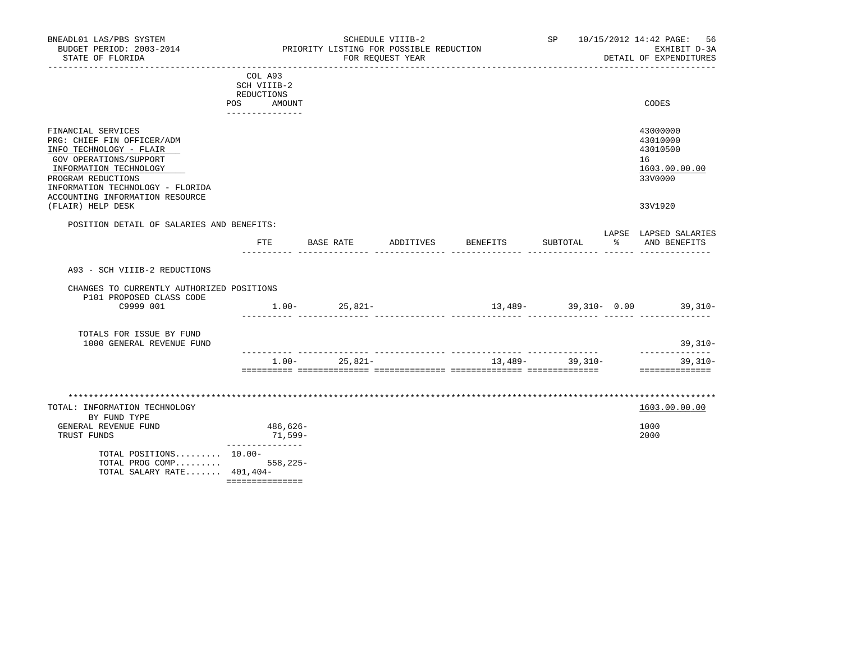| BNEADL01 LAS/PBS SYSTEM<br>BUDGET PERIOD: 2003-2014<br>STATE OF FLORIDA                                                                                                                                                      |                                                                       |                     |                   | SCHEDULE VIIIB-2<br>PRIORITY LISTING FOR POSSIBLE REDUCTION<br>FOR REQUEST YEAR |          |                    |          | SP 10/15/2012 14:42 PAGE:<br>56<br>EXHIBIT D-3A<br>DETAIL OF EXPENDITURES |
|------------------------------------------------------------------------------------------------------------------------------------------------------------------------------------------------------------------------------|-----------------------------------------------------------------------|---------------------|-------------------|---------------------------------------------------------------------------------|----------|--------------------|----------|---------------------------------------------------------------------------|
|                                                                                                                                                                                                                              | COL A93<br>SCH VIIIB-2<br>REDUCTIONS<br>POS AMOUNT<br>_______________ |                     |                   |                                                                                 |          |                    |          | CODES                                                                     |
| FINANCIAL SERVICES<br>PRG: CHIEF FIN OFFICER/ADM<br>INFO TECHNOLOGY - FLAIR<br>GOV OPERATIONS/SUPPORT<br>INFORMATION TECHNOLOGY<br>PROGRAM REDUCTIONS<br>INFORMATION TECHNOLOGY - FLORIDA<br>ACCOUNTING INFORMATION RESOURCE |                                                                       |                     |                   |                                                                                 |          |                    |          | 43000000<br>43010000<br>43010500<br>16<br>1603.00.00.00<br>33V0000        |
| (FLAIR) HELP DESK                                                                                                                                                                                                            |                                                                       |                     |                   |                                                                                 |          |                    |          | 33V1920                                                                   |
| POSITION DETAIL OF SALARIES AND BENEFITS:                                                                                                                                                                                    | FTE                                                                   |                     | BASE RATE         | ADDITIVES                                                                       | BENEFITS | SUBTOTAL           | - 20년 2월 | LAPSE LAPSED SALARIES<br>AND BENEFITS                                     |
| A93 - SCH VIIIB-2 REDUCTIONS                                                                                                                                                                                                 |                                                                       |                     |                   |                                                                                 |          |                    |          |                                                                           |
| CHANGES TO CURRENTLY AUTHORIZED POSITIONS                                                                                                                                                                                    |                                                                       |                     |                   |                                                                                 |          |                    |          |                                                                           |
| P101 PROPOSED CLASS CODE<br>C9999 001                                                                                                                                                                                        |                                                                       |                     | $1.00 - 25,821 -$ |                                                                                 |          |                    |          | $13,489 39,310-$ 0.00 $39,310-$                                           |
| TOTALS FOR ISSUE BY FUND<br>1000 GENERAL REVENUE FUND                                                                                                                                                                        |                                                                       |                     |                   |                                                                                 |          |                    |          | 39,310-                                                                   |
|                                                                                                                                                                                                                              |                                                                       |                     | $1.00 - 25.821 -$ |                                                                                 |          | $13,489-$ 39, 310- |          | --------------<br>$39,310-$<br>==============                             |
|                                                                                                                                                                                                                              |                                                                       |                     |                   |                                                                                 |          |                    |          |                                                                           |
| TOTAL: INFORMATION TECHNOLOGY<br>BY FUND TYPE                                                                                                                                                                                |                                                                       |                     |                   |                                                                                 |          |                    |          | 1603.00.00.00                                                             |
| GENERAL REVENUE FUND<br>TRUST FUNDS                                                                                                                                                                                          | _______________                                                       | 486,626-<br>71,599- |                   |                                                                                 |          |                    |          | 1000<br>2000                                                              |
| TOTAL POSITIONS $10.00-$<br>TOTAL PROG COMP 558,225-<br>TOTAL SALARY RATE 401,404-                                                                                                                                           | ===============                                                       |                     |                   |                                                                                 |          |                    |          |                                                                           |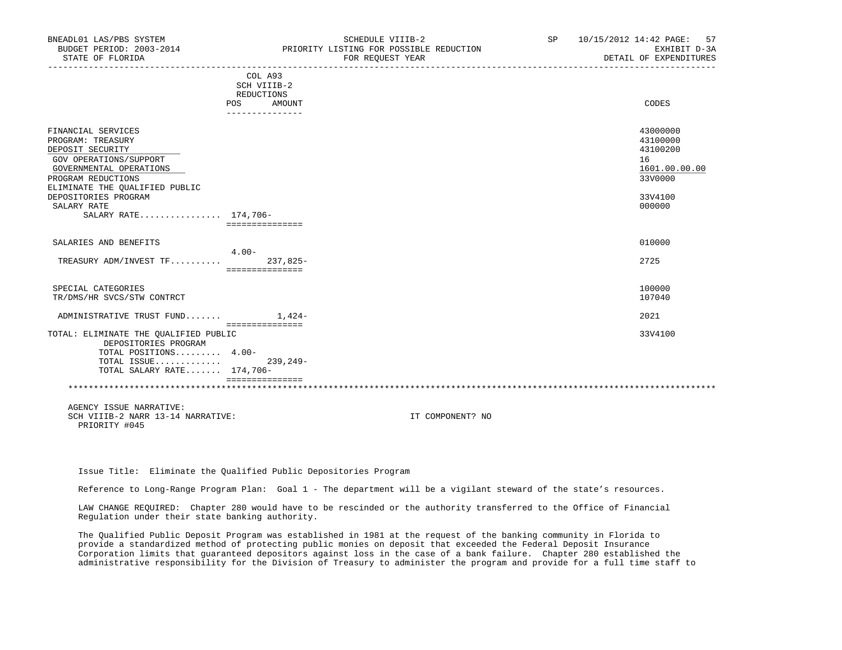| BNEADL01 LAS/PBS SYSTEM<br>BUDGET PERIOD: 2003-2014 |                        | SCHEDULE VIIIB-2<br>PRIORITY LISTING FOR POSSIBLE REDUCTION | SP <sub>2</sub> | 10/15/2012 14:42 PAGE:<br>57<br>EXHIBIT D-3A |
|-----------------------------------------------------|------------------------|-------------------------------------------------------------|-----------------|----------------------------------------------|
| STATE OF FLORIDA                                    |                        | FOR REQUEST YEAR                                            |                 | DETAIL OF EXPENDITURES                       |
|                                                     | COL A93<br>SCH VIIIB-2 |                                                             |                 |                                              |
|                                                     | REDUCTIONS             |                                                             |                 |                                              |
|                                                     | POS<br>AMOUNT          |                                                             |                 | CODES                                        |
|                                                     | ---------------        |                                                             |                 |                                              |
| FINANCIAL SERVICES                                  |                        |                                                             |                 | 43000000                                     |
| PROGRAM: TREASURY                                   |                        |                                                             |                 | 43100000                                     |
| DEPOSIT SECURITY                                    |                        |                                                             |                 | 43100200                                     |
| GOV OPERATIONS/SUPPORT                              |                        |                                                             |                 | 16                                           |
| GOVERNMENTAL OPERATIONS                             |                        |                                                             |                 | 1601.00.00.00                                |
| PROGRAM REDUCTIONS                                  |                        |                                                             |                 | 33V0000                                      |
| ELIMINATE THE OUALIFIED PUBLIC                      |                        |                                                             |                 |                                              |
| DEPOSITORIES PROGRAM                                |                        |                                                             |                 | 33V4100                                      |
| SALARY RATE                                         |                        |                                                             |                 | 000000                                       |
| SALARY RATE 174,706-                                | ===============        |                                                             |                 |                                              |
|                                                     |                        |                                                             |                 |                                              |
| SALARIES AND BENEFITS                               |                        |                                                             |                 | 010000                                       |
|                                                     | $4.00 -$               |                                                             |                 |                                              |
| TREASURY ADM/INVEST TF                              | 237,825-               |                                                             |                 | 2725                                         |
|                                                     | ===============        |                                                             |                 |                                              |
| SPECIAL CATEGORIES                                  |                        |                                                             |                 | 100000                                       |
| TR/DMS/HR SVCS/STW CONTRCT                          |                        |                                                             |                 | 107040                                       |
| ADMINISTRATIVE TRUST FUND 1,424-                    |                        |                                                             |                 | 2021                                         |
| TOTAL: ELIMINATE THE QUALIFIED PUBLIC               | <b>BEBBBBBBBBBBBBB</b> |                                                             |                 | 33V4100                                      |
| DEPOSITORIES PROGRAM                                |                        |                                                             |                 |                                              |
| TOTAL POSITIONS 4.00-                               |                        |                                                             |                 |                                              |
| TOTAL ISSUE                                         | $239, 249-$            |                                                             |                 |                                              |
| TOTAL SALARY RATE 174,706-                          |                        |                                                             |                 |                                              |
|                                                     | ===============        |                                                             |                 |                                              |
|                                                     |                        |                                                             |                 |                                              |
|                                                     |                        |                                                             |                 |                                              |

 AGENCY ISSUE NARRATIVE: SCH VIIIB-2 NARR 13-14 NARRATIVE: IT COMPONENT? NO PRIORITY #045

Issue Title: Eliminate the Qualified Public Depositories Program

Reference to Long-Range Program Plan: Goal 1 - The department will be a vigilant steward of the state's resources.

 LAW CHANGE REQUIRED: Chapter 280 would have to be rescinded or the authority transferred to the Office of Financial Regulation under their state banking authority.

 The Qualified Public Deposit Program was established in 1981 at the request of the banking community in Florida to provide a standardized method of protecting public monies on deposit that exceeded the Federal Deposit Insurance Corporation limits that guaranteed depositors against loss in the case of a bank failure. Chapter 280 established the administrative responsibility for the Division of Treasury to administer the program and provide for a full time staff to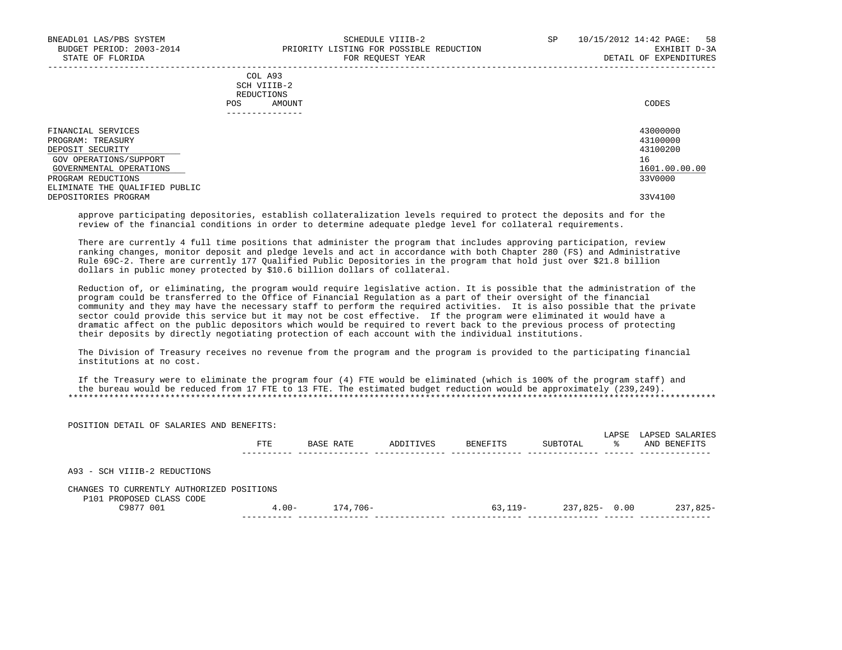| COL A93     |                 |
|-------------|-----------------|
| SCH VIIIB-2 |                 |
| REDUCTIONS  |                 |
| POS         | CODES<br>AMOUNT |

| FINANCIAL SERVICES<br>PROGRAM: TREASURY | 43000000<br>43100000 |
|-----------------------------------------|----------------------|
| DEPOSIT SECURITY                        | 43100200             |
| GOV OPERATIONS/SUPPORT                  | 16                   |
| GOVERNMENTAL OPERATIONS                 | 1601.00.00.00        |
| PROGRAM REDUCTIONS                      | 33V0000              |
| ELIMINATE THE QUALIFIED PUBLIC          |                      |
| DEPOSITORIES PROGRAM                    | 33V4100              |

-----------------------------------------------------------------------------------------------------------------------------------

 approve participating depositories, establish collateralization levels required to protect the deposits and for the review of the financial conditions in order to determine adequate pledge level for collateral requirements.

 There are currently 4 full time positions that administer the program that includes approving participation, review ranking changes, monitor deposit and pledge levels and act in accordance with both Chapter 280 (FS) and Administrative Rule 69C-2. There are currently 177 Qualified Public Depositories in the program that hold just over \$21.8 billion dollars in public money protected by \$10.6 billion dollars of collateral.

 Reduction of, or eliminating, the program would require legislative action. It is possible that the administration of the program could be transferred to the Office of Financial Regulation as a part of their oversight of the financial community and they may have the necessary staff to perform the required activities. It is also possible that the private sector could provide this service but it may not be cost effective. If the program were eliminated it would have a dramatic affect on the public depositors which would be required to revert back to the previous process of protecting their deposits by directly negotiating protection of each account with the individual institutions.

 The Division of Treasury receives no revenue from the program and the program is provided to the participating financial institutions at no cost.

 If the Treasury were to eliminate the program four (4) FTE would be eliminated (which is 100% of the program staff) and the bureau would be reduced from 17 FTE to 13 FTE. The estimated budget reduction would be approximately (239,249). \*\*\*\*\*\*\*\*\*\*\*\*\*\*\*\*\*\*\*\*\*\*\*\*\*\*\*\*\*\*\*\*\*\*\*\*\*\*\*\*\*\*\*\*\*\*\*\*\*\*\*\*\*\*\*\*\*\*\*\*\*\*\*\*\*\*\*\*\*\*\*\*\*\*\*\*\*\*\*\*\*\*\*\*\*\*\*\*\*\*\*\*\*\*\*\*\*\*\*\*\*\*\*\*\*\*\*\*\*\*\*\*\*\*\*\*\*\*\*\*\*\*\*\*\*\*\*

| POSITION DETAIL OF SALARIES AND BENEFITS:                             |          |           |           |          |               |             |                                 |
|-----------------------------------------------------------------------|----------|-----------|-----------|----------|---------------|-------------|---------------------------------|
|                                                                       | FTE      | BASE RATE | ADDITIVES | BENEFITS | SUBTOTAL      | LAPSE<br>°≈ | LAPSED SALARIES<br>AND BENEFITS |
| A93 - SCH VIIIB-2 REDUCTIONS                                          |          |           |           |          |               |             |                                 |
| CHANGES TO CURRENTLY AUTHORIZED POSITIONS<br>P101 PROPOSED CLASS CODE |          |           |           |          |               |             |                                 |
| C9877 001                                                             | $4.00 -$ | 174,706-  |           | 63,119-  | 237,825- 0.00 |             | $237,825-$                      |
|                                                                       |          |           |           |          |               |             |                                 |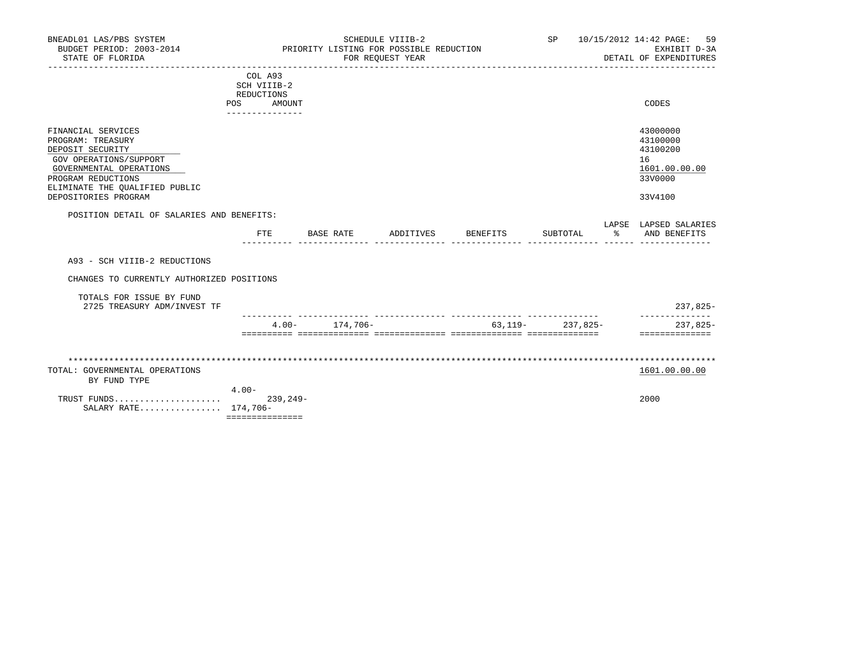| BNEADL01 LAS/PBS SYSTEM<br>BUDGET PERIOD: 2003-2014<br>STATE OF FLORIDA                                                                                                                          |                                                                                     |                    | SCHEDULE VIIIB-2<br>PRIORITY LISTING FOR POSSIBLE REDUCTION<br>FOR REQUEST YEAR |                                                                            | SP <sub>2</sub>      | 10/15/2012 14:42 PAGE:<br>-59<br>EXHIBIT D-3A<br>DETAIL OF EXPENDITURES       |
|--------------------------------------------------------------------------------------------------------------------------------------------------------------------------------------------------|-------------------------------------------------------------------------------------|--------------------|---------------------------------------------------------------------------------|----------------------------------------------------------------------------|----------------------|-------------------------------------------------------------------------------|
|                                                                                                                                                                                                  | COL A93<br>SCH VIIIB-2<br>REDUCTIONS<br>POS AMOUNT<br>. _ _ _ _ _ _ _ _ _ _ _ _ _ _ |                    |                                                                                 |                                                                            |                      | CODES                                                                         |
| FINANCIAL SERVICES<br>PROGRAM: TREASURY<br>DEPOSIT SECURITY<br>GOV OPERATIONS/SUPPORT<br>GOVERNMENTAL OPERATIONS<br>PROGRAM REDUCTIONS<br>ELIMINATE THE OUALIFIED PUBLIC<br>DEPOSITORIES PROGRAM |                                                                                     |                    |                                                                                 |                                                                            |                      | 43000000<br>43100000<br>43100200<br>16<br>1601.00.00.00<br>33V0000<br>33V4100 |
| POSITION DETAIL OF SALARIES AND BENEFITS:                                                                                                                                                        |                                                                                     |                    |                                                                                 |                                                                            |                      | LAPSE LAPSED SALARIES                                                         |
|                                                                                                                                                                                                  | FTE                                                                                 | BASE RATE          |                                                                                 | ADDITIVES BENEFITS                                                         | SUBTOTAL             | % AND BENEFITS                                                                |
| A93 - SCH VIIIB-2 REDUCTIONS                                                                                                                                                                     |                                                                                     |                    |                                                                                 |                                                                            |                      |                                                                               |
| CHANGES TO CURRENTLY AUTHORIZED POSITIONS                                                                                                                                                        |                                                                                     |                    |                                                                                 |                                                                            |                      |                                                                               |
| TOTALS FOR ISSUE BY FUND<br>2725 TREASURY ADM/INVEST TF                                                                                                                                          |                                                                                     |                    |                                                                                 |                                                                            |                      | 237,825-                                                                      |
|                                                                                                                                                                                                  |                                                                                     | $4.00 - 174.706 -$ |                                                                                 |                                                                            | $63,119 - 237,825 -$ | --------------<br>237,825-                                                    |
|                                                                                                                                                                                                  |                                                                                     |                    |                                                                                 | <u>sooodooda aadoodoodooda aadoodoodooda aadoodoodooda aadoodoodooda .</u> |                      | ==============                                                                |
|                                                                                                                                                                                                  |                                                                                     |                    |                                                                                 |                                                                            |                      |                                                                               |
| TOTAL: GOVERNMENTAL OPERATIONS<br>BY FUND TYPE                                                                                                                                                   |                                                                                     |                    |                                                                                 |                                                                            |                      | 1601.00.00.00                                                                 |
| TRUST FUNDS<br>SALARY RATE 174,706-                                                                                                                                                              | $4.00 -$<br>$239.249 -$<br>===============                                          |                    |                                                                                 |                                                                            |                      | 2000                                                                          |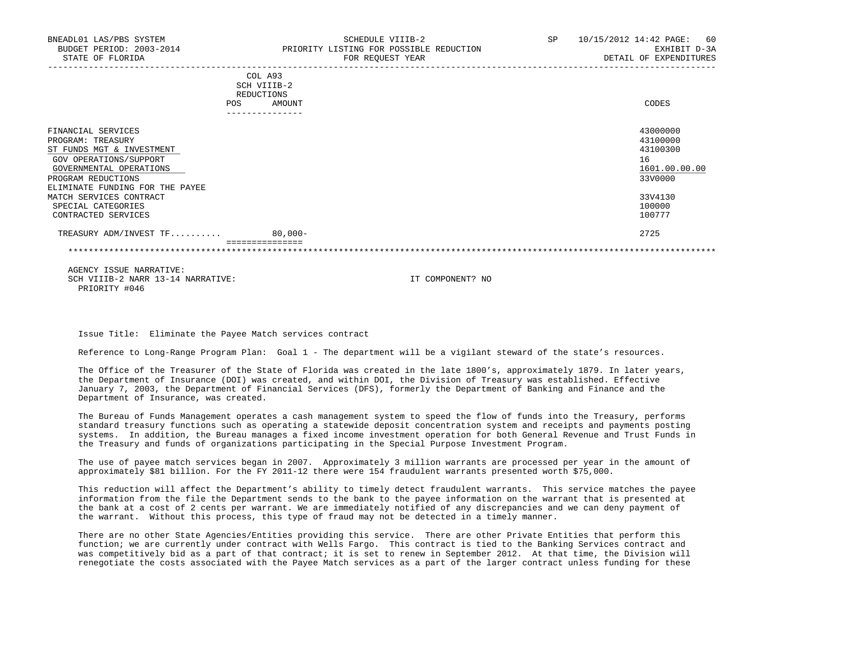| BNEADL01 LAS/PBS SYSTEM<br>BUDGET PERIOD: 2003-2014<br>STATE OF FLORIDA                                                                                                                                       | SCHEDULE VIIIB-2<br>PRIORITY LISTING FOR POSSIBLE REDUCTION<br>FOR REQUEST YEAR | SP<br>10/15/2012 14:42 PAGE:<br>-60<br>EXHIBIT D-3A<br>DETAIL OF EXPENDITURES |
|---------------------------------------------------------------------------------------------------------------------------------------------------------------------------------------------------------------|---------------------------------------------------------------------------------|-------------------------------------------------------------------------------|
|                                                                                                                                                                                                               | COL A93<br>SCH VIIIB-2<br>REDUCTIONS<br>POS<br>AMOUNT                           | CODES                                                                         |
| FINANCIAL SERVICES<br>PROGRAM: TREASURY<br>ST FUNDS MGT & INVESTMENT<br>GOV OPERATIONS/SUPPORT<br>GOVERNMENTAL OPERATIONS<br>PROGRAM REDUCTIONS<br>ELIMINATE FUNDING FOR THE PAYEE<br>MATCH SERVICES CONTRACT |                                                                                 | 43000000<br>43100000<br>43100300<br>16<br>1601.00.00.00<br>33V0000<br>33V4130 |
| SPECIAL CATEGORIES<br>CONTRACTED SERVICES                                                                                                                                                                     |                                                                                 | 100000<br>100777                                                              |
| TREASURY ADM/INVEST TF 80,000-                                                                                                                                                                                |                                                                                 | 2725                                                                          |
|                                                                                                                                                                                                               |                                                                                 |                                                                               |
| AGENCY ISSUE NARRATIVE:                                                                                                                                                                                       |                                                                                 |                                                                               |

SCH VIIIB-2 NARR 13-14 NARRATIVE: IT COMPONENT? NO PRIORITY #046

Issue Title: Eliminate the Payee Match services contract

Reference to Long-Range Program Plan: Goal 1 - The department will be a vigilant steward of the state's resources.

 The Office of the Treasurer of the State of Florida was created in the late 1800's, approximately 1879. In later years, the Department of Insurance (DOI) was created, and within DOI, the Division of Treasury was established. Effective January 7, 2003, the Department of Financial Services (DFS), formerly the Department of Banking and Finance and the Department of Insurance, was created.

 The Bureau of Funds Management operates a cash management system to speed the flow of funds into the Treasury, performs standard treasury functions such as operating a statewide deposit concentration system and receipts and payments posting systems. In addition, the Bureau manages a fixed income investment operation for both General Revenue and Trust Funds in the Treasury and funds of organizations participating in the Special Purpose Investment Program.

 The use of payee match services began in 2007. Approximately 3 million warrants are processed per year in the amount of approximately \$81 billion. For the FY 2011-12 there were 154 fraudulent warrants presented worth \$75,000.

 This reduction will affect the Department's ability to timely detect fraudulent warrants. This service matches the payee information from the file the Department sends to the bank to the payee information on the warrant that is presented at the bank at a cost of 2 cents per warrant. We are immediately notified of any discrepancies and we can deny payment of the warrant. Without this process, this type of fraud may not be detected in a timely manner.

 There are no other State Agencies/Entities providing this service. There are other Private Entities that perform this function; we are currently under contract with Wells Fargo. This contract is tied to the Banking Services contract and was competitively bid as a part of that contract; it is set to renew in September 2012. At that time, the Division will renegotiate the costs associated with the Payee Match services as a part of the larger contract unless funding for these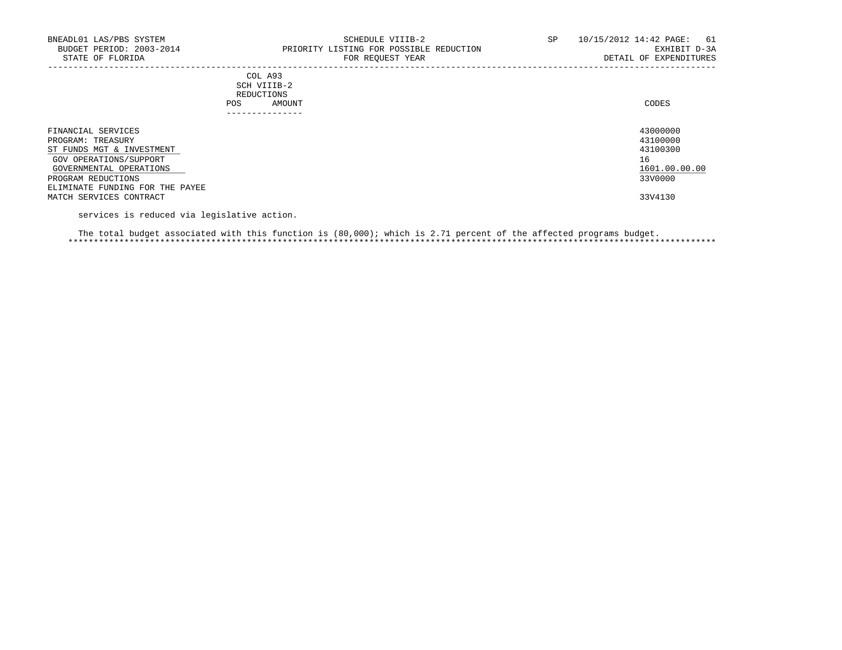| BNEADL01 LAS/PBS SYSTEM<br>BUDGET PERIOD: 2003-2014<br>STATE OF FLORIDA | SCHEDULE VIIIB-2<br>PRIORITY LISTING FOR POSSIBLE REDUCTION<br>FOR REQUEST YEAR | 10/15/2012 14:42 PAGE: 61<br>SP<br>EXHIBIT D-3A<br>DETAIL OF EXPENDITURES |
|-------------------------------------------------------------------------|---------------------------------------------------------------------------------|---------------------------------------------------------------------------|
|                                                                         | COL A93<br>SCH VIIIB-2                                                          |                                                                           |
|                                                                         | REDUCTIONS                                                                      |                                                                           |
|                                                                         | AMOUNT<br>POS                                                                   | CODES                                                                     |
|                                                                         | ----------------                                                                |                                                                           |
| FINANCIAL SERVICES                                                      |                                                                                 | 43000000                                                                  |
| PROGRAM: TREASURY                                                       |                                                                                 | 43100000                                                                  |
| ST FUNDS MGT & INVESTMENT                                               |                                                                                 | 43100300                                                                  |
| GOV OPERATIONS/SUPPORT                                                  |                                                                                 | 16                                                                        |
| GOVERNMENTAL OPERATIONS                                                 |                                                                                 | 1601.00.00.00                                                             |
| PROGRAM REDUCTIONS                                                      |                                                                                 | 33V0000                                                                   |

PROGRAM REDUCTIONS ELIMINATE FUNDING FOR THE PAYEE MATCH SERVICES CONTRACT 33V4130

services is reduced via legislative action.

 The total budget associated with this function is (80,000); which is 2.71 percent of the affected programs budget. \*\*\*\*\*\*\*\*\*\*\*\*\*\*\*\*\*\*\*\*\*\*\*\*\*\*\*\*\*\*\*\*\*\*\*\*\*\*\*\*\*\*\*\*\*\*\*\*\*\*\*\*\*\*\*\*\*\*\*\*\*\*\*\*\*\*\*\*\*\*\*\*\*\*\*\*\*\*\*\*\*\*\*\*\*\*\*\*\*\*\*\*\*\*\*\*\*\*\*\*\*\*\*\*\*\*\*\*\*\*\*\*\*\*\*\*\*\*\*\*\*\*\*\*\*\*\*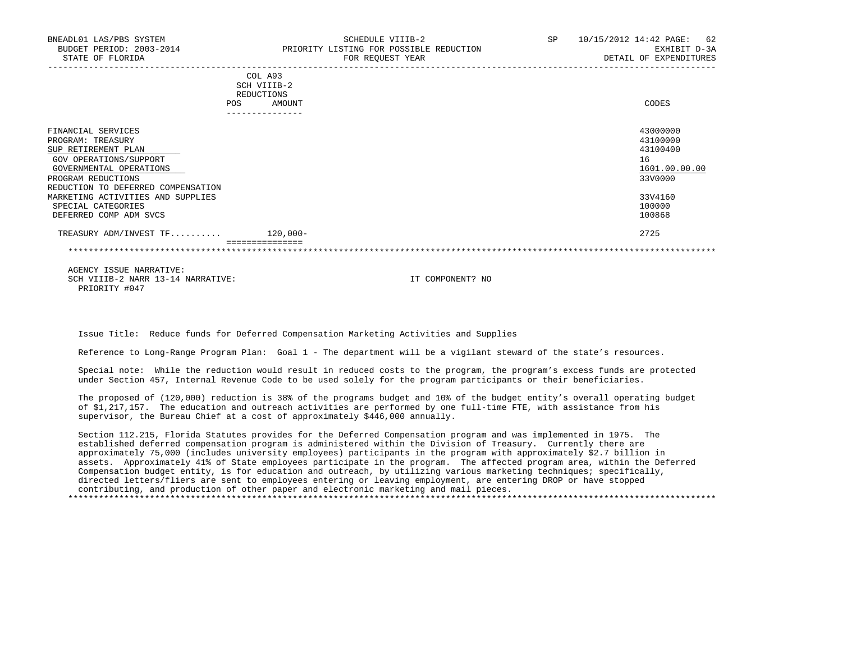| BNEADL01 LAS/PBS SYSTEM<br>BUDGET PERIOD: 2003-2014<br>STATE OF FLORIDA                                                                                                         | SCHEDULE VIIIB-2<br>PRIORITY LISTING FOR POSSIBLE REDUCTION<br>FOR REQUEST YEAR | SP<br>10/15/2012 14:42 PAGE:<br>62<br>EXHIBIT D-3A<br>DETAIL OF EXPENDITURES |
|---------------------------------------------------------------------------------------------------------------------------------------------------------------------------------|---------------------------------------------------------------------------------|------------------------------------------------------------------------------|
|                                                                                                                                                                                 | COL A93<br>SCH VIIIB-2<br>REDUCTIONS<br>AMOUNT<br>POS<br>---------------        | CODES                                                                        |
| FINANCIAL SERVICES<br>PROGRAM: TREASURY<br>SUP RETIREMENT PLAN<br>GOV OPERATIONS/SUPPORT<br>GOVERNMENTAL OPERATIONS<br>PROGRAM REDUCTIONS<br>REDUCTION TO DEFERRED COMPENSATION |                                                                                 | 43000000<br>43100000<br>43100400<br>16<br>1601.00.00.00<br>33V0000           |
| MARKETING ACTIVITIES AND SUPPLIES<br>SPECIAL CATEGORIES<br>DEFERRED COMP ADM SVCS                                                                                               |                                                                                 | 33V4160<br>100000<br>100868                                                  |
| TREASURY ADM/INVEST TF 120,000-                                                                                                                                                 |                                                                                 | 2725                                                                         |

 AGENCY ISSUE NARRATIVE: SCH VIIIB-2 NARR 13-14 NARRATIVE: IT COMPONENT? NO PRIORITY #047

Issue Title: Reduce funds for Deferred Compensation Marketing Activities and Supplies

Reference to Long-Range Program Plan: Goal 1 - The department will be a vigilant steward of the state's resources.

 Special note: While the reduction would result in reduced costs to the program, the program's excess funds are protected under Section 457, Internal Revenue Code to be used solely for the program participants or their beneficiaries.

 The proposed of (120,000) reduction is 38% of the programs budget and 10% of the budget entity's overall operating budget of \$1,217,157. The education and outreach activities are performed by one full-time FTE, with assistance from his supervisor, the Bureau Chief at a cost of approximately \$446,000 annually.

 Section 112.215, Florida Statutes provides for the Deferred Compensation program and was implemented in 1975. The established deferred compensation program is administered within the Division of Treasury. Currently there are approximately 75,000 (includes university employees) participants in the program with approximately \$2.7 billion in assets. Approximately 41% of State employees participate in the program. The affected program area, within the Deferred Compensation budget entity, is for education and outreach, by utilizing various marketing techniques; specifically, directed letters/fliers are sent to employees entering or leaving employment, are entering DROP or have stopped contributing, and production of other paper and electronic marketing and mail pieces.

\*\*\*\*\*\*\*\*\*\*\*\*\*\*\*\*\*\*\*\*\*\*\*\*\*\*\*\*\*\*\*\*\*\*\*\*\*\*\*\*\*\*\*\*\*\*\*\*\*\*\*\*\*\*\*\*\*\*\*\*\*\*\*\*\*\*\*\*\*\*\*\*\*\*\*\*\*\*\*\*\*\*\*\*\*\*\*\*\*\*\*\*\*\*\*\*\*\*\*\*\*\*\*\*\*\*\*\*\*\*\*\*\*\*\*\*\*\*\*\*\*\*\*\*\*\*\*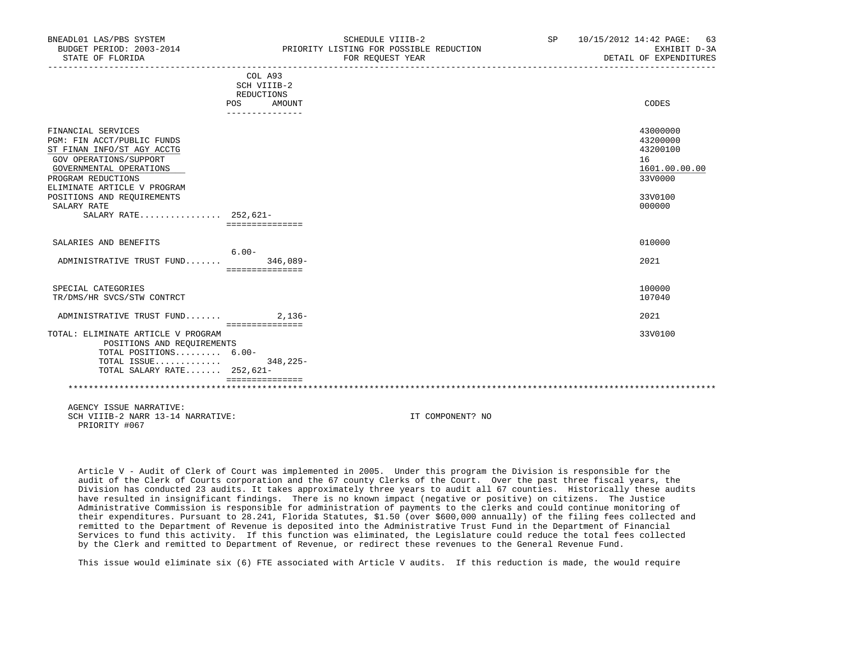| BNEADL01 LAS/PBS SYSTEM<br>BUDGET PERIOD: 2003-2014<br>STATE OF FLORIDA                                                                                                                                                                                       | SCHEDULE VIIIB-2<br>PRIORITY LISTING FOR POSSIBLE REDUCTION<br>FOR REQUEST YEAR | <b>SP</b> | 10/15/2012 14:42 PAGE: 63<br>EXHIBIT D-3A<br>DETAIL OF EXPENDITURES                     |
|---------------------------------------------------------------------------------------------------------------------------------------------------------------------------------------------------------------------------------------------------------------|---------------------------------------------------------------------------------|-----------|-----------------------------------------------------------------------------------------|
|                                                                                                                                                                                                                                                               | COL A93<br>SCH VIIIB-2<br>REDUCTIONS                                            |           |                                                                                         |
|                                                                                                                                                                                                                                                               | POS<br>AMOUNT<br>_______________                                                |           | CODES                                                                                   |
| FINANCIAL SERVICES<br>PGM: FIN ACCT/PUBLIC FUNDS<br>ST FINAN INFO/ST AGY ACCTG<br>GOV OPERATIONS/SUPPORT<br>GOVERNMENTAL OPERATIONS<br>PROGRAM REDUCTIONS<br>ELIMINATE ARTICLE V PROGRAM<br>POSITIONS AND REQUIREMENTS<br>SALARY RATE<br>SALARY RATE 252,621- | ===============                                                                 |           | 43000000<br>43200000<br>43200100<br>16<br>1601.00.00.00<br>33V0000<br>33V0100<br>000000 |
| SALARIES AND BENEFITS                                                                                                                                                                                                                                         |                                                                                 |           | 010000                                                                                  |
| ADMINISTRATIVE TRUST FUND                                                                                                                                                                                                                                     | $6.00 -$<br>$346.089-$<br>===============                                       |           | 2021                                                                                    |
| SPECIAL CATEGORIES<br>TR/DMS/HR SVCS/STW CONTRCT                                                                                                                                                                                                              |                                                                                 |           | 100000<br>107040                                                                        |
| ADMINISTRATIVE TRUST FUND                                                                                                                                                                                                                                     | $2.136-$<br>===============                                                     |           | 2021                                                                                    |
| TOTAL: ELIMINATE ARTICLE V PROGRAM<br>POSITIONS AND REQUIREMENTS<br>TOTAL POSITIONS 6.00-<br>TOTAL ISSUE<br>TOTAL SALARY RATE $252,621-$                                                                                                                      | 348,225-                                                                        |           | 33V0100                                                                                 |
|                                                                                                                                                                                                                                                               | ===============                                                                 |           |                                                                                         |
| AGENCY ISSUE NARRATIVE:                                                                                                                                                                                                                                       |                                                                                 |           |                                                                                         |

SCH VIIIB-2 NARR 13-14 NARRATIVE: IT COMPONENT? NO PRIORITY #067

 Article V - Audit of Clerk of Court was implemented in 2005. Under this program the Division is responsible for the audit of the Clerk of Courts corporation and the 67 county Clerks of the Court. Over the past three fiscal years, the Division has conducted 23 audits. It takes approximately three years to audit all 67 counties. Historically these audits have resulted in insignificant findings. There is no known impact (negative or positive) on citizens. The Justice Administrative Commission is responsible for administration of payments to the clerks and could continue monitoring of their expenditures. Pursuant to 28.241, Florida Statutes, \$1.50 (over \$600,000 annually) of the filing fees collected and remitted to the Department of Revenue is deposited into the Administrative Trust Fund in the Department of Financial Services to fund this activity. If this function was eliminated, the Legislature could reduce the total fees collected by the Clerk and remitted to Department of Revenue, or redirect these revenues to the General Revenue Fund.

This issue would eliminate six (6) FTE associated with Article V audits. If this reduction is made, the would require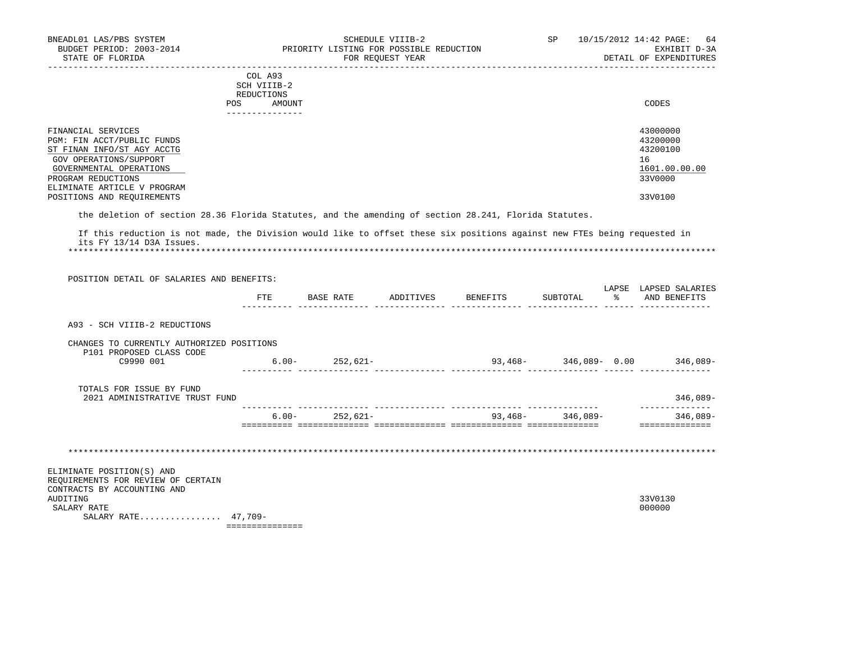| BUDGET PERIOD: 2003-2014<br>STATE OF FLORIDA                                                                                                                                             |                                                                               | PRIORITY LISTING FOR POSSIBLE REDUCTION<br>FOR REOUEST YEAR | EXHIBIT D-3A<br>DETAIL OF EXPENDITURES                             |
|------------------------------------------------------------------------------------------------------------------------------------------------------------------------------------------|-------------------------------------------------------------------------------|-------------------------------------------------------------|--------------------------------------------------------------------|
|                                                                                                                                                                                          | COL A93<br>SCH VIIIB-2<br>REDUCTIONS<br>AMOUNT<br><b>POS</b><br>------------- |                                                             | CODES                                                              |
| FINANCIAL SERVICES<br>PGM: FIN ACCT/PUBLIC FUNDS<br>ST FINAN INFO/ST AGY ACCTG<br>GOV OPERATIONS/SUPPORT<br>GOVERNMENTAL OPERATIONS<br>PROGRAM REDUCTIONS<br>ELIMINATE ARTICLE V PROGRAM |                                                                               |                                                             | 43000000<br>43200000<br>43200100<br>16<br>1601.00.00.00<br>33V0000 |
| POSITIONS AND REQUIREMENTS                                                                                                                                                               |                                                                               |                                                             | 33V0100                                                            |

the deletion of section 28.36 Florida Statutes, and the amending of section 28.241, Florida Statutes.

 If this reduction is not made, the Division would like to offset these six positions against new FTEs being requested in its FY 13/14 D3A Issues.

| POSITION DETAIL OF SALARIES AND BENEFITS:                                          |     |                    |                    |                   |                      |                                       |
|------------------------------------------------------------------------------------|-----|--------------------|--------------------|-------------------|----------------------|---------------------------------------|
|                                                                                    | FTE | BASE RATE          | ADDITIVES BENEFITS | SUBTOTAL          | $\sim$ $\sim$ $\sim$ | LAPSE LAPSED SALARIES<br>AND BENEFITS |
| A93 - SCH VIIIB-2 REDUCTIONS                                                       |     |                    |                    |                   |                      |                                       |
| CHANGES TO CURRENTLY AUTHORIZED POSITIONS<br>P101 PROPOSED CLASS CODE<br>C9990 001 |     | $6.00 - 252,621 -$ |                    |                   |                      | $93,468-346,089-0.00$ 346,089-        |
| TOTALS FOR ISSUE BY FUND<br>2021 ADMINISTRATIVE TRUST FUND                         |     |                    |                    |                   |                      | $346,089-$                            |
|                                                                                    |     | $6.00 - 252,621 -$ |                    | $93,468-346,089-$ |                      | $346,089-$                            |
|                                                                                    |     |                    |                    |                   |                      |                                       |
| ELIMINATE POSITION(S) AND<br>REQUIREMENTS FOR REVIEW OF CERTAIN                    |     |                    |                    |                   |                      |                                       |
| CONTRACTS BY ACCOUNTING AND<br>AUDITING<br>SALARY RATE<br>SALARY RATE 47,709-      |     |                    |                    |                   |                      | 33V0130<br>000000                     |

===============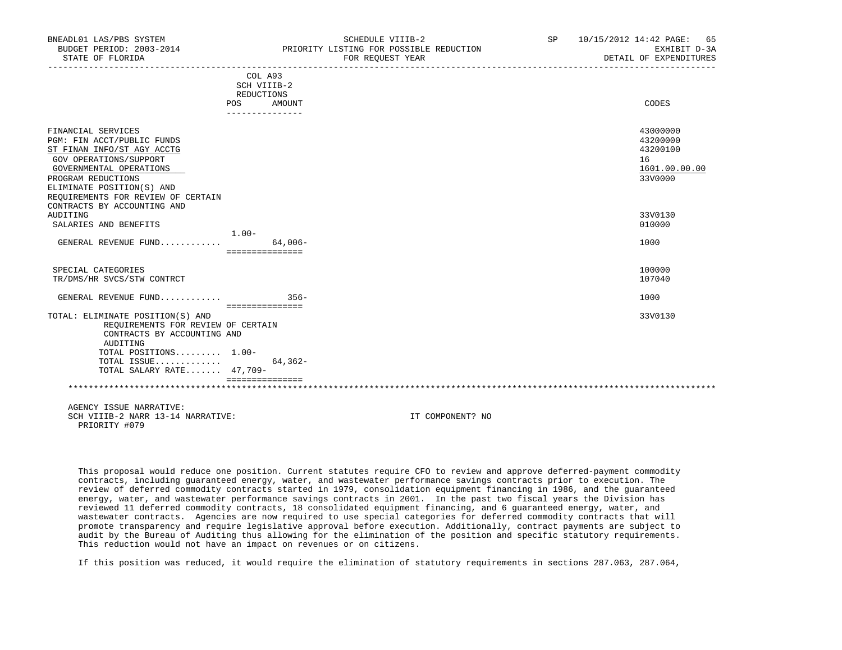| DNEADTAT TWO LDD SISIEM<br>BUDGET PERIOD: 2003-2014<br>STATE OF FLORIDA                                                                                                                                                                                     |                                                                        | SCUPDOTE ATTIB-Y<br>PRIORITY LISTING FOR POSSIBLE REDUCTION<br>FOR REQUEST YEAR | TANTON 7ATT TH.HR RHGE. 00<br>EXHIBIT D-3A<br>DETAIL OF EXPENDITURES |
|-------------------------------------------------------------------------------------------------------------------------------------------------------------------------------------------------------------------------------------------------------------|------------------------------------------------------------------------|---------------------------------------------------------------------------------|----------------------------------------------------------------------|
|                                                                                                                                                                                                                                                             | COL A93<br>SCH VIIIB-2<br>REDUCTIONS<br>POS AMOUNT<br>---------------- |                                                                                 | CODES                                                                |
| FINANCIAL SERVICES<br>PGM: FIN ACCT/PUBLIC FUNDS<br>ST FINAN INFO/ST AGY ACCTG<br>GOV OPERATIONS/SUPPORT<br>GOVERNMENTAL OPERATIONS<br>PROGRAM REDUCTIONS<br>ELIMINATE POSITION(S) AND<br>REOUIREMENTS FOR REVIEW OF CERTAIN<br>CONTRACTS BY ACCOUNTING AND |                                                                        |                                                                                 | 43000000<br>43200000<br>43200100<br>16<br>1601.00.00.00<br>33V0000   |
| AUDITING<br>SALARIES AND BENEFITS                                                                                                                                                                                                                           | $1.00 -$                                                               |                                                                                 | 33V0130<br>010000                                                    |
| GENERAL REVENUE FUND                                                                                                                                                                                                                                        | $64.006 -$<br>===============                                          |                                                                                 | 1000                                                                 |
| SPECIAL CATEGORIES<br>TR/DMS/HR SVCS/STW CONTRCT                                                                                                                                                                                                            |                                                                        |                                                                                 | 100000<br>107040                                                     |
| GENERAL REVENUE FUND                                                                                                                                                                                                                                        | $356 -$<br><b>Concessedences</b>                                       |                                                                                 | 1000                                                                 |
| TOTAL: ELIMINATE POSITION(S) AND<br>REQUIREMENTS FOR REVIEW OF CERTAIN<br>CONTRACTS BY ACCOUNTING AND<br>AUDITING                                                                                                                                           |                                                                        |                                                                                 | 33V0130                                                              |
| TOTAL POSITIONS 1.00-<br>TOTAL ISSUE<br>TOTAL SALARY RATE 47,709-                                                                                                                                                                                           | $64, 362 -$<br>===============                                         |                                                                                 |                                                                      |
|                                                                                                                                                                                                                                                             |                                                                        |                                                                                 |                                                                      |

BNEADL01 LAS/PBS SYSTEM SCHEDULE VIIIB-2 SP 10/15/2012 14:42 PAGE: 65

 AGENCY ISSUE NARRATIVE: SCH VIIIB-2 NARR 13-14 NARRATIVE: IT COMPONENT? NO PRIORITY #079

 This proposal would reduce one position. Current statutes require CFO to review and approve deferred-payment commodity contracts, including guaranteed energy, water, and wastewater performance savings contracts prior to execution. The review of deferred commodity contracts started in 1979, consolidation equipment financing in 1986, and the guaranteed energy, water, and wastewater performance savings contracts in 2001. In the past two fiscal years the Division has reviewed 11 deferred commodity contracts, 18 consolidated equipment financing, and 6 guaranteed energy, water, and wastewater contracts. Agencies are now required to use special categories for deferred commodity contracts that will promote transparency and require legislative approval before execution. Additionally, contract payments are subject to audit by the Bureau of Auditing thus allowing for the elimination of the position and specific statutory requirements. This reduction would not have an impact on revenues or on citizens.

If this position was reduced, it would require the elimination of statutory requirements in sections 287.063, 287.064,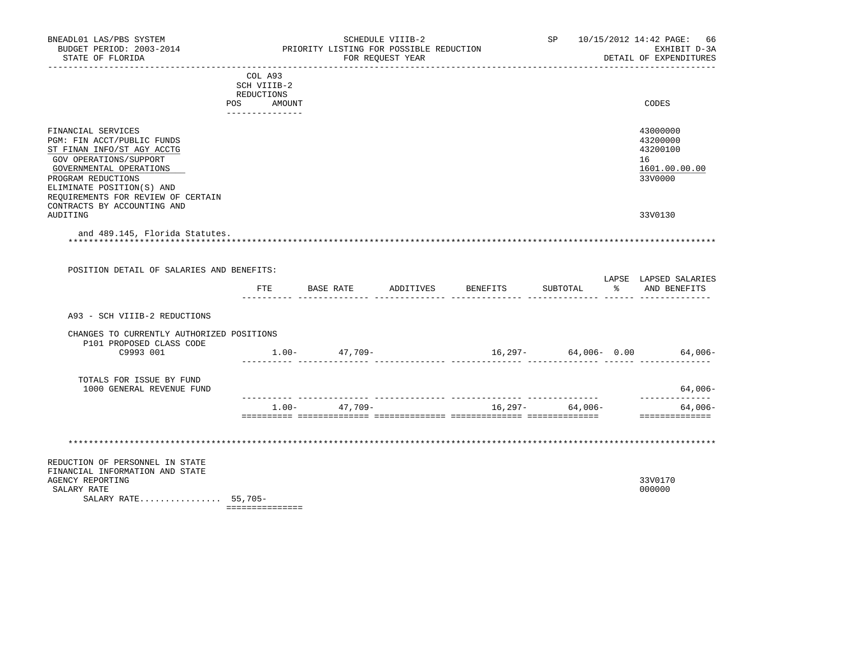| BNEADL01 LAS/PBS SYSTEM<br>BUDGET PERIOD: 2003-2014<br>STATE OF FLORIDA                                                                                                                                                                                     |                                                                       | PRIORITY LISTING FOR POSSIBLE REDUCTION | SCHEDULE VIIIB-2<br>FOR REQUEST YEAR |                    | SP                | 10/15/2012 14:42 PAGE:<br>66<br>EXHIBIT D-3A<br>DETAIL OF EXPENDITURES |
|-------------------------------------------------------------------------------------------------------------------------------------------------------------------------------------------------------------------------------------------------------------|-----------------------------------------------------------------------|-----------------------------------------|--------------------------------------|--------------------|-------------------|------------------------------------------------------------------------|
|                                                                                                                                                                                                                                                             | COL A93<br>SCH VIIIB-2<br>REDUCTIONS<br>POS AMOUNT<br>--------------- |                                         |                                      |                    |                   | CODES                                                                  |
| FINANCIAL SERVICES<br>PGM: FIN ACCT/PUBLIC FUNDS<br>ST FINAN INFO/ST AGY ACCTG<br>GOV OPERATIONS/SUPPORT<br>GOVERNMENTAL OPERATIONS<br>PROGRAM REDUCTIONS<br>ELIMINATE POSITION(S) AND<br>REOUIREMENTS FOR REVIEW OF CERTAIN<br>CONTRACTS BY ACCOUNTING AND |                                                                       |                                         |                                      |                    |                   | 43000000<br>43200000<br>43200100<br>16<br>1601.00.00.00<br>33V0000     |
| AUDITING<br>and 489.145, Florida Statutes.                                                                                                                                                                                                                  |                                                                       |                                         |                                      |                    |                   | 33V0130                                                                |
| POSITION DETAIL OF SALARIES AND BENEFITS:                                                                                                                                                                                                                   |                                                                       | FTE BASE RATE                           |                                      | ADDITIVES BENEFITS | SUBTOTAL          | LAPSE LAPSED SALARIES<br>% AND BENEFITS                                |
| A93 - SCH VIIIB-2 REDUCTIONS                                                                                                                                                                                                                                |                                                                       |                                         |                                      |                    |                   |                                                                        |
| CHANGES TO CURRENTLY AUTHORIZED POSITIONS<br>P101 PROPOSED CLASS CODE<br>C9993 001                                                                                                                                                                          |                                                                       | $1.00 - 47,709 -$                       |                                      |                    |                   | $16,297-$ 64,006- 0.00 64,006-                                         |
| TOTALS FOR ISSUE BY FUND<br>1000 GENERAL REVENUE FUND                                                                                                                                                                                                       |                                                                       |                                         |                                      |                    |                   | 64,006-                                                                |
|                                                                                                                                                                                                                                                             |                                                                       | $1.00 - 47,709 -$                       |                                      |                    | $16,297-$ 64,006- | ------------<br>$64,006-$<br>==============                            |
| REDUCTION OF PERSONNEL IN STATE<br>FINANCIAL INFORMATION AND STATE<br>AGENCY REPORTING<br>SALARY RATE<br>SALARY RATE 55,705-                                                                                                                                |                                                                       |                                         |                                      |                    |                   | 33V0170<br>000000                                                      |
|                                                                                                                                                                                                                                                             | ===============                                                       |                                         |                                      |                    |                   |                                                                        |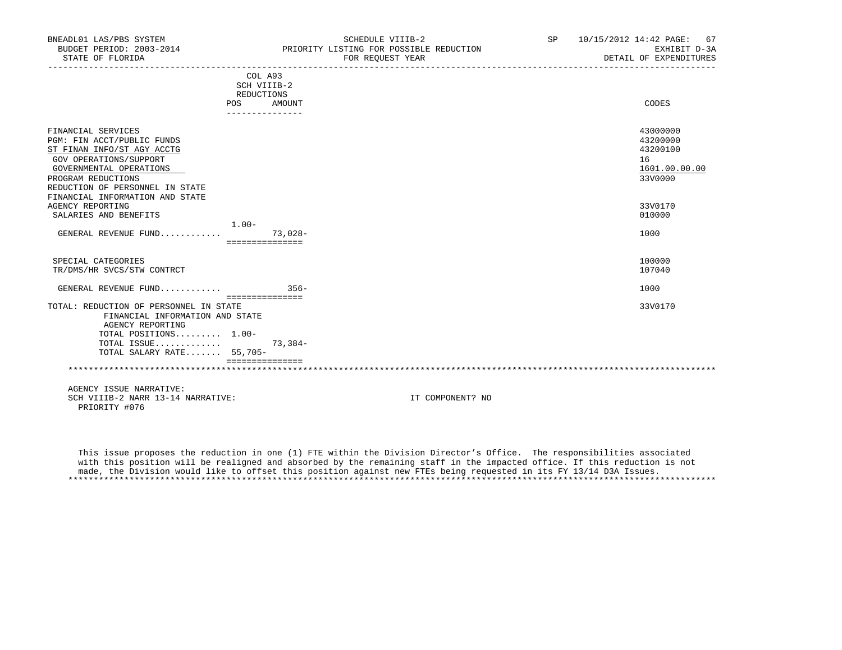| BNEADL01 LAS/PBS SYSTEM<br>BUDGET PERIOD: 2003-2014<br>STATE OF FLORIDA                                                                                                                                                                             |                                                                       | SCHEDULE VIIIB-2<br>PRIORITY LISTING FOR POSSIBLE REDUCTION<br>FOR REOUEST YEAR<br>_____________________________________ | SP 10/15/2012 14:42 PAGE:<br>67<br>EXHIBIT D-3A<br>DETAIL OF EXPENDITURES     |
|-----------------------------------------------------------------------------------------------------------------------------------------------------------------------------------------------------------------------------------------------------|-----------------------------------------------------------------------|--------------------------------------------------------------------------------------------------------------------------|-------------------------------------------------------------------------------|
|                                                                                                                                                                                                                                                     | COL A93<br>SCH VIIIB-2<br>REDUCTIONS<br>POS AMOUNT<br>_______________ |                                                                                                                          | CODES                                                                         |
| FINANCIAL SERVICES<br>PGM: FIN ACCT/PUBLIC FUNDS<br>ST FINAN INFO/ST AGY ACCTG<br>GOV OPERATIONS/SUPPORT<br>GOVERNMENTAL OPERATIONS<br>PROGRAM REDUCTIONS<br>REDUCTION OF PERSONNEL IN STATE<br>FINANCIAL INFORMATION AND STATE<br>AGENCY REPORTING |                                                                       |                                                                                                                          | 43000000<br>43200000<br>43200100<br>16<br>1601.00.00.00<br>33V0000<br>33V0170 |
| SALARIES AND BENEFITS<br>GENERAL REVENUE FUND                                                                                                                                                                                                       | $1.00 -$<br>$73,028-$<br>===============                              |                                                                                                                          | 010000<br>1000                                                                |
| SPECIAL CATEGORIES<br>TR/DMS/HR SVCS/STW CONTRCT                                                                                                                                                                                                    |                                                                       |                                                                                                                          | 100000<br>107040                                                              |
| GENERAL REVENUE FUND 356-                                                                                                                                                                                                                           |                                                                       |                                                                                                                          | 1000                                                                          |
| TOTAL: REDUCTION OF PERSONNEL IN STATE<br>FINANCIAL INFORMATION AND STATE<br>AGENCY REPORTING                                                                                                                                                       | ===============                                                       |                                                                                                                          | 33V0170                                                                       |
| TOTAL POSITIONS 1.00-<br>TOTAL ISSUE 73,384-<br>TOTAL SALARY RATE 55,705-                                                                                                                                                                           |                                                                       |                                                                                                                          |                                                                               |
|                                                                                                                                                                                                                                                     | ===============                                                       |                                                                                                                          |                                                                               |
| AGENCY ISSUE NARRATIVE:<br>SCH VIIIB-2 NARR 13-14 NARRATIVE:<br>PRIORITY #076                                                                                                                                                                       |                                                                       | IT COMPONENT? NO                                                                                                         |                                                                               |

 This issue proposes the reduction in one (1) FTE within the Division Director's Office. The responsibilities associated with this position will be realigned and absorbed by the remaining staff in the impacted office. If this reduction is not made, the Division would like to offset this position against new FTEs being requested in its FY 13/14 D3A Issues. \*\*\*\*\*\*\*\*\*\*\*\*\*\*\*\*\*\*\*\*\*\*\*\*\*\*\*\*\*\*\*\*\*\*\*\*\*\*\*\*\*\*\*\*\*\*\*\*\*\*\*\*\*\*\*\*\*\*\*\*\*\*\*\*\*\*\*\*\*\*\*\*\*\*\*\*\*\*\*\*\*\*\*\*\*\*\*\*\*\*\*\*\*\*\*\*\*\*\*\*\*\*\*\*\*\*\*\*\*\*\*\*\*\*\*\*\*\*\*\*\*\*\*\*\*\*\*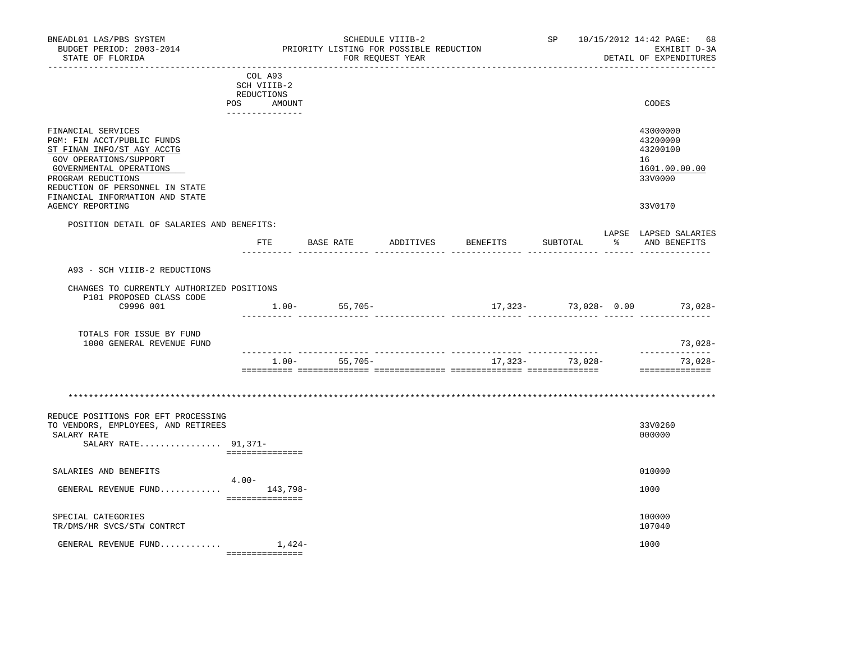| BNEADL01 LAS/PBS SYSTEM<br>BUDGET PERIOD: 2003-2014<br>STATE OF FLORIDA<br>------------------------                                                                                                                             |                                                                       |                   | FOR REOUEST YEAR  | SCHEDULE VIIIB-2<br>PRIORITY LISTING FOR POSSIBLE REDUCTION |                              | SP       |               | 10/15/2012 14:42 PAGE:<br>68<br>EXHIBIT D-3A<br>DETAIL OF EXPENDITURES |
|---------------------------------------------------------------------------------------------------------------------------------------------------------------------------------------------------------------------------------|-----------------------------------------------------------------------|-------------------|-------------------|-------------------------------------------------------------|------------------------------|----------|---------------|------------------------------------------------------------------------|
|                                                                                                                                                                                                                                 | COL A93<br>SCH VIIIB-2<br>REDUCTIONS<br>POS AMOUNT<br>_______________ |                   |                   |                                                             |                              |          |               | CODES                                                                  |
| FINANCIAL SERVICES<br>PGM: FIN ACCT/PUBLIC FUNDS<br>ST FINAN INFO/ST AGY ACCTG<br>GOV OPERATIONS/SUPPORT<br>GOVERNMENTAL OPERATIONS<br>PROGRAM REDUCTIONS<br>REDUCTION OF PERSONNEL IN STATE<br>FINANCIAL INFORMATION AND STATE |                                                                       |                   |                   |                                                             |                              |          |               | 43000000<br>43200000<br>43200100<br>16<br>1601.00.00.00<br>33V0000     |
| AGENCY REPORTING                                                                                                                                                                                                                |                                                                       |                   |                   |                                                             |                              |          |               | 33V0170                                                                |
| POSITION DETAIL OF SALARIES AND BENEFITS:                                                                                                                                                                                       |                                                                       | ETE               |                   |                                                             | BASE RATE ADDITIVES BENEFITS | SUBTOTAL | $\frac{1}{6}$ | LAPSE LAPSED SALARIES<br>AND BENEFITS                                  |
|                                                                                                                                                                                                                                 |                                                                       |                   |                   |                                                             |                              |          |               |                                                                        |
| A93 - SCH VIIIB-2 REDUCTIONS                                                                                                                                                                                                    |                                                                       |                   |                   |                                                             |                              |          |               |                                                                        |
| CHANGES TO CURRENTLY AUTHORIZED POSITIONS<br>P101 PROPOSED CLASS CODE                                                                                                                                                           |                                                                       |                   |                   |                                                             |                              |          |               |                                                                        |
| C9996 001                                                                                                                                                                                                                       |                                                                       | $1.00 - 55,705 -$ |                   |                                                             |                              |          |               | $17,323-73,028-0.00$ 73,028-                                           |
| TOTALS FOR ISSUE BY FUND<br>1000 GENERAL REVENUE FUND                                                                                                                                                                           |                                                                       |                   |                   |                                                             |                              |          |               | 73,028-                                                                |
|                                                                                                                                                                                                                                 |                                                                       |                   | $1.00 - 55,705 -$ |                                                             | $17,323-73,028-$             |          |               | --------------<br>73,028-                                              |
|                                                                                                                                                                                                                                 |                                                                       |                   |                   |                                                             |                              |          |               | ==============                                                         |
|                                                                                                                                                                                                                                 |                                                                       |                   |                   |                                                             |                              |          |               |                                                                        |
| REDUCE POSITIONS FOR EFT PROCESSING<br>TO VENDORS, EMPLOYEES, AND RETIREES<br>SALARY RATE<br>SALARY RATE $91,371-$                                                                                                              | ===============                                                       |                   |                   |                                                             |                              |          |               | 33V0260<br>000000                                                      |
| SALARIES AND BENEFITS                                                                                                                                                                                                           |                                                                       |                   |                   |                                                             |                              |          |               | 010000                                                                 |
| GENERAL REVENUE FUND $143,798-$                                                                                                                                                                                                 | $4.00-$<br>===============                                            |                   |                   |                                                             |                              |          |               | 1000                                                                   |
| SPECIAL CATEGORIES<br>TR/DMS/HR SVCS/STW CONTRCT                                                                                                                                                                                |                                                                       |                   |                   |                                                             |                              |          |               | 100000<br>107040                                                       |
| GENERAL REVENUE FUND                                                                                                                                                                                                            | ===============                                                       | 1,424-            |                   |                                                             |                              |          |               | 1000                                                                   |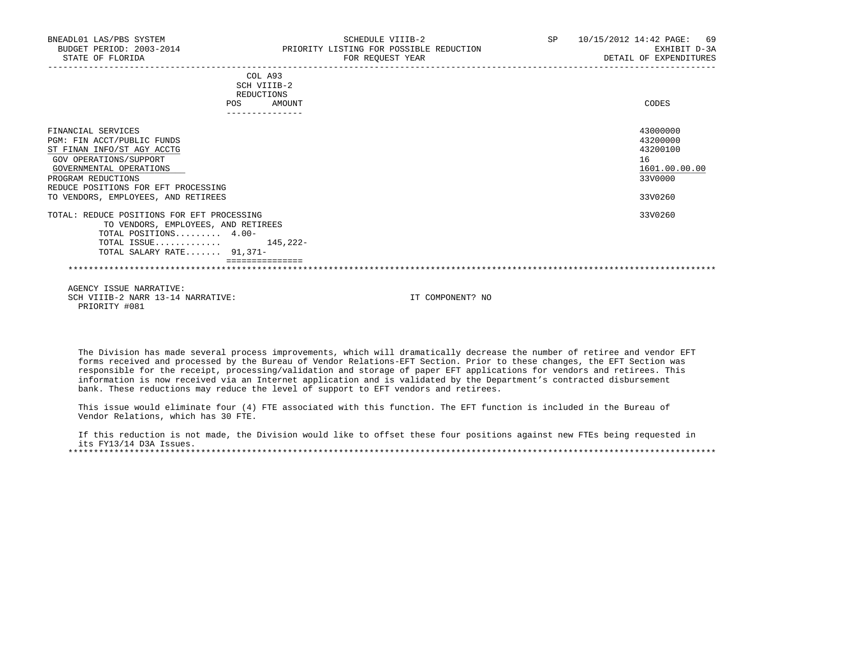| BNEADL01 LAS/PBS SYSTEM<br>BUDGET PERIOD: 2003-2014<br>STATE OF FLORIDA | SCHEDULE VIIIB-2<br>PRIORITY LISTING FOR POSSIBLE REDUCTION<br>FOR REQUEST YEAR | SP 10/15/2012 14:42 PAGE:<br>69<br>EXHIBIT D-3A<br>DETAIL OF EXPENDITURES |
|-------------------------------------------------------------------------|---------------------------------------------------------------------------------|---------------------------------------------------------------------------|
|                                                                         | COL A93<br>SCH VIIIB-2                                                          |                                                                           |
|                                                                         | REDUCTIONS                                                                      |                                                                           |
| POS                                                                     | AMOUNT<br>---------------                                                       | CODES                                                                     |
| FINANCIAL SERVICES                                                      |                                                                                 | 43000000                                                                  |
| PGM: FIN ACCT/PUBLIC FUNDS                                              |                                                                                 | 43200000                                                                  |
| ST FINAN INFO/ST AGY ACCTG                                              |                                                                                 | 43200100                                                                  |
| GOV OPERATIONS/SUPPORT                                                  |                                                                                 | 16                                                                        |
| GOVERNMENTAL OPERATIONS                                                 |                                                                                 | 1601.00.00.00                                                             |
| PROGRAM REDUCTIONS                                                      |                                                                                 | 33V0000                                                                   |
| REDUCE POSITIONS FOR EFT PROCESSING                                     |                                                                                 |                                                                           |
| TO VENDORS, EMPLOYEES, AND RETIREES                                     |                                                                                 | 33V0260                                                                   |
| TOTAL: REDUCE POSITIONS FOR EFT PROCESSING                              |                                                                                 | 33V0260                                                                   |
| TO VENDORS, EMPLOYEES, AND RETIREES                                     |                                                                                 |                                                                           |
| TOTAL POSITIONS 4.00-                                                   |                                                                                 |                                                                           |
| TOTAL ISSUE $145,222-$                                                  |                                                                                 |                                                                           |
| TOTAL SALARY RATE 91,371-                                               |                                                                                 |                                                                           |
|                                                                         |                                                                                 |                                                                           |
| AGENCY ISSUE NARRATIVE:                                                 |                                                                                 |                                                                           |
| SCH VIIIB-2 NARR 13-14 NARRATIVE:                                       | IT COMPONENT? NO                                                                |                                                                           |
| PRIORITY #081                                                           |                                                                                 |                                                                           |

 The Division has made several process improvements, which will dramatically decrease the number of retiree and vendor EFT forms received and processed by the Bureau of Vendor Relations-EFT Section. Prior to these changes, the EFT Section was responsible for the receipt, processing/validation and storage of paper EFT applications for vendors and retirees. This information is now received via an Internet application and is validated by the Department's contracted disbursement bank. These reductions may reduce the level of support to EFT vendors and retirees.

 This issue would eliminate four (4) FTE associated with this function. The EFT function is included in the Bureau of Vendor Relations, which has 30 FTE.

 If this reduction is not made, the Division would like to offset these four positions against new FTEs being requested in its FY13/14 D3A Issues. \*\*\*\*\*\*\*\*\*\*\*\*\*\*\*\*\*\*\*\*\*\*\*\*\*\*\*\*\*\*\*\*\*\*\*\*\*\*\*\*\*\*\*\*\*\*\*\*\*\*\*\*\*\*\*\*\*\*\*\*\*\*\*\*\*\*\*\*\*\*\*\*\*\*\*\*\*\*\*\*\*\*\*\*\*\*\*\*\*\*\*\*\*\*\*\*\*\*\*\*\*\*\*\*\*\*\*\*\*\*\*\*\*\*\*\*\*\*\*\*\*\*\*\*\*\*\*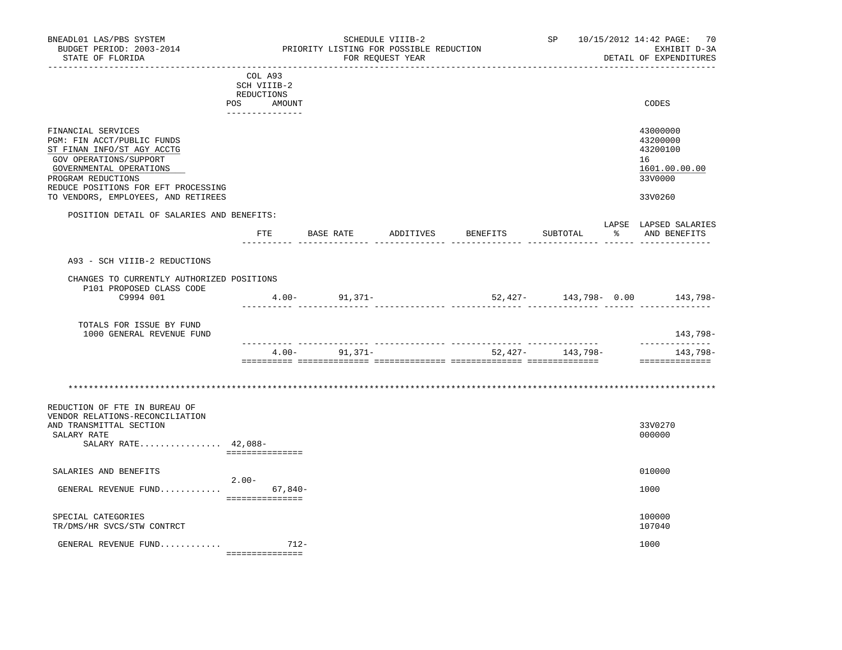| BNEADL01 LAS/PBS SYSTEM<br>BUDGET PERIOD: 2003-2014<br>STATE OF FLORIDA                                                                                                                                                                 | __________________                                                    |          | PRIORITY LISTING FOR POSSIBLE REDUCTION | SCHEDULE VIIIB-2<br>FOR REOUEST YEAR | ______________________ |                       |    | SP 10/15/2012 14:42 PAGE: 70<br>EXHIBIT D-3A<br>DETAIL OF EXPENDITURES        |
|-----------------------------------------------------------------------------------------------------------------------------------------------------------------------------------------------------------------------------------------|-----------------------------------------------------------------------|----------|-----------------------------------------|--------------------------------------|------------------------|-----------------------|----|-------------------------------------------------------------------------------|
|                                                                                                                                                                                                                                         | COL A93<br>SCH VIIIB-2<br>REDUCTIONS<br>POS AMOUNT<br>--------------- |          |                                         |                                      |                        |                       |    | CODES                                                                         |
| FINANCIAL SERVICES<br>PGM: FIN ACCT/PUBLIC FUNDS<br>ST FINAN INFO/ST AGY ACCTG<br>GOV OPERATIONS/SUPPORT<br>GOVERNMENTAL OPERATIONS<br>PROGRAM REDUCTIONS<br>REDUCE POSITIONS FOR EFT PROCESSING<br>TO VENDORS, EMPLOYEES, AND RETIREES |                                                                       |          |                                         |                                      |                        |                       |    | 43000000<br>43200000<br>43200100<br>16<br>1601.00.00.00<br>33V0000<br>33V0260 |
| POSITION DETAIL OF SALARIES AND BENEFITS:                                                                                                                                                                                               |                                                                       |          |                                         |                                      |                        |                       |    | LAPSE LAPSED SALARIES                                                         |
|                                                                                                                                                                                                                                         |                                                                       |          | FTE BASE RATE ADDITIVES                 |                                      | BENEFITS               | SUBTOTAL              | ႜၟ | AND BENEFITS                                                                  |
| A93 - SCH VIIIB-2 REDUCTIONS                                                                                                                                                                                                            |                                                                       |          |                                         |                                      |                        |                       |    |                                                                               |
| CHANGES TO CURRENTLY AUTHORIZED POSITIONS<br>P101 PROPOSED CLASS CODE<br>C9994 001                                                                                                                                                      |                                                                       |          | $4.00 - 91,371 -$                       |                                      |                        | 52,427- 143,798- 0.00 |    | 143,798-                                                                      |
| TOTALS FOR ISSUE BY FUND<br>1000 GENERAL REVENUE FUND                                                                                                                                                                                   |                                                                       |          |                                         |                                      |                        |                       |    | 143,798-                                                                      |
|                                                                                                                                                                                                                                         |                                                                       | $4.00 -$ | 91,371-                                 |                                      |                        | $52,427-143,798-$     |    | --------------<br>143,798-<br>==============                                  |
| REDUCTION OF FTE IN BUREAU OF<br>VENDOR RELATIONS-RECONCILIATION<br>AND TRANSMITTAL SECTION                                                                                                                                             |                                                                       |          |                                         |                                      |                        |                       |    | 33V0270                                                                       |
| SALARY RATE<br>SALARY RATE $42,088-$                                                                                                                                                                                                    | ===============                                                       |          |                                         |                                      |                        |                       |    | 000000                                                                        |
| SALARIES AND BENEFITS                                                                                                                                                                                                                   | $2.00 -$                                                              |          |                                         |                                      |                        |                       |    | 010000                                                                        |
| GENERAL REVENUE FUND                                                                                                                                                                                                                    | ===============                                                       | 67,840-  |                                         |                                      |                        |                       |    | 1000                                                                          |
| SPECIAL CATEGORIES<br>TR/DMS/HR SVCS/STW CONTRCT                                                                                                                                                                                        |                                                                       |          |                                         |                                      |                        |                       |    | 100000<br>107040                                                              |
| GENERAL REVENUE FUND                                                                                                                                                                                                                    | ===============                                                       | 712-     |                                         |                                      |                        |                       |    | 1000                                                                          |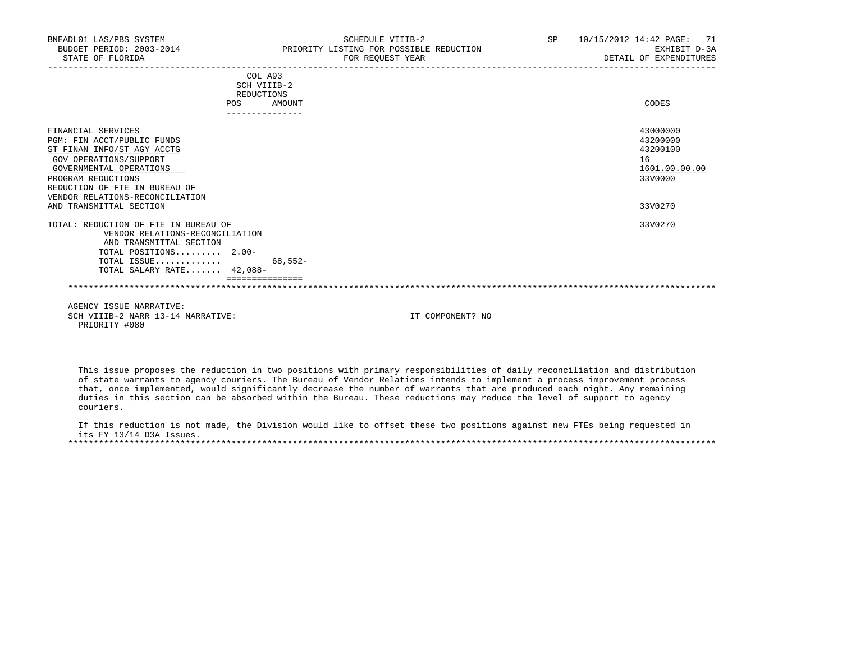| BNEADL01 LAS/PBS SYSTEM<br>BUDGET PERIOD: 2003-2014<br>STATE OF FLORIDA                               |                                             |           | SCHEDULE VIIIB-2<br>PRIORITY LISTING FOR POSSIBLE REDUCTION<br>FOR REOUEST YEAR | SP | 10/15/2012 14:42 PAGE:<br>71<br>EXHIBIT D-3A<br>DETAIL OF EXPENDITURES |
|-------------------------------------------------------------------------------------------------------|---------------------------------------------|-----------|---------------------------------------------------------------------------------|----|------------------------------------------------------------------------|
|                                                                                                       | COL A93<br>SCH VIIIB-2<br>REDUCTIONS<br>POS | AMOUNT    |                                                                                 |    | CODES                                                                  |
| FINANCIAL SERVICES<br>PGM: FIN ACCT/PUBLIC FUNDS                                                      |                                             |           |                                                                                 |    | 43000000<br>43200000                                                   |
| ST FINAN INFO/ST AGY ACCTG<br>GOV OPERATIONS/SUPPORT<br>GOVERNMENTAL OPERATIONS<br>PROGRAM REDUCTIONS |                                             |           |                                                                                 |    | 43200100<br>16<br>1601.00.00.00<br>33V0000                             |
| REDUCTION OF FTE IN BUREAU OF<br>VENDOR RELATIONS-RECONCILIATION<br>AND TRANSMITTAL SECTION           |                                             |           |                                                                                 |    | 33V0270                                                                |
| TOTAL: REDUCTION OF FTE IN BUREAU OF                                                                  |                                             |           |                                                                                 |    | 33V0270                                                                |
| VENDOR RELATIONS-RECONCILIATION<br>AND TRANSMITTAL SECTION<br>TOTAL POSITIONS 2.00-                   |                                             |           |                                                                                 |    |                                                                        |
| TOTAL ISSUE<br>TOTAL SALARY RATE 42,088-                                                              |                                             | $68.552-$ |                                                                                 |    |                                                                        |
|                                                                                                       |                                             |           |                                                                                 |    |                                                                        |
| AGENCY ISSUE NARRATIVE:<br>SCH VIIIB-2 NARR 13-14 NARRATIVE:                                          |                                             |           | IT COMPONENT? NO                                                                |    |                                                                        |

PRIORITY #080

 This issue proposes the reduction in two positions with primary responsibilities of daily reconciliation and distribution of state warrants to agency couriers. The Bureau of Vendor Relations intends to implement a process improvement process that, once implemented, would significantly decrease the number of warrants that are produced each night. Any remaining duties in this section can be absorbed within the Bureau. These reductions may reduce the level of support to agency couriers.

 If this reduction is not made, the Division would like to offset these two positions against new FTEs being requested in its FY 13/14 D3A Issues. \*\*\*\*\*\*\*\*\*\*\*\*\*\*\*\*\*\*\*\*\*\*\*\*\*\*\*\*\*\*\*\*\*\*\*\*\*\*\*\*\*\*\*\*\*\*\*\*\*\*\*\*\*\*\*\*\*\*\*\*\*\*\*\*\*\*\*\*\*\*\*\*\*\*\*\*\*\*\*\*\*\*\*\*\*\*\*\*\*\*\*\*\*\*\*\*\*\*\*\*\*\*\*\*\*\*\*\*\*\*\*\*\*\*\*\*\*\*\*\*\*\*\*\*\*\*\*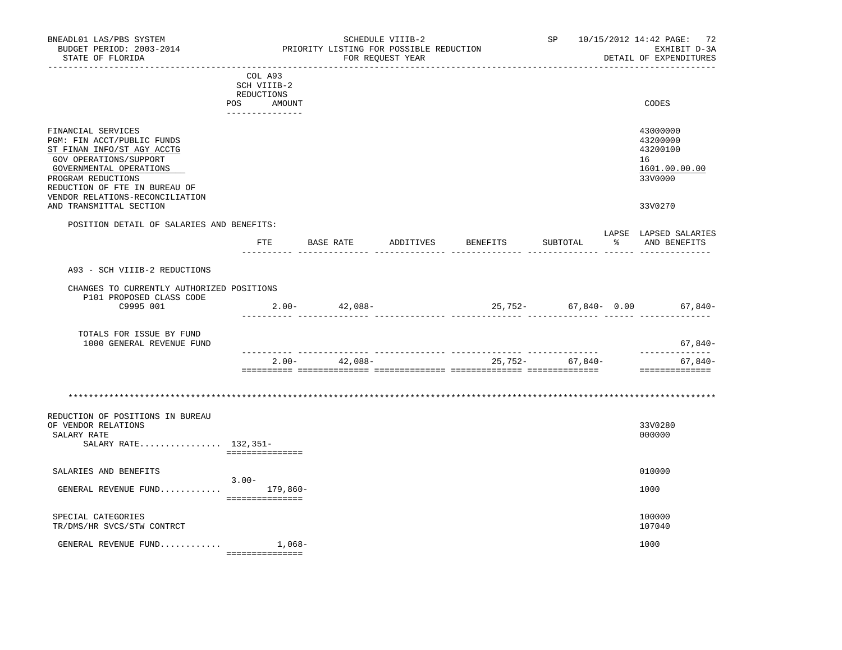| BNEADL01 LAS/PBS SYSTEM<br>BUDGET PERIOD: 2003-2014<br>STATE OF FLORIDA<br>________________<br>__________________________                                                                                                     |                                                                       |        |                   | SCHEDULE VIIIB-2<br>PRIORITY LISTING FOR POSSIBLE REDUCTION<br>FOR REQUEST YEAR |                           |            |                 |               | SP 10/15/2012 14:42 PAGE: 72<br>EXHIBIT D-3A<br>DETAIL OF EXPENDITURES |
|-------------------------------------------------------------------------------------------------------------------------------------------------------------------------------------------------------------------------------|-----------------------------------------------------------------------|--------|-------------------|---------------------------------------------------------------------------------|---------------------------|------------|-----------------|---------------|------------------------------------------------------------------------|
|                                                                                                                                                                                                                               | COL A93<br>SCH VIIIB-2<br>REDUCTIONS<br>POS AMOUNT<br>_______________ |        |                   |                                                                                 |                           |            |                 |               | CODES                                                                  |
| FINANCIAL SERVICES<br>PGM: FIN ACCT/PUBLIC FUNDS<br>ST FINAN INFO/ST AGY ACCTG<br>GOV OPERATIONS/SUPPORT<br>GOVERNMENTAL OPERATIONS<br>PROGRAM REDUCTIONS<br>REDUCTION OF FTE IN BUREAU OF<br>VENDOR RELATIONS-RECONCILIATION |                                                                       |        |                   |                                                                                 |                           |            |                 |               | 43000000<br>43200000<br>43200100<br>16<br>1601.00.00.00<br>33V0000     |
| AND TRANSMITTAL SECTION                                                                                                                                                                                                       |                                                                       |        |                   |                                                                                 |                           |            |                 |               | 33V0270                                                                |
| POSITION DETAIL OF SALARIES AND BENEFITS:                                                                                                                                                                                     |                                                                       |        |                   |                                                                                 |                           |            |                 |               | LAPSE LAPSED SALARIES                                                  |
|                                                                                                                                                                                                                               |                                                                       | FTE    | BASE RATE         | ADDITIVES BENEFITS                                                              |                           |            | SUBTOTAL        | $\frac{1}{6}$ | AND BENEFITS                                                           |
| A93 - SCH VIIIB-2 REDUCTIONS<br>CHANGES TO CURRENTLY AUTHORIZED POSITIONS<br>P101 PROPOSED CLASS CODE<br>C9995 001                                                                                                            |                                                                       |        | $2.00 - 42,088 -$ |                                                                                 | --------------- --------- | . <u>.</u> |                 |               | 25,752- 67,840- 0.00 67,840-                                           |
| TOTALS FOR ISSUE BY FUND<br>1000 GENERAL REVENUE FUND                                                                                                                                                                         |                                                                       |        |                   |                                                                                 |                           |            |                 |               | 67,840-                                                                |
|                                                                                                                                                                                                                               |                                                                       |        | $2.00 - 42,088 -$ |                                                                                 |                           |            | 25,752- 67,840- |               | ______________<br>$67,840-$<br>==============                          |
| REDUCTION OF POSITIONS IN BUREAU<br>OF VENDOR RELATIONS<br>SALARY RATE<br>SALARY RATE 132,351-                                                                                                                                | ===============                                                       |        |                   |                                                                                 |                           |            |                 |               | 33V0280<br>000000                                                      |
| SALARIES AND BENEFITS                                                                                                                                                                                                         |                                                                       |        |                   |                                                                                 |                           |            |                 |               | 010000                                                                 |
| GENERAL REVENUE FUND $179,860-$                                                                                                                                                                                               | $3.00 -$<br>===============                                           |        |                   |                                                                                 |                           |            |                 |               | 1000                                                                   |
| SPECIAL CATEGORIES<br>TR/DMS/HR SVCS/STW CONTRCT                                                                                                                                                                              |                                                                       |        |                   |                                                                                 |                           |            |                 |               | 100000<br>107040                                                       |
| GENERAL REVENUE FUND                                                                                                                                                                                                          | ===============                                                       | 1,068- |                   |                                                                                 |                           |            |                 |               | 1000                                                                   |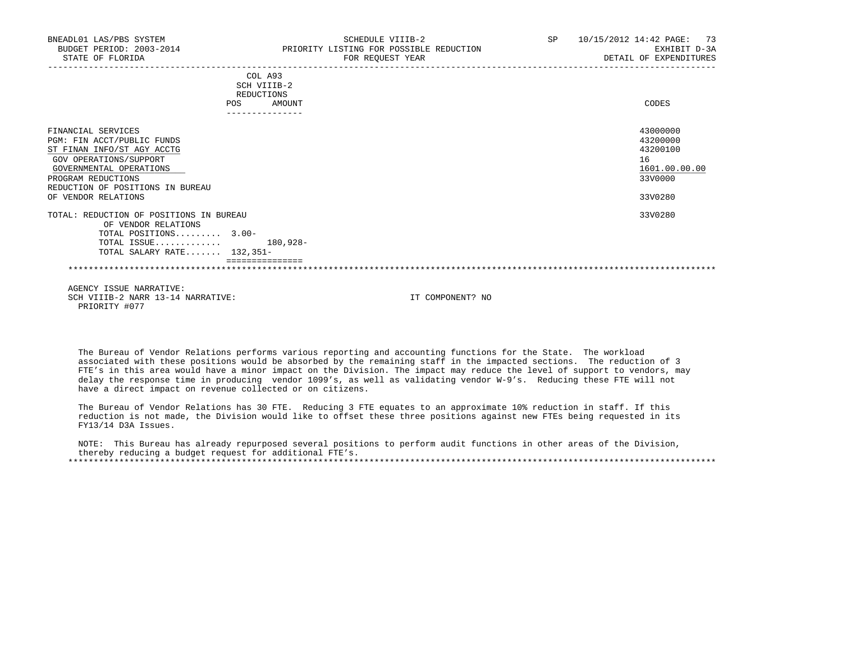| BNEADL01 LAS/PBS SYSTEM<br>BUDGET PERIOD: 2003-2014<br>STATE OF FLORIDA                                                                                                                                              |                                                                                 | SCHEDULE VIIIB-2<br>PRIORITY LISTING FOR POSSIBLE REDUCTION<br>FOR REQUEST YEAR | SP | 73<br>10/15/2012 14:42 PAGE:<br>EXHIBIT D-3A<br>DETAIL OF EXPENDITURES        |
|----------------------------------------------------------------------------------------------------------------------------------------------------------------------------------------------------------------------|---------------------------------------------------------------------------------|---------------------------------------------------------------------------------|----|-------------------------------------------------------------------------------|
|                                                                                                                                                                                                                      | COL A93<br>SCH VIIIB-2<br><b>REDUCTIONS</b><br>POS<br>AMOUNT<br>--------------- |                                                                                 |    | CODES                                                                         |
| FINANCIAL SERVICES<br>PGM: FIN ACCT/PUBLIC FUNDS<br>ST FINAN INFO/ST AGY ACCTG<br>GOV OPERATIONS/SUPPORT<br>GOVERNMENTAL OPERATIONS<br>PROGRAM REDUCTIONS<br>REDUCTION OF POSITIONS IN BUREAU<br>OF VENDOR RELATIONS |                                                                                 |                                                                                 |    | 43000000<br>43200000<br>43200100<br>16<br>1601.00.00.00<br>33V0000<br>33V0280 |
| TOTAL: REDUCTION OF POSITIONS IN BUREAU<br>OF VENDOR RELATIONS<br>TOTAL POSITIONS 3.00-<br>TOTAL ISSUE<br>TOTAL SALARY RATE 132,351-                                                                                 | 180,928-                                                                        |                                                                                 |    | 33V0280                                                                       |
| AGENCY ISSUE NARRATIVE:<br>SCH VIIIB-2 NARR 13-14 NARRATIVE:                                                                                                                                                         |                                                                                 | IT COMPONENT? NO                                                                |    |                                                                               |

 The Bureau of Vendor Relations performs various reporting and accounting functions for the State. The workload associated with these positions would be absorbed by the remaining staff in the impacted sections. The reduction of 3 FTE's in this area would have a minor impact on the Division. The impact may reduce the level of support to vendors, may delay the response time in producing vendor 1099's, as well as validating vendor W-9's. Reducing these FTE will not

PRIORITY #077

have a direct impact on revenue collected or on citizens.

 The Bureau of Vendor Relations has 30 FTE. Reducing 3 FTE equates to an approximate 10% reduction in staff. If this reduction is not made, the Division would like to offset these three positions against new FTEs being requested in its FY13/14 D3A Issues.

 NOTE: This Bureau has already repurposed several positions to perform audit functions in other areas of the Division, thereby reducing a budget request for additional FTE's. \*\*\*\*\*\*\*\*\*\*\*\*\*\*\*\*\*\*\*\*\*\*\*\*\*\*\*\*\*\*\*\*\*\*\*\*\*\*\*\*\*\*\*\*\*\*\*\*\*\*\*\*\*\*\*\*\*\*\*\*\*\*\*\*\*\*\*\*\*\*\*\*\*\*\*\*\*\*\*\*\*\*\*\*\*\*\*\*\*\*\*\*\*\*\*\*\*\*\*\*\*\*\*\*\*\*\*\*\*\*\*\*\*\*\*\*\*\*\*\*\*\*\*\*\*\*\*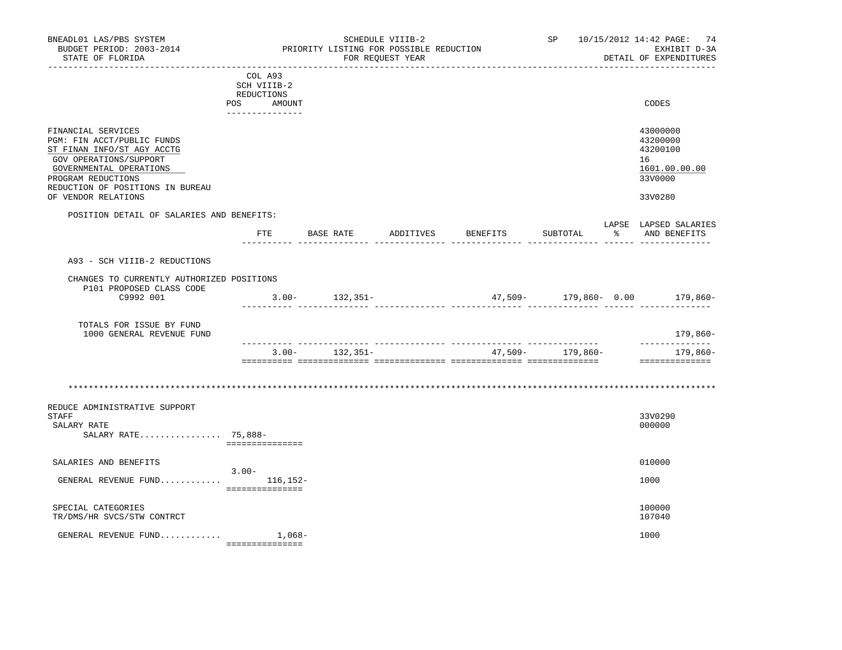| BNEADL01 LAS/PBS SYSTEM<br>BUDGET PERIOD: 2003-2014<br>STATE OF FLORIDA                                                                                                                                              |                                                                       | PRIORITY LISTING FOR POSSIBLE REDUCTION | SCHEDULE VIIIB-2<br>FOR REQUEST YEAR |                              | SP 10/15/2012 14:42 PAGE: 74<br>EXHIBIT D-3A<br>DETAIL OF EXPENDITURES |                                                                               |
|----------------------------------------------------------------------------------------------------------------------------------------------------------------------------------------------------------------------|-----------------------------------------------------------------------|-----------------------------------------|--------------------------------------|------------------------------|------------------------------------------------------------------------|-------------------------------------------------------------------------------|
|                                                                                                                                                                                                                      | COL A93<br>SCH VIIIB-2<br>REDUCTIONS<br>POS AMOUNT<br>--------------- |                                         |                                      |                              |                                                                        | CODES                                                                         |
| FINANCIAL SERVICES<br>PGM: FIN ACCT/PUBLIC FUNDS<br>ST FINAN INFO/ST AGY ACCTG<br>GOV OPERATIONS/SUPPORT<br>GOVERNMENTAL OPERATIONS<br>PROGRAM REDUCTIONS<br>REDUCTION OF POSITIONS IN BUREAU<br>OF VENDOR RELATIONS |                                                                       |                                         |                                      |                              |                                                                        | 43000000<br>43200000<br>43200100<br>16<br>1601.00.00.00<br>33V0000<br>33V0280 |
| POSITION DETAIL OF SALARIES AND BENEFITS:                                                                                                                                                                            |                                                                       |                                         |                                      |                              |                                                                        | LAPSE LAPSED SALARIES                                                         |
|                                                                                                                                                                                                                      | ETE                                                                   | ______ _____                            | _______ ___                          | BASE RATE ADDITIVES BENEFITS | SUBTOTAL                                                               | % AND BENEFITS<br>_______ _______________ _____ ______                        |
| A93 - SCH VIIIB-2 REDUCTIONS                                                                                                                                                                                         |                                                                       |                                         |                                      |                              |                                                                        |                                                                               |
| CHANGES TO CURRENTLY AUTHORIZED POSITIONS<br>P101 PROPOSED CLASS CODE<br>C9992 001                                                                                                                                   |                                                                       | $3.00 - 132,351 -$                      |                                      |                              |                                                                        | $47,509-179,860-0.00$ $179,860-$                                              |
|                                                                                                                                                                                                                      |                                                                       |                                         |                                      |                              |                                                                        |                                                                               |
| TOTALS FOR ISSUE BY FUND<br>1000 GENERAL REVENUE FUND                                                                                                                                                                |                                                                       |                                         |                                      |                              |                                                                        | 179,860-                                                                      |
|                                                                                                                                                                                                                      |                                                                       | $3.00 - 132,351 -$                      |                                      |                              | 47,509- 179,860-                                                       | --------------<br>179,860-<br>==============                                  |
| REDUCE ADMINISTRATIVE SUPPORT<br><b>STAFF</b><br>SALARY RATE<br>SALARY RATE 75,888-                                                                                                                                  | ===============                                                       |                                         |                                      |                              |                                                                        | 33V0290<br>000000                                                             |
| SALARIES AND BENEFITS                                                                                                                                                                                                |                                                                       |                                         |                                      |                              |                                                                        | 010000                                                                        |
| GENERAL REVENUE FUND $116,152-$                                                                                                                                                                                      | $3.00 -$<br>===============                                           |                                         |                                      |                              |                                                                        | 1000                                                                          |
| SPECIAL CATEGORIES<br>TR/DMS/HR SVCS/STW CONTRCT                                                                                                                                                                     |                                                                       |                                         |                                      |                              |                                                                        | 100000<br>107040                                                              |
| GENERAL REVENUE FUND                                                                                                                                                                                                 | 1,068–<br>________________                                            |                                         |                                      |                              |                                                                        | 1000                                                                          |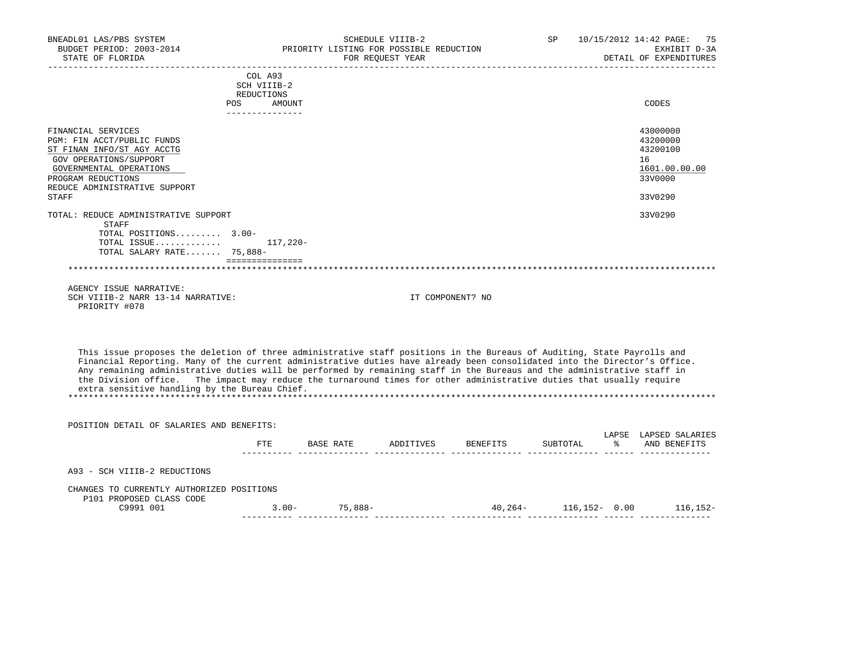| BNEADL01 LAS/PBS SYSTEM<br>BUDGET PERIOD: 2003-2014<br>STATE OF FLORIDA                                                                                                                                                                                                                                                                                                                                                                                                                                                                                  |                                             |                   |                  | PRIORITY LISTING FOR POSSIBLE REDUCTION |          | 10/15/2012 14:42 PAGE: 75<br>EXHIBIT D-3A<br>DETAIL OF EXPENDITURES           |
|----------------------------------------------------------------------------------------------------------------------------------------------------------------------------------------------------------------------------------------------------------------------------------------------------------------------------------------------------------------------------------------------------------------------------------------------------------------------------------------------------------------------------------------------------------|---------------------------------------------|-------------------|------------------|-----------------------------------------|----------|-------------------------------------------------------------------------------|
|                                                                                                                                                                                                                                                                                                                                                                                                                                                                                                                                                          | COL A93<br>SCH VIIIB-2                      |                   |                  |                                         |          |                                                                               |
|                                                                                                                                                                                                                                                                                                                                                                                                                                                                                                                                                          | REDUCTIONS<br>POS AMOUNT<br>--------------- |                   |                  |                                         |          | CODES                                                                         |
| FINANCIAL SERVICES<br>PGM: FIN ACCT/PUBLIC FUNDS<br>ST FINAN INFO/ST AGY ACCTG<br>GOV OPERATIONS/SUPPORT<br>GOVERNMENTAL OPERATIONS<br>PROGRAM REDUCTIONS<br>REDUCE ADMINISTRATIVE SUPPORT<br><b>STAFF</b>                                                                                                                                                                                                                                                                                                                                               |                                             |                   |                  |                                         |          | 43000000<br>43200000<br>43200100<br>16<br>1601.00.00.00<br>33V0000<br>33V0290 |
| TOTAL: REDUCE ADMINISTRATIVE SUPPORT<br>STAFF<br>TOTAL POSITIONS 3.00-<br>TOTAL ISSUE<br>TOTAL SALARY RATE 75,888-                                                                                                                                                                                                                                                                                                                                                                                                                                       | 117,220-                                    |                   |                  |                                         |          | 33V0290                                                                       |
| and a complete the contract of the contract of the contract of the contract of the contract of the contract of                                                                                                                                                                                                                                                                                                                                                                                                                                           |                                             |                   |                  |                                         |          |                                                                               |
| AGENCY ISSUE NARRATIVE:<br>SCH VIIIB-2 NARR 13-14 NARRATIVE:<br>PRIORITY #078                                                                                                                                                                                                                                                                                                                                                                                                                                                                            |                                             |                   | IT COMPONENT? NO |                                         |          |                                                                               |
| This issue proposes the deletion of three administrative staff positions in the Bureaus of Auditing, State Payrolls and<br>Financial Reporting. Many of the current administrative duties have already been consolidated into the Director's Office.<br>Any remaining administrative duties will be performed by remaining staff in the Bureaus and the administrative staff in<br>the Division office. The impact may reduce the turnaround times for other administrative duties that usually require<br>extra sensitive handling by the Bureau Chief. |                                             |                   |                  |                                         |          |                                                                               |
| POSITION DETAIL OF SALARIES AND BENEFITS:                                                                                                                                                                                                                                                                                                                                                                                                                                                                                                                |                                             |                   |                  |                                         |          |                                                                               |
|                                                                                                                                                                                                                                                                                                                                                                                                                                                                                                                                                          | ETE                                         |                   |                  | BASE RATE ADDITIVES BENEFITS            | SUBTOTAL | LAPSE LAPSED SALARIES<br>% AND BENEFITS                                       |
| A93 - SCH VIIIB-2 REDUCTIONS                                                                                                                                                                                                                                                                                                                                                                                                                                                                                                                             |                                             |                   |                  |                                         |          |                                                                               |
| CHANGES TO CURRENTLY AUTHORIZED POSITIONS<br>P101 PROPOSED CLASS CODE<br>C9991 001                                                                                                                                                                                                                                                                                                                                                                                                                                                                       |                                             | $3.00 - 75,888 -$ |                  |                                         |          | $40,264-116,152-0.00$ 116,152-                                                |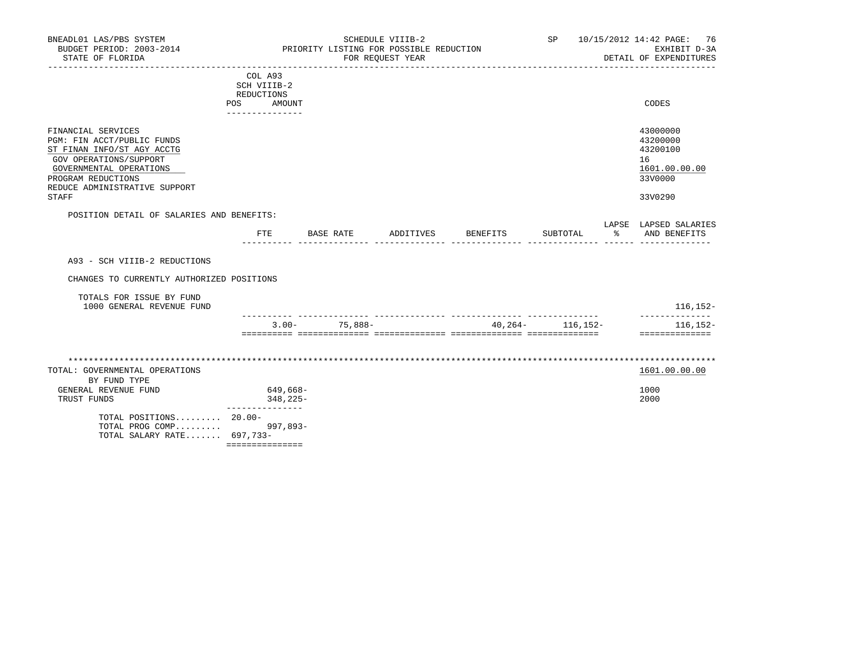| BNEADL01 LAS/PBS SYSTEM<br>BUDGET PERIOD: 2003-2014                                                                                                                                                        |                                                                          |           |                   | SCHEDULE VIIIB-2<br>PRIORITY LISTING FOR POSSIBLE REDUCTION |                    |                      | SP 10/15/2012 14:42 PAGE: 76<br>EXHIBIT D-3A                                  |
|------------------------------------------------------------------------------------------------------------------------------------------------------------------------------------------------------------|--------------------------------------------------------------------------|-----------|-------------------|-------------------------------------------------------------|--------------------|----------------------|-------------------------------------------------------------------------------|
| STATE OF FLORIDA                                                                                                                                                                                           |                                                                          |           |                   | FOR REQUEST YEAR                                            |                    |                      | DETAIL OF EXPENDITURES                                                        |
|                                                                                                                                                                                                            | COL A93<br>SCH VIIIB-2<br>REDUCTIONS<br>POS<br>AMOUNT<br>--------------- |           |                   |                                                             |                    |                      | CODES                                                                         |
| FINANCIAL SERVICES<br>PGM: FIN ACCT/PUBLIC FUNDS<br>ST FINAN INFO/ST AGY ACCTG<br>GOV OPERATIONS/SUPPORT<br>GOVERNMENTAL OPERATIONS<br>PROGRAM REDUCTIONS<br>REDUCE ADMINISTRATIVE SUPPORT<br><b>STAFF</b> |                                                                          |           |                   |                                                             |                    |                      | 43000000<br>43200000<br>43200100<br>16<br>1601.00.00.00<br>33V0000<br>33V0290 |
| POSITION DETAIL OF SALARIES AND BENEFITS:                                                                                                                                                                  |                                                                          |           |                   |                                                             |                    |                      | LAPSE LAPSED SALARIES                                                         |
|                                                                                                                                                                                                            | FTE                                                                      | BASE RATE |                   |                                                             | ADDITIVES BENEFITS | SUBTOTAL             | % AND BENEFITS                                                                |
| A93 - SCH VIIIB-2 REDUCTIONS                                                                                                                                                                               |                                                                          |           |                   |                                                             |                    |                      |                                                                               |
| CHANGES TO CURRENTLY AUTHORIZED POSITIONS                                                                                                                                                                  |                                                                          |           |                   |                                                             |                    |                      |                                                                               |
| TOTALS FOR ISSUE BY FUND<br>1000 GENERAL REVENUE FUND                                                                                                                                                      |                                                                          |           |                   |                                                             |                    |                      | 116,152-<br>______________                                                    |
|                                                                                                                                                                                                            |                                                                          |           | $3.00 - 75,888 -$ |                                                             |                    | 40, 264 - 116, 152 - | 116,152-<br>==============                                                    |
|                                                                                                                                                                                                            |                                                                          |           |                   |                                                             |                    |                      |                                                                               |
| TOTAL: GOVERNMENTAL OPERATIONS<br>BY FUND TYPE                                                                                                                                                             |                                                                          |           |                   |                                                             |                    |                      | 1601.00.00.00                                                                 |
| GENERAL REVENUE FUND<br>TRUST FUNDS                                                                                                                                                                        | $649,668-$<br>348,225-<br>_______________                                |           |                   |                                                             |                    |                      | 1000<br>2000                                                                  |
| TOTAL POSITIONS $20.00-$<br>TOTAL PROG COMP 997,893-<br>TOTAL SALARY RATE 697,733-                                                                                                                         | ===============                                                          |           |                   |                                                             |                    |                      |                                                                               |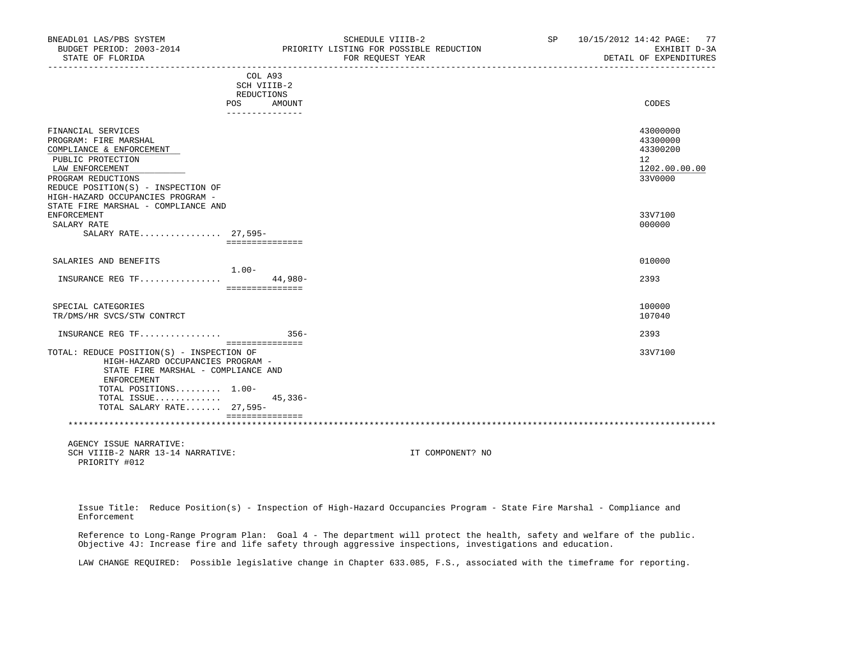| BNEADL01 LAS/PBS SYSTEM                                                                                                              |                                  | SCHEDULE VIIIB-2                                            | SP 10/15/2012 14:42 PAGE: 77           |
|--------------------------------------------------------------------------------------------------------------------------------------|----------------------------------|-------------------------------------------------------------|----------------------------------------|
| BUDGET PERIOD: 2003-2014<br>STATE OF FLORIDA                                                                                         |                                  | PRIORITY LISTING FOR POSSIBLE REDUCTION<br>FOR REQUEST YEAR | EXHIBIT D-3A<br>DETAIL OF EXPENDITURES |
|                                                                                                                                      | COL A93                          |                                                             |                                        |
|                                                                                                                                      | SCH VIIIB-2                      |                                                             |                                        |
|                                                                                                                                      | REDUCTIONS                       |                                                             |                                        |
|                                                                                                                                      | POS<br>AMOUNT<br>--------------- |                                                             | CODES                                  |
| FINANCIAL SERVICES                                                                                                                   |                                  |                                                             | 43000000                               |
| PROGRAM: FIRE MARSHAL                                                                                                                |                                  |                                                             | 43300000                               |
| COMPLIANCE & ENFORCEMENT                                                                                                             |                                  |                                                             | 43300200                               |
| PUBLIC PROTECTION                                                                                                                    |                                  |                                                             | $12^{\circ}$                           |
| LAW ENFORCEMENT                                                                                                                      |                                  |                                                             | 1202.00.00.00                          |
| PROGRAM REDUCTIONS                                                                                                                   |                                  |                                                             | 33V0000                                |
| REDUCE POSITION(S) - INSPECTION OF                                                                                                   |                                  |                                                             |                                        |
| HIGH-HAZARD OCCUPANCIES PROGRAM -                                                                                                    |                                  |                                                             |                                        |
| STATE FIRE MARSHAL - COMPLIANCE AND                                                                                                  |                                  |                                                             |                                        |
| <b>ENFORCEMENT</b>                                                                                                                   |                                  |                                                             | 33V7100                                |
| SALARY RATE                                                                                                                          |                                  |                                                             | 000000                                 |
| SALARY RATE 27,595-                                                                                                                  |                                  |                                                             |                                        |
|                                                                                                                                      | ===============                  |                                                             |                                        |
| SALARIES AND BENEFITS                                                                                                                |                                  |                                                             | 010000                                 |
|                                                                                                                                      | $1.00 -$                         |                                                             |                                        |
| INSURANCE REG TF                                                                                                                     | 44,980-<br>===============       |                                                             | 2393                                   |
| SPECIAL CATEGORIES                                                                                                                   |                                  |                                                             | 100000                                 |
| TR/DMS/HR SVCS/STW CONTRCT                                                                                                           |                                  |                                                             | 107040                                 |
|                                                                                                                                      |                                  |                                                             |                                        |
|                                                                                                                                      | ===============                  |                                                             | 2393                                   |
| TOTAL: REDUCE POSITION(S) - INSPECTION OF<br>HIGH-HAZARD OCCUPANCIES PROGRAM -<br>STATE FIRE MARSHAL - COMPLIANCE AND<br>ENFORCEMENT |                                  |                                                             | 33V7100                                |
| TOTAL POSITIONS 1.00-                                                                                                                |                                  |                                                             |                                        |
| TOTAL ISSUE                                                                                                                          | $45,336-$                        |                                                             |                                        |
| TOTAL SALARY RATE 27,595-                                                                                                            | ===============                  |                                                             |                                        |
|                                                                                                                                      |                                  |                                                             |                                        |
|                                                                                                                                      |                                  |                                                             |                                        |
| AGENCY ISSUE NARRATIVE:<br>SCH VIIIB-2 NARR 13-14 NARRATIVE:                                                                         |                                  | IT COMPONENT? NO                                            |                                        |
|                                                                                                                                      |                                  |                                                             |                                        |

 Issue Title: Reduce Position(s) - Inspection of High-Hazard Occupancies Program - State Fire Marshal - Compliance and Enforcement

PRIORITY #012

 Reference to Long-Range Program Plan: Goal 4 - The department will protect the health, safety and welfare of the public. Objective 4J: Increase fire and life safety through aggressive inspections, investigations and education.

LAW CHANGE REQUIRED: Possible legislative change in Chapter 633.085, F.S., associated with the timeframe for reporting.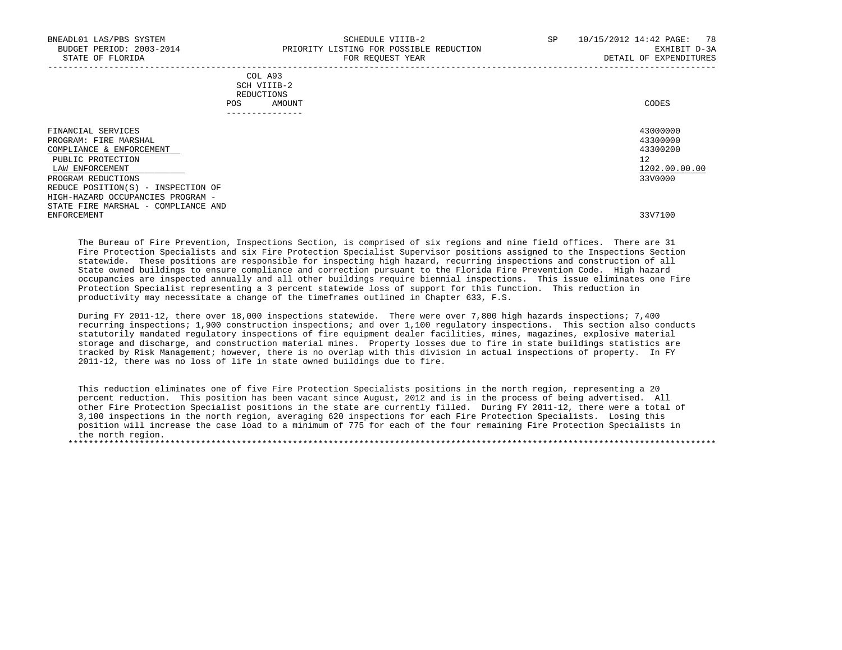| BNEADL01 LAS/PBS SYSTEM<br>BUDGET PERIOD: 2003-2014<br>STATE OF FLORIDA  | SCHEDULE VIIIB-2<br>PRIORITY LISTING FOR POSSIBLE REDUCTION<br>FOR REOUEST YEAR | SP<br>10/15/2012 14:42 PAGE:<br>-78<br>EXHIBIT D-3A<br>DETAIL OF EXPENDITURES |
|--------------------------------------------------------------------------|---------------------------------------------------------------------------------|-------------------------------------------------------------------------------|
|                                                                          | COL A93<br>SCH VIIIB-2<br>REDUCTIONS                                            |                                                                               |
|                                                                          | AMOUNT<br>POS<br>-------------                                                  | CODES                                                                         |
| FINANCIAL SERVICES<br>PROGRAM: FIRE MARSHAL                              |                                                                                 | 43000000<br>43300000                                                          |
| COMPLIANCE & ENFORCEMENT<br>PUBLIC PROTECTION<br>LAW ENFORCEMENT         |                                                                                 | 43300200<br>12 <sup>°</sup><br>1202.00.00.00                                  |
| PROGRAM REDUCTIONS<br>REDUCE POSITION(S) - INSPECTION OF                 |                                                                                 | 33V0000                                                                       |
| HIGH-HAZARD OCCUPANCIES PROGRAM -<br>STATE FIRE MARSHAL - COMPLIANCE AND |                                                                                 |                                                                               |

ENFORCEMENT 33V7100

 The Bureau of Fire Prevention, Inspections Section, is comprised of six regions and nine field offices. There are 31 Fire Protection Specialists and six Fire Protection Specialist Supervisor positions assigned to the Inspections Section statewide. These positions are responsible for inspecting high hazard, recurring inspections and construction of all State owned buildings to ensure compliance and correction pursuant to the Florida Fire Prevention Code. High hazard occupancies are inspected annually and all other buildings require biennial inspections. This issue eliminates one Fire Protection Specialist representing a 3 percent statewide loss of support for this function. This reduction in productivity may necessitate a change of the timeframes outlined in Chapter 633, F.S.

 During FY 2011-12, there over 18,000 inspections statewide. There were over 7,800 high hazards inspections; 7,400 recurring inspections; 1,900 construction inspections; and over 1,100 regulatory inspections. This section also conducts statutorily mandated regulatory inspections of fire equipment dealer facilities, mines, magazines, explosive material storage and discharge, and construction material mines. Property losses due to fire in state buildings statistics are tracked by Risk Management; however, there is no overlap with this division in actual inspections of property. In FY 2011-12, there was no loss of life in state owned buildings due to fire.

 This reduction eliminates one of five Fire Protection Specialists positions in the north region, representing a 20 percent reduction. This position has been vacant since August, 2012 and is in the process of being advertised. All other Fire Protection Specialist positions in the state are currently filled. During FY 2011-12, there were a total of 3,100 inspections in the north region, averaging 620 inspections for each Fire Protection Specialists. Losing this position will increase the case load to a minimum of 775 for each of the four remaining Fire Protection Specialists in the north region. \*\*\*\*\*\*\*\*\*\*\*\*\*\*\*\*\*\*\*\*\*\*\*\*\*\*\*\*\*\*\*\*\*\*\*\*\*\*\*\*\*\*\*\*\*\*\*\*\*\*\*\*\*\*\*\*\*\*\*\*\*\*\*\*\*\*\*\*\*\*\*\*\*\*\*\*\*\*\*\*\*\*\*\*\*\*\*\*\*\*\*\*\*\*\*\*\*\*\*\*\*\*\*\*\*\*\*\*\*\*\*\*\*\*\*\*\*\*\*\*\*\*\*\*\*\*\*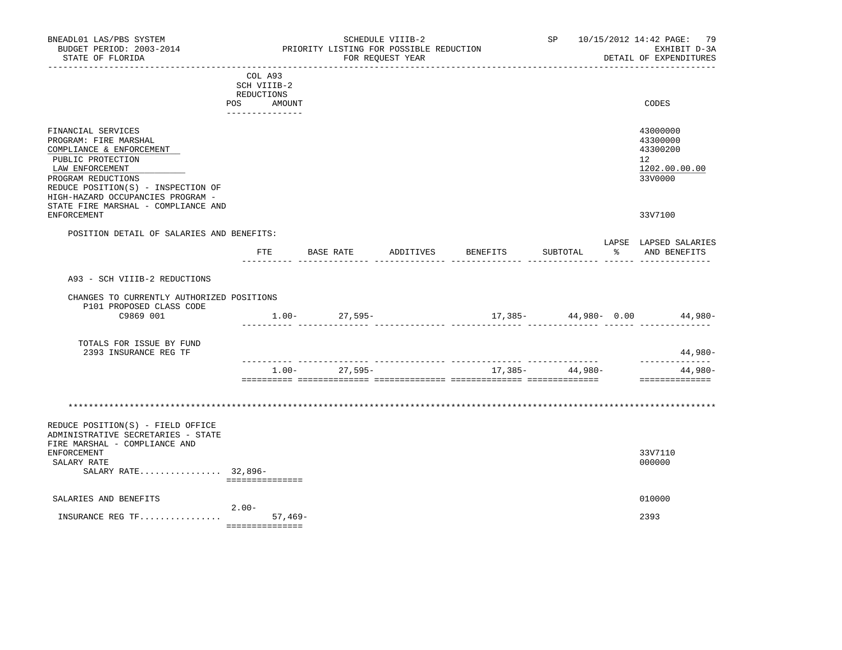| BNEADL01 LAS/PBS SYSTEM<br>BUDGET PERIOD: 2003-2014<br>STATE OF FLORIDA                                                                                                                                                                                 |                                                                       |           |           |                   | SCHEDULE VIIIB-2<br>PRIORITY LISTING FOR POSSIBLE REDUCTION<br>FOR REQUEST YEAR |                   |          |                  | SP 10/15/2012 14:42 PAGE: 79<br>EXHIBIT D-3A<br>DETAIL OF EXPENDITURES |
|---------------------------------------------------------------------------------------------------------------------------------------------------------------------------------------------------------------------------------------------------------|-----------------------------------------------------------------------|-----------|-----------|-------------------|---------------------------------------------------------------------------------|-------------------|----------|------------------|------------------------------------------------------------------------|
|                                                                                                                                                                                                                                                         | COL A93<br>SCH VIIIB-2<br>REDUCTIONS<br>POS AMOUNT<br>--------------- |           |           |                   |                                                                                 |                   |          |                  | CODES                                                                  |
| FINANCIAL SERVICES<br>PROGRAM: FIRE MARSHAL<br>COMPLIANCE & ENFORCEMENT<br>PUBLIC PROTECTION<br>LAW ENFORCEMENT<br>PROGRAM REDUCTIONS<br>REDUCE POSITION(S) - INSPECTION OF<br>HIGH-HAZARD OCCUPANCIES PROGRAM -<br>STATE FIRE MARSHAL - COMPLIANCE AND |                                                                       |           |           |                   |                                                                                 |                   |          |                  | 43000000<br>43300000<br>43300200<br>12<br>1202.00.00.00<br>33V0000     |
| <b>ENFORCEMENT</b>                                                                                                                                                                                                                                      |                                                                       |           |           |                   |                                                                                 |                   |          |                  | 33V7100                                                                |
| POSITION DETAIL OF SALARIES AND BENEFITS:                                                                                                                                                                                                               | FTE                                                                   |           | BASE RATE |                   | ADDITIVES                                                                       | BENEFITS          | SUBTOTAL |                  | LAPSE LAPSED SALARIES<br>% AND BENEFITS                                |
|                                                                                                                                                                                                                                                         |                                                                       |           |           |                   |                                                                                 |                   |          |                  |                                                                        |
| A93 - SCH VIIIB-2 REDUCTIONS                                                                                                                                                                                                                            |                                                                       |           |           |                   |                                                                                 |                   |          |                  |                                                                        |
| CHANGES TO CURRENTLY AUTHORIZED POSITIONS<br>P101 PROPOSED CLASS CODE<br>C9869 001                                                                                                                                                                      |                                                                       |           |           | $1.00 - 27,595 -$ |                                                                                 |                   |          |                  | $17,385 - 44,980 - 0.00$ 44,980-                                       |
| TOTALS FOR ISSUE BY FUND<br>2393 INSURANCE REG TF                                                                                                                                                                                                       |                                                                       |           |           |                   |                                                                                 |                   |          |                  | 44,980-                                                                |
|                                                                                                                                                                                                                                                         |                                                                       | $1.00 -$  |           | 27,595-           |                                                                                 | $17,385-$ 44,980- |          | _ ______________ | -----------<br>44,980-<br>==============                               |
| REDUCE POSITION(S) - FIELD OFFICE<br>ADMINISTRATIVE SECRETARIES - STATE                                                                                                                                                                                 |                                                                       |           |           |                   |                                                                                 |                   |          |                  |                                                                        |
| FIRE MARSHAL - COMPLIANCE AND<br><b>ENFORCEMENT</b><br>SALARY RATE<br>SALARY RATE 32,896-                                                                                                                                                               | ===============                                                       |           |           |                   |                                                                                 |                   |          |                  | 33V7110<br>000000                                                      |
| SALARIES AND BENEFITS                                                                                                                                                                                                                                   |                                                                       |           |           |                   |                                                                                 |                   |          |                  | 010000                                                                 |
| INSURANCE REG $TF$                                                                                                                                                                                                                                      | $2.00-$<br>===============                                            | $57,469-$ |           |                   |                                                                                 |                   |          |                  | 2393                                                                   |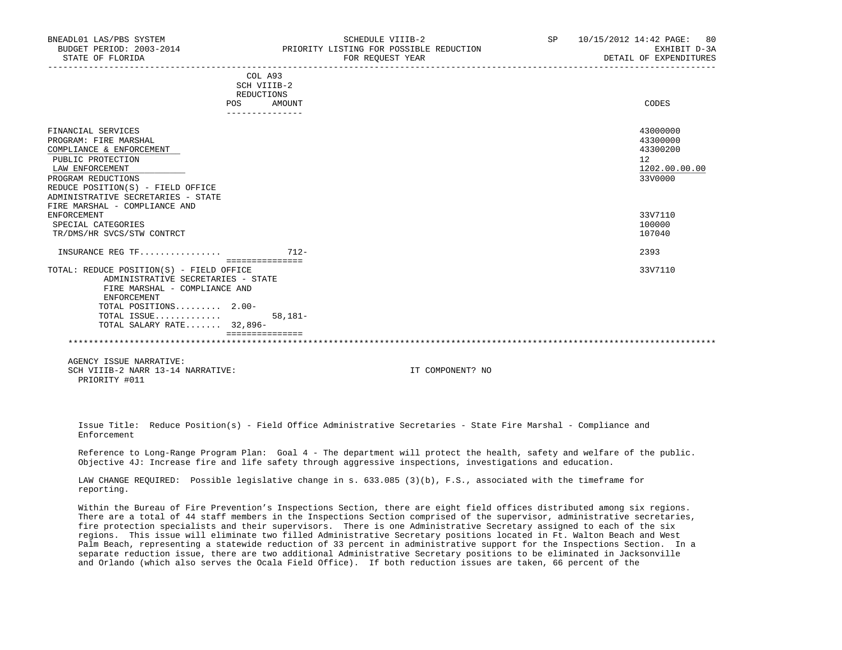| BNEADL01 LAS/PBS SYSTEM<br>BUDGET PERIOD: 2003-2014<br>STATE OF FLORIDA                                                                                                                                                                           |                                                       | SCHEDULE VIIIB-2<br>PRIORITY LISTING FOR POSSIBLE REDUCTION<br>FOR REOUEST YEAR | <b>SP</b> | 10/15/2012 14:42 PAGE: 80<br>EXHIBIT D-3A<br>DETAIL OF EXPENDITURES |
|---------------------------------------------------------------------------------------------------------------------------------------------------------------------------------------------------------------------------------------------------|-------------------------------------------------------|---------------------------------------------------------------------------------|-----------|---------------------------------------------------------------------|
|                                                                                                                                                                                                                                                   | COL A93<br>SCH VIIIB-2<br>REDUCTIONS<br>AMOUNT<br>POS |                                                                                 |           | CODES                                                               |
|                                                                                                                                                                                                                                                   | ---------------                                       |                                                                                 |           |                                                                     |
| FINANCIAL SERVICES<br>PROGRAM: FIRE MARSHAL<br>COMPLIANCE & ENFORCEMENT<br>PUBLIC PROTECTION<br>LAW ENFORCEMENT<br>PROGRAM REDUCTIONS<br>REDUCE POSITION(S) - FIELD OFFICE<br>ADMINISTRATIVE SECRETARIES - STATE<br>FIRE MARSHAL - COMPLIANCE AND |                                                       |                                                                                 |           | 43000000<br>43300000<br>43300200<br>12<br>1202.00.00.00<br>33V0000  |
| ENFORCEMENT<br>SPECIAL CATEGORIES<br>TR/DMS/HR SVCS/STW CONTRCT                                                                                                                                                                                   |                                                       |                                                                                 |           | 33V7110<br>100000<br>107040                                         |
| INSURANCE REG TF                                                                                                                                                                                                                                  | $712 -$                                               |                                                                                 |           | 2393                                                                |
| TOTAL: REDUCE POSITION(S) - FIELD OFFICE<br>ADMINISTRATIVE SECRETARIES - STATE<br>FIRE MARSHAL - COMPLIANCE AND<br><b>ENFORCEMENT</b><br>TOTAL POSITIONS 2.00-<br>TOTAL ISSUE<br>TOTAL SALARY RATE 32,896-                                        | ----------------<br>$58.181 -$                        |                                                                                 |           | 33V7110                                                             |
|                                                                                                                                                                                                                                                   | ================                                      |                                                                                 |           |                                                                     |

 Issue Title: Reduce Position(s) - Field Office Administrative Secretaries - State Fire Marshal - Compliance and Enforcement

 Reference to Long-Range Program Plan: Goal 4 - The department will protect the health, safety and welfare of the public. Objective 4J: Increase fire and life safety through aggressive inspections, investigations and education.

 LAW CHANGE REQUIRED: Possible legislative change in s. 633.085 (3)(b), F.S., associated with the timeframe for reporting.

 Within the Bureau of Fire Prevention's Inspections Section, there are eight field offices distributed among six regions. There are a total of 44 staff members in the Inspections Section comprised of the supervisor, administrative secretaries, fire protection specialists and their supervisors. There is one Administrative Secretary assigned to each of the six regions. This issue will eliminate two filled Administrative Secretary positions located in Ft. Walton Beach and West Palm Beach, representing a statewide reduction of 33 percent in administrative support for the Inspections Section. In a separate reduction issue, there are two additional Administrative Secretary positions to be eliminated in Jacksonville and Orlando (which also serves the Ocala Field Office). If both reduction issues are taken, 66 percent of the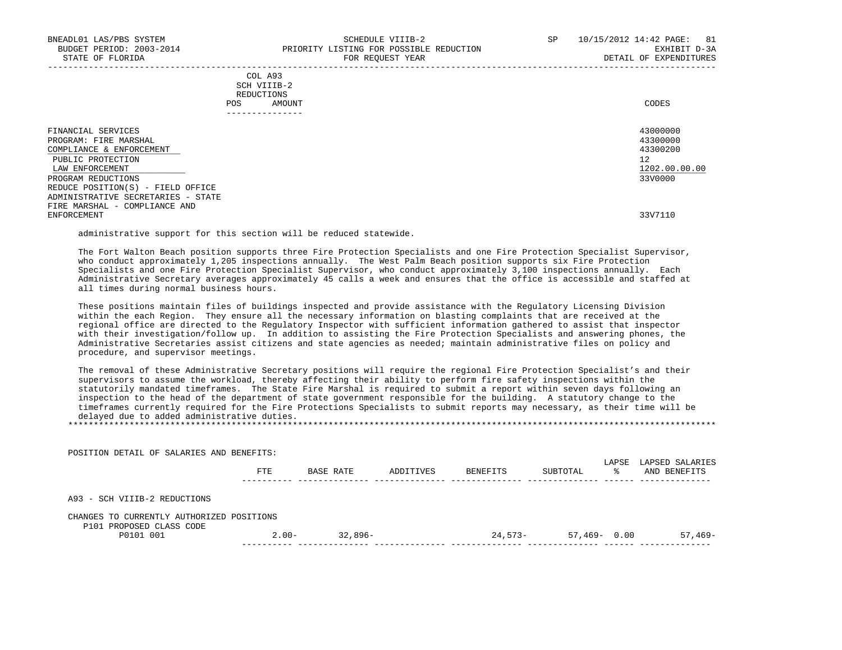|            | _______________ |       |
|------------|-----------------|-------|
| POS        | AMOUNT          | CODES |
| REDUCTIONS |                 |       |
|            | SCH VIIIB-2     |       |
|            | COL A93         |       |

| FINANCIAL SERVICES                 | 43000000      |
|------------------------------------|---------------|
| PROGRAM: FIRE MARSHAL              | 43300000      |
| COMPLIANCE & ENFORCEMENT           | 43300200      |
| PUBLIC PROTECTION                  | 12            |
| LAW ENFORCEMENT                    | 1202.00.00.00 |
| PROGRAM REDUCTIONS                 | 33V0000       |
| REDUCE POSITION(S) - FIELD OFFICE  |               |
| ADMINISTRATIVE SECRETARIES - STATE |               |
| FIRE MARSHAL - COMPLIANCE AND      |               |
| ENFORCEMENT                        | 33V7110       |
|                                    |               |

administrative support for this section will be reduced statewide.

 The Fort Walton Beach position supports three Fire Protection Specialists and one Fire Protection Specialist Supervisor, who conduct approximately 1,205 inspections annually. The West Palm Beach position supports six Fire Protection Specialists and one Fire Protection Specialist Supervisor, who conduct approximately 3,100 inspections annually. Each Administrative Secretary averages approximately 45 calls a week and ensures that the office is accessible and staffed at all times during normal business hours.

 These positions maintain files of buildings inspected and provide assistance with the Regulatory Licensing Division within the each Region. They ensure all the necessary information on blasting complaints that are received at the regional office are directed to the Regulatory Inspector with sufficient information gathered to assist that inspector with their investigation/follow up. In addition to assisting the Fire Protection Specialists and answering phones, the Administrative Secretaries assist citizens and state agencies as needed; maintain administrative files on policy and procedure, and supervisor meetings.

 The removal of these Administrative Secretary positions will require the regional Fire Protection Specialist's and their supervisors to assume the workload, thereby affecting their ability to perform fire safety inspections within the statutorily mandated timeframes. The State Fire Marshal is required to submit a report within seven days following an inspection to the head of the department of state government responsible for the building. A statutory change to the timeframes currently required for the Fire Protections Specialists to submit reports may necessary, as their time will be delayed due to added administrative duties. \*\*\*\*\*\*\*\*\*\*\*\*\*\*\*\*\*\*\*\*\*\*\*\*\*\*\*\*\*\*\*\*\*\*\*\*\*\*\*\*\*\*\*\*\*\*\*\*\*\*\*\*\*\*\*\*\*\*\*\*\*\*\*\*\*\*\*\*\*\*\*\*\*\*\*\*\*\*\*\*\*\*\*\*\*\*\*\*\*\*\*\*\*\*\*\*\*\*\*\*\*\*\*\*\*\*\*\*\*\*\*\*\*\*\*\*\*\*\*\*\*\*\*\*\*\*\*

 POSITION DETAIL OF SALARIES AND BENEFITS: LAPSE LAPSED SALARIES FTE BASE RATE ADDITIVES BENEFITS SUBTOTAL % AND BENEFITS ---------- -------------- -------------- -------------- -------------- ------ -------------- A93 - SCH VIIIB-2 REDUCTIONS CHANGES TO CURRENTLY AUTHORIZED POSITIONS P101 PROPOSED CLASS CODE P0101 001 2.00- 32,896- 24,573- 57,469- 0.00 57,469- ---------- -------------- -------------- -------------- -------------- ------ --------------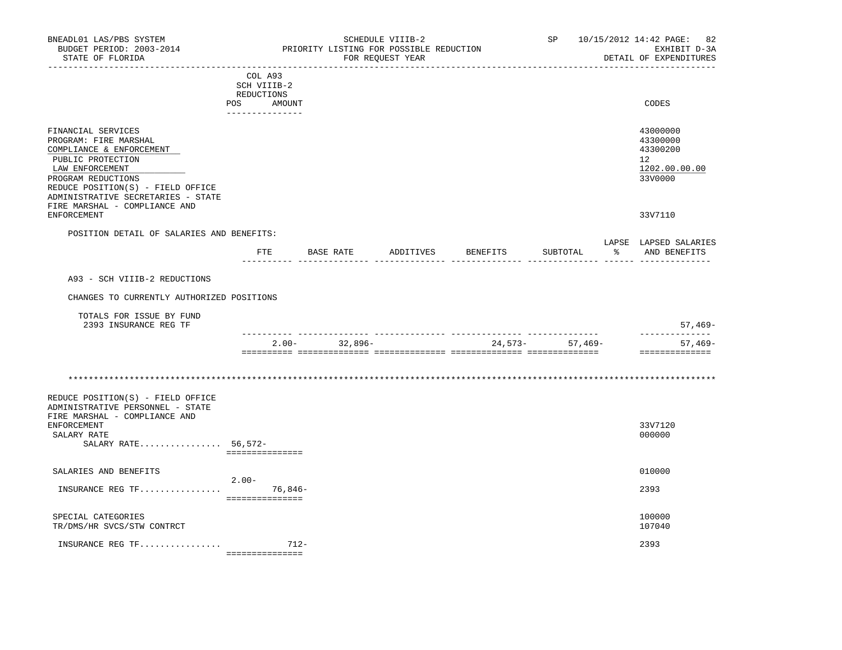| BNEADL01 LAS/PBS SYSTEM<br>BUDGET PERIOD: 2003-2014<br>STATE OF FLORIDA                                                                                                                                          |                                                                       |                   |                   | SCHEDULE VIIIB-2<br>PRIORITY LISTING FOR POSSIBLE REDUCTION<br>FOR REQUEST YEAR |                      | SP               | 10/15/2012 14:42 PAGE: 82<br>EXHIBIT D-3A<br>DETAIL OF EXPENDITURES |
|------------------------------------------------------------------------------------------------------------------------------------------------------------------------------------------------------------------|-----------------------------------------------------------------------|-------------------|-------------------|---------------------------------------------------------------------------------|----------------------|------------------|---------------------------------------------------------------------|
|                                                                                                                                                                                                                  | -------------------                                                   |                   |                   |                                                                                 | ____________________ |                  |                                                                     |
|                                                                                                                                                                                                                  | COL A93<br>SCH VIIIB-2<br>REDUCTIONS<br>POS AMOUNT<br>_______________ |                   |                   |                                                                                 |                      |                  | CODES                                                               |
| FINANCIAL SERVICES<br>PROGRAM: FIRE MARSHAL<br>COMPLIANCE & ENFORCEMENT<br>PUBLIC PROTECTION<br>LAW ENFORCEMENT<br>PROGRAM REDUCTIONS<br>REDUCE POSITION(S) - FIELD OFFICE<br>ADMINISTRATIVE SECRETARIES - STATE |                                                                       |                   |                   |                                                                                 |                      |                  | 43000000<br>43300000<br>43300200<br>12<br>1202.00.00.00<br>33V0000  |
| FIRE MARSHAL - COMPLIANCE AND<br><b>ENFORCEMENT</b>                                                                                                                                                              |                                                                       |                   |                   |                                                                                 |                      |                  | 33V7110                                                             |
| POSITION DETAIL OF SALARIES AND BENEFITS:                                                                                                                                                                        |                                                                       |                   |                   |                                                                                 |                      |                  |                                                                     |
|                                                                                                                                                                                                                  | FTE                                                                   | ___________ _____ |                   | BASE RATE ADDITIVES BENEFITS SUBTOTAL                                           |                      |                  | LAPSE LAPSED SALARIES<br>% AND BENEFITS                             |
| A93 - SCH VIIIB-2 REDUCTIONS                                                                                                                                                                                     |                                                                       |                   |                   |                                                                                 |                      |                  |                                                                     |
| CHANGES TO CURRENTLY AUTHORIZED POSITIONS                                                                                                                                                                        |                                                                       |                   |                   |                                                                                 |                      |                  |                                                                     |
| TOTALS FOR ISSUE BY FUND<br>2393 INSURANCE REG TF                                                                                                                                                                |                                                                       |                   |                   |                                                                                 |                      |                  | $57,469-$                                                           |
|                                                                                                                                                                                                                  |                                                                       |                   | $2.00 - 32,896 -$ |                                                                                 |                      | $24,573-57,469-$ | ______________<br>$57,469-$<br>==============                       |
|                                                                                                                                                                                                                  |                                                                       |                   |                   |                                                                                 |                      |                  |                                                                     |
| REDUCE POSITION(S) - FIELD OFFICE<br>ADMINISTRATIVE PERSONNEL - STATE<br>FIRE MARSHAL - COMPLIANCE AND                                                                                                           |                                                                       |                   |                   |                                                                                 |                      |                  |                                                                     |
| <b>ENFORCEMENT</b><br>SALARY RATE<br>SALARY RATE 56,572-                                                                                                                                                         | ===============                                                       |                   |                   |                                                                                 |                      |                  | 33V7120<br>000000                                                   |
| SALARIES AND BENEFITS                                                                                                                                                                                            |                                                                       |                   |                   |                                                                                 |                      |                  | 010000                                                              |
| INSURANCE REG TF 76,846–                                                                                                                                                                                         | $2.00 -$<br>===============                                           |                   |                   |                                                                                 |                      |                  | 2393                                                                |
| SPECIAL CATEGORIES<br>TR/DMS/HR SVCS/STW CONTRCT                                                                                                                                                                 |                                                                       |                   |                   |                                                                                 |                      |                  | 100000<br>107040                                                    |
| INSURANCE REG TF                                                                                                                                                                                                 | ===============                                                       | 712-              |                   |                                                                                 |                      |                  | 2393                                                                |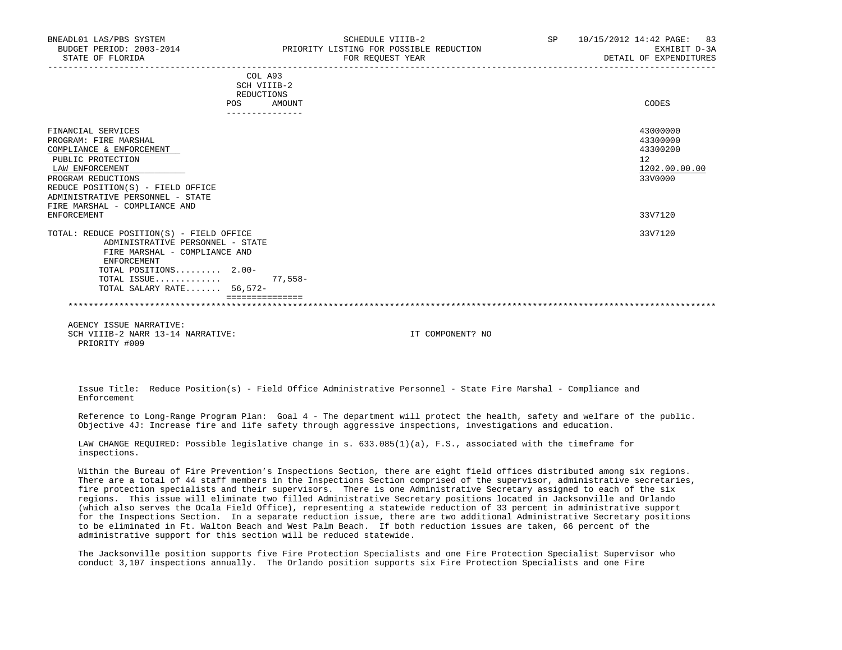| BNEADL01 LAS/PBS SYSTEM<br>BUDGET PERIOD: 2003-2014<br>STATE OF FLORIDA                                                                                                                                                                         |                                             |            | SCHEDULE VIIIB-2<br>PRIORITY LISTING FOR POSSIBLE REDUCTION<br>FOR REQUEST YEAR | <b>SP</b> | 83<br>10/15/2012 14:42 PAGE:<br>EXHIBIT D-3A<br>DETAIL OF EXPENDITURES |
|-------------------------------------------------------------------------------------------------------------------------------------------------------------------------------------------------------------------------------------------------|---------------------------------------------|------------|---------------------------------------------------------------------------------|-----------|------------------------------------------------------------------------|
|                                                                                                                                                                                                                                                 | COL A93<br>SCH VIIIB-2<br>REDUCTIONS<br>POS | AMOUNT     |                                                                                 |           | CODES                                                                  |
| FINANCIAL SERVICES<br>PROGRAM: FIRE MARSHAL<br>COMPLIANCE & ENFORCEMENT<br>PUBLIC PROTECTION<br>LAW ENFORCEMENT<br>PROGRAM REDUCTIONS<br>REDUCE POSITION(S) - FIELD OFFICE<br>ADMINISTRATIVE PERSONNEL - STATE<br>FIRE MARSHAL - COMPLIANCE AND |                                             |            |                                                                                 |           | 43000000<br>43300000<br>43300200<br>12<br>1202.00.00.00<br>33V0000     |
| <b>ENFORCEMENT</b>                                                                                                                                                                                                                              |                                             |            |                                                                                 |           | 33V7120                                                                |
| TOTAL: REDUCE POSITION(S) - FIELD OFFICE<br>ADMINISTRATIVE PERSONNEL - STATE<br>FIRE MARSHAL - COMPLIANCE AND<br><b>ENFORCEMENT</b><br>TOTAL POSITIONS $2.00-$                                                                                  |                                             |            |                                                                                 |           | 33V7120                                                                |
| TOTAL ISSUE                                                                                                                                                                                                                                     |                                             | $77.558 -$ |                                                                                 |           |                                                                        |
| TOTAL SALARY RATE 56,572-                                                                                                                                                                                                                       |                                             |            |                                                                                 |           |                                                                        |
|                                                                                                                                                                                                                                                 |                                             |            |                                                                                 |           |                                                                        |
|                                                                                                                                                                                                                                                 |                                             |            |                                                                                 |           |                                                                        |

 Issue Title: Reduce Position(s) - Field Office Administrative Personnel - State Fire Marshal - Compliance and Enforcement

 Reference to Long-Range Program Plan: Goal 4 - The department will protect the health, safety and welfare of the public. Objective 4J: Increase fire and life safety through aggressive inspections, investigations and education.

 LAW CHANGE REQUIRED: Possible legislative change in s. 633.085(1)(a), F.S., associated with the timeframe for inspections.

 Within the Bureau of Fire Prevention's Inspections Section, there are eight field offices distributed among six regions. There are a total of 44 staff members in the Inspections Section comprised of the supervisor, administrative secretaries, fire protection specialists and their supervisors. There is one Administrative Secretary assigned to each of the six regions. This issue will eliminate two filled Administrative Secretary positions located in Jacksonville and Orlando (which also serves the Ocala Field Office), representing a statewide reduction of 33 percent in administrative support for the Inspections Section. In a separate reduction issue, there are two additional Administrative Secretary positions to be eliminated in Ft. Walton Beach and West Palm Beach. If both reduction issues are taken, 66 percent of the administrative support for this section will be reduced statewide.

 The Jacksonville position supports five Fire Protection Specialists and one Fire Protection Specialist Supervisor who conduct 3,107 inspections annually. The Orlando position supports six Fire Protection Specialists and one Fire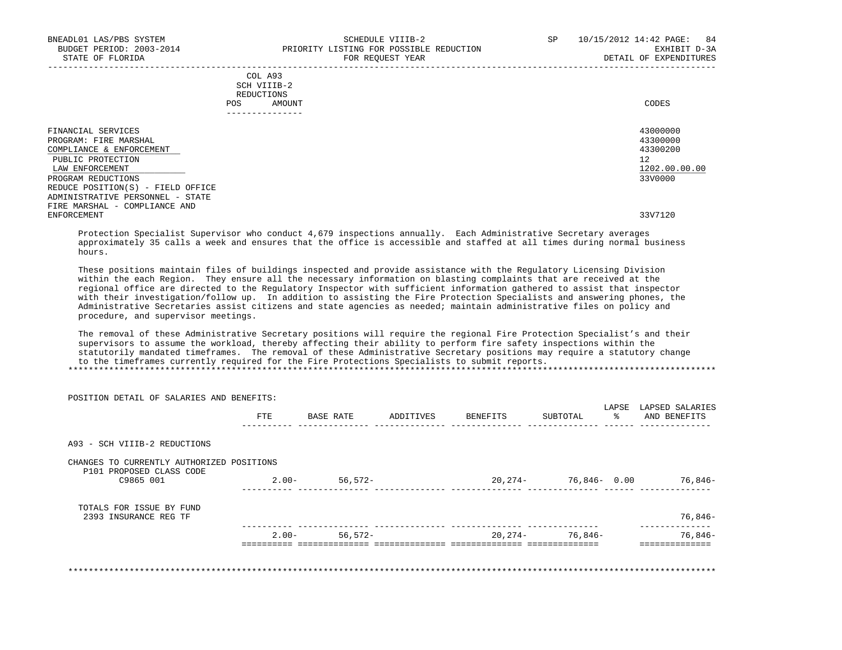|            | _______________ |       |
|------------|-----------------|-------|
| POS        | AMOUNT          | CODES |
| REDUCTIONS |                 |       |
|            | SCH VIIIB-2     |       |
|            | COL A93         |       |

| FINANCIAL SERVICES                | 43000000      |
|-----------------------------------|---------------|
| PROGRAM: FIRE MARSHAL             | 43300000      |
| COMPLIANCE & ENFORCEMENT          | 43300200      |
| PUBLIC PROTECTION                 | 12            |
| LAW ENFORCEMENT                   | 1202.00.00.00 |
| PROGRAM REDUCTIONS                | 33V0000       |
| REDUCE POSITION(S) - FIELD OFFICE |               |
| ADMINISTRATIVE PERSONNEL - STATE  |               |
| FIRE MARSHAL - COMPLIANCE AND     |               |
| ENFORCEMENT                       | 33V7120       |
|                                   |               |

 Protection Specialist Supervisor who conduct 4,679 inspections annually. Each Administrative Secretary averages approximately 35 calls a week and ensures that the office is accessible and staffed at all times during normal business hours.

 These positions maintain files of buildings inspected and provide assistance with the Regulatory Licensing Division within the each Region. They ensure all the necessary information on blasting complaints that are received at the regional office are directed to the Regulatory Inspector with sufficient information gathered to assist that inspector with their investigation/follow up. In addition to assisting the Fire Protection Specialists and answering phones, the Administrative Secretaries assist citizens and state agencies as needed; maintain administrative files on policy and procedure, and supervisor meetings.

 The removal of these Administrative Secretary positions will require the regional Fire Protection Specialist's and their supervisors to assume the workload, thereby affecting their ability to perform fire safety inspections within the statutorily mandated timeframes. The removal of these Administrative Secretary positions may require a statutory change to the timeframes currently required for the Fire Protections Specialists to submit reports. \*\*\*\*\*\*\*\*\*\*\*\*\*\*\*\*\*\*\*\*\*\*\*\*\*\*\*\*\*\*\*\*\*\*\*\*\*\*\*\*\*\*\*\*\*\*\*\*\*\*\*\*\*\*\*\*\*\*\*\*\*\*\*\*\*\*\*\*\*\*\*\*\*\*\*\*\*\*\*\*\*\*\*\*\*\*\*\*\*\*\*\*\*\*\*\*\*\*\*\*\*\*\*\*\*\*\*\*\*\*\*\*\*\*\*\*\*\*\*\*\*\*\*\*\*\*\*

 POSITION DETAIL OF SALARIES AND BENEFITS: LAPSE LAPSED SALARIES FTE BASE RATE ADDITIVES BENEFITS SUBTOTAL % AND BENEFITS ---------- -------------- -------------- -------------- -------------- ------ -------------- A93 - SCH VIIIB-2 REDUCTIONS CHANGES TO CURRENTLY AUTHORIZED POSITIONS P101 PROPOSED CLASS CODE C9865 001 2.00- 56,572- 20,274- 76,846- 0.00 76,846- ---------- -------------- -------------- -------------- -------------- ------ -------------- TOTALS FOR ISSUE BY FUND 2393 INSURANCE REG TF 76,846- ---------- -------------- -------------- -------------- -------------- -------------- 2.00- 56,572- 20,274- 76,846- 76,846- ========== ============== ============== ============== ============== ============== \*\*\*\*\*\*\*\*\*\*\*\*\*\*\*\*\*\*\*\*\*\*\*\*\*\*\*\*\*\*\*\*\*\*\*\*\*\*\*\*\*\*\*\*\*\*\*\*\*\*\*\*\*\*\*\*\*\*\*\*\*\*\*\*\*\*\*\*\*\*\*\*\*\*\*\*\*\*\*\*\*\*\*\*\*\*\*\*\*\*\*\*\*\*\*\*\*\*\*\*\*\*\*\*\*\*\*\*\*\*\*\*\*\*\*\*\*\*\*\*\*\*\*\*\*\*\*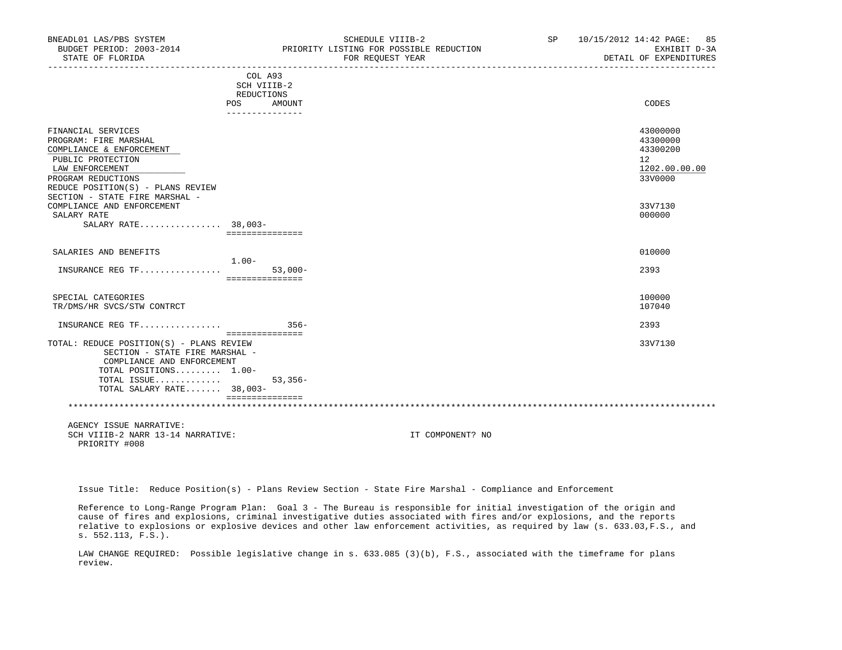| BNEADL01 LAS/PBS SYSTEM<br>BUDGET PERIOD: 2003-2014<br>STATE OF FLORIDA                                                                                                    |                                          | SCHEDULE VIIIB-2<br>PRIORITY LISTING FOR POSSIBLE REDUCTION<br>FOR REOUEST YEAR | SP 10/15/2012 14:42 PAGE: 85<br>EXHIBIT D-3A<br>DETAIL OF EXPENDITURES |
|----------------------------------------------------------------------------------------------------------------------------------------------------------------------------|------------------------------------------|---------------------------------------------------------------------------------|------------------------------------------------------------------------|
|                                                                                                                                                                            | COL A93<br>SCH VIIIB-2<br>REDUCTIONS     |                                                                                 |                                                                        |
|                                                                                                                                                                            | POS<br>AMOUNT<br>---------------         |                                                                                 | CODES                                                                  |
| FINANCIAL SERVICES<br>PROGRAM: FIRE MARSHAL<br>COMPLIANCE & ENFORCEMENT<br>PUBLIC PROTECTION<br>LAW ENFORCEMENT<br>PROGRAM REDUCTIONS<br>REDUCE POSITION(S) - PLANS REVIEW |                                          |                                                                                 | 43000000<br>43300000<br>43300200<br>12<br>1202.00.00.00<br>33V0000     |
| SECTION - STATE FIRE MARSHAL -<br>COMPLIANCE AND ENFORCEMENT<br>SALARY RATE<br>SALARY RATE 38,003-                                                                         | ===============                          |                                                                                 | 33V7130<br>000000                                                      |
| SALARIES AND BENEFITS                                                                                                                                                      |                                          |                                                                                 | 010000                                                                 |
| INSURANCE REG TF                                                                                                                                                           | $1.00 -$<br>$53,000-$<br>=============== |                                                                                 | 2393                                                                   |
| SPECIAL CATEGORIES<br>TR/DMS/HR SVCS/STW CONTRCT                                                                                                                           |                                          |                                                                                 | 100000<br>107040                                                       |
| INSURANCE REG TF                                                                                                                                                           | $356-$                                   |                                                                                 | 2393                                                                   |
| TOTAL: REDUCE POSITION(S) - PLANS REVIEW<br>SECTION - STATE FIRE MARSHAL -<br>COMPLIANCE AND ENFORCEMENT<br>TOTAL POSITIONS 1.00-                                          | ===============                          |                                                                                 | 33V7130                                                                |
| TOTAL ISSUE<br>TOTAL SALARY RATE 38,003-                                                                                                                                   | $53,356-$                                |                                                                                 |                                                                        |
|                                                                                                                                                                            | ===============                          |                                                                                 |                                                                        |
| AGENCY ISSUE NARRATIVE:<br>SCH VIIIB-2 NARR 13-14 NARRATIVE:<br>PRIORITY #008                                                                                              |                                          | IT COMPONENT? NO                                                                |                                                                        |

Issue Title: Reduce Position(s) - Plans Review Section - State Fire Marshal - Compliance and Enforcement

 Reference to Long-Range Program Plan: Goal 3 - The Bureau is responsible for initial investigation of the origin and cause of fires and explosions, criminal investigative duties associated with fires and/or explosions, and the reports relative to explosions or explosive devices and other law enforcement activities, as required by law (s. 633.03,F.S., and s. 552.113, F.S.).

 LAW CHANGE REQUIRED: Possible legislative change in s. 633.085 (3)(b), F.S., associated with the timeframe for plans review.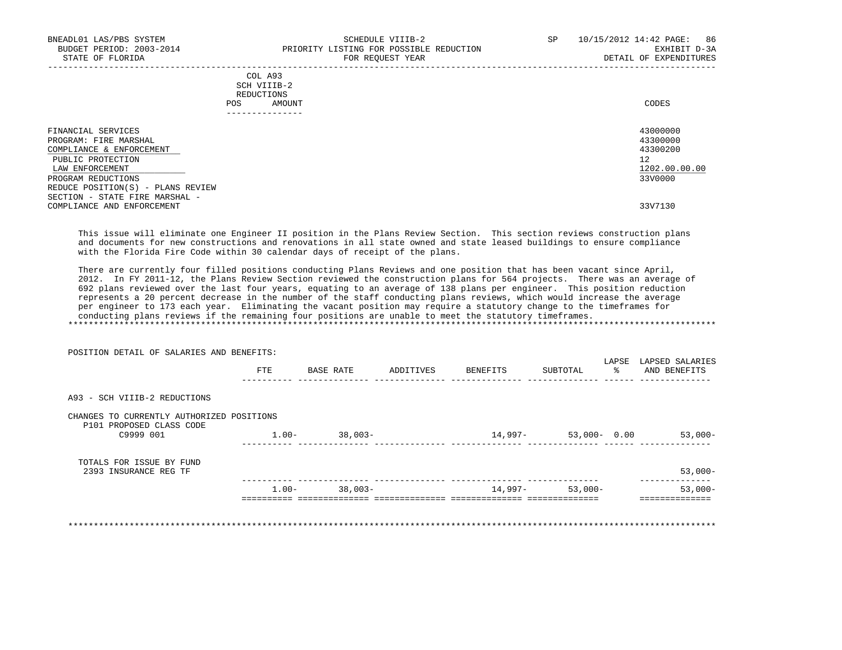## COL A93 SCH VIIIB-2 REDUCTIONS POS AMOUNT CODES ---------------

| FINANCIAL SERVICES<br>PROGRAM: FIRE MARSHAL<br>COMPLIANCE & ENFORCEMENT<br>PUBLIC PROTECTION<br>LAW ENFORCEMENT<br>PROGRAM REDUCTIONS<br>REDUCE POSITION(S) - PLANS REVIEW | 43000000<br>43300000<br>43300200<br>12<br>1202.00.00.00<br>33V0000 |
|----------------------------------------------------------------------------------------------------------------------------------------------------------------------------|--------------------------------------------------------------------|
| SECTION - STATE FIRE MARSHAL -<br>COMPLIANCE AND ENFORCEMENT                                                                                                               | 33V7130                                                            |

 This issue will eliminate one Engineer II position in the Plans Review Section. This section reviews construction plans and documents for new constructions and renovations in all state owned and state leased buildings to ensure compliance with the Florida Fire Code within 30 calendar days of receipt of the plans.

 There are currently four filled positions conducting Plans Reviews and one position that has been vacant since April, 2012. In FY 2011-12, the Plans Review Section reviewed the construction plans for 564 projects. There was an average of 692 plans reviewed over the last four years, equating to an average of 138 plans per engineer. This position reduction represents a 20 percent decrease in the number of the staff conducting plans reviews, which would increase the average per engineer to 173 each year. Eliminating the vacant position may require a statutory change to the timeframes for conducting plans reviews if the remaining four positions are unable to meet the statutory timeframes. \*\*\*\*\*\*\*\*\*\*\*\*\*\*\*\*\*\*\*\*\*\*\*\*\*\*\*\*\*\*\*\*\*\*\*\*\*\*\*\*\*\*\*\*\*\*\*\*\*\*\*\*\*\*\*\*\*\*\*\*\*\*\*\*\*\*\*\*\*\*\*\*\*\*\*\*\*\*\*\*\*\*\*\*\*\*\*\*\*\*\*\*\*\*\*\*\*\*\*\*\*\*\*\*\*\*\*\*\*\*\*\*\*\*\*\*\*\*\*\*\*\*\*\*\*\*\*

| PUSIIIUN DEIAIL UP SALAKIES AND BENEPIIS.                             |          |           |           |          |                 | LAPSE | LAPSED SALARIES |
|-----------------------------------------------------------------------|----------|-----------|-----------|----------|-----------------|-------|-----------------|
|                                                                       | FTE      | BASE RATE | ADDITIVES | BENEFITS | SUBTOTAL        | ႜႂ    | AND BENEFITS    |
| A93 - SCH VIIIB-2 REDUCTIONS                                          |          |           |           |          |                 |       |                 |
| CHANGES TO CURRENTLY AUTHORIZED POSITIONS<br>P101 PROPOSED CLASS CODE |          |           |           |          |                 |       |                 |
| C9999 001                                                             | $1.00 -$ | 38,003-   |           | 14,997-  | $53,000 - 0.00$ |       | $53,000-$       |
| TOTALS FOR ISSUE BY FUND<br>2393 INSURANCE REG TF                     |          |           |           |          |                 |       | $53,000-$       |
|                                                                       | $1.00-$  | 38,003-   |           | 14,997-  | $53,000-$       |       | $53,000-$       |

POSITION DETAIL OF SALARIES AND BENEFITS:

\*\*\*\*\*\*\*\*\*\*\*\*\*\*\*\*\*\*\*\*\*\*\*\*\*\*\*\*\*\*\*\*\*\*\*\*\*\*\*\*\*\*\*\*\*\*\*\*\*\*\*\*\*\*\*\*\*\*\*\*\*\*\*\*\*\*\*\*\*\*\*\*\*\*\*\*\*\*\*\*\*\*\*\*\*\*\*\*\*\*\*\*\*\*\*\*\*\*\*\*\*\*\*\*\*\*\*\*\*\*\*\*\*\*\*\*\*\*\*\*\*\*\*\*\*\*\*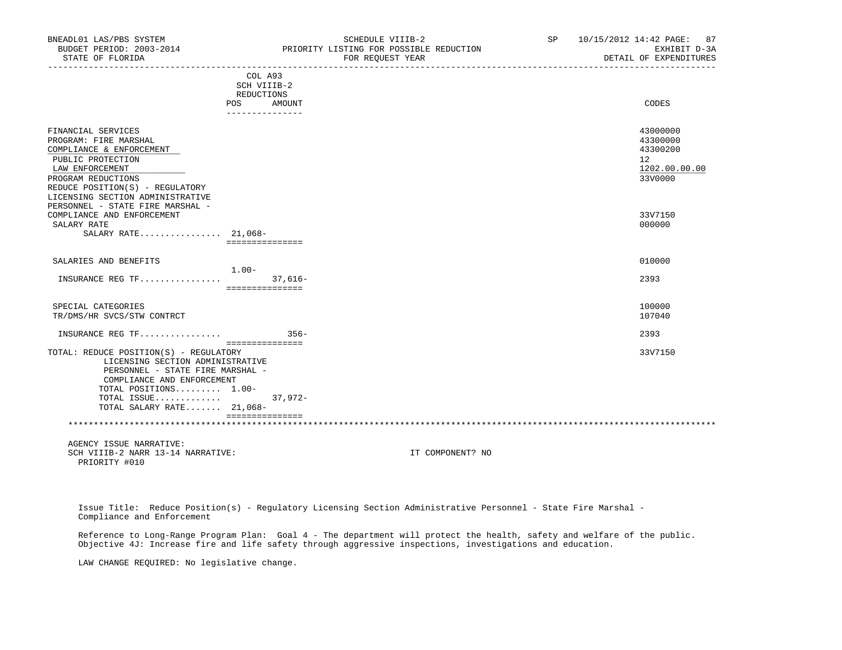| BNEADL01 LAS/PBS SYSTEM<br>BUDGET PERIOD: 2003-2014<br>STATE OF FLORIDA<br>_________________________                                                                                                                 |                                                    | SCHEDULE VIIIB-2<br>PRIORITY LISTING FOR POSSIBLE REDUCTION<br>FOR REQUEST YEAR | SP 10/15/2012 14:42 PAGE: 87<br>EXHIBIT D-3A<br>DETAIL OF EXPENDITURES          |
|----------------------------------------------------------------------------------------------------------------------------------------------------------------------------------------------------------------------|----------------------------------------------------|---------------------------------------------------------------------------------|---------------------------------------------------------------------------------|
|                                                                                                                                                                                                                      | COL A93<br>SCH VIIIB-2<br>REDUCTIONS<br>POS AMOUNT |                                                                                 | CODES                                                                           |
|                                                                                                                                                                                                                      | _______________                                    |                                                                                 |                                                                                 |
| FINANCIAL SERVICES<br>PROGRAM: FIRE MARSHAL<br>COMPLIANCE & ENFORCEMENT<br>PUBLIC PROTECTION<br>LAW ENFORCEMENT<br>PROGRAM REDUCTIONS<br>REDUCE POSITION(S) - REGULATORY<br>LICENSING SECTION ADMINISTRATIVE         |                                                    |                                                                                 | 43000000<br>43300000<br>43300200<br>12 <sup>°</sup><br>1202.00.00.00<br>33V0000 |
| PERSONNEL - STATE FIRE MARSHAL -<br>COMPLIANCE AND ENFORCEMENT<br>SALARY RATE<br>SALARY RATE 21,068-                                                                                                                 | ===============                                    |                                                                                 | 33V7150<br>000000                                                               |
| SALARIES AND BENEFITS                                                                                                                                                                                                |                                                    |                                                                                 | 010000                                                                          |
| INSURANCE REG TF                                                                                                                                                                                                     | $1.00 -$<br>$37.616-$<br>===============           |                                                                                 | 2393                                                                            |
| SPECIAL CATEGORIES<br>TR/DMS/HR SVCS/STW CONTRCT                                                                                                                                                                     |                                                    |                                                                                 | 100000<br>107040                                                                |
| INSURANCE REG TF                                                                                                                                                                                                     | $356 -$                                            |                                                                                 | 2393                                                                            |
| TOTAL: REDUCE POSITION(S) - REGULATORY<br>LICENSING SECTION ADMINISTRATIVE<br>PERSONNEL - STATE FIRE MARSHAL -<br>COMPLIANCE AND ENFORCEMENT<br>TOTAL POSITIONS $1.00 -$<br>TOTAL ISSUE<br>TOTAL SALARY RATE 21,068- | ===============<br>$37,972-$                       |                                                                                 | 33V7150                                                                         |
|                                                                                                                                                                                                                      | ===============                                    |                                                                                 |                                                                                 |
|                                                                                                                                                                                                                      |                                                    |                                                                                 |                                                                                 |
| AGENCY ISSUE NARRATIVE:<br>SCH VIIIB-2 NARR 13-14 NARRATIVE:<br>PRIORITY #010                                                                                                                                        |                                                    | IT COMPONENT? NO                                                                |                                                                                 |

 Issue Title: Reduce Position(s) - Regulatory Licensing Section Administrative Personnel - State Fire Marshal - Compliance and Enforcement

 Reference to Long-Range Program Plan: Goal 4 - The department will protect the health, safety and welfare of the public. Objective 4J: Increase fire and life safety through aggressive inspections, investigations and education.

LAW CHANGE REQUIRED: No legislative change.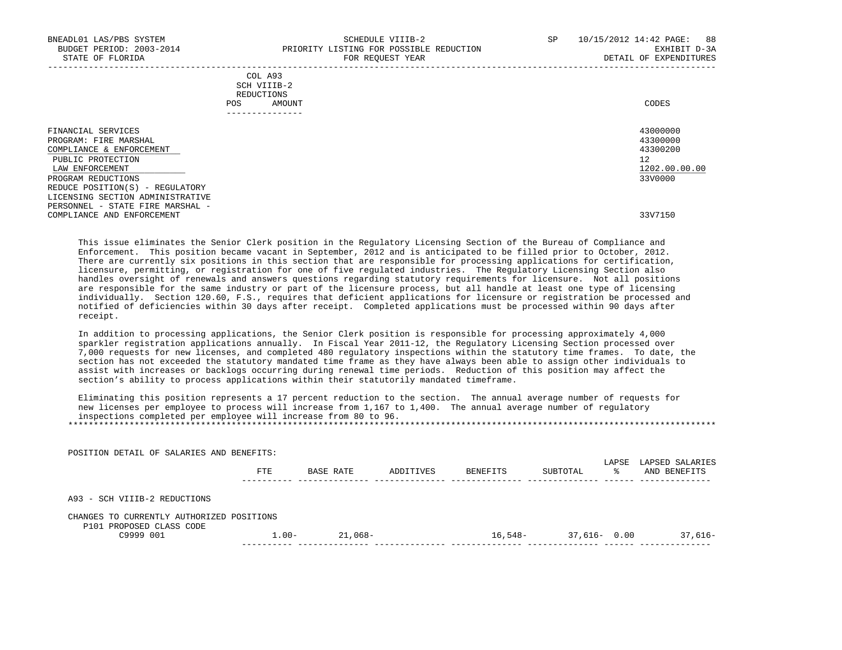| BNEADL01 LAS/PBS SYSTEM<br>BUDGET PERIOD: 2003-2014<br>STATE OF FLORIDA                                                                                                                                                                          | SCHEDULE VIIIB-2<br>PRIORITY LISTING FOR POSSIBLE REDUCTION<br>FOR REOUEST YEAR | SP | 10/15/2012 14:42 PAGE: 88<br>EXHIBIT D-3A<br>DETAIL OF EXPENDITURES |
|--------------------------------------------------------------------------------------------------------------------------------------------------------------------------------------------------------------------------------------------------|---------------------------------------------------------------------------------|----|---------------------------------------------------------------------|
|                                                                                                                                                                                                                                                  | COL A93<br>SCH VIIIB-2<br>REDUCTIONS<br>AMOUNT<br>POS                           |    | CODES                                                               |
| FINANCIAL SERVICES<br>PROGRAM: FIRE MARSHAL<br>COMPLIANCE & ENFORCEMENT<br>PUBLIC PROTECTION<br>LAW ENFORCEMENT<br>PROGRAM REDUCTIONS<br>REDUCE POSITION(S) - REGULATORY<br>LICENSING SECTION ADMINISTRATIVE<br>PERSONNEL - STATE FIRE MARSHAL - |                                                                                 |    | 43000000<br>43300000<br>43300200<br>12<br>1202.00.00.00<br>33V0000  |

COMPLIANCE AND ENFORCEMENT 33V7150

POSITION DETAIL OF SALARIES AND BENEFITS:

 This issue eliminates the Senior Clerk position in the Regulatory Licensing Section of the Bureau of Compliance and Enforcement. This position became vacant in September, 2012 and is anticipated to be filled prior to October, 2012. There are currently six positions in this section that are responsible for processing applications for certification, licensure, permitting, or registration for one of five regulated industries. The Regulatory Licensing Section also handles oversight of renewals and answers questions regarding statutory requirements for licensure. Not all positions are responsible for the same industry or part of the licensure process, but all handle at least one type of licensing individually. Section 120.60, F.S., requires that deficient applications for licensure or registration be processed and notified of deficiencies within 30 days after receipt. Completed applications must be processed within 90 days after receipt.

 In addition to processing applications, the Senior Clerk position is responsible for processing approximately 4,000 sparkler registration applications annually. In Fiscal Year 2011-12, the Regulatory Licensing Section processed over 7,000 requests for new licenses, and completed 480 regulatory inspections within the statutory time frames. To date, the section has not exceeded the statutory mandated time frame as they have always been able to assign other individuals to assist with increases or backlogs occurring during renewal time periods. Reduction of this position may affect the section's ability to process applications within their statutorily mandated timeframe.

 Eliminating this position represents a 17 percent reduction to the section. The annual average number of requests for new licenses per employee to process will increase from 1,167 to 1,400. The annual average number of regulatory inspections completed per employee will increase from 80 to 96. \*\*\*\*\*\*\*\*\*\*\*\*\*\*\*\*\*\*\*\*\*\*\*\*\*\*\*\*\*\*\*\*\*\*\*\*\*\*\*\*\*\*\*\*\*\*\*\*\*\*\*\*\*\*\*\*\*\*\*\*\*\*\*\*\*\*\*\*\*\*\*\*\*\*\*\*\*\*\*\*\*\*\*\*\*\*\*\*\*\*\*\*\*\*\*\*\*\*\*\*\*\*\*\*\*\*\*\*\*\*\*\*\*\*\*\*\*\*\*\*\*\*\*\*\*\*\*

|                                                                       | FTE      | BASE RATE | ADDITIVES | BENEFITS | SUBTOTAL        | LAPSE<br>ႜ | LAPSED SALARIES<br>AND BENEFITS |
|-----------------------------------------------------------------------|----------|-----------|-----------|----------|-----------------|------------|---------------------------------|
| A93 - SCH VIIIB-2 REDUCTIONS                                          |          |           |           |          |                 |            |                                 |
| CHANGES TO CURRENTLY AUTHORIZED POSITIONS<br>P101 PROPOSED CLASS CODE |          |           |           |          |                 |            |                                 |
| C9999 001                                                             | $1.00 -$ | 21,068-   |           | 16,548-  | $37,616 - 0.00$ |            | $37,616-$                       |
|                                                                       |          |           |           |          |                 |            |                                 |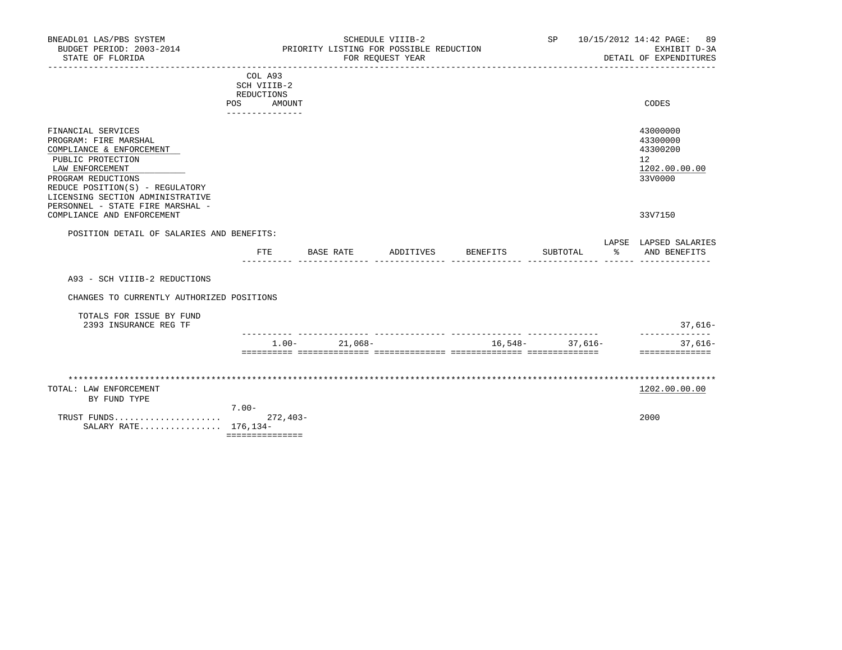| BNEADL01 LAS/PBS SYSTEM<br>BUDGET PERIOD: 2003-2014                                                                                                                                                                                              |                                                                       | PRIORITY LISTING FOR POSSIBLE REDUCTION | SCHEDULE VIIIB-2 |                    |          | SP 10/15/2012 14:42 PAGE: 89<br>EXHIBIT D-3A                                 |
|--------------------------------------------------------------------------------------------------------------------------------------------------------------------------------------------------------------------------------------------------|-----------------------------------------------------------------------|-----------------------------------------|------------------|--------------------|----------|------------------------------------------------------------------------------|
| STATE OF FLORIDA                                                                                                                                                                                                                                 |                                                                       |                                         | FOR REQUEST YEAR |                    |          | DETAIL OF EXPENDITURES                                                       |
|                                                                                                                                                                                                                                                  | COL A93<br>SCH VIIIB-2<br>REDUCTIONS<br>POS AMOUNT<br>--------------- |                                         |                  |                    |          | CODES                                                                        |
| FINANCIAL SERVICES<br>PROGRAM: FIRE MARSHAL<br>COMPLIANCE & ENFORCEMENT<br>PUBLIC PROTECTION<br>LAW ENFORCEMENT<br>PROGRAM REDUCTIONS<br>REDUCE POSITION(S) - REGULATORY<br>LICENSING SECTION ADMINISTRATIVE<br>PERSONNEL - STATE FIRE MARSHAL - |                                                                       |                                         |                  |                    |          | 43000000<br>43300000<br>43300200<br>$12^{\circ}$<br>1202.00.00.00<br>33V0000 |
| COMPLIANCE AND ENFORCEMENT                                                                                                                                                                                                                       |                                                                       |                                         |                  |                    |          | 33V7150                                                                      |
| POSITION DETAIL OF SALARIES AND BENEFITS:                                                                                                                                                                                                        |                                                                       |                                         |                  |                    |          |                                                                              |
|                                                                                                                                                                                                                                                  | FTE                                                                   | BASE RATE                               |                  | ADDITIVES BENEFITS | SUBTOTAL | LAPSE LAPSED SALARIES<br>% AND BENEFITS                                      |
| A93 - SCH VIIIB-2 REDUCTIONS                                                                                                                                                                                                                     |                                                                       |                                         |                  |                    |          |                                                                              |
| CHANGES TO CURRENTLY AUTHORIZED POSITIONS                                                                                                                                                                                                        |                                                                       |                                         |                  |                    |          |                                                                              |
| TOTALS FOR ISSUE BY FUND<br>2393 INSURANCE REG TF                                                                                                                                                                                                |                                                                       |                                         |                  |                    |          | 37,616-                                                                      |
|                                                                                                                                                                                                                                                  |                                                                       | $1.00 - 21.068 -$                       |                  | $16,548-37,616-$   |          | ______________<br>$37,616-$<br>---------------                               |
|                                                                                                                                                                                                                                                  |                                                                       |                                         |                  |                    |          |                                                                              |
| TOTAL: LAW ENFORCEMENT<br>BY FUND TYPE                                                                                                                                                                                                           |                                                                       |                                         |                  |                    |          | 1202.00.00.00                                                                |
| SALARY RATE 176,134-                                                                                                                                                                                                                             | 7.00-                                                                 |                                         |                  |                    |          | 2000                                                                         |
|                                                                                                                                                                                                                                                  | ===============                                                       |                                         |                  |                    |          |                                                                              |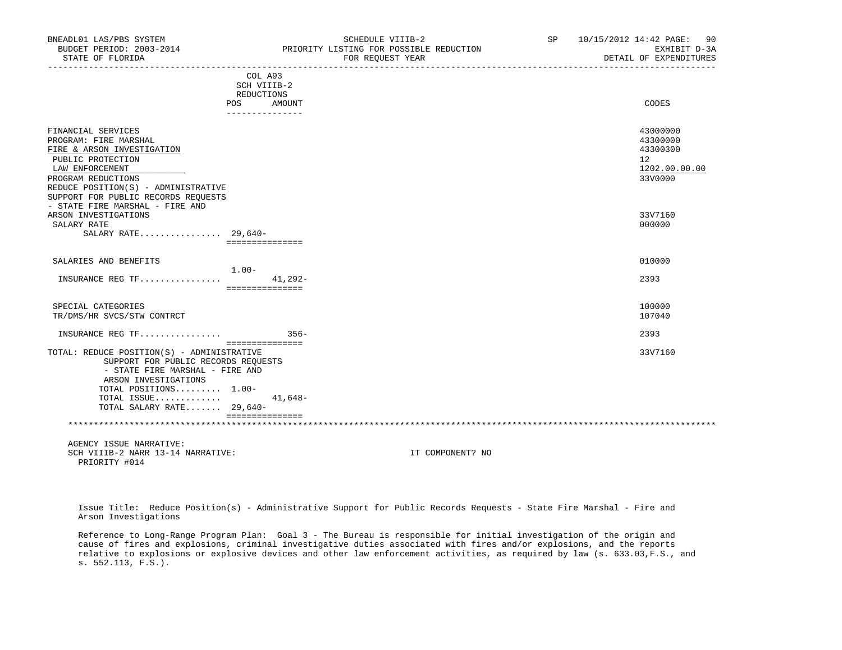| BNEADL01 LAS/PBS SYSTEM<br>BUDGET PERIOD: 2003-2014                                                                                          |                              | SCHEDULE VIIIB-2<br>PRIORITY LISTING FOR POSSIBLE REDUCTION | SP | 10/15/2012 14:42 PAGE: 90<br>EXHIBIT D-3A |
|----------------------------------------------------------------------------------------------------------------------------------------------|------------------------------|-------------------------------------------------------------|----|-------------------------------------------|
| STATE OF FLORIDA                                                                                                                             |                              | FOR REQUEST YEAR                                            |    | DETAIL OF EXPENDITURES                    |
|                                                                                                                                              | COL A93                      |                                                             |    |                                           |
|                                                                                                                                              | SCH VIIIB-2                  |                                                             |    |                                           |
|                                                                                                                                              | REDUCTIONS                   |                                                             |    |                                           |
| POS                                                                                                                                          | AMOUNT<br>---------------    |                                                             |    | CODES                                     |
| FINANCIAL SERVICES                                                                                                                           |                              |                                                             |    | 43000000                                  |
| PROGRAM: FIRE MARSHAL                                                                                                                        |                              |                                                             |    | 43300000                                  |
| FIRE & ARSON INVESTIGATION                                                                                                                   |                              |                                                             |    | 43300300                                  |
| PUBLIC PROTECTION                                                                                                                            |                              |                                                             |    | 12 <sup>°</sup>                           |
| LAW ENFORCEMENT                                                                                                                              |                              |                                                             |    | 1202.00.00.00                             |
| PROGRAM REDUCTIONS                                                                                                                           |                              |                                                             |    | 33V0000                                   |
| REDUCE POSITION(S) - ADMINISTRATIVE                                                                                                          |                              |                                                             |    |                                           |
| SUPPORT FOR PUBLIC RECORDS REQUESTS                                                                                                          |                              |                                                             |    |                                           |
| - STATE FIRE MARSHAL - FIRE AND                                                                                                              |                              |                                                             |    |                                           |
| ARSON INVESTIGATIONS                                                                                                                         |                              |                                                             |    | 33V7160                                   |
| SALARY RATE                                                                                                                                  |                              |                                                             |    | 000000                                    |
| SALARY RATE $29,640-$                                                                                                                        |                              |                                                             |    |                                           |
|                                                                                                                                              | ===============              |                                                             |    |                                           |
| SALARIES AND BENEFITS                                                                                                                        |                              |                                                             |    | 010000                                    |
| $1.00-$                                                                                                                                      |                              |                                                             |    |                                           |
| INSURANCE REG TF                                                                                                                             | $41,292-$<br>=============== |                                                             |    | 2393                                      |
| SPECIAL CATEGORIES                                                                                                                           |                              |                                                             |    | 100000                                    |
| TR/DMS/HR SVCS/STW CONTRCT                                                                                                                   |                              |                                                             |    | 107040                                    |
|                                                                                                                                              |                              |                                                             |    |                                           |
| INSURANCE REG TF                                                                                                                             | $356-$<br>===============    |                                                             |    | 2393                                      |
| TOTAL: REDUCE POSITION(S) - ADMINISTRATIVE<br>SUPPORT FOR PUBLIC RECORDS REQUESTS<br>- STATE FIRE MARSHAL - FIRE AND<br>ARSON INVESTIGATIONS |                              |                                                             |    | 33V7160                                   |
| TOTAL POSITIONS 1.00-                                                                                                                        |                              |                                                             |    |                                           |
| TOTAL ISSUE                                                                                                                                  | $41,648-$                    |                                                             |    |                                           |
| TOTAL SALARY RATE 29,640-                                                                                                                    | ===============              |                                                             |    |                                           |
|                                                                                                                                              |                              |                                                             |    |                                           |
|                                                                                                                                              |                              |                                                             |    |                                           |
| AGENCY ISSUE NARRATIVE:<br>SCH VIIIB-2 NARR 13-14 NARRATIVE:                                                                                 |                              | IT COMPONENT? NO                                            |    |                                           |
|                                                                                                                                              |                              |                                                             |    |                                           |

 Issue Title: Reduce Position(s) - Administrative Support for Public Records Requests - State Fire Marshal - Fire and Arson Investigations

PRIORITY #014

 Reference to Long-Range Program Plan: Goal 3 - The Bureau is responsible for initial investigation of the origin and cause of fires and explosions, criminal investigative duties associated with fires and/or explosions, and the reports relative to explosions or explosive devices and other law enforcement activities, as required by law (s. 633.03,F.S., and s. 552.113, F.S.).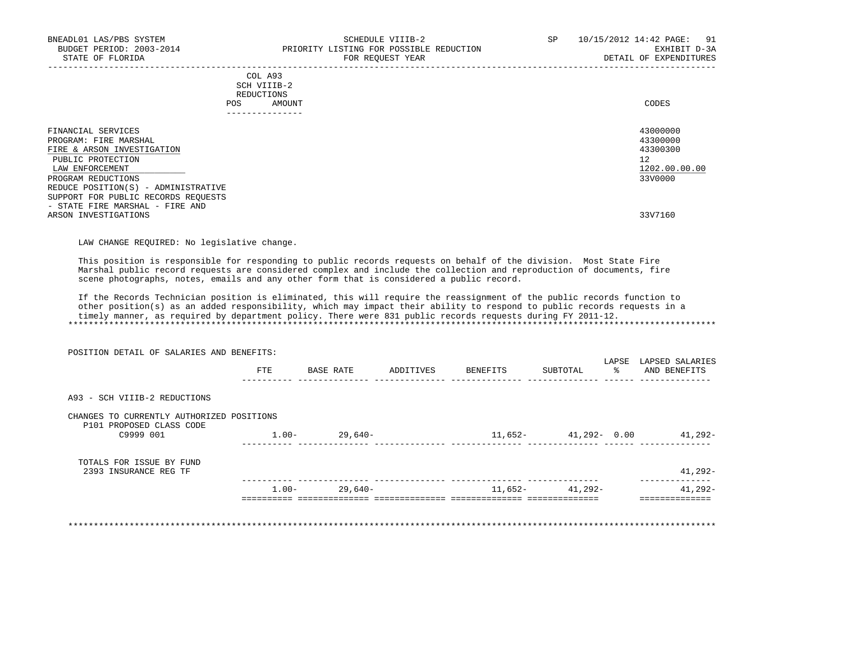|     | --------------- |       |
|-----|-----------------|-------|
| POS | AMOUNT          | CODES |
|     | REDUCTIONS      |       |
|     | SCH VIIIB-2     |       |
|     | COL A93         |       |

| FINANCIAL SERVICES                  | 43000000      |
|-------------------------------------|---------------|
| PROGRAM: FIRE MARSHAL               | 43300000      |
| FIRE & ARSON INVESTIGATION          | 43300300      |
| PUBLIC PROTECTION                   | 12            |
| LAW ENFORCEMENT                     | 1202.00.00.00 |
| PROGRAM REDUCTIONS                  | 33V0000       |
| REDUCE POSITION(S) - ADMINISTRATIVE |               |
| SUPPORT FOR PUBLIC RECORDS REQUESTS |               |
| - STATE FIRE MARSHAL - FIRE AND     |               |
| ARSON INVESTIGATIONS                | 33V7160       |

LAW CHANGE REQUIRED: No legislative change.

 This position is responsible for responding to public records requests on behalf of the division. Most State Fire Marshal public record requests are considered complex and include the collection and reproduction of documents, fire scene photographs, notes, emails and any other form that is considered a public record.

 If the Records Technician position is eliminated, this will require the reassignment of the public records function to other position(s) as an added responsibility, which may impact their ability to respond to public records requests in a timely manner, as required by department policy. There were 831 public records requests during FY 2011-12. \*\*\*\*\*\*\*\*\*\*\*\*\*\*\*\*\*\*\*\*\*\*\*\*\*\*\*\*\*\*\*\*\*\*\*\*\*\*\*\*\*\*\*\*\*\*\*\*\*\*\*\*\*\*\*\*\*\*\*\*\*\*\*\*\*\*\*\*\*\*\*\*\*\*\*\*\*\*\*\*\*\*\*\*\*\*\*\*\*\*\*\*\*\*\*\*\*\*\*\*\*\*\*\*\*\*\*\*\*\*\*\*\*\*\*\*\*\*\*\*\*\*\*\*\*\*\*

| POSITION DETAIL OF SALARIES AND BENEFITS:                             |          |           |           |          |                 | LAPSE | LAPSED SALARIES |
|-----------------------------------------------------------------------|----------|-----------|-----------|----------|-----------------|-------|-----------------|
|                                                                       | FTE      | BASE RATE | ADDITIVES | BENEFITS | SUBTOTAL        | ዱ     | AND BENEFITS    |
| A93 - SCH VIIIB-2 REDUCTIONS                                          |          |           |           |          |                 |       |                 |
| CHANGES TO CURRENTLY AUTHORIZED POSITIONS<br>P101 PROPOSED CLASS CODE |          |           |           |          |                 |       |                 |
| C9999 001                                                             | $1.00 -$ | 29,640-   |           | 11,652-  | $41,292 - 0.00$ |       | 41,292-         |
| TOTALS FOR ISSUE BY FUND<br>2393 INSURANCE REG TF                     |          |           |           |          |                 |       | $41,292-$       |
|                                                                       | $1.00-$  | 29,640-   |           | 11,652-  | 41,292-         |       | 41,292-         |

\*\*\*\*\*\*\*\*\*\*\*\*\*\*\*\*\*\*\*\*\*\*\*\*\*\*\*\*\*\*\*\*\*\*\*\*\*\*\*\*\*\*\*\*\*\*\*\*\*\*\*\*\*\*\*\*\*\*\*\*\*\*\*\*\*\*\*\*\*\*\*\*\*\*\*\*\*\*\*\*\*\*\*\*\*\*\*\*\*\*\*\*\*\*\*\*\*\*\*\*\*\*\*\*\*\*\*\*\*\*\*\*\*\*\*\*\*\*\*\*\*\*\*\*\*\*\*

POSITION DETAIL OF SALARIES AND BENEFITS: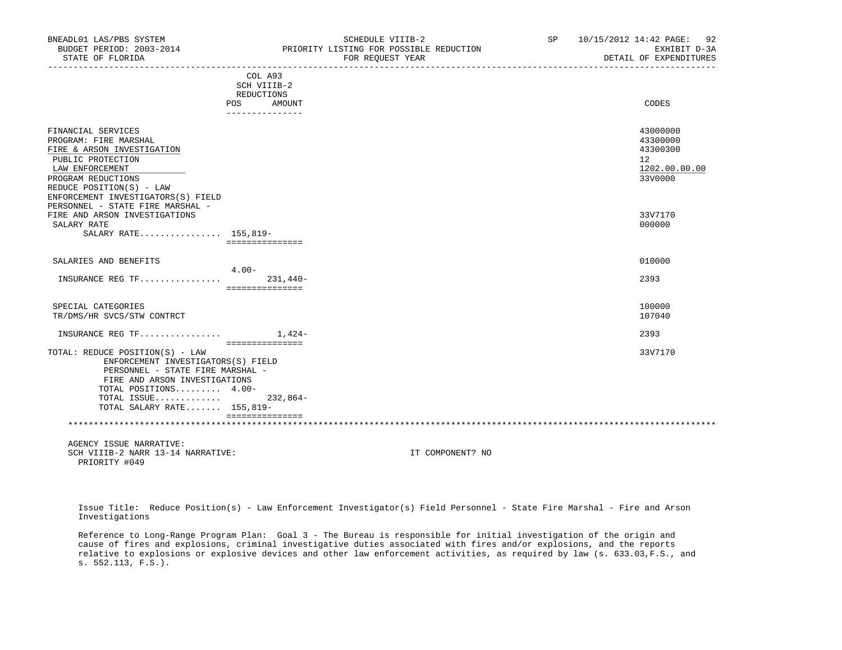| BNEADL01 LAS/PBS SYSTEM<br>BUDGET PERIOD: 2003-2014<br>STATE OF FLORIDA                                                                                                                                                   |                                      | SCHEDULE VIIIB-2<br>PRIORITY LISTING FOR POSSIBLE REDUCTION<br>FOR REQUEST YEAR |  | SP 10/15/2012 14:42 PAGE: 92<br>EXHIBIT D-3A<br>DETAIL OF EXPENDITURES          |
|---------------------------------------------------------------------------------------------------------------------------------------------------------------------------------------------------------------------------|--------------------------------------|---------------------------------------------------------------------------------|--|---------------------------------------------------------------------------------|
|                                                                                                                                                                                                                           | COL A93<br>SCH VIIIB-2<br>REDUCTIONS |                                                                                 |  |                                                                                 |
|                                                                                                                                                                                                                           | POS<br>AMOUNT<br>---------------     |                                                                                 |  | CODES                                                                           |
| FINANCIAL SERVICES<br>PROGRAM: FIRE MARSHAL<br>FIRE & ARSON INVESTIGATION<br>PUBLIC PROTECTION<br>LAW ENFORCEMENT<br>PROGRAM REDUCTIONS<br>REDUCE POSITION(S) - LAW                                                       |                                      |                                                                                 |  | 43000000<br>43300000<br>43300300<br>12 <sup>°</sup><br>1202.00.00.00<br>33V0000 |
| ENFORCEMENT INVESTIGATORS(S) FIELD<br>PERSONNEL - STATE FIRE MARSHAL -<br>FIRE AND ARSON INVESTIGATIONS<br>SALARY RATE<br>SALARY RATE 155,819-                                                                            | ===============                      |                                                                                 |  | 33V7170<br>000000                                                               |
| SALARIES AND BENEFITS                                                                                                                                                                                                     | $4.00-$                              |                                                                                 |  | 010000                                                                          |
| INSURANCE REG TF                                                                                                                                                                                                          | $231.440-$<br>===============        |                                                                                 |  | 2393                                                                            |
| SPECIAL CATEGORIES<br>TR/DMS/HR SVCS/STW CONTRCT                                                                                                                                                                          |                                      |                                                                                 |  | 100000<br>107040                                                                |
| INSURANCE REG TF $1.424-$                                                                                                                                                                                                 | ===============                      |                                                                                 |  | 2393                                                                            |
| TOTAL: REDUCE POSITION(S) - LAW<br>ENFORCEMENT INVESTIGATORS(S) FIELD<br>PERSONNEL - STATE FIRE MARSHAL -<br>FIRE AND ARSON INVESTIGATIONS<br>TOTAL POSITIONS 4.00-<br>TOTAL ISSUE 232,864-<br>TOTAL SALARY RATE 155,819- | ===============                      |                                                                                 |  | 33V7170                                                                         |
| AGENCY ISSUE NARRATIVE:<br>SCH VIIIB-2 NARR 13-14 NARRATIVE:<br>PRIORITY #049                                                                                                                                             |                                      | IT COMPONENT? NO                                                                |  |                                                                                 |

 Issue Title: Reduce Position(s) - Law Enforcement Investigator(s) Field Personnel - State Fire Marshal - Fire and Arson Investigations

 Reference to Long-Range Program Plan: Goal 3 - The Bureau is responsible for initial investigation of the origin and cause of fires and explosions, criminal investigative duties associated with fires and/or explosions, and the reports relative to explosions or explosive devices and other law enforcement activities, as required by law (s. 633.03,F.S., and s. 552.113, F.S.).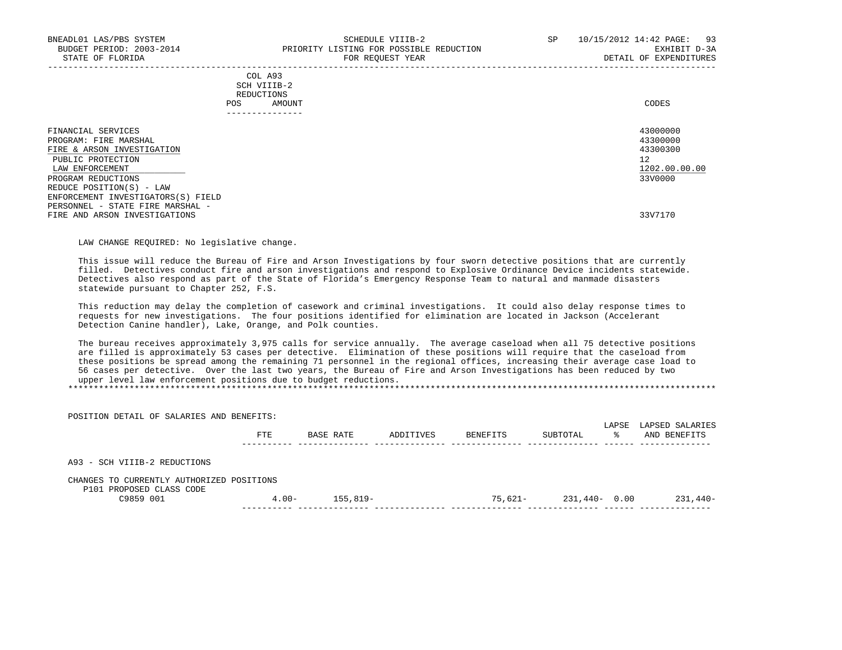|            | _______________ |       |
|------------|-----------------|-------|
| POS        | AMOUNT          | CODES |
| REDUCTIONS |                 |       |
|            | SCH VIIIB-2     |       |
|            | COL A93         |       |

| FINANCIAL SERVICES                 | 43000000      |
|------------------------------------|---------------|
| PROGRAM: FIRE MARSHAL              | 43300000      |
| FIRE & ARSON INVESTIGATION         | 43300300      |
| PUBLIC PROTECTION                  | 12            |
| LAW ENFORCEMENT                    | 1202.00.00.00 |
| PROGRAM REDUCTIONS                 | 33V0000       |
| REDUCE POSITION(S) - LAW           |               |
| ENFORCEMENT INVESTIGATORS(S) FIELD |               |
| PERSONNEL - STATE FIRE MARSHAL -   |               |
| FIRE AND ARSON INVESTIGATIONS      | 33V7170       |

LAW CHANGE REQUIRED: No legislative change.

POSITION DETAIL OF SALARIES AND BENEFITS:

 This issue will reduce the Bureau of Fire and Arson Investigations by four sworn detective positions that are currently filled. Detectives conduct fire and arson investigations and respond to Explosive Ordinance Device incidents statewide. Detectives also respond as part of the State of Florida's Emergency Response Team to natural and manmade disasters statewide pursuant to Chapter 252, F.S.

 This reduction may delay the completion of casework and criminal investigations. It could also delay response times to requests for new investigations. The four positions identified for elimination are located in Jackson (Accelerant Detection Canine handler), Lake, Orange, and Polk counties.

 The bureau receives approximately 3,975 calls for service annually. The average caseload when all 75 detective positions are filled is approximately 53 cases per detective. Elimination of these positions will require that the caseload from these positions be spread among the remaining 71 personnel in the regional offices, increasing their average case load to 56 cases per detective. Over the last two years, the Bureau of Fire and Arson Investigations has been reduced by two upper level law enforcement positions due to budget reductions.

\*\*\*\*\*\*\*\*\*\*\*\*\*\*\*\*\*\*\*\*\*\*\*\*\*\*\*\*\*\*\*\*\*\*\*\*\*\*\*\*\*\*\*\*\*\*\*\*\*\*\*\*\*\*\*\*\*\*\*\*\*\*\*\*\*\*\*\*\*\*\*\*\*\*\*\*\*\*\*\*\*\*\*\*\*\*\*\*\*\*\*\*\*\*\*\*\*\*\*\*\*\*\*\*\*\*\*\*\*\*\*\*\*\*\*\*\*\*\*\*\*\*\*\*\*\*\*

| ROSIIION DEIAIL OF SALAKIES AND BENEFIIS.                             |          |           |           |          |               | LAPSE | LAPSED SALARIES |
|-----------------------------------------------------------------------|----------|-----------|-----------|----------|---------------|-------|-----------------|
|                                                                       | FTE      | BASE RATE | ADDITIVES | BENEFITS | SUBTOTAL      | °     | AND BENEFITS    |
| A93 - SCH VIIIB-2 REDUCTIONS                                          |          |           |           |          |               |       |                 |
| CHANGES TO CURRENTLY AUTHORIZED POSITIONS<br>P101 PROPOSED CLASS CODE |          |           |           |          |               |       |                 |
| C9859 001                                                             | $4.00 -$ | 155,819-  |           | 75,621-  | 231,440- 0.00 |       | $231.440-$      |
|                                                                       |          |           |           |          |               |       |                 |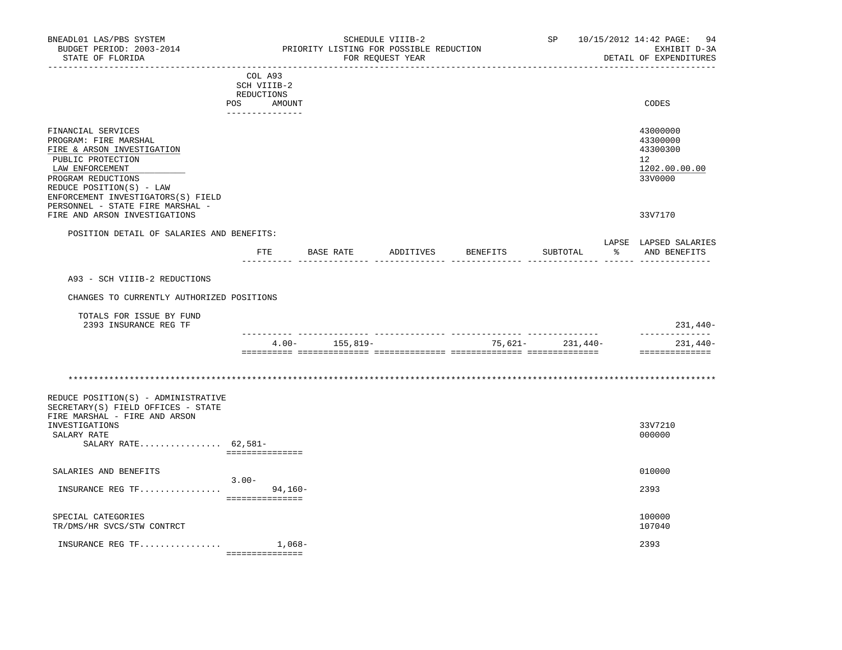| BNEADL01 LAS/PBS SYSTEM<br>BUDGET PERIOD: 2003-2014<br>STATE OF FLORIDA                                                                                                                                   |                                                                       |           |                                            | SCHEDULE VIIIB-2<br>PRIORITY LISTING FOR POSSIBLE REDUCTION<br>FOR REQUEST YEAR |                                        | SP              | 10/15/2012 14:42 PAGE:<br>94<br>EXHIBIT D-3A<br>DETAIL OF EXPENDITURES        |
|-----------------------------------------------------------------------------------------------------------------------------------------------------------------------------------------------------------|-----------------------------------------------------------------------|-----------|--------------------------------------------|---------------------------------------------------------------------------------|----------------------------------------|-----------------|-------------------------------------------------------------------------------|
| -------------------------                                                                                                                                                                                 | COL A93<br>SCH VIIIB-2<br>REDUCTIONS<br>POS AMOUNT<br>--------------- |           |                                            |                                                                                 | ----------------------------           |                 | CODES                                                                         |
| FINANCIAL SERVICES<br>PROGRAM: FIRE MARSHAL<br>FIRE & ARSON INVESTIGATION<br>PUBLIC PROTECTION<br>LAW ENFORCEMENT<br>PROGRAM REDUCTIONS<br>REDUCE POSITION(S) - LAW<br>ENFORCEMENT INVESTIGATORS(S) FIELD |                                                                       |           |                                            |                                                                                 |                                        |                 | 43000000<br>43300000<br>43300300<br>12<br>1202.00.00.00<br>33V0000            |
| PERSONNEL - STATE FIRE MARSHAL -<br>FIRE AND ARSON INVESTIGATIONS                                                                                                                                         |                                                                       |           |                                            |                                                                                 |                                        |                 | 33V7170                                                                       |
| POSITION DETAIL OF SALARIES AND BENEFITS:                                                                                                                                                                 | ETE                                                                   |           | BASE RATE                                  |                                                                                 | __________ ________________ _____ ____ |                 | LAPSE LAPSED SALARIES<br>ADDITIVES BENEFITS SUBTOTAL $\text{\$}$ AND BENEFITS |
| A93 - SCH VIIIB-2 REDUCTIONS                                                                                                                                                                              |                                                                       |           |                                            |                                                                                 |                                        |                 |                                                                               |
| CHANGES TO CURRENTLY AUTHORIZED POSITIONS                                                                                                                                                                 |                                                                       |           |                                            |                                                                                 |                                        |                 |                                                                               |
| TOTALS FOR ISSUE BY FUND<br>2393 INSURANCE REG TF                                                                                                                                                         |                                                                       |           |                                            |                                                                                 |                                        |                 | $231,440-$                                                                    |
|                                                                                                                                                                                                           |                                                                       |           | ______ _____________<br>$4.00 - 155,819 -$ |                                                                                 |                                        | 75,621-231,440- | ______________<br>$231,440-$<br>==============                                |
|                                                                                                                                                                                                           |                                                                       |           |                                            |                                                                                 |                                        |                 |                                                                               |
| REDUCE POSITION(S) - ADMINISTRATIVE<br>SECRETARY (S) FIELD OFFICES - STATE<br>FIRE MARSHAL - FIRE AND ARSON                                                                                               |                                                                       |           |                                            |                                                                                 |                                        |                 |                                                                               |
| INVESTIGATIONS<br>SALARY RATE<br>SALARY RATE 62,581-                                                                                                                                                      | ===============                                                       |           |                                            |                                                                                 |                                        |                 | 33V7210<br>000000                                                             |
| SALARIES AND BENEFITS                                                                                                                                                                                     |                                                                       |           |                                            |                                                                                 |                                        |                 | 010000                                                                        |
| INSURANCE REG TF                                                                                                                                                                                          | $3.00 -$<br>===============                                           | $94,160-$ |                                            |                                                                                 |                                        |                 | 2393                                                                          |
| SPECIAL CATEGORIES<br>TR/DMS/HR SVCS/STW CONTRCT                                                                                                                                                          |                                                                       |           |                                            |                                                                                 |                                        |                 | 100000<br>107040                                                              |
| INSURANCE REG TF                                                                                                                                                                                          | ===============                                                       | 1,068-    |                                            |                                                                                 |                                        |                 | 2393                                                                          |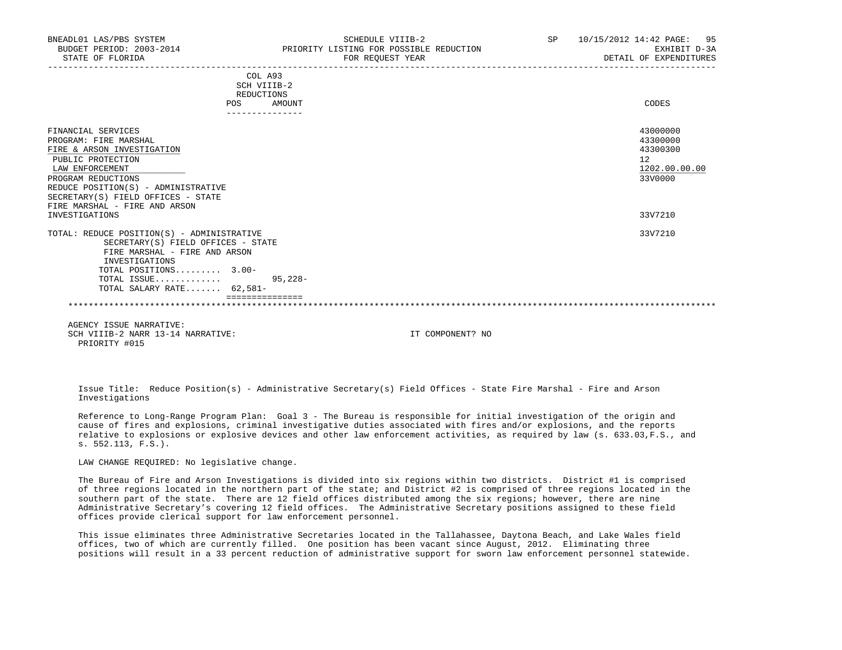| SCHEDULE VIIIB-2<br>PRIORITY LISTING FOR POSSIBLE REDUCTION<br>FOR REOUEST YEAR | SP | 95<br>10/15/2012 14:42 PAGE:<br>EXHIBIT D-3A<br>DETAIL OF EXPENDITURES |
|---------------------------------------------------------------------------------|----|------------------------------------------------------------------------|
| COL A93<br>SCH VIIIB-2<br>REDUCTIONS<br>AMOUNT                                  |    | CODES                                                                  |
|                                                                                 |    | 43000000<br>43300000<br>43300300<br>12<br>1202.00.00.00<br>33V0000     |
|                                                                                 |    | 33V7210                                                                |
| SECRETARY(S) FIELD OFFICES - STATE<br>$95.228 -$                                |    | 33V7210                                                                |
|                                                                                 |    |                                                                        |
|                                                                                 |    | _______________________________                                        |

 Issue Title: Reduce Position(s) - Administrative Secretary(s) Field Offices - State Fire Marshal - Fire and Arson Investigations

 Reference to Long-Range Program Plan: Goal 3 - The Bureau is responsible for initial investigation of the origin and cause of fires and explosions, criminal investigative duties associated with fires and/or explosions, and the reports relative to explosions or explosive devices and other law enforcement activities, as required by law (s. 633.03,F.S., and s. 552.113, F.S.).

LAW CHANGE REQUIRED: No legislative change.

 The Bureau of Fire and Arson Investigations is divided into six regions within two districts. District #1 is comprised of three regions located in the northern part of the state; and District #2 is comprised of three regions located in the southern part of the state. There are 12 field offices distributed among the six regions; however, there are nine Administrative Secretary's covering 12 field offices. The Administrative Secretary positions assigned to these field offices provide clerical support for law enforcement personnel.

 This issue eliminates three Administrative Secretaries located in the Tallahassee, Daytona Beach, and Lake Wales field offices, two of which are currently filled. One position has been vacant since August, 2012. Eliminating three positions will result in a 33 percent reduction of administrative support for sworn law enforcement personnel statewide.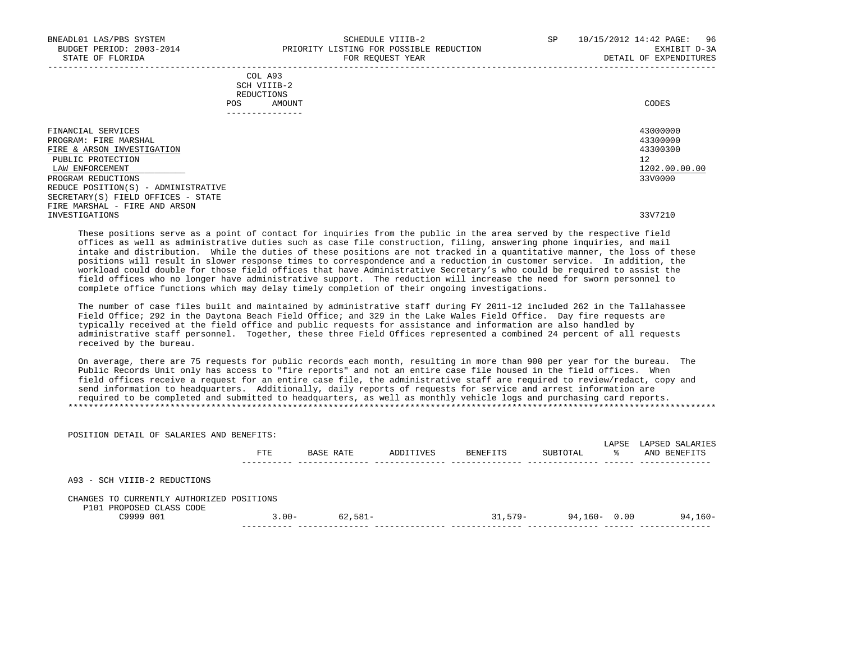|            | _______________ |       |
|------------|-----------------|-------|
| POS        | AMOUNT          | CODES |
| REDUCTIONS |                 |       |
|            | SCH VIIIB-2     |       |
|            | COL A93         |       |

 FINANCIAL SERVICES 43000000 PROGRAM: FIRE MARSHAL 43300000 (1) 2300000 (1) 2300000 (1) 43300000 (1) 43300000 (1) 43300000 (1) 43300000 (1) 4330000 (1) 43300 (1) 43300 (1) 43300 (1) 43300 (1) 43300 (1) 43300 (1) 43300 (1) 43300 (1) 43300 (1) 43300 (1) FIRE & ARSON INVESTIGATION 433<br>PUBLIC PROTECTION 12 PUBLIC PROTECTION 12<br>
LAW ENFORCEMENT 1202.00.00.00 PUBLIC PROTECTION 1202.00.00.00  $\texttt{LAN ENFORCEMENT} \color{black} 1202.00.00.00$  PROGRAM REDUCTIONS 33V0000 REDUCE POSITION(S) - ADMINISTRATIVE SECRETARY(S) FIELD OFFICES - STATE FIRE MARSHAL - FIRE AND ARSON INVESTIGATIONS 33V7210

 These positions serve as a point of contact for inquiries from the public in the area served by the respective field offices as well as administrative duties such as case file construction, filing, answering phone inquiries, and mail intake and distribution. While the duties of these positions are not tracked in a quantitative manner, the loss of these positions will result in slower response times to correspondence and a reduction in customer service. In addition, the workload could double for those field offices that have Administrative Secretary's who could be required to assist the field offices who no longer have administrative support. The reduction will increase the need for sworn personnel to complete office functions which may delay timely completion of their ongoing investigations.

 The number of case files built and maintained by administrative staff during FY 2011-12 included 262 in the Tallahassee Field Office; 292 in the Daytona Beach Field Office; and 329 in the Lake Wales Field Office. Day fire requests are typically received at the field office and public requests for assistance and information are also handled by administrative staff personnel. Together, these three Field Offices represented a combined 24 percent of all requests received by the bureau.

 On average, there are 75 requests for public records each month, resulting in more than 900 per year for the bureau. The Public Records Unit only has access to "fire reports" and not an entire case file housed in the field offices. When field offices receive a request for an entire case file, the administrative staff are required to review/redact, copy and send information to headquarters. Additionally, daily reports of requests for service and arrest information are required to be completed and submitted to headquarters, as well as monthly vehicle logs and purchasing card reports. \*\*\*\*\*\*\*\*\*\*\*\*\*\*\*\*\*\*\*\*\*\*\*\*\*\*\*\*\*\*\*\*\*\*\*\*\*\*\*\*\*\*\*\*\*\*\*\*\*\*\*\*\*\*\*\*\*\*\*\*\*\*\*\*\*\*\*\*\*\*\*\*\*\*\*\*\*\*\*\*\*\*\*\*\*\*\*\*\*\*\*\*\*\*\*\*\*\*\*\*\*\*\*\*\*\*\*\*\*\*\*\*\*\*\*\*\*\*\*\*\*\*\*\*\*\*\*

| POSITION DETAIL OF SALARIES AND BENEFITS:                             |          |           |           |                 |                 |            |                                 |
|-----------------------------------------------------------------------|----------|-----------|-----------|-----------------|-----------------|------------|---------------------------------|
|                                                                       | FTE      | BASE RATE | ADDITIVES | <b>BENEFITS</b> | SUBTOTAL        | LAPSE<br>° | LAPSED SALARIES<br>AND BENEFITS |
| A93 - SCH VIIIB-2 REDUCTIONS                                          |          |           |           |                 |                 |            |                                 |
| CHANGES TO CURRENTLY AUTHORIZED POSITIONS<br>P101 PROPOSED CLASS CODE |          |           |           |                 |                 |            |                                 |
| C9999 001                                                             | $3.00 -$ | $62,581-$ |           | $31.579-$       | $94,160 - 0.00$ |            | $94.160 -$                      |
|                                                                       |          |           |           |                 |                 |            |                                 |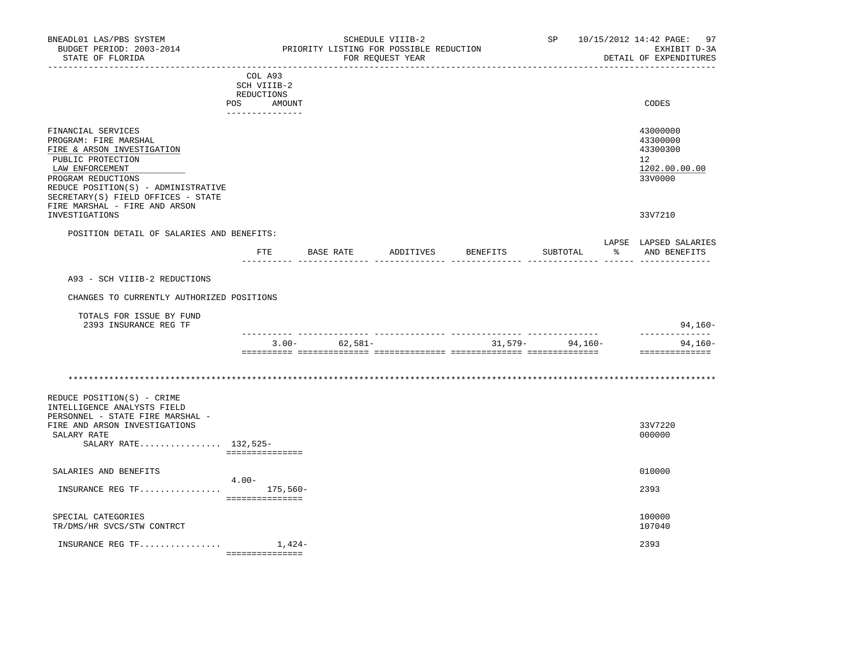| BNEADL01 LAS/PBS SYSTEM<br>BUDGET PERIOD: 2003-2014<br>STATE OF FLORIDA                                                                                                                                              |                                                                                                     |                   | SCHEDULE VIIIB-2<br>PRIORITY LISTING FOR POSSIBLE REDUCTION<br>FOR REQUEST YEAR |                                                      | SP               | 10/15/2012 14:42 PAGE:<br>97<br>EXHIBIT D-3A<br>DETAIL OF EXPENDITURES |
|----------------------------------------------------------------------------------------------------------------------------------------------------------------------------------------------------------------------|-----------------------------------------------------------------------------------------------------|-------------------|---------------------------------------------------------------------------------|------------------------------------------------------|------------------|------------------------------------------------------------------------|
|                                                                                                                                                                                                                      | --------------------------<br>COL A93<br>SCH VIIIB-2<br>REDUCTIONS<br>POS AMOUNT<br>--------------- |                   |                                                                                 | ________________________________                     |                  | CODES                                                                  |
| FINANCIAL SERVICES<br>PROGRAM: FIRE MARSHAL<br>FIRE & ARSON INVESTIGATION<br>PUBLIC PROTECTION<br>LAW ENFORCEMENT<br>PROGRAM REDUCTIONS<br>REDUCE POSITION(S) - ADMINISTRATIVE<br>SECRETARY(S) FIELD OFFICES - STATE |                                                                                                     |                   |                                                                                 |                                                      |                  | 43000000<br>43300000<br>43300300<br>12<br>1202.00.00.00<br>33V0000     |
| FIRE MARSHAL - FIRE AND ARSON<br>INVESTIGATIONS                                                                                                                                                                      |                                                                                                     |                   |                                                                                 |                                                      |                  | 33V7210                                                                |
| POSITION DETAIL OF SALARIES AND BENEFITS:                                                                                                                                                                            | ETE                                                                                                 | BASE RATE         |                                                                                 | ADDITIVES BENEFITS SUBTOTAL $\text{\$}$ AND BENEFITS |                  | LAPSE LAPSED SALARIES                                                  |
| A93 - SCH VIIIB-2 REDUCTIONS                                                                                                                                                                                         |                                                                                                     |                   |                                                                                 |                                                      |                  |                                                                        |
| CHANGES TO CURRENTLY AUTHORIZED POSITIONS                                                                                                                                                                            |                                                                                                     |                   |                                                                                 |                                                      |                  |                                                                        |
| TOTALS FOR ISSUE BY FUND<br>2393 INSURANCE REG TF                                                                                                                                                                    |                                                                                                     |                   |                                                                                 |                                                      |                  | $94,160-$                                                              |
|                                                                                                                                                                                                                      |                                                                                                     | $3.00 - 62,581 -$ |                                                                                 |                                                      | $31,579-94,160-$ | ______________<br>94,160-<br>==============                            |
|                                                                                                                                                                                                                      |                                                                                                     |                   |                                                                                 |                                                      |                  |                                                                        |
| REDUCE POSITION(S) - CRIME<br>INTELLIGENCE ANALYSTS FIELD<br>PERSONNEL - STATE FIRE MARSHAL -<br>FIRE AND ARSON INVESTIGATIONS<br>SALARY RATE<br>SALARY RATE 132,525-                                                | ===============                                                                                     |                   |                                                                                 |                                                      |                  | 33V7220<br>000000                                                      |
| SALARIES AND BENEFITS                                                                                                                                                                                                |                                                                                                     |                   |                                                                                 |                                                      |                  | 010000                                                                 |
| INSURANCE REG TF 175,560-                                                                                                                                                                                            | $4.00 -$<br>===============                                                                         |                   |                                                                                 |                                                      |                  | 2393                                                                   |
| SPECIAL CATEGORIES<br>TR/DMS/HR SVCS/STW CONTRCT                                                                                                                                                                     |                                                                                                     |                   |                                                                                 |                                                      |                  | 100000<br>107040                                                       |
| INSURANCE REG TF                                                                                                                                                                                                     | 1,424-<br>===============                                                                           |                   |                                                                                 |                                                      |                  | 2393                                                                   |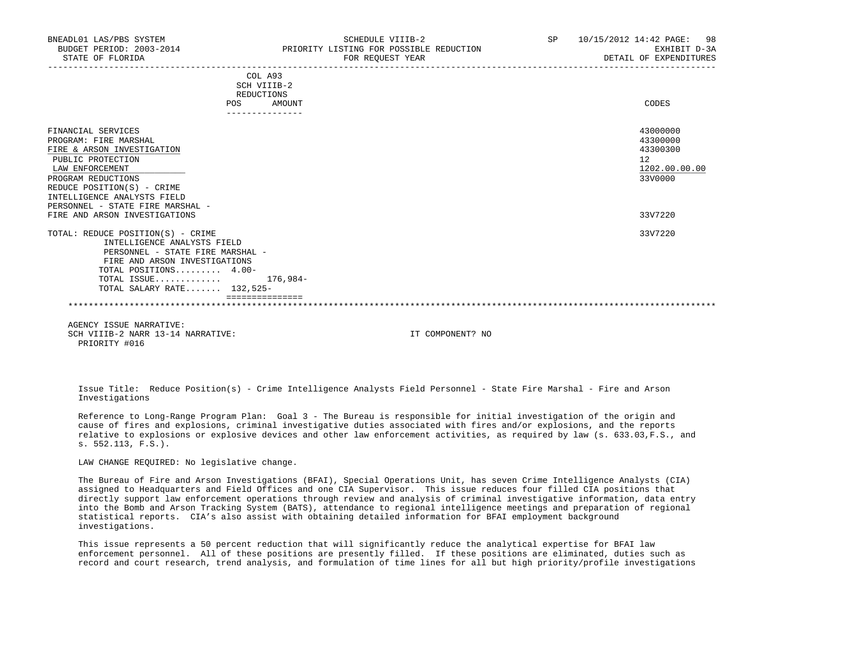| COL A93<br>SCH VIIIB-2<br>REDUCTIONS<br>POS<br>AMOUNT<br>FINANCIAL SERVICES<br>PROGRAM: FIRE MARSHAL<br>FIRE & ARSON INVESTIGATION<br>PUBLIC PROTECTION                                                                 | EXHIBIT D-3A<br>DETAIL OF EXPENDITURES                             |
|-------------------------------------------------------------------------------------------------------------------------------------------------------------------------------------------------------------------------|--------------------------------------------------------------------|
|                                                                                                                                                                                                                         | CODES                                                              |
| LAW ENFORCEMENT<br>PROGRAM REDUCTIONS<br>REDUCE POSITION(S) - CRIME<br>INTELLIGENCE ANALYSTS FIELD<br>PERSONNEL - STATE FIRE MARSHAL -                                                                                  | 43000000<br>43300000<br>43300300<br>12<br>1202.00.00.00<br>33V0000 |
| FIRE AND ARSON INVESTIGATIONS                                                                                                                                                                                           | 33V7220                                                            |
| TOTAL: REDUCE POSITION(S) - CRIME<br>INTELLIGENCE ANALYSTS FIELD<br>PERSONNEL - STATE FIRE MARSHAL -<br>FIRE AND ARSON INVESTIGATIONS<br>TOTAL POSITIONS 4.00-<br>TOTAL ISSUE<br>176,984-<br>TOTAL SALARY RATE 132,525- | 33V7220                                                            |
|                                                                                                                                                                                                                         |                                                                    |

 Issue Title: Reduce Position(s) - Crime Intelligence Analysts Field Personnel - State Fire Marshal - Fire and Arson Investigations

 Reference to Long-Range Program Plan: Goal 3 - The Bureau is responsible for initial investigation of the origin and cause of fires and explosions, criminal investigative duties associated with fires and/or explosions, and the reports relative to explosions or explosive devices and other law enforcement activities, as required by law (s. 633.03,F.S., and s. 552.113, F.S.).

LAW CHANGE REQUIRED: No legislative change.

 The Bureau of Fire and Arson Investigations (BFAI), Special Operations Unit, has seven Crime Intelligence Analysts (CIA) assigned to Headquarters and Field Offices and one CIA Supervisor. This issue reduces four filled CIA positions that directly support law enforcement operations through review and analysis of criminal investigative information, data entry into the Bomb and Arson Tracking System (BATS), attendance to regional intelligence meetings and preparation of regional statistical reports. CIA's also assist with obtaining detailed information for BFAI employment background investigations.

 This issue represents a 50 percent reduction that will significantly reduce the analytical expertise for BFAI law enforcement personnel. All of these positions are presently filled. If these positions are eliminated, duties such as record and court research, trend analysis, and formulation of time lines for all but high priority/profile investigations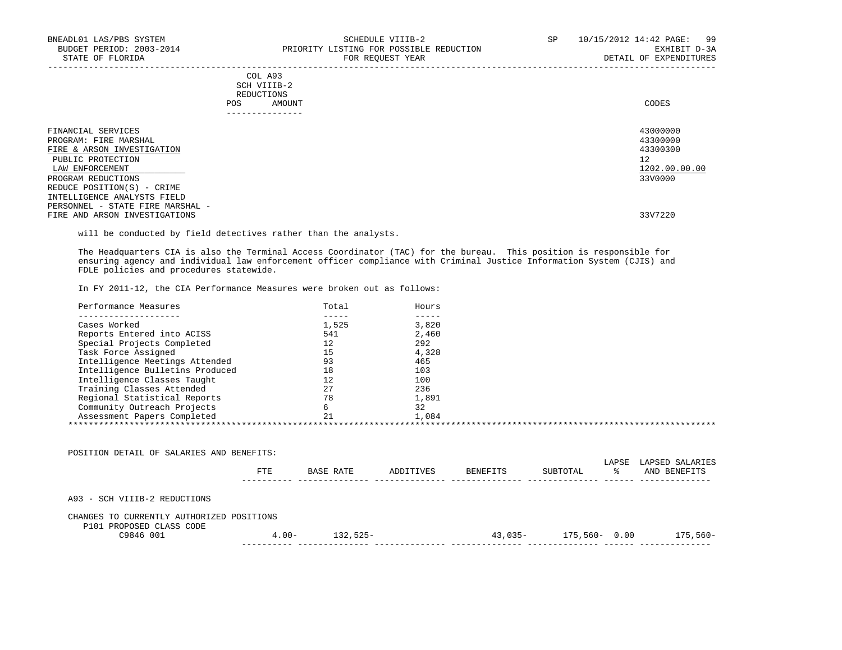|     | --------------- |       |
|-----|-----------------|-------|
| POS | AMOUNT          | CODES |
|     | REDUCTIONS      |       |
|     | SCH VIIIB-2     |       |
|     | COL A93         |       |

| FINANCIAL SERVICES               | 43000000      |
|----------------------------------|---------------|
| PROGRAM: FIRE MARSHAL            | 43300000      |
| FIRE & ARSON INVESTIGATION       | 43300300      |
| PUBLIC PROTECTION                | 12            |
| LAW ENFORCEMENT                  | 1202.00.00.00 |
| PROGRAM REDUCTIONS               | 33V0000       |
| REDUCE POSITION(S) - CRIME       |               |
| INTELLIGENCE ANALYSTS FIELD      |               |
| PERSONNEL - STATE FIRE MARSHAL - |               |
| FIRE AND ARSON INVESTIGATIONS    | 33V7220       |

will be conducted by field detectives rather than the analysts.

 The Headquarters CIA is also the Terminal Access Coordinator (TAC) for the bureau. This position is responsible for ensuring agency and individual law enforcement officer compliance with Criminal Justice Information System (CJIS) and FDLE policies and procedures statewide.

In FY 2011-12, the CIA Performance Measures were broken out as follows:

| Performance Measures            | Total | Hours |
|---------------------------------|-------|-------|
| Cases Worked                    | 1,525 | 3,820 |
|                                 |       |       |
| Reports Entered into ACISS      | 541   | 2,460 |
| Special Projects Completed      | 12    | 292   |
| Task Force Assigned             | 15    | 4,328 |
| Intelligence Meetings Attended  | 93    | 465   |
| Intelligence Bulletins Produced | 18    | 103   |
| Intelligence Classes Taught     | 12    | 100   |
| Training Classes Attended       | 27    | 236   |
| Regional Statistical Reports    | 78    | 1,891 |
| Community Outreach Projects     |       | 32    |
| Assessment Papers Completed     |       | 1,084 |

| POSITION DETAIL OF SALARIES AND BENEFITS:                             |          |            |           |          |                  |             |                                 |
|-----------------------------------------------------------------------|----------|------------|-----------|----------|------------------|-------------|---------------------------------|
|                                                                       | FTE.     | BASE RATE  | ADDITIVES | BENEFITS | SUBTOTAL         | LAPSE<br>°≈ | LAPSED SALARIES<br>AND BENEFITS |
| A93 - SCH VIIIB-2 REDUCTIONS                                          |          |            |           |          |                  |             |                                 |
| CHANGES TO CURRENTLY AUTHORIZED POSITIONS<br>P101 PROPOSED CLASS CODE |          |            |           |          |                  |             |                                 |
| C9846 001                                                             | $4.00 -$ | $132,525-$ |           | 43,035-  | $175,560 - 0.00$ |             | $175,560-$                      |
|                                                                       |          |            |           |          |                  |             |                                 |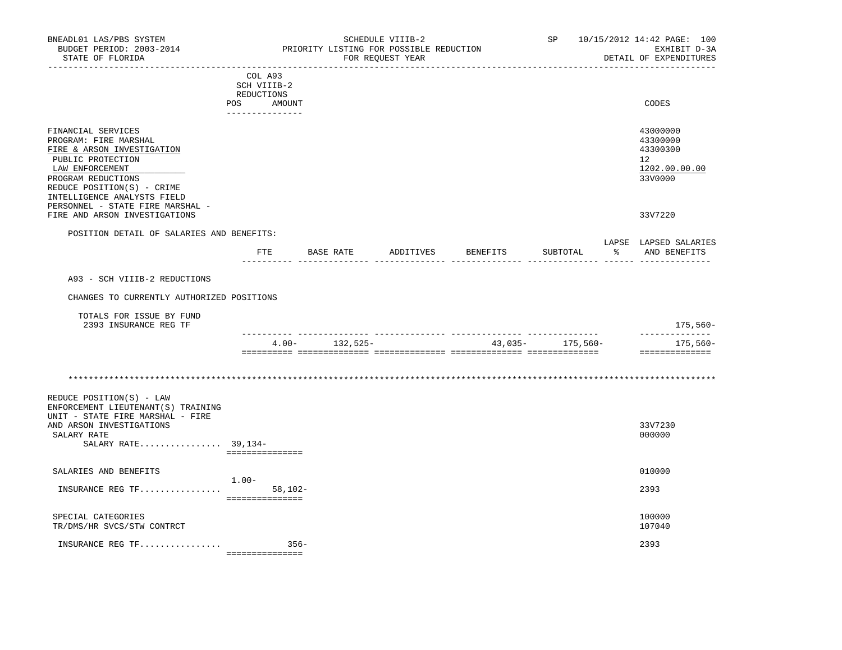| BNEADL01 LAS/PBS SYSTEM<br>BUDGET PERIOD: 2003-2014<br>STATE OF FLORIDA                                                                                                                              | SCHEDULE VIIIB-2<br>PRIORITY LISTING FOR POSSIBLE REDUCTION<br>FOR REQUEST YEAR                     |                                           |                    |                                  | SP                | 10/15/2012 14:42 PAGE: 100<br>EXHIBIT D-3A<br>DETAIL OF EXPENDITURES |  |
|------------------------------------------------------------------------------------------------------------------------------------------------------------------------------------------------------|-----------------------------------------------------------------------------------------------------|-------------------------------------------|--------------------|----------------------------------|-------------------|----------------------------------------------------------------------|--|
|                                                                                                                                                                                                      | --------------------------<br>COL A93<br>SCH VIIIB-2<br>REDUCTIONS<br>POS AMOUNT<br>--------------- |                                           |                    | ________________________________ |                   | CODES                                                                |  |
| FINANCIAL SERVICES<br>PROGRAM: FIRE MARSHAL<br>FIRE & ARSON INVESTIGATION<br>PUBLIC PROTECTION<br>LAW ENFORCEMENT<br>PROGRAM REDUCTIONS<br>REDUCE POSITION(S) - CRIME<br>INTELLIGENCE ANALYSTS FIELD |                                                                                                     |                                           |                    |                                  |                   | 43000000<br>43300000<br>43300300<br>12<br>1202.00.00.00<br>33V0000   |  |
| PERSONNEL - STATE FIRE MARSHAL -<br>FIRE AND ARSON INVESTIGATIONS                                                                                                                                    |                                                                                                     |                                           |                    |                                  |                   | 33V7220                                                              |  |
| POSITION DETAIL OF SALARIES AND BENEFITS:                                                                                                                                                            | ETE                                                                                                 | BASE RATE                                 | ADDITIVES BENEFITS |                                  |                   | LAPSE LAPSED SALARIES<br>SUBTOTAL % AND BENEFITS                     |  |
| A93 - SCH VIIIB-2 REDUCTIONS                                                                                                                                                                         |                                                                                                     |                                           |                    |                                  |                   |                                                                      |  |
| CHANGES TO CURRENTLY AUTHORIZED POSITIONS                                                                                                                                                            |                                                                                                     |                                           |                    |                                  |                   |                                                                      |  |
| TOTALS FOR ISSUE BY FUND<br>2393 INSURANCE REG TF                                                                                                                                                    |                                                                                                     |                                           |                    |                                  |                   | $175,560-$                                                           |  |
|                                                                                                                                                                                                      |                                                                                                     | _____ _____________<br>$4.00 - 132,525 -$ |                    |                                  | $43,035-175,560-$ | ______________<br>175,560-<br>==============                         |  |
|                                                                                                                                                                                                      |                                                                                                     |                                           |                    |                                  |                   |                                                                      |  |
| REDUCE POSITION(S) - LAW<br>ENFORCEMENT LIEUTENANT (S) TRAINING<br>UNIT - STATE FIRE MARSHAL - FIRE<br>AND ARSON INVESTIGATIONS<br>SALARY RATE<br>SALARY RATE 39,134-                                | ===============                                                                                     |                                           |                    |                                  |                   | 33V7230<br>000000                                                    |  |
| SALARIES AND BENEFITS                                                                                                                                                                                |                                                                                                     |                                           |                    |                                  |                   | 010000                                                               |  |
| INSURANCE REG TF                                                                                                                                                                                     | $1.00-$<br>$58,102-$<br>===============                                                             |                                           |                    |                                  |                   | 2393                                                                 |  |
| SPECIAL CATEGORIES<br>TR/DMS/HR SVCS/STW CONTRCT                                                                                                                                                     |                                                                                                     |                                           |                    |                                  |                   | 100000<br>107040                                                     |  |
| INSURANCE REG TF                                                                                                                                                                                     | $356-$<br>===============                                                                           |                                           |                    |                                  |                   | 2393                                                                 |  |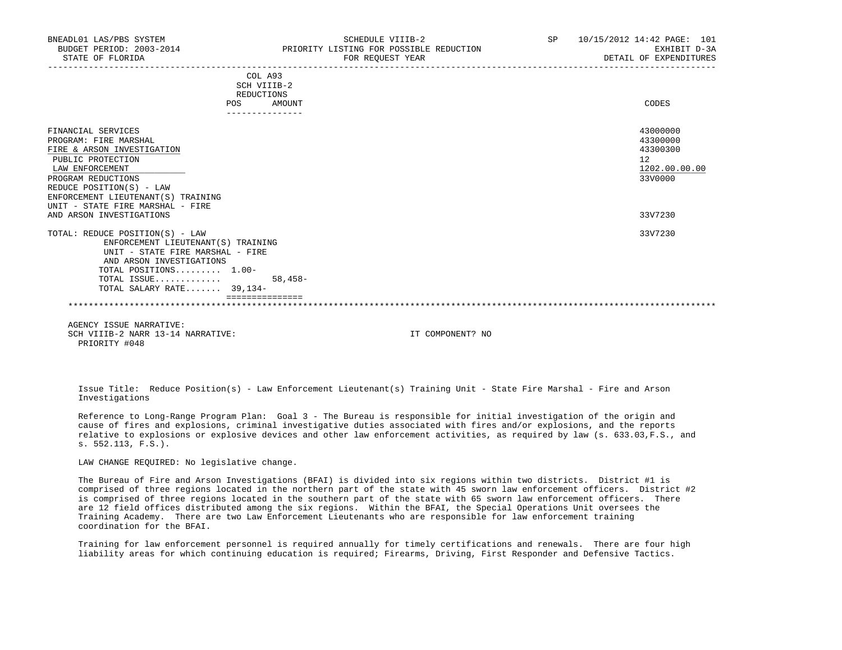| BNEADL01 LAS/PBS SYSTEM<br>BUDGET PERIOD: 2003-2014<br>STATE OF FLORIDA                                                                                                                                                                        |                                                        | SCHEDULE VIIIB-2<br>PRIORITY LISTING FOR POSSIBLE REDUCTION<br>FOR REOUEST YEAR | SP | 10/15/2012 14:42 PAGE: 101<br>EXHIBIT D-3A<br>DETAIL OF EXPENDITURES |
|------------------------------------------------------------------------------------------------------------------------------------------------------------------------------------------------------------------------------------------------|--------------------------------------------------------|---------------------------------------------------------------------------------|----|----------------------------------------------------------------------|
|                                                                                                                                                                                                                                                | COL A93<br>SCH VIIIB-2<br>REDUCTIONS<br>POS.<br>AMOUNT |                                                                                 |    | CODES                                                                |
| FINANCIAL SERVICES<br>PROGRAM: FIRE MARSHAL<br>FIRE & ARSON INVESTIGATION<br>PUBLIC PROTECTION<br>LAW ENFORCEMENT<br>PROGRAM REDUCTIONS<br>REDUCE POSITION(S) - LAW<br>ENFORCEMENT LIEUTENANT (S) TRAINING<br>UNIT - STATE FIRE MARSHAL - FIRE |                                                        |                                                                                 |    | 43000000<br>43300000<br>43300300<br>12<br>1202.00.00.00<br>33V0000   |
| AND ARSON INVESTIGATIONS                                                                                                                                                                                                                       |                                                        |                                                                                 |    | 33V7230                                                              |
| TOTAL: REDUCE POSITION(S) - LAW<br>ENFORCEMENT LIEUTENANT(S) TRAINING<br>UNIT - STATE FIRE MARSHAL - FIRE<br>AND ARSON INVESTIGATIONS<br>TOTAL POSITIONS $1.00-$<br>TOTAL ISSUE<br>TOTAL SALARY RATE 39,134-                                   | $58,458-$                                              |                                                                                 |    | 33V7230                                                              |
|                                                                                                                                                                                                                                                |                                                        |                                                                                 |    |                                                                      |
|                                                                                                                                                                                                                                                |                                                        |                                                                                 |    |                                                                      |
|                                                                                                                                                                                                                                                |                                                        |                                                                                 |    |                                                                      |

 Issue Title: Reduce Position(s) - Law Enforcement Lieutenant(s) Training Unit - State Fire Marshal - Fire and Arson Investigations

 Reference to Long-Range Program Plan: Goal 3 - The Bureau is responsible for initial investigation of the origin and cause of fires and explosions, criminal investigative duties associated with fires and/or explosions, and the reports relative to explosions or explosive devices and other law enforcement activities, as required by law (s. 633.03,F.S., and s. 552.113, F.S.).

LAW CHANGE REQUIRED: No legislative change.

 The Bureau of Fire and Arson Investigations (BFAI) is divided into six regions within two districts. District #1 is comprised of three regions located in the northern part of the state with 45 sworn law enforcement officers. District #2 is comprised of three regions located in the southern part of the state with 65 sworn law enforcement officers. There are 12 field offices distributed among the six regions. Within the BFAI, the Special Operations Unit oversees the Training Academy. There are two Law Enforcement Lieutenants who are responsible for law enforcement training coordination for the BFAI.

 Training for law enforcement personnel is required annually for timely certifications and renewals. There are four high liability areas for which continuing education is required; Firearms, Driving, First Responder and Defensive Tactics.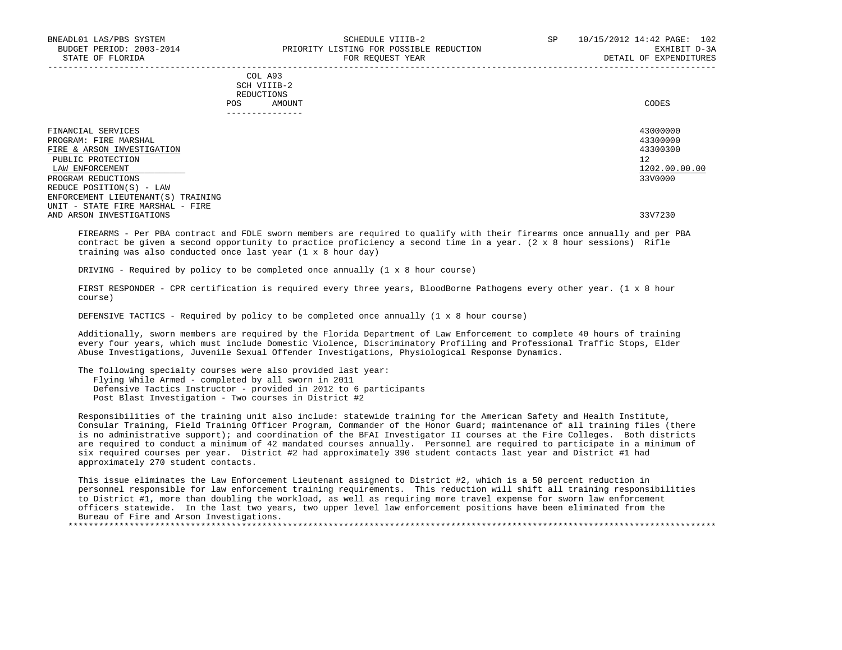|            | _______________ |       |
|------------|-----------------|-------|
| POS        | AMOUNT          | CODES |
| REDUCTIONS |                 |       |
|            | SCH VIIIB-2     |       |
|            | COL A93         |       |

| FINANCIAL SERVICES<br>PROGRAM: FIRE MARSHAL<br>FIRE & ARSON INVESTIGATION<br>PUBLIC PROTECTION<br>LAW ENFORCEMENT<br>PROGRAM REDUCTIONS<br>REDUCE POSITION(S) - LAW<br>ENFORCEMENT LIEUTENANT(S) TRAINING | 43000000<br>43300000<br>43300300<br>12<br>1202.00.00.00<br>33V0000 |
|-----------------------------------------------------------------------------------------------------------------------------------------------------------------------------------------------------------|--------------------------------------------------------------------|
| UNIT - STATE FIRE MARSHAL - FIRE<br>AND ARSON INVESTIGATIONS                                                                                                                                              | 33V7230                                                            |

 FIREARMS - Per PBA contract and FDLE sworn members are required to qualify with their firearms once annually and per PBA contract be given a second opportunity to practice proficiency a second time in a year. (2 x 8 hour sessions) Rifle training was also conducted once last year (1 x 8 hour day)

DRIVING - Required by policy to be completed once annually (1 x 8 hour course)

 FIRST RESPONDER - CPR certification is required every three years, BloodBorne Pathogens every other year. (1 x 8 hour course)

DEFENSIVE TACTICS - Required by policy to be completed once annually (1 x 8 hour course)

 Additionally, sworn members are required by the Florida Department of Law Enforcement to complete 40 hours of training every four years, which must include Domestic Violence, Discriminatory Profiling and Professional Traffic Stops, Elder Abuse Investigations, Juvenile Sexual Offender Investigations, Physiological Response Dynamics.

 The following specialty courses were also provided last year: Flying While Armed - completed by all sworn in 2011 Defensive Tactics Instructor - provided in 2012 to 6 participants Post Blast Investigation - Two courses in District #2

 Responsibilities of the training unit also include: statewide training for the American Safety and Health Institute, Consular Training, Field Training Officer Program, Commander of the Honor Guard; maintenance of all training files (there is no administrative support); and coordination of the BFAI Investigator II courses at the Fire Colleges. Both districts are required to conduct a minimum of 42 mandated courses annually. Personnel are required to participate in a minimum of six required courses per year. District #2 had approximately 390 student contacts last year and District #1 had approximately 270 student contacts.

 This issue eliminates the Law Enforcement Lieutenant assigned to District #2, which is a 50 percent reduction in personnel responsible for law enforcement training requirements. This reduction will shift all training responsibilities to District #1, more than doubling the workload, as well as requiring more travel expense for sworn law enforcement officers statewide. In the last two years, two upper level law enforcement positions have been eliminated from the Bureau of Fire and Arson Investigations. \*\*\*\*\*\*\*\*\*\*\*\*\*\*\*\*\*\*\*\*\*\*\*\*\*\*\*\*\*\*\*\*\*\*\*\*\*\*\*\*\*\*\*\*\*\*\*\*\*\*\*\*\*\*\*\*\*\*\*\*\*\*\*\*\*\*\*\*\*\*\*\*\*\*\*\*\*\*\*\*\*\*\*\*\*\*\*\*\*\*\*\*\*\*\*\*\*\*\*\*\*\*\*\*\*\*\*\*\*\*\*\*\*\*\*\*\*\*\*\*\*\*\*\*\*\*\*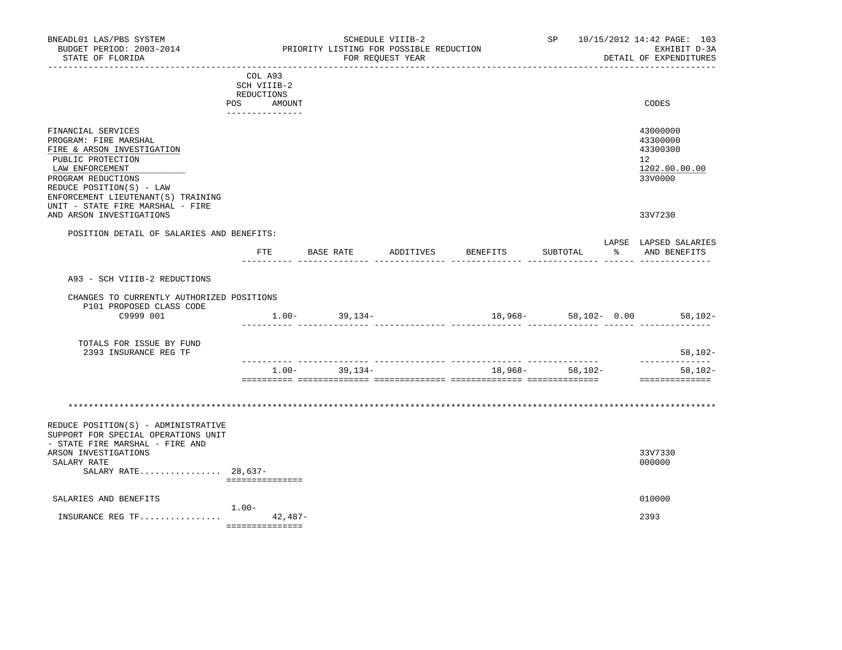| BNEADL01 LAS/PBS SYSTEM<br>BUDGET PERIOD: 2003-2014<br>STATE OF FLORIDA                                                                                                                                   | SCHEDULE VIIIB-2<br>PRIORITY LISTING FOR POSSIBLE REDUCTION<br>FOR REQUEST YEAR |                                                    |  |                    |                                  |               | SP 10/15/2012 14:42 PAGE: 103<br>EXHIBIT D-3A<br>DETAIL OF EXPENDITURES |
|-----------------------------------------------------------------------------------------------------------------------------------------------------------------------------------------------------------|---------------------------------------------------------------------------------|----------------------------------------------------|--|--------------------|----------------------------------|---------------|-------------------------------------------------------------------------|
|                                                                                                                                                                                                           | COL A93<br>SCH VIIIB-2<br>REDUCTIONS<br>POS AMOUNT<br>---------------           |                                                    |  |                    |                                  |               | CODES                                                                   |
| FINANCIAL SERVICES<br>PROGRAM: FIRE MARSHAL<br>FIRE & ARSON INVESTIGATION<br>PUBLIC PROTECTION<br>LAW ENFORCEMENT<br>PROGRAM REDUCTIONS<br>REDUCE POSITION(S) - LAW<br>ENFORCEMENT LIEUTENANT(S) TRAINING |                                                                                 |                                                    |  |                    |                                  |               | 43000000<br>43300000<br>43300300<br>12<br>1202.00.00.00<br>33V0000      |
| UNIT - STATE FIRE MARSHAL - FIRE<br>AND ARSON INVESTIGATIONS                                                                                                                                              |                                                                                 |                                                    |  |                    |                                  |               | 33V7230                                                                 |
| POSITION DETAIL OF SALARIES AND BENEFITS:                                                                                                                                                                 | $_{\rm FTE}$                                                                    | BASE RATE                                          |  | ADDITIVES BENEFITS | SUBTOTAL<br>_________ _____ ___  | $\frac{1}{6}$ | LAPSE LAPSED SALARIES<br>AND BENEFITS                                   |
| A93 - SCH VIIIB-2 REDUCTIONS                                                                                                                                                                              |                                                                                 |                                                    |  |                    |                                  |               |                                                                         |
| CHANGES TO CURRENTLY AUTHORIZED POSITIONS<br>P101 PROPOSED CLASS CODE<br>C9999 001                                                                                                                        |                                                                                 | $1.00 - 39.134 -$                                  |  |                    |                                  |               | 18,968- 58,102- 0.00 58,102-                                            |
| TOTALS FOR ISSUE BY FUND<br>2393 INSURANCE REG TF                                                                                                                                                         |                                                                                 |                                                    |  |                    |                                  |               | 58,102-                                                                 |
|                                                                                                                                                                                                           | $1.00 -$                                                                        | . _ _ _ _ _   _ _ _ _ _ _ _ _ _ _ _ _ _<br>39,134- |  | 18,968-            | -- ---------------<br>$58.102 -$ |               | --------------<br>$58,102 -$<br>==============                          |
| REDUCE POSITION(S) - ADMINISTRATIVE<br>SUPPORT FOR SPECIAL OPERATIONS UNIT                                                                                                                                |                                                                                 |                                                    |  |                    |                                  |               |                                                                         |
| - STATE FIRE MARSHAL - FIRE AND<br>ARSON INVESTIGATIONS<br>SALARY RATE<br>SALARY RATE $28,637-$                                                                                                           | ===============                                                                 |                                                    |  |                    |                                  |               | 33V7330<br>000000                                                       |
| SALARIES AND BENEFITS                                                                                                                                                                                     |                                                                                 |                                                    |  |                    |                                  |               | 010000                                                                  |
| INSURANCE REG TF                                                                                                                                                                                          | $1.00 -$<br>$42.487-$<br>===============                                        |                                                    |  |                    |                                  |               | 2393                                                                    |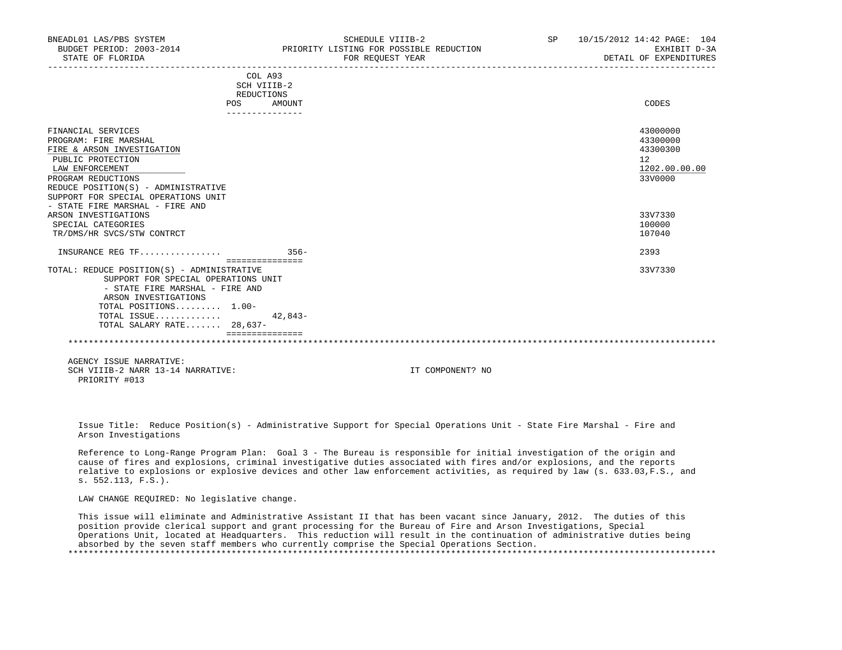| BNEADL01 LAS/PBS SYSTEM<br>BUDGET PERIOD: 2003-2014<br>STATE OF FLORIDA                                                                                                                                               | SCHEDULE VIIIB-2<br>PRIORITY LISTING FOR POSSIBLE REDUCTION<br>FOR REQUEST YEAR | SP and the set of the set of the set of the set of the set of the set of the set of the set of the set of the set of the set of the set of the set of the set of the set of the set of the set of the set of the set of the se<br>10/15/2012 14:42 PAGE: 104<br>EXHIBIT D-3A<br>DETAIL OF EXPENDITURES |
|-----------------------------------------------------------------------------------------------------------------------------------------------------------------------------------------------------------------------|---------------------------------------------------------------------------------|--------------------------------------------------------------------------------------------------------------------------------------------------------------------------------------------------------------------------------------------------------------------------------------------------------|
| <b>POS</b>                                                                                                                                                                                                            | COL A93<br>SCH VIIIB-2<br>REDUCTIONS<br>AMOUNT                                  | CODES                                                                                                                                                                                                                                                                                                  |
|                                                                                                                                                                                                                       |                                                                                 |                                                                                                                                                                                                                                                                                                        |
| FINANCIAL SERVICES<br>PROGRAM: FIRE MARSHAL<br>FIRE & ARSON INVESTIGATION<br>PUBLIC PROTECTION<br>LAW ENFORCEMENT<br>PROGRAM REDUCTIONS<br>REDUCE POSITION(S) - ADMINISTRATIVE<br>SUPPORT FOR SPECIAL OPERATIONS UNIT |                                                                                 | 43000000<br>43300000<br>43300300<br>12 <sup>°</sup><br>1202.00.00.00<br>33V0000                                                                                                                                                                                                                        |
| - STATE FIRE MARSHAL - FIRE AND<br>ARSON INVESTIGATIONS<br>SPECIAL CATEGORIES<br>TR/DMS/HR SVCS/STW CONTRCT                                                                                                           |                                                                                 | 33V7330<br>100000<br>107040                                                                                                                                                                                                                                                                            |
| INSURANCE REG TF                                                                                                                                                                                                      | $356 -$                                                                         | 2393                                                                                                                                                                                                                                                                                                   |
| TOTAL: REDUCE POSITION(S) - ADMINISTRATIVE<br>SUPPORT FOR SPECIAL OPERATIONS UNIT<br>- STATE FIRE MARSHAL - FIRE AND<br>ARSON INVESTIGATIONS<br>TOTAL POSITIONS 1.00-<br>TOTAL ISSUE<br>TOTAL SALARY RATE 28,637-     | ===============<br>$42.843-$                                                    | 33V7330                                                                                                                                                                                                                                                                                                |
|                                                                                                                                                                                                                       |                                                                                 |                                                                                                                                                                                                                                                                                                        |

 Issue Title: Reduce Position(s) - Administrative Support for Special Operations Unit - State Fire Marshal - Fire and Arson Investigations

 Reference to Long-Range Program Plan: Goal 3 - The Bureau is responsible for initial investigation of the origin and cause of fires and explosions, criminal investigative duties associated with fires and/or explosions, and the reports relative to explosions or explosive devices and other law enforcement activities, as required by law (s. 633.03,F.S., and s. 552.113, F.S.).

LAW CHANGE REQUIRED: No legislative change.

 This issue will eliminate and Administrative Assistant II that has been vacant since January, 2012. The duties of this position provide clerical support and grant processing for the Bureau of Fire and Arson Investigations, Special Operations Unit, located at Headquarters. This reduction will result in the continuation of administrative duties being absorbed by the seven staff members who currently comprise the Special Operations Section. \*\*\*\*\*\*\*\*\*\*\*\*\*\*\*\*\*\*\*\*\*\*\*\*\*\*\*\*\*\*\*\*\*\*\*\*\*\*\*\*\*\*\*\*\*\*\*\*\*\*\*\*\*\*\*\*\*\*\*\*\*\*\*\*\*\*\*\*\*\*\*\*\*\*\*\*\*\*\*\*\*\*\*\*\*\*\*\*\*\*\*\*\*\*\*\*\*\*\*\*\*\*\*\*\*\*\*\*\*\*\*\*\*\*\*\*\*\*\*\*\*\*\*\*\*\*\*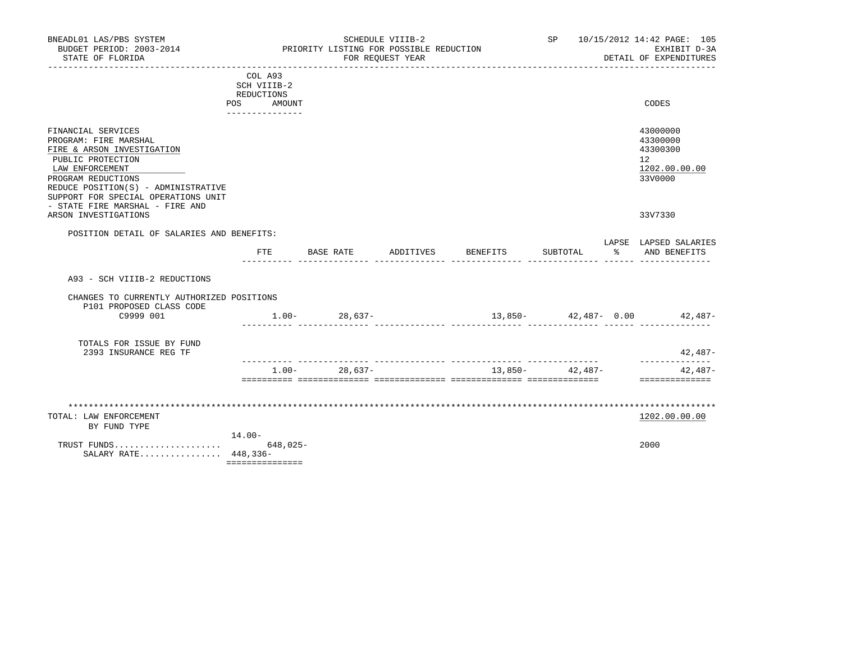| BNEADL01 LAS/PBS SYSTEM<br>BUDGET PERIOD: 2003-2014<br>STATE OF FLORIDA                                                                                                                                                                                                          | SCHEDULE VIIIB-2<br>PRIORITY LISTING FOR POSSIBLE REDUCTION<br>FOR REQUEST YEAR |                   |                    |         | SP <sub>2</sub>      |           | 10/15/2012 14:42 PAGE: 105<br>EXHIBIT D-3A<br>DETAIL OF EXPENDITURES          |  |
|----------------------------------------------------------------------------------------------------------------------------------------------------------------------------------------------------------------------------------------------------------------------------------|---------------------------------------------------------------------------------|-------------------|--------------------|---------|----------------------|-----------|-------------------------------------------------------------------------------|--|
|                                                                                                                                                                                                                                                                                  | COL A93<br>SCH VIIIB-2<br>REDUCTIONS<br>POS<br>AMOUNT<br>---------------        |                   |                    |         |                      |           | CODES                                                                         |  |
| FINANCIAL SERVICES<br>PROGRAM: FIRE MARSHAL<br>FIRE & ARSON INVESTIGATION<br>PUBLIC PROTECTION<br>LAW ENFORCEMENT<br>PROGRAM REDUCTIONS<br>REDUCE POSITION(S) - ADMINISTRATIVE<br>SUPPORT FOR SPECIAL OPERATIONS UNIT<br>- STATE FIRE MARSHAL - FIRE AND<br>ARSON INVESTIGATIONS |                                                                                 |                   |                    |         |                      |           | 43000000<br>43300000<br>43300300<br>12<br>1202.00.00.00<br>33V0000<br>33V7330 |  |
| POSITION DETAIL OF SALARIES AND BENEFITS:                                                                                                                                                                                                                                        |                                                                                 |                   |                    |         |                      |           |                                                                               |  |
|                                                                                                                                                                                                                                                                                  | FTE                                                                             | BASE RATE         | ADDITIVES BENEFITS |         | SUBTOTAL             | $\approx$ | LAPSE LAPSED SALARIES<br>AND BENEFITS                                         |  |
| A93 - SCH VIIIB-2 REDUCTIONS                                                                                                                                                                                                                                                     |                                                                                 |                   |                    |         |                      |           |                                                                               |  |
| CHANGES TO CURRENTLY AUTHORIZED POSITIONS                                                                                                                                                                                                                                        |                                                                                 |                   |                    |         |                      |           |                                                                               |  |
| P101 PROPOSED CLASS CODE<br>C9999 001                                                                                                                                                                                                                                            |                                                                                 | $1.00 - 28.637 -$ |                    |         |                      |           | $13,850 42,487-$ 0.00 $42,487-$                                               |  |
| TOTALS FOR ISSUE BY FUND<br>2393 INSURANCE REG TF                                                                                                                                                                                                                                |                                                                                 |                   |                    |         |                      |           | 42,487-                                                                       |  |
|                                                                                                                                                                                                                                                                                  | $1.00 -$                                                                        | 28,637-           |                    | 13,850- | . <b></b><br>42,487- |           | 42,487-<br>==============                                                     |  |
|                                                                                                                                                                                                                                                                                  |                                                                                 |                   |                    |         |                      |           |                                                                               |  |
| TOTAL: LAW ENFORCEMENT<br>BY FUND TYPE                                                                                                                                                                                                                                           |                                                                                 |                   |                    |         |                      |           | 1202.00.00.00                                                                 |  |
| SALARY RATE 448,336-                                                                                                                                                                                                                                                             | $14.00-$<br>===============                                                     |                   |                    |         |                      |           | 2000                                                                          |  |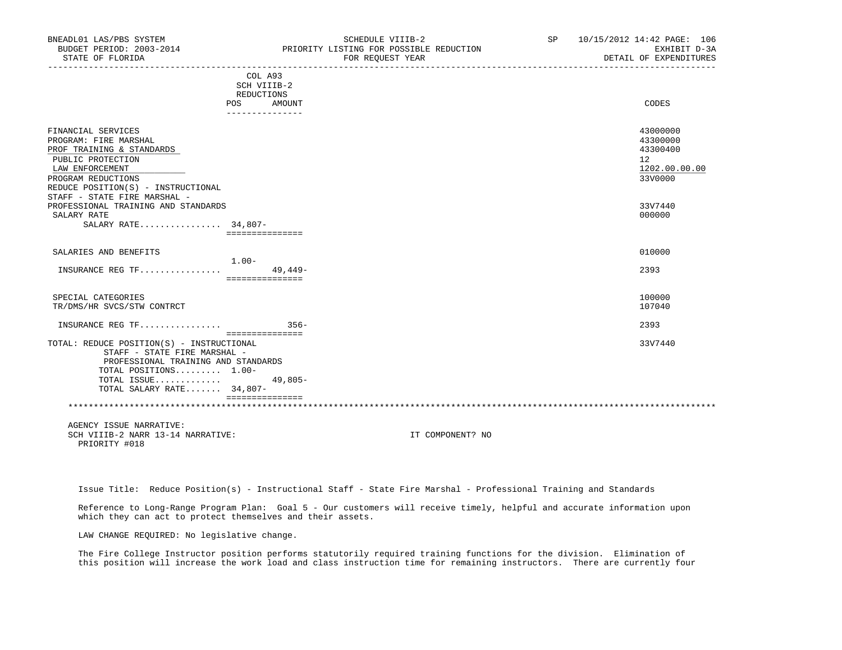| BNEADL01 LAS/PBS SYSTEM<br>BUDGET PERIOD: 2003-2014<br>STATE OF FLORIDA |            |                            | SCHEDULE VIIIB-2<br>PRIORITY LISTING FOR POSSIBLE REDUCTION<br>FOR REOUEST YEAR |                  | SP and the set of the set of the set of the set of the set of the set of the set of the set of the set of the set of the set of the set of the set of the set of the set of the set of the set of the set of the set of the se | 10/15/2012 14:42 PAGE: 106<br>EXHIBIT D-3A<br>DETAIL OF EXPENDITURES |
|-------------------------------------------------------------------------|------------|----------------------------|---------------------------------------------------------------------------------|------------------|--------------------------------------------------------------------------------------------------------------------------------------------------------------------------------------------------------------------------------|----------------------------------------------------------------------|
|                                                                         |            | COL A93                    |                                                                                 |                  |                                                                                                                                                                                                                                |                                                                      |
|                                                                         |            | SCH VIIIB-2                |                                                                                 |                  |                                                                                                                                                                                                                                |                                                                      |
|                                                                         | REDUCTIONS |                            |                                                                                 |                  |                                                                                                                                                                                                                                |                                                                      |
|                                                                         | POS        | AMOUNT<br>---------------  |                                                                                 |                  |                                                                                                                                                                                                                                | CODES                                                                |
| FINANCIAL SERVICES                                                      |            |                            |                                                                                 |                  |                                                                                                                                                                                                                                | 43000000                                                             |
| PROGRAM: FIRE MARSHAL                                                   |            |                            |                                                                                 |                  |                                                                                                                                                                                                                                | 43300000                                                             |
| PROF TRAINING & STANDARDS                                               |            |                            |                                                                                 |                  |                                                                                                                                                                                                                                | 43300400                                                             |
| PUBLIC PROTECTION                                                       |            |                            |                                                                                 |                  |                                                                                                                                                                                                                                | 12                                                                   |
| LAW ENFORCEMENT                                                         |            |                            |                                                                                 |                  |                                                                                                                                                                                                                                | 1202.00.00.00                                                        |
|                                                                         |            |                            |                                                                                 |                  |                                                                                                                                                                                                                                | 33V0000                                                              |
| PROGRAM REDUCTIONS<br>REDUCE POSITION(S) - INSTRUCTIONAL                |            |                            |                                                                                 |                  |                                                                                                                                                                                                                                |                                                                      |
| STAFF - STATE FIRE MARSHAL -                                            |            |                            |                                                                                 |                  |                                                                                                                                                                                                                                |                                                                      |
| PROFESSIONAL TRAINING AND STANDARDS                                     |            |                            |                                                                                 |                  |                                                                                                                                                                                                                                | 33V7440                                                              |
| SALARY RATE                                                             |            |                            |                                                                                 |                  |                                                                                                                                                                                                                                | 000000                                                               |
| SALARY RATE 34,807-                                                     |            |                            |                                                                                 |                  |                                                                                                                                                                                                                                |                                                                      |
|                                                                         |            | ===============            |                                                                                 |                  |                                                                                                                                                                                                                                |                                                                      |
|                                                                         |            |                            |                                                                                 |                  |                                                                                                                                                                                                                                |                                                                      |
| SALARIES AND BENEFITS                                                   |            |                            |                                                                                 |                  |                                                                                                                                                                                                                                | 010000                                                               |
|                                                                         | $1.00-$    |                            |                                                                                 |                  |                                                                                                                                                                                                                                |                                                                      |
| INSURANCE REG TF                                                        |            | $49.449-$                  |                                                                                 |                  |                                                                                                                                                                                                                                | 2393                                                                 |
|                                                                         |            | ===============            |                                                                                 |                  |                                                                                                                                                                                                                                |                                                                      |
| SPECIAL CATEGORIES                                                      |            |                            |                                                                                 |                  |                                                                                                                                                                                                                                | 100000                                                               |
| TR/DMS/HR SVCS/STW CONTRCT                                              |            |                            |                                                                                 |                  |                                                                                                                                                                                                                                | 107040                                                               |
|                                                                         |            |                            |                                                                                 |                  |                                                                                                                                                                                                                                |                                                                      |
| INSURANCE REG TF                                                        |            | $356 -$<br>=============== |                                                                                 |                  |                                                                                                                                                                                                                                | 2393                                                                 |
| TOTAL: REDUCE POSITION(S) - INSTRUCTIONAL                               |            |                            |                                                                                 |                  |                                                                                                                                                                                                                                | 33V7440                                                              |
| STAFF - STATE FIRE MARSHAL -                                            |            |                            |                                                                                 |                  |                                                                                                                                                                                                                                |                                                                      |
| PROFESSIONAL TRAINING AND STANDARDS                                     |            |                            |                                                                                 |                  |                                                                                                                                                                                                                                |                                                                      |
| TOTAL POSITIONS 1.00-                                                   |            |                            |                                                                                 |                  |                                                                                                                                                                                                                                |                                                                      |
| TOTAL ISSUE                                                             |            | $49,805-$                  |                                                                                 |                  |                                                                                                                                                                                                                                |                                                                      |
| TOTAL SALARY RATE 34,807-                                               |            |                            |                                                                                 |                  |                                                                                                                                                                                                                                |                                                                      |
|                                                                         |            | ===============            |                                                                                 |                  |                                                                                                                                                                                                                                |                                                                      |
| AGENCY ISSUE NARRATIVE:                                                 |            |                            |                                                                                 |                  |                                                                                                                                                                                                                                |                                                                      |
| SCH VIIIB-2 NARR 13-14 NARRATIVE:                                       |            |                            |                                                                                 | IT COMPONENT? NO |                                                                                                                                                                                                                                |                                                                      |
| PRIORITY #018                                                           |            |                            |                                                                                 |                  |                                                                                                                                                                                                                                |                                                                      |

Issue Title: Reduce Position(s) - Instructional Staff - State Fire Marshal - Professional Training and Standards

Reference to Long-Range Program Plan: Goal 5 - Our customers will receive timely, helpful and accurate information upon

LAW CHANGE REQUIRED: No legislative change.

which they can act to protect themselves and their assets.

 The Fire College Instructor position performs statutorily required training functions for the division. Elimination of this position will increase the work load and class instruction time for remaining instructors. There are currently four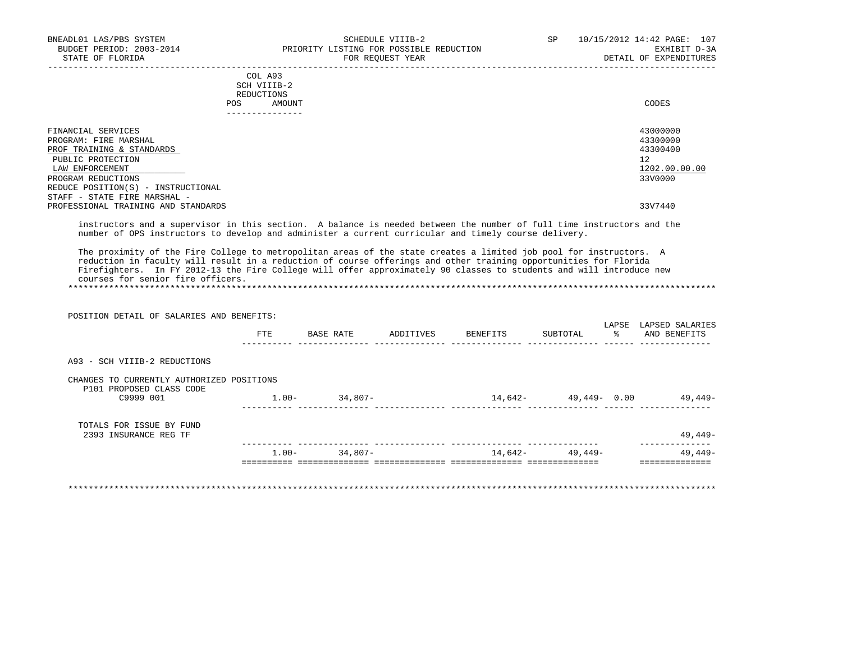| BNEADL01 LAS/PBS SYSTEM<br>BUDGET PERIOD: 2003-2014<br>STATE OF FLORIDA                                                                                                                                                                                                                                                                                                                            |                 | PRIORITY LISTING FOR POSSIBLE REDUCTION | SCHEDULE VIIIB-2<br>FOR REOUEST YEAR |                    |          |           | SP 10/15/2012 14:42 PAGE: 107<br>EXHIBIT D-3A<br>DETAIL OF EXPENDITURES |
|----------------------------------------------------------------------------------------------------------------------------------------------------------------------------------------------------------------------------------------------------------------------------------------------------------------------------------------------------------------------------------------------------|-----------------|-----------------------------------------|--------------------------------------|--------------------|----------|-----------|-------------------------------------------------------------------------|
|                                                                                                                                                                                                                                                                                                                                                                                                    | COL A93         |                                         |                                      |                    |          |           |                                                                         |
|                                                                                                                                                                                                                                                                                                                                                                                                    | SCH VIIIB-2     |                                         |                                      |                    |          |           |                                                                         |
|                                                                                                                                                                                                                                                                                                                                                                                                    | REDUCTIONS      |                                         |                                      |                    |          |           |                                                                         |
|                                                                                                                                                                                                                                                                                                                                                                                                    | AMOUNT<br>POS   |                                         |                                      |                    |          |           | CODES                                                                   |
|                                                                                                                                                                                                                                                                                                                                                                                                    | --------------- |                                         |                                      |                    |          |           |                                                                         |
|                                                                                                                                                                                                                                                                                                                                                                                                    |                 |                                         |                                      |                    |          |           |                                                                         |
| FINANCIAL SERVICES<br>PROGRAM: FIRE MARSHAL                                                                                                                                                                                                                                                                                                                                                        |                 |                                         |                                      |                    |          |           | 43000000<br>43300000                                                    |
| PROF TRAINING & STANDARDS                                                                                                                                                                                                                                                                                                                                                                          |                 |                                         |                                      |                    |          |           | 43300400                                                                |
| PUBLIC PROTECTION                                                                                                                                                                                                                                                                                                                                                                                  |                 |                                         |                                      |                    |          |           | 12                                                                      |
| LAW ENFORCEMENT                                                                                                                                                                                                                                                                                                                                                                                    |                 |                                         |                                      |                    |          |           | 1202.00.00.00                                                           |
| PROGRAM REDUCTIONS                                                                                                                                                                                                                                                                                                                                                                                 |                 |                                         |                                      |                    |          |           | 33V0000                                                                 |
| REDUCE POSITION(S) - INSTRUCTIONAL                                                                                                                                                                                                                                                                                                                                                                 |                 |                                         |                                      |                    |          |           |                                                                         |
| STAFF - STATE FIRE MARSHAL -                                                                                                                                                                                                                                                                                                                                                                       |                 |                                         |                                      |                    |          |           |                                                                         |
| PROFESSIONAL TRAINING AND STANDARDS                                                                                                                                                                                                                                                                                                                                                                |                 |                                         |                                      |                    |          |           | 33V7440                                                                 |
| instructors and a supervisor in this section. A balance is needed between the number of full time instructors and the<br>number of OPS instructors to develop and administer a current curricular and timely course delivery.                                                                                                                                                                      |                 |                                         |                                      |                    |          |           |                                                                         |
| The proximity of the Fire College to metropolitan areas of the state creates a limited job pool for instructors. A<br>reduction in faculty will result in a reduction of course offerings and other training opportunities for Florida<br>Firefighters. In FY 2012-13 the Fire College will offer approximately 90 classes to students and will introduce new<br>courses for senior fire officers. |                 |                                         |                                      |                    |          |           |                                                                         |
| POSITION DETAIL OF SALARIES AND BENEFITS:                                                                                                                                                                                                                                                                                                                                                          |                 |                                         |                                      |                    |          |           | LAPSE LAPSED SALARIES                                                   |
|                                                                                                                                                                                                                                                                                                                                                                                                    | FTE             | BASE RATE                               |                                      | ADDITIVES BENEFITS | SUBTOTAL | $\approx$ | AND BENEFITS                                                            |
| A93 - SCH VIIIB-2 REDUCTIONS                                                                                                                                                                                                                                                                                                                                                                       |                 |                                         |                                      |                    |          |           |                                                                         |
|                                                                                                                                                                                                                                                                                                                                                                                                    |                 |                                         |                                      |                    |          |           |                                                                         |
| CHANGES TO CURRENTLY AUTHORIZED POSITIONS                                                                                                                                                                                                                                                                                                                                                          |                 |                                         |                                      |                    |          |           |                                                                         |
| P101 PROPOSED CLASS CODE<br>C9999 001                                                                                                                                                                                                                                                                                                                                                              |                 | $1.00 - 34.807 -$                       |                                      |                    |          |           | $14,642 49,449-$ 0.00 $49,449-$                                         |
|                                                                                                                                                                                                                                                                                                                                                                                                    |                 |                                         |                                      |                    |          |           |                                                                         |
| TOTALS FOR ISSUE BY FUND                                                                                                                                                                                                                                                                                                                                                                           |                 |                                         |                                      |                    |          |           |                                                                         |
| 2393 INSURANCE REG TF                                                                                                                                                                                                                                                                                                                                                                              |                 |                                         |                                      |                    |          |           | 49,449-                                                                 |
|                                                                                                                                                                                                                                                                                                                                                                                                    |                 |                                         |                                      |                    |          |           |                                                                         |
|                                                                                                                                                                                                                                                                                                                                                                                                    | $1.00-$         | 34,807-                                 |                                      | 14,642-            | 49,449-  |           | 49,449-                                                                 |

\*\*\*\*\*\*\*\*\*\*\*\*\*\*\*\*\*\*\*\*\*\*\*\*\*\*\*\*\*\*\*\*\*\*\*\*\*\*\*\*\*\*\*\*\*\*\*\*\*\*\*\*\*\*\*\*\*\*\*\*\*\*\*\*\*\*\*\*\*\*\*\*\*\*\*\*\*\*\*\*\*\*\*\*\*\*\*\*\*\*\*\*\*\*\*\*\*\*\*\*\*\*\*\*\*\*\*\*\*\*\*\*\*\*\*\*\*\*\*\*\*\*\*\*\*\*\*

========== ============== ============== ============== ============== ==============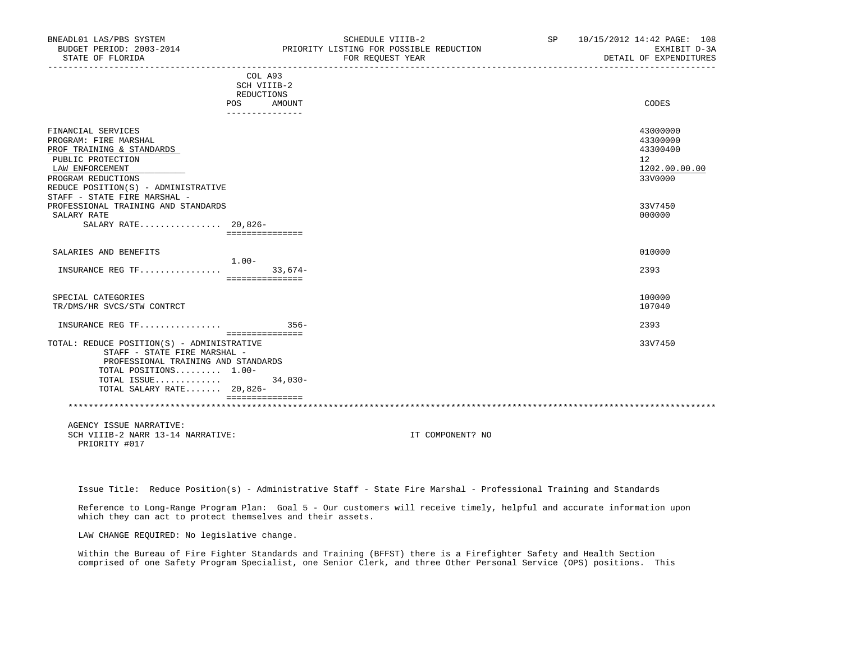| BNEADL01 LAS/PBS SYSTEM<br>BUDGET PERIOD: 2003-2014<br>STATE OF FLORIDA    |                                 | SCHEDULE VIIIB-2<br>PRIORITY LISTING FOR POSSIBLE REDUCTION<br>FOR REQUEST YEAR | SP 10/15/2012 14:42 PAGE: 108<br>EXHIBIT D-3A<br>DETAIL OF EXPENDITURES |
|----------------------------------------------------------------------------|---------------------------------|---------------------------------------------------------------------------------|-------------------------------------------------------------------------|
|                                                                            | COL A93                         |                                                                                 |                                                                         |
|                                                                            | SCH VIIIB-2                     |                                                                                 |                                                                         |
|                                                                            | REDUCTIONS                      |                                                                                 |                                                                         |
|                                                                            | POS<br>AMOUNT<br>______________ |                                                                                 | CODES                                                                   |
| FINANCIAL SERVICES                                                         |                                 |                                                                                 | 43000000                                                                |
| PROGRAM: FIRE MARSHAL                                                      |                                 |                                                                                 | 43300000                                                                |
| PROF TRAINING & STANDARDS                                                  |                                 |                                                                                 | 43300400                                                                |
| PUBLIC PROTECTION                                                          |                                 |                                                                                 | $12^{\circ}$                                                            |
| LAW ENFORCEMENT                                                            |                                 |                                                                                 | 1202.00.00.00                                                           |
| PROGRAM REDUCTIONS                                                         |                                 |                                                                                 | 33V0000                                                                 |
| REDUCE POSITION(S) - ADMINISTRATIVE                                        |                                 |                                                                                 |                                                                         |
| STAFF - STATE FIRE MARSHAL -                                               |                                 |                                                                                 |                                                                         |
| PROFESSIONAL TRAINING AND STANDARDS                                        |                                 |                                                                                 | 33V7450                                                                 |
| SALARY RATE                                                                |                                 |                                                                                 | 000000                                                                  |
| SALARY RATE 20,826-                                                        | ===============                 |                                                                                 |                                                                         |
|                                                                            |                                 |                                                                                 |                                                                         |
| SALARIES AND BENEFITS                                                      |                                 |                                                                                 | 010000                                                                  |
|                                                                            | $1.00-$                         |                                                                                 |                                                                         |
| INSURANCE REG TF                                                           | $33.674-$<br>===============    |                                                                                 | 2393                                                                    |
|                                                                            |                                 |                                                                                 |                                                                         |
| SPECIAL CATEGORIES<br>TR/DMS/HR SVCS/STW CONTRCT                           |                                 |                                                                                 | 100000<br>107040                                                        |
|                                                                            |                                 |                                                                                 |                                                                         |
| INSURANCE REG TF                                                           | $356 -$<br>===============      |                                                                                 | 2393                                                                    |
| TOTAL: REDUCE POSITION(S) - ADMINISTRATIVE<br>STAFF - STATE FIRE MARSHAL - |                                 |                                                                                 | 33V7450                                                                 |
| PROFESSIONAL TRAINING AND STANDARDS                                        |                                 |                                                                                 |                                                                         |
| TOTAL POSITIONS 1.00-                                                      |                                 |                                                                                 |                                                                         |
| TOTAL ISSUE $34,030-$                                                      |                                 |                                                                                 |                                                                         |
| TOTAL SALARY RATE 20,826-                                                  | ===============                 |                                                                                 |                                                                         |
|                                                                            |                                 |                                                                                 |                                                                         |
| AGENCY ISSUE NARRATIVE:                                                    |                                 |                                                                                 |                                                                         |
| SCH VIIIB-2 NARR 13-14 NARRATIVE:                                          |                                 | IT COMPONENT? NO                                                                |                                                                         |
|                                                                            |                                 |                                                                                 |                                                                         |

PRIORITY #017

Issue Title: Reduce Position(s) - Administrative Staff - State Fire Marshal - Professional Training and Standards

 Reference to Long-Range Program Plan: Goal 5 - Our customers will receive timely, helpful and accurate information upon which they can act to protect themselves and their assets.

LAW CHANGE REQUIRED: No legislative change.

 Within the Bureau of Fire Fighter Standards and Training (BFFST) there is a Firefighter Safety and Health Section comprised of one Safety Program Specialist, one Senior Clerk, and three Other Personal Service (OPS) positions. This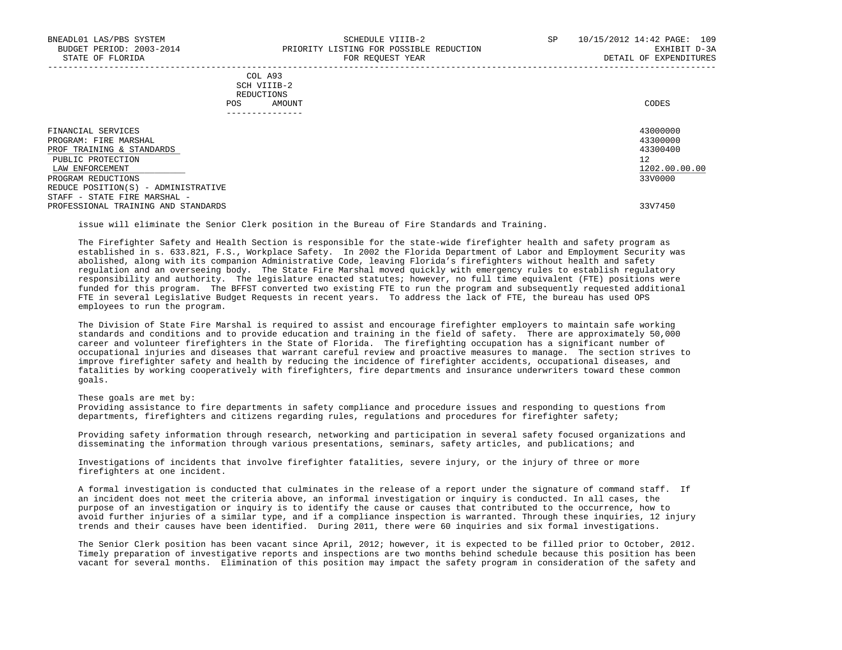|     | COL A93                                                                                                                        |       |
|-----|--------------------------------------------------------------------------------------------------------------------------------|-------|
|     | SCH VIIIB-2<br>the contract of the contract of the contract of the contract of the contract of the contract of the contract of |       |
|     | REDUCTIONS                                                                                                                     |       |
| POS | AMOUNT                                                                                                                         | CODES |
|     |                                                                                                                                |       |

| . _ _ _ _ _ _ _ _ _ _ _ _                   |                      |
|---------------------------------------------|----------------------|
| FINANCIAL SERVICES<br>PROGRAM: FIRE MARSHAL | 43000000<br>43300000 |
| PROF TRAINING & STANDARDS                   | 43300400             |
| PUBLIC PROTECTION                           | 12                   |
| LAW ENFORCEMENT                             | 1202.00.00.00        |
| PROGRAM REDUCTIONS                          | 33V0000              |
| REDUCE POSITION(S) - ADMINISTRATIVE         |                      |
| STAFF - STATE FIRE MARSHAL -                |                      |
| PROFESSIONAL TRAINING AND STANDARDS         | 33V7450              |

issue will eliminate the Senior Clerk position in the Bureau of Fire Standards and Training.

 The Firefighter Safety and Health Section is responsible for the state-wide firefighter health and safety program as established in s. 633.821, F.S., Workplace Safety. In 2002 the Florida Department of Labor and Employment Security was abolished, along with its companion Administrative Code, leaving Florida's firefighters without health and safety regulation and an overseeing body. The State Fire Marshal moved quickly with emergency rules to establish regulatory responsibility and authority. The legislature enacted statutes; however, no full time equivalent (FTE) positions were funded for this program. The BFFST converted two existing FTE to run the program and subsequently requested additional FTE in several Legislative Budget Requests in recent years. To address the lack of FTE, the bureau has used OPS employees to run the program.

 The Division of State Fire Marshal is required to assist and encourage firefighter employers to maintain safe working standards and conditions and to provide education and training in the field of safety. There are approximately 50,000 career and volunteer firefighters in the State of Florida. The firefighting occupation has a significant number of occupational injuries and diseases that warrant careful review and proactive measures to manage. The section strives to improve firefighter safety and health by reducing the incidence of firefighter accidents, occupational diseases, and fatalities by working cooperatively with firefighters, fire departments and insurance underwriters toward these common goals.

## These goals are met by:

 Providing assistance to fire departments in safety compliance and procedure issues and responding to questions from departments, firefighters and citizens regarding rules, regulations and procedures for firefighter safety;

 Providing safety information through research, networking and participation in several safety focused organizations and disseminating the information through various presentations, seminars, safety articles, and publications; and

 Investigations of incidents that involve firefighter fatalities, severe injury, or the injury of three or more firefighters at one incident.

 A formal investigation is conducted that culminates in the release of a report under the signature of command staff. If an incident does not meet the criteria above, an informal investigation or inquiry is conducted. In all cases, the purpose of an investigation or inquiry is to identify the cause or causes that contributed to the occurrence, how to avoid further injuries of a similar type, and if a compliance inspection is warranted. Through these inquiries, 12 injury trends and their causes have been identified. During 2011, there were 60 inquiries and six formal investigations.

 The Senior Clerk position has been vacant since April, 2012; however, it is expected to be filled prior to October, 2012. Timely preparation of investigative reports and inspections are two months behind schedule because this position has been vacant for several months. Elimination of this position may impact the safety program in consideration of the safety and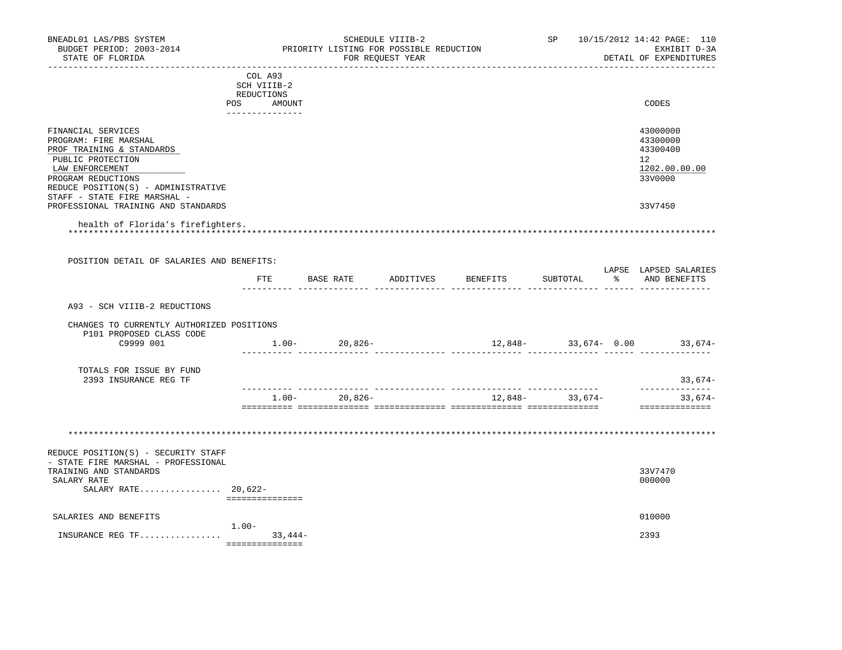| BNEADL01 LAS/PBS SYSTEM<br>BUDGET PERIOD: 2003-2014<br>STATE OF FLORIDA                                                                                                                                       |                                                                                                      | PRIORITY LISTING FOR POSSIBLE REDUCTION | SCHEDULE VIIIB-2<br>FOR REQUEST YEAR |                                  | SP                | 10/15/2012 14:42 PAGE: 110<br>EXHIBIT D-3A<br>DETAIL OF EXPENDITURES |
|---------------------------------------------------------------------------------------------------------------------------------------------------------------------------------------------------------------|------------------------------------------------------------------------------------------------------|-----------------------------------------|--------------------------------------|----------------------------------|-------------------|----------------------------------------------------------------------|
|                                                                                                                                                                                                               | ___________________________<br>COL A93<br>SCH VIIIB-2<br>REDUCTIONS<br>POS AMOUNT<br>_______________ | ________________________                |                                      | -------------------------------  |                   | CODES                                                                |
| FINANCIAL SERVICES<br>PROGRAM: FIRE MARSHAL<br>PROF TRAINING & STANDARDS<br>PUBLIC PROTECTION<br>LAW ENFORCEMENT<br>PROGRAM REDUCTIONS<br>REDUCE POSITION(S) - ADMINISTRATIVE<br>STAFF - STATE FIRE MARSHAL - |                                                                                                      |                                         |                                      |                                  |                   | 43000000<br>43300000<br>43300400<br>12<br>1202.00.00.00<br>33V0000   |
| PROFESSIONAL TRAINING AND STANDARDS                                                                                                                                                                           |                                                                                                      |                                         |                                      |                                  |                   | 33V7450                                                              |
| health of Florida's firefighters.                                                                                                                                                                             |                                                                                                      |                                         |                                      |                                  |                   |                                                                      |
|                                                                                                                                                                                                               |                                                                                                      |                                         |                                      |                                  |                   |                                                                      |
| POSITION DETAIL OF SALARIES AND BENEFITS:                                                                                                                                                                     |                                                                                                      |                                         |                                      |                                  |                   | LAPSE LAPSED SALARIES                                                |
|                                                                                                                                                                                                               |                                                                                                      |                                         |                                      | FTE BASE RATE ADDITIVES BENEFITS | SUBTOTAL          | % AND BENEFITS                                                       |
| A93 - SCH VIIIB-2 REDUCTIONS                                                                                                                                                                                  |                                                                                                      |                                         |                                      |                                  |                   |                                                                      |
| CHANGES TO CURRENTLY AUTHORIZED POSITIONS<br>P101 PROPOSED CLASS CODE<br>C9999 001                                                                                                                            |                                                                                                      | $1.00 - 20,826 -$                       |                                      |                                  |                   | $12,848-$ 33,674 - 0.00 33,674 -                                     |
| TOTALS FOR ISSUE BY FUND<br>2393 INSURANCE REG TF                                                                                                                                                             |                                                                                                      |                                         |                                      |                                  |                   | $33,674-$<br>______________                                          |
|                                                                                                                                                                                                               |                                                                                                      | $1.00 - 20,826 -$                       |                                      |                                  | $12,848-$ 33,674- | $33,674-$                                                            |
|                                                                                                                                                                                                               |                                                                                                      |                                         |                                      |                                  |                   | ==============                                                       |
|                                                                                                                                                                                                               |                                                                                                      |                                         |                                      |                                  |                   |                                                                      |
| REDUCE POSITION(S) - SECURITY STAFF                                                                                                                                                                           |                                                                                                      |                                         |                                      |                                  |                   |                                                                      |
| - STATE FIRE MARSHAL - PROFESSIONAL<br>TRAINING AND STANDARDS<br>SALARY RATE<br>SALARY RATE 20,622-                                                                                                           |                                                                                                      |                                         |                                      |                                  |                   | 33V7470<br>000000                                                    |
|                                                                                                                                                                                                               | ===============                                                                                      |                                         |                                      |                                  |                   |                                                                      |
| SALARIES AND BENEFITS                                                                                                                                                                                         | $1.00 -$                                                                                             |                                         |                                      |                                  |                   | 010000                                                               |
| INSURANCE REG TF                                                                                                                                                                                              | $33,444-$<br>===============                                                                         |                                         |                                      |                                  |                   | 2393                                                                 |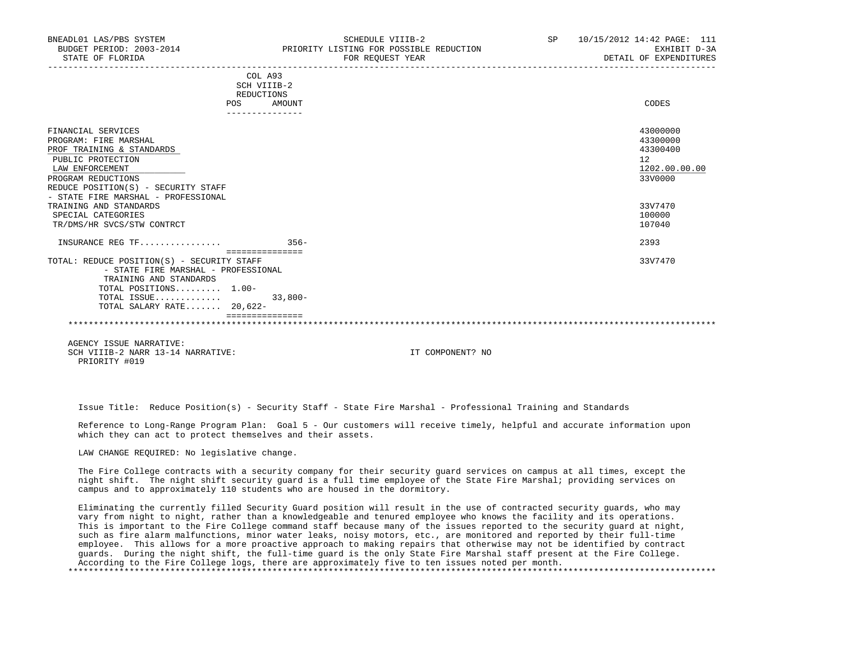| BNEADL01 LAS/PBS SYSTEM<br>BUDGET PERIOD: 2003-2014<br>STATE OF FLORIDA |                 | SCHEDULE VIIIB-2<br>PRIORITY LISTING FOR POSSIBLE REDUCTION<br>FOR REOUEST YEAR | <b>SP</b> | 10/15/2012 14:42 PAGE: 111<br>EXHIBIT D-3A<br>DETAIL OF EXPENDITURES |
|-------------------------------------------------------------------------|-----------------|---------------------------------------------------------------------------------|-----------|----------------------------------------------------------------------|
|                                                                         | COL A93         |                                                                                 |           |                                                                      |
|                                                                         | SCH VIIIB-2     |                                                                                 |           |                                                                      |
|                                                                         | REDUCTIONS      |                                                                                 |           |                                                                      |
|                                                                         | POS<br>AMOUNT   |                                                                                 |           | CODES                                                                |
| FINANCIAL SERVICES                                                      |                 |                                                                                 |           | 43000000                                                             |
| PROGRAM: FIRE MARSHAL                                                   |                 |                                                                                 |           | 43300000                                                             |
| PROF TRAINING & STANDARDS                                               |                 |                                                                                 |           | 43300400                                                             |
| PUBLIC PROTECTION                                                       |                 |                                                                                 |           | 12                                                                   |
| LAW ENFORCEMENT                                                         |                 |                                                                                 |           | 1202.00.00.00                                                        |
| PROGRAM REDUCTIONS                                                      |                 |                                                                                 |           | 33V0000                                                              |
| REDUCE POSITION(S) - SECURITY STAFF                                     |                 |                                                                                 |           |                                                                      |
| - STATE FIRE MARSHAL - PROFESSIONAL                                     |                 |                                                                                 |           |                                                                      |
| TRAINING AND STANDARDS                                                  |                 |                                                                                 |           | 33V7470                                                              |
| SPECIAL CATEGORIES                                                      |                 |                                                                                 |           | 100000                                                               |
| TR/DMS/HR SVCS/STW CONTRCT                                              |                 |                                                                                 |           | 107040                                                               |
| INSURANCE REG TF                                                        | $356 -$         |                                                                                 |           | 2393                                                                 |
|                                                                         | =============== |                                                                                 |           |                                                                      |
| TOTAL: REDUCE POSITION(S) - SECURITY STAFF                              |                 |                                                                                 |           | 33V7470                                                              |
| - STATE FIRE MARSHAL - PROFESSIONAL                                     |                 |                                                                                 |           |                                                                      |
| TRAINING AND STANDARDS                                                  |                 |                                                                                 |           |                                                                      |
| TOTAL POSITIONS 1.00-                                                   |                 |                                                                                 |           |                                                                      |
| TOTAL ISSUE                                                             | $33,800-$       |                                                                                 |           |                                                                      |
| TOTAL SALARY RATE 20,622-                                               |                 |                                                                                 |           |                                                                      |
|                                                                         |                 |                                                                                 |           |                                                                      |
|                                                                         |                 |                                                                                 |           |                                                                      |
|                                                                         |                 |                                                                                 |           |                                                                      |
| ACENCY ISSUE NARRATIVE:                                                 |                 |                                                                                 |           |                                                                      |

SCH VIIIB-2 NARR 13-14 NARRATIVE: IT COMPONENT? NO PRIORITY #019

Issue Title: Reduce Position(s) - Security Staff - State Fire Marshal - Professional Training and Standards

 Reference to Long-Range Program Plan: Goal 5 - Our customers will receive timely, helpful and accurate information upon which they can act to protect themselves and their assets.

LAW CHANGE REQUIRED: No legislative change.

 The Fire College contracts with a security company for their security guard services on campus at all times, except the night shift. The night shift security guard is a full time employee of the State Fire Marshal; providing services on campus and to approximately 110 students who are housed in the dormitory.

 Eliminating the currently filled Security Guard position will result in the use of contracted security guards, who may vary from night to night, rather than a knowledgeable and tenured employee who knows the facility and its operations. This is important to the Fire College command staff because many of the issues reported to the security guard at night, such as fire alarm malfunctions, minor water leaks, noisy motors, etc., are monitored and reported by their full-time employee. This allows for a more proactive approach to making repairs that otherwise may not be identified by contract guards. During the night shift, the full-time guard is the only State Fire Marshal staff present at the Fire College. According to the Fire College logs, there are approximately five to ten issues noted per month. \*\*\*\*\*\*\*\*\*\*\*\*\*\*\*\*\*\*\*\*\*\*\*\*\*\*\*\*\*\*\*\*\*\*\*\*\*\*\*\*\*\*\*\*\*\*\*\*\*\*\*\*\*\*\*\*\*\*\*\*\*\*\*\*\*\*\*\*\*\*\*\*\*\*\*\*\*\*\*\*\*\*\*\*\*\*\*\*\*\*\*\*\*\*\*\*\*\*\*\*\*\*\*\*\*\*\*\*\*\*\*\*\*\*\*\*\*\*\*\*\*\*\*\*\*\*\*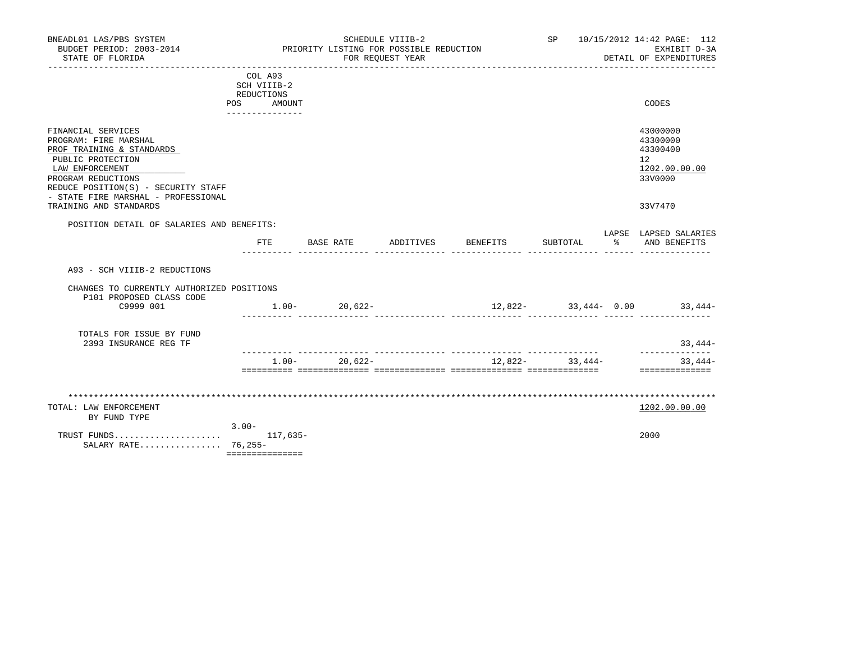| BNEADL01 LAS/PBS SYSTEM<br>BUDGET PERIOD: 2003-2014<br>STATE OF FLORIDA<br>--------------------                                                                                                                                                |                                                                          | PRIORITY LISTING FOR POSSIBLE REDUCTION | SCHEDULE VIIIB-2<br>FOR REQUEST YEAR |          | SP                |      | 10/15/2012 14:42 PAGE: 112<br>EXHIBIT D-3A<br>DETAIL OF EXPENDITURES          |
|------------------------------------------------------------------------------------------------------------------------------------------------------------------------------------------------------------------------------------------------|--------------------------------------------------------------------------|-----------------------------------------|--------------------------------------|----------|-------------------|------|-------------------------------------------------------------------------------|
|                                                                                                                                                                                                                                                | COL A93<br>SCH VIIIB-2<br>REDUCTIONS<br>POS<br>AMOUNT<br>--------------- |                                         |                                      |          |                   |      | CODES                                                                         |
| FINANCIAL SERVICES<br>PROGRAM: FIRE MARSHAL<br>PROF TRAINING & STANDARDS<br>PUBLIC PROTECTION<br>LAW ENFORCEMENT<br>PROGRAM REDUCTIONS<br>REDUCE POSITION(S) - SECURITY STAFF<br>- STATE FIRE MARSHAL - PROFESSIONAL<br>TRAINING AND STANDARDS |                                                                          |                                         |                                      |          |                   |      | 43000000<br>43300000<br>43300400<br>12<br>1202.00.00.00<br>33V0000<br>33V7470 |
| POSITION DETAIL OF SALARIES AND BENEFITS:                                                                                                                                                                                                      | ETE                                                                      | BASE RATE                               | ADDITIVES                            | BENEFITS | SUBTOTAL          | ော ေ | LAPSE LAPSED SALARIES<br>AND BENEFITS                                         |
| A93 - SCH VIIIB-2 REDUCTIONS<br>CHANGES TO CURRENTLY AUTHORIZED POSITIONS<br>P101 PROPOSED CLASS CODE                                                                                                                                          |                                                                          |                                         |                                      |          |                   |      |                                                                               |
| C9999 001                                                                                                                                                                                                                                      |                                                                          | $1.00 - 20.622 -$                       |                                      |          |                   |      | $12,822-$ 33,444- 0.00 33,444-                                                |
| TOTALS FOR ISSUE BY FUND<br>2393 INSURANCE REG TF                                                                                                                                                                                              |                                                                          |                                         |                                      |          |                   |      | 33,444-<br>______________                                                     |
|                                                                                                                                                                                                                                                |                                                                          | $1.00 - 20.622 -$                       |                                      |          | $12,822-$ 33,444- |      | $33,444-$<br>==============                                                   |
| TOTAL: LAW ENFORCEMENT<br>BY FUND TYPE<br>TRUST FUNDS<br>SALARY RATE 76,255-                                                                                                                                                                   | $3.00 -$<br>117,635-<br>===============                                  |                                         |                                      |          |                   |      | 1202.00.00.00<br>2000                                                         |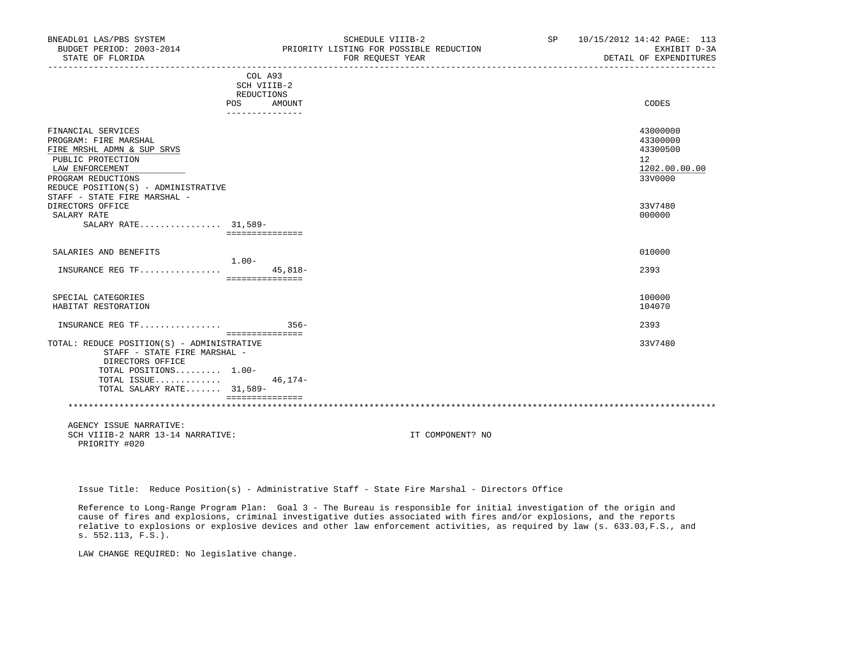| BNEADL01 LAS/PBS SYSTEM<br>BUDGET PERIOD: 2003-2014<br>STATE OF FLORIDA |                               |            | SCHEDULE VIIIB-2<br>PRIORITY LISTING FOR POSSIBLE REDUCTION<br>FOR REOUEST YEAR<br>_____________________________ | SP and the set of the set of the set of the set of the set of the set of the set of the set of the set of the set of the set of the set of the set of the set of the set of the set of the set of the set of the set of the se | 10/15/2012 14:42 PAGE: 113<br>EXHIBIT D-3A<br>DETAIL OF EXPENDITURES |
|-------------------------------------------------------------------------|-------------------------------|------------|------------------------------------------------------------------------------------------------------------------|--------------------------------------------------------------------------------------------------------------------------------------------------------------------------------------------------------------------------------|----------------------------------------------------------------------|
|                                                                         | COL A93                       |            |                                                                                                                  |                                                                                                                                                                                                                                |                                                                      |
|                                                                         | SCH VIIIB-2                   |            |                                                                                                                  |                                                                                                                                                                                                                                |                                                                      |
|                                                                         | REDUCTIONS                    |            |                                                                                                                  |                                                                                                                                                                                                                                |                                                                      |
|                                                                         | <b>POS</b><br>_______________ | AMOUNT     |                                                                                                                  |                                                                                                                                                                                                                                | CODES                                                                |
|                                                                         |                               |            |                                                                                                                  |                                                                                                                                                                                                                                |                                                                      |
| FINANCIAL SERVICES<br>PROGRAM: FIRE MARSHAL                             |                               |            |                                                                                                                  |                                                                                                                                                                                                                                | 43000000<br>43300000                                                 |
|                                                                         |                               |            |                                                                                                                  |                                                                                                                                                                                                                                |                                                                      |
| FIRE MRSHL ADMN & SUP SRVS                                              |                               |            |                                                                                                                  |                                                                                                                                                                                                                                | 43300500                                                             |
| PUBLIC PROTECTION                                                       |                               |            |                                                                                                                  |                                                                                                                                                                                                                                | 12                                                                   |
| LAW ENFORCEMENT                                                         |                               |            |                                                                                                                  |                                                                                                                                                                                                                                | 1202.00.00.00                                                        |
| PROGRAM REDUCTIONS                                                      |                               |            |                                                                                                                  |                                                                                                                                                                                                                                | 33V0000                                                              |
| REDUCE POSITION(S) - ADMINISTRATIVE                                     |                               |            |                                                                                                                  |                                                                                                                                                                                                                                |                                                                      |
| STAFF - STATE FIRE MARSHAL -                                            |                               |            |                                                                                                                  |                                                                                                                                                                                                                                |                                                                      |
| DIRECTORS OFFICE                                                        |                               |            |                                                                                                                  |                                                                                                                                                                                                                                | 33V7480                                                              |
| SALARY RATE                                                             |                               |            |                                                                                                                  |                                                                                                                                                                                                                                | 000000                                                               |
| SALARY RATE 31,589-                                                     |                               |            |                                                                                                                  |                                                                                                                                                                                                                                |                                                                      |
|                                                                         | ===============               |            |                                                                                                                  |                                                                                                                                                                                                                                |                                                                      |
| SALARIES AND BENEFITS                                                   |                               |            |                                                                                                                  |                                                                                                                                                                                                                                | 010000                                                               |
|                                                                         | 1.00-                         |            |                                                                                                                  |                                                                                                                                                                                                                                |                                                                      |
| INSURANCE REG TF                                                        |                               | $45.818 -$ |                                                                                                                  |                                                                                                                                                                                                                                | 2393                                                                 |
|                                                                         | ===============               |            |                                                                                                                  |                                                                                                                                                                                                                                |                                                                      |
| SPECIAL CATEGORIES                                                      |                               |            |                                                                                                                  |                                                                                                                                                                                                                                | 100000                                                               |
| HABITAT RESTORATION                                                     |                               |            |                                                                                                                  |                                                                                                                                                                                                                                | 104070                                                               |
| INSURANCE REG TF                                                        |                               | $356-$     |                                                                                                                  |                                                                                                                                                                                                                                | 2393                                                                 |
|                                                                         | ===============               |            |                                                                                                                  |                                                                                                                                                                                                                                |                                                                      |
| TOTAL: REDUCE POSITION(S) - ADMINISTRATIVE                              |                               |            |                                                                                                                  |                                                                                                                                                                                                                                | 33V7480                                                              |
| STAFF - STATE FIRE MARSHAL -                                            |                               |            |                                                                                                                  |                                                                                                                                                                                                                                |                                                                      |
| DIRECTORS OFFICE                                                        |                               |            |                                                                                                                  |                                                                                                                                                                                                                                |                                                                      |
| TOTAL POSITIONS 1.00-                                                   |                               |            |                                                                                                                  |                                                                                                                                                                                                                                |                                                                      |
| TOTAL ISSUE                                                             |                               | $46, 174-$ |                                                                                                                  |                                                                                                                                                                                                                                |                                                                      |
| TOTAL SALARY RATE 31,589-                                               |                               |            |                                                                                                                  |                                                                                                                                                                                                                                |                                                                      |
|                                                                         | ===============               |            |                                                                                                                  |                                                                                                                                                                                                                                |                                                                      |
| AGENCY ISSUE NARRATIVE:                                                 |                               |            |                                                                                                                  |                                                                                                                                                                                                                                |                                                                      |
| SCH VIIIB-2 NARR 13-14 NARRATIVE:                                       |                               |            | IT COMPONENT? NO                                                                                                 |                                                                                                                                                                                                                                |                                                                      |
| PRIORITY #020                                                           |                               |            |                                                                                                                  |                                                                                                                                                                                                                                |                                                                      |

Issue Title: Reduce Position(s) - Administrative Staff - State Fire Marshal - Directors Office

 Reference to Long-Range Program Plan: Goal 3 - The Bureau is responsible for initial investigation of the origin and cause of fires and explosions, criminal investigative duties associated with fires and/or explosions, and the reports relative to explosions or explosive devices and other law enforcement activities, as required by law (s. 633.03,F.S., and s. 552.113, F.S.).

LAW CHANGE REQUIRED: No legislative change.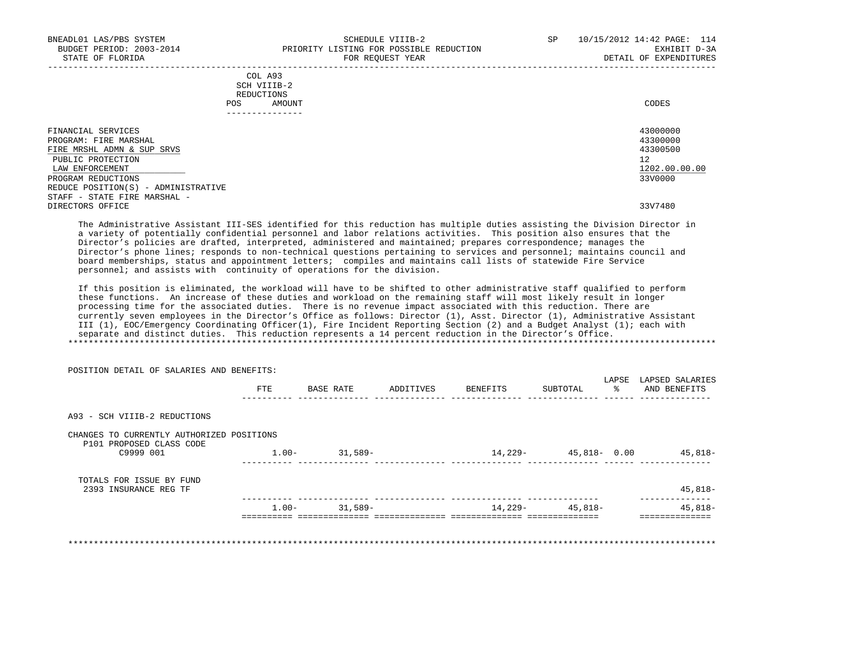| BNEADL01 LAS/PBS SYSTEM<br>BUDGET PERIOD: 2003-2014<br>STATE OF FLORIDA | SCHEDULE VIIIB-2<br>PRIORITY LISTING FOR POSSIBLE REDUCTION<br>FOR REQUEST YEAR | SP | 10/15/2012 14:42 PAGE: 114<br>EXHIBIT D-3A<br>DETAIL OF EXPENDITURES |
|-------------------------------------------------------------------------|---------------------------------------------------------------------------------|----|----------------------------------------------------------------------|
|                                                                         | COL A93<br>SCH VIIIB-2<br>REDUCTIONS                                            |    |                                                                      |
|                                                                         | AMOUNT<br><b>POS</b>                                                            |    | CODES                                                                |
| FINANCIAL SERVICES                                                      |                                                                                 |    | 43000000                                                             |
| PROGRAM: FIRE MARSHAL                                                   |                                                                                 |    | 43300000                                                             |

FIRE MRSHL ADMN & SUP SRVS 43300500 and the state of the state of the state of the state of the state of the state of the state of the state of the state of the state of the state of the state of the state of the state of PUBLIC PROTECTION 12<br>
LAW ENFORCEMENT 1202.00.00.00 PUBLIC PROTECTION 1202.00.00.00  $\texttt{LAN ENFORCEMENT} \color{black} 1202.00.00.00$  PROGRAM REDUCTIONS 33V0000 REDUCE POSITION(S) - ADMINISTRATIVE STAFF - STATE FIRE MARSHAL -<br>DIRECTORS OFFICE DIRECTORS OFFICE 33V7480

 The Administrative Assistant III-SES identified for this reduction has multiple duties assisting the Division Director in a variety of potentially confidential personnel and labor relations activities. This position also ensures that the Director's policies are drafted, interpreted, administered and maintained; prepares correspondence; manages the Director's phone lines; responds to non-technical questions pertaining to services and personnel; maintains council and board memberships, status and appointment letters; compiles and maintains call lists of statewide Fire Service personnel; and assists with continuity of operations for the division.

 If this position is eliminated, the workload will have to be shifted to other administrative staff qualified to perform these functions. An increase of these duties and workload on the remaining staff will most likely result in longer processing time for the associated duties. There is no revenue impact associated with this reduction. There are currently seven employees in the Director's Office as follows: Director (1), Asst. Director (1), Administrative Assistant III (1), EOC/Emergency Coordinating Officer(1), Fire Incident Reporting Section (2) and a Budget Analyst (1); each with separate and distinct duties. This reduction represents a 14 percent reduction in the Director's Office. \*\*\*\*\*\*\*\*\*\*\*\*\*\*\*\*\*\*\*\*\*\*\*\*\*\*\*\*\*\*\*\*\*\*\*\*\*\*\*\*\*\*\*\*\*\*\*\*\*\*\*\*\*\*\*\*\*\*\*\*\*\*\*\*\*\*\*\*\*\*\*\*\*\*\*\*\*\*\*\*\*\*\*\*\*\*\*\*\*\*\*\*\*\*\*\*\*\*\*\*\*\*\*\*\*\*\*\*\*\*\*\*\*\*\*\*\*\*\*\*\*\*\*\*\*\*\*

|                                                                                    | FTE      | <b>BASE RATE</b> | ADDITIVES | BENEFITS | SUBTOTAL     | LAPSE<br>ႜ | LAPSED SALARIES<br>AND BENEFITS |
|------------------------------------------------------------------------------------|----------|------------------|-----------|----------|--------------|------------|---------------------------------|
| A93 - SCH VIIIB-2 REDUCTIONS                                                       |          |                  |           |          |              |            |                                 |
| CHANGES TO CURRENTLY AUTHORIZED POSITIONS<br>P101 PROPOSED CLASS CODE<br>C9999 001 | $1.00 -$ | 31,589-          |           | 14,229-  | 45,818- 0.00 |            | $45,818-$                       |
| TOTALS FOR ISSUE BY FUND<br>2393 INSURANCE REG TF                                  |          |                  |           |          |              |            | $45,818-$                       |
|                                                                                    | $1.00 -$ | $31,589-$        |           | 14,229-  | $45,818-$    |            | $45,818-$                       |

POSITION DETAIL OF SALARIES AND BENEFITS: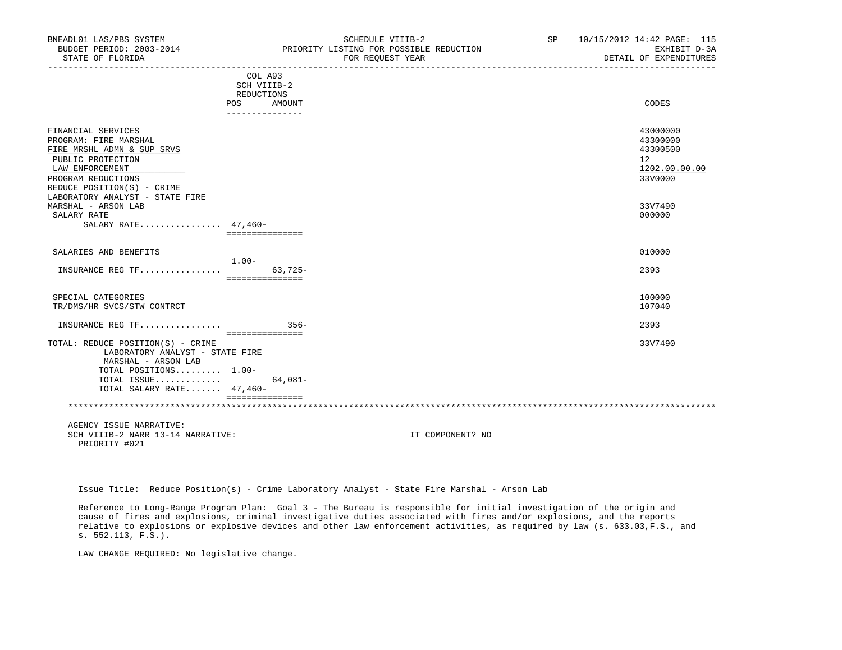| BNEADL01 LAS/PBS SYSTEM<br>BUDGET PERIOD: 2003-2014<br>STATE OF FLORIDA |                            | SCHEDULE VIIIB-2<br>PRIORITY LISTING FOR POSSIBLE REDUCTION<br>FOR REQUEST YEAR<br>_____________________________________ | SP | 10/15/2012 14:42 PAGE: 115<br>EXHIBIT D-3A<br>DETAIL OF EXPENDITURES |
|-------------------------------------------------------------------------|----------------------------|--------------------------------------------------------------------------------------------------------------------------|----|----------------------------------------------------------------------|
|                                                                         | COL A93                    |                                                                                                                          |    |                                                                      |
|                                                                         | SCH VIIIB-2<br>REDUCTIONS  |                                                                                                                          |    |                                                                      |
|                                                                         | POS<br>AMOUNT              |                                                                                                                          |    | CODES                                                                |
|                                                                         | ---------------            |                                                                                                                          |    |                                                                      |
| FINANCIAL SERVICES                                                      |                            |                                                                                                                          |    | 43000000                                                             |
| PROGRAM: FIRE MARSHAL                                                   |                            |                                                                                                                          |    | 43300000                                                             |
| FIRE MRSHL ADMN & SUP SRVS                                              |                            |                                                                                                                          |    | 43300500                                                             |
| PUBLIC PROTECTION                                                       |                            |                                                                                                                          |    | 12 <sup>°</sup>                                                      |
| LAW ENFORCEMENT                                                         |                            |                                                                                                                          |    | 1202.00.00.00                                                        |
| PROGRAM REDUCTIONS                                                      |                            |                                                                                                                          |    | 33V0000                                                              |
| REDUCE POSITION(S) - CRIME                                              |                            |                                                                                                                          |    |                                                                      |
| LABORATORY ANALYST - STATE FIRE                                         |                            |                                                                                                                          |    |                                                                      |
| MARSHAL - ARSON LAB                                                     |                            |                                                                                                                          |    | 33V7490                                                              |
| SALARY RATE                                                             |                            |                                                                                                                          |    | 000000                                                               |
| SALARY RATE $47,460-$                                                   | ===============            |                                                                                                                          |    |                                                                      |
| SALARIES AND BENEFITS                                                   |                            |                                                                                                                          |    | 010000                                                               |
|                                                                         | 1.00-                      |                                                                                                                          |    |                                                                      |
| INSURANCE REG TF                                                        | $63.725-$                  |                                                                                                                          |    | 2393                                                                 |
|                                                                         | ===============            |                                                                                                                          |    |                                                                      |
| SPECIAL CATEGORIES                                                      |                            |                                                                                                                          |    | 100000                                                               |
| TR/DMS/HR SVCS/STW CONTRCT                                              |                            |                                                                                                                          |    | 107040                                                               |
| INSURANCE REG TF                                                        | $356 -$<br>=============== |                                                                                                                          |    | 2393                                                                 |
| TOTAL: REDUCE POSITION(S) - CRIME                                       |                            |                                                                                                                          |    | 33V7490                                                              |
| LABORATORY ANALYST - STATE FIRE                                         |                            |                                                                                                                          |    |                                                                      |
| MARSHAL - ARSON LAB                                                     |                            |                                                                                                                          |    |                                                                      |
| TOTAL POSITIONS 1.00-                                                   |                            |                                                                                                                          |    |                                                                      |
| TOTAL ISSUE                                                             | 64,081-                    |                                                                                                                          |    |                                                                      |
| TOTAL SALARY RATE 47,460-                                               |                            |                                                                                                                          |    |                                                                      |
|                                                                         | ===============            |                                                                                                                          |    |                                                                      |
|                                                                         |                            |                                                                                                                          |    |                                                                      |
| AGENCY ISSUE NARRATIVE:                                                 |                            |                                                                                                                          |    |                                                                      |
| SCH VIIIB-2 NARR 13-14 NARRATIVE:                                       |                            | IT COMPONENT? NO                                                                                                         |    |                                                                      |

PRIORITY #021

Issue Title: Reduce Position(s) - Crime Laboratory Analyst - State Fire Marshal - Arson Lab

 Reference to Long-Range Program Plan: Goal 3 - The Bureau is responsible for initial investigation of the origin and cause of fires and explosions, criminal investigative duties associated with fires and/or explosions, and the reports relative to explosions or explosive devices and other law enforcement activities, as required by law (s. 633.03,F.S., and s. 552.113, F.S.).

LAW CHANGE REQUIRED: No legislative change.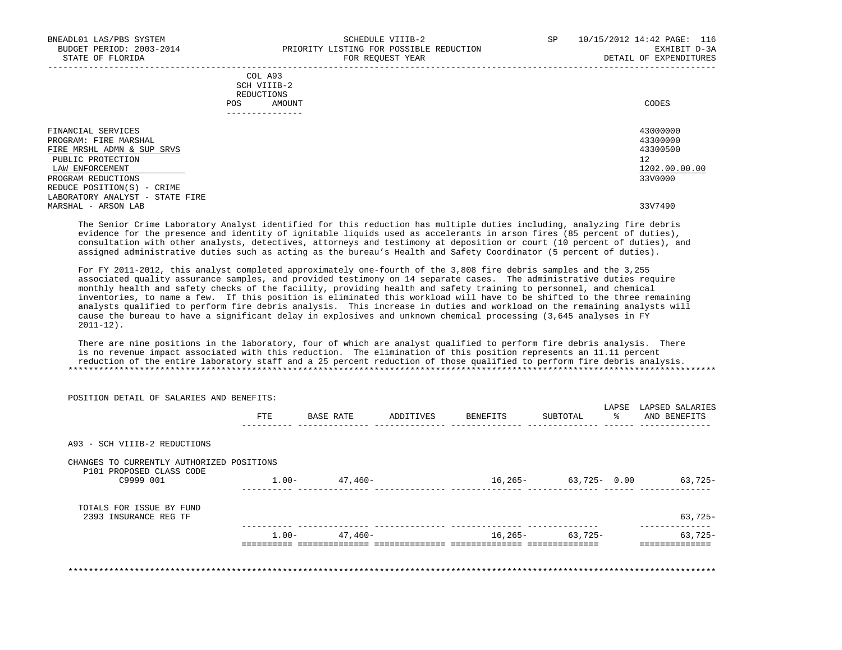|            | _______________ |       |
|------------|-----------------|-------|
| POS        | AMOUNT          | CODES |
| REDUCTIONS |                 |       |
|            | SCH VIIIB-2     |       |
|            | COL A93         |       |

| FINANCIAL SERVICES<br>PROGRAM: FIRE MARSHAL<br>FIRE MRSHL ADMN & SUP SRVS<br>PUBLIC PROTECTION | 43000000<br>43300000<br>43300500<br>12 |
|------------------------------------------------------------------------------------------------|----------------------------------------|
| LAW ENFORCEMENT                                                                                | 1202.00.00.00                          |
| PROGRAM REDUCTIONS<br>REDUCE POSITION(S) - CRIME<br>LABORATORY ANALYST - STATE FIRE            | 33V0000                                |
| MARSHAL - ARSON LAB                                                                            | 33V7490                                |

 The Senior Crime Laboratory Analyst identified for this reduction has multiple duties including, analyzing fire debris evidence for the presence and identity of ignitable liquids used as accelerants in arson fires (85 percent of duties), consultation with other analysts, detectives, attorneys and testimony at deposition or court (10 percent of duties), and assigned administrative duties such as acting as the bureau's Health and Safety Coordinator (5 percent of duties).

 For FY 2011-2012, this analyst completed approximately one-fourth of the 3,808 fire debris samples and the 3,255 associated quality assurance samples, and provided testimony on 14 separate cases. The administrative duties require monthly health and safety checks of the facility, providing health and safety training to personnel, and chemical inventories, to name a few. If this position is eliminated this workload will have to be shifted to the three remaining analysts qualified to perform fire debris analysis. This increase in duties and workload on the remaining analysts will cause the bureau to have a significant delay in explosives and unknown chemical processing (3,645 analyses in FY 2011-12).

 There are nine positions in the laboratory, four of which are analyst qualified to perform fire debris analysis. There is no revenue impact associated with this reduction. The elimination of this position represents an 11.11 percent reduction of the entire laboratory staff and a 25 percent reduction of those qualified to perform fire debris analysis. \*\*\*\*\*\*\*\*\*\*\*\*\*\*\*\*\*\*\*\*\*\*\*\*\*\*\*\*\*\*\*\*\*\*\*\*\*\*\*\*\*\*\*\*\*\*\*\*\*\*\*\*\*\*\*\*\*\*\*\*\*\*\*\*\*\*\*\*\*\*\*\*\*\*\*\*\*\*\*\*\*\*\*\*\*\*\*\*\*\*\*\*\*\*\*\*\*\*\*\*\*\*\*\*\*\*\*\*\*\*\*\*\*\*\*\*\*\*\*\*\*\*\*\*\*\*\*

 POSITION DETAIL OF SALARIES AND BENEFITS: LAPSE LAPSED SALARIES FTE BASE RATE ADDITIVES BENEFITS SUBTOTAL % AND BENEFITS ---------- -------------- -------------- -------------- -------------- ------ -------------- A93 - SCH VIIIB-2 REDUCTIONS CHANGES TO CURRENTLY AUTHORIZED POSITIONS P101 PROPOSED CLASS CODE C9999 001 1.00- 47,460- 16,265- 63,725- 0.00 63,725- ---------- -------------- -------------- -------------- -------------- ------ -------------- TOTALS FOR ISSUE BY FUND 2393 INSURANCE REG TF 63,725- ---------- -------------- -------------- -------------- -------------- -------------- 1.00- 47,460- 16,265- 63,725- 63,725- ========== ============== ============== ============== ============== ============== \*\*\*\*\*\*\*\*\*\*\*\*\*\*\*\*\*\*\*\*\*\*\*\*\*\*\*\*\*\*\*\*\*\*\*\*\*\*\*\*\*\*\*\*\*\*\*\*\*\*\*\*\*\*\*\*\*\*\*\*\*\*\*\*\*\*\*\*\*\*\*\*\*\*\*\*\*\*\*\*\*\*\*\*\*\*\*\*\*\*\*\*\*\*\*\*\*\*\*\*\*\*\*\*\*\*\*\*\*\*\*\*\*\*\*\*\*\*\*\*\*\*\*\*\*\*\*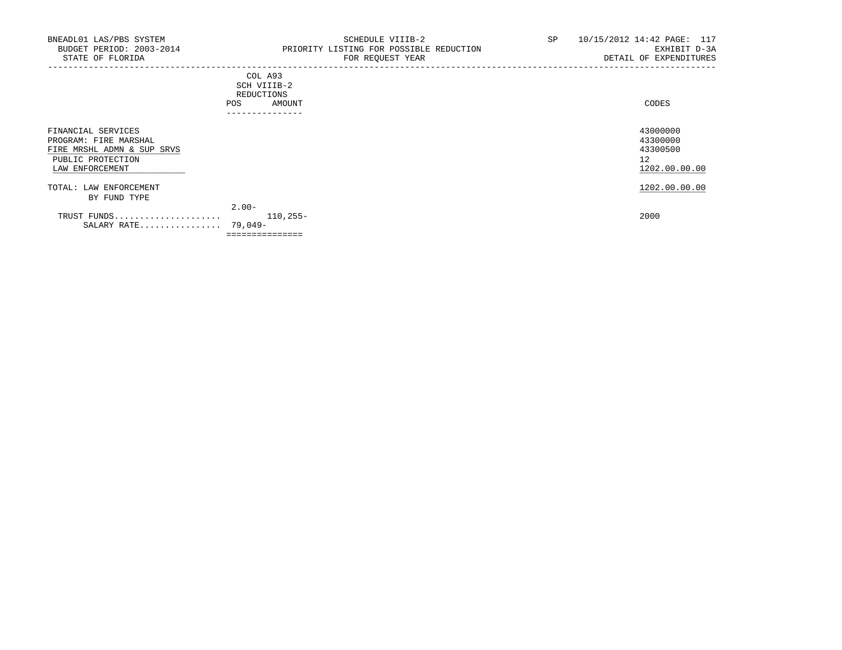|     | --------------- |       |
|-----|-----------------|-------|
| POS | AMOUNT          | CODES |
|     | REDUCTIONS      |       |
|     | SCH VIIIB-2     |       |
|     | COL A93         |       |

|                                                                                                | -----------              |                                        |
|------------------------------------------------------------------------------------------------|--------------------------|----------------------------------------|
| FINANCIAL SERVICES<br>PROGRAM: FIRE MARSHAL<br>FIRE MRSHL ADMN & SUP SRVS<br>PUBLIC PROTECTION |                          | 43000000<br>43300000<br>43300500<br>12 |
| LAW ENFORCEMENT                                                                                |                          | 1202.00.00.00                          |
| TOTAL: LAW ENFORCEMENT<br>BY FUND TYPE                                                         |                          | 1202.00.00.00                          |
| TRUST FUNDS<br>SALARY RATE 79,049-                                                             | $2.00 -$<br>$110, 255 -$ | 2000                                   |
|                                                                                                | ===============          |                                        |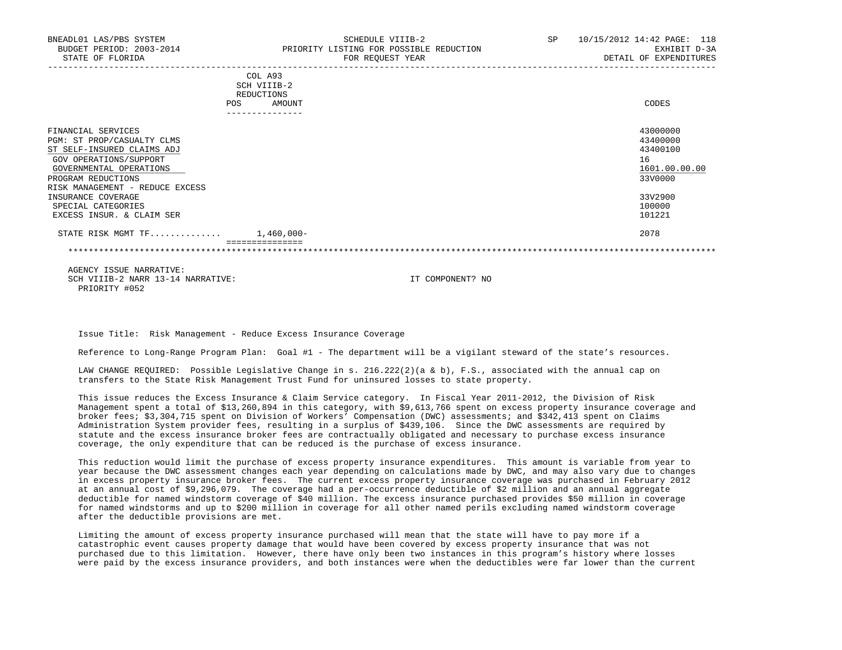| BNEADL01 LAS/PBS SYSTEM<br>BUDGET PERIOD: 2003-2014<br>STATE OF FLORIDA                                                                                                                                            | SCHEDULE VIIIB-2<br>PRIORITY LISTING FOR POSSIBLE REDUCTION<br>FOR REQUEST YEAR | SP<br>10/15/2012 14:42 PAGE:<br>118<br>EXHIBIT D-3A<br>DETAIL OF EXPENDITURES |
|--------------------------------------------------------------------------------------------------------------------------------------------------------------------------------------------------------------------|---------------------------------------------------------------------------------|-------------------------------------------------------------------------------|
|                                                                                                                                                                                                                    | COL A93<br>SCH VIIIB-2<br>REDUCTIONS<br>AMOUNT<br>POS<br>----------------       | CODES                                                                         |
| FINANCIAL SERVICES<br>PGM: ST PROP/CASUALTY CLMS<br>ST SELF-INSURED CLAIMS ADJ<br>GOV OPERATIONS/SUPPORT<br>GOVERNMENTAL OPERATIONS<br>PROGRAM REDUCTIONS<br>RISK MANAGEMENT - REDUCE EXCESS<br>INSURANCE COVERAGE |                                                                                 | 43000000<br>43400000<br>43400100<br>16<br>1601.00.00.00<br>33V0000<br>33V2900 |
| SPECIAL CATEGORIES<br>EXCESS INSUR. & CLAIM SER                                                                                                                                                                    |                                                                                 | 100000<br>101221                                                              |
| STATE RISK MGMT $TF$ 1,460,000-                                                                                                                                                                                    |                                                                                 | 2078                                                                          |
|                                                                                                                                                                                                                    |                                                                                 |                                                                               |

 AGENCY ISSUE NARRATIVE: SCH VIIIB-2 NARR 13-14 NARRATIVE: IT COMPONENT? NO PRIORITY #052

Issue Title: Risk Management - Reduce Excess Insurance Coverage

Reference to Long-Range Program Plan: Goal #1 - The department will be a vigilant steward of the state's resources.

 LAW CHANGE REQUIRED: Possible Legislative Change in s. 216.222(2)(a & b), F.S., associated with the annual cap on transfers to the State Risk Management Trust Fund for uninsured losses to state property.

 This issue reduces the Excess Insurance & Claim Service category. In Fiscal Year 2011-2012, the Division of Risk Management spent a total of \$13,260,894 in this category, with \$9,613,766 spent on excess property insurance coverage and broker fees; \$3,304,715 spent on Division of Workers' Compensation (DWC) assessments; and \$342,413 spent on Claims Administration System provider fees, resulting in a surplus of \$439,106. Since the DWC assessments are required by statute and the excess insurance broker fees are contractually obligated and necessary to purchase excess insurance coverage, the only expenditure that can be reduced is the purchase of excess insurance.

 This reduction would limit the purchase of excess property insurance expenditures. This amount is variable from year to year because the DWC assessment changes each year depending on calculations made by DWC, and may also vary due to changes in excess property insurance broker fees. The current excess property insurance coverage was purchased in February 2012 at an annual cost of \$9,296,079. The coverage had a per-occurrence deductible of \$2 million and an annual aggregate deductible for named windstorm coverage of \$40 million. The excess insurance purchased provides \$50 million in coverage for named windstorms and up to \$200 million in coverage for all other named perils excluding named windstorm coverage after the deductible provisions are met.

 Limiting the amount of excess property insurance purchased will mean that the state will have to pay more if a catastrophic event causes property damage that would have been covered by excess property insurance that was not purchased due to this limitation. However, there have only been two instances in this program's history where losses were paid by the excess insurance providers, and both instances were when the deductibles were far lower than the current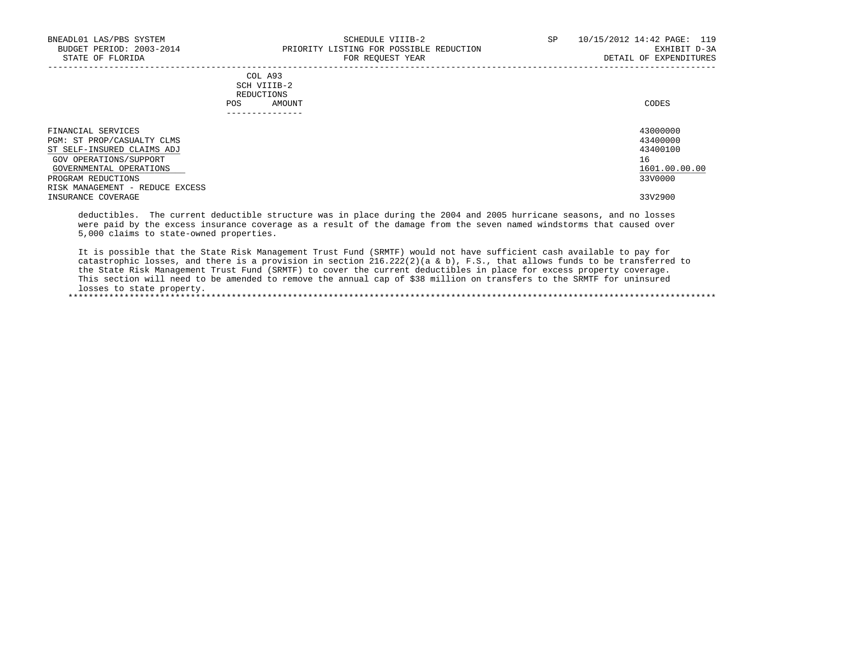|     | --------------- |       |
|-----|-----------------|-------|
| POS | AMOUNT          | CODES |
|     | REDUCTIONS      |       |
|     | SCH VIIIB-2     |       |
|     | COL A93         |       |

| FINANCIAL SERVICES              | 43000000      |
|---------------------------------|---------------|
| PGM: ST PROP/CASUALTY CLMS      | 43400000      |
| ST SELF-INSURED CLAIMS ADJ      | 43400100      |
| GOV OPERATIONS/SUPPORT          | 16            |
| GOVERNMENTAL OPERATIONS         | 1601.00.00.00 |
| PROGRAM REDUCTIONS              | 33V0000       |
| RISK MANAGEMENT - REDUCE EXCESS |               |
| INSURANCE COVERAGE              | 33V2900       |

 deductibles. The current deductible structure was in place during the 2004 and 2005 hurricane seasons, and no losses were paid by the excess insurance coverage as a result of the damage from the seven named windstorms that caused over 5,000 claims to state-owned properties.

 It is possible that the State Risk Management Trust Fund (SRMTF) would not have sufficient cash available to pay for catastrophic losses, and there is a provision in section  $216.222(2)(a \& b)$ , F.S., that allows funds to be transferred to the State Risk Management Trust Fund (SRMTF) to cover the current deductibles in place for excess property coverage. This section will need to be amended to remove the annual cap of \$38 million on transfers to the SRMTF for uninsured losses to state property.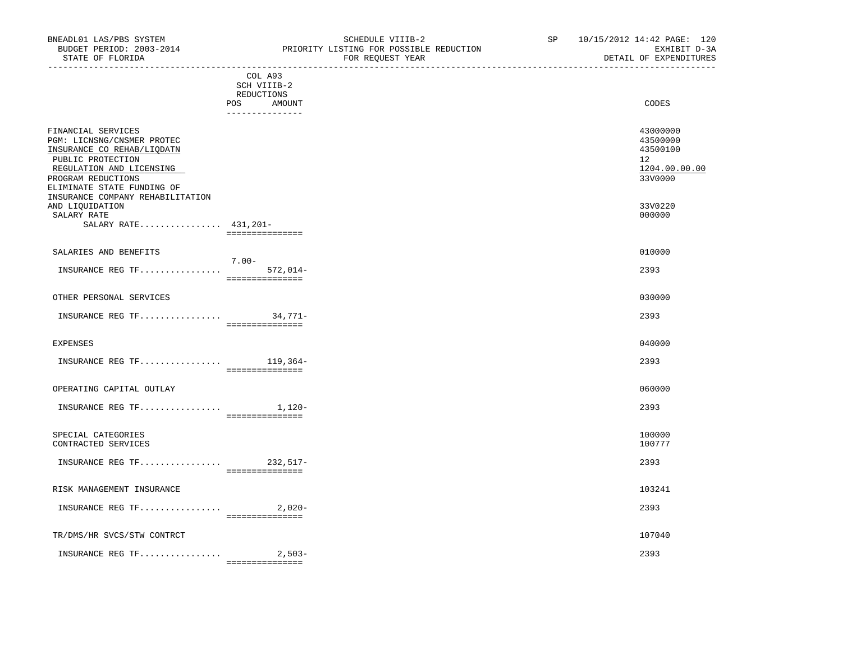| BUDGET PERIOD: 2003-2014<br>STATE OF FLORIDA                                                                                                                                                                                                                                      | PRIORITY LISTING FOR POSSIBLE REDUCTION<br>FOR REOUEST YEAR              | EXHIBIT D-3A<br>DETAIL OF EXPENDITURES                                                  |
|-----------------------------------------------------------------------------------------------------------------------------------------------------------------------------------------------------------------------------------------------------------------------------------|--------------------------------------------------------------------------|-----------------------------------------------------------------------------------------|
|                                                                                                                                                                                                                                                                                   | COL A93<br>SCH VIIIB-2<br>REDUCTIONS<br>POS<br>AMOUNT<br>_______________ | CODES                                                                                   |
| FINANCIAL SERVICES<br>PGM: LICNSNG/CNSMER PROTEC<br>INSURANCE CO REHAB/LIQDATN<br>PUBLIC PROTECTION<br>REGULATION AND LICENSING<br>PROGRAM REDUCTIONS<br>ELIMINATE STATE FUNDING OF<br>INSURANCE COMPANY REHABILITATION<br>AND LIQUIDATION<br>SALARY RATE<br>SALARY RATE 431,201- |                                                                          | 43000000<br>43500000<br>43500100<br>12<br>1204.00.00.00<br>33V0000<br>33V0220<br>000000 |
| SALARIES AND BENEFITS                                                                                                                                                                                                                                                             | ===============                                                          | 010000                                                                                  |
| INSURANCE REG TF 572,014-                                                                                                                                                                                                                                                         | 7.00-<br>===============                                                 | 2393                                                                                    |
| OTHER PERSONAL SERVICES                                                                                                                                                                                                                                                           |                                                                          | 030000                                                                                  |
|                                                                                                                                                                                                                                                                                   | ----------------                                                         | 2393                                                                                    |
| <b>EXPENSES</b>                                                                                                                                                                                                                                                                   |                                                                          | 040000                                                                                  |
| INSURANCE REG TF 119,364-                                                                                                                                                                                                                                                         |                                                                          | 2393                                                                                    |
| OPERATING CAPITAL OUTLAY                                                                                                                                                                                                                                                          |                                                                          | 060000                                                                                  |
| INSURANCE REG TF                                                                                                                                                                                                                                                                  | 1,120-<br>================                                               | 2393                                                                                    |
| SPECIAL CATEGORIES<br>CONTRACTED SERVICES                                                                                                                                                                                                                                         |                                                                          | 100000<br>100777                                                                        |
| INSURANCE REG TF 232,517-                                                                                                                                                                                                                                                         | ===============                                                          | 2393                                                                                    |
| RISK MANAGEMENT INSURANCE                                                                                                                                                                                                                                                         |                                                                          | 103241                                                                                  |
| INSURANCE REG TF 2,020-                                                                                                                                                                                                                                                           | ===============                                                          | 2393                                                                                    |
| TR/DMS/HR SVCS/STW CONTRCT                                                                                                                                                                                                                                                        |                                                                          | 107040                                                                                  |
| INSURANCE REG TF                                                                                                                                                                                                                                                                  | $2,503-$                                                                 | 2393                                                                                    |

===============

BNEADL01 LAS/PBS SYSTEM SCHEDULE VIIIB-2 SP 10/15/2012 14:42 PAGE: 120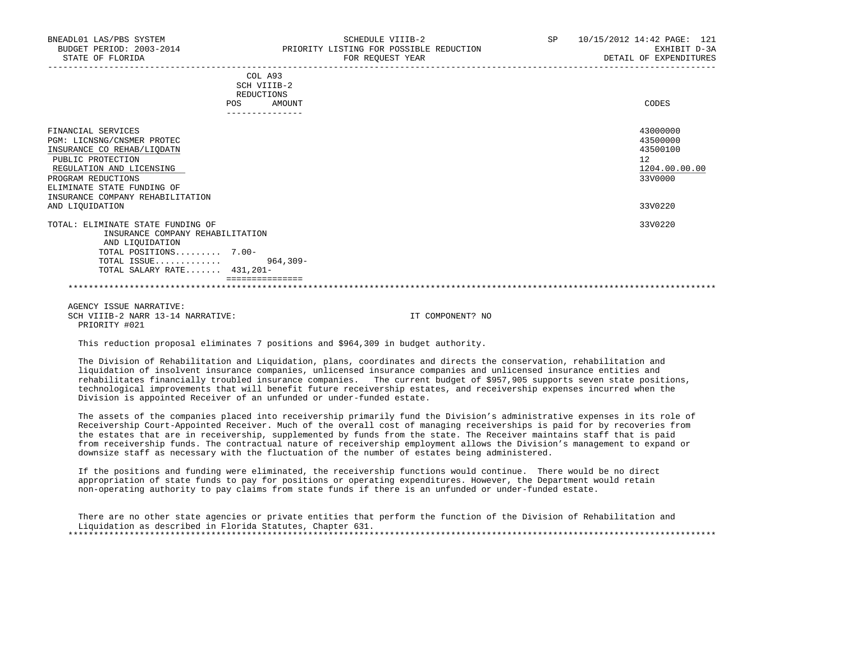| BNEADL01 LAS/PBS SYSTEM<br>BUDGET PERIOD: 2003-2014<br>STATE OF FLORIDA | SCHEDULE VIIIB-2<br>PRIORITY LISTING FOR POSSIBLE REDUCTION<br>FOR REQUEST YEAR | SP 10/15/2012 14:42 PAGE: 121<br>EXHIBIT D-3A<br>DETAIL OF EXPENDITURES |
|-------------------------------------------------------------------------|---------------------------------------------------------------------------------|-------------------------------------------------------------------------|
|                                                                         | COL A93<br>SCH VIIIB-2                                                          |                                                                         |
|                                                                         | REDUCTIONS                                                                      |                                                                         |
| POS                                                                     | AMOUNT                                                                          | CODES                                                                   |
|                                                                         | ---------------                                                                 |                                                                         |
| FINANCIAL SERVICES                                                      |                                                                                 | 43000000                                                                |
| PGM: LICNSNG/CNSMER PROTEC                                              |                                                                                 | 43500000                                                                |
| INSURANCE CO REHAB/LIQDATN                                              |                                                                                 | 43500100                                                                |
| PUBLIC PROTECTION                                                       |                                                                                 | 12                                                                      |
| REGULATION AND LICENSING                                                |                                                                                 | 1204.00.00.00                                                           |
| PROGRAM REDUCTIONS                                                      |                                                                                 | 33V0000                                                                 |
| ELIMINATE STATE FUNDING OF                                              |                                                                                 |                                                                         |
| INSURANCE COMPANY REHABILITATION                                        |                                                                                 |                                                                         |
| AND LIQUIDATION                                                         |                                                                                 | 33V0220                                                                 |
| TOTAL: ELIMINATE STATE FUNDING OF                                       |                                                                                 | 33V0220                                                                 |
| INSURANCE COMPANY REHABILITATION                                        |                                                                                 |                                                                         |
| AND LIQUIDATION                                                         |                                                                                 |                                                                         |
| TOTAL POSITIONS 7.00-                                                   |                                                                                 |                                                                         |
| TOTAL ISSUE 964,309-                                                    |                                                                                 |                                                                         |
| TOTAL SALARY RATE $431.201 -$                                           |                                                                                 |                                                                         |

 \*\*\*\*\*\*\*\*\*\*\*\*\*\*\*\*\*\*\*\*\*\*\*\*\*\*\*\*\*\*\*\*\*\*\*\*\*\*\*\*\*\*\*\*\*\*\*\*\*\*\*\*\*\*\*\*\*\*\*\*\*\*\*\*\*\*\*\*\*\*\*\*\*\*\*\*\*\*\*\*\*\*\*\*\*\*\*\*\*\*\*\*\*\*\*\*\*\*\*\*\*\*\*\*\*\*\*\*\*\*\*\*\*\*\*\*\*\*\*\*\*\*\*\*\*\*\* AGENCY ISSUE NARRATIVE:

===============

SCH VIIIB-2 NARR 13-14 NARRATIVE: IT COMPONENT? NO PRIORITY #021

This reduction proposal eliminates 7 positions and \$964,309 in budget authority.

 The Division of Rehabilitation and Liquidation, plans, coordinates and directs the conservation, rehabilitation and liquidation of insolvent insurance companies, unlicensed insurance companies and unlicensed insurance entities and rehabilitates financially troubled insurance companies. The current budget of \$957,905 supports seven state positions, technological improvements that will benefit future receivership estates, and receivership expenses incurred when the Division is appointed Receiver of an unfunded or under-funded estate.

 The assets of the companies placed into receivership primarily fund the Division's administrative expenses in its role of Receivership Court-Appointed Receiver. Much of the overall cost of managing receiverships is paid for by recoveries from the estates that are in receivership, supplemented by funds from the state. The Receiver maintains staff that is paid from receivership funds. The contractual nature of receivership employment allows the Division's management to expand or downsize staff as necessary with the fluctuation of the number of estates being administered.

 If the positions and funding were eliminated, the receivership functions would continue. There would be no direct appropriation of state funds to pay for positions or operating expenditures. However, the Department would retain non-operating authority to pay claims from state funds if there is an unfunded or under-funded estate.

 There are no other state agencies or private entities that perform the function of the Division of Rehabilitation and Liquidation as described in Florida Statutes, Chapter 631. \*\*\*\*\*\*\*\*\*\*\*\*\*\*\*\*\*\*\*\*\*\*\*\*\*\*\*\*\*\*\*\*\*\*\*\*\*\*\*\*\*\*\*\*\*\*\*\*\*\*\*\*\*\*\*\*\*\*\*\*\*\*\*\*\*\*\*\*\*\*\*\*\*\*\*\*\*\*\*\*\*\*\*\*\*\*\*\*\*\*\*\*\*\*\*\*\*\*\*\*\*\*\*\*\*\*\*\*\*\*\*\*\*\*\*\*\*\*\*\*\*\*\*\*\*\*\*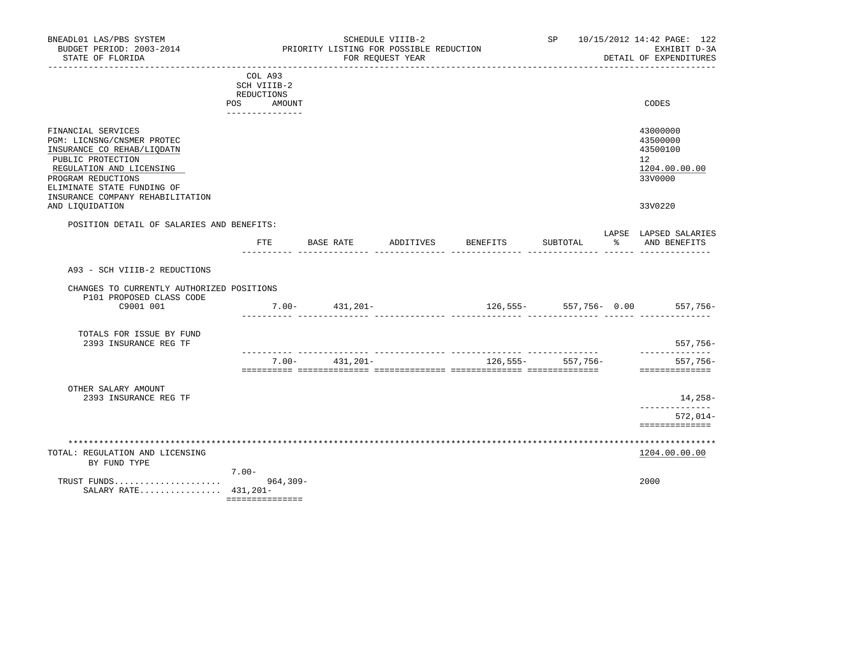| BNEADL01 LAS/PBS SYSTEM<br>BUDGET PERIOD: 2003-2014<br>STATE OF FLORIDA                                                                                                                                                 |          | SCHEDULE VIIIB-2<br>PRIORITY LISTING FOR POSSIBLE REDUCTION<br>FOR REQUEST YEAR |                    |  |                    | SP 10/15/2012 14:42 PAGE: 122<br>EXHIBIT D-3A<br>DETAIL OF EXPENDITURES |                                                                    |
|-------------------------------------------------------------------------------------------------------------------------------------------------------------------------------------------------------------------------|----------|---------------------------------------------------------------------------------|--------------------|--|--------------------|-------------------------------------------------------------------------|--------------------------------------------------------------------|
|                                                                                                                                                                                                                         |          | COL A93<br>SCH VIIIB-2<br>REDUCTIONS<br>POS AMOUNT                              |                    |  |                    |                                                                         | CODES                                                              |
| FINANCIAL SERVICES<br>PGM: LICNSNG/CNSMER PROTEC<br>INSURANCE CO REHAB/LIQDATN<br>PUBLIC PROTECTION<br>REGULATION AND LICENSING<br>PROGRAM REDUCTIONS<br>ELIMINATE STATE FUNDING OF<br>INSURANCE COMPANY REHABILITATION |          |                                                                                 |                    |  |                    |                                                                         | 43000000<br>43500000<br>43500100<br>12<br>1204.00.00.00<br>33V0000 |
| AND LIQUIDATION                                                                                                                                                                                                         |          |                                                                                 |                    |  |                    |                                                                         | 33V0220                                                            |
| POSITION DETAIL OF SALARIES AND BENEFITS:                                                                                                                                                                               |          | FTE                                                                             | BASE RATE          |  | ADDITIVES BENEFITS | SUBTOTAL                                                                | LAPSE LAPSED SALARIES<br>% AND BENEFITS                            |
| A93 - SCH VIIIB-2 REDUCTIONS<br>CHANGES TO CURRENTLY AUTHORIZED POSITIONS<br>P101 PROPOSED CLASS CODE<br>C9001 001                                                                                                      |          |                                                                                 | $7.00 - 431,201 -$ |  |                    | $126,555 - 557,756 - 0.00$                                              | $557.756 -$                                                        |
| TOTALS FOR ISSUE BY FUND<br>2393 INSURANCE REG TF                                                                                                                                                                       |          |                                                                                 |                    |  |                    |                                                                         | $557,756-$                                                         |
|                                                                                                                                                                                                                         |          |                                                                                 | $7.00 - 431,201 -$ |  |                    | 126, 555 - 557, 756 -                                                   | --------------<br>557,756-<br>==============                       |
| OTHER SALARY AMOUNT<br>2393 INSURANCE REG TF                                                                                                                                                                            |          |                                                                                 |                    |  |                    |                                                                         | 14,258-                                                            |
|                                                                                                                                                                                                                         |          |                                                                                 |                    |  |                    |                                                                         | . _ _ _ _ _ _ _ _ _ _ _ _<br>572,014-<br>==============            |
| TOTAL: REGULATION AND LICENSING<br>BY FUND TYPE                                                                                                                                                                         |          |                                                                                 |                    |  |                    |                                                                         | 1204.00.00.00                                                      |
| TRUST FUNDS<br>SALARY RATE 431,201-                                                                                                                                                                                     | $7.00 -$ | $964,309-$<br>===============                                                   |                    |  |                    |                                                                         | 2000                                                               |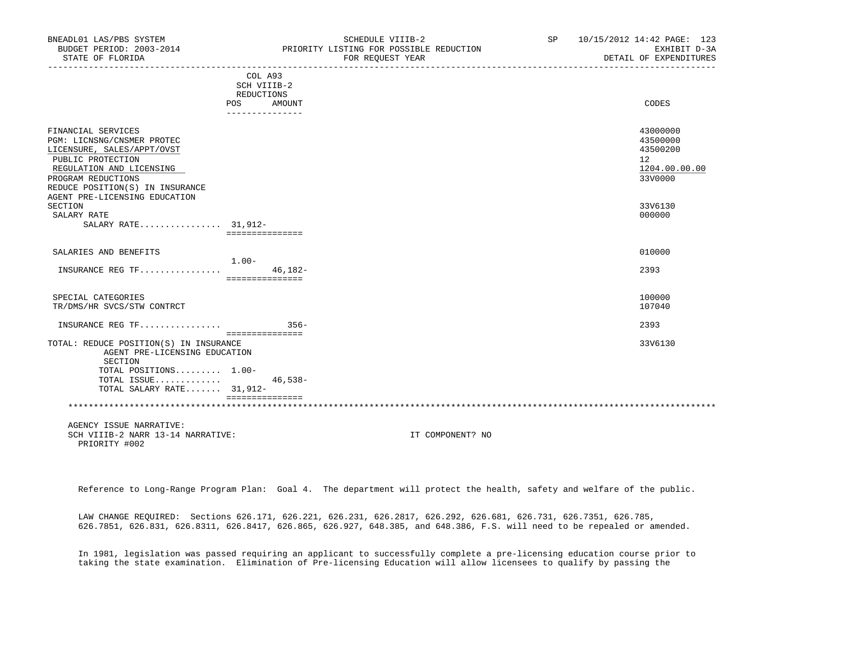| BNEADL01 LAS/PBS SYSTEM<br>BUDGET PERIOD: 2003-2014                                                                                                                                                                       | PRIORITY LISTING FOR POSSIBLE REDUCTION                                  | SCHEDULE VIIIB-2 | SP | 10/15/2012 14:42 PAGE: 123<br>EXHIBIT D-3A                         |
|---------------------------------------------------------------------------------------------------------------------------------------------------------------------------------------------------------------------------|--------------------------------------------------------------------------|------------------|----|--------------------------------------------------------------------|
| STATE OF FLORIDA                                                                                                                                                                                                          |                                                                          | FOR REQUEST YEAR |    | DETAIL OF EXPENDITURES                                             |
|                                                                                                                                                                                                                           | COL A93<br>SCH VIIIB-2<br>REDUCTIONS<br>POS<br>AMOUNT<br>--------------- |                  |    | CODES                                                              |
| FINANCIAL SERVICES<br>PGM: LICNSNG/CNSMER PROTEC<br>LICENSURE, SALES/APPT/OVST<br>PUBLIC PROTECTION<br>REGULATION AND LICENSING<br>PROGRAM REDUCTIONS<br>REDUCE POSITION(S) IN INSURANCE<br>AGENT PRE-LICENSING EDUCATION |                                                                          |                  |    | 43000000<br>43500000<br>43500200<br>12<br>1204.00.00.00<br>33V0000 |
| SECTION<br>SALARY RATE<br>SALARY RATE 31,912-                                                                                                                                                                             | ===============                                                          |                  |    | 33V6130<br>000000                                                  |
| SALARIES AND BENEFITS                                                                                                                                                                                                     | $1.00 -$                                                                 |                  |    | 010000                                                             |
| INSURANCE REG TF                                                                                                                                                                                                          | $46.182 -$<br>===============                                            |                  |    | 2393                                                               |
| SPECIAL CATEGORIES<br>TR/DMS/HR SVCS/STW CONTRCT                                                                                                                                                                          |                                                                          |                  |    | 100000<br>107040                                                   |
|                                                                                                                                                                                                                           | ===============                                                          |                  |    | 2393                                                               |
| TOTAL: REDUCE POSITION(S) IN INSURANCE<br>AGENT PRE-LICENSING EDUCATION<br><b>SECTION</b><br>TOTAL POSITIONS 1.00-<br>TOTAL ISSUE<br>TOTAL SALARY RATE 31,912-                                                            | $46,538-$<br>===============                                             |                  |    | 33V6130                                                            |
|                                                                                                                                                                                                                           |                                                                          |                  |    |                                                                    |
| AGENCY ISSUE NARRATIVE:<br>SCH VIIIB-2 NARR 13-14 NARRATIVE:<br>PRIORITY #002                                                                                                                                             |                                                                          | IT COMPONENT? NO |    |                                                                    |

Reference to Long-Range Program Plan: Goal 4. The department will protect the health, safety and welfare of the public.

 LAW CHANGE REQUIRED: Sections 626.171, 626.221, 626.231, 626.2817, 626.292, 626.681, 626.731, 626.7351, 626.785, 626.7851, 626.831, 626.8311, 626.8417, 626.865, 626.927, 648.385, and 648.386, F.S. will need to be repealed or amended.

 In 1981, legislation was passed requiring an applicant to successfully complete a pre-licensing education course prior to taking the state examination. Elimination of Pre-licensing Education will allow licensees to qualify by passing the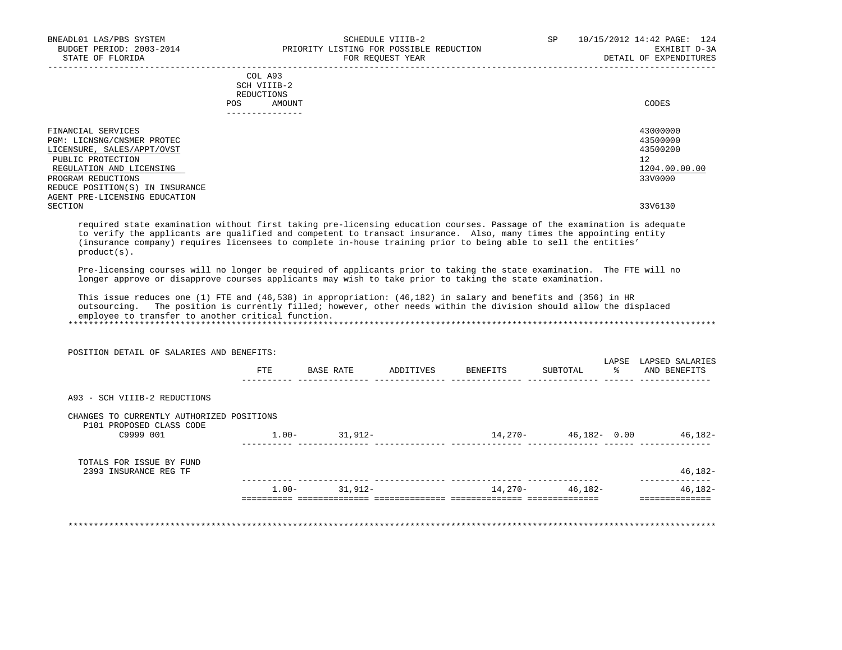| BNEADL01 LAS/PBS SYSTEM<br>BUDGET PERIOD: 2003-2014<br>STATE OF FLORIDA                                                                               | SCHEDULE VIIIB-2<br>PRIORITY LISTING FOR POSSIBLE REDUCTION<br>FOR REQUEST YEAR | SP | 10/15/2012 14:42 PAGE: 124<br>EXHIBIT D-3A<br>DETAIL OF EXPENDITURES |
|-------------------------------------------------------------------------------------------------------------------------------------------------------|---------------------------------------------------------------------------------|----|----------------------------------------------------------------------|
|                                                                                                                                                       | COL A93<br>SCH VIIIB-2<br>REDUCTIONS<br>AMOUNT<br>POS                           |    | CODES                                                                |
| FINANCIAL SERVICES<br>PGM: LICNSNG/CNSMER PROTEC<br>LICENSURE, SALES/APPT/OVST<br>PUBLIC PROTECTION<br>REGULATION AND LICENSING<br>PROGRAM REDUCTIONS |                                                                                 |    | 43000000<br>43500000<br>43500200<br>12<br>1204.00.00.00<br>33V0000   |
| REDUCE POSITION(S) IN INSURANCE<br>AGENT PRE-LICENSING EDUCATION<br>SECTION                                                                           |                                                                                 |    | 33V6130                                                              |

 required state examination without first taking pre-licensing education courses. Passage of the examination is adequate to verify the applicants are qualified and competent to transact insurance. Also, many times the appointing entity (insurance company) requires licensees to complete in-house training prior to being able to sell the entities' product(s).

 Pre-licensing courses will no longer be required of applicants prior to taking the state examination. The FTE will no longer approve or disapprove courses applicants may wish to take prior to taking the state examination.

 This issue reduces one (1) FTE and (46,538) in appropriation: (46,182) in salary and benefits and (356) in HR outsourcing. The position is currently filled; however, other needs within the division should allow the displaced employee to transfer to another critical function. \*\*\*\*\*\*\*\*\*\*\*\*\*\*\*\*\*\*\*\*\*\*\*\*\*\*\*\*\*\*\*\*\*\*\*\*\*\*\*\*\*\*\*\*\*\*\*\*\*\*\*\*\*\*\*\*\*\*\*\*\*\*\*\*\*\*\*\*\*\*\*\*\*\*\*\*\*\*\*\*\*\*\*\*\*\*\*\*\*\*\*\*\*\*\*\*\*\*\*\*\*\*\*\*\*\*\*\*\*\*\*\*\*\*\*\*\*\*\*\*\*\*\*\*\*\*\*

 POSITION DETAIL OF SALARIES AND BENEFITS: LAPSE LAPSED SALARIES FTE BASE RATE ADDITIVES BENEFITS SUBTOTAL % AND BENEFITS ---------- -------------- -------------- -------------- -------------- ------ -------------- A93 - SCH VIIIB-2 REDUCTIONS CHANGES TO CURRENTLY AUTHORIZED POSITIONS P101 PROPOSED CLASS CODE 1.00- 31,912- 14,270- 46,182- 0.00 46,182- ---------- -------------- -------------- -------------- -------------- ------ -------------- TOTALS FOR ISSUE BY FUND 2393 INSURANCE REG TF 46,182- ---------- -------------- -------------- -------------- -------------- -------------- 1.00- 31,912- 14,270- 46,182- 46,182- ========== ============== ============== ============== ============== ==============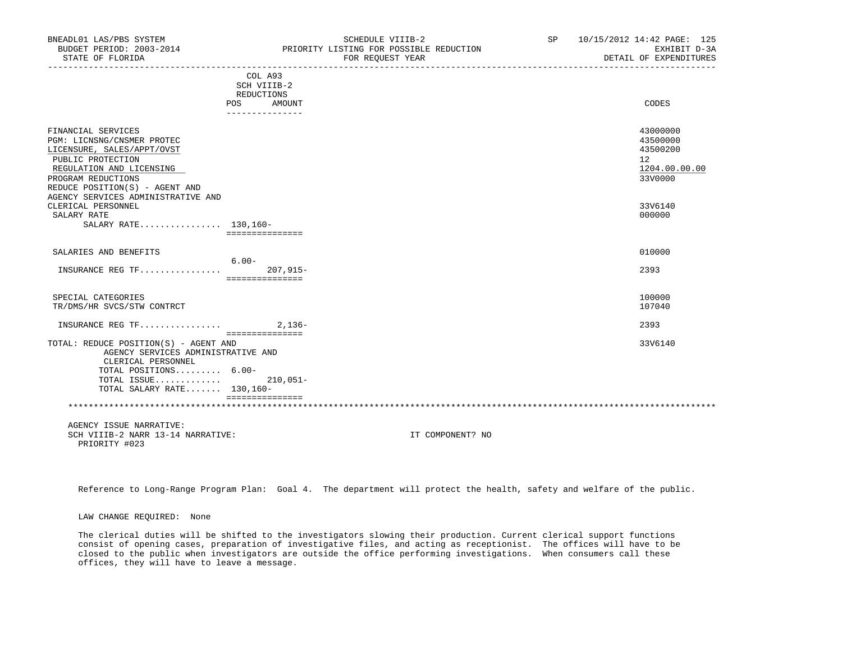| BNEADL01 LAS/PBS SYSTEM<br>BUDGET PERIOD: 2003-2014<br>STATE OF FLORIDA                                                                                                                 |                                                   | SCHEDULE VIIIB-2<br>PRIORITY LISTING FOR POSSIBLE REDUCTION<br>FOR REQUEST YEAR | SP | 10/15/2012 14:42 PAGE: 125<br>EXHIBIT D-3A<br>DETAIL OF EXPENDITURES |
|-----------------------------------------------------------------------------------------------------------------------------------------------------------------------------------------|---------------------------------------------------|---------------------------------------------------------------------------------|----|----------------------------------------------------------------------|
|                                                                                                                                                                                         | COL A93<br>SCH VIIIB-2<br>REDUCTIONS              |                                                                                 |    |                                                                      |
|                                                                                                                                                                                         | POS<br>AMOUNT<br>---------------                  |                                                                                 |    | CODES                                                                |
| FINANCIAL SERVICES<br>PGM: LICNSNG/CNSMER PROTEC<br>LICENSURE, SALES/APPT/OVST<br>PUBLIC PROTECTION<br>REGULATION AND LICENSING<br>PROGRAM REDUCTIONS<br>REDUCE POSITION(S) - AGENT AND |                                                   |                                                                                 |    | 43000000<br>43500000<br>43500200<br>12<br>1204.00.00.00<br>33V0000   |
| AGENCY SERVICES ADMINISTRATIVE AND<br>CLERICAL PERSONNEL<br>SALARY RATE<br>SALARY RATE 130,160-                                                                                         | ===============                                   |                                                                                 |    | 33V6140<br>000000                                                    |
| SALARIES AND BENEFITS                                                                                                                                                                   |                                                   |                                                                                 |    | 010000                                                               |
| INSURANCE REG TF                                                                                                                                                                        | $6.00 -$<br>$207,915-$<br>===============         |                                                                                 |    | 2393                                                                 |
| SPECIAL CATEGORIES<br>TR/DMS/HR SVCS/STW CONTRCT                                                                                                                                        |                                                   |                                                                                 |    | 100000<br>107040                                                     |
| INSURANCE REG TF                                                                                                                                                                        | $2,136-$                                          |                                                                                 |    | 2393                                                                 |
| TOTAL: REDUCE POSITION(S) - AGENT AND<br>AGENCY SERVICES ADMINISTRATIVE AND<br>CLERICAL PERSONNEL<br>TOTAL POSITIONS 6.00-<br>TOTAL ISSUE<br>TOTAL SALARY RATE 130,160-                 | ===============<br>$210.051 -$<br>=============== |                                                                                 |    | 33V6140                                                              |
|                                                                                                                                                                                         |                                                   |                                                                                 |    |                                                                      |
| AGENCY ISSUE NARRATIVE:<br>SCH VIIIB-2 NARR 13-14 NARRATIVE:<br>PRIORITY #023                                                                                                           |                                                   | IT COMPONENT? NO                                                                |    |                                                                      |

Reference to Long-Range Program Plan: Goal 4. The department will protect the health, safety and welfare of the public.

LAW CHANGE REQUIRED: None

 The clerical duties will be shifted to the investigators slowing their production. Current clerical support functions consist of opening cases, preparation of investigative files, and acting as receptionist. The offices will have to be closed to the public when investigators are outside the office performing investigations. When consumers call these offices, they will have to leave a message.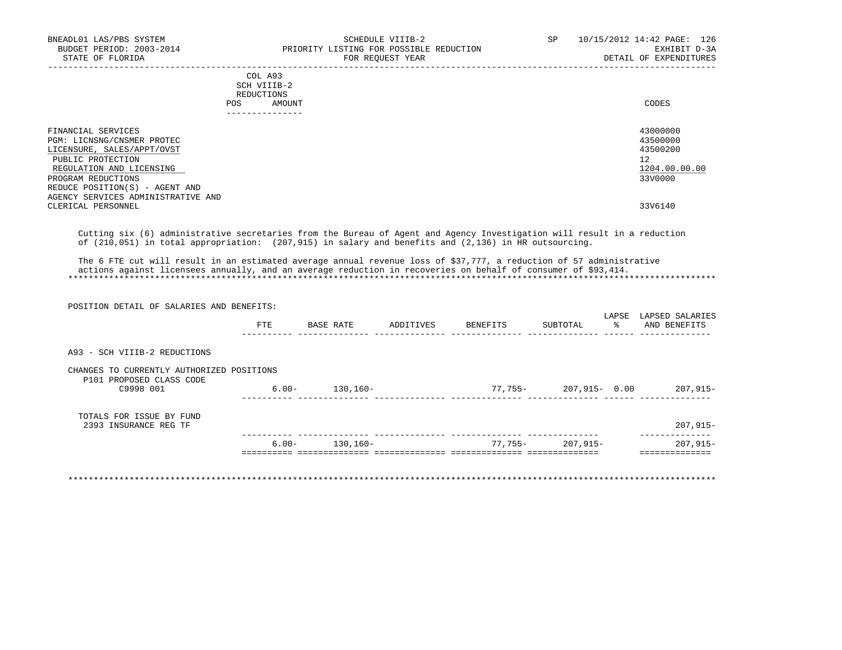| FINANCIAL SERVICES<br>PGM: LICNSNG/CNSMER PROTEC<br>LICENSURE, SALES/APPT/OVST | 43000000<br>43500000<br>43500200 |
|--------------------------------------------------------------------------------|----------------------------------|
| PUBLIC PROTECTION                                                              | 12                               |
| REGULATION AND LICENSING<br>PROGRAM REDUCTIONS                                 | 1204.00.00.00<br>33V0000         |
| REDUCE POSITION(S) - AGENT AND<br>AGENCY SERVICES ADMINISTRATIVE AND           |                                  |
| CLERICAL PERSONNEL                                                             | 33V6140                          |

 Cutting six (6) administrative secretaries from the Bureau of Agent and Agency Investigation will result in a reduction of (210,051) in total appropriation: (207,915) in salary and benefits and (2,136) in HR outsourcing.

 The 6 FTE cut will result in an estimated average annual revenue loss of \$37,777, a reduction of 57 administrative actions against licensees annually, and an average reduction in recoveries on behalf of consumer of \$93,414. \*\*\*\*\*\*\*\*\*\*\*\*\*\*\*\*\*\*\*\*\*\*\*\*\*\*\*\*\*\*\*\*\*\*\*\*\*\*\*\*\*\*\*\*\*\*\*\*\*\*\*\*\*\*\*\*\*\*\*\*\*\*\*\*\*\*\*\*\*\*\*\*\*\*\*\*\*\*\*\*\*\*\*\*\*\*\*\*\*\*\*\*\*\*\*\*\*\*\*\*\*\*\*\*\*\*\*\*\*\*\*\*\*\*\*\*\*\*\*\*\*\*\*\*\*\*\*

| POSITION DETAIL OF SALARIES AND BENEFITS:                             |          |           |           |          |               | LAPSE | LAPSED SALARIES |
|-----------------------------------------------------------------------|----------|-----------|-----------|----------|---------------|-------|-----------------|
|                                                                       | FTE      | BASE RATE | ADDITIVES | BENEFITS | SUBTOTAL      | ႜၟ    | AND BENEFITS    |
| A93 - SCH VIIIB-2 REDUCTIONS                                          |          |           |           |          |               |       |                 |
| CHANGES TO CURRENTLY AUTHORIZED POSITIONS<br>P101 PROPOSED CLASS CODE |          |           |           |          |               |       |                 |
| C9998 001                                                             | $6.00 -$ | 130,160-  |           | 77,755-  | 207,915- 0.00 |       | 207,915-        |
| TOTALS FOR ISSUE BY FUND<br>2393 INSURANCE REG TF                     |          |           |           |          |               |       | $207,915-$      |
|                                                                       | $6.00 -$ | 130,160-  |           | 77,755-  | 207,915-      |       | $207,915-$      |
|                                                                       |          |           |           |          |               |       | =========       |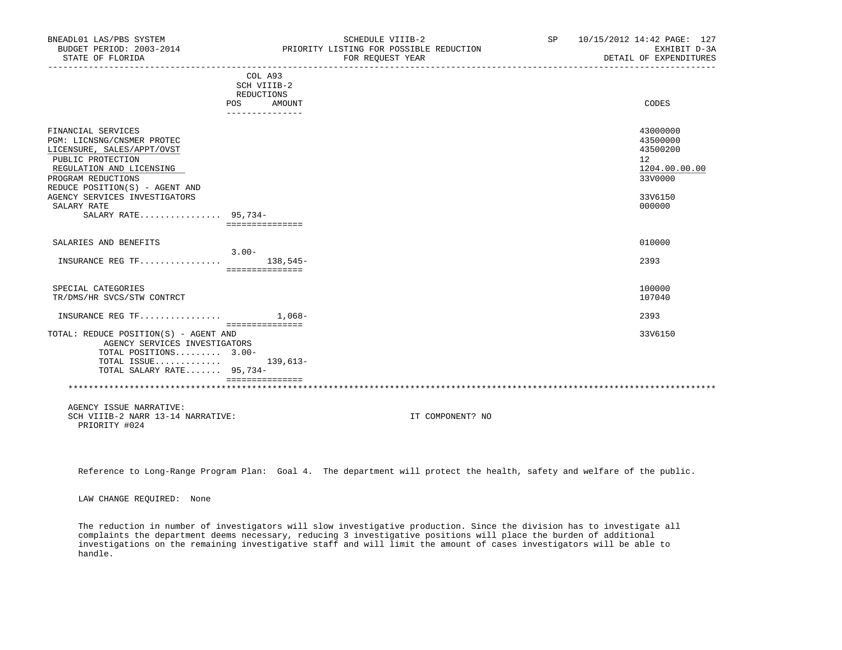| BNEADL01 LAS/PBS SYSTEM<br>BUDGET PERIOD: 2003-2014<br>STATE OF FLORIDA                                                                                                                                                                 |                                                                          | SCHEDULE VIIIB-2<br>PRIORITY LISTING FOR POSSIBLE REDUCTION<br>FOR REQUEST YEAR | SP 10/15/2012 14:42 PAGE: 127<br>EXHIBIT D-3A<br>DETAIL OF EXPENDITURES                              |
|-----------------------------------------------------------------------------------------------------------------------------------------------------------------------------------------------------------------------------------------|--------------------------------------------------------------------------|---------------------------------------------------------------------------------|------------------------------------------------------------------------------------------------------|
|                                                                                                                                                                                                                                         | COL A93<br>SCH VIIIB-2<br>REDUCTIONS<br>POS<br>AMOUNT<br>_______________ |                                                                                 | CODES                                                                                                |
| FINANCIAL SERVICES<br>PGM: LICNSNG/CNSMER PROTEC<br>LICENSURE, SALES/APPT/OVST<br>PUBLIC PROTECTION<br>REGULATION AND LICENSING<br>PROGRAM REDUCTIONS<br>REDUCE POSITION(S) - AGENT AND<br>AGENCY SERVICES INVESTIGATORS<br>SALARY RATE |                                                                          |                                                                                 | 43000000<br>43500000<br>43500200<br>12 <sup>°</sup><br>1204.00.00.00<br>33V0000<br>33V6150<br>000000 |
| SALARY RATE 95,734-                                                                                                                                                                                                                     | ===============                                                          |                                                                                 |                                                                                                      |
| SALARIES AND BENEFITS<br>INSURANCE REG TF                                                                                                                                                                                               | $3.00 -$<br>138,545-<br>===============                                  |                                                                                 | 010000<br>2393                                                                                       |
| SPECIAL CATEGORIES<br>TR/DMS/HR SVCS/STW CONTRCT                                                                                                                                                                                        |                                                                          |                                                                                 | 100000<br>107040                                                                                     |
| INSURANCE REG TF $1.068 -$                                                                                                                                                                                                              |                                                                          |                                                                                 | 2393                                                                                                 |
| TOTAL: REDUCE POSITION(S) - AGENT AND<br>AGENCY SERVICES INVESTIGATORS<br>TOTAL POSITIONS 3.00-<br>TOTAL ISSUE $139,613-$<br>TOTAL SALARY RATE 95,734-                                                                                  | ===============                                                          |                                                                                 | 33V6150                                                                                              |
|                                                                                                                                                                                                                                         | ===============                                                          |                                                                                 |                                                                                                      |
| AGENCY ISSUE NARRATIVE:<br>SCH VIIIB-2 NARR 13-14 NARRATIVE:<br>PRIORITY #024                                                                                                                                                           |                                                                          | IT COMPONENT? NO                                                                |                                                                                                      |

Reference to Long-Range Program Plan: Goal 4. The department will protect the health, safety and welfare of the public.

LAW CHANGE REQUIRED: None

 The reduction in number of investigators will slow investigative production. Since the division has to investigate all complaints the department deems necessary, reducing 3 investigative positions will place the burden of additional investigations on the remaining investigative staff and will limit the amount of cases investigators will be able to handle.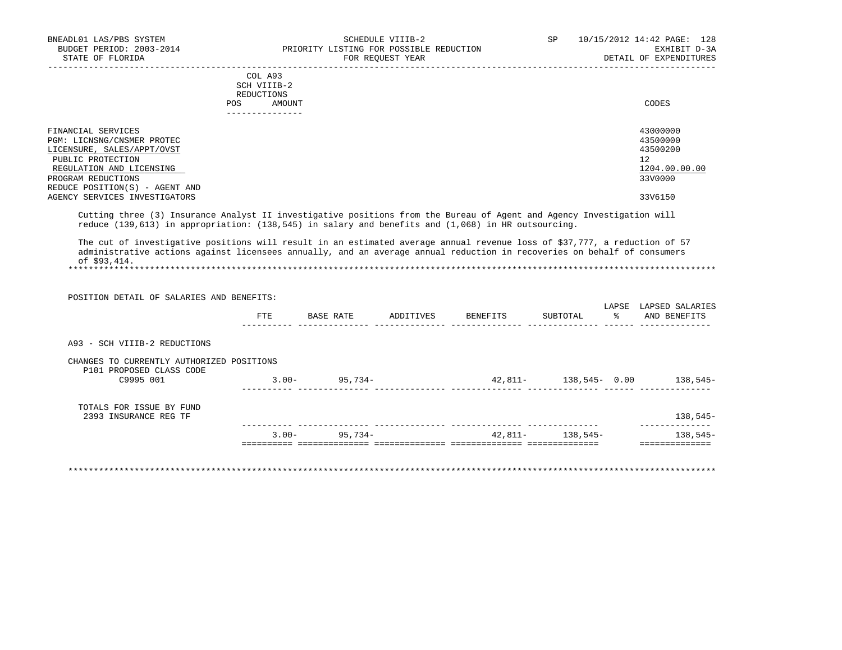|                              | COL A93<br>SCH VIIIB-2<br>REDUCTIONS |        |
|------------------------------|--------------------------------------|--------|
|                              | AMOUNT<br><b>POS</b>                 | CODES  |
|                              |                                      |        |
| FINANCIAL SERVICES           |                                      | 430000 |
| DOM: I TOMOMO (OMOMPR PROPER |                                      | 12500  |

| FINANCIAL SERVICES             | 43000000      |
|--------------------------------|---------------|
| PGM: LICNSNG/CNSMER PROTEC     | 43500000      |
| LICENSURE, SALES/APPT/OVST     | 43500200      |
| PUBLIC PROTECTION              | 12            |
| REGULATION AND LICENSING       | 1204.00.00.00 |
| PROGRAM REDUCTIONS             | 33V0000       |
| REDUCE POSITION(S) - AGENT AND |               |
| AGENCY SERVICES INVESTIGATORS  | 33V6150       |

 Cutting three (3) Insurance Analyst II investigative positions from the Bureau of Agent and Agency Investigation will reduce (139,613) in appropriation: (138,545) in salary and benefits and (1,068) in HR outsourcing.

 The cut of investigative positions will result in an estimated average annual revenue loss of \$37,777, a reduction of 57 administrative actions against licensees annually, and an average annual reduction in recoveries on behalf of consumers of \$93,414. \*\*\*\*\*\*\*\*\*\*\*\*\*\*\*\*\*\*\*\*\*\*\*\*\*\*\*\*\*\*\*\*\*\*\*\*\*\*\*\*\*\*\*\*\*\*\*\*\*\*\*\*\*\*\*\*\*\*\*\*\*\*\*\*\*\*\*\*\*\*\*\*\*\*\*\*\*\*\*\*\*\*\*\*\*\*\*\*\*\*\*\*\*\*\*\*\*\*\*\*\*\*\*\*\*\*\*\*\*\*\*\*\*\*\*\*\*\*\*\*\*\*\*\*\*\*\*

| POSITION DETAIL OF SALARIES AND BENEFITS:         | FTE      | BASE RATE | ADDITIVES | BENEFITS | SUBTOTAL              | LAPSE<br>ႜၟ | LAPSED SALARIES<br>AND BENEFITS |
|---------------------------------------------------|----------|-----------|-----------|----------|-----------------------|-------------|---------------------------------|
| A93 - SCH VIIIB-2 REDUCTIONS                      |          |           |           |          |                       |             |                                 |
| CHANGES TO CURRENTLY AUTHORIZED POSITIONS         |          |           |           |          |                       |             |                                 |
| P101 PROPOSED CLASS CODE<br>C9995 001             | $3.00 -$ | 95,734-   |           |          | 42,811- 138,545- 0.00 |             | $138,545-$                      |
|                                                   |          |           |           |          |                       |             |                                 |
| TOTALS FOR ISSUE BY FUND<br>2393 INSURANCE REG TF |          |           |           |          |                       |             | $138,545-$                      |
|                                                   | $3.00 -$ | 95,734-   |           | 42,811-  | 138,545-              |             | ------------<br>$138,545-$      |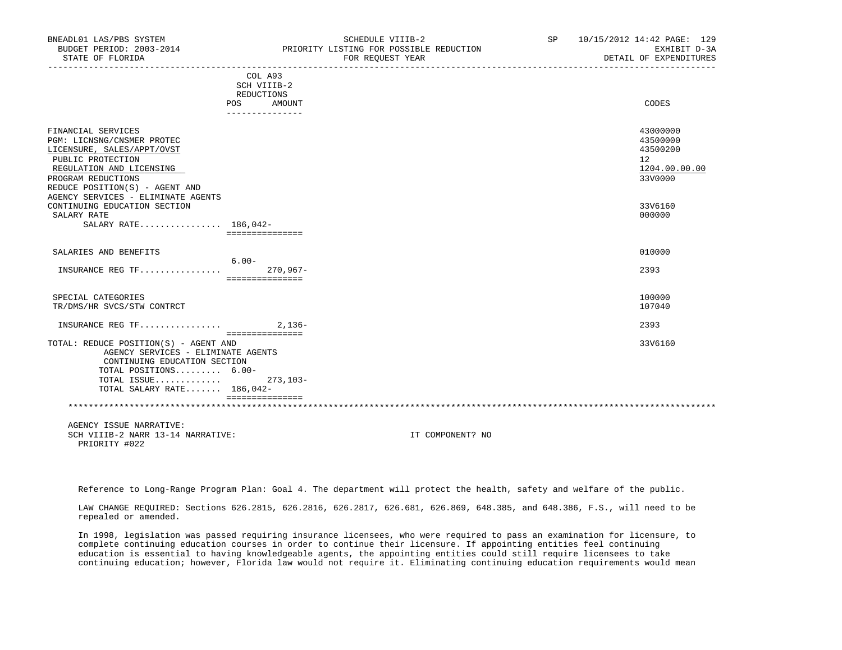| BNEADL01 LAS/PBS SYSTEM               |                             | SCHEDULE VIIIB-2                        | SP | 10/15/2012 14:42 PAGE: 129 |
|---------------------------------------|-----------------------------|-----------------------------------------|----|----------------------------|
| BUDGET PERIOD: 2003-2014              |                             | PRIORITY LISTING FOR POSSIBLE REDUCTION |    | EXHIBIT D-3A               |
| STATE OF FLORIDA                      |                             | FOR REOUEST YEAR                        |    | DETAIL OF EXPENDITURES     |
|                                       | COL A93                     |                                         |    |                            |
|                                       | SCH VIIIB-2                 |                                         |    |                            |
|                                       | REDUCTIONS                  |                                         |    |                            |
|                                       | POS<br>AMOUNT               |                                         |    | CODES                      |
|                                       | _______________             |                                         |    |                            |
| FINANCIAL SERVICES                    |                             |                                         |    | 43000000                   |
| PGM: LICNSNG/CNSMER PROTEC            |                             |                                         |    | 43500000                   |
| LICENSURE, SALES/APPT/OVST            |                             |                                         |    | 43500200                   |
| PUBLIC PROTECTION                     |                             |                                         |    | 12                         |
| REGULATION AND LICENSING              |                             |                                         |    | 1204.00.00.00              |
| PROGRAM REDUCTIONS                    |                             |                                         |    | 33V0000                    |
| REDUCE POSITION(S) - AGENT AND        |                             |                                         |    |                            |
| AGENCY SERVICES - ELIMINATE AGENTS    |                             |                                         |    |                            |
| CONTINUING EDUCATION SECTION          |                             |                                         |    | 33V6160                    |
| SALARY RATE                           |                             |                                         |    | 000000                     |
| SALARY RATE 186,042-                  |                             |                                         |    |                            |
|                                       | ===============             |                                         |    |                            |
| SALARIES AND BENEFITS                 |                             |                                         |    | 010000                     |
|                                       | $6.00 -$                    |                                         |    |                            |
| INSURANCE REG TF                      | $270,967-$                  |                                         |    | 2393                       |
|                                       | ===============             |                                         |    |                            |
| SPECIAL CATEGORIES                    |                             |                                         |    | 100000                     |
| TR/DMS/HR SVCS/STW CONTRCT            |                             |                                         |    | 107040                     |
|                                       |                             |                                         |    |                            |
| INSURANCE REG TF                      | $2.136-$<br>=============== |                                         |    | 2393                       |
| TOTAL: REDUCE POSITION(S) - AGENT AND |                             |                                         |    | 33V6160                    |
| AGENCY SERVICES - ELIMINATE AGENTS    |                             |                                         |    |                            |
| CONTINUING EDUCATION SECTION          |                             |                                         |    |                            |
| TOTAL POSITIONS $6.00 -$              |                             |                                         |    |                            |
| TOTAL ISSUE                           | 273,103-                    |                                         |    |                            |
| TOTAL SALARY RATE 186,042-            |                             |                                         |    |                            |
|                                       | ===============             |                                         |    |                            |
|                                       |                             |                                         |    |                            |
| AGENCY ISSUE NARRATIVE:               |                             |                                         |    |                            |
| SCH VIIIB-2 NARR 13-14 NARRATIVE:     |                             | IT COMPONENT? NO                        |    |                            |
| PRIORITY #022                         |                             |                                         |    |                            |

Reference to Long-Range Program Plan: Goal 4. The department will protect the health, safety and welfare of the public.

 LAW CHANGE REQUIRED: Sections 626.2815, 626.2816, 626.2817, 626.681, 626.869, 648.385, and 648.386, F.S., will need to be repealed or amended.

 In 1998, legislation was passed requiring insurance licensees, who were required to pass an examination for licensure, to complete continuing education courses in order to continue their licensure. If appointing entities feel continuing education is essential to having knowledgeable agents, the appointing entities could still require licensees to take continuing education; however, Florida law would not require it. Eliminating continuing education requirements would mean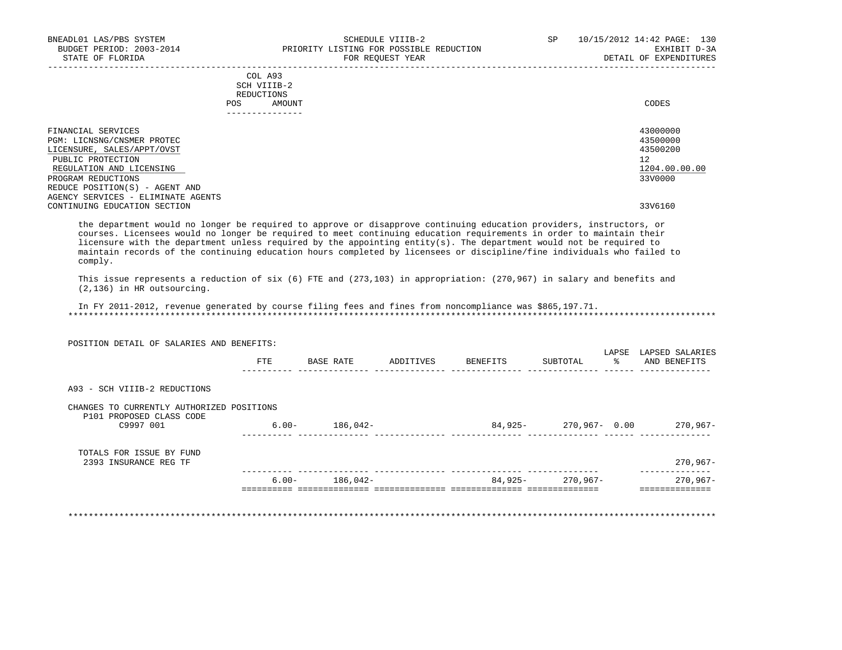| BNEADL01 LAS/PBS SYSTEM<br>BUDGET PERIOD: 2003-2014<br>STATE OF FLORIDA        | SCHEDULE VIIIB-2<br>PRIORITY LISTING FOR POSSIBLE REDUCTION<br>FOR REOUEST YEAR | <b>SP</b> | 10/15/2012 14:42 PAGE: 130<br>EXHIBIT D-3A<br>DETAIL OF EXPENDITURES |
|--------------------------------------------------------------------------------|---------------------------------------------------------------------------------|-----------|----------------------------------------------------------------------|
|                                                                                | COL A93<br>SCH VIIIB-2<br>REDUCTIONS<br>POS<br>AMOUNT<br>-------------          |           | CODES                                                                |
| FINANCIAL SERVICES<br>PGM: LICNSNG/CNSMER PROTEC<br>LICENSURE, SALES/APPT/OVST |                                                                                 |           | 43000000<br>43500000<br>43500200                                     |
| PUBLIC PROTECTION<br>REGULATION AND LICENSING<br>PROGRAM REDUCTIONS            |                                                                                 |           | 12<br>1204.00.00.00<br>33V0000                                       |
| REDUCE POSITION(S) - AGENT AND<br>AGENCY SERVICES - ELIMINATE AGENTS           |                                                                                 |           |                                                                      |

CONTINUING EDUCATION SECTION 33V6160

 the department would no longer be required to approve or disapprove continuing education providers, instructors, or courses. Licensees would no longer be required to meet continuing education requirements in order to maintain their licensure with the department unless required by the appointing entity(s). The department would not be required to maintain records of the continuing education hours completed by licensees or discipline/fine individuals who failed to comply.

 This issue represents a reduction of six (6) FTE and (273,103) in appropriation: (270,967) in salary and benefits and (2,136) in HR outsourcing.

 In FY 2011-2012, revenue generated by course filing fees and fines from noncompliance was \$865,197.71. \*\*\*\*\*\*\*\*\*\*\*\*\*\*\*\*\*\*\*\*\*\*\*\*\*\*\*\*\*\*\*\*\*\*\*\*\*\*\*\*\*\*\*\*\*\*\*\*\*\*\*\*\*\*\*\*\*\*\*\*\*\*\*\*\*\*\*\*\*\*\*\*\*\*\*\*\*\*\*\*\*\*\*\*\*\*\*\*\*\*\*\*\*\*\*\*\*\*\*\*\*\*\*\*\*\*\*\*\*\*\*\*\*\*\*\*\*\*\*\*\*\*\*\*\*\*\*

 POSITION DETAIL OF SALARIES AND BENEFITS: LAPSE LAPSED SALARIES FTE BASE RATE ADDITIVES BENEFITS SUBTOTAL % AND BENEFITS ---------- -------------- -------------- -------------- -------------- ------ -------------- A93 - SCH VIIIB-2 REDUCTIONS CHANGES TO CURRENTLY AUTHORIZED POSITIONS P101 PROPOSED CLASS CODE<br>C9997 001  $6.00 - 186,042 - 84,925 - 270,967 - 0.00$  270,967- ---------- -------------- -------------- -------------- -------------- ------ -------------- TOTALS FOR ISSUE BY FUND 2393 INSURANCE REG TF 270,967- ---------- -------------- -------------- -------------- -------------- -------------- 6.00- 186,042- 84,925- 270,967- 270,967- ========== ============== ============== ============== ============== ==============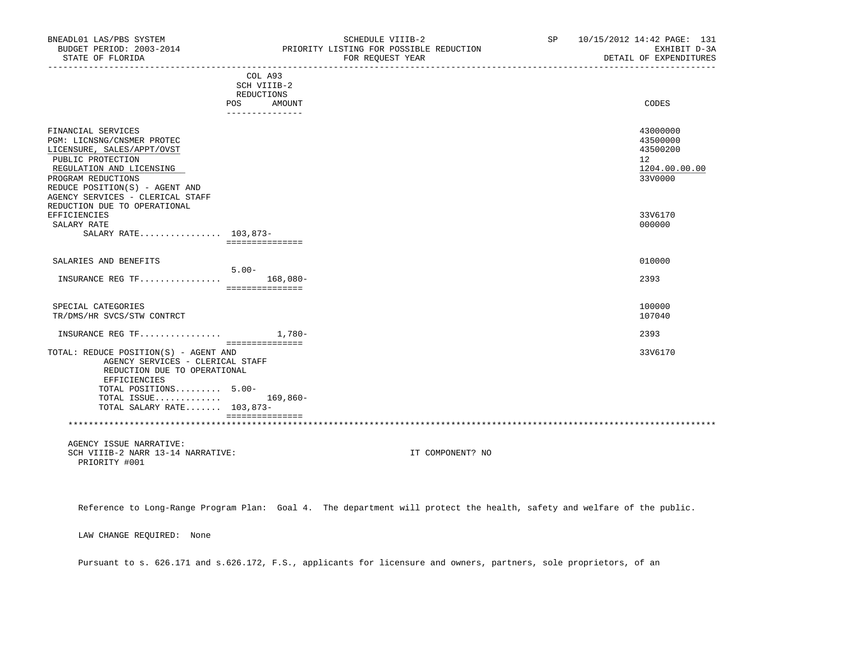| BNEADL01 LAS/PBS SYSTEM<br>BUDGET PERIOD: 2003-2014<br>STATE OF FLORIDA                                                                                                                                                     | PRIORITY LISTING FOR POSSIBLE REDUCTION | SCHEDULE VIIIB-2<br>FOR REQUEST YEAR | SP <sub>2</sub> | 10/15/2012 14:42 PAGE: 131<br>EXHIBIT D-3A<br>DETAIL OF EXPENDITURES |
|-----------------------------------------------------------------------------------------------------------------------------------------------------------------------------------------------------------------------------|-----------------------------------------|--------------------------------------|-----------------|----------------------------------------------------------------------|
|                                                                                                                                                                                                                             | COL A93<br>SCH VIIIB-2<br>REDUCTIONS    |                                      |                 |                                                                      |
|                                                                                                                                                                                                                             | POS<br>AMOUNT<br>_______________        |                                      |                 | CODES                                                                |
| FINANCIAL SERVICES<br>PGM: LICNSNG/CNSMER PROTEC<br>LICENSURE, SALES/APPT/OVST<br>PUBLIC PROTECTION<br>REGULATION AND LICENSING<br>PROGRAM REDUCTIONS<br>REDUCE POSITION(S) - AGENT AND<br>AGENCY SERVICES - CLERICAL STAFF |                                         |                                      |                 | 43000000<br>43500000<br>43500200<br>12<br>1204.00.00.00<br>33V0000   |
| REDUCTION DUE TO OPERATIONAL<br>EFFICIENCIES<br>SALARY RATE<br>SALARY RATE 103,873-                                                                                                                                         | ===============                         |                                      |                 | 33V6170<br>000000                                                    |
| SALARIES AND BENEFITS                                                                                                                                                                                                       |                                         |                                      |                 | 010000                                                               |
| INSURANCE REG TF $168,080-$                                                                                                                                                                                                 | $5.00 -$<br>===============             |                                      |                 | 2393                                                                 |
| SPECIAL CATEGORIES<br>TR/DMS/HR SVCS/STW CONTRCT                                                                                                                                                                            |                                         |                                      |                 | 100000<br>107040                                                     |
| INSURANCE REG TF $1,780-$                                                                                                                                                                                                   |                                         |                                      |                 | 2393                                                                 |
| TOTAL: REDUCE POSITION(S) - AGENT AND<br>AGENCY SERVICES - CLERICAL STAFF<br>REDUCTION DUE TO OPERATIONAL<br>EFFICIENCIES<br>TOTAL POSITIONS 5.00-<br>TOTAL ISSUE 169,860-<br>TOTAL SALARY RATE 103,873-                    | ================<br>===============     |                                      |                 | 33V6170                                                              |
| AGENCY ISSUE NARRATIVE:<br>SCH VIIIB-2 NARR 13-14 NARRATIVE:<br>PRIORITY #001                                                                                                                                               |                                         | IT COMPONENT? NO                     |                 |                                                                      |

Reference to Long-Range Program Plan: Goal 4. The department will protect the health, safety and welfare of the public.

LAW CHANGE REQUIRED: None

Pursuant to s. 626.171 and s.626.172, F.S., applicants for licensure and owners, partners, sole proprietors, of an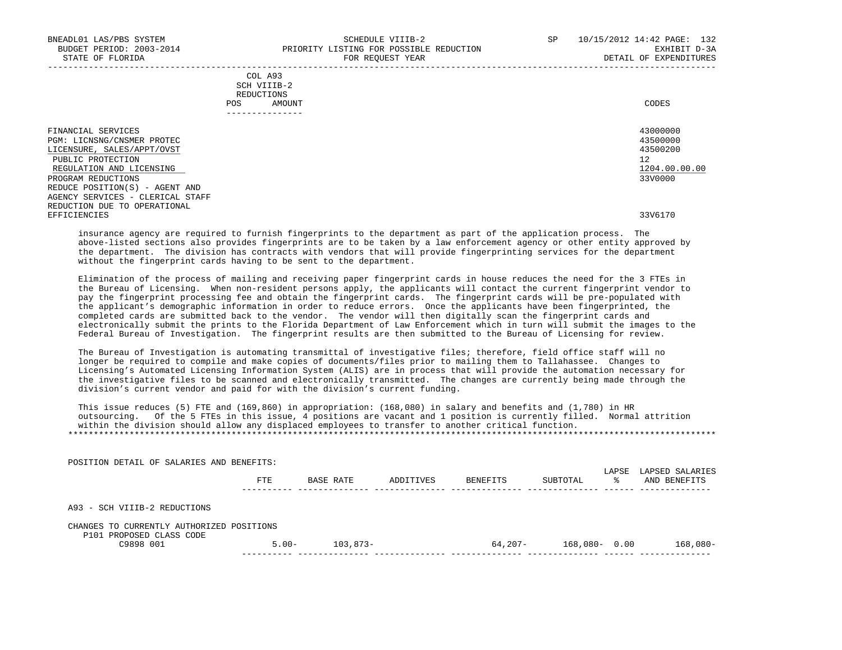|               | COL A93                                                                                                                        |       |
|---------------|--------------------------------------------------------------------------------------------------------------------------------|-------|
| $\sim$ $\sim$ | SCH VIIIB-2<br>the contract of the contract of the contract of the contract of the contract of the contract of the contract of |       |
|               | REDUCTIONS                                                                                                                     |       |
| POS           | AMOUNT                                                                                                                         | CODES |
|               |                                                                                                                                |       |

| 43000000<br>43500000<br>43500200<br>12<br>1204.00.00.00<br>33V0000 |
|--------------------------------------------------------------------|
| 33V6170                                                            |
|                                                                    |

 insurance agency are required to furnish fingerprints to the department as part of the application process. The above-listed sections also provides fingerprints are to be taken by a law enforcement agency or other entity approved by the department. The division has contracts with vendors that will provide fingerprinting services for the department without the fingerprint cards having to be sent to the department.

 Elimination of the process of mailing and receiving paper fingerprint cards in house reduces the need for the 3 FTEs in the Bureau of Licensing. When non-resident persons apply, the applicants will contact the current fingerprint vendor to pay the fingerprint processing fee and obtain the fingerprint cards. The fingerprint cards will be pre-populated with the applicant's demographic information in order to reduce errors. Once the applicants have been fingerprinted, the completed cards are submitted back to the vendor. The vendor will then digitally scan the fingerprint cards and electronically submit the prints to the Florida Department of Law Enforcement which in turn will submit the images to the Federal Bureau of Investigation. The fingerprint results are then submitted to the Bureau of Licensing for review.

 The Bureau of Investigation is automating transmittal of investigative files; therefore, field office staff will no longer be required to compile and make copies of documents/files prior to mailing them to Tallahassee. Changes to Licensing's Automated Licensing Information System (ALIS) are in process that will provide the automation necessary for the investigative files to be scanned and electronically transmitted. The changes are currently being made through the division's current vendor and paid for with the division's current funding.

 This issue reduces (5) FTE and (169,860) in appropriation: (168,080) in salary and benefits and (1,780) in HR outsourcing. Of the 5 FTEs in this issue, 4 positions are vacant and 1 position is currently filled. Normal attrition within the division should allow any displaced employees to transfer to another critical function. \*\*\*\*\*\*\*\*\*\*\*\*\*\*\*\*\*\*\*\*\*\*\*\*\*\*\*\*\*\*\*\*\*\*\*\*\*\*\*\*\*\*\*\*\*\*\*\*\*\*\*\*\*\*\*\*\*\*\*\*\*\*\*\*\*\*\*\*\*\*\*\*\*\*\*\*\*\*\*\*\*\*\*\*\*\*\*\*\*\*\*\*\*\*\*\*\*\*\*\*\*\*\*\*\*\*\*\*\*\*\*\*\*\*\*\*\*\*\*\*\*\*\*\*\*\*\*

| POSITION DETAIL OF SALARIES AND BENEFITS:                             |          |            |           |          |                  |            |                                 |
|-----------------------------------------------------------------------|----------|------------|-----------|----------|------------------|------------|---------------------------------|
|                                                                       | FTE      | BASE RATE  | ADDITIVES | BENEFITS | SUBTOTAL         | LAPSE<br>° | LAPSED SALARIES<br>AND BENEFITS |
| A93 - SCH VIIIB-2 REDUCTIONS                                          |          |            |           |          |                  |            |                                 |
| CHANGES TO CURRENTLY AUTHORIZED POSITIONS<br>P101 PROPOSED CLASS CODE |          |            |           |          |                  |            |                                 |
| C9898 001                                                             | $5.00 -$ | $103,873-$ |           | 64,207-  | $168,080 - 0.00$ |            | $168,080-$                      |
|                                                                       |          |            |           |          |                  |            |                                 |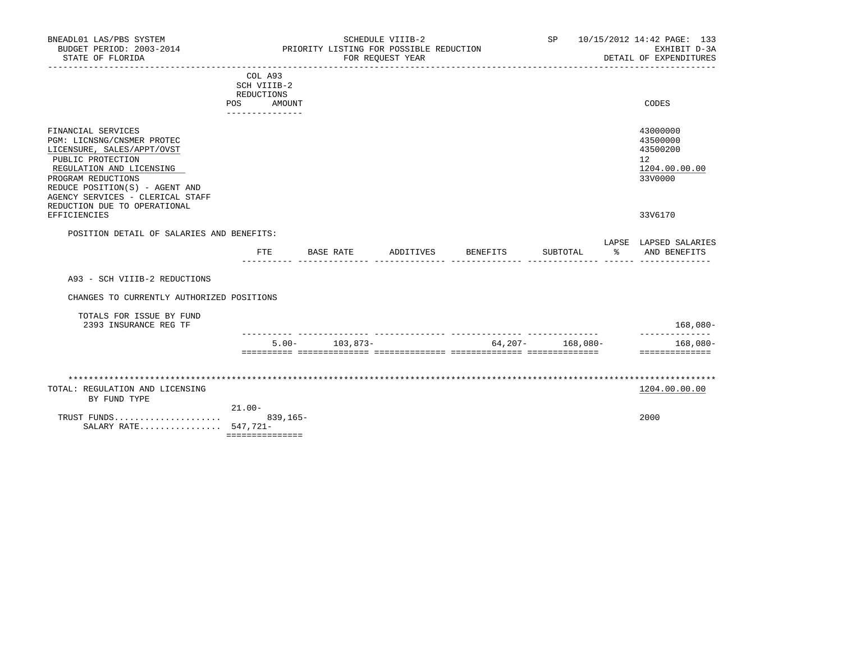| BNEADL01 LAS/PBS SYSTEM<br>BUDGET PERIOD: 2003-2014 PRIORITY LISTING FOR POSSIBLE REDUCTION<br>STATE OF FLORIDA                                                                                                                                             |                                                                                 | SCHEDULE VIIIB-2<br>FOR REQUEST YEAR |  |                                                                |                   | SP 10/15/2012 14:42 PAGE: 133<br>EXHIBIT D-3A<br>DETAIL OF EXPENDITURES |  |
|-------------------------------------------------------------------------------------------------------------------------------------------------------------------------------------------------------------------------------------------------------------|---------------------------------------------------------------------------------|--------------------------------------|--|----------------------------------------------------------------|-------------------|-------------------------------------------------------------------------|--|
|                                                                                                                                                                                                                                                             | COL A93<br>SCH VIIIB-2<br>REDUCTIONS<br>AMOUNT<br><b>POS</b><br>--------------- |                                      |  |                                                                |                   | CODES                                                                   |  |
| FINANCIAL SERVICES<br>PGM: LICNSNG/CNSMER PROTEC<br>LICENSURE, SALES/APPT/OVST<br>PUBLIC PROTECTION<br>REGULATION AND LICENSING<br>PROGRAM REDUCTIONS<br>REDUCE POSITION(S) - AGENT AND<br>AGENCY SERVICES - CLERICAL STAFF<br>REDUCTION DUE TO OPERATIONAL |                                                                                 |                                      |  |                                                                |                   | 43000000<br>43500000<br>43500200<br>12<br>1204.00.00.00<br>33V0000      |  |
| EFFICIENCIES                                                                                                                                                                                                                                                |                                                                                 |                                      |  |                                                                |                   | 33V6170                                                                 |  |
| POSITION DETAIL OF SALARIES AND BENEFITS:                                                                                                                                                                                                                   |                                                                                 |                                      |  |                                                                |                   | LAPSE LAPSED SALARIES                                                   |  |
|                                                                                                                                                                                                                                                             | FTE                                                                             | BASE RATE                            |  | ADDITIVES BENEFITS                                             |                   | SUBTOTAL % AND BENEFITS                                                 |  |
| A93 - SCH VIIIB-2 REDUCTIONS                                                                                                                                                                                                                                |                                                                                 |                                      |  |                                                                |                   |                                                                         |  |
| CHANGES TO CURRENTLY AUTHORIZED POSITIONS                                                                                                                                                                                                                   |                                                                                 |                                      |  |                                                                |                   |                                                                         |  |
| TOTALS FOR ISSUE BY FUND<br>2393 INSURANCE REG TF                                                                                                                                                                                                           |                                                                                 |                                      |  |                                                                |                   | 168,080-<br>______________                                              |  |
|                                                                                                                                                                                                                                                             |                                                                                 | $5.00 - 103.873 -$                   |  | according consecutives consecutives consecutives consecutives. | $64,207-168,080-$ | 168,080-<br>_______________                                             |  |
|                                                                                                                                                                                                                                                             |                                                                                 |                                      |  |                                                                |                   |                                                                         |  |
| TOTAL: REGULATION AND LICENSING<br>BY FUND TYPE                                                                                                                                                                                                             |                                                                                 |                                      |  |                                                                |                   | 1204.00.00.00                                                           |  |
| SALARY RATE 547,721-                                                                                                                                                                                                                                        | $21.00 -$<br>===============                                                    |                                      |  |                                                                |                   | 2000                                                                    |  |
|                                                                                                                                                                                                                                                             |                                                                                 |                                      |  |                                                                |                   |                                                                         |  |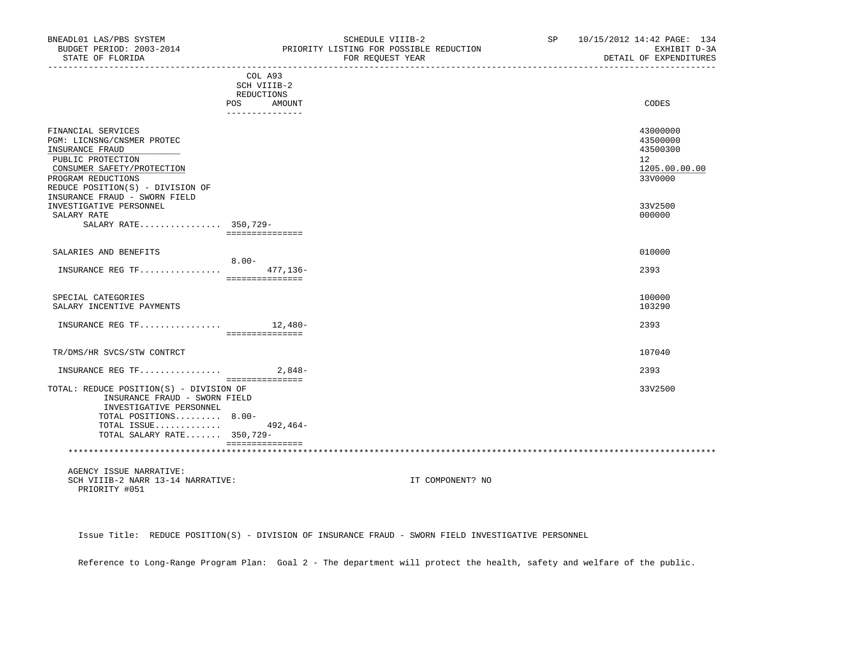| BNEADL01 LAS/PBS SYSTEM<br>BUDGET PERIOD: 2003-2014<br>STATE OF FLORIDA                                                                                                          |                                                                       | SCHEDULE VIIIB-2<br>PRIORITY LISTING FOR POSSIBLE REDUCTION<br>FOR REQUEST YEAR | SP 10/15/2012 14:42 PAGE: 134<br>EXHIBIT D-3A<br>DETAIL OF EXPENDITURES<br>________________ |  |
|----------------------------------------------------------------------------------------------------------------------------------------------------------------------------------|-----------------------------------------------------------------------|---------------------------------------------------------------------------------|---------------------------------------------------------------------------------------------|--|
|                                                                                                                                                                                  | COL A93<br>SCH VIIIB-2<br>REDUCTIONS<br>POS AMOUNT<br>--------------- |                                                                                 | CODES                                                                                       |  |
| FINANCIAL SERVICES<br>PGM: LICNSNG/CNSMER PROTEC<br>INSURANCE FRAUD<br>PUBLIC PROTECTION<br>CONSUMER SAFETY/PROTECTION<br>PROGRAM REDUCTIONS<br>REDUCE POSITION(S) - DIVISION OF |                                                                       |                                                                                 | 43000000<br>43500000<br>43500300<br>12<br>1205.00.00.00<br>33V0000                          |  |
| INSURANCE FRAUD - SWORN FIELD<br>INVESTIGATIVE PERSONNEL<br>SALARY RATE<br>SALARY RATE 350,729-                                                                                  | ===============                                                       |                                                                                 | 33V2500<br>000000                                                                           |  |
| SALARIES AND BENEFITS                                                                                                                                                            | $8.00 -$                                                              |                                                                                 | 010000                                                                                      |  |
| INSURANCE REG TF                                                                                                                                                                 | 477,136-<br>===============                                           |                                                                                 | 2393                                                                                        |  |
| SPECIAL CATEGORIES<br>SALARY INCENTIVE PAYMENTS                                                                                                                                  |                                                                       |                                                                                 | 100000<br>103290                                                                            |  |
| INSURANCE REG TF 12,480-                                                                                                                                                         | ===============                                                       |                                                                                 | 2393                                                                                        |  |
| TR/DMS/HR SVCS/STW CONTRCT                                                                                                                                                       |                                                                       |                                                                                 | 107040                                                                                      |  |
| INSURANCE REG TF                                                                                                                                                                 | 2,848-                                                                |                                                                                 | 2393                                                                                        |  |
| TOTAL: REDUCE POSITION(S) - DIVISION OF<br>INSURANCE FRAUD - SWORN FIELD<br>INVESTIGATIVE PERSONNEL<br>TOTAL POSITIONS 8.00-<br>TOTAL ISSUE<br>TOTAL SALARY RATE 350,729-        | ===============<br>492,464-<br>===============                        |                                                                                 | 33V2500                                                                                     |  |
| AGENCY ISSUE NARRATIVE:                                                                                                                                                          |                                                                       |                                                                                 |                                                                                             |  |
| SCH VIIIB-2 NARR 13-14 NARRATIVE:<br>PRIORITY #051                                                                                                                               |                                                                       | IT COMPONENT? NO                                                                |                                                                                             |  |

Issue Title: REDUCE POSITION(S) - DIVISION OF INSURANCE FRAUD - SWORN FIELD INVESTIGATIVE PERSONNEL

Reference to Long-Range Program Plan: Goal 2 - The department will protect the health, safety and welfare of the public.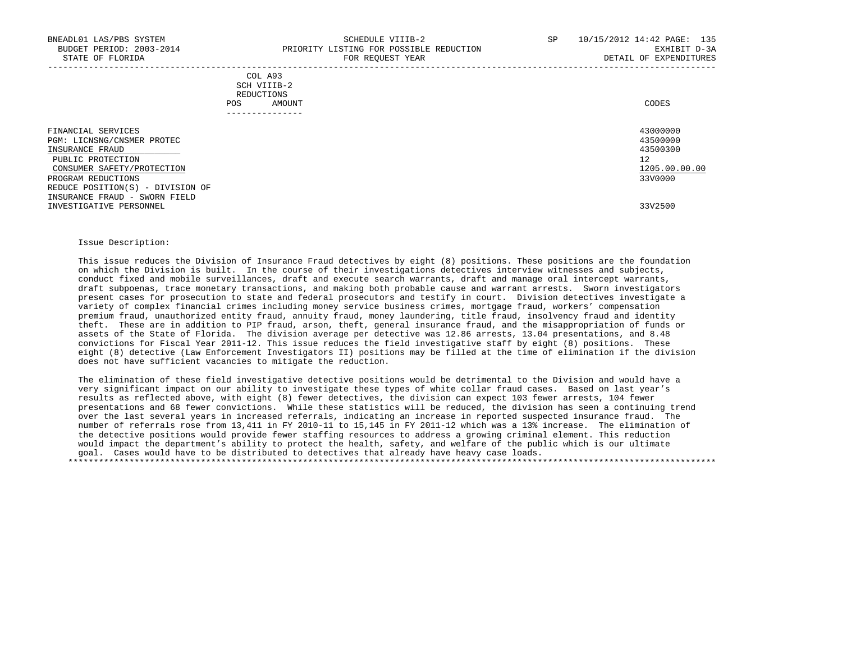|            | _______________ |       |
|------------|-----------------|-------|
| POS        | AMOUNT          | CODES |
| REDUCTIONS |                 |       |
|            | SCH VIIIB-2     |       |
|            | COL A93         |       |

| FINANCIAL SERVICES               | 43000000      |
|----------------------------------|---------------|
| PGM: LICNSNG/CNSMER PROTEC       | 43500000      |
| INSURANCE FRAUD                  | 43500300      |
| PUBLIC PROTECTION                | 12            |
| CONSUMER SAFETY/PROTECTION       | 1205.00.00.00 |
| PROGRAM REDUCTIONS               | 33V0000       |
| REDUCE POSITION(S) - DIVISION OF |               |
| INSURANCE FRAUD - SWORN FIELD    |               |
| INVESTIGATIVE PERSONNEL          | 33V2500       |
|                                  |               |

## Issue Description:

 This issue reduces the Division of Insurance Fraud detectives by eight (8) positions. These positions are the foundation on which the Division is built. In the course of their investigations detectives interview witnesses and subjects, conduct fixed and mobile surveillances, draft and execute search warrants, draft and manage oral intercept warrants, draft subpoenas, trace monetary transactions, and making both probable cause and warrant arrests. Sworn investigators present cases for prosecution to state and federal prosecutors and testify in court. Division detectives investigate a variety of complex financial crimes including money service business crimes, mortgage fraud, workers' compensation premium fraud, unauthorized entity fraud, annuity fraud, money laundering, title fraud, insolvency fraud and identity theft. These are in addition to PIP fraud, arson, theft, general insurance fraud, and the misappropriation of funds or assets of the State of Florida. The division average per detective was 12.86 arrests, 13.04 presentations, and 8.48 convictions for Fiscal Year 2011-12. This issue reduces the field investigative staff by eight (8) positions. These eight (8) detective (Law Enforcement Investigators II) positions may be filled at the time of elimination if the division does not have sufficient vacancies to mitigate the reduction.

 The elimination of these field investigative detective positions would be detrimental to the Division and would have a very significant impact on our ability to investigate these types of white collar fraud cases. Based on last year's results as reflected above, with eight (8) fewer detectives, the division can expect 103 fewer arrests, 104 fewer presentations and 68 fewer convictions. While these statistics will be reduced, the division has seen a continuing trend over the last several years in increased referrals, indicating an increase in reported suspected insurance fraud. The number of referrals rose from 13,411 in FY 2010-11 to 15,145 in FY 2011-12 which was a 13% increase. The elimination of the detective positions would provide fewer staffing resources to address a growing criminal element. This reduction would impact the department's ability to protect the health, safety, and welfare of the public which is our ultimate goal. Cases would have to be distributed to detectives that already have heavy case loads. \*\*\*\*\*\*\*\*\*\*\*\*\*\*\*\*\*\*\*\*\*\*\*\*\*\*\*\*\*\*\*\*\*\*\*\*\*\*\*\*\*\*\*\*\*\*\*\*\*\*\*\*\*\*\*\*\*\*\*\*\*\*\*\*\*\*\*\*\*\*\*\*\*\*\*\*\*\*\*\*\*\*\*\*\*\*\*\*\*\*\*\*\*\*\*\*\*\*\*\*\*\*\*\*\*\*\*\*\*\*\*\*\*\*\*\*\*\*\*\*\*\*\*\*\*\*\*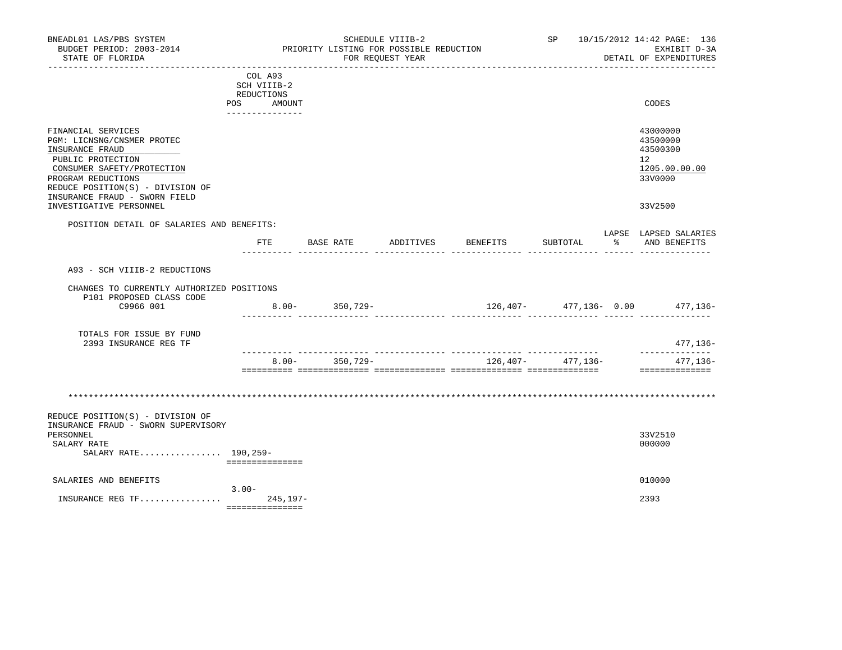| BNEADL01 LAS/PBS SYSTEM<br>BUDGET PERIOD: 2003-2014<br>STATE OF FLORIDA                                                                                                                                                                      |                                                                       | PRIORITY LISTING FOR POSSIBLE REDUCTION<br><u>____________________</u> |           | SP 10/15/2012 14:42 PAGE: 136<br>EXHIBIT D-3A<br>DETAIL OF EXPENDITURES |                   |                                                                                            |
|----------------------------------------------------------------------------------------------------------------------------------------------------------------------------------------------------------------------------------------------|-----------------------------------------------------------------------|------------------------------------------------------------------------|-----------|-------------------------------------------------------------------------|-------------------|--------------------------------------------------------------------------------------------|
|                                                                                                                                                                                                                                              | COL A93<br>SCH VIIIB-2<br>REDUCTIONS<br>POS AMOUNT<br>_______________ |                                                                        |           |                                                                         |                   | CODES                                                                                      |
| FINANCIAL SERVICES<br>PGM: LICNSNG/CNSMER PROTEC<br>INSURANCE FRAUD<br>PUBLIC PROTECTION<br>CONSUMER SAFETY/PROTECTION<br>PROGRAM REDUCTIONS<br>REDUCE POSITION(S) - DIVISION OF<br>INSURANCE FRAUD - SWORN FIELD<br>INVESTIGATIVE PERSONNEL |                                                                       |                                                                        |           |                                                                         |                   | 43000000<br>43500000<br>43500300<br>12 <sup>7</sup><br>1205.00.00.00<br>33V0000<br>33V2500 |
| POSITION DETAIL OF SALARIES AND BENEFITS:                                                                                                                                                                                                    |                                                                       |                                                                        |           |                                                                         |                   |                                                                                            |
|                                                                                                                                                                                                                                              | ETE                                                                   | BASE RATE                                                              | ADDITIVES | <b>BENEFITS</b>                                                         | SUBTOTAL          | LAPSE LAPSED SALARIES<br>% AND BENEFITS                                                    |
| A93 - SCH VIIIB-2 REDUCTIONS<br>CHANGES TO CURRENTLY AUTHORIZED POSITIONS<br>P101 PROPOSED CLASS CODE                                                                                                                                        |                                                                       |                                                                        |           |                                                                         |                   |                                                                                            |
| C9966 001                                                                                                                                                                                                                                    |                                                                       | $8.00 - 350,729 -$                                                     |           |                                                                         |                   | $126,407 - 477,136 - 0.00$ 477,136-                                                        |
| TOTALS FOR ISSUE BY FUND<br>2393 INSURANCE REG TF                                                                                                                                                                                            |                                                                       |                                                                        |           |                                                                         |                   | 477,136-<br>______________                                                                 |
|                                                                                                                                                                                                                                              | $8.00 -$                                                              | 350,729-                                                               |           |                                                                         | 126,407- 477,136- | 477,136-<br>==============                                                                 |
|                                                                                                                                                                                                                                              |                                                                       |                                                                        |           |                                                                         |                   |                                                                                            |
| REDUCE POSITION(S) - DIVISION OF<br>INSURANCE FRAUD - SWORN SUPERVISORY<br>PERSONNEL<br>SALARY RATE<br>SALARY RATE 190,259-                                                                                                                  | ===============                                                       |                                                                        |           |                                                                         |                   | 33V2510<br>000000                                                                          |
| SALARIES AND BENEFITS                                                                                                                                                                                                                        |                                                                       |                                                                        |           |                                                                         |                   | 010000                                                                                     |
| INSURANCE REG TF                                                                                                                                                                                                                             | $3.00 -$<br>$245, 197 -$<br>===============                           |                                                                        |           |                                                                         |                   | 2393                                                                                       |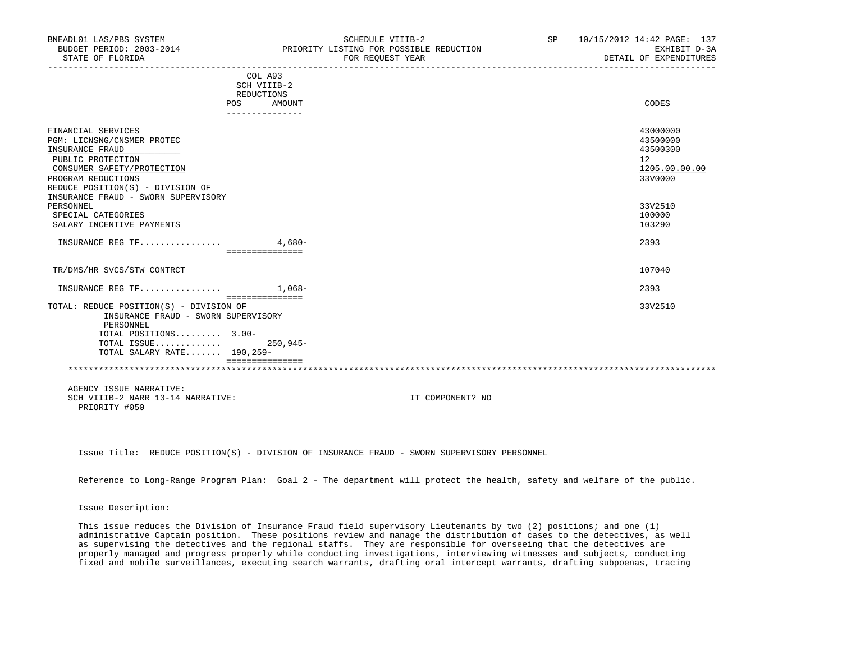| BNEADL01 LAS/PBS SYSTEM<br>BUDGET PERIOD: 2003-2014<br>STATE OF FLORIDA | SCHEDULE VIIIB-2<br>PRIORITY LISTING FOR POSSIBLE REDUCTION<br>FOR REQUEST YEAR | SP | 10/15/2012 14:42 PAGE: 137<br>EXHIBIT D-3A<br>DETAIL OF EXPENDITURES |
|-------------------------------------------------------------------------|---------------------------------------------------------------------------------|----|----------------------------------------------------------------------|
|                                                                         | COL A93<br>SCH VIIIB-2                                                          |    |                                                                      |
|                                                                         | REDUCTIONS                                                                      |    |                                                                      |
|                                                                         | <b>POS</b><br>AMOUNT                                                            |    | CODES                                                                |
|                                                                         | -------------                                                                   |    |                                                                      |
| FINANCIAL SERVICES                                                      |                                                                                 |    | 43000000                                                             |
| PGM: LICNSNG/CNSMER PROTEC                                              |                                                                                 |    | 43500000                                                             |
| INSURANCE FRAUD                                                         |                                                                                 |    | 43500300                                                             |
| PUBLIC PROTECTION                                                       |                                                                                 |    | 12                                                                   |
| CONSUMER SAFETY/PROTECTION                                              |                                                                                 |    | 1205.00.00.00                                                        |
| PROGRAM REDUCTIONS                                                      |                                                                                 |    | 33V0000                                                              |
| REDUCE POSITION(S) - DIVISION OF                                        |                                                                                 |    |                                                                      |

| INSURANCE FRAUD - SWORN SUPERVISORY<br>PERSONNEL<br>SPECIAL CATEGORIES<br>SALARY INCENTIVE PAYMENTS | 33V2510<br>100000<br>103290 |
|-----------------------------------------------------------------------------------------------------|-----------------------------|
| 4,680-<br>INSURANCE REG TF                                                                          | 2393                        |
| ===============                                                                                     |                             |
| TR/DMS/HR SVCS/STW CONTRCT                                                                          | 107040                      |
| $1,068-$<br>INSURANCE REG TF<br>===============                                                     | 2393                        |
| TOTAL: REDUCE POSITION(S) - DIVISION OF<br>INSURANCE FRAUD - SWORN SUPERVISORY<br>PERSONNEL         | 33V2510                     |
| TOTAL POSITIONS 3.00-<br>TOTAL ISSUE 250,945-<br>TOTAL SALARY RATE 190,259-                         |                             |
| ===============                                                                                     |                             |

\*\*\*\*\*\*\*\*\*\*\*\*\*\*\*\*\*\*\*\*\*\*\*\*\*\*\*\*\*\*\*\*\*\*\*\*\*\*\*\*\*\*\*\*\*\*\*\*\*\*\*\*\*\*\*\*\*\*\*\*\*\*\*\*\*\*\*\*\*\*\*\*\*\*\*\*\*\*\*\*\*\*\*\*\*\*\*\*\*\*\*\*\*\*\*\*\*\*\*\*\*\*\*\*\*\*\*\*\*\*\*\*\*\*\*\*\*\*\*\*\*\*\*\*\*\*\*

 AGENCY ISSUE NARRATIVE: SCH VIIIB-2 NARR 13-14 NARRATIVE: IT COMPONENT? NO PRIORITY #050

Issue Title: REDUCE POSITION(S) - DIVISION OF INSURANCE FRAUD - SWORN SUPERVISORY PERSONNEL

Reference to Long-Range Program Plan: Goal 2 - The department will protect the health, safety and welfare of the public.

Issue Description:

 This issue reduces the Division of Insurance Fraud field supervisory Lieutenants by two (2) positions; and one (1) administrative Captain position. These positions review and manage the distribution of cases to the detectives, as well as supervising the detectives and the regional staffs. They are responsible for overseeing that the detectives are properly managed and progress properly while conducting investigations, interviewing witnesses and subjects, conducting fixed and mobile surveillances, executing search warrants, drafting oral intercept warrants, drafting subpoenas, tracing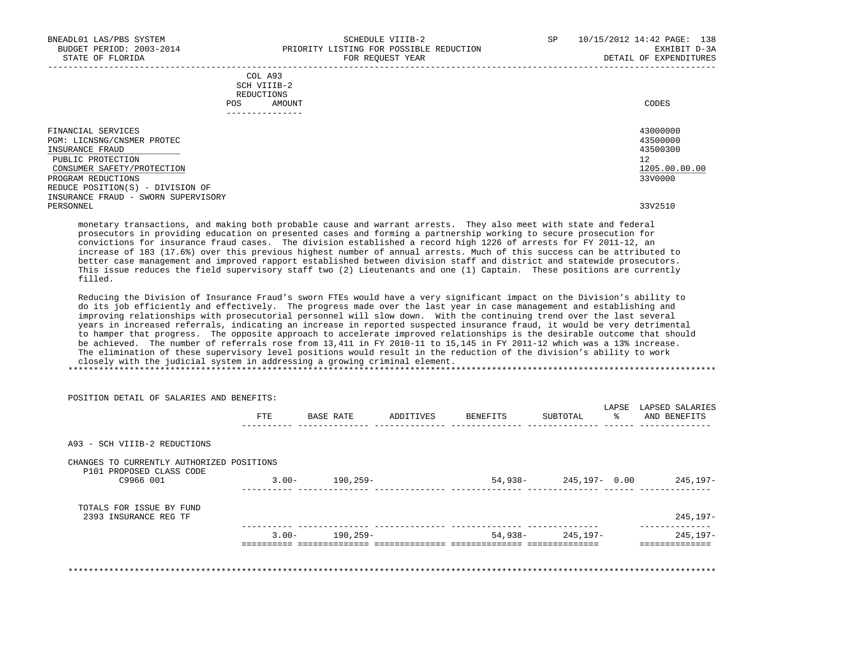|            | _______________ |       |
|------------|-----------------|-------|
| POS        | AMOUNT          | CODES |
| REDUCTIONS |                 |       |
|            | SCH VIIIB-2     |       |
|            | COL A93         |       |

| FINANCIAL SERVICES                  | 43000000      |
|-------------------------------------|---------------|
| PGM: LICNSNG/CNSMER PROTEC          | 43500000      |
| INSURANCE FRAUD                     | 43500300      |
| PUBLIC PROTECTION                   | 12            |
| CONSUMER SAFETY/PROTECTION          | 1205.00.00.00 |
| PROGRAM REDUCTIONS                  | 33V0000       |
| REDUCE POSITION(S) - DIVISION OF    |               |
| INSURANCE FRAUD - SWORN SUPERVISORY |               |
| PERSONNEL                           | 33V2510       |

 monetary transactions, and making both probable cause and warrant arrests. They also meet with state and federal prosecutors in providing education on presented cases and forming a partnership working to secure prosecution for convictions for insurance fraud cases. The division established a record high 1226 of arrests for FY 2011-12, an increase of 183 (17.6%) over this previous highest number of annual arrests. Much of this success can be attributed to better case management and improved rapport established between division staff and district and statewide prosecutors. This issue reduces the field supervisory staff two (2) Lieutenants and one (1) Captain. These positions are currently filled.

 Reducing the Division of Insurance Fraud's sworn FTEs would have a very significant impact on the Division's ability to do its job efficiently and effectively. The progress made over the last year in case management and establishing and improving relationships with prosecutorial personnel will slow down. With the continuing trend over the last several years in increased referrals, indicating an increase in reported suspected insurance fraud, it would be very detrimental to hamper that progress. The opposite approach to accelerate improved relationships is the desirable outcome that should be achieved. The number of referrals rose from 13,411 in FY 2010-11 to 15,145 in FY 2011-12 which was a 13% increase. The elimination of these supervisory level positions would result in the reduction of the division's ability to work closely with the judicial system in addressing a growing criminal element. \*\*\*\*\*\*\*\*\*\*\*\*\*\*\*\*\*\*\*\*\*\*\*\*\*\*\*\*\*\*\*\*\*\*\*\*\*\*\*\*\*\*\*\*\*\*\*\*\*\*\*\*\*\*\*\*\*\*\*\*\*\*\*\*\*\*\*\*\*\*\*\*\*\*\*\*\*\*\*\*\*\*\*\*\*\*\*\*\*\*\*\*\*\*\*\*\*\*\*\*\*\*\*\*\*\*\*\*\*\*\*\*\*\*\*\*\*\*\*\*\*\*\*\*\*\*\*

 POSITION DETAIL OF SALARIES AND BENEFITS: LAPSE LAPSED SALARIES FTE BASE RATE ADDITIVES BENEFITS SUBTOTAL % AND BENEFITS ---------- -------------- -------------- -------------- -------------- ------ -------------- A93 - SCH VIIIB-2 REDUCTIONS CHANGES TO CURRENTLY AUTHORIZED POSITIONS P101 PROPOSED CLASS CODE C9966 001 3.00- 190,259- 54,938- 245,197- 0.00 245,197- ---------- -------------- -------------- -------------- -------------- ------ -------------- TOTALS FOR ISSUE BY FUND 2393 INSURANCE REG TF 245,197- ---------- -------------- -------------- -------------- -------------- -------------- 3.00- 190,259- 54,938- 245,197- 245,197- ========== ============== ============== ============== ============== ============== \*\*\*\*\*\*\*\*\*\*\*\*\*\*\*\*\*\*\*\*\*\*\*\*\*\*\*\*\*\*\*\*\*\*\*\*\*\*\*\*\*\*\*\*\*\*\*\*\*\*\*\*\*\*\*\*\*\*\*\*\*\*\*\*\*\*\*\*\*\*\*\*\*\*\*\*\*\*\*\*\*\*\*\*\*\*\*\*\*\*\*\*\*\*\*\*\*\*\*\*\*\*\*\*\*\*\*\*\*\*\*\*\*\*\*\*\*\*\*\*\*\*\*\*\*\*\*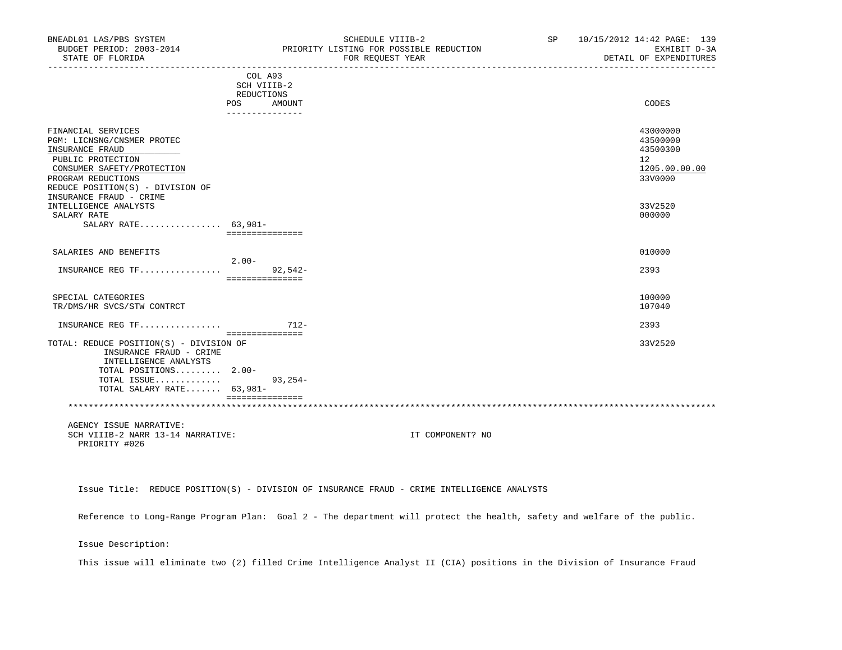| BNEADL01 LAS/PBS SYSTEM<br>BUDGET PERIOD: 2003-2014<br>STATE OF FLORIDA |                       |            | SCHEDULE VIIIB-2<br>PRIORITY LISTING FOR POSSIBLE REDUCTION<br>FOR REQUEST YEAR |                  | SP <sub>2</sub> | 10/15/2012 14:42 PAGE: 139<br>EXHIBIT D-3A<br>DETAIL OF EXPENDITURES |
|-------------------------------------------------------------------------|-----------------------|------------|---------------------------------------------------------------------------------|------------------|-----------------|----------------------------------------------------------------------|
|                                                                         | COL A93               |            |                                                                                 |                  |                 |                                                                      |
|                                                                         | SCH VIIIB-2           |            |                                                                                 |                  |                 |                                                                      |
|                                                                         | REDUCTIONS            |            |                                                                                 |                  |                 |                                                                      |
|                                                                         | POS<br>______________ | AMOUNT     |                                                                                 |                  |                 | CODES                                                                |
| FINANCIAL SERVICES                                                      |                       |            |                                                                                 |                  |                 | 43000000                                                             |
| PGM: LICNSNG/CNSMER PROTEC                                              |                       |            |                                                                                 |                  |                 | 43500000                                                             |
| INSURANCE FRAUD                                                         |                       |            |                                                                                 |                  |                 | 43500300                                                             |
| PUBLIC PROTECTION                                                       |                       |            |                                                                                 |                  |                 | 12                                                                   |
| CONSUMER SAFETY/PROTECTION                                              |                       |            |                                                                                 |                  |                 | 1205.00.00.00                                                        |
| PROGRAM REDUCTIONS                                                      |                       |            |                                                                                 |                  |                 | 33V0000                                                              |
| REDUCE POSITION(S) - DIVISION OF                                        |                       |            |                                                                                 |                  |                 |                                                                      |
| INSURANCE FRAUD - CRIME                                                 |                       |            |                                                                                 |                  |                 |                                                                      |
| INTELLIGENCE ANALYSTS                                                   |                       |            |                                                                                 |                  |                 | 33V2520                                                              |
| SALARY RATE                                                             |                       |            |                                                                                 |                  |                 | 000000                                                               |
| SALARY RATE 63,981-                                                     |                       |            |                                                                                 |                  |                 |                                                                      |
|                                                                         | ===============       |            |                                                                                 |                  |                 |                                                                      |
| SALARIES AND BENEFITS                                                   |                       |            |                                                                                 |                  |                 | 010000                                                               |
|                                                                         | $2.00 -$              |            |                                                                                 |                  |                 |                                                                      |
| INSURANCE REG TF                                                        | ===============       | $92.542 -$ |                                                                                 |                  |                 | 2393                                                                 |
|                                                                         |                       |            |                                                                                 |                  |                 |                                                                      |
| SPECIAL CATEGORIES                                                      |                       |            |                                                                                 |                  |                 | 100000<br>107040                                                     |
| TR/DMS/HR SVCS/STW CONTRCT                                              |                       |            |                                                                                 |                  |                 |                                                                      |
|                                                                         | ===============       |            |                                                                                 |                  |                 | 2393                                                                 |
| TOTAL: REDUCE POSITION(S) - DIVISION OF                                 |                       |            |                                                                                 |                  |                 | 33V2520                                                              |
| INSURANCE FRAUD - CRIME                                                 |                       |            |                                                                                 |                  |                 |                                                                      |
| INTELLIGENCE ANALYSTS                                                   |                       |            |                                                                                 |                  |                 |                                                                      |
| TOTAL POSITIONS 2.00-                                                   |                       |            |                                                                                 |                  |                 |                                                                      |
| TOTAL ISSUE                                                             |                       | $93,254-$  |                                                                                 |                  |                 |                                                                      |
| TOTAL SALARY RATE 63,981-                                               |                       |            |                                                                                 |                  |                 |                                                                      |
|                                                                         | ===============       |            |                                                                                 |                  |                 |                                                                      |
| AGENCY ISSUE NARRATIVE:                                                 |                       |            |                                                                                 |                  |                 |                                                                      |
| SCH VIIIB-2 NARR 13-14 NARRATIVE:                                       |                       |            |                                                                                 | IT COMPONENT? NO |                 |                                                                      |
| PRIORITY #026                                                           |                       |            |                                                                                 |                  |                 |                                                                      |

Issue Title: REDUCE POSITION(S) - DIVISION OF INSURANCE FRAUD - CRIME INTELLIGENCE ANALYSTS

Reference to Long-Range Program Plan: Goal 2 - The department will protect the health, safety and welfare of the public.

Issue Description:

This issue will eliminate two (2) filled Crime Intelligence Analyst II (CIA) positions in the Division of Insurance Fraud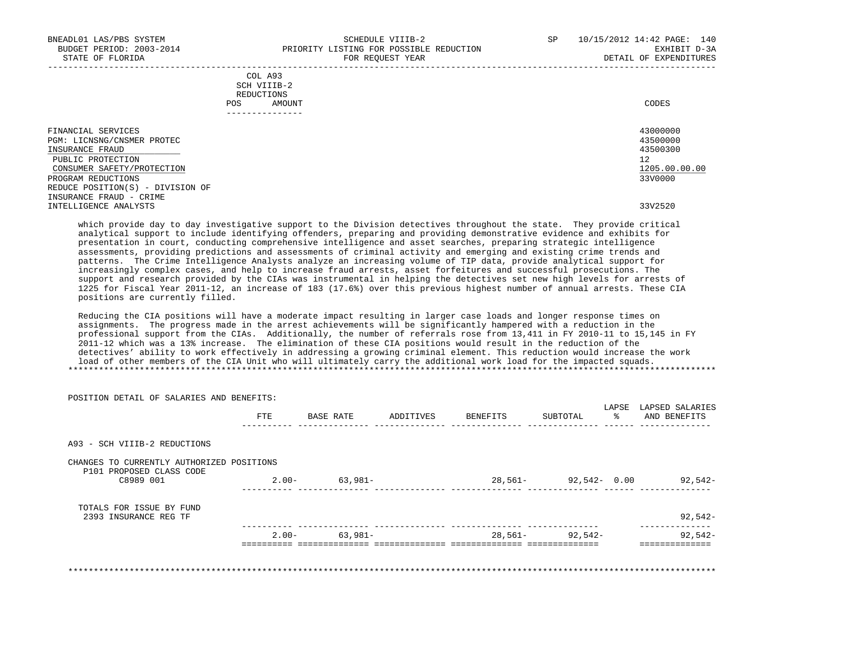|     | --------------- |       |
|-----|-----------------|-------|
| POS | AMOUNT          | CODES |
|     | REDUCTIONS      |       |
|     | SCH VIIIB-2     |       |
|     | COL A93         |       |

 FINANCIAL SERVICES 43000000 PGM: LICNSNG/CNSMER PROTEC 43500000<br>INSURANCE FRAUD 43500300 43500300 43500300 43500300 43500300 43500300 43500300 43500300 43500300 43500300 43500300 INSURANCE FRAUD 43500300 \_\_\_\_\_\_\_\_\_\_\_\_\_\_\_\_\_\_\_\_\_\_\_\_\_\_ PUBLIC PROTECTION 12<br>
CONSUMER SAFETY/PROTECTION 1205.00.00 CONSUMER SAFETY/PROTECTION 1205.00<br>PROGRAM REDUCTIONS 33V0000 PROGRAM REDUCTIONS REDUCE POSITION(S) - DIVISION OF INSURANCE FRAUD - CRIME INTELLIGENCE ANALYSTS 33V2520

 which provide day to day investigative support to the Division detectives throughout the state. They provide critical analytical support to include identifying offenders, preparing and providing demonstrative evidence and exhibits for presentation in court, conducting comprehensive intelligence and asset searches, preparing strategic intelligence assessments, providing predictions and assessments of criminal activity and emerging and existing crime trends and patterns. The Crime Intelligence Analysts analyze an increasing volume of TIP data, provide analytical support for increasingly complex cases, and help to increase fraud arrests, asset forfeitures and successful prosecutions. The support and research provided by the CIAs was instrumental in helping the detectives set new high levels for arrests of 1225 for Fiscal Year 2011-12, an increase of 183 (17.6%) over this previous highest number of annual arrests. These CIA positions are currently filled.

 Reducing the CIA positions will have a moderate impact resulting in larger case loads and longer response times on assignments. The progress made in the arrest achievements will be significantly hampered with a reduction in the professional support from the CIAs. Additionally, the number of referrals rose from 13,411 in FY 2010-11 to 15,145 in FY 2011-12 which was a 13% increase. The elimination of these CIA positions would result in the reduction of the detectives' ability to work effectively in addressing a growing criminal element. This reduction would increase the work load of other members of the CIA Unit who will ultimately carry the additional work load for the impacted squads. \*\*\*\*\*\*\*\*\*\*\*\*\*\*\*\*\*\*\*\*\*\*\*\*\*\*\*\*\*\*\*\*\*\*\*\*\*\*\*\*\*\*\*\*\*\*\*\*\*\*\*\*\*\*\*\*\*\*\*\*\*\*\*\*\*\*\*\*\*\*\*\*\*\*\*\*\*\*\*\*\*\*\*\*\*\*\*\*\*\*\*\*\*\*\*\*\*\*\*\*\*\*\*\*\*\*\*\*\*\*\*\*\*\*\*\*\*\*\*\*\*\*\*\*\*\*\*

 POSITION DETAIL OF SALARIES AND BENEFITS: LAPSE LAPSED SALARIES FTE BASE RATE ADDITIVES BENEFITS SUBTOTAL % AND BENEFITS ---------- -------------- -------------- -------------- -------------- ------ -------------- A93 - SCH VIIIB-2 REDUCTIONS CHANGES TO CURRENTLY AUTHORIZED POSITIONS P101 PROPOSED CLASS CODE C8989 001 2.00- 63,981- 28,561- 92,542- 0.00 92,542- ---------- -------------- -------------- -------------- -------------- ------ -------------- TOTALS FOR ISSUE BY FUND 2393 INSURANCE REG TF 92,542- ---------- -------------- -------------- -------------- -------------- -------------- 2.00- 63,981- 28,561- 92,542- 92,542- ========== ============== ============== ============== ============== ============== \*\*\*\*\*\*\*\*\*\*\*\*\*\*\*\*\*\*\*\*\*\*\*\*\*\*\*\*\*\*\*\*\*\*\*\*\*\*\*\*\*\*\*\*\*\*\*\*\*\*\*\*\*\*\*\*\*\*\*\*\*\*\*\*\*\*\*\*\*\*\*\*\*\*\*\*\*\*\*\*\*\*\*\*\*\*\*\*\*\*\*\*\*\*\*\*\*\*\*\*\*\*\*\*\*\*\*\*\*\*\*\*\*\*\*\*\*\*\*\*\*\*\*\*\*\*\*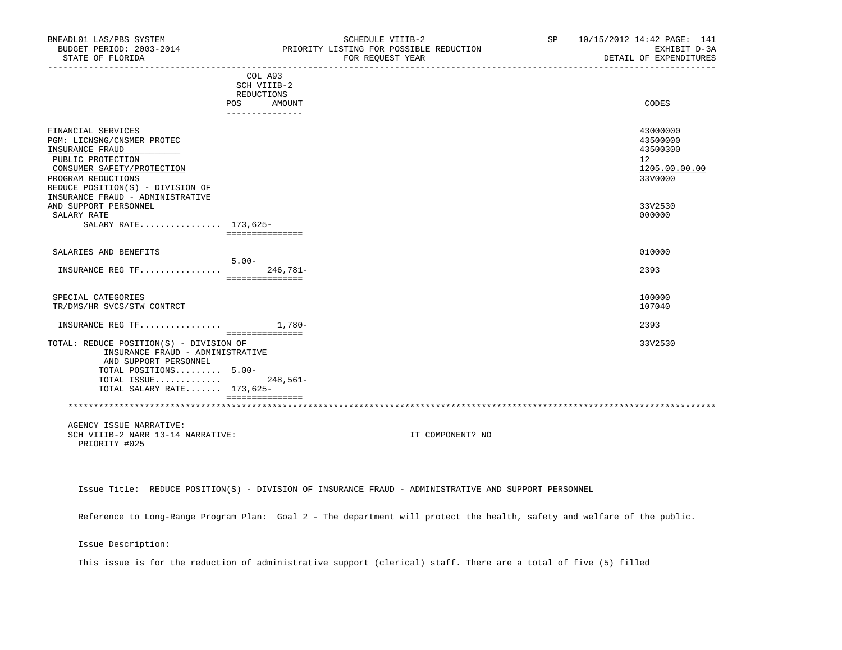| BNEADL01 LAS/PBS SYSTEM<br>BUDGET PERIOD: 2003-2014<br>STATE OF FLORIDA                                                                                                                                              |                                                       | SCHEDULE VIIIB-2<br>PRIORITY LISTING FOR POSSIBLE REDUCTION<br>FOR REQUEST YEAR<br>-------------------------------------- | SP <sub>2</sub> | 10/15/2012 14:42 PAGE: 141<br>EXHIBIT D-3A<br>DETAIL OF EXPENDITURES |
|----------------------------------------------------------------------------------------------------------------------------------------------------------------------------------------------------------------------|-------------------------------------------------------|---------------------------------------------------------------------------------------------------------------------------|-----------------|----------------------------------------------------------------------|
|                                                                                                                                                                                                                      | COL A93<br>SCH VIIIB-2<br>REDUCTIONS<br>POS<br>AMOUNT |                                                                                                                           |                 | CODES                                                                |
|                                                                                                                                                                                                                      | ---------------                                       |                                                                                                                           |                 |                                                                      |
| FINANCIAL SERVICES<br>PGM: LICNSNG/CNSMER PROTEC<br>INSURANCE FRAUD<br>PUBLIC PROTECTION<br>CONSUMER SAFETY/PROTECTION<br>PROGRAM REDUCTIONS<br>REDUCE POSITION(S) - DIVISION OF<br>INSURANCE FRAUD - ADMINISTRATIVE |                                                       |                                                                                                                           |                 | 43000000<br>43500000<br>43500300<br>12<br>1205.00.00.00<br>33V0000   |
| AND SUPPORT PERSONNEL<br>SALARY RATE<br>SALARY RATE 173,625-                                                                                                                                                         | ===============                                       |                                                                                                                           |                 | 33V2530<br>000000                                                    |
| SALARIES AND BENEFITS                                                                                                                                                                                                |                                                       |                                                                                                                           |                 | 010000                                                               |
| INSURANCE REG TF                                                                                                                                                                                                     | $5.00 -$<br>$246.781-$<br>===============             |                                                                                                                           |                 | 2393                                                                 |
| SPECIAL CATEGORIES<br>TR/DMS/HR SVCS/STW CONTRCT                                                                                                                                                                     |                                                       |                                                                                                                           |                 | 100000<br>107040                                                     |
|                                                                                                                                                                                                                      |                                                       |                                                                                                                           |                 | 2393                                                                 |
| TOTAL: REDUCE POSITION(S) - DIVISION OF<br>INSURANCE FRAUD - ADMINISTRATIVE<br>AND SUPPORT PERSONNEL<br>TOTAL POSITIONS $5.00-$<br>TOTAL ISSUE<br>TOTAL SALARY RATE 173,625-                                         | ===============<br>248,561-<br>===============        |                                                                                                                           |                 | 33V2530                                                              |
| AGENCY ISSUE NARRATIVE:<br>SCH VIIIB-2 NARR 13-14 NARRATIVE:<br>PRIORITY #025                                                                                                                                        |                                                       | IT COMPONENT? NO                                                                                                          |                 |                                                                      |

Issue Title: REDUCE POSITION(S) - DIVISION OF INSURANCE FRAUD - ADMINISTRATIVE AND SUPPORT PERSONNEL

Reference to Long-Range Program Plan: Goal 2 - The department will protect the health, safety and welfare of the public.

Issue Description:

This issue is for the reduction of administrative support (clerical) staff. There are a total of five (5) filled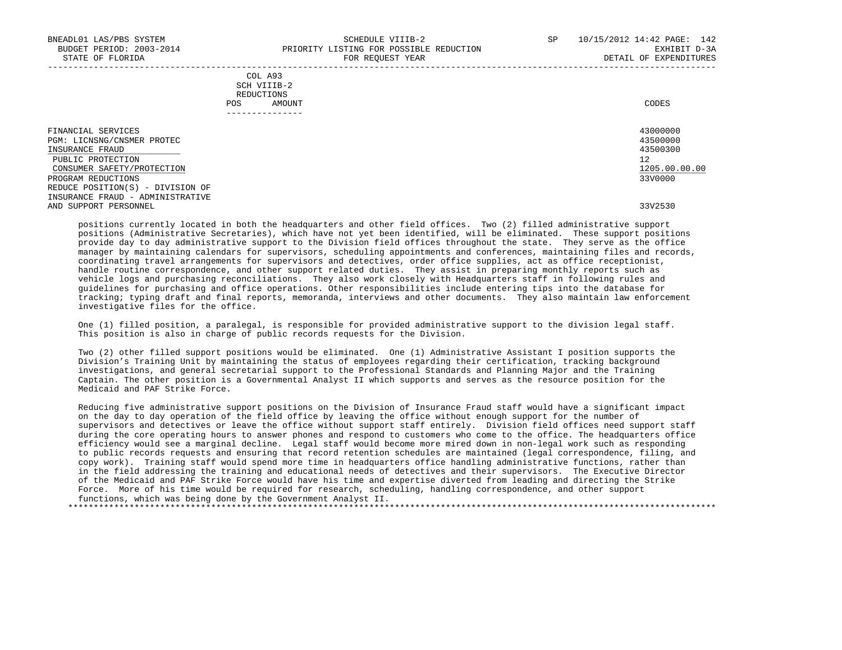|            | _______________ |       |
|------------|-----------------|-------|
| POS        | AMOUNT          | CODES |
| REDUCTIONS |                 |       |
|            | SCH VIIIB-2     |       |
|            | COL A93         |       |

 FINANCIAL SERVICES 43000000 PGM: LICNSNG/CNSMER PROTEC 43500000<br>INSURANCE FRAUD 43500300 43500300 43500300 43500300 43500300 43500300 43500300 43500300 43500300 43500300 43500300 INSURANCE FRAUD 43500300 \_\_\_\_\_\_\_\_\_\_\_\_\_\_\_\_\_\_\_\_\_\_\_\_\_\_ PUBLIC PROTECTION 12<br>
CONSUMER SAFETY/PROTECTION 1205.00.00  $\frac{\text{CONSUMER SAFFTY/PROTECTION}}{2205.00}$ PROGRAM REDUCTIONS REDUCE POSITION(S) - DIVISION OF INSURANCE FRAUD - ADMINISTRATIVE AND SUPPORT PERSONNEL 33V2530

 positions currently located in both the headquarters and other field offices. Two (2) filled administrative support positions (Administrative Secretaries), which have not yet been identified, will be eliminated. These support positions provide day to day administrative support to the Division field offices throughout the state. They serve as the office manager by maintaining calendars for supervisors, scheduling appointments and conferences, maintaining files and records, coordinating travel arrangements for supervisors and detectives, order office supplies, act as office receptionist, handle routine correspondence, and other support related duties. They assist in preparing monthly reports such as vehicle logs and purchasing reconciliations. They also work closely with Headquarters staff in following rules and guidelines for purchasing and office operations. Other responsibilities include entering tips into the database for tracking; typing draft and final reports, memoranda, interviews and other documents. They also maintain law enforcement investigative files for the office.

 One (1) filled position, a paralegal, is responsible for provided administrative support to the division legal staff. This position is also in charge of public records requests for the Division.

 Two (2) other filled support positions would be eliminated. One (1) Administrative Assistant I position supports the Division's Training Unit by maintaining the status of employees regarding their certification, tracking background investigations, and general secretarial support to the Professional Standards and Planning Major and the Training Captain. The other position is a Governmental Analyst II which supports and serves as the resource position for the Medicaid and PAF Strike Force.

 Reducing five administrative support positions on the Division of Insurance Fraud staff would have a significant impact on the day to day operation of the field office by leaving the office without enough support for the number of supervisors and detectives or leave the office without support staff entirely. Division field offices need support staff during the core operating hours to answer phones and respond to customers who come to the office. The headquarters office efficiency would see a marginal decline. Legal staff would become more mired down in non-legal work such as responding to public records requests and ensuring that record retention schedules are maintained (legal correspondence, filing, and copy work). Training staff would spend more time in headquarters office handling administrative functions, rather than in the field addressing the training and educational needs of detectives and their supervisors. The Executive Director of the Medicaid and PAF Strike Force would have his time and expertise diverted from leading and directing the Strike Force. More of his time would be required for research, scheduling, handling correspondence, and other support functions, which was being done by the Government Analyst II.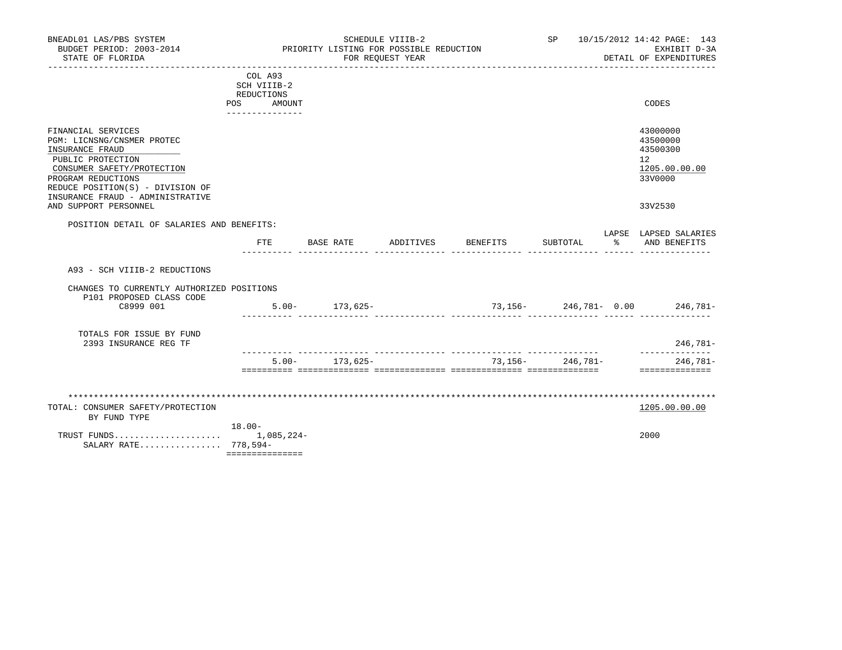| BNEADL01 LAS/PBS SYSTEM<br>BUDGET PERIOD: 2003-2014<br>STATE OF FLORIDA                                                                                                                                                                       | -------------------                                                      |          |                    | SCHEDULE VIIIB-2<br>PRIORITY LISTING FOR POSSIBLE REDUCTION<br>FOR REQUEST YEAR |          | SP <sub>2</sub> | 10/15/2012 14:42 PAGE: 143<br>EXHIBIT D-3A<br>DETAIL OF EXPENDITURES                        |
|-----------------------------------------------------------------------------------------------------------------------------------------------------------------------------------------------------------------------------------------------|--------------------------------------------------------------------------|----------|--------------------|---------------------------------------------------------------------------------|----------|-----------------|---------------------------------------------------------------------------------------------|
|                                                                                                                                                                                                                                               | COL A93<br>SCH VIIIB-2<br>REDUCTIONS<br>AMOUNT<br>POS<br>--------------- |          |                    |                                                                                 |          |                 | CODES                                                                                       |
| FINANCIAL SERVICES<br>PGM: LICNSNG/CNSMER PROTEC<br>INSURANCE FRAUD<br>PUBLIC PROTECTION<br>CONSUMER SAFETY/PROTECTION<br>PROGRAM REDUCTIONS<br>REDUCE POSITION(S) - DIVISION OF<br>INSURANCE FRAUD - ADMINISTRATIVE<br>AND SUPPORT PERSONNEL |                                                                          |          |                    |                                                                                 |          |                 | 43000000<br>43500000<br>43500300<br>12 <sup>12</sup><br>1205.00.00.00<br>33V0000<br>33V2530 |
| POSITION DETAIL OF SALARIES AND BENEFITS:                                                                                                                                                                                                     |                                                                          |          |                    |                                                                                 |          |                 | LAPSE LAPSED SALARIES                                                                       |
|                                                                                                                                                                                                                                               |                                                                          |          |                    | FTE BASE RATE ADDITIVES                                                         | BENEFITS | SUBTOTAL        | % AND BENEFITS                                                                              |
| A93 - SCH VIIIB-2 REDUCTIONS                                                                                                                                                                                                                  |                                                                          |          |                    |                                                                                 |          |                 |                                                                                             |
| CHANGES TO CURRENTLY AUTHORIZED POSITIONS<br>P101 PROPOSED CLASS CODE                                                                                                                                                                         |                                                                          |          |                    |                                                                                 |          |                 |                                                                                             |
| C8999 001                                                                                                                                                                                                                                     |                                                                          |          | $5.00 - 173,625 -$ |                                                                                 |          |                 | 73,156- 246,781- 0.00 246,781-                                                              |
| TOTALS FOR ISSUE BY FUND<br>2393 INSURANCE REG TF                                                                                                                                                                                             |                                                                          |          |                    |                                                                                 |          |                 | 246,781-                                                                                    |
|                                                                                                                                                                                                                                               |                                                                          | $5.00 -$ | 173,625-           |                                                                                 |          | 73,156-246,781- | ______________<br>246,781-                                                                  |
|                                                                                                                                                                                                                                               |                                                                          |          |                    |                                                                                 |          |                 | ==============                                                                              |
| TOTAL: CONSUMER SAFETY/PROTECTION<br>BY FUND TYPE                                                                                                                                                                                             |                                                                          |          |                    |                                                                                 |          |                 | 1205.00.00.00                                                                               |
| TRUST FUNDS<br>SALARY RATE 778,594-                                                                                                                                                                                                           | $18.00 -$<br>1,085,224-<br>===============                               |          |                    |                                                                                 |          |                 | 2000                                                                                        |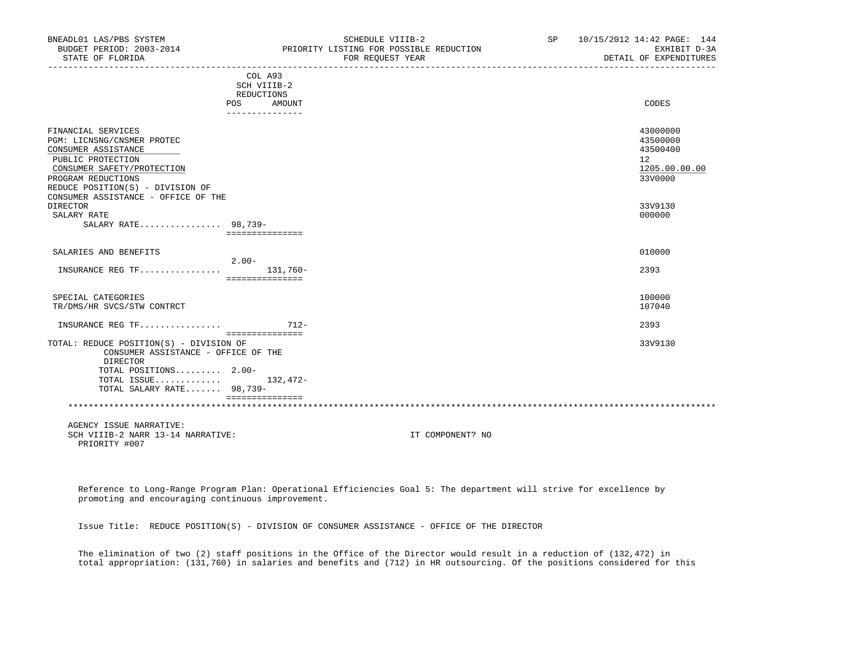| BNEADL01 LAS/PBS SYSTEM<br>BUDGET PERIOD: 2003-2014<br>STATE OF FLORIDA        |                           | SCHEDULE VIIIB-2<br>PRIORITY LISTING FOR POSSIBLE REDUCTION<br>FOR REQUEST YEAR | SP | 10/15/2012 14:42 PAGE: 144<br>EXHIBIT D-3A<br>DETAIL OF EXPENDITURES |
|--------------------------------------------------------------------------------|---------------------------|---------------------------------------------------------------------------------|----|----------------------------------------------------------------------|
|                                                                                | COL A93                   |                                                                                 |    |                                                                      |
|                                                                                | SCH VIIIB-2               |                                                                                 |    |                                                                      |
|                                                                                | REDUCTIONS                |                                                                                 |    |                                                                      |
| POS                                                                            | AMOUNT<br>_______________ |                                                                                 |    | CODES                                                                |
| FINANCIAL SERVICES                                                             |                           |                                                                                 |    | 43000000                                                             |
| PGM: LICNSNG/CNSMER PROTEC                                                     |                           |                                                                                 |    | 43500000                                                             |
| CONSUMER ASSISTANCE                                                            |                           |                                                                                 |    | 43500400                                                             |
| PUBLIC PROTECTION                                                              |                           |                                                                                 |    | 12 <sup>°</sup>                                                      |
| CONSUMER SAFETY/PROTECTION                                                     |                           |                                                                                 |    | 1205.00.00.00                                                        |
| PROGRAM REDUCTIONS                                                             |                           |                                                                                 |    | 33V0000                                                              |
| REDUCE POSITION(S) - DIVISION OF                                               |                           |                                                                                 |    |                                                                      |
| CONSUMER ASSISTANCE - OFFICE OF THE                                            |                           |                                                                                 |    |                                                                      |
| <b>DIRECTOR</b>                                                                |                           |                                                                                 |    | 33V9130                                                              |
| SALARY RATE                                                                    |                           |                                                                                 |    | 000000                                                               |
| SALARY RATE 98,739-                                                            |                           |                                                                                 |    |                                                                      |
|                                                                                | ===============           |                                                                                 |    |                                                                      |
| SALARIES AND BENEFITS                                                          |                           |                                                                                 |    | 010000                                                               |
|                                                                                | $2.00 -$                  |                                                                                 |    |                                                                      |
| INSURANCE REG TF 131,760-                                                      |                           |                                                                                 |    | 2393                                                                 |
|                                                                                | ===============           |                                                                                 |    |                                                                      |
| SPECIAL CATEGORIES                                                             |                           |                                                                                 |    | 100000                                                               |
| TR/DMS/HR SVCS/STW CONTRCT                                                     |                           |                                                                                 |    | 107040                                                               |
|                                                                                |                           |                                                                                 |    |                                                                      |
| INSURANCE REG TF                                                               | $712 -$                   |                                                                                 |    | 2393                                                                 |
|                                                                                | ===============           |                                                                                 |    | 33V9130                                                              |
| TOTAL: REDUCE POSITION(S) - DIVISION OF<br>CONSUMER ASSISTANCE - OFFICE OF THE |                           |                                                                                 |    |                                                                      |
| DIRECTOR                                                                       |                           |                                                                                 |    |                                                                      |
| TOTAL POSITIONS 2.00-                                                          |                           |                                                                                 |    |                                                                      |
| TOTAL ISSUE $132.472-$                                                         |                           |                                                                                 |    |                                                                      |
| TOTAL SALARY RATE 98,739-                                                      |                           |                                                                                 |    |                                                                      |
|                                                                                | ================          |                                                                                 |    |                                                                      |
|                                                                                |                           |                                                                                 |    |                                                                      |
| AGENCY ISSUE NARRATIVE:                                                        |                           |                                                                                 |    |                                                                      |
| SCH VIIIB-2 NARR 13-14 NARRATIVE:                                              |                           | IT COMPONENT? NO                                                                |    |                                                                      |

PRIORITY #007

 Reference to Long-Range Program Plan: Operational Efficiencies Goal 5: The department will strive for excellence by promoting and encouraging continuous improvement.

Issue Title: REDUCE POSITION(S) - DIVISION OF CONSUMER ASSISTANCE - OFFICE OF THE DIRECTOR

 The elimination of two (2) staff positions in the Office of the Director would result in a reduction of (132,472) in total appropriation: (131,760) in salaries and benefits and (712) in HR outsourcing. Of the positions considered for this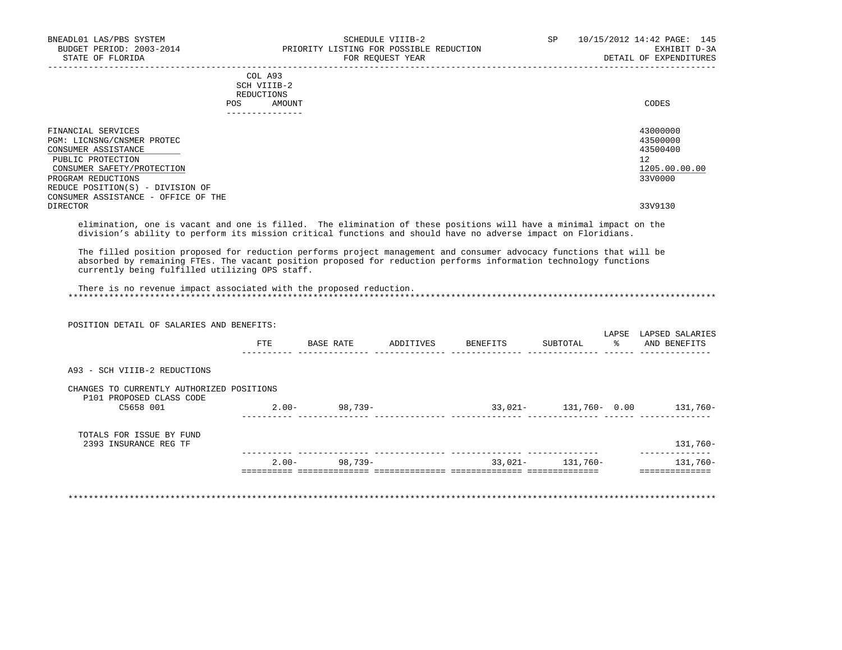| BUDGET PERIOD: 2003-2014<br>STATE OF FLORIDA                                                                                                                                                                                             |                               | PRIORITY LISTING FOR POSSIBLE REDUCTION   | FOR REQUEST YEAR |  | DETAIL OF EXPENDITURES                    |
|------------------------------------------------------------------------------------------------------------------------------------------------------------------------------------------------------------------------------------------|-------------------------------|-------------------------------------------|------------------|--|-------------------------------------------|
|                                                                                                                                                                                                                                          | COL A93                       |                                           |                  |  |                                           |
|                                                                                                                                                                                                                                          | SCH VIIIB-2                   |                                           |                  |  |                                           |
|                                                                                                                                                                                                                                          | REDUCTIONS                    |                                           |                  |  |                                           |
|                                                                                                                                                                                                                                          | POS AMOUNT<br>--------------- |                                           |                  |  | CODES                                     |
| FINANCIAL SERVICES                                                                                                                                                                                                                       |                               |                                           |                  |  | 43000000                                  |
| PGM: LICNSNG/CNSMER PROTEC                                                                                                                                                                                                               |                               |                                           |                  |  | 43500000                                  |
| CONSUMER ASSISTANCE                                                                                                                                                                                                                      |                               |                                           |                  |  | 43500400                                  |
| PUBLIC PROTECTION                                                                                                                                                                                                                        |                               |                                           |                  |  | 12 <sup>1</sup>                           |
| CONSUMER SAFETY/PROTECTION                                                                                                                                                                                                               |                               |                                           |                  |  | 1205.00.00.00                             |
| PROGRAM REDUCTIONS                                                                                                                                                                                                                       |                               |                                           |                  |  | 33V0000                                   |
| REDUCE POSITION(S) - DIVISION OF                                                                                                                                                                                                         |                               |                                           |                  |  |                                           |
| CONSUMER ASSISTANCE - OFFICE OF THE                                                                                                                                                                                                      |                               |                                           |                  |  |                                           |
| <b>DIRECTOR</b>                                                                                                                                                                                                                          |                               |                                           |                  |  | 33V9130                                   |
| division's ability to perform its mission critical functions and should have no adverse impact on Floridians.                                                                                                                            |                               |                                           |                  |  |                                           |
| The filled position proposed for reduction performs project management and consumer advocacy functions that will be                                                                                                                      |                               |                                           |                  |  |                                           |
| absorbed by remaining FTEs. The vacant position proposed for reduction performs information technology functions<br>currently being fulfilled utilizing OPS staff.<br>There is no revenue impact associated with the proposed reduction. |                               |                                           |                  |  |                                           |
| POSITION DETAIL OF SALARIES AND BENEFITS:                                                                                                                                                                                                |                               |                                           |                  |  |                                           |
|                                                                                                                                                                                                                                          |                               | FTE BASE RATE ADDITIVES BENEFITS SUBTOTAL |                  |  | % AND BENEFITS                            |
| A93 - SCH VIIIB-2 REDUCTIONS                                                                                                                                                                                                             |                               |                                           |                  |  |                                           |
| CHANGES TO CURRENTLY AUTHORIZED POSITIONS                                                                                                                                                                                                |                               |                                           |                  |  | LAPSE LAPSED SALARIES                     |
| P101 PROPOSED CLASS CODE<br>C5658 001                                                                                                                                                                                                    |                               |                                           |                  |  |                                           |
| TOTALS FOR ISSUE BY FUND                                                                                                                                                                                                                 |                               |                                           |                  |  |                                           |
| 2393 INSURANCE REG TF                                                                                                                                                                                                                    |                               | $2.00 - 98,739 - 33,021 - 131,760 -$      |                  |  | 131,760-<br>_______________<br>$131,760-$ |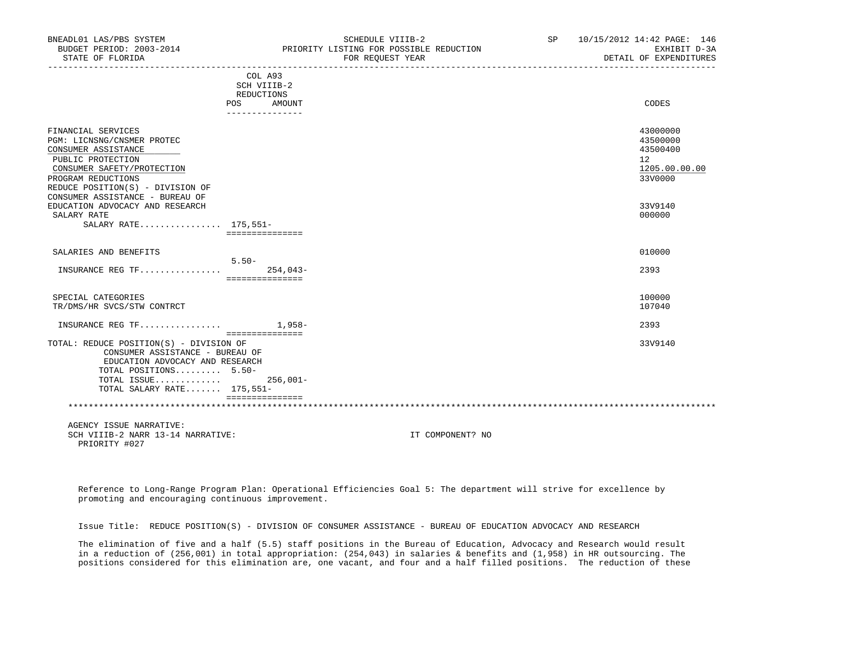| BNEADL01 LAS/PBS SYSTEM<br>BUDGET PERIOD: 2003-2014<br>STATE OF FLORIDA |                                     | SCHEDULE VIIIB-2<br>PRIORITY LISTING FOR POSSIBLE REDUCTION<br>FOR REQUEST YEAR | SP | 10/15/2012 14:42 PAGE: 146<br>EXHIBIT D-3A<br>DETAIL OF EXPENDITURES |
|-------------------------------------------------------------------------|-------------------------------------|---------------------------------------------------------------------------------|----|----------------------------------------------------------------------|
|                                                                         | COL A93                             |                                                                                 |    |                                                                      |
|                                                                         | SCH VIIIB-2<br>REDUCTIONS           |                                                                                 |    |                                                                      |
|                                                                         | POS<br>AMOUNT                       |                                                                                 |    | CODES                                                                |
|                                                                         | _______________                     |                                                                                 |    |                                                                      |
| FINANCIAL SERVICES                                                      |                                     |                                                                                 |    | 43000000                                                             |
| PGM: LICNSNG/CNSMER PROTEC                                              |                                     |                                                                                 |    | 43500000                                                             |
| CONSUMER ASSISTANCE                                                     |                                     |                                                                                 |    | 43500400                                                             |
| PUBLIC PROTECTION                                                       |                                     |                                                                                 |    | 12 <sup>°</sup>                                                      |
| CONSUMER SAFETY/PROTECTION                                              |                                     |                                                                                 |    | 1205.00.00.00                                                        |
| PROGRAM REDUCTIONS                                                      |                                     |                                                                                 |    | 33V0000                                                              |
| REDUCE POSITION(S) - DIVISION OF                                        |                                     |                                                                                 |    |                                                                      |
| CONSUMER ASSISTANCE - BUREAU OF                                         |                                     |                                                                                 |    |                                                                      |
| EDUCATION ADVOCACY AND RESEARCH                                         |                                     |                                                                                 |    | 33V9140                                                              |
| SALARY RATE<br>SALARY RATE 175,551-                                     |                                     |                                                                                 |    | 000000                                                               |
|                                                                         | ===============                     |                                                                                 |    |                                                                      |
| SALARIES AND BENEFITS                                                   |                                     |                                                                                 |    | 010000                                                               |
|                                                                         | $5.50 -$                            |                                                                                 |    |                                                                      |
| INSURANCE REG TF                                                        | $254.043-$                          |                                                                                 |    | 2393                                                                 |
|                                                                         | ===============                     |                                                                                 |    |                                                                      |
| SPECIAL CATEGORIES                                                      |                                     |                                                                                 |    | 100000                                                               |
| TR/DMS/HR SVCS/STW CONTRCT                                              |                                     |                                                                                 |    | 107040                                                               |
|                                                                         |                                     |                                                                                 |    |                                                                      |
| INSURANCE REG TF                                                        | $1.958 -$<br><b>BEBBBBBBBBBBBBB</b> |                                                                                 |    | 2393                                                                 |
| TOTAL: REDUCE POSITION(S) - DIVISION OF                                 |                                     |                                                                                 |    | 33V9140                                                              |
| CONSUMER ASSISTANCE - BUREAU OF                                         |                                     |                                                                                 |    |                                                                      |
| EDUCATION ADVOCACY AND RESEARCH                                         |                                     |                                                                                 |    |                                                                      |
| TOTAL POSITIONS 5.50-                                                   |                                     |                                                                                 |    |                                                                      |
| TOTAL ISSUE                                                             | 256,001-                            |                                                                                 |    |                                                                      |
| TOTAL SALARY RATE 175,551-                                              |                                     |                                                                                 |    |                                                                      |
|                                                                         | ================                    |                                                                                 |    |                                                                      |
|                                                                         |                                     |                                                                                 |    |                                                                      |
| AGENCY ISSUE NARRATIVE:                                                 |                                     |                                                                                 |    |                                                                      |
| SCH VIIIB-2 NARR 13-14 NARRATIVE:                                       |                                     | IT COMPONENT? NO                                                                |    |                                                                      |

PRIORITY #027

 Reference to Long-Range Program Plan: Operational Efficiencies Goal 5: The department will strive for excellence by promoting and encouraging continuous improvement.

Issue Title: REDUCE POSITION(S) - DIVISION OF CONSUMER ASSISTANCE - BUREAU OF EDUCATION ADVOCACY AND RESEARCH

 The elimination of five and a half (5.5) staff positions in the Bureau of Education, Advocacy and Research would result in a reduction of (256,001) in total appropriation: (254,043) in salaries & benefits and (1,958) in HR outsourcing. The positions considered for this elimination are, one vacant, and four and a half filled positions. The reduction of these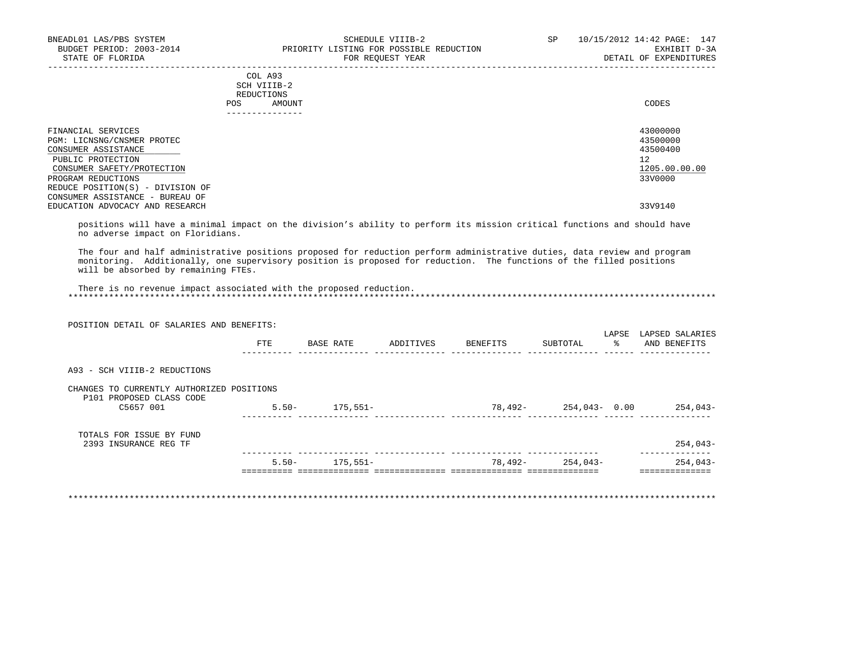|     | --------------- |       |
|-----|-----------------|-------|
| POS | AMOUNT          | CODES |
|     | REDUCTIONS      |       |
|     | SCH VIIIB-2     |       |
|     | COL A93         |       |

| FINANCIAL SERVICES                                                                                     | 43000000      |
|--------------------------------------------------------------------------------------------------------|---------------|
| PGM: LICNSNG/CNSMER PROTEC                                                                             | 43500000      |
| CONSUMER ASSISTANCE                                                                                    | 43500400      |
| PUBLIC PROTECTION                                                                                      | 12            |
| CONSUMER SAFETY/PROTECTION                                                                             | 1205.00.00.00 |
| PROGRAM REDUCTIONS                                                                                     | 33V0000       |
| REDUCE POSITION(S) - DIVISION OF<br>CONSUMER ASSISTANCE - BUREAU OF<br>EDUCATION ADVOCACY AND RESEARCH | 33V9140       |

 positions will have a minimal impact on the division's ability to perform its mission critical functions and should have no adverse impact on Floridians.

 The four and half administrative positions proposed for reduction perform administrative duties, data review and program monitoring. Additionally, one supervisory position is proposed for reduction. The functions of the filled positions will be absorbed by remaining FTEs.

 There is no revenue impact associated with the proposed reduction. \*\*\*\*\*\*\*\*\*\*\*\*\*\*\*\*\*\*\*\*\*\*\*\*\*\*\*\*\*\*\*\*\*\*\*\*\*\*\*\*\*\*\*\*\*\*\*\*\*\*\*\*\*\*\*\*\*\*\*\*\*\*\*\*\*\*\*\*\*\*\*\*\*\*\*\*\*\*\*\*\*\*\*\*\*\*\*\*\*\*\*\*\*\*\*\*\*\*\*\*\*\*\*\*\*\*\*\*\*\*\*\*\*\*\*\*\*\*\*\*\*\*\*\*\*\*\*

| POSITION DETAIL OF SALARIES AND BENEFITS:                             |          |           |           |          |              |                        |                                 |
|-----------------------------------------------------------------------|----------|-----------|-----------|----------|--------------|------------------------|---------------------------------|
|                                                                       | FTE      | BASE RATE | ADDITIVES | BENEFITS | SUBTOTAL     | LAPSE<br>$\frac{1}{6}$ | LAPSED SALARIES<br>AND BENEFITS |
| A93 - SCH VIIIB-2 REDUCTIONS                                          |          |           |           |          |              |                        |                                 |
| CHANGES TO CURRENTLY AUTHORIZED POSITIONS<br>P101 PROPOSED CLASS CODE |          |           |           |          |              |                        |                                 |
| C5657 001                                                             | $5.50 -$ | 175,551–  |           | 78,492-  | 254,043-0.00 |                        | 254,043-                        |
| TOTALS FOR ISSUE BY FUND                                              |          |           |           |          |              |                        |                                 |
| 2393 INSURANCE REG TF                                                 |          |           |           |          |              |                        | $254,043-$                      |
|                                                                       | $5.50 -$ | 175,551-  |           | 78,492-  | $254,043-$   |                        | $254,043-$                      |

\*\*\*\*\*\*\*\*\*\*\*\*\*\*\*\*\*\*\*\*\*\*\*\*\*\*\*\*\*\*\*\*\*\*\*\*\*\*\*\*\*\*\*\*\*\*\*\*\*\*\*\*\*\*\*\*\*\*\*\*\*\*\*\*\*\*\*\*\*\*\*\*\*\*\*\*\*\*\*\*\*\*\*\*\*\*\*\*\*\*\*\*\*\*\*\*\*\*\*\*\*\*\*\*\*\*\*\*\*\*\*\*\*\*\*\*\*\*\*\*\*\*\*\*\*\*\*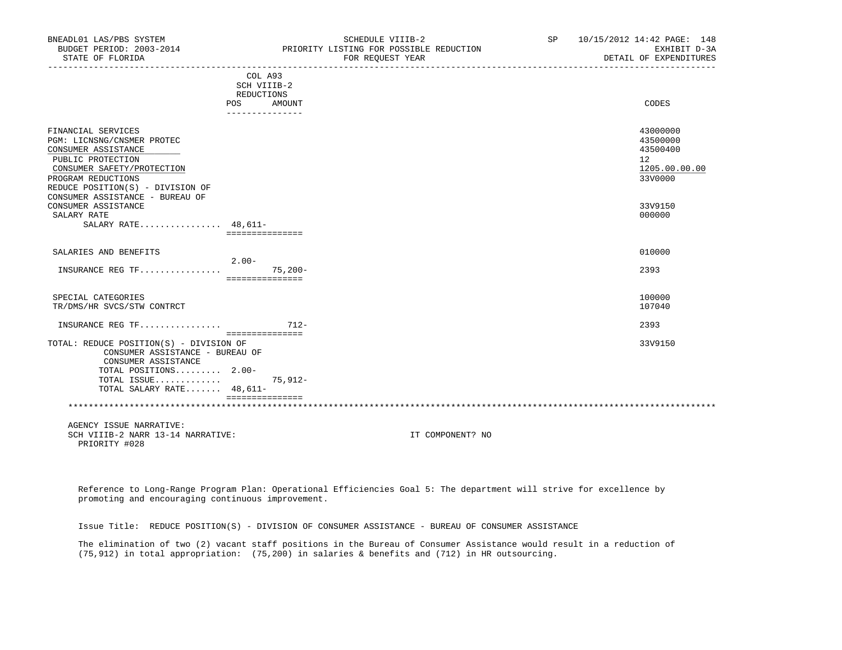| BNEADL01 LAS/PBS SYSTEM<br>BUDGET PERIOD: 2003-2014<br>STATE OF FLORIDA |                             | SCHEDULE VIIIB-2<br>PRIORITY LISTING FOR POSSIBLE REDUCTION<br>FOR REQUEST YEAR | SP | 10/15/2012 14:42 PAGE: 148<br>EXHIBIT D-3A<br>DETAIL OF EXPENDITURES |
|-------------------------------------------------------------------------|-----------------------------|---------------------------------------------------------------------------------|----|----------------------------------------------------------------------|
|                                                                         | COL A93                     |                                                                                 |    |                                                                      |
|                                                                         | SCH VIIIB-2                 |                                                                                 |    |                                                                      |
|                                                                         | REDUCTIONS<br>POS<br>AMOUNT |                                                                                 |    | CODES                                                                |
|                                                                         | _______________             |                                                                                 |    |                                                                      |
| FINANCIAL SERVICES                                                      |                             |                                                                                 |    | 43000000                                                             |
| PGM: LICNSNG/CNSMER PROTEC                                              |                             |                                                                                 |    | 43500000                                                             |
| CONSUMER ASSISTANCE                                                     |                             |                                                                                 |    | 43500400                                                             |
| PUBLIC PROTECTION                                                       |                             |                                                                                 |    | 12 <sup>°</sup>                                                      |
| CONSUMER SAFETY/PROTECTION                                              |                             |                                                                                 |    | 1205.00.00.00                                                        |
| PROGRAM REDUCTIONS                                                      |                             |                                                                                 |    | 33V0000                                                              |
| REDUCE POSITION(S) - DIVISION OF                                        |                             |                                                                                 |    |                                                                      |
| CONSUMER ASSISTANCE - BUREAU OF                                         |                             |                                                                                 |    |                                                                      |
| CONSUMER ASSISTANCE                                                     |                             |                                                                                 |    | 33V9150                                                              |
| SALARY RATE                                                             |                             |                                                                                 |    | 000000                                                               |
| SALARY RATE $48,611-$                                                   |                             |                                                                                 |    |                                                                      |
|                                                                         | ===============             |                                                                                 |    |                                                                      |
| SALARIES AND BENEFITS                                                   |                             |                                                                                 |    | 010000                                                               |
|                                                                         | $2.00 -$                    |                                                                                 |    |                                                                      |
| INSURANCE REG TF                                                        | $75.200 -$                  |                                                                                 |    | 2393                                                                 |
|                                                                         | ===============             |                                                                                 |    |                                                                      |
| SPECIAL CATEGORIES                                                      |                             |                                                                                 |    | 100000                                                               |
| TR/DMS/HR SVCS/STW CONTRCT                                              |                             |                                                                                 |    | 107040                                                               |
|                                                                         |                             |                                                                                 |    |                                                                      |
| INSURANCE REG TF                                                        | $712-$                      |                                                                                 |    | 2393                                                                 |
| TOTAL: REDUCE POSITION(S) - DIVISION OF                                 | seesseesseesses             |                                                                                 |    | 33V9150                                                              |
| CONSUMER ASSISTANCE - BUREAU OF                                         |                             |                                                                                 |    |                                                                      |
| CONSUMER ASSISTANCE                                                     |                             |                                                                                 |    |                                                                      |
| TOTAL POSITIONS 2.00-                                                   |                             |                                                                                 |    |                                                                      |
| TOTAL ISSUE                                                             | 75,912-                     |                                                                                 |    |                                                                      |
| TOTAL SALARY RATE 48, 611-                                              |                             |                                                                                 |    |                                                                      |
|                                                                         | ================            |                                                                                 |    |                                                                      |
|                                                                         |                             |                                                                                 |    |                                                                      |
| AGENCY ISSUE NARRATIVE:                                                 |                             |                                                                                 |    |                                                                      |
| SCH VIIIB-2 NARR 13-14 NARRATIVE:                                       |                             | IT COMPONENT? NO                                                                |    |                                                                      |

PRIORITY #028

 Reference to Long-Range Program Plan: Operational Efficiencies Goal 5: The department will strive for excellence by promoting and encouraging continuous improvement.

Issue Title: REDUCE POSITION(S) - DIVISION OF CONSUMER ASSISTANCE - BUREAU OF CONSUMER ASSISTANCE

 The elimination of two (2) vacant staff positions in the Bureau of Consumer Assistance would result in a reduction of (75,912) in total appropriation: (75,200) in salaries & benefits and (712) in HR outsourcing.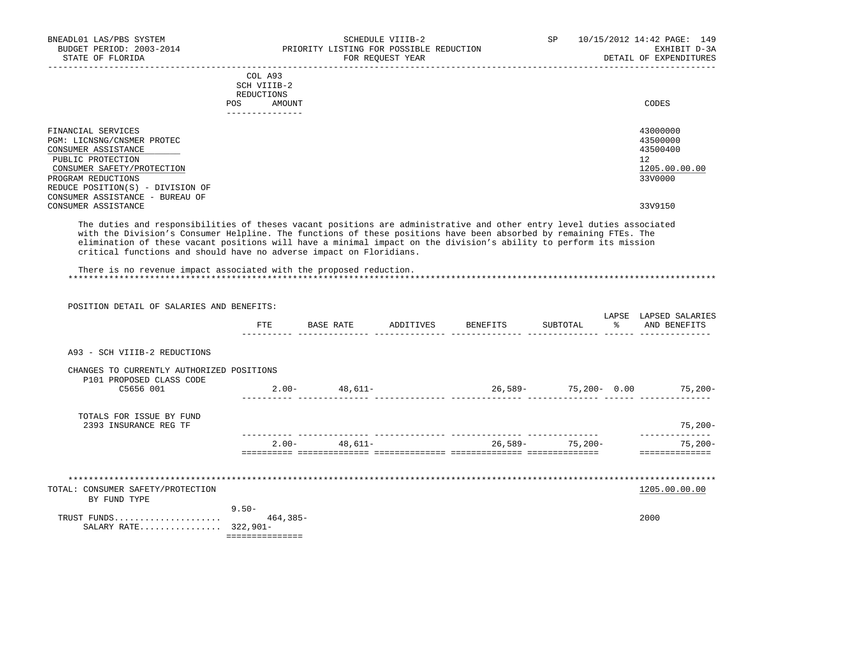| BNEADL01 LAS/PBS SYSTEM<br>BUDGET PERIOD: 2003-2014<br>STATE OF FLORIDA<br>___________________                                                                                                                                                                                                                                                                                      |                                                    | PRIORITY LISTING FOR POSSIBLE REDUCTION | SCHEDULE VIIIB-2<br>FOR REQUEST YEAR |                                              | <b>SP</b>       | 10/15/2012 14:42 PAGE: 149<br>EXHIBIT D-3A<br>DETAIL OF EXPENDITURES |
|-------------------------------------------------------------------------------------------------------------------------------------------------------------------------------------------------------------------------------------------------------------------------------------------------------------------------------------------------------------------------------------|----------------------------------------------------|-----------------------------------------|--------------------------------------|----------------------------------------------|-----------------|----------------------------------------------------------------------|
|                                                                                                                                                                                                                                                                                                                                                                                     | COL A93<br>SCH VIIIB-2<br>REDUCTIONS<br>POS AMOUNT |                                         |                                      |                                              |                 | CODES                                                                |
|                                                                                                                                                                                                                                                                                                                                                                                     | ---------------                                    |                                         |                                      |                                              |                 |                                                                      |
| FINANCIAL SERVICES<br>PGM: LICNSNG/CNSMER PROTEC<br>CONSUMER ASSISTANCE<br>PUBLIC PROTECTION<br>CONSUMER SAFETY/PROTECTION<br>PROGRAM REDUCTIONS<br>REDUCE POSITION(S) - DIVISION OF                                                                                                                                                                                                |                                                    |                                         |                                      |                                              |                 | 43000000<br>43500000<br>43500400<br>12<br>1205.00.00.00<br>33V0000   |
| CONSUMER ASSISTANCE - BUREAU OF<br>CONSUMER ASSISTANCE                                                                                                                                                                                                                                                                                                                              |                                                    |                                         |                                      |                                              |                 | 33V9150                                                              |
| with the Division's Consumer Helpline. The functions of these positions have been absorbed by remaining FTEs. The<br>elimination of these vacant positions will have a minimal impact on the division's ability to perform its mission<br>critical functions and should have no adverse impact on Floridians.<br>There is no revenue impact associated with the proposed reduction. |                                                    |                                         |                                      |                                              |                 |                                                                      |
| POSITION DETAIL OF SALARIES AND BENEFITS:                                                                                                                                                                                                                                                                                                                                           |                                                    |                                         |                                      |                                              |                 |                                                                      |
|                                                                                                                                                                                                                                                                                                                                                                                     |                                                    |                                         |                                      | FTE BASE RATE ADDITIVES BENEFITS             | SUBTOTAL        | LAPSE LAPSED SALARIES<br>% AND BENEFITS                              |
| A93 - SCH VIIIB-2 REDUCTIONS                                                                                                                                                                                                                                                                                                                                                        |                                                    |                                         |                                      |                                              |                 |                                                                      |
| CHANGES TO CURRENTLY AUTHORIZED POSITIONS                                                                                                                                                                                                                                                                                                                                           |                                                    |                                         |                                      |                                              |                 |                                                                      |
| P101 PROPOSED CLASS CODE<br>C5656 001                                                                                                                                                                                                                                                                                                                                               |                                                    |                                         |                                      | 2.00- $48,611 26,589 75,200-$ 0.00 $75,200-$ |                 |                                                                      |
| TOTALS FOR ISSUE BY FUND<br>2393 INSURANCE REG TF                                                                                                                                                                                                                                                                                                                                   |                                                    |                                         |                                      |                                              |                 | 75,200-                                                              |
|                                                                                                                                                                                                                                                                                                                                                                                     |                                                    | $2.00 - 48,611 -$                       |                                      |                                              | 26,589- 75,200- | _______________<br>$75.200 -$                                        |
|                                                                                                                                                                                                                                                                                                                                                                                     |                                                    |                                         |                                      |                                              |                 | ==============                                                       |
| TOTAL: CONSUMER SAFETY/PROTECTION                                                                                                                                                                                                                                                                                                                                                   |                                                    |                                         |                                      |                                              |                 | 1205.00.00.00                                                        |
| BY FUND TYPE                                                                                                                                                                                                                                                                                                                                                                        |                                                    |                                         |                                      |                                              |                 |                                                                      |
| TRUST FUNDS<br>SALARY RATE 322,901-                                                                                                                                                                                                                                                                                                                                                 | $9.50 -$<br>$464.385 -$<br>===============         |                                         |                                      |                                              |                 | 2000                                                                 |
|                                                                                                                                                                                                                                                                                                                                                                                     |                                                    |                                         |                                      |                                              |                 |                                                                      |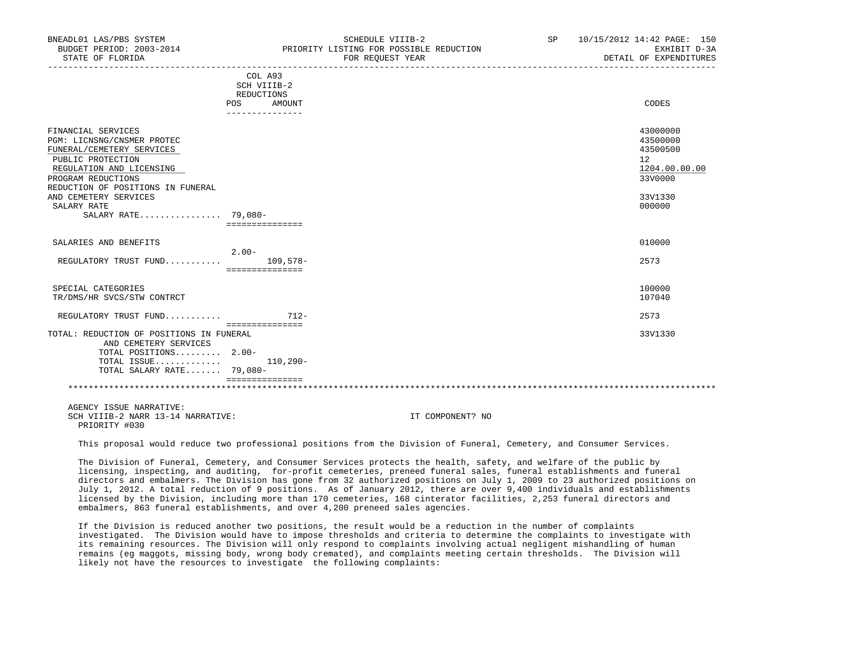| BNEADL01 LAS/PBS SYSTEM<br>BUDGET PERIOD: 2003-2014<br>STATE OF FLORIDA                                                                                                                                                                                  | SCHEDULE VIIIB-2<br>PRIORITY LISTING FOR POSSIBLE REDUCTION<br>FOR REOUEST YEAR | SP<br>10/15/2012 14:42 PAGE: 150<br>EXHIBIT D-3A<br>DETAIL OF EXPENDITURES              |
|----------------------------------------------------------------------------------------------------------------------------------------------------------------------------------------------------------------------------------------------------------|---------------------------------------------------------------------------------|-----------------------------------------------------------------------------------------|
|                                                                                                                                                                                                                                                          | COL A93<br>SCH VIIIB-2<br>REDUCTIONS<br>POS AMOUNT<br>---------------           | CODES                                                                                   |
| FINANCIAL SERVICES<br>PGM: LICNSNG/CNSMER PROTEC<br>FUNERAL/CEMETERY SERVICES<br>PUBLIC PROTECTION<br>REGULATION AND LICENSING<br>PROGRAM REDUCTIONS<br>REDUCTION OF POSITIONS IN FUNERAL<br>AND CEMETERY SERVICES<br>SALARY RATE<br>SALARY RATE 79,080- | ===============                                                                 | 43000000<br>43500000<br>43500500<br>12<br>1204.00.00.00<br>33V0000<br>33V1330<br>000000 |
| SALARIES AND BENEFITS<br>REGULATORY TRUST FUND                                                                                                                                                                                                           | $2.00 -$<br>$109.578 -$<br>===============                                      | 010000<br>2573                                                                          |
| SPECIAL CATEGORIES<br>TR/DMS/HR SVCS/STW CONTRCT                                                                                                                                                                                                         |                                                                                 | 100000<br>107040                                                                        |
| REGULATORY TRUST FUND                                                                                                                                                                                                                                    | $712 -$                                                                         | 2573                                                                                    |
| TOTAL: REDUCTION OF POSITIONS IN FUNERAL<br>AND CEMETERY SERVICES<br>TOTAL POSITIONS 2.00-<br>TOTAL ISSUE<br>TOTAL SALARY RATE 79,080-                                                                                                                   | ===============<br>$110, 290 -$<br>===============                              | 33V1330                                                                                 |
|                                                                                                                                                                                                                                                          |                                                                                 |                                                                                         |
| AGENCY ISSUE NARRATIVE:                                                                                                                                                                                                                                  |                                                                                 |                                                                                         |

SCH VIIIB-2 NARR 13-14 NARRATIVE: IT COMPONENT? NO PRIORITY #030

This proposal would reduce two professional positions from the Division of Funeral, Cemetery, and Consumer Services.

 The Division of Funeral, Cemetery, and Consumer Services protects the health, safety, and welfare of the public by licensing, inspecting, and auditing, for-profit cemeteries, preneed funeral sales, funeral establishments and funeral directors and embalmers. The Division has gone from 32 authorized positions on July 1, 2009 to 23 authorized positions on July 1, 2012. A total reduction of 9 positions. As of January 2012, there are over 9,400 individuals and establishments licensed by the Division, including more than 170 cemeteries, 168 cinterator facilities, 2,253 funeral directors and embalmers, 863 funeral establishments, and over 4,200 preneed sales agencies.

 If the Division is reduced another two positions, the result would be a reduction in the number of complaints investigated. The Division would have to impose thresholds and criteria to determine the complaints to investigate with its remaining resources. The Division will only respond to complaints involving actual negligent mishandling of human remains (eg maggots, missing body, wrong body cremated), and complaints meeting certain thresholds. The Division will likely not have the resources to investigate the following complaints: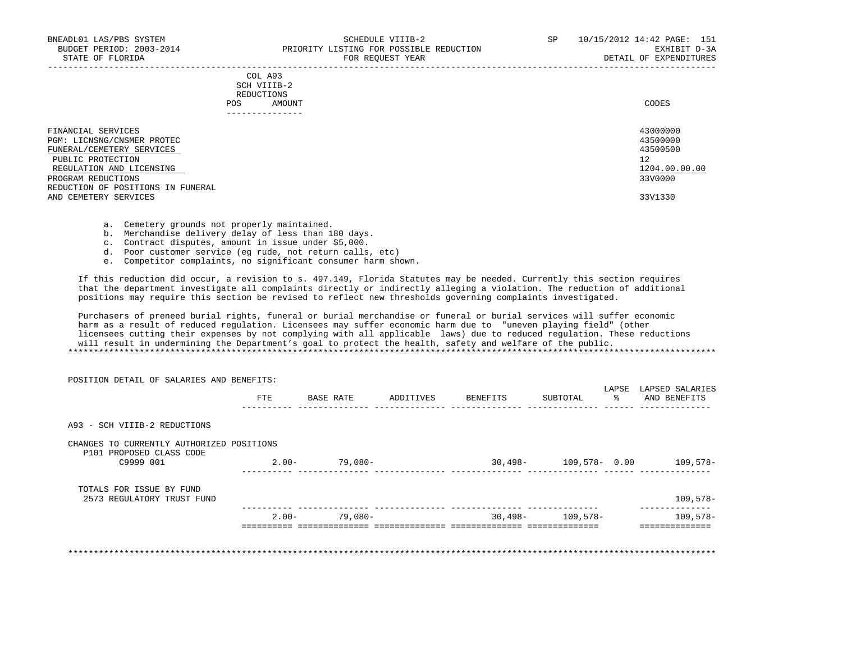|            | COL A93     |       |
|------------|-------------|-------|
|            | SCH VIIIB-2 |       |
| REDUCTIONS |             |       |
| POS        | AMOUNT      | CODES |

| FINANCIAL SERVICES<br>PGM: LICNSNG/CNSMER PROTEC<br>FUNERAL/CEMETERY SERVICES<br>PUBLIC PROTECTION<br>REGULATION AND LICENSING | 43000000<br>43500000<br>43500500<br>12<br>1204.00.00.00 |
|--------------------------------------------------------------------------------------------------------------------------------|---------------------------------------------------------|
| PROGRAM REDUCTIONS<br>REDUCTION OF POSITIONS IN FUNERAL                                                                        | 33V0000                                                 |
| AND CEMETERY SERVICES                                                                                                          | 33V1330                                                 |

a. Cemetery grounds not properly maintained.

- b. Merchandise delivery delay of less than 180 days.
- c. Contract disputes, amount in issue under \$5,000.
- d. Poor customer service (eg rude, not return calls, etc)
- e. Competitor complaints, no significant consumer harm shown.

 If this reduction did occur, a revision to s. 497.149, Florida Statutes may be needed. Currently this section requires that the department investigate all complaints directly or indirectly alleging a violation. The reduction of additional positions may require this section be revised to reflect new thresholds governing complaints investigated.

 Purchasers of preneed burial rights, funeral or burial merchandise or funeral or burial services will suffer economic harm as a result of reduced regulation. Licensees may suffer economic harm due to "uneven playing field" (other licensees cutting their expenses by not complying with all applicable laws) due to reduced regulation. These reductions will result in undermining the Department's goal to protect the health, safety and welfare of the public. \*\*\*\*\*\*\*\*\*\*\*\*\*\*\*\*\*\*\*\*\*\*\*\*\*\*\*\*\*\*\*\*\*\*\*\*\*\*\*\*\*\*\*\*\*\*\*\*\*\*\*\*\*\*\*\*\*\*\*\*\*\*\*\*\*\*\*\*\*\*\*\*\*\*\*\*\*\*\*\*\*\*\*\*\*\*\*\*\*\*\*\*\*\*\*\*\*\*\*\*\*\*\*\*\*\*\*\*\*\*\*\*\*\*\*\*\*\*\*\*\*\*\*\*\*\*\*

 POSITION DETAIL OF SALARIES AND BENEFITS: LAPSE LAPSED SALARIES FTE BASE RATE ADDITIVES BENEFITS SUBTOTAL % AND BENEFITS ---------- -------------- -------------- -------------- -------------- ------ -------------- A93 - SCH VIIIB-2 REDUCTIONS CHANGES TO CURRENTLY AUTHORIZED POSITIONS P101 PROPOSED CLASS CODE<br>C9999 001 C9999 001 2.00- 79,080- 30,498- 109,578- 0.00 109,578- ---------- -------------- -------------- -------------- -------------- ------ -------------- TOTALS FOR ISSUE BY FUND 2573 REGULATORY TRUST FUND 109,578- ---------- -------------- -------------- -------------- -------------- -------------- 2.00- 79,080- 30,498- 109,578- 109,578- ========== ============== ============== ============== ============== ==============

\*\*\*\*\*\*\*\*\*\*\*\*\*\*\*\*\*\*\*\*\*\*\*\*\*\*\*\*\*\*\*\*\*\*\*\*\*\*\*\*\*\*\*\*\*\*\*\*\*\*\*\*\*\*\*\*\*\*\*\*\*\*\*\*\*\*\*\*\*\*\*\*\*\*\*\*\*\*\*\*\*\*\*\*\*\*\*\*\*\*\*\*\*\*\*\*\*\*\*\*\*\*\*\*\*\*\*\*\*\*\*\*\*\*\*\*\*\*\*\*\*\*\*\*\*\*\*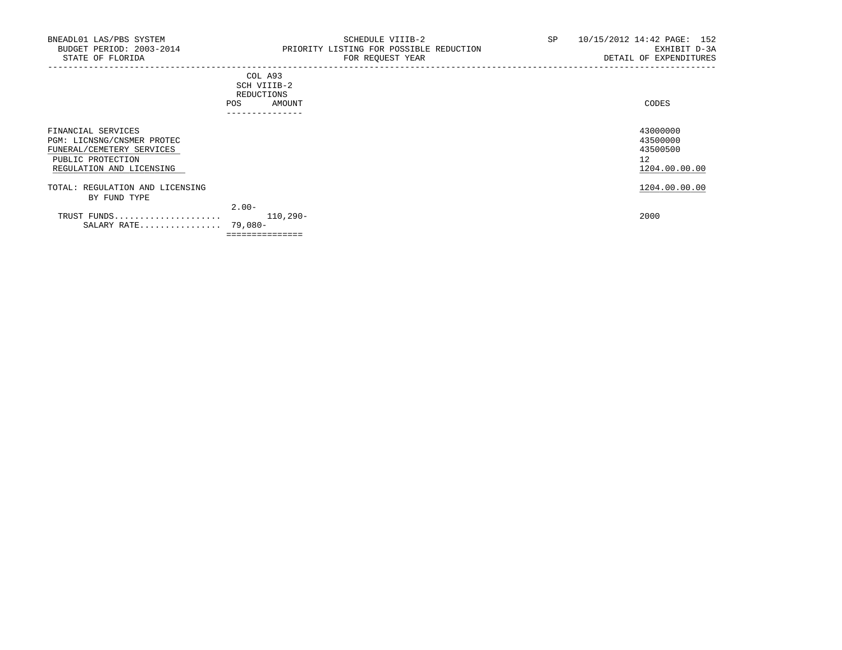## COL A93 SCH VIIIB-2 REDUCTIONS POS AMOUNT ---------------

| FINANCIAL SERVICES<br>PGM: LICNSNG/CNSMER PROTEC<br>FUNERAL/CEMETERY SERVICES<br>PUBLIC PROTECTION<br>REGULATION AND LICENSING |                         | 43000000<br>43500000<br>43500500<br>12<br>1204.00.00.00 |
|--------------------------------------------------------------------------------------------------------------------------------|-------------------------|---------------------------------------------------------|
| TOTAL: REGULATION AND LICENSING<br>BY FUND TYPE                                                                                |                         | 1204.00.00.00                                           |
|                                                                                                                                | $2.00 -$                |                                                         |
| TRUST FUNDS<br>SALARY RATE                                                                                                     | $110, 290 -$<br>79,080- | 2000                                                    |
|                                                                                                                                |                         |                                                         |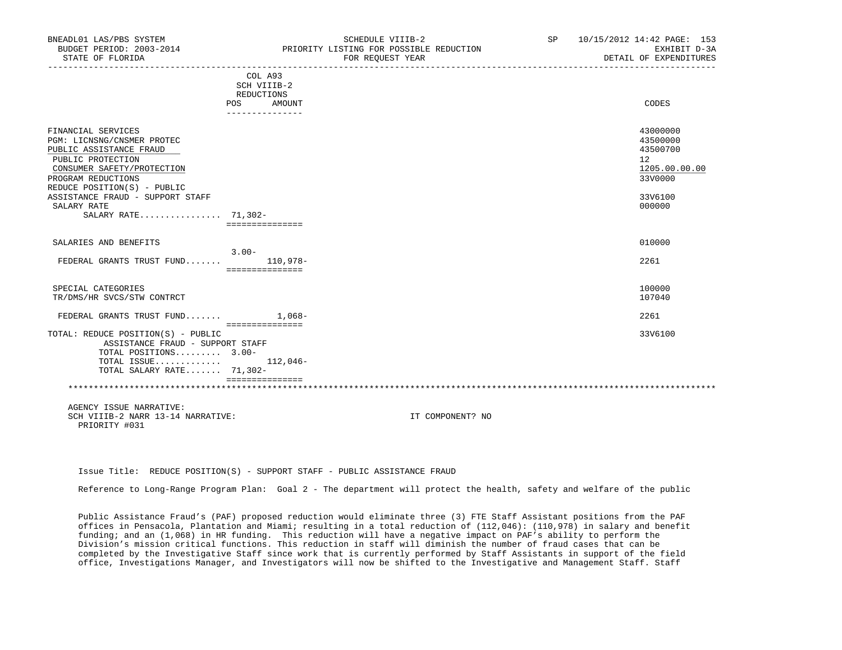| BNEADL01 LAS/PBS SYSTEM<br>BUDGET PERIOD: 2003-2014<br>STATE OF FLORIDA                                                                                                             |                                                       | SCHEDULE VIIIB-2<br>PRIORITY LISTING FOR POSSIBLE REDUCTION<br>FOR REQUEST YEAR<br>____________________________ | SP | 10/15/2012 14:42 PAGE: 153<br>EXHIBIT D-3A<br>DETAIL OF EXPENDITURES            |
|-------------------------------------------------------------------------------------------------------------------------------------------------------------------------------------|-------------------------------------------------------|-----------------------------------------------------------------------------------------------------------------|----|---------------------------------------------------------------------------------|
|                                                                                                                                                                                     | COL A93<br>SCH VIIIB-2<br>REDUCTIONS<br>POS<br>AMOUNT |                                                                                                                 |    | CODES                                                                           |
|                                                                                                                                                                                     | _______________                                       |                                                                                                                 |    |                                                                                 |
| FINANCIAL SERVICES<br>PGM: LICNSNG/CNSMER PROTEC<br>PUBLIC ASSISTANCE FRAUD<br>PUBLIC PROTECTION<br>CONSUMER SAFETY/PROTECTION<br>PROGRAM REDUCTIONS<br>REDUCE POSITION(S) - PUBLIC |                                                       |                                                                                                                 |    | 43000000<br>43500000<br>43500700<br>12 <sup>°</sup><br>1205.00.00.00<br>33V0000 |
| ASSISTANCE FRAUD - SUPPORT STAFF<br>SALARY RATE<br>SALARY RATE 71,302-                                                                                                              | ================                                      |                                                                                                                 |    | 33V6100<br>000000                                                               |
| SALARIES AND BENEFITS                                                                                                                                                               |                                                       |                                                                                                                 |    | 010000                                                                          |
| FEDERAL GRANTS TRUST FUND 110,978-                                                                                                                                                  | $3.00 -$<br>===============                           |                                                                                                                 |    | 2261                                                                            |
| SPECIAL CATEGORIES<br>TR/DMS/HR SVCS/STW CONTRCT                                                                                                                                    |                                                       |                                                                                                                 |    | 100000<br>107040                                                                |
| FEDERAL GRANTS TRUST FUND                                                                                                                                                           | $1.068-$                                              |                                                                                                                 |    | 2261                                                                            |
| TOTAL: REDUCE POSITION(S) - PUBLIC<br>ASSISTANCE FRAUD - SUPPORT STAFF<br>TOTAL POSITIONS 3.00-<br>TOTAL ISSUE $112,046-$<br>TOTAL SALARY RATE 71,302-                              | <b>BEBBBBBBBBBBBBB</b>                                |                                                                                                                 |    | 33V6100                                                                         |
|                                                                                                                                                                                     | ----------------                                      |                                                                                                                 |    |                                                                                 |

 AGENCY ISSUE NARRATIVE: SCH VIIIB-2 NARR 13-14 NARRATIVE: IT COMPONENT? NO PRIORITY #031

Issue Title: REDUCE POSITION(S) - SUPPORT STAFF - PUBLIC ASSISTANCE FRAUD

Reference to Long-Range Program Plan: Goal 2 - The department will protect the health, safety and welfare of the public

 Public Assistance Fraud's (PAF) proposed reduction would eliminate three (3) FTE Staff Assistant positions from the PAF offices in Pensacola, Plantation and Miami; resulting in a total reduction of (112,046): (110,978) in salary and benefit funding; and an (1,068) in HR funding. This reduction will have a negative impact on PAF's ability to perform the Division's mission critical functions. This reduction in staff will diminish the number of fraud cases that can be completed by the Investigative Staff since work that is currently performed by Staff Assistants in support of the field office, Investigations Manager, and Investigators will now be shifted to the Investigative and Management Staff. Staff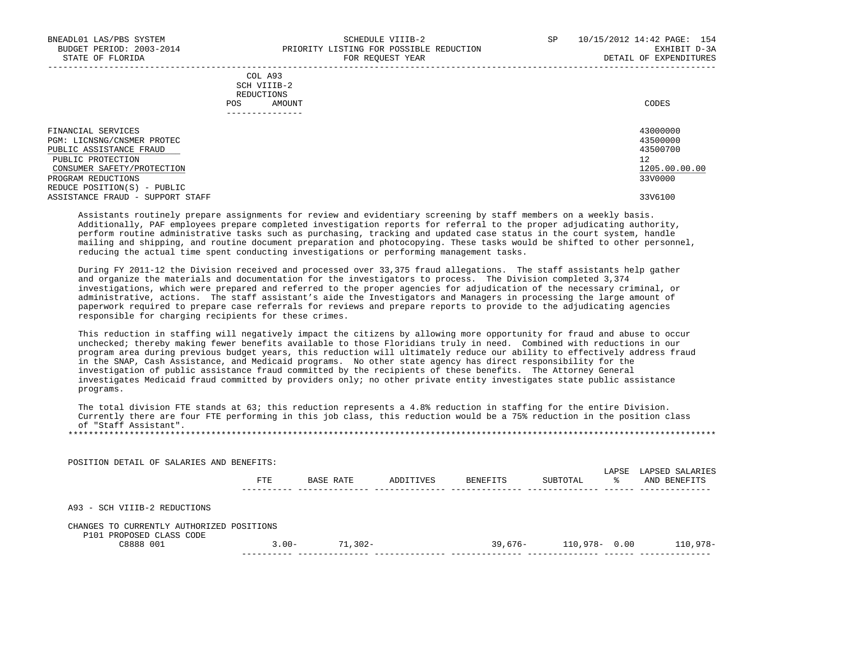|            | _______________ |       |
|------------|-----------------|-------|
| POS        | AMOUNT          | CODES |
| REDUCTIONS |                 |       |
|            | SCH VIIIB-2     |       |
|            | COL A93         |       |

| FINANCIAL SERVICES               | 43000000      |
|----------------------------------|---------------|
| PGM: LICNSNG/CNSMER PROTEC       | 43500000      |
| PUBLIC ASSISTANCE FRAUD          | 43500700      |
| PUBLIC PROTECTION                | 12            |
| CONSUMER SAFETY/PROTECTION       | 1205.00.00.00 |
| PROGRAM REDUCTIONS               | 33V0000       |
| REDUCE POSITION(S) - PUBLIC      |               |
| ASSISTANCE FRAUD - SUPPORT STAFF | 33V6100       |

 Assistants routinely prepare assignments for review and evidentiary screening by staff members on a weekly basis. Additionally, PAF employees prepare completed investigation reports for referral to the proper adjudicating authority, perform routine administrative tasks such as purchasing, tracking and updated case status in the court system, handle mailing and shipping, and routine document preparation and photocopying. These tasks would be shifted to other personnel, reducing the actual time spent conducting investigations or performing management tasks.

 During FY 2011-12 the Division received and processed over 33,375 fraud allegations. The staff assistants help gather and organize the materials and documentation for the investigators to process. The Division completed 3,374 investigations, which were prepared and referred to the proper agencies for adjudication of the necessary criminal, or administrative, actions. The staff assistant's aide the Investigators and Managers in processing the large amount of paperwork required to prepare case referrals for reviews and prepare reports to provide to the adjudicating agencies responsible for charging recipients for these crimes.

 This reduction in staffing will negatively impact the citizens by allowing more opportunity for fraud and abuse to occur unchecked; thereby making fewer benefits available to those Floridians truly in need. Combined with reductions in our program area during previous budget years, this reduction will ultimately reduce our ability to effectively address fraud in the SNAP, Cash Assistance, and Medicaid programs. No other state agency has direct responsibility for the investigation of public assistance fraud committed by the recipients of these benefits. The Attorney General investigates Medicaid fraud committed by providers only; no other private entity investigates state public assistance programs.

 The total division FTE stands at 63; this reduction represents a 4.8% reduction in staffing for the entire Division. Currently there are four FTE performing in this job class, this reduction would be a 75% reduction in the position class of "Staff Assistant". \*\*\*\*\*\*\*\*\*\*\*\*\*\*\*\*\*\*\*\*\*\*\*\*\*\*\*\*\*\*\*\*\*\*\*\*\*\*\*\*\*\*\*\*\*\*\*\*\*\*\*\*\*\*\*\*\*\*\*\*\*\*\*\*\*\*\*\*\*\*\*\*\*\*\*\*\*\*\*\*\*\*\*\*\*\*\*\*\*\*\*\*\*\*\*\*\*\*\*\*\*\*\*\*\*\*\*\*\*\*\*\*\*\*\*\*\*\*\*\*\*\*\*\*\*\*\*

| POSITION DETAIL OF SALARIES AND BENEFITS:                             |          |            |           |            |                  |             |                                 |
|-----------------------------------------------------------------------|----------|------------|-----------|------------|------------------|-------------|---------------------------------|
|                                                                       | FTE.     | BASE RATE  | ADDITIVES | BENEFITS   | SUBTOTAL         | LAPSE<br>°≈ | LAPSED SALARIES<br>AND BENEFITS |
| A93 - SCH VIIIB-2 REDUCTIONS                                          |          |            |           |            |                  |             |                                 |
| CHANGES TO CURRENTLY AUTHORIZED POSITIONS<br>P101 PROPOSED CLASS CODE |          |            |           |            |                  |             |                                 |
| C8888 001                                                             | $3.00 -$ | $71.302 -$ |           | $39.676 -$ | $110,978 - 0.00$ |             | 110,978-                        |
|                                                                       |          |            |           |            |                  |             |                                 |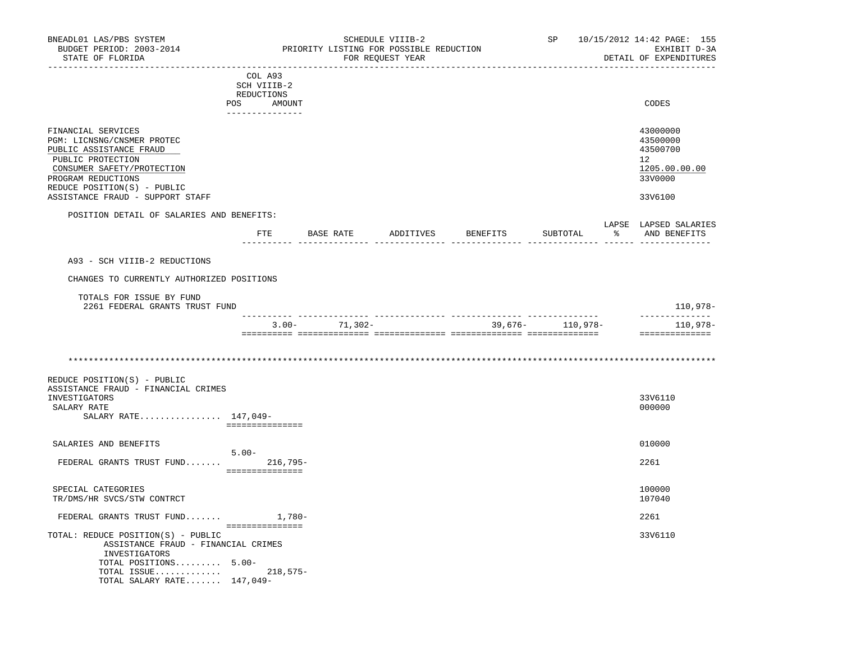| BNEADL01 LAS/PBS SYSTEM<br>BUDGET PERIOD: 2003-2014<br>STATE OF FLORIDA                                                                                                                                                 |                                                                       |          |                   | SCHEDULE VIIIB-2<br>PRIORITY LISTING FOR POSSIBLE REDUCTION<br>FOR REQUEST YEAR |                              | SP               |  | 10/15/2012 14:42 PAGE: 155<br>EXHIBIT D-3A<br>DETAIL OF EXPENDITURES          |
|-------------------------------------------------------------------------------------------------------------------------------------------------------------------------------------------------------------------------|-----------------------------------------------------------------------|----------|-------------------|---------------------------------------------------------------------------------|------------------------------|------------------|--|-------------------------------------------------------------------------------|
|                                                                                                                                                                                                                         | COL A93<br>SCH VIIIB-2<br>REDUCTIONS<br>POS AMOUNT<br>--------------- |          |                   |                                                                                 |                              |                  |  | CODES                                                                         |
| FINANCIAL SERVICES<br>PGM: LICNSNG/CNSMER PROTEC<br>PUBLIC ASSISTANCE FRAUD<br>PUBLIC PROTECTION<br>CONSUMER SAFETY/PROTECTION<br>PROGRAM REDUCTIONS<br>REDUCE POSITION(S) - PUBLIC<br>ASSISTANCE FRAUD - SUPPORT STAFF |                                                                       |          |                   |                                                                                 |                              |                  |  | 43000000<br>43500000<br>43500700<br>12<br>1205.00.00.00<br>33V0000<br>33V6100 |
| POSITION DETAIL OF SALARIES AND BENEFITS:                                                                                                                                                                               | $_{\rm FTE}$                                                          |          |                   |                                                                                 | BASE RATE ADDITIVES BENEFITS | SUBTOTAL         |  | LAPSE LAPSED SALARIES<br>% AND BENEFITS                                       |
|                                                                                                                                                                                                                         |                                                                       |          |                   |                                                                                 |                              |                  |  |                                                                               |
| A93 - SCH VIIIB-2 REDUCTIONS                                                                                                                                                                                            |                                                                       |          |                   |                                                                                 |                              |                  |  |                                                                               |
| CHANGES TO CURRENTLY AUTHORIZED POSITIONS                                                                                                                                                                               |                                                                       |          |                   |                                                                                 |                              |                  |  |                                                                               |
| TOTALS FOR ISSUE BY FUND<br>2261 FEDERAL GRANTS TRUST FUND                                                                                                                                                              |                                                                       |          |                   |                                                                                 |                              |                  |  | 110,978-<br>--------------                                                    |
|                                                                                                                                                                                                                         |                                                                       |          | $3.00 - 71,302 -$ |                                                                                 |                              | 39,676- 110,978- |  | 110,978-                                                                      |
|                                                                                                                                                                                                                         |                                                                       |          |                   |                                                                                 |                              |                  |  | ==============                                                                |
|                                                                                                                                                                                                                         |                                                                       |          |                   |                                                                                 |                              |                  |  |                                                                               |
| REDUCE POSITION(S) - PUBLIC<br>ASSISTANCE FRAUD - FINANCIAL CRIMES<br>INVESTIGATORS<br>SALARY RATE<br>SALARY RATE 147,049-                                                                                              | ===============                                                       |          |                   |                                                                                 |                              |                  |  | 33V6110<br>000000                                                             |
| SALARIES AND BENEFITS                                                                                                                                                                                                   |                                                                       |          |                   |                                                                                 |                              |                  |  | 010000                                                                        |
| FEDERAL GRANTS TRUST FUND                                                                                                                                                                                               | $5.00 -$<br>===============                                           | 216,795- |                   |                                                                                 |                              |                  |  | 2261                                                                          |
| SPECIAL CATEGORIES<br>TR/DMS/HR SVCS/STW CONTRCT                                                                                                                                                                        |                                                                       |          |                   |                                                                                 |                              |                  |  | 100000<br>107040                                                              |
| FEDERAL GRANTS TRUST FUND                                                                                                                                                                                               |                                                                       | 1,780-   |                   |                                                                                 |                              |                  |  | 2261                                                                          |
| TOTAL: REDUCE POSITION(S) - PUBLIC<br>ASSISTANCE FRAUD - FINANCIAL CRIMES<br>INVESTIGATORS<br>TOTAL POSITIONS 5.00-<br>TOTAL ISSUE<br>TOTAL SALARY RATE $147,049-$                                                      | ----------------                                                      | 218,575- |                   |                                                                                 |                              |                  |  | 33V6110                                                                       |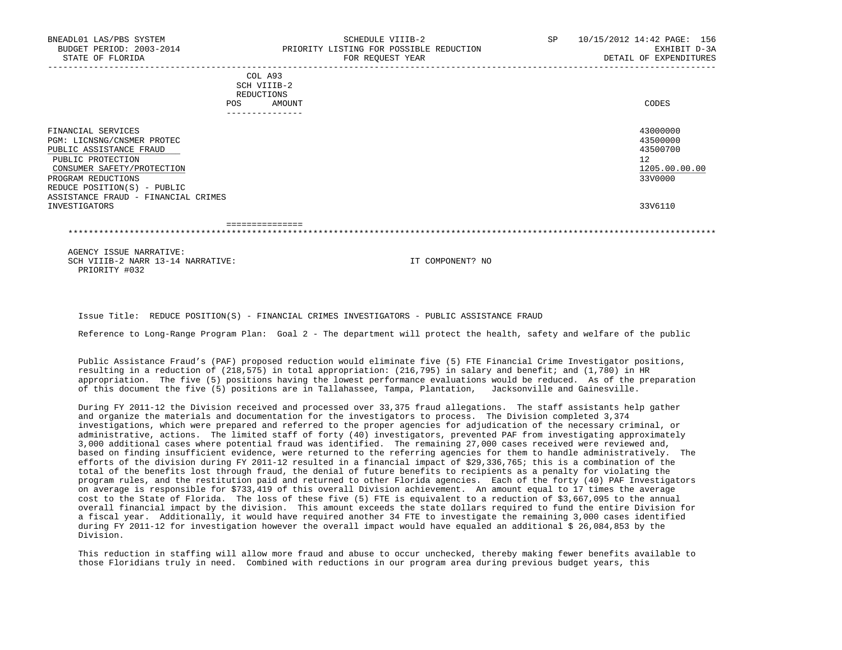| BNEADL01 LAS/PBS SYSTEM<br>BUDGET PERIOD: 2003-2014<br>STATE OF FLORIDA                                                                                                                                                                     |                                                                          | SCHEDULE VIIIB-2<br>PRIORITY LISTING FOR POSSIBLE REDUCTION<br>FOR REQUEST YEAR | <b>SP</b> | 10/15/2012 14:42 PAGE: 156<br>EXHIBIT D-3A<br>DETAIL OF EXPENDITURES          |
|---------------------------------------------------------------------------------------------------------------------------------------------------------------------------------------------------------------------------------------------|--------------------------------------------------------------------------|---------------------------------------------------------------------------------|-----------|-------------------------------------------------------------------------------|
|                                                                                                                                                                                                                                             | COL A93<br>SCH VIIIB-2<br>REDUCTIONS<br>AMOUNT<br>POS.<br>-------------- |                                                                                 |           | CODES                                                                         |
| FINANCIAL SERVICES<br>PGM: LICNSNG/CNSMER PROTEC<br>PUBLIC ASSISTANCE FRAUD<br>PUBLIC PROTECTION<br>CONSUMER SAFETY/PROTECTION<br>PROGRAM REDUCTIONS<br>REDUCE POSITION(S) - PUBLIC<br>ASSISTANCE FRAUD - FINANCIAL CRIMES<br>INVESTIGATORS |                                                                          |                                                                                 |           | 43000000<br>43500000<br>43500700<br>12<br>1205.00.00.00<br>33V0000<br>33V6110 |
|                                                                                                                                                                                                                                             | ===============                                                          |                                                                                 |           |                                                                               |

\*\*\*\*\*\*\*\*\*\*\*\*\*\*\*\*\*\*\*\*\*\*\*\*\*\*\*\*\*\*\*\*\*\*\*\*\*\*\*\*\*\*\*\*\*\*\*\*\*\*\*\*\*\*\*\*\*\*\*\*\*\*\*\*\*\*\*\*\*\*\*\*\*\*\*\*\*\*\*\*\*\*\*\*\*\*\*\*\*\*\*\*\*\*\*\*\*\*\*\*\*\*\*\*\*\*\*\*\*\*\*\*\*\*\*\*\*\*\*\*\*\*\*\*\*\*\*

 AGENCY ISSUE NARRATIVE: SCH VIIIB-2 NARR 13-14 NARRATIVE: IT COMPONENT? NO PRIORITY #032

Issue Title: REDUCE POSITION(S) - FINANCIAL CRIMES INVESTIGATORS - PUBLIC ASSISTANCE FRAUD

Reference to Long-Range Program Plan: Goal 2 - The department will protect the health, safety and welfare of the public

 Public Assistance Fraud's (PAF) proposed reduction would eliminate five (5) FTE Financial Crime Investigator positions, resulting in a reduction of (218,575) in total appropriation: (216,795) in salary and benefit; and (1,780) in HR appropriation. The five (5) positions having the lowest performance evaluations would be reduced. As of the preparation of this document the five (5) positions are in Tallahassee, Tampa, Plantation, Jacksonville and Gainesville.

 During FY 2011-12 the Division received and processed over 33,375 fraud allegations. The staff assistants help gather and organize the materials and documentation for the investigators to process. The Division completed 3,374 investigations, which were prepared and referred to the proper agencies for adjudication of the necessary criminal, or administrative, actions. The limited staff of forty (40) investigators, prevented PAF from investigating approximately 3,000 additional cases where potential fraud was identified. The remaining 27,000 cases received were reviewed and, based on finding insufficient evidence, were returned to the referring agencies for them to handle administratively. The efforts of the division during FY 2011-12 resulted in a financial impact of \$29,336,765; this is a combination of the total of the benefits lost through fraud, the denial of future benefits to recipients as a penalty for violating the program rules, and the restitution paid and returned to other Florida agencies. Each of the forty (40) PAF Investigators on average is responsible for \$733,419 of this overall Division achievement. An amount equal to 17 times the average cost to the State of Florida. The loss of these five (5) FTE is equivalent to a reduction of \$3,667,095 to the annual overall financial impact by the division. This amount exceeds the state dollars required to fund the entire Division for a fiscal year. Additionally, it would have required another 34 FTE to investigate the remaining 3,000 cases identified during FY 2011-12 for investigation however the overall impact would have equaled an additional \$ 26,084,853 by the Division.

 This reduction in staffing will allow more fraud and abuse to occur unchecked, thereby making fewer benefits available to those Floridians truly in need. Combined with reductions in our program area during previous budget years, this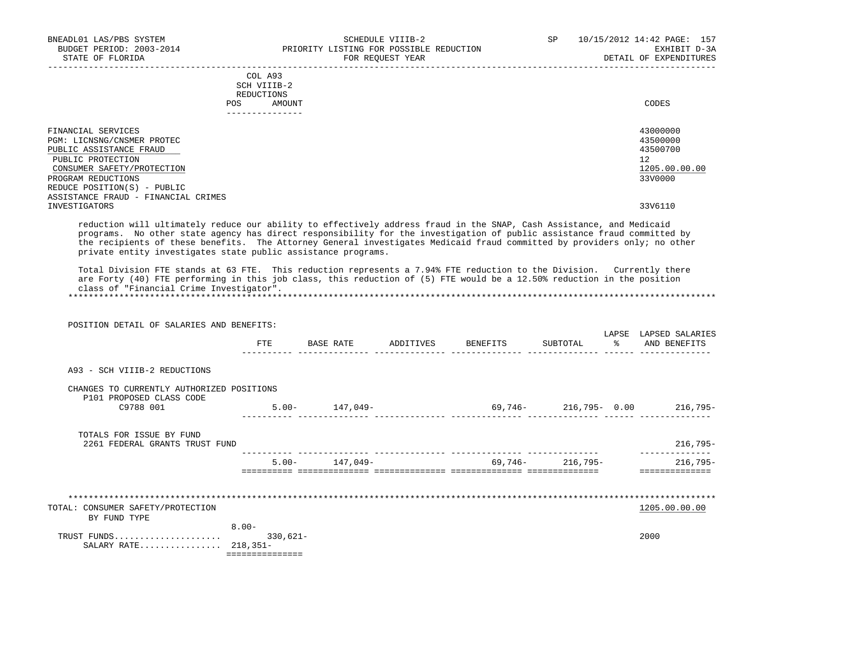| BUDGET PERIOD: 2003-2014<br>STATE OF FLORIDA<br>--------------------------                                                                                                                                                                                                                                                                                                                                                                   |                                                          | PRIORITY LISTING FOR POSSIBLE REDUCTION | FOR REOUEST YEAR |                                                    |          |    | EXHIBIT D-3A<br>DETAIL OF EXPENDITURES                       |
|----------------------------------------------------------------------------------------------------------------------------------------------------------------------------------------------------------------------------------------------------------------------------------------------------------------------------------------------------------------------------------------------------------------------------------------------|----------------------------------------------------------|-----------------------------------------|------------------|----------------------------------------------------|----------|----|--------------------------------------------------------------|
|                                                                                                                                                                                                                                                                                                                                                                                                                                              | COL A93<br>SCH VIIIB-2<br>REDUCTIONS<br>POS DO<br>AMOUNT |                                         |                  |                                                    |          |    | CODES                                                        |
|                                                                                                                                                                                                                                                                                                                                                                                                                                              | _______________                                          |                                         |                  |                                                    |          |    |                                                              |
| FINANCIAL SERVICES<br>PGM: LICNSNG/CNSMER PROTEC<br>PUBLIC ASSISTANCE FRAUD<br>PUBLIC PROTECTION<br>CONSUMER SAFETY/PROTECTION<br>PROGRAM REDUCTIONS<br>REDUCE POSITION(S) - PUBLIC<br>ASSISTANCE FRAUD - FINANCIAL CRIMES                                                                                                                                                                                                                   |                                                          |                                         |                  |                                                    |          | 12 | 43000000<br>43500000<br>43500700<br>1205.00.00.00<br>33V0000 |
| INVESTIGATORS                                                                                                                                                                                                                                                                                                                                                                                                                                |                                                          |                                         |                  |                                                    |          |    | 33V6110                                                      |
| reduction will ultimately reduce our ability to effectively address fraud in the SNAP, Cash Assistance, and Medicaid<br>programs. No other state agency has direct responsibility for the investigation of public assistance fraud committed by<br>the recipients of these benefits. The Attorney General investigates Medicaid fraud committed by providers only; no other<br>private entity investigates state public assistance programs. |                                                          |                                         |                  |                                                    |          |    |                                                              |
| Total Division FTE stands at 63 FTE. This reduction represents a 7.94% FTE reduction to the Division. Currently there<br>are Forty (40) FTE performing in this job class, this reduction of (5) FTE would be a 12.50% reduction in the position<br>class of "Financial Crime Investigator".                                                                                                                                                  |                                                          |                                         |                  |                                                    |          |    |                                                              |
| POSITION DETAIL OF SALARIES AND BENEFITS:                                                                                                                                                                                                                                                                                                                                                                                                    |                                                          |                                         |                  |                                                    |          |    |                                                              |
|                                                                                                                                                                                                                                                                                                                                                                                                                                              |                                                          |                                         |                  | FTE BASE RATE ADDITIVES BENEFITS                   | SUBTOTAL |    | LAPSE LAPSED SALARIES<br>% AND BENEFITS                      |
| A93 - SCH VIIIB-2 REDUCTIONS                                                                                                                                                                                                                                                                                                                                                                                                                 |                                                          |                                         |                  |                                                    |          |    |                                                              |
| CHANGES TO CURRENTLY AUTHORIZED POSITIONS                                                                                                                                                                                                                                                                                                                                                                                                    |                                                          |                                         |                  |                                                    |          |    |                                                              |
| P101 PROPOSED CLASS CODE<br>C9788 001                                                                                                                                                                                                                                                                                                                                                                                                        |                                                          |                                         |                  | $5.00 - 147,049 - 69,746 - 216,795 - 0.00$ 216,795 |          |    |                                                              |
| TOTALS FOR ISSUE BY FUND<br>2261 FEDERAL GRANTS TRUST FUND                                                                                                                                                                                                                                                                                                                                                                                   |                                                          |                                         |                  |                                                    |          |    | 216,795-                                                     |
|                                                                                                                                                                                                                                                                                                                                                                                                                                              |                                                          |                                         |                  | $5.00 - 147,049 - 69,746 - 216,795 -$              |          |    | _______________<br>$216,795-$<br>---------------             |
|                                                                                                                                                                                                                                                                                                                                                                                                                                              |                                                          |                                         |                  |                                                    |          |    |                                                              |
| TOTAL: CONSUMER SAFETY/PROTECTION<br>BY FUND TYPE                                                                                                                                                                                                                                                                                                                                                                                            |                                                          |                                         |                  |                                                    |          |    | 1205.00.00.00                                                |
| SALARY RATE 218,351-                                                                                                                                                                                                                                                                                                                                                                                                                         | $8.00 -$<br>===============                              |                                         |                  |                                                    |          |    | 2000                                                         |

BNEADL01 LAS/PBS SYSTEM SCHEDULE VIIIB-2 SCHEDULE VIIIB-2 SP 10/15/2012 14:42 PAGE: 157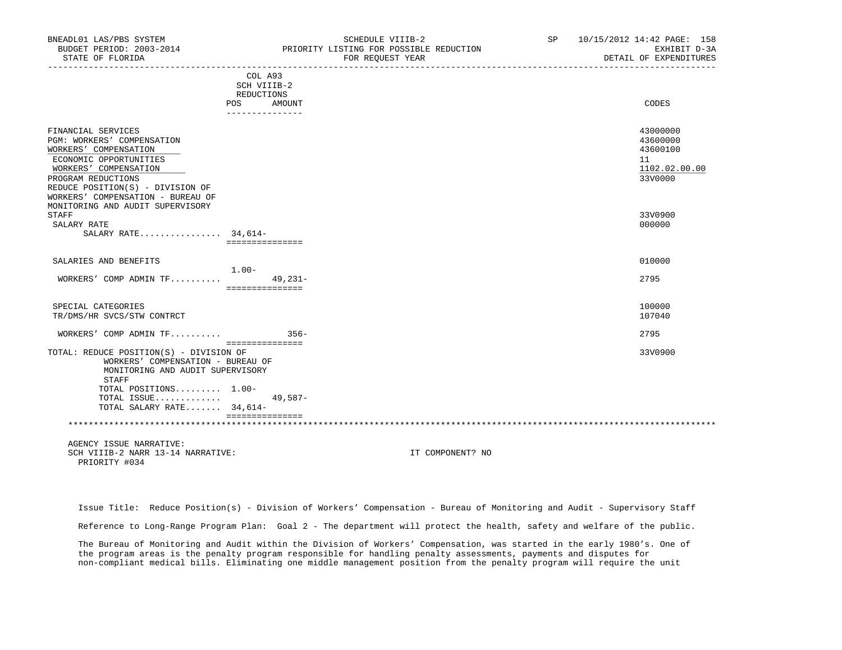| BNEADL01 LAS/PBS SYSTEM<br>BUDGET PERIOD: 2003-2014<br>STATE OF FLORIDA                                                                                                                                                                                         |                                           | SCHEDULE VIIIB-2<br>PRIORITY LISTING FOR POSSIBLE REDUCTION<br>FOR REQUEST YEAR | SP | 10/15/2012 14:42 PAGE: 158<br>EXHIBIT D-3A<br>DETAIL OF EXPENDITURES |
|-----------------------------------------------------------------------------------------------------------------------------------------------------------------------------------------------------------------------------------------------------------------|-------------------------------------------|---------------------------------------------------------------------------------|----|----------------------------------------------------------------------|
|                                                                                                                                                                                                                                                                 | COL A93<br>SCH VIIIB-2<br>REDUCTIONS      |                                                                                 |    |                                                                      |
|                                                                                                                                                                                                                                                                 | POS<br>AMOUNT<br>_______________          |                                                                                 |    | CODES                                                                |
| FINANCIAL SERVICES<br>PGM: WORKERS' COMPENSATION<br>WORKERS' COMPENSATION<br>ECONOMIC OPPORTUNITIES<br>WORKERS' COMPENSATION<br>PROGRAM REDUCTIONS<br>REDUCE POSITION(S) - DIVISION OF<br>WORKERS' COMPENSATION - BUREAU OF<br>MONITORING AND AUDIT SUPERVISORY |                                           |                                                                                 |    | 43000000<br>43600000<br>43600100<br>11<br>1102.02.00.00<br>33V0000   |
| STAFF<br>SALARY RATE<br>SALARY RATE $34.614-$                                                                                                                                                                                                                   | ===============                           |                                                                                 |    | 33V0900<br>000000                                                    |
| SALARIES AND BENEFITS                                                                                                                                                                                                                                           |                                           |                                                                                 |    | 010000                                                               |
| WORKERS' COMP ADMIN TF                                                                                                                                                                                                                                          | $1.00 -$<br>$49.231 -$<br>=============== |                                                                                 |    | 2795                                                                 |
| SPECIAL CATEGORIES<br>TR/DMS/HR SVCS/STW CONTRCT                                                                                                                                                                                                                |                                           |                                                                                 |    | 100000<br>107040                                                     |
| WORKERS' COMP ADMIN TF                                                                                                                                                                                                                                          | $356 -$                                   |                                                                                 |    | 2795                                                                 |
| TOTAL: REDUCE POSITION(S) - DIVISION OF<br>WORKERS' COMPENSATION - BUREAU OF<br>MONITORING AND AUDIT SUPERVISORY<br><b>STAFF</b><br>TOTAL POSITIONS 1.00-<br>TOTAL ISSUE<br>TOTAL SALARY RATE 34,614-                                                           | ===============<br>$49,587-$              |                                                                                 |    | 33V0900                                                              |
|                                                                                                                                                                                                                                                                 |                                           |                                                                                 |    |                                                                      |
| AGENCY ISSUE NARRATIVE:                                                                                                                                                                                                                                         |                                           |                                                                                 |    |                                                                      |

SCH VIIIB-2 NARR 13-14 NARRATIVE: IT COMPONENT? NO PRIORITY #034

 Issue Title: Reduce Position(s) - Division of Workers' Compensation - Bureau of Monitoring and Audit - Supervisory Staff Reference to Long-Range Program Plan: Goal 2 - The department will protect the health, safety and welfare of the public.

 The Bureau of Monitoring and Audit within the Division of Workers' Compensation, was started in the early 1980's. One of the program areas is the penalty program responsible for handling penalty assessments, payments and disputes for non-compliant medical bills. Eliminating one middle management position from the penalty program will require the unit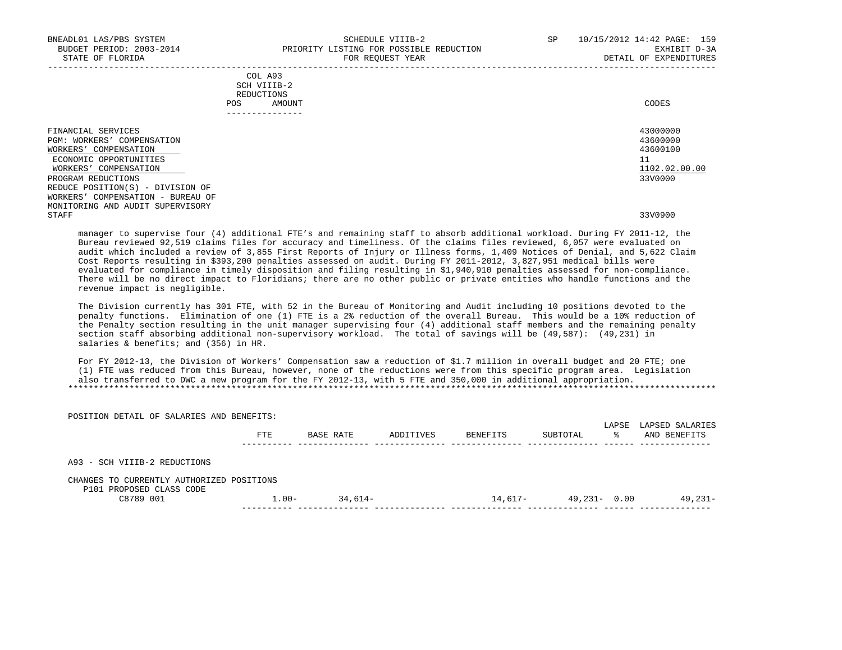POSITION DETAIL OF SALARIES AND BENEFITS:

-----------------------------------------------------------------------------------------------------------------------------------

|            | _______________ |       |
|------------|-----------------|-------|
| POS        | AMOUNT          | CODES |
| REDUCTIONS |                 |       |
|            | SCH VIIIB-2     |       |
|            | COL A93         |       |

| FINANCIAL SERVICES                | 43000000      |
|-----------------------------------|---------------|
| PGM: WORKERS' COMPENSATION        | 43600000      |
| WORKERS' COMPENSATION             | 43600100      |
| ECONOMIC OPPORTUNITIES            | ⊥⊥            |
| WORKERS' COMPENSATION             | 1102.02.00.00 |
| PROGRAM REDUCTIONS                | 33V0000       |
| REDUCE POSITION(S) - DIVISION OF  |               |
| WORKERS' COMPENSATION - BUREAU OF |               |
| MONITORING AND AUDIT SUPERVISORY  |               |
| STAFF                             | 33V0900       |
|                                   |               |

 manager to supervise four (4) additional FTE's and remaining staff to absorb additional workload. During FY 2011-12, the Bureau reviewed 92,519 claims files for accuracy and timeliness. Of the claims files reviewed, 6,057 were evaluated on audit which included a review of 3,855 First Reports of Injury or Illness forms, 1,409 Notices of Denial, and 5,622 Claim Cost Reports resulting in \$393,200 penalties assessed on audit. During FY 2011-2012, 3,827,951 medical bills were evaluated for compliance in timely disposition and filing resulting in \$1,940,910 penalties assessed for non-compliance. There will be no direct impact to Floridians; there are no other public or private entities who handle functions and the revenue impact is negligible.

 The Division currently has 301 FTE, with 52 in the Bureau of Monitoring and Audit including 10 positions devoted to the penalty functions. Elimination of one (1) FTE is a 2% reduction of the overall Bureau. This would be a 10% reduction of the Penalty section resulting in the unit manager supervising four (4) additional staff members and the remaining penalty section staff absorbing additional non-supervisory workload. The total of savings will be (49,587): (49,231) in salaries & benefits; and (356) in HR.

 For FY 2012-13, the Division of Workers' Compensation saw a reduction of \$1.7 million in overall budget and 20 FTE; one (1) FTE was reduced from this Bureau, however, none of the reductions were from this specific program area. Legislation also transferred to DWC a new program for the FY 2012-13, with 5 FTE and 350,000 in additional appropriation. \*\*\*\*\*\*\*\*\*\*\*\*\*\*\*\*\*\*\*\*\*\*\*\*\*\*\*\*\*\*\*\*\*\*\*\*\*\*\*\*\*\*\*\*\*\*\*\*\*\*\*\*\*\*\*\*\*\*\*\*\*\*\*\*\*\*\*\*\*\*\*\*\*\*\*\*\*\*\*\*\*\*\*\*\*\*\*\*\*\*\*\*\*\*\*\*\*\*\*\*\*\*\*\*\*\*\*\*\*\*\*\*\*\*\*\*\*\*\*\*\*\*\*\*\*\*\*

| PUSIIIUN DEIAIL UP SALARIES AND BENEPIIS:                             |          |           |           |          |                 | LAPSE | LAPSED SALARIES |
|-----------------------------------------------------------------------|----------|-----------|-----------|----------|-----------------|-------|-----------------|
|                                                                       | FTE      | BASE RATE | ADDITIVES | BENEFITS | SUBTOTAL        | °     | AND BENEFITS    |
| A93 - SCH VIIIB-2 REDUCTIONS                                          |          |           |           |          |                 |       |                 |
| CHANGES TO CURRENTLY AUTHORIZED POSITIONS<br>P101 PROPOSED CLASS CODE |          |           |           |          |                 |       |                 |
| C8789 001                                                             | $1.00 -$ | 34,614-   |           | 14,617-  | $49,231 - 0.00$ |       | $49.231 -$      |
|                                                                       |          |           |           |          |                 |       |                 |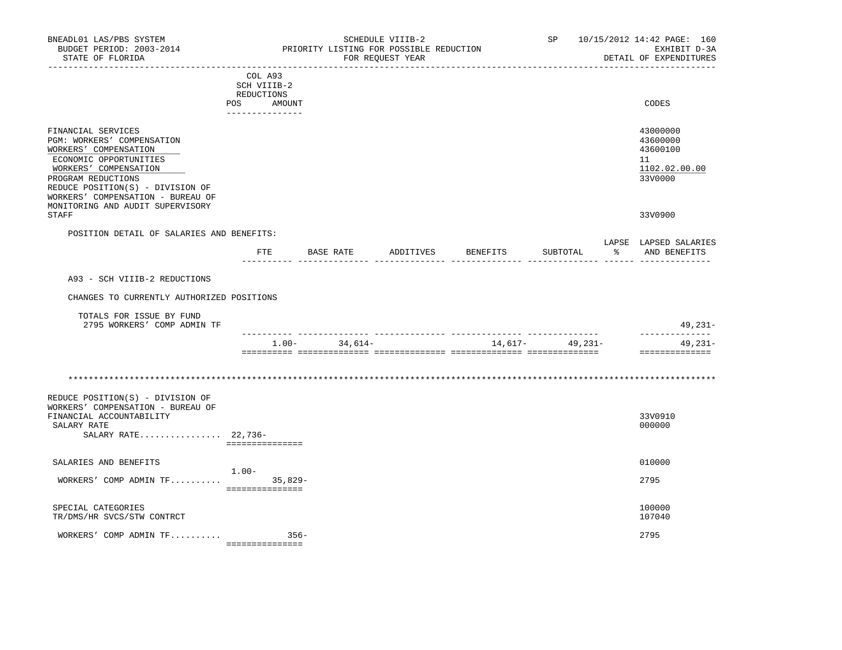| BNEADL01 LAS/PBS SYSTEM<br>BUDGET PERIOD: 2003-2014<br>STATE OF FLORIDA                                                                                                                                                                                         |            |                               |                   | SCHEDULE VIIIB-2<br>PRIORITY LISTING FOR POSSIBLE REDUCTION<br>FOR REQUEST YEAR |                                  |                  | SP 10/15/2012 14:42 PAGE: 160<br>EXHIBIT D-3A<br>DETAIL OF EXPENDITURES |
|-----------------------------------------------------------------------------------------------------------------------------------------------------------------------------------------------------------------------------------------------------------------|------------|-------------------------------|-------------------|---------------------------------------------------------------------------------|----------------------------------|------------------|-------------------------------------------------------------------------|
|                                                                                                                                                                                                                                                                 | REDUCTIONS | COL A93<br>SCH VIIIB-2        |                   |                                                                                 |                                  |                  |                                                                         |
|                                                                                                                                                                                                                                                                 |            | POS AMOUNT<br>_______________ |                   |                                                                                 |                                  |                  | CODES                                                                   |
| FINANCIAL SERVICES<br>PGM: WORKERS' COMPENSATION<br>WORKERS' COMPENSATION<br>ECONOMIC OPPORTUNITIES<br>WORKERS' COMPENSATION<br>PROGRAM REDUCTIONS<br>REDUCE POSITION(S) - DIVISION OF<br>WORKERS' COMPENSATION - BUREAU OF<br>MONITORING AND AUDIT SUPERVISORY |            |                               |                   |                                                                                 |                                  |                  | 43000000<br>43600000<br>43600100<br>11<br>1102.02.00.00<br>33V0000      |
| <b>STAFF</b>                                                                                                                                                                                                                                                    |            |                               |                   |                                                                                 |                                  |                  | 33V0900                                                                 |
| POSITION DETAIL OF SALARIES AND BENEFITS:                                                                                                                                                                                                                       |            |                               |                   |                                                                                 |                                  |                  | LAPSE LAPSED SALARIES                                                   |
|                                                                                                                                                                                                                                                                 |            |                               |                   |                                                                                 | FTE BASE RATE ADDITIVES BENEFITS | SUBTOTAL         | % AND BENEFITS                                                          |
| A93 - SCH VIIIB-2 REDUCTIONS                                                                                                                                                                                                                                    |            |                               |                   |                                                                                 |                                  |                  |                                                                         |
| CHANGES TO CURRENTLY AUTHORIZED POSITIONS                                                                                                                                                                                                                       |            |                               |                   |                                                                                 |                                  |                  |                                                                         |
| TOTALS FOR ISSUE BY FUND<br>2795 WORKERS' COMP ADMIN TF                                                                                                                                                                                                         |            |                               |                   |                                                                                 |                                  |                  | $49,231-$                                                               |
|                                                                                                                                                                                                                                                                 |            |                               | $1.00 - 34.614 -$ |                                                                                 |                                  | $14,617 49,231-$ | --------------<br>$49.231 -$<br>==============                          |
|                                                                                                                                                                                                                                                                 |            |                               |                   |                                                                                 |                                  |                  |                                                                         |
| REDUCE POSITION(S) - DIVISION OF<br>WORKERS' COMPENSATION - BUREAU OF<br>FINANCIAL ACCOUNTABILITY<br>SALARY RATE<br>SALARY RATE 22,736-                                                                                                                         |            | ===============               |                   |                                                                                 |                                  |                  | 33V0910<br>000000                                                       |
| SALARIES AND BENEFITS                                                                                                                                                                                                                                           |            |                               |                   |                                                                                 |                                  |                  | 010000                                                                  |
| WORKERS' COMP ADMIN TF                                                                                                                                                                                                                                          | $1.00 -$   | 35,829-<br>________________   |                   |                                                                                 |                                  |                  | 2795                                                                    |
| SPECIAL CATEGORIES<br>TR/DMS/HR SVCS/STW CONTRCT                                                                                                                                                                                                                |            |                               |                   |                                                                                 |                                  |                  | 100000<br>107040                                                        |
| WORKERS' COMP ADMIN TF                                                                                                                                                                                                                                          |            | $356 -$<br>----------------   |                   |                                                                                 |                                  |                  | 2795                                                                    |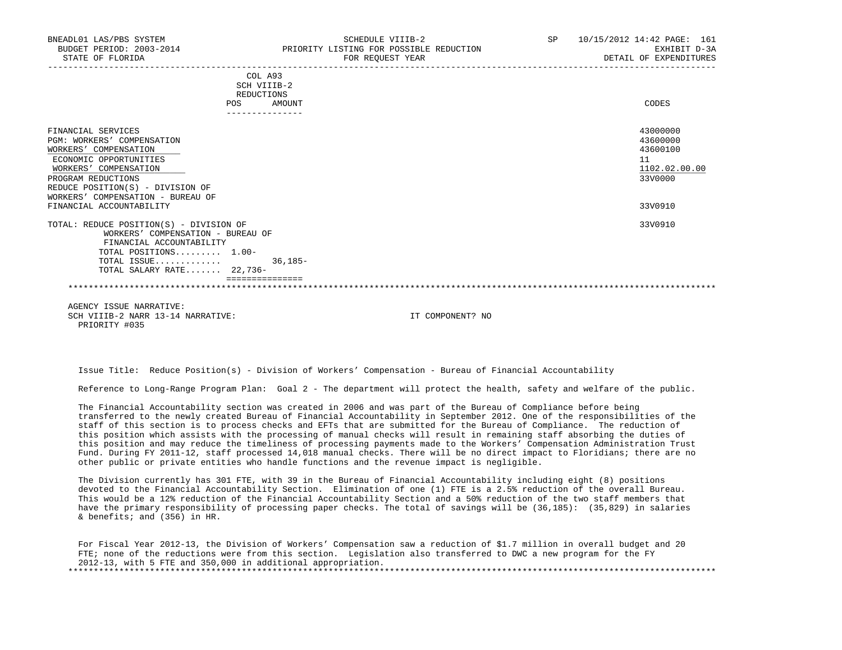| BNEADL01 LAS/PBS SYSTEM<br>BUDGET PERIOD: 2003-2014<br>STATE OF FLORIDA                                                                                                                                                            | SCHEDULE VIIIB-2<br>PRIORITY LISTING FOR POSSIBLE REDUCTION<br>FOR REOUEST YEAR<br>_____________________________ | SP <sub>2</sub> | 10/15/2012 14:42 PAGE: 161<br>EXHIBIT D-3A<br>DETAIL OF EXPENDITURES |
|------------------------------------------------------------------------------------------------------------------------------------------------------------------------------------------------------------------------------------|------------------------------------------------------------------------------------------------------------------|-----------------|----------------------------------------------------------------------|
| POS                                                                                                                                                                                                                                | COL A93<br>SCH VIIIB-2<br>REDUCTIONS<br>AMOUNT<br>---------------                                                |                 | CODES                                                                |
| FINANCIAL SERVICES<br><b>PGM: WORKERS' COMPENSATION</b><br>WORKERS' COMPENSATION<br>ECONOMIC OPPORTUNITIES<br>WORKERS' COMPENSATION<br>PROGRAM REDUCTIONS<br>REDUCE POSITION(S) - DIVISION OF<br>WORKERS' COMPENSATION - BUREAU OF |                                                                                                                  |                 | 43000000<br>43600000<br>43600100<br>11<br>1102.02.00.00<br>33V0000   |
| FINANCIAL ACCOUNTABILITY                                                                                                                                                                                                           |                                                                                                                  |                 | 33V0910                                                              |
| TOTAL: REDUCE POSITION(S) - DIVISION OF<br>WORKERS' COMPENSATION - BUREAU OF<br>FINANCIAL ACCOUNTABILITY<br>TOTAL POSITIONS 1.00-<br>TOTAL ISSUE                                                                                   | $36, 185 -$                                                                                                      |                 | 33V0910                                                              |
| TOTAL SALARY RATE 22,736-                                                                                                                                                                                                          |                                                                                                                  |                 |                                                                      |
|                                                                                                                                                                                                                                    |                                                                                                                  |                 |                                                                      |
| $\ldots$                                                                                                                                                                                                                           |                                                                                                                  |                 |                                                                      |

 AGENCY ISSUE NARRATIVE: SCH VIIIB-2 NARR 13-14 NARRATIVE: IT COMPONENT? NO PRIORITY #035

Issue Title: Reduce Position(s) - Division of Workers' Compensation - Bureau of Financial Accountability

Reference to Long-Range Program Plan: Goal 2 - The department will protect the health, safety and welfare of the public.

 The Financial Accountability section was created in 2006 and was part of the Bureau of Compliance before being transferred to the newly created Bureau of Financial Accountability in September 2012. One of the responsibilities of the staff of this section is to process checks and EFTs that are submitted for the Bureau of Compliance. The reduction of this position which assists with the processing of manual checks will result in remaining staff absorbing the duties of this position and may reduce the timeliness of processing payments made to the Workers' Compensation Administration Trust Fund. During FY 2011-12, staff processed 14,018 manual checks. There will be no direct impact to Floridians; there are no other public or private entities who handle functions and the revenue impact is negligible.

 The Division currently has 301 FTE, with 39 in the Bureau of Financial Accountability including eight (8) positions devoted to the Financial Accountability Section. Elimination of one (1) FTE is a 2.5% reduction of the overall Bureau. This would be a 12% reduction of the Financial Accountability Section and a 50% reduction of the two staff members that have the primary responsibility of processing paper checks. The total of savings will be (36,185): (35,829) in salaries & benefits; and (356) in HR.

 For Fiscal Year 2012-13, the Division of Workers' Compensation saw a reduction of \$1.7 million in overall budget and 20 FTE; none of the reductions were from this section. Legislation also transferred to DWC a new program for the FY 2012-13, with 5 FTE and 350,000 in additional appropriation. \*\*\*\*\*\*\*\*\*\*\*\*\*\*\*\*\*\*\*\*\*\*\*\*\*\*\*\*\*\*\*\*\*\*\*\*\*\*\*\*\*\*\*\*\*\*\*\*\*\*\*\*\*\*\*\*\*\*\*\*\*\*\*\*\*\*\*\*\*\*\*\*\*\*\*\*\*\*\*\*\*\*\*\*\*\*\*\*\*\*\*\*\*\*\*\*\*\*\*\*\*\*\*\*\*\*\*\*\*\*\*\*\*\*\*\*\*\*\*\*\*\*\*\*\*\*\*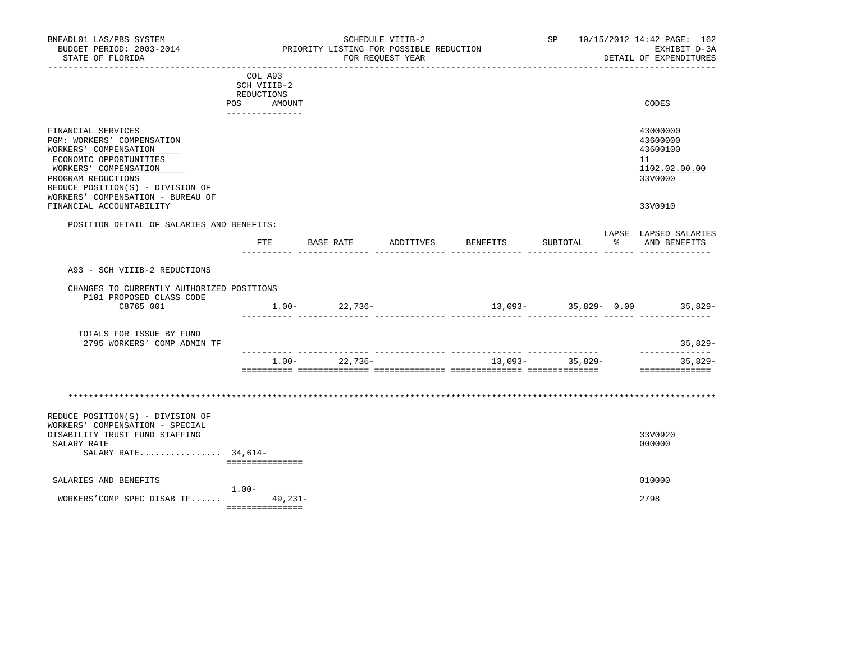| BNEADL01 LAS/PBS SYSTEM<br>BUDGET PERIOD: 2003-2014<br>STATE OF FLORIDA                                                                                                                                                                                 |                                                                       |                     | SCHEDULE VIIIB-2<br>PRIORITY LISTING FOR POSSIBLE REDUCTION<br>FOR REQUEST YEAR |                         | SP and the set of the set of the set of the set of the set of the set of the set of the set of the set of the set of the set of the set of the set of the set of the set of the set of the set of the set of the set of the se | 10/15/2012 14:42 PAGE: 162<br>EXHIBIT D-3A<br>DETAIL OF EXPENDITURES          |
|---------------------------------------------------------------------------------------------------------------------------------------------------------------------------------------------------------------------------------------------------------|-----------------------------------------------------------------------|---------------------|---------------------------------------------------------------------------------|-------------------------|--------------------------------------------------------------------------------------------------------------------------------------------------------------------------------------------------------------------------------|-------------------------------------------------------------------------------|
|                                                                                                                                                                                                                                                         | COL A93<br>SCH VIIIB-2<br>REDUCTIONS<br>POS AMOUNT<br>--------------- |                     |                                                                                 |                         |                                                                                                                                                                                                                                | CODES                                                                         |
| FINANCIAL SERVICES<br>PGM: WORKERS' COMPENSATION<br>WORKERS' COMPENSATION<br>ECONOMIC OPPORTUNITIES<br>WORKERS' COMPENSATION<br>PROGRAM REDUCTIONS<br>REDUCE POSITION(S) - DIVISION OF<br>WORKERS' COMPENSATION - BUREAU OF<br>FINANCIAL ACCOUNTABILITY |                                                                       |                     |                                                                                 |                         |                                                                                                                                                                                                                                | 43000000<br>43600000<br>43600100<br>11<br>1102.02.00.00<br>33V0000<br>33V0910 |
| POSITION DETAIL OF SALARIES AND BENEFITS:                                                                                                                                                                                                               |                                                                       |                     |                                                                                 |                         |                                                                                                                                                                                                                                |                                                                               |
|                                                                                                                                                                                                                                                         | $_{\rm FTE}$                                                          | BASE RATE           | ADDITIVES                                                                       | BENEFITS                | SUBTOTAL                                                                                                                                                                                                                       | LAPSE LAPSED SALARIES<br>% AND BENEFITS                                       |
| A93 - SCH VIIIB-2 REDUCTIONS                                                                                                                                                                                                                            |                                                                       |                     |                                                                                 |                         |                                                                                                                                                                                                                                |                                                                               |
| CHANGES TO CURRENTLY AUTHORIZED POSITIONS<br>P101 PROPOSED CLASS CODE<br>C8765 001                                                                                                                                                                      |                                                                       | $1.00 - 22,736 -$   |                                                                                 | ------------- --------- |                                                                                                                                                                                                                                | $13,093 35,829-$ 0.00 $35,829-$                                               |
| TOTALS FOR ISSUE BY FUND<br>2795 WORKERS' COMP ADMIN TF                                                                                                                                                                                                 |                                                                       |                     |                                                                                 |                         |                                                                                                                                                                                                                                | 35,829-                                                                       |
|                                                                                                                                                                                                                                                         |                                                                       | 22,736-<br>$1.00 -$ |                                                                                 |                         | $13,093 35,829-$                                                                                                                                                                                                               | --------------<br>$35,829-$<br>==============                                 |
|                                                                                                                                                                                                                                                         |                                                                       |                     |                                                                                 |                         |                                                                                                                                                                                                                                |                                                                               |
| REDUCE POSITION(S) - DIVISION OF<br>WORKERS' COMPENSATION - SPECIAL<br>DISABILITY TRUST FUND STAFFING<br>SALARY RATE<br>SALARY RATE $34,614-$                                                                                                           | ===============                                                       |                     |                                                                                 |                         |                                                                                                                                                                                                                                | 33V0920<br>000000                                                             |
| SALARIES AND BENEFITS                                                                                                                                                                                                                                   |                                                                       |                     |                                                                                 |                         |                                                                                                                                                                                                                                | 010000                                                                        |
| WORKERS'COMP SPEC DISAB TF                                                                                                                                                                                                                              | $1.00-$<br>===============                                            | 49,231-             |                                                                                 |                         |                                                                                                                                                                                                                                | 2798                                                                          |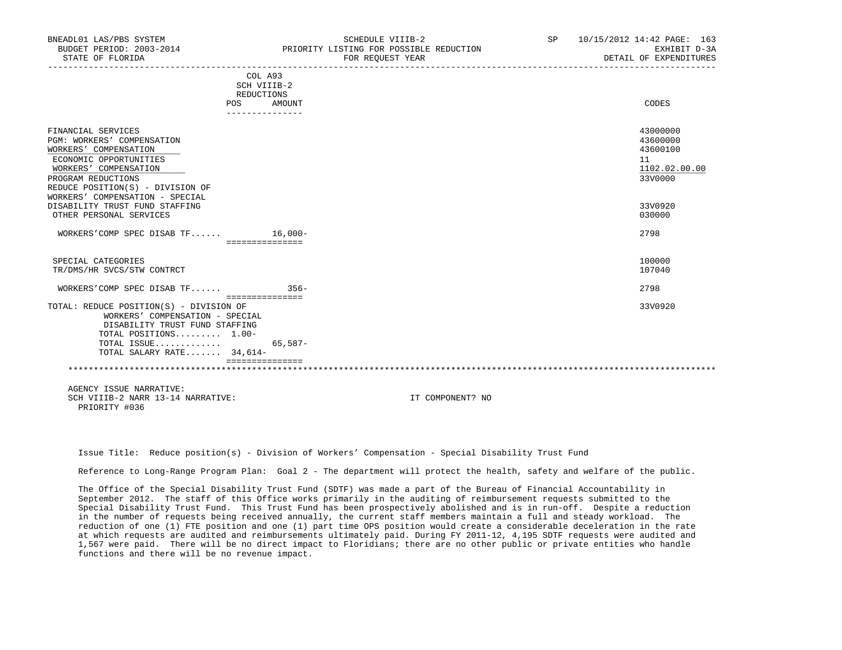|                                          | COL A93               |               |
|------------------------------------------|-----------------------|---------------|
|                                          | SCH VIIIB-2           |               |
|                                          | REDUCTIONS            |               |
| POS                                      | AMOUNT                | CODES         |
|                                          | ---------------       |               |
|                                          |                       |               |
| FINANCIAL SERVICES                       |                       | 43000000      |
| PGM: WORKERS' COMPENSATION               |                       | 43600000      |
| WORKERS' COMPENSATION                    |                       | 43600100      |
| ECONOMIC OPPORTUNITIES                   |                       | 11            |
| WORKERS' COMPENSATION                    |                       | 1102.02.00.00 |
| PROGRAM REDUCTIONS                       |                       | 33V0000       |
| REDUCE POSITION(S) - DIVISION OF         |                       |               |
| WORKERS' COMPENSATION - SPECIAL          |                       |               |
| DISABILITY TRUST FUND STAFFING           |                       | 33V0920       |
| OTHER PERSONAL SERVICES                  |                       | 030000        |
|                                          |                       |               |
| $WORKERS'$ COMP SPEC DISAB TF $16.000 -$ |                       | 2798          |
|                                          | ================      |               |
|                                          |                       |               |
| SPECIAL CATEGORIES                       |                       | 100000        |
| TR/DMS/HR SVCS/STW CONTRCT               |                       | 107040        |
| WORKERS'COMP SPEC DISAB TF               | $356 -$               | 2798          |
|                                          | <b>COSSOCOSSOCOSS</b> |               |
| TOTAL: REDUCE POSITION(S) - DIVISION OF  |                       | 33V0920       |
| WORKERS' COMPENSATION - SPECIAL          |                       |               |
| DISABILITY TRUST FUND STAFFING           |                       |               |
| TOTAL POSITIONS 1.00-                    |                       |               |
| TOTAL ISSUE                              | 65,587-               |               |
| TOTAL SALARY RATE 34,614-                |                       |               |
|                                          |                       |               |
|                                          |                       |               |
|                                          |                       |               |

 AGENCY ISSUE NARRATIVE: SCH VIIIB-2 NARR 13-14 NARRATIVE: IT COMPONENT? NO PRIORITY #036

Issue Title: Reduce position(s) - Division of Workers' Compensation - Special Disability Trust Fund

Reference to Long-Range Program Plan: Goal 2 - The department will protect the health, safety and welfare of the public.

 The Office of the Special Disability Trust Fund (SDTF) was made a part of the Bureau of Financial Accountability in September 2012. The staff of this Office works primarily in the auditing of reimbursement requests submitted to the Special Disability Trust Fund. This Trust Fund has been prospectively abolished and is in run-off. Despite a reduction in the number of requests being received annually, the current staff members maintain a full and steady workload. The reduction of one (1) FTE position and one (1) part time OPS position would create a considerable deceleration in the rate at which requests are audited and reimbursements ultimately paid. During FY 2011-12, 4,195 SDTF requests were audited and 1,567 were paid. There will be no direct impact to Floridians; there are no other public or private entities who handle functions and there will be no revenue impact.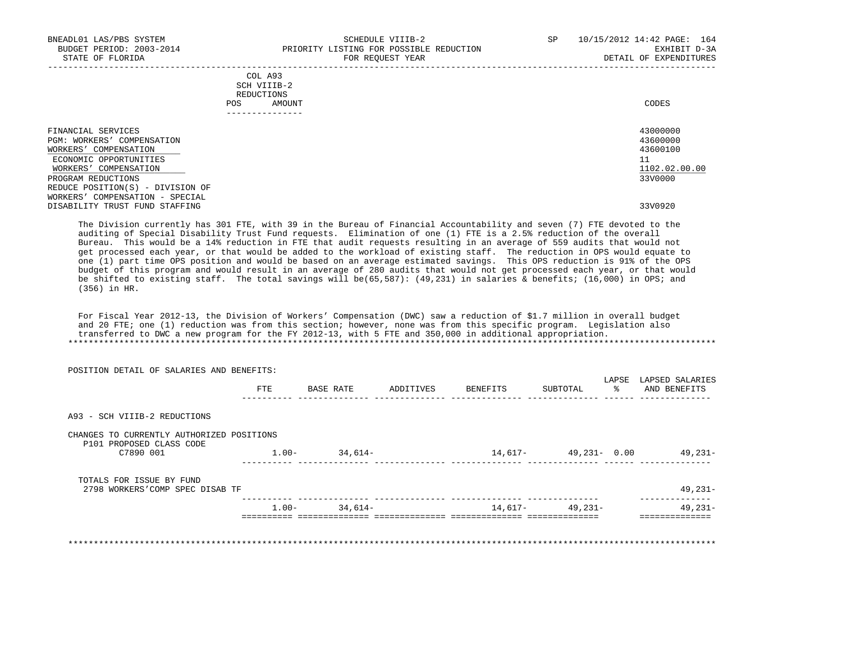| BNEADL01 LAS/PBS SYSTEM<br>BUDGET PERIOD: 2003-2014<br>STATE OF FLORIDA                                                                                                                |                          |                                  | SCHEDULE VIIIB-2<br>PRIORITY LISTING FOR POSSIBLE REDUCTION<br>FOR REQUEST YEAR | <b>SP</b> | 10/15/2012 14:42 PAGE: 164<br>EXHIBIT D-3A<br>DETAIL OF EXPENDITURES |
|----------------------------------------------------------------------------------------------------------------------------------------------------------------------------------------|--------------------------|----------------------------------|---------------------------------------------------------------------------------|-----------|----------------------------------------------------------------------|
|                                                                                                                                                                                        | REDUCTIONS<br><b>POS</b> | COL A93<br>SCH VIIIB-2<br>AMOUNT |                                                                                 |           | CODES                                                                |
| FINANCIAL SERVICES<br>PGM: WORKERS' COMPENSATION<br>WORKERS' COMPENSATION<br>ECONOMIC OPPORTUNITIES<br>WORKERS' COMPENSATION<br>PROGRAM REDUCTIONS<br>REDUCE POSITION(S) - DIVISION OF |                          | ---------------                  |                                                                                 |           | 43000000<br>43600000<br>43600100<br>11<br>1102.02.00.00<br>33V0000   |
| WORKERS' COMPENSATION - SPECIAL<br>DISABILITY TRUST FUND STAFFING                                                                                                                      |                          |                                  |                                                                                 |           | 33V0920                                                              |
| The Division currently has 301 FTE, with 39 in the Bureau of Financial Accountability and seven (7) FTE devoted to the                                                                 |                          |                                  |                                                                                 |           |                                                                      |

 auditing of Special Disability Trust Fund requests. Elimination of one (1) FTE is a 2.5% reduction of the overall Bureau. This would be a 14% reduction in FTE that audit requests resulting in an average of 559 audits that would not get processed each year, or that would be added to the workload of existing staff. The reduction in OPS would equate to one (1) part time OPS position and would be based on an average estimated savings. This OPS reduction is 91% of the OPS budget of this program and would result in an average of 280 audits that would not get processed each year, or that would be shifted to existing staff. The total savings will be(65,587): (49,231) in salaries & benefits; (16,000) in OPS; and (356) in HR.

 For Fiscal Year 2012-13, the Division of Workers' Compensation (DWC) saw a reduction of \$1.7 million in overall budget and 20 FTE; one (1) reduction was from this section; however, none was from this specific program. Legislation also transferred to DWC a new program for the FY 2012-13, with 5 FTE and 350,000 in additional appropriation. \*\*\*\*\*\*\*\*\*\*\*\*\*\*\*\*\*\*\*\*\*\*\*\*\*\*\*\*\*\*\*\*\*\*\*\*\*\*\*\*\*\*\*\*\*\*\*\*\*\*\*\*\*\*\*\*\*\*\*\*\*\*\*\*\*\*\*\*\*\*\*\*\*\*\*\*\*\*\*\*\*\*\*\*\*\*\*\*\*\*\*\*\*\*\*\*\*\*\*\*\*\*\*\*\*\*\*\*\*\*\*\*\*\*\*\*\*\*\*\*\*\*\*\*\*\*\*

| POSITION DETAIL OF SALARIES AND BENEFITS: |         |                   |           |          | LAPSE                | LAPSED SALARIES |
|-------------------------------------------|---------|-------------------|-----------|----------|----------------------|-----------------|
|                                           | FTE     | BASE RATE         | ADDITIVES | BENEFITS | SUBTOTAL<br>$\sim$ 8 | AND BENEFITS    |
| A93 - SCH VIIIB-2 REDUCTIONS              |         |                   |           |          |                      |                 |
| CHANGES TO CURRENTLY AUTHORIZED POSITIONS |         |                   |           |          |                      |                 |
| P101 PROPOSED CLASS CODE<br>C7890 001     | $1.00-$ | 34,614-           |           |          | 14,617- 49,231- 0.00 | 49,231-         |
| TOTALS FOR ISSUE BY FUND                  |         |                   |           |          |                      |                 |
| 2798 WORKERS'COMP SPEC DISAB TF           |         |                   |           |          |                      | $49,231-$       |
|                                           |         | $1.00 - 34.614 -$ |           |          | $14,617-$ 49,231-    | $49,231-$       |
|                                           |         |                   |           |          |                      |                 |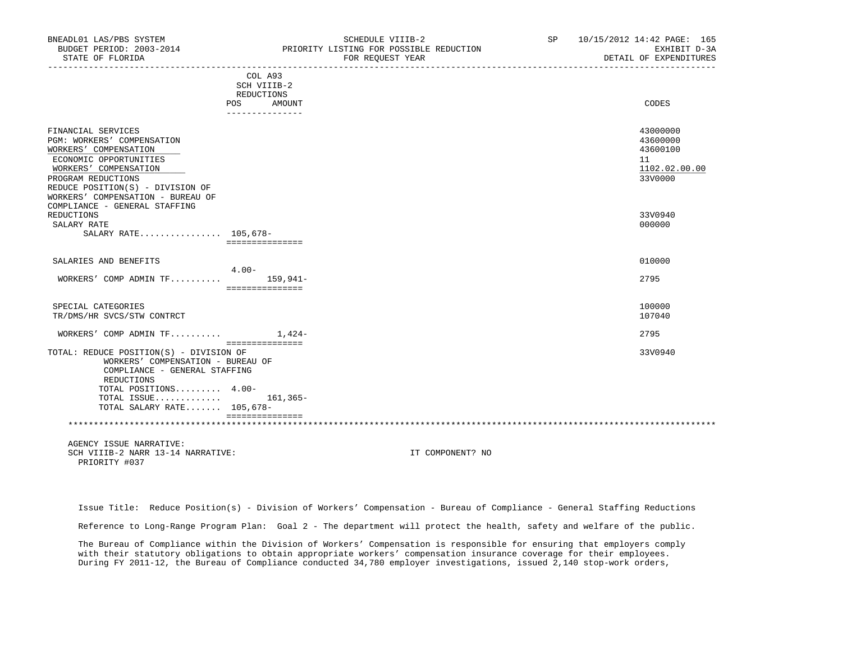| BNEADL01 LAS/PBS SYSTEM<br>BUDGET PERIOD: 2003-2014<br>STATE OF FLORIDA                                                                                                                                                     | SCHEDULE VIIIB-2<br>PRIORITY LISTING FOR POSSIBLE REDUCTION<br>FOR REQUEST YEAR | SP | 10/15/2012 14:42 PAGE: 165<br>EXHIBIT D-3A<br>DETAIL OF EXPENDITURES |
|-----------------------------------------------------------------------------------------------------------------------------------------------------------------------------------------------------------------------------|---------------------------------------------------------------------------------|----|----------------------------------------------------------------------|
|                                                                                                                                                                                                                             | COL A93<br>SCH VIIIB-2<br>REDUCTIONS<br>POS<br>AMOUNT<br>--------------         |    | CODES                                                                |
| FINANCIAL SERVICES<br>PGM: WORKERS' COMPENSATION<br>WORKERS' COMPENSATION<br>ECONOMIC OPPORTUNITIES<br>WORKERS' COMPENSATION<br>PROGRAM REDUCTIONS<br>REDUCE POSITION(S) - DIVISION OF<br>WORKERS' COMPENSATION - BUREAU OF |                                                                                 |    | 43000000<br>43600000<br>43600100<br>11<br>1102.02.00.00<br>33V0000   |
| COMPLIANCE - GENERAL STAFFING<br>REDUCTIONS<br>SALARY RATE<br>SALARY RATE 105,678-                                                                                                                                          | ===============                                                                 |    | 33V0940<br>000000                                                    |
| SALARIES AND BENEFITS                                                                                                                                                                                                       | $4.00 -$                                                                        |    | 010000                                                               |
| WORKERS' COMP ADMIN TF                                                                                                                                                                                                      | $159.941 -$<br>===============                                                  |    | 2795                                                                 |
| SPECIAL CATEGORIES<br>TR/DMS/HR SVCS/STW CONTRCT                                                                                                                                                                            |                                                                                 |    | 100000<br>107040                                                     |
| WORKERS' COMP ADMIN $TF$ 1. 1,424-                                                                                                                                                                                          |                                                                                 |    | 2795                                                                 |
| TOTAL: REDUCE POSITION(S) - DIVISION OF<br>WORKERS' COMPENSATION - BUREAU OF<br>COMPLIANCE - GENERAL STAFFING<br>REDUCTIONS<br>TOTAL POSITIONS 4.00-                                                                        | ===============                                                                 |    | 33V0940                                                              |
| TOTAL ISSUE $161,365-$<br>TOTAL SALARY RATE 105,678-                                                                                                                                                                        | ===============                                                                 |    |                                                                      |

 AGENCY ISSUE NARRATIVE: SCH VIIIB-2 NARR 13-14 NARRATIVE: IT COMPONENT? NO PRIORITY #037

 Issue Title: Reduce Position(s) - Division of Workers' Compensation - Bureau of Compliance - General Staffing Reductions Reference to Long-Range Program Plan: Goal 2 - The department will protect the health, safety and welfare of the public.

 The Bureau of Compliance within the Division of Workers' Compensation is responsible for ensuring that employers comply with their statutory obligations to obtain appropriate workers' compensation insurance coverage for their employees. During FY 2011-12, the Bureau of Compliance conducted 34,780 employer investigations, issued 2,140 stop-work orders,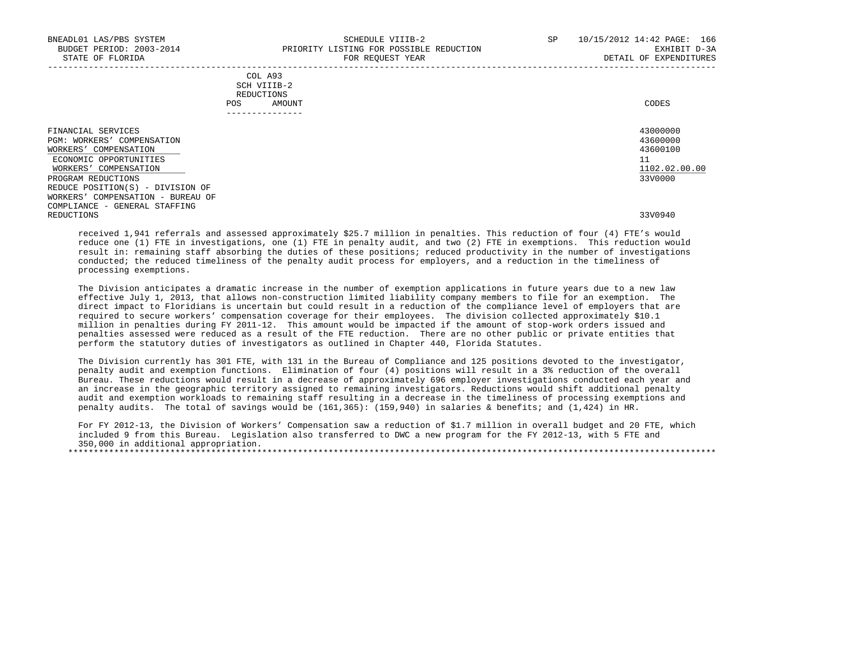|            | _______________ |       |
|------------|-----------------|-------|
| POS        | AMOUNT          | CODES |
| REDUCTIONS |                 |       |
|            | SCH VIIIB-2     |       |
|            | COL A93         |       |

| FINANCIAL SERVICES<br>PGM: WORKERS'<br>COMPENSATION<br>WORKERS' COMPENSATION<br>ECONOMIC OPPORTUNITIES<br>WORKERS' COMPENSATION<br>PROGRAM REDUCTIONS<br>REDUCE POSITION(S) - DIVISION OF<br>WORKERS' COMPENSATION - BUREAU OF | 43000000<br>43600000<br>43600100<br>11<br>1102.02.00.00<br>33V0000 |
|--------------------------------------------------------------------------------------------------------------------------------------------------------------------------------------------------------------------------------|--------------------------------------------------------------------|
| COMPLIANCE - GENERAL STAFFING<br>REDUCTIONS                                                                                                                                                                                    | 33V0940                                                            |

 received 1,941 referrals and assessed approximately \$25.7 million in penalties. This reduction of four (4) FTE's would reduce one (1) FTE in investigations, one (1) FTE in penalty audit, and two (2) FTE in exemptions. This reduction would result in: remaining staff absorbing the duties of these positions; reduced productivity in the number of investigations conducted; the reduced timeliness of the penalty audit process for employers, and a reduction in the timeliness of processing exemptions.

 The Division anticipates a dramatic increase in the number of exemption applications in future years due to a new law effective July 1, 2013, that allows non-construction limited liability company members to file for an exemption. The direct impact to Floridians is uncertain but could result in a reduction of the compliance level of employers that are required to secure workers' compensation coverage for their employees. The division collected approximately \$10.1 million in penalties during FY 2011-12. This amount would be impacted if the amount of stop-work orders issued and penalties assessed were reduced as a result of the FTE reduction. There are no other public or private entities that perform the statutory duties of investigators as outlined in Chapter 440, Florida Statutes.

 The Division currently has 301 FTE, with 131 in the Bureau of Compliance and 125 positions devoted to the investigator, penalty audit and exemption functions. Elimination of four (4) positions will result in a 3% reduction of the overall Bureau. These reductions would result in a decrease of approximately 696 employer investigations conducted each year and an increase in the geographic territory assigned to remaining investigators. Reductions would shift additional penalty audit and exemption workloads to remaining staff resulting in a decrease in the timeliness of processing exemptions and penalty audits. The total of savings would be (161,365): (159,940) in salaries & benefits; and (1,424) in HR.

 For FY 2012-13, the Division of Workers' Compensation saw a reduction of \$1.7 million in overall budget and 20 FTE, which included 9 from this Bureau. Legislation also transferred to DWC a new program for the FY 2012-13, with 5 FTE and 350,000 in additional appropriation. \*\*\*\*\*\*\*\*\*\*\*\*\*\*\*\*\*\*\*\*\*\*\*\*\*\*\*\*\*\*\*\*\*\*\*\*\*\*\*\*\*\*\*\*\*\*\*\*\*\*\*\*\*\*\*\*\*\*\*\*\*\*\*\*\*\*\*\*\*\*\*\*\*\*\*\*\*\*\*\*\*\*\*\*\*\*\*\*\*\*\*\*\*\*\*\*\*\*\*\*\*\*\*\*\*\*\*\*\*\*\*\*\*\*\*\*\*\*\*\*\*\*\*\*\*\*\*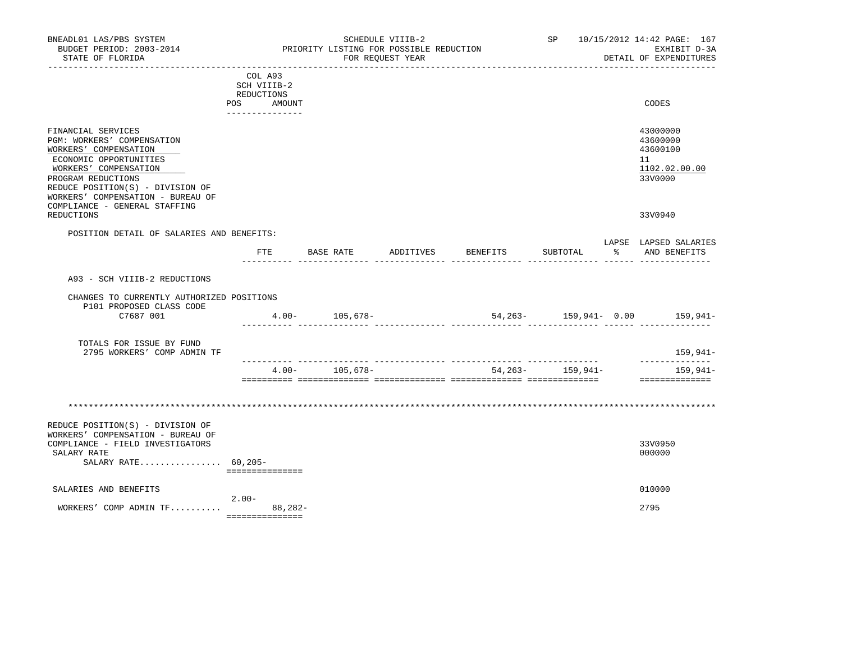| BNEADL01 LAS/PBS SYSTEM<br>BUDGET PERIOD: 2003-2014<br>STATE OF FLORIDA                                                                                                                                                     |                                                                |           |                              | SCHEDULE VIIIB-2<br>PRIORITY LISTING FOR POSSIBLE REDUCTION<br>FOR REOUEST YEAR |           |                |                   | SP 10/15/2012 14:42 PAGE: 167<br>EXHIBIT D-3A<br>DETAIL OF EXPENDITURES    |
|-----------------------------------------------------------------------------------------------------------------------------------------------------------------------------------------------------------------------------|----------------------------------------------------------------|-----------|------------------------------|---------------------------------------------------------------------------------|-----------|----------------|-------------------|----------------------------------------------------------------------------|
| ------------------                                                                                                                                                                                                          | COL A93<br>SCH VIIIB-2<br>REDUCTIONS<br>POS<br>--------------- | AMOUNT    |                              |                                                                                 |           |                |                   | CODES                                                                      |
| FINANCIAL SERVICES<br>PGM: WORKERS' COMPENSATION<br>WORKERS' COMPENSATION<br>ECONOMIC OPPORTUNITIES<br>WORKERS' COMPENSATION<br>PROGRAM REDUCTIONS<br>REDUCE POSITION(S) - DIVISION OF<br>WORKERS' COMPENSATION - BUREAU OF |                                                                |           |                              |                                                                                 |           |                |                   | 43000000<br>43600000<br>43600100<br>11<br>1102.02.00.00<br>33V0000         |
| COMPLIANCE - GENERAL STAFFING<br>REDUCTIONS                                                                                                                                                                                 |                                                                |           |                              |                                                                                 |           |                |                   | 33V0940                                                                    |
| POSITION DETAIL OF SALARIES AND BENEFITS:                                                                                                                                                                                   | FTE                                                            |           | BASE RATE<br>-------- ------ | ADDITIVES BENEFITS                                                              | _____ ___ | ----- -------- | SUBTOTAL          | LAPSE LAPSED SALARIES<br>% AND BENEFITS<br>_______ ______ ________________ |
| A93 - SCH VIIIB-2 REDUCTIONS                                                                                                                                                                                                |                                                                |           |                              |                                                                                 |           |                |                   |                                                                            |
| CHANGES TO CURRENTLY AUTHORIZED POSITIONS                                                                                                                                                                                   |                                                                |           |                              |                                                                                 |           |                |                   |                                                                            |
| P101 PROPOSED CLASS CODE<br>C7687 001                                                                                                                                                                                       |                                                                |           | $4.00 - 105,678 -$           |                                                                                 |           |                |                   | 54, 263 - 159, 941 - 0.00 159, 941 -                                       |
| TOTALS FOR ISSUE BY FUND<br>2795 WORKERS' COMP ADMIN TF                                                                                                                                                                     |                                                                |           |                              |                                                                                 |           |                |                   | 159,941-<br>--------------                                                 |
|                                                                                                                                                                                                                             |                                                                | $4.00 -$  | 105,678-                     |                                                                                 |           |                | $54,263-159,941-$ | $159,941-$<br>==============                                               |
|                                                                                                                                                                                                                             |                                                                |           |                              |                                                                                 |           |                |                   |                                                                            |
|                                                                                                                                                                                                                             |                                                                |           |                              |                                                                                 |           |                |                   |                                                                            |
| REDUCE POSITION(S) - DIVISION OF<br>WORKERS' COMPENSATION - BUREAU OF<br>COMPLIANCE - FIELD INVESTIGATORS<br>SALARY RATE<br>SALARY RATE 60,205-                                                                             |                                                                |           |                              |                                                                                 |           |                |                   | 33V0950<br>000000                                                          |
|                                                                                                                                                                                                                             | ===============                                                |           |                              |                                                                                 |           |                |                   |                                                                            |
| SALARIES AND BENEFITS                                                                                                                                                                                                       | $2.00-$                                                        |           |                              |                                                                                 |           |                |                   | 010000                                                                     |
| WORKERS' COMP ADMIN TF                                                                                                                                                                                                      | ===============                                                | $88,282-$ |                              |                                                                                 |           |                |                   | 2795                                                                       |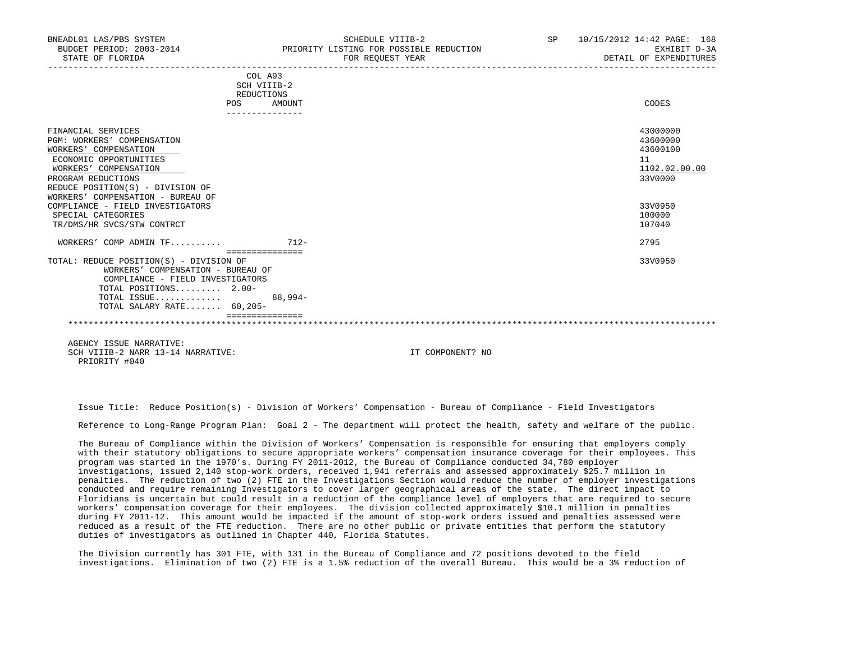| BNEADL01 LAS/PBS SYSTEM<br>BUDGET PERIOD: 2003-2014<br>STATE OF FLORIDA                                                      | SCHEDULE VIIIB-2<br>PRIORITY LISTING FOR POSSIBLE REDUCTION<br>FOR REOUEST YEAR | SP | 10/15/2012 14:42 PAGE: 168<br>EXHIBIT D-3A<br>DETAIL OF EXPENDITURES |
|------------------------------------------------------------------------------------------------------------------------------|---------------------------------------------------------------------------------|----|----------------------------------------------------------------------|
|                                                                                                                              | COL A93<br>SCH VIIIB-2<br>REDUCTIONS<br>AMOUNT<br><b>POS</b>                    |    | CODES                                                                |
| FINANCIAL SERVICES<br>PGM: WORKERS' COMPENSATION<br>WORKERS' COMPENSATION<br>ECONOMIC OPPORTUNITIES<br>WORKERS' COMPENSATION |                                                                                 |    | 43000000<br>43600000<br>43600100<br>1102.02.00.00<br>-------         |

 PROGRAM REDUCTIONS 33V0000 REDUCE POSITION(S) - DIVISION OF WORKERS' COMPENSATION - BUREAU OF COMPLIANCE – FIELD INVESTIGATORS<br>SPECIAL CATEGORIES 100000 SPECIAL CATEGORIES 100000 100000 100000 100000 100000 100000 100000 100000 100000 100000 100000 100000 100000<br>TR/DMS/HR\_SVCS/STW\_CONTRCT TR/DMS/HR SVCS/STW CONTRCT

 WORKERS' COMP ADMIN TF.......... 712- 2795 =============== TOTAL: REDUCE POSITION(S) - DIVISION OF 33V0950 WORKERS' COMPENSATION - BUREAU OF COMPLIANCE - FIELD INVESTIGATORS TOTAL POSITIONS......... 2.00-

 TOTAL ISSUE............. 88,994- TOTAL SALARY RATE....... 60,205- =============== \*\*\*\*\*\*\*\*\*\*\*\*\*\*\*\*\*\*\*\*\*\*\*\*\*\*\*\*\*\*\*\*\*\*\*\*\*\*\*\*\*\*\*\*\*\*\*\*\*\*\*\*\*\*\*\*\*\*\*\*\*\*\*\*\*\*\*\*\*\*\*\*\*\*\*\*\*\*\*\*\*\*\*\*\*\*\*\*\*\*\*\*\*\*\*\*\*\*\*\*\*\*\*\*\*\*\*\*\*\*\*\*\*\*\*\*\*\*\*\*\*\*\*\*\*\*\*

 AGENCY ISSUE NARRATIVE: SCH VIIIB-2 NARR 13-14 NARRATIVE: IT COMPONENT? NO PRIORITY #040

Issue Title: Reduce Position(s) - Division of Workers' Compensation - Bureau of Compliance - Field Investigators

Reference to Long-Range Program Plan: Goal 2 - The department will protect the health, safety and welfare of the public.

 The Bureau of Compliance within the Division of Workers' Compensation is responsible for ensuring that employers comply with their statutory obligations to secure appropriate workers' compensation insurance coverage for their employees. This program was started in the 1970's. During FY 2011-2012, the Bureau of Compliance conducted 34,780 employer investigations, issued 2,140 stop-work orders, received 1,941 referrals and assessed approximately \$25.7 million in penalties. The reduction of two (2) FTE in the Investigations Section would reduce the number of employer investigations conducted and require remaining Investigators to cover larger geographical areas of the state. The direct impact to Floridians is uncertain but could result in a reduction of the compliance level of employers that are required to secure workers' compensation coverage for their employees. The division collected approximately \$10.1 million in penalties during FY 2011-12. This amount would be impacted if the amount of stop-work orders issued and penalties assessed were reduced as a result of the FTE reduction. There are no other public or private entities that perform the statutory duties of investigators as outlined in Chapter 440, Florida Statutes.

 The Division currently has 301 FTE, with 131 in the Bureau of Compliance and 72 positions devoted to the field investigations. Elimination of two (2) FTE is a 1.5% reduction of the overall Bureau. This would be a 3% reduction of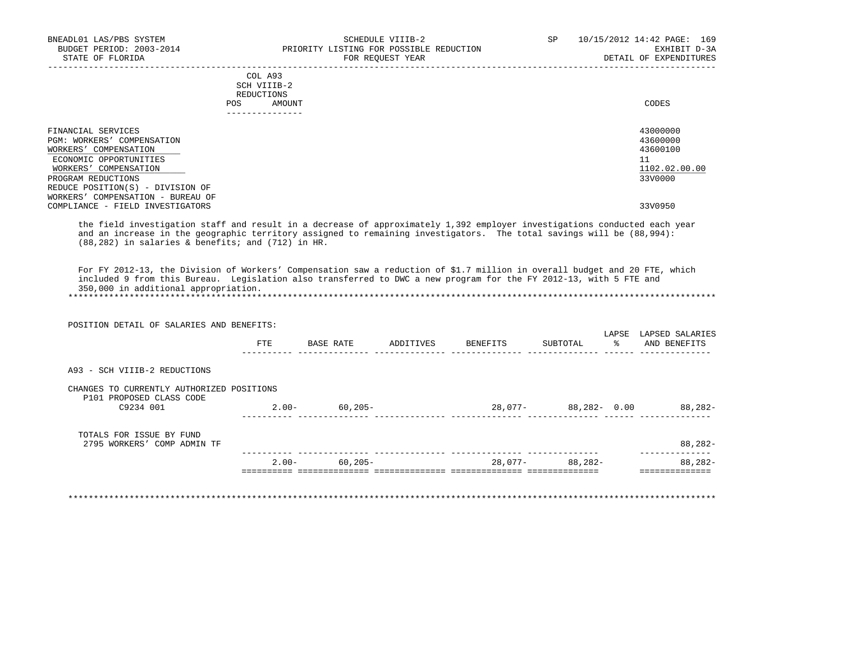| BUDGET PERIOD: 2003-2014                                                                                                                                                                                                                                                                                                                                                                                                                                             |                           | PRIORITY LISTING FOR POSSIBLE REDUCTION |                  |                     |               | EXHIBIT D-3A                  |
|----------------------------------------------------------------------------------------------------------------------------------------------------------------------------------------------------------------------------------------------------------------------------------------------------------------------------------------------------------------------------------------------------------------------------------------------------------------------|---------------------------|-----------------------------------------|------------------|---------------------|---------------|-------------------------------|
| STATE OF FLORIDA                                                                                                                                                                                                                                                                                                                                                                                                                                                     |                           |                                         | FOR REQUEST YEAR |                     |               | DETAIL OF EXPENDITURES        |
|                                                                                                                                                                                                                                                                                                                                                                                                                                                                      | COL A93                   |                                         |                  |                     |               |                               |
|                                                                                                                                                                                                                                                                                                                                                                                                                                                                      | SCH VIIIB-2<br>REDUCTIONS |                                         |                  |                     |               |                               |
|                                                                                                                                                                                                                                                                                                                                                                                                                                                                      | POS AMOUNT                |                                         |                  |                     |               | CODES                         |
|                                                                                                                                                                                                                                                                                                                                                                                                                                                                      | ---------------           |                                         |                  |                     |               |                               |
|                                                                                                                                                                                                                                                                                                                                                                                                                                                                      |                           |                                         |                  |                     |               |                               |
| FINANCIAL SERVICES                                                                                                                                                                                                                                                                                                                                                                                                                                                   |                           |                                         |                  |                     |               | 43000000                      |
| PGM: WORKERS' COMPENSATION<br>WORKERS' COMPENSATION                                                                                                                                                                                                                                                                                                                                                                                                                  |                           |                                         |                  |                     |               | 43600000<br>43600100          |
| ECONOMIC OPPORTUNITIES                                                                                                                                                                                                                                                                                                                                                                                                                                               |                           |                                         |                  |                     |               | 11                            |
| WORKERS' COMPENSATION                                                                                                                                                                                                                                                                                                                                                                                                                                                |                           |                                         |                  |                     |               | 1102.02.00.00                 |
| PROGRAM REDUCTIONS                                                                                                                                                                                                                                                                                                                                                                                                                                                   |                           |                                         |                  |                     |               | 33V0000                       |
| REDUCE POSITION(S) - DIVISION OF                                                                                                                                                                                                                                                                                                                                                                                                                                     |                           |                                         |                  |                     |               |                               |
| WORKERS' COMPENSATION - BUREAU OF                                                                                                                                                                                                                                                                                                                                                                                                                                    |                           |                                         |                  |                     |               |                               |
| COMPLIANCE - FIELD INVESTIGATORS                                                                                                                                                                                                                                                                                                                                                                                                                                     |                           |                                         |                  |                     |               | 33V0950                       |
| and an increase in the geographic territory assigned to remaining investigators. The total savings will be (88,994):<br>(88,282) in salaries & benefits; and (712) in HR.<br>For FY 2012-13, the Division of Workers' Compensation saw a reduction of \$1.7 million in overall budget and 20 FTE, which<br>included 9 from this Bureau. Legislation also transferred to DWC a new program for the FY 2012-13, with 5 FTE and<br>350,000 in additional appropriation. |                           |                                         |                  |                     |               |                               |
| POSITION DETAIL OF SALARIES AND BENEFITS:                                                                                                                                                                                                                                                                                                                                                                                                                            |                           |                                         |                  |                     |               | LAPSE LAPSED SALARIES         |
|                                                                                                                                                                                                                                                                                                                                                                                                                                                                      | ETE                       |                                         |                  |                     | $\frac{1}{6}$ | AND BENEFITS                  |
| A93 - SCH VIIIB-2 REDUCTIONS                                                                                                                                                                                                                                                                                                                                                                                                                                         |                           |                                         |                  |                     |               |                               |
| CHANGES TO CURRENTLY AUTHORIZED POSITIONS                                                                                                                                                                                                                                                                                                                                                                                                                            |                           |                                         |                  |                     |               |                               |
| P101 PROPOSED CLASS CODE<br>C9234 001                                                                                                                                                                                                                                                                                                                                                                                                                                |                           | $2.00 - 60,205 -$                       |                  |                     |               | 28,077- 88,282- 0.00 88,282-  |
| TOTALS FOR ISSUE BY FUND                                                                                                                                                                                                                                                                                                                                                                                                                                             |                           |                                         |                  |                     |               |                               |
| 2795 WORKERS' COMP ADMIN TF                                                                                                                                                                                                                                                                                                                                                                                                                                          |                           |                                         |                  |                     |               | $88,282-$                     |
|                                                                                                                                                                                                                                                                                                                                                                                                                                                                      |                           | $2.00 - 60,205 -$                       |                  | $28,077 - 88,282 -$ |               | ________________<br>$88,282-$ |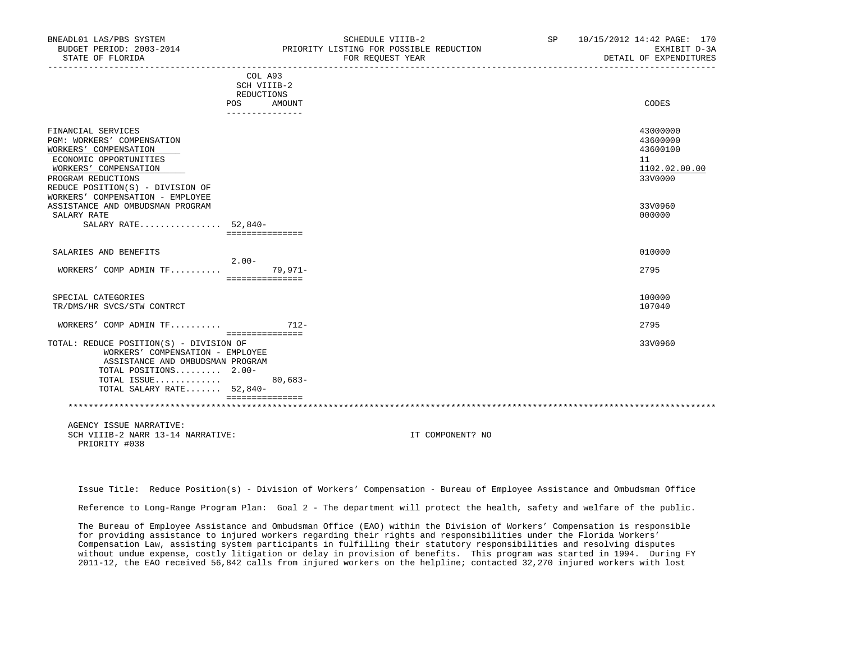| BNEADL01 LAS/PBS SYSTEM<br>BUDGET PERIOD: 2003-2014<br>STATE OF FLORIDA |                                  | SCHEDULE VIIIB-2<br>PRIORITY LISTING FOR POSSIBLE REDUCTION<br>FOR REQUEST YEAR | SP | 10/15/2012 14:42 PAGE: 170<br>EXHIBIT D-3A<br>DETAIL OF EXPENDITURES |
|-------------------------------------------------------------------------|----------------------------------|---------------------------------------------------------------------------------|----|----------------------------------------------------------------------|
|                                                                         | COL A93<br>SCH VIIIB-2           | ____________________________________                                            |    |                                                                      |
|                                                                         | REDUCTIONS                       |                                                                                 |    |                                                                      |
|                                                                         | POS<br>AMOUNT<br>_______________ |                                                                                 |    | CODES                                                                |
| FINANCIAL SERVICES                                                      |                                  |                                                                                 |    | 43000000                                                             |
| PGM: WORKERS' COMPENSATION                                              |                                  |                                                                                 |    | 43600000                                                             |
| WORKERS' COMPENSATION                                                   |                                  |                                                                                 |    | 43600100                                                             |
| ECONOMIC OPPORTUNITIES                                                  |                                  |                                                                                 |    | 11                                                                   |
| WORKERS' COMPENSATION                                                   |                                  |                                                                                 |    | 1102.02.00.00                                                        |
| PROGRAM REDUCTIONS<br>REDUCE POSITION(S) - DIVISION OF                  |                                  |                                                                                 |    | 33V0000                                                              |
| WORKERS' COMPENSATION - EMPLOYEE                                        |                                  |                                                                                 |    |                                                                      |
| ASSISTANCE AND OMBUDSMAN PROGRAM                                        |                                  |                                                                                 |    | 33V0960                                                              |
| SALARY RATE                                                             |                                  |                                                                                 |    | 000000                                                               |
| SALARY RATE 52,840-                                                     |                                  |                                                                                 |    |                                                                      |
|                                                                         | ===============                  |                                                                                 |    |                                                                      |
| SALARIES AND BENEFITS                                                   |                                  |                                                                                 |    | 010000                                                               |
|                                                                         | $2.00 -$                         |                                                                                 |    |                                                                      |
| WORKERS' COMP ADMIN TF 79,971-                                          |                                  |                                                                                 |    | 2795                                                                 |
|                                                                         | ===============                  |                                                                                 |    |                                                                      |
| SPECIAL CATEGORIES                                                      |                                  |                                                                                 |    | 100000                                                               |
| TR/DMS/HR SVCS/STW CONTRCT                                              |                                  |                                                                                 |    | 107040                                                               |
|                                                                         |                                  |                                                                                 |    |                                                                      |
| WORKERS' COMP ADMIN TF                                                  | $712 -$                          |                                                                                 |    | 2795                                                                 |
| TOTAL: REDUCE POSITION(S) - DIVISION OF                                 | seesseesseesses                  |                                                                                 |    | 33V0960                                                              |
| WORKERS' COMPENSATION - EMPLOYEE                                        |                                  |                                                                                 |    |                                                                      |
| ASSISTANCE AND OMBUDSMAN PROGRAM                                        |                                  |                                                                                 |    |                                                                      |
| TOTAL POSITIONS 2.00-                                                   |                                  |                                                                                 |    |                                                                      |
| TOTAL ISSUE                                                             | $80,683-$                        |                                                                                 |    |                                                                      |
| TOTAL SALARY RATE 52,840-                                               |                                  |                                                                                 |    |                                                                      |
|                                                                         | ================                 |                                                                                 |    |                                                                      |
|                                                                         |                                  |                                                                                 |    |                                                                      |
| AGENCY ISSUE NARRATIVE:                                                 |                                  |                                                                                 |    |                                                                      |
| SCH VIIIB-2 NARR 13-14 NARRATIVE:                                       |                                  | IT COMPONENT? NO                                                                |    |                                                                      |

PRIORITY #038

 Issue Title: Reduce Position(s) - Division of Workers' Compensation - Bureau of Employee Assistance and Ombudsman Office Reference to Long-Range Program Plan: Goal 2 - The department will protect the health, safety and welfare of the public.

 The Bureau of Employee Assistance and Ombudsman Office (EAO) within the Division of Workers' Compensation is responsible for providing assistance to injured workers regarding their rights and responsibilities under the Florida Workers' Compensation Law, assisting system participants in fulfilling their statutory responsibilities and resolving disputes without undue expense, costly litigation or delay in provision of benefits. This program was started in 1994. During FY 2011-12, the EAO received 56,842 calls from injured workers on the helpline; contacted 32,270 injured workers with lost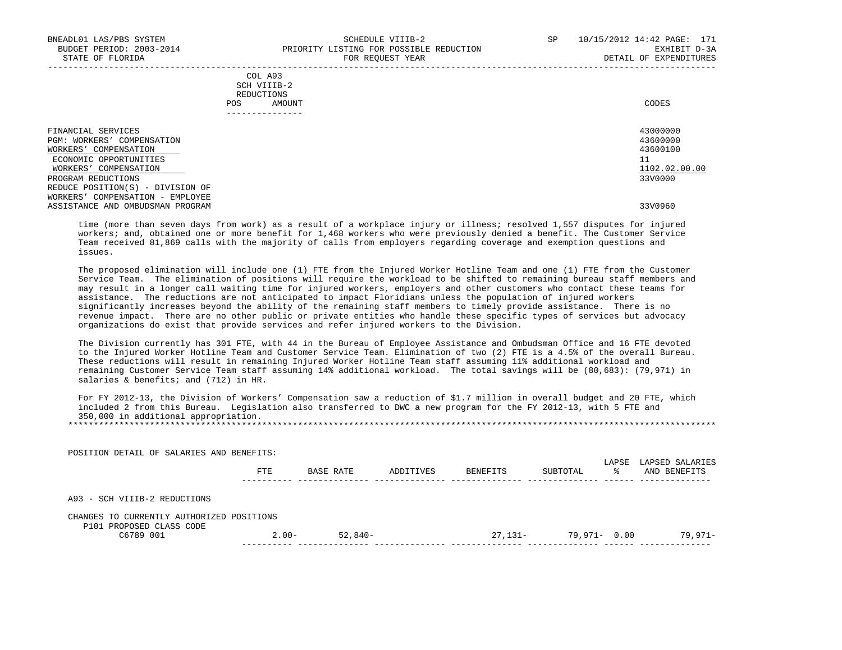|     | COL A93                                                                                                                        |       |
|-----|--------------------------------------------------------------------------------------------------------------------------------|-------|
|     | SCH VIIIB-2<br>the contract of the contract of the contract of the contract of the contract of the contract of the contract of |       |
|     | REDUCTIONS                                                                                                                     |       |
| POS | AMOUNT                                                                                                                         | CODES |
|     |                                                                                                                                |       |

| ______________                   |               |
|----------------------------------|---------------|
| FINANCIAL SERVICES               | 43000000      |
| PGM: WORKERS' COMPENSATION       | 43600000      |
| WORKERS' COMPENSATION            | 43600100      |
| ECONOMIC OPPORTUNITIES           |               |
| WORKERS' COMPENSATION            | 1102.02.00.00 |
| PROGRAM REDUCTIONS               | 33V0000       |
| REDUCE POSITION(S) - DIVISION OF |               |
| WORKERS' COMPENSATION - EMPLOYEE |               |
| ASSISTANCE AND OMBUDSMAN PROGRAM | 33V0960       |

 time (more than seven days from work) as a result of a workplace injury or illness; resolved 1,557 disputes for injured workers; and, obtained one or more benefit for 1,468 workers who were previously denied a benefit. The Customer Service Team received 81,869 calls with the majority of calls from employers regarding coverage and exemption questions and issues.

 The proposed elimination will include one (1) FTE from the Injured Worker Hotline Team and one (1) FTE from the Customer Service Team. The elimination of positions will require the workload to be shifted to remaining bureau staff members and may result in a longer call waiting time for injured workers, employers and other customers who contact these teams for assistance. The reductions are not anticipated to impact Floridians unless the population of injured workers significantly increases beyond the ability of the remaining staff members to timely provide assistance. There is no revenue impact. There are no other public or private entities who handle these specific types of services but advocacy organizations do exist that provide services and refer injured workers to the Division.

 The Division currently has 301 FTE, with 44 in the Bureau of Employee Assistance and Ombudsman Office and 16 FTE devoted to the Injured Worker Hotline Team and Customer Service Team. Elimination of two (2) FTE is a 4.5% of the overall Bureau. These reductions will result in remaining Injured Worker Hotline Team staff assuming 11% additional workload and remaining Customer Service Team staff assuming 14% additional workload. The total savings will be (80,683): (79,971) in salaries & benefits; and (712) in HR.

 For FY 2012-13, the Division of Workers' Compensation saw a reduction of \$1.7 million in overall budget and 20 FTE, which included 2 from this Bureau. Legislation also transferred to DWC a new program for the FY 2012-13, with 5 FTE and 350,000 in additional appropriation. \*\*\*\*\*\*\*\*\*\*\*\*\*\*\*\*\*\*\*\*\*\*\*\*\*\*\*\*\*\*\*\*\*\*\*\*\*\*\*\*\*\*\*\*\*\*\*\*\*\*\*\*\*\*\*\*\*\*\*\*\*\*\*\*\*\*\*\*\*\*\*\*\*\*\*\*\*\*\*\*\*\*\*\*\*\*\*\*\*\*\*\*\*\*\*\*\*\*\*\*\*\*\*\*\*\*\*\*\*\*\*\*\*\*\*\*\*\*\*\*\*\*\*\*\*\*\*

 POSITION DETAIL OF SALARIES AND BENEFITS: LAPSE LAPSED SALARIES FTE BASE RATE ADDITIVES BENEFITS SUBTOTAL % AND BENEFITS ---------- -------------- -------------- -------------- -------------- ------ -------------- A93 - SCH VIIIB-2 REDUCTIONS CHANGES TO CURRENTLY AUTHORIZED POSITIONS P101 PROPOSED CLASS CODE C6789 001 2.00- 52,840- 27,131- 79,971- 0.00 79,971- ---------- -------------- -------------- -------------- -------------- ------ --------------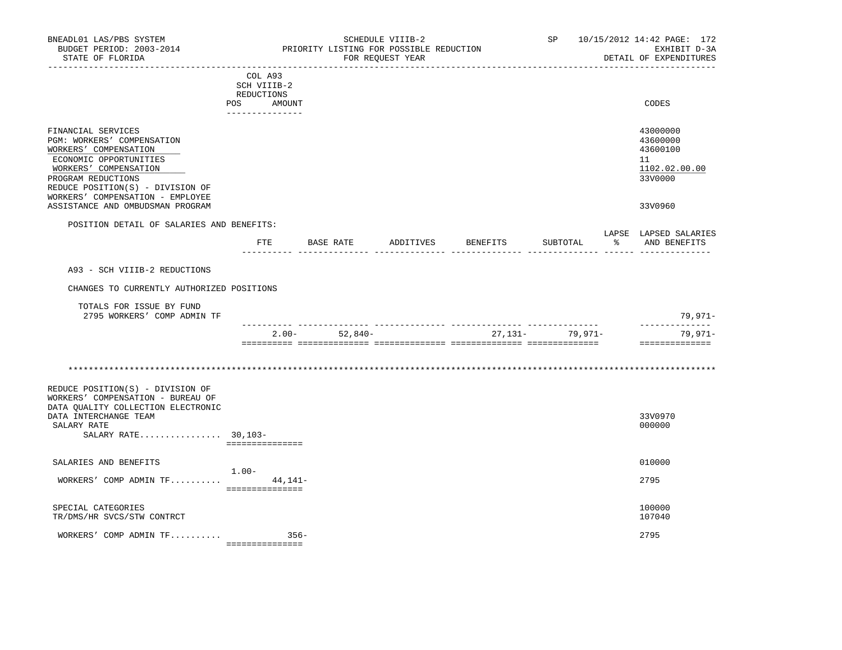| BNEADL01 LAS/PBS SYSTEM<br>BUDGET PERIOD: 2003-2014<br>STATE OF FLORIDA                                                                                                                                                    |                                                                       | SCHEDULE VIIIB-2<br>PRIORITY LISTING FOR POSSIBLE REDUCTION<br>FOR REQUEST YEAR |                   |  |                                  |                     | SP 10/15/2012 14:42 PAGE: 172<br>DETAIL OF EXPENDITURES |                                                                    |  |
|----------------------------------------------------------------------------------------------------------------------------------------------------------------------------------------------------------------------------|-----------------------------------------------------------------------|---------------------------------------------------------------------------------|-------------------|--|----------------------------------|---------------------|---------------------------------------------------------|--------------------------------------------------------------------|--|
|                                                                                                                                                                                                                            | COL A93<br>SCH VIIIB-2<br>REDUCTIONS<br>POS AMOUNT<br>--------------- |                                                                                 |                   |  |                                  |                     |                                                         | CODES                                                              |  |
| FINANCIAL SERVICES<br>PGM: WORKERS' COMPENSATION<br>WORKERS' COMPENSATION<br>ECONOMIC OPPORTUNITIES<br>WORKERS' COMPENSATION<br>PROGRAM REDUCTIONS<br>REDUCE POSITION(S) - DIVISION OF<br>WORKERS' COMPENSATION - EMPLOYEE |                                                                       |                                                                                 |                   |  |                                  |                     |                                                         | 43000000<br>43600000<br>43600100<br>11<br>1102.02.00.00<br>33V0000 |  |
| ASSISTANCE AND OMBUDSMAN PROGRAM                                                                                                                                                                                           |                                                                       |                                                                                 |                   |  |                                  |                     |                                                         | 33V0960                                                            |  |
| POSITION DETAIL OF SALARIES AND BENEFITS:                                                                                                                                                                                  |                                                                       |                                                                                 |                   |  | FTE BASE RATE ADDITIVES BENEFITS | SUBTOTAL            | ာ အော                                                   | LAPSE LAPSED SALARIES<br>AND BENEFITS                              |  |
|                                                                                                                                                                                                                            |                                                                       |                                                                                 |                   |  |                                  |                     |                                                         |                                                                    |  |
| A93 - SCH VIIIB-2 REDUCTIONS                                                                                                                                                                                               |                                                                       |                                                                                 |                   |  |                                  |                     |                                                         |                                                                    |  |
| CHANGES TO CURRENTLY AUTHORIZED POSITIONS                                                                                                                                                                                  |                                                                       |                                                                                 |                   |  |                                  |                     |                                                         |                                                                    |  |
| TOTALS FOR ISSUE BY FUND<br>2795 WORKERS' COMP ADMIN TF                                                                                                                                                                    |                                                                       |                                                                                 |                   |  |                                  |                     |                                                         | 79,971-<br>_______________                                         |  |
|                                                                                                                                                                                                                            |                                                                       |                                                                                 | $2.00 - 52,840 -$ |  |                                  | 27, 131 - 79, 971 - |                                                         | 79,971-<br>==============                                          |  |
|                                                                                                                                                                                                                            |                                                                       |                                                                                 |                   |  |                                  |                     |                                                         |                                                                    |  |
| REDUCE POSITION(S) - DIVISION OF<br>WORKERS' COMPENSATION - BUREAU OF<br>DATA OUALITY COLLECTION ELECTRONIC<br>DATA INTERCHANGE TEAM<br>SALARY RATE<br>SALARY RATE 30,103-                                                 | ----------------                                                      |                                                                                 |                   |  |                                  |                     |                                                         | 33V0970<br>000000                                                  |  |
| SALARIES AND BENEFITS                                                                                                                                                                                                      |                                                                       |                                                                                 |                   |  |                                  |                     |                                                         | 010000                                                             |  |
| WORKERS' COMP ADMIN TF                                                                                                                                                                                                     | $1.00 -$<br>===============                                           | 44,141-                                                                         |                   |  |                                  |                     |                                                         | 2795                                                               |  |
| SPECIAL CATEGORIES<br>TR/DMS/HR SVCS/STW CONTRCT                                                                                                                                                                           |                                                                       |                                                                                 |                   |  |                                  |                     |                                                         | 100000<br>107040                                                   |  |
| WORKERS' COMP ADMIN TF                                                                                                                                                                                                     | ===============                                                       | $356-$                                                                          |                   |  |                                  |                     |                                                         | 2795                                                               |  |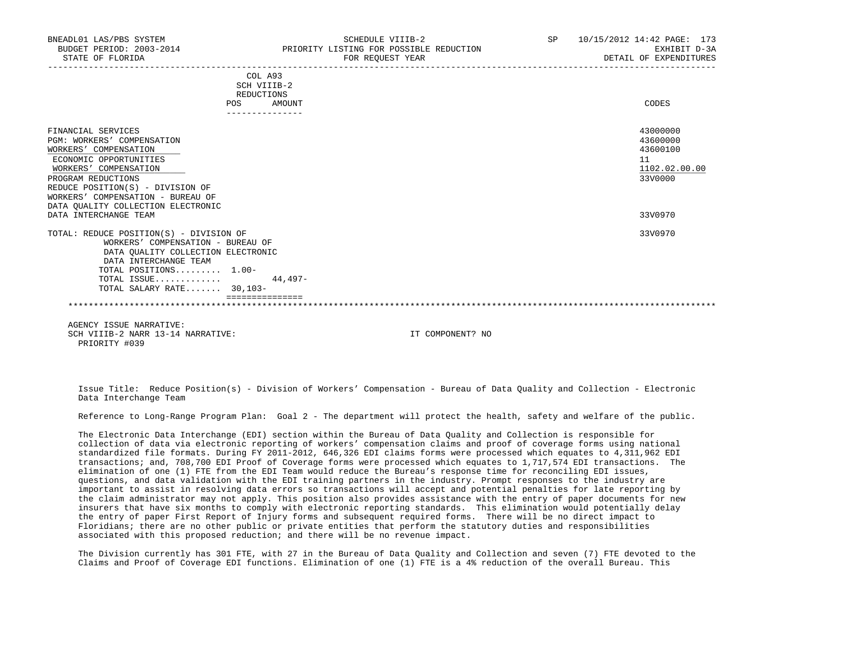| BNEADL01 LAS/PBS SYSTEM<br>BUDGET PERIOD: 2003-2014<br>STATE OF FLORIDA                                                                            | SCHEDULE VIIIB-2<br>PRIORITY LISTING FOR POSSIBLE REDUCTION<br>FOR REOUEST YEAR | <b>SP</b> | 10/15/2012 14:42 PAGE: 173<br>EXHIBIT D-3A<br>DETAIL OF EXPENDITURES |
|----------------------------------------------------------------------------------------------------------------------------------------------------|---------------------------------------------------------------------------------|-----------|----------------------------------------------------------------------|
|                                                                                                                                                    | COL A93<br>SCH VIIIB-2<br>REDUCTIONS<br>AMOUNT<br><b>POS</b><br>--------------  |           | CODES                                                                |
| FINANCIAL SERVICES<br>PGM: WORKERS' COMPENSATION<br>WORKERS' COMPENSATION<br>ECONOMIC OPPORTUNITIES<br>WORKERS' COMPENSATION<br>PROGRAM REDUCTIONS |                                                                                 |           | 43000000<br>43600000<br>43600100<br>11<br>1102.02.00.00<br>33V0000   |
| REDUCE POSITION(S) - DIVISION OF<br>WORKERS' COMPENSATION - BUREAU OF<br>DATA OUALITY COLLECTION ELECTRONIC<br>DATA INTERCHANGE TEAM               |                                                                                 |           | 33V0970                                                              |

 TOTAL: REDUCE POSITION(S) - DIVISION OF 33V0970 WORKERS' COMPENSATION - BUREAU OF DATA QUALITY COLLECTION ELECTRONIC DATA INTERCHANGE TEAM TOTAL POSITIONS......... 1.00- TOTAL ISSUE............. 44,497- TOTAL SALARY RATE....... 30,103-

## =============== \*\*\*\*\*\*\*\*\*\*\*\*\*\*\*\*\*\*\*\*\*\*\*\*\*\*\*\*\*\*\*\*\*\*\*\*\*\*\*\*\*\*\*\*\*\*\*\*\*\*\*\*\*\*\*\*\*\*\*\*\*\*\*\*\*\*\*\*\*\*\*\*\*\*\*\*\*\*\*\*\*\*\*\*\*\*\*\*\*\*\*\*\*\*\*\*\*\*\*\*\*\*\*\*\*\*\*\*\*\*\*\*\*\*\*\*\*\*\*\*\*\*\*\*\*\*\*

 AGENCY ISSUE NARRATIVE: SCH VIIIB-2 NARR 13-14 NARRATIVE: IT COMPONENT? NO PRIORITY #039

 Issue Title: Reduce Position(s) - Division of Workers' Compensation - Bureau of Data Quality and Collection - Electronic Data Interchange Team

Reference to Long-Range Program Plan: Goal 2 - The department will protect the health, safety and welfare of the public.

 The Electronic Data Interchange (EDI) section within the Bureau of Data Quality and Collection is responsible for collection of data via electronic reporting of workers' compensation claims and proof of coverage forms using national standardized file formats. During FY 2011-2012, 646,326 EDI claims forms were processed which equates to 4,311,962 EDI transactions; and, 708,700 EDI Proof of Coverage forms were processed which equates to 1,717,574 EDI transactions. The elimination of one (1) FTE from the EDI Team would reduce the Bureau's response time for reconciling EDI issues, questions, and data validation with the EDI training partners in the industry. Prompt responses to the industry are important to assist in resolving data errors so transactions will accept and potential penalties for late reporting by the claim administrator may not apply. This position also provides assistance with the entry of paper documents for new insurers that have six months to comply with electronic reporting standards. This elimination would potentially delay the entry of paper First Report of Injury forms and subsequent required forms. There will be no direct impact to Floridians; there are no other public or private entities that perform the statutory duties and responsibilities associated with this proposed reduction; and there will be no revenue impact.

 The Division currently has 301 FTE, with 27 in the Bureau of Data Quality and Collection and seven (7) FTE devoted to the Claims and Proof of Coverage EDI functions. Elimination of one (1) FTE is a 4% reduction of the overall Bureau. This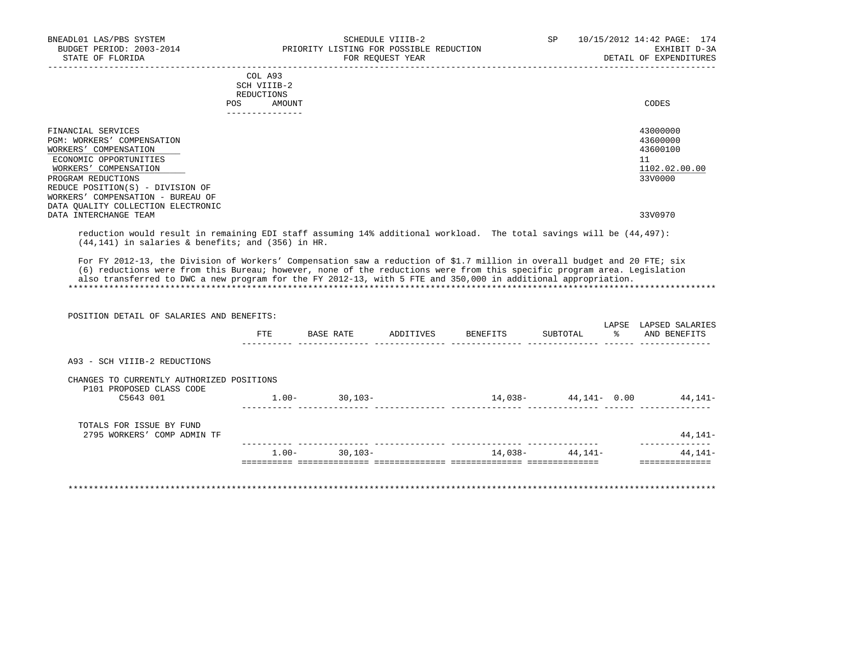| BNEADL01 LAS/PBS SYSTEM<br>BUDGET PERIOD: 2003-2014<br>STATE OF FLORIDA                                                                                                                                                                                           | <b>SP</b><br>SCHEDULE VIIIB-2<br>PRIORITY LISTING FOR POSSIBLE REDUCTION<br>FOR REQUEST YEAR                        | 10/15/2012 14:42 PAGE: 174<br>EXHIBIT D-3A<br>DETAIL OF EXPENDITURES |
|-------------------------------------------------------------------------------------------------------------------------------------------------------------------------------------------------------------------------------------------------------------------|---------------------------------------------------------------------------------------------------------------------|----------------------------------------------------------------------|
|                                                                                                                                                                                                                                                                   | COL A93<br>SCH VIIIB-2<br>REDUCTIONS<br><b>POS</b><br>AMOUNT                                                        | CODES                                                                |
| FINANCIAL SERVICES<br>PGM: WORKERS' COMPENSATION<br>WORKERS' COMPENSATION<br>ECONOMIC OPPORTUNITIES<br>WORKERS' COMPENSATION<br>PROGRAM REDUCTIONS<br>REDUCE POSITION(S) - DIVISION OF<br>WORKERS' COMPENSATION - BUREAU OF<br>DATA OUALITY COLLECTION ELECTRONIC |                                                                                                                     | 43000000<br>43600000<br>43600100<br>11<br>1102.02.00.00<br>33V0000   |
| DATA INTERCHANGE TEAM                                                                                                                                                                                                                                             |                                                                                                                     | 33V0970                                                              |
|                                                                                                                                                                                                                                                                   | reduction would result in remaining EDI staff assuming 14% additional workload. The total savings will be (44,497): |                                                                      |

(44,141) in salaries & benefits; and (356) in HR.

POSITION DETAIL OF SALARIES AND BENEFITS:

 For FY 2012-13, the Division of Workers' Compensation saw a reduction of \$1.7 million in overall budget and 20 FTE; six (6) reductions were from this Bureau; however, none of the reductions were from this specific program area. Legislation also transferred to DWC a new program for the FY 2012-13, with 5 FTE and 350,000 in additional appropriation. \*\*\*\*\*\*\*\*\*\*\*\*\*\*\*\*\*\*\*\*\*\*\*\*\*\*\*\*\*\*\*\*\*\*\*\*\*\*\*\*\*\*\*\*\*\*\*\*\*\*\*\*\*\*\*\*\*\*\*\*\*\*\*\*\*\*\*\*\*\*\*\*\*\*\*\*\*\*\*\*\*\*\*\*\*\*\*\*\*\*\*\*\*\*\*\*\*\*\*\*\*\*\*\*\*\*\*\*\*\*\*\*\*\*\*\*\*\*\*\*\*\*\*\*\*\*\*

| POSITION DETAIL OF SALARIES AND BENEFITS: |          |           |           |          |                  | LAPSE         | LAPSED SALARIES |
|-------------------------------------------|----------|-----------|-----------|----------|------------------|---------------|-----------------|
|                                           | FTE      | BASE RATE | ADDITIVES | BENEFITS | SUBTOTAL         | $\mathcal{E}$ | AND BENEFITS    |
| A93 - SCH VIIIB-2 REDUCTIONS              |          |           |           |          |                  |               |                 |
| CHANGES TO CURRENTLY AUTHORIZED POSITIONS |          |           |           |          |                  |               |                 |
| P101 PROPOSED CLASS CODE<br>C5643 001     | $1.00 -$ | $30,103-$ |           | 14,038-  | 44,141- 0.00     |               | 44,141-         |
| TOTALS FOR ISSUE BY FUND                  |          |           |           |          |                  |               | 44,141-         |
| 2795 WORKERS' COMP ADMIN TF               |          |           |           |          |                  |               |                 |
|                                           | $1.00-$  | $30,103-$ |           |          | $14,038 44,141-$ |               | 44,141-         |

\*\*\*\*\*\*\*\*\*\*\*\*\*\*\*\*\*\*\*\*\*\*\*\*\*\*\*\*\*\*\*\*\*\*\*\*\*\*\*\*\*\*\*\*\*\*\*\*\*\*\*\*\*\*\*\*\*\*\*\*\*\*\*\*\*\*\*\*\*\*\*\*\*\*\*\*\*\*\*\*\*\*\*\*\*\*\*\*\*\*\*\*\*\*\*\*\*\*\*\*\*\*\*\*\*\*\*\*\*\*\*\*\*\*\*\*\*\*\*\*\*\*\*\*\*\*\*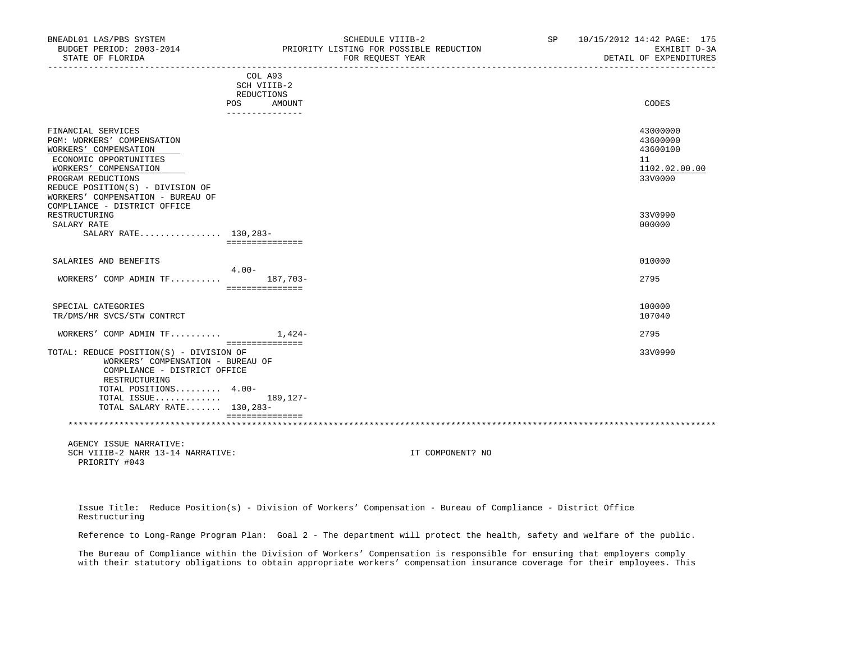| BNEADL01 LAS/PBS SYSTEM<br>BUDGET PERIOD: 2003-2014<br>STATE OF FLORIDA                                                                                                                                                                                     |                                                                          | SCHEDULE VIIIB-2<br>PRIORITY LISTING FOR POSSIBLE REDUCTION<br>FOR REQUEST YEAR | SP | 10/15/2012 14:42 PAGE: 175<br>EXHIBIT D-3A<br>DETAIL OF EXPENDITURES |
|-------------------------------------------------------------------------------------------------------------------------------------------------------------------------------------------------------------------------------------------------------------|--------------------------------------------------------------------------|---------------------------------------------------------------------------------|----|----------------------------------------------------------------------|
|                                                                                                                                                                                                                                                             | COL A93<br>SCH VIIIB-2<br>REDUCTIONS<br>POS<br>AMOUNT<br>--------------- |                                                                                 |    | CODES                                                                |
| FINANCIAL SERVICES<br>PGM: WORKERS' COMPENSATION<br>WORKERS' COMPENSATION<br>ECONOMIC OPPORTUNITIES<br>WORKERS' COMPENSATION<br>PROGRAM REDUCTIONS<br>REDUCE POSITION(S) - DIVISION OF<br>WORKERS' COMPENSATION - BUREAU OF<br>COMPLIANCE - DISTRICT OFFICE |                                                                          |                                                                                 |    | 43000000<br>43600000<br>43600100<br>11<br>1102.02.00.00<br>33V0000   |
| RESTRUCTURING<br>SALARY RATE<br>SALARY RATE 130,283-                                                                                                                                                                                                        | ===============                                                          |                                                                                 |    | 33V0990<br>000000                                                    |
| SALARIES AND BENEFITS                                                                                                                                                                                                                                       |                                                                          |                                                                                 |    | 010000                                                               |
| WORKERS' COMP ADMIN TF                                                                                                                                                                                                                                      | $4.00 -$<br>187,703-<br>===============                                  |                                                                                 |    | 2795                                                                 |
| SPECIAL CATEGORIES<br>TR/DMS/HR SVCS/STW CONTRCT                                                                                                                                                                                                            |                                                                          |                                                                                 |    | 100000<br>107040                                                     |
| WORKERS' COMP ADMIN TF 1,424-                                                                                                                                                                                                                               | ===============                                                          |                                                                                 |    | 2795                                                                 |
| TOTAL: REDUCE POSITION(S) - DIVISION OF<br>WORKERS' COMPENSATION - BUREAU OF<br>COMPLIANCE - DISTRICT OFFICE<br>RESTRUCTURING<br>TOTAL POSITIONS 4.00-                                                                                                      |                                                                          |                                                                                 |    | 33V0990                                                              |

 TOTAL SALARY RATE....... 130,283- ===============

TOTAL ISSUE............. 189,127-

## \*\*\*\*\*\*\*\*\*\*\*\*\*\*\*\*\*\*\*\*\*\*\*\*\*\*\*\*\*\*\*\*\*\*\*\*\*\*\*\*\*\*\*\*\*\*\*\*\*\*\*\*\*\*\*\*\*\*\*\*\*\*\*\*\*\*\*\*\*\*\*\*\*\*\*\*\*\*\*\*\*\*\*\*\*\*\*\*\*\*\*\*\*\*\*\*\*\*\*\*\*\*\*\*\*\*\*\*\*\*\*\*\*\*\*\*\*\*\*\*\*\*\*\*\*\*\*

 AGENCY ISSUE NARRATIVE: SCH VIIIB-2 NARR 13-14 NARRATIVE: IT COMPONENT? NO PRIORITY #043

 Issue Title: Reduce Position(s) - Division of Workers' Compensation - Bureau of Compliance - District Office Restructuring

Reference to Long-Range Program Plan: Goal 2 - The department will protect the health, safety and welfare of the public.

 The Bureau of Compliance within the Division of Workers' Compensation is responsible for ensuring that employers comply with their statutory obligations to obtain appropriate workers' compensation insurance coverage for their employees. This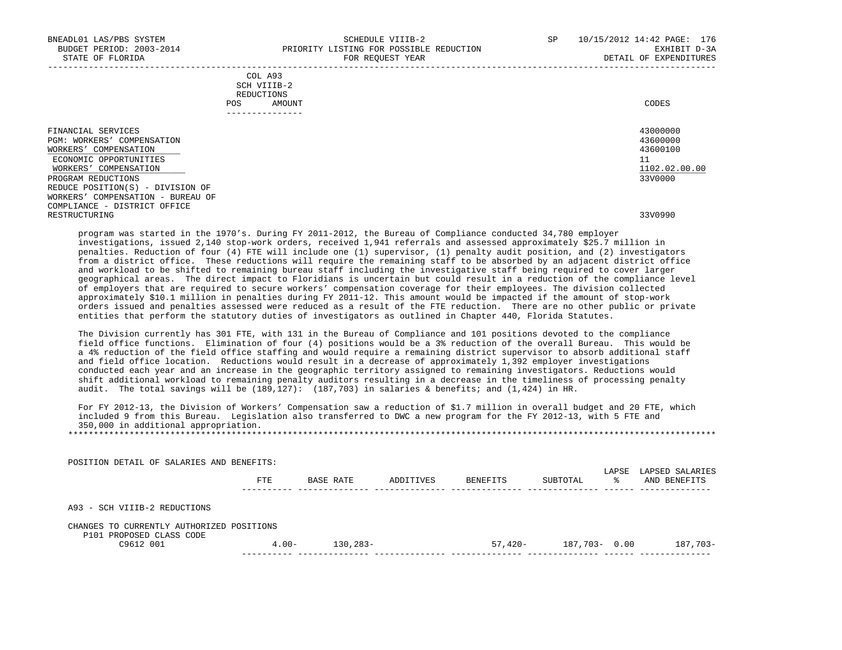|            | _______________ |       |
|------------|-----------------|-------|
| POS        | AMOUNT          | CODES |
| REDUCTIONS |                 |       |
|            | SCH VIIIB-2     |       |
|            | COL A93         |       |

| FINANCIAL SERVICES                | 43000000      |
|-----------------------------------|---------------|
| PGM: WORKERS' COMPENSATION        | 43600000      |
| WORKERS' COMPENSATION             | 43600100      |
| ECONOMIC OPPORTUNITIES            |               |
| WORKERS' COMPENSATION             | 1102.02.00.00 |
| PROGRAM REDUCTIONS                | 33V0000       |
| REDUCE POSITION(S) - DIVISION OF  |               |
| WORKERS' COMPENSATION - BUREAU OF |               |
| COMPLIANCE - DISTRICT OFFICE      |               |
| RESTRUCTURING                     | 33V0990       |
|                                   |               |

 program was started in the 1970's. During FY 2011-2012, the Bureau of Compliance conducted 34,780 employer investigations, issued 2,140 stop-work orders, received 1,941 referrals and assessed approximately \$25.7 million in penalties. Reduction of four (4) FTE will include one (1) supervisor, (1) penalty audit position, and (2) investigators from a district office. These reductions will require the remaining staff to be absorbed by an adjacent district office and workload to be shifted to remaining bureau staff including the investigative staff being required to cover larger geographical areas. The direct impact to Floridians is uncertain but could result in a reduction of the compliance level of employers that are required to secure workers' compensation coverage for their employees. The division collected approximately \$10.1 million in penalties during FY 2011-12. This amount would be impacted if the amount of stop-work orders issued and penalties assessed were reduced as a result of the FTE reduction. There are no other public or private entities that perform the statutory duties of investigators as outlined in Chapter 440, Florida Statutes.

 The Division currently has 301 FTE, with 131 in the Bureau of Compliance and 101 positions devoted to the compliance field office functions. Elimination of four (4) positions would be a 3% reduction of the overall Bureau. This would be a 4% reduction of the field office staffing and would require a remaining district supervisor to absorb additional staff and field office location. Reductions would result in a decrease of approximately 1,392 employer investigations conducted each year and an increase in the geographic territory assigned to remaining investigators. Reductions would shift additional workload to remaining penalty auditors resulting in a decrease in the timeliness of processing penalty audit. The total savings will be  $(189,127)$ :  $(187,703)$  in salaries & benefits; and  $(1,424)$  in HR.

 For FY 2012-13, the Division of Workers' Compensation saw a reduction of \$1.7 million in overall budget and 20 FTE, which included 9 from this Bureau. Legislation also transferred to DWC a new program for the FY 2012-13, with 5 FTE and 350,000 in additional appropriation. \*\*\*\*\*\*\*\*\*\*\*\*\*\*\*\*\*\*\*\*\*\*\*\*\*\*\*\*\*\*\*\*\*\*\*\*\*\*\*\*\*\*\*\*\*\*\*\*\*\*\*\*\*\*\*\*\*\*\*\*\*\*\*\*\*\*\*\*\*\*\*\*\*\*\*\*\*\*\*\*\*\*\*\*\*\*\*\*\*\*\*\*\*\*\*\*\*\*\*\*\*\*\*\*\*\*\*\*\*\*\*\*\*\*\*\*\*\*\*\*\*\*\*\*\*\*\*

 POSITION DETAIL OF SALARIES AND BENEFITS: LAPSE LAPSED SALARIES FTE BASE RATE ADDITIVES BENEFITS SUBTOTAL % AND BENEFITS ---------- -------------- -------------- -------------- -------------- ------ -------------- A93 - SCH VIIIB-2 REDUCTIONS CHANGES TO CURRENTLY AUTHORIZED POSITIONS P101 PROPOSED CLASS CODE<br>C9612 001 C9612 001 4.00- 130,283- 57,420- 187,703- 0.00 187,703- ---------- -------------- -------------- -------------- -------------- ------ --------------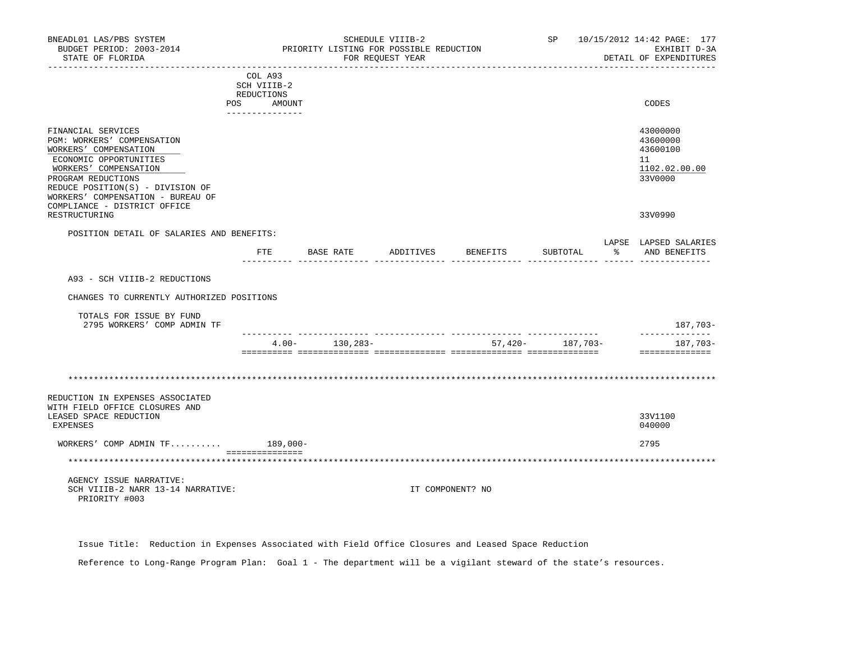| BNEADL01 LAS/PBS SYSTEM<br>BUDGET PERIOD: 2003-2014<br>STATE OF FLORIDA                                                                                                                                                                                     |                                                                       | SCHEDULE VIIIB-2<br>FOR REOUEST YEAR | PRIORITY LISTING FOR POSSIBLE REDUCTION |                  |          | SP 10/15/2012 14:42 PAGE: 177<br>EXHIBIT D-3A<br>DETAIL OF EXPENDITURES |
|-------------------------------------------------------------------------------------------------------------------------------------------------------------------------------------------------------------------------------------------------------------|-----------------------------------------------------------------------|--------------------------------------|-----------------------------------------|------------------|----------|-------------------------------------------------------------------------|
|                                                                                                                                                                                                                                                             | COL A93<br>SCH VIIIB-2<br>REDUCTIONS<br>POS AMOUNT<br>--------------- |                                      |                                         |                  |          | CODES                                                                   |
| FINANCIAL SERVICES<br>PGM: WORKERS' COMPENSATION<br>WORKERS' COMPENSATION<br>ECONOMIC OPPORTUNITIES<br>WORKERS' COMPENSATION<br>PROGRAM REDUCTIONS<br>REDUCE POSITION(S) - DIVISION OF<br>WORKERS' COMPENSATION - BUREAU OF<br>COMPLIANCE - DISTRICT OFFICE |                                                                       |                                      |                                         |                  |          | 43000000<br>43600000<br>43600100<br>11<br>1102.02.00.00<br>33V0000      |
| RESTRUCTURING                                                                                                                                                                                                                                               |                                                                       |                                      |                                         |                  |          | 33V0990                                                                 |
| POSITION DETAIL OF SALARIES AND BENEFITS:                                                                                                                                                                                                                   | FTE<br>BASE RATE                                                      |                                      | ADDITIVES                               | BENEFITS         | SUBTOTAL | LAPSE LAPSED SALARIES<br>$\frac{1}{6}$<br>AND BENEFITS                  |
| A93 - SCH VIIIB-2 REDUCTIONS                                                                                                                                                                                                                                |                                                                       |                                      |                                         |                  |          |                                                                         |
| CHANGES TO CURRENTLY AUTHORIZED POSITIONS                                                                                                                                                                                                                   |                                                                       |                                      |                                         |                  |          |                                                                         |
| TOTALS FOR ISSUE BY FUND<br>2795 WORKERS' COMP ADMIN TF                                                                                                                                                                                                     |                                                                       |                                      |                                         |                  |          | 187,703-<br>______________                                              |
|                                                                                                                                                                                                                                                             | $4.00 -$                                                              | 130,283-                             |                                         | 57,420- 187,703- |          | 187,703-<br>==============                                              |
|                                                                                                                                                                                                                                                             |                                                                       |                                      |                                         |                  |          |                                                                         |
| REDUCTION IN EXPENSES ASSOCIATED<br>WITH FIELD OFFICE CLOSURES AND<br>LEASED SPACE REDUCTION<br>EXPENSES                                                                                                                                                    |                                                                       |                                      |                                         |                  |          | 33V1100<br>040000                                                       |
| $WORKERS'$ COMP ADMIN TF 189,000-                                                                                                                                                                                                                           |                                                                       |                                      |                                         |                  |          | 2795                                                                    |
|                                                                                                                                                                                                                                                             | ----------------                                                      |                                      |                                         |                  |          |                                                                         |
| AGENCY ISSUE NARRATIVE:<br>SCH VIIIB-2 NARR 13-14 NARRATIVE:<br>PRIORITY #003                                                                                                                                                                               |                                                                       |                                      | IT COMPONENT? NO                        |                  |          |                                                                         |

Issue Title: Reduction in Expenses Associated with Field Office Closures and Leased Space Reduction

Reference to Long-Range Program Plan: Goal 1 - The department will be a vigilant steward of the state's resources.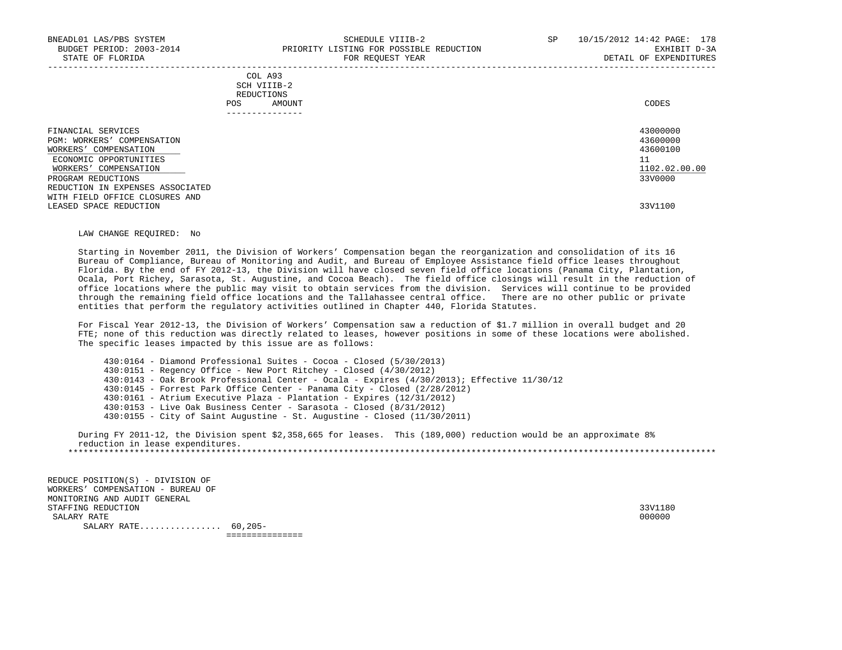|            | _______________ |       |
|------------|-----------------|-------|
| POS        | AMOUNT          | CODES |
| REDUCTIONS |                 |       |
|            | SCH VIIIB-2     |       |
|            | COL A93         |       |

| FINANCIAL SERVICES               | 43000000      |
|----------------------------------|---------------|
| PGM: WORKERS' COMPENSATION       | 43600000      |
| WORKERS' COMPENSATION            | 43600100      |
| ECONOMIC OPPORTUNITIES           | 11            |
| WORKERS' COMPENSATION            | 1102.02.00.00 |
| PROGRAM REDUCTIONS               | 33V0000       |
| REDUCTION IN EXPENSES ASSOCIATED |               |
| WITH FIELD OFFICE CLOSURES AND   |               |
| LEASED SPACE REDUCTION           | 33V1100       |

## LAW CHANGE REQUIRED: No

 Starting in November 2011, the Division of Workers' Compensation began the reorganization and consolidation of its 16 Bureau of Compliance, Bureau of Monitoring and Audit, and Bureau of Employee Assistance field office leases throughout Florida. By the end of FY 2012-13, the Division will have closed seven field office locations (Panama City, Plantation, Ocala, Port Richey, Sarasota, St. Augustine, and Cocoa Beach). The field office closings will result in the reduction of office locations where the public may visit to obtain services from the division. Services will continue to be provided through the remaining field office locations and the Tallahassee central office. There are no other public or private entities that perform the regulatory activities outlined in Chapter 440, Florida Statutes.

 For Fiscal Year 2012-13, the Division of Workers' Compensation saw a reduction of \$1.7 million in overall budget and 20 FTE; none of this reduction was directly related to leases, however positions in some of these locations were abolished. The specific leases impacted by this issue are as follows:

 430:0164 - Diamond Professional Suites - Cocoa - Closed (5/30/2013) 430:0151 - Regency Office - New Port Ritchey - Closed (4/30/2012) 430:0143 - Oak Brook Professional Center - Ocala - Expires (4/30/2013); Effective 11/30/12 430:0145 - Forrest Park Office Center - Panama City - Closed (2/28/2012) 430:0161 - Atrium Executive Plaza - Plantation - Expires (12/31/2012) 430:0153 - Live Oak Business Center - Sarasota - Closed (8/31/2012) 430:0155 - City of Saint Augustine - St. Augustine - Closed (11/30/2011)

 During FY 2011-12, the Division spent \$2,358,665 for leases. This (189,000) reduction would be an approximate 8% reduction in lease expenditures. \*\*\*\*\*\*\*\*\*\*\*\*\*\*\*\*\*\*\*\*\*\*\*\*\*\*\*\*\*\*\*\*\*\*\*\*\*\*\*\*\*\*\*\*\*\*\*\*\*\*\*\*\*\*\*\*\*\*\*\*\*\*\*\*\*\*\*\*\*\*\*\*\*\*\*\*\*\*\*\*\*\*\*\*\*\*\*\*\*\*\*\*\*\*\*\*\*\*\*\*\*\*\*\*\*\*\*\*\*\*\*\*\*\*\*\*\*\*\*\*\*\*\*\*\*\*\*

 REDUCE POSITION(S) - DIVISION OF WORKERS' COMPENSATION - BUREAU OF MONITORING AND AUDIT GENERAL STAFFING REDUCTION 33V1180 SALARY RATE 2000000 CONTROL 200000 CONTROL 200000 CONTROL 200000 CONTROL 200000 CONTROL 200000 CONTROL 20000 CO SALARY RATE................ 60,205- ===============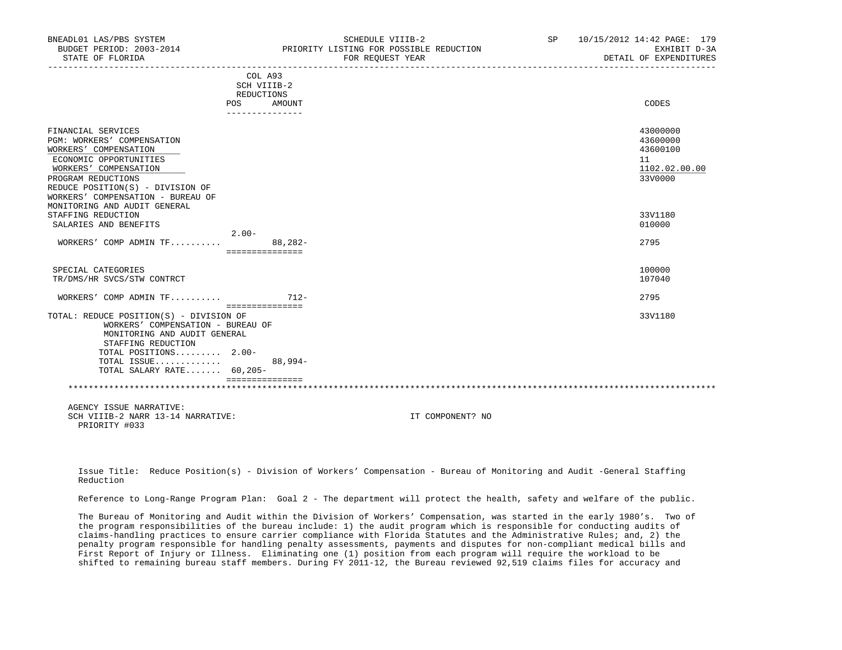| BNEADL01 LAS/PBS SYSTEM<br>BUDGET PERIOD: 2003-2014<br>STATE OF FLORIDA                                                                                                                                                                                            |          |                                                | SCHEDULE VIIIB-2<br>PRIORITY LISTING FOR POSSIBLE REDUCTION<br>FOR REOUEST YEAR<br>__________________________ | SP | 10/15/2012 14:42 PAGE: 179<br>EXHIBIT D-3A<br>DETAIL OF EXPENDITURES |
|--------------------------------------------------------------------------------------------------------------------------------------------------------------------------------------------------------------------------------------------------------------------|----------|------------------------------------------------|---------------------------------------------------------------------------------------------------------------|----|----------------------------------------------------------------------|
|                                                                                                                                                                                                                                                                    | POS      | COL A93<br>SCH VIIIB-2<br>REDUCTIONS<br>AMOUNT |                                                                                                               |    | CODES                                                                |
| FINANCIAL SERVICES<br><b>PGM: WORKERS' COMPENSATION</b><br>WORKERS' COMPENSATION<br>ECONOMIC OPPORTUNITIES<br>WORKERS' COMPENSATION<br>PROGRAM REDUCTIONS<br>REDUCE POSITION(S) - DIVISION OF<br>WORKERS' COMPENSATION - BUREAU OF<br>MONITORING AND AUDIT GENERAL |          | ---------------                                |                                                                                                               |    | 43000000<br>43600000<br>43600100<br>11<br>1102.02.00.00<br>33V0000   |
| STAFFING REDUCTION<br>SALARIES AND BENEFITS                                                                                                                                                                                                                        |          |                                                |                                                                                                               |    | 33V1180<br>010000                                                    |
| WORKERS' COMP ADMIN TF                                                                                                                                                                                                                                             | $2.00 -$ | $88.282 -$<br>===============                  |                                                                                                               |    | 2795                                                                 |
| SPECIAL CATEGORIES<br>TR/DMS/HR SVCS/STW CONTRCT                                                                                                                                                                                                                   |          |                                                |                                                                                                               |    | 100000<br>107040                                                     |
| WORKERS' COMP ADMIN TF                                                                                                                                                                                                                                             |          | $712 -$                                        |                                                                                                               |    | 2795                                                                 |
| TOTAL: REDUCE POSITION(S) - DIVISION OF<br>WORKERS' COMPENSATION - BUREAU OF<br>MONITORING AND AUDIT GENERAL<br>STAFFING REDUCTION<br>TOTAL POSITIONS 2.00-<br>TOTAL ISSUE<br>TOTAL SALARY RATE 60,205-                                                            |          | <b>COOCCOOCCOOCCO</b><br>$88,994-$             |                                                                                                               |    | 33V1180                                                              |
|                                                                                                                                                                                                                                                                    |          | ---------------                                |                                                                                                               |    |                                                                      |

 AGENCY ISSUE NARRATIVE: SCH VIIIB-2 NARR 13-14 NARRATIVE: IT COMPONENT? NO PRIORITY #033

 Issue Title: Reduce Position(s) - Division of Workers' Compensation - Bureau of Monitoring and Audit -General Staffing Reduction

Reference to Long-Range Program Plan: Goal 2 - The department will protect the health, safety and welfare of the public.

 The Bureau of Monitoring and Audit within the Division of Workers' Compensation, was started in the early 1980's. Two of the program responsibilities of the bureau include: 1) the audit program which is responsible for conducting audits of claims-handling practices to ensure carrier compliance with Florida Statutes and the Administrative Rules; and, 2) the penalty program responsible for handling penalty assessments, payments and disputes for non-compliant medical bills and First Report of Injury or Illness. Eliminating one (1) position from each program will require the workload to be shifted to remaining bureau staff members. During FY 2011-12, the Bureau reviewed 92,519 claims files for accuracy and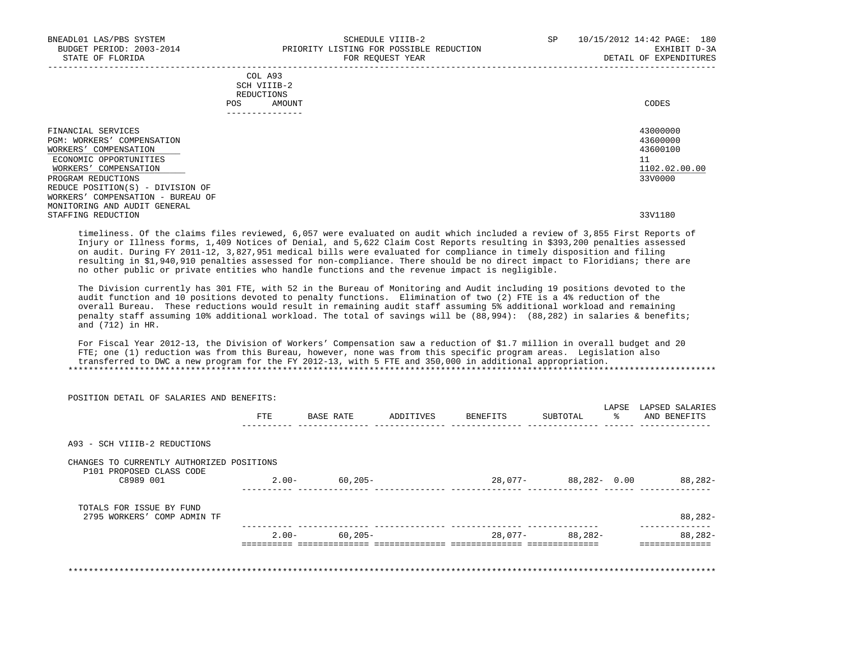|            | _______________ |       |
|------------|-----------------|-------|
| POS        | AMOUNT          | CODES |
| REDUCTIONS |                 |       |
|            | SCH VIIIB-2     |       |
|            | COL A93         |       |

| FINANCIAL SERVICES                | 43000000      |
|-----------------------------------|---------------|
| PGM: WORKERS' COMPENSATION        | 43600000      |
| WORKERS' COMPENSATION             | 43600100      |
| ECONOMIC OPPORTUNITIES            |               |
| WORKERS' COMPENSATION             | 1102.02.00.00 |
| PROGRAM REDUCTIONS                | 33V0000       |
| REDUCE POSITION(S) - DIVISION OF  |               |
| WORKERS' COMPENSATION - BUREAU OF |               |
| MONITORING AND AUDIT GENERAL      |               |
| STAFFING REDUCTION                | 33V1180       |
|                                   |               |

 timeliness. Of the claims files reviewed, 6,057 were evaluated on audit which included a review of 3,855 First Reports of Injury or Illness forms, 1,409 Notices of Denial, and 5,622 Claim Cost Reports resulting in \$393,200 penalties assessed on audit. During FY 2011-12, 3,827,951 medical bills were evaluated for compliance in timely disposition and filing resulting in \$1,940,910 penalties assessed for non-compliance. There should be no direct impact to Floridians; there are no other public or private entities who handle functions and the revenue impact is negligible.

 The Division currently has 301 FTE, with 52 in the Bureau of Monitoring and Audit including 19 positions devoted to the audit function and 10 positions devoted to penalty functions. Elimination of two (2) FTE is a 4% reduction of the overall Bureau. These reductions would result in remaining audit staff assuming 5% additional workload and remaining penalty staff assuming 10% additional workload. The total of savings will be (88,994): (88,282) in salaries & benefits; and (712) in HR.

 For Fiscal Year 2012-13, the Division of Workers' Compensation saw a reduction of \$1.7 million in overall budget and 20 FTE; one (1) reduction was from this Bureau, however, none was from this specific program areas. Legislation also transferred to DWC a new program for the FY 2012-13, with 5 FTE and 350,000 in additional appropriation. \*\*\*\*\*\*\*\*\*\*\*\*\*\*\*\*\*\*\*\*\*\*\*\*\*\*\*\*\*\*\*\*\*\*\*\*\*\*\*\*\*\*\*\*\*\*\*\*\*\*\*\*\*\*\*\*\*\*\*\*\*\*\*\*\*\*\*\*\*\*\*\*\*\*\*\*\*\*\*\*\*\*\*\*\*\*\*\*\*\*\*\*\*\*\*\*\*\*\*\*\*\*\*\*\*\*\*\*\*\*\*\*\*\*\*\*\*\*\*\*\*\*\*\*\*\*\*

 POSITION DETAIL OF SALARIES AND BENEFITS: LAPSE LAPSED SALARIES FTE BASE RATE ADDITIVES BENEFITS SUBTOTAL % AND BENEFITS ---------- -------------- -------------- -------------- -------------- ------ -------------- A93 - SCH VIIIB-2 REDUCTIONS CHANGES TO CURRENTLY AUTHORIZED POSITIONS P101 PROPOSED CLASS CODE C8989 001 2.00- 60,205- 28,077- 88,282- 0.00 88,282- ---------- -------------- -------------- -------------- -------------- ------ -------------- TOTALS FOR ISSUE BY FUND 2795 WORKERS' COMP ADMIN TF 88,282- ---------- -------------- -------------- -------------- -------------- -------------- 2.00- 60,205- 28,077- 88,282- 88,282- ========== ============== ============== ============== ============== ============== \*\*\*\*\*\*\*\*\*\*\*\*\*\*\*\*\*\*\*\*\*\*\*\*\*\*\*\*\*\*\*\*\*\*\*\*\*\*\*\*\*\*\*\*\*\*\*\*\*\*\*\*\*\*\*\*\*\*\*\*\*\*\*\*\*\*\*\*\*\*\*\*\*\*\*\*\*\*\*\*\*\*\*\*\*\*\*\*\*\*\*\*\*\*\*\*\*\*\*\*\*\*\*\*\*\*\*\*\*\*\*\*\*\*\*\*\*\*\*\*\*\*\*\*\*\*\*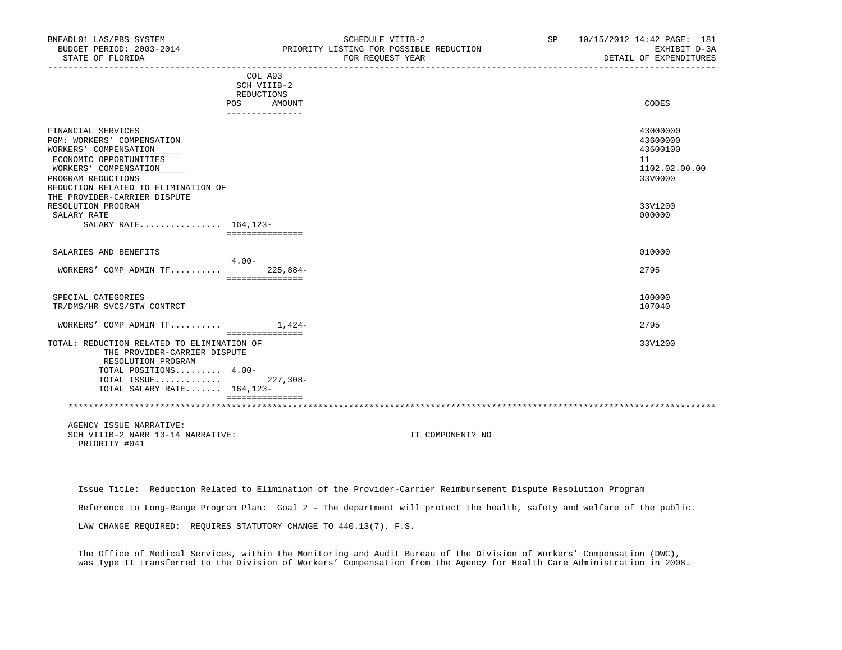| BNEADL01 LAS/PBS SYSTEM<br>BUDGET PERIOD: 2003-2014<br>STATE OF FLORIDA    |                                  | SCHEDULE VIIIB-2<br>PRIORITY LISTING FOR POSSIBLE REDUCTION<br>FOR REQUEST YEAR |  | SP 10/15/2012 14:42 PAGE: 181<br>EXHIBIT D-3A<br>DETAIL OF EXPENDITURES |
|----------------------------------------------------------------------------|----------------------------------|---------------------------------------------------------------------------------|--|-------------------------------------------------------------------------|
|                                                                            | COL A93                          |                                                                                 |  |                                                                         |
|                                                                            | SCH VIIIB-2                      |                                                                                 |  |                                                                         |
|                                                                            | REDUCTIONS                       |                                                                                 |  |                                                                         |
|                                                                            | AMOUNT<br>POS<br>--------------- |                                                                                 |  | CODES                                                                   |
| FINANCIAL SERVICES                                                         |                                  |                                                                                 |  | 43000000                                                                |
| PGM: WORKERS' COMPENSATION                                                 |                                  |                                                                                 |  | 43600000                                                                |
| WORKERS' COMPENSATION                                                      |                                  |                                                                                 |  | 43600100                                                                |
| ECONOMIC OPPORTUNITIES                                                     |                                  |                                                                                 |  | 11                                                                      |
| WORKERS' COMPENSATION                                                      |                                  |                                                                                 |  | 1102.02.00.00                                                           |
| PROGRAM REDUCTIONS                                                         |                                  |                                                                                 |  | 33V0000                                                                 |
| REDUCTION RELATED TO ELIMINATION OF<br>THE PROVIDER-CARRIER DISPUTE        |                                  |                                                                                 |  |                                                                         |
| RESOLUTION PROGRAM                                                         |                                  |                                                                                 |  | 33V1200                                                                 |
| SALARY RATE                                                                |                                  |                                                                                 |  | 000000                                                                  |
| SALARY RATE 164, 123-                                                      |                                  |                                                                                 |  |                                                                         |
|                                                                            | ===============                  |                                                                                 |  |                                                                         |
| SALARIES AND BENEFITS                                                      |                                  |                                                                                 |  | 010000                                                                  |
|                                                                            | $4\,\ldotp 00-$                  |                                                                                 |  |                                                                         |
| WORKERS' COMP ADMIN TF                                                     | $225,884-$<br>===============    |                                                                                 |  | 2795                                                                    |
| SPECIAL CATEGORIES                                                         |                                  |                                                                                 |  | 100000                                                                  |
| TR/DMS/HR SVCS/STW CONTRCT                                                 |                                  |                                                                                 |  | 107040                                                                  |
| WORKERS' COMP ADMIN TF                                                     | 1,424-<br>===============        |                                                                                 |  | 2795                                                                    |
| TOTAL: REDUCTION RELATED TO ELIMINATION OF<br>THE PROVIDER-CARRIER DISPUTE |                                  |                                                                                 |  | 33V1200                                                                 |
| RESOLUTION PROGRAM<br>TOTAL POSITIONS 4.00-                                |                                  |                                                                                 |  |                                                                         |
| TOTAL ISSUE                                                                | $227,308-$                       |                                                                                 |  |                                                                         |
| TOTAL SALARY RATE 164, 123-                                                |                                  |                                                                                 |  |                                                                         |
|                                                                            | ================                 |                                                                                 |  |                                                                         |
| AGENCY ISSUE NARRATIVE:                                                    |                                  |                                                                                 |  |                                                                         |
| SCH VIIIB-2 NARR 13-14 NARRATIVE:<br>PRIORITY #041                         |                                  | IT COMPONENT? NO                                                                |  |                                                                         |

 Issue Title: Reduction Related to Elimination of the Provider-Carrier Reimbursement Dispute Resolution Program Reference to Long-Range Program Plan: Goal 2 - The department will protect the health, safety and welfare of the public. LAW CHANGE REQUIRED: REQUIRES STATUTORY CHANGE TO 440.13(7), F.S.

 The Office of Medical Services, within the Monitoring and Audit Bureau of the Division of Workers' Compensation (DWC), was Type II transferred to the Division of Workers' Compensation from the Agency for Health Care Administration in 2008.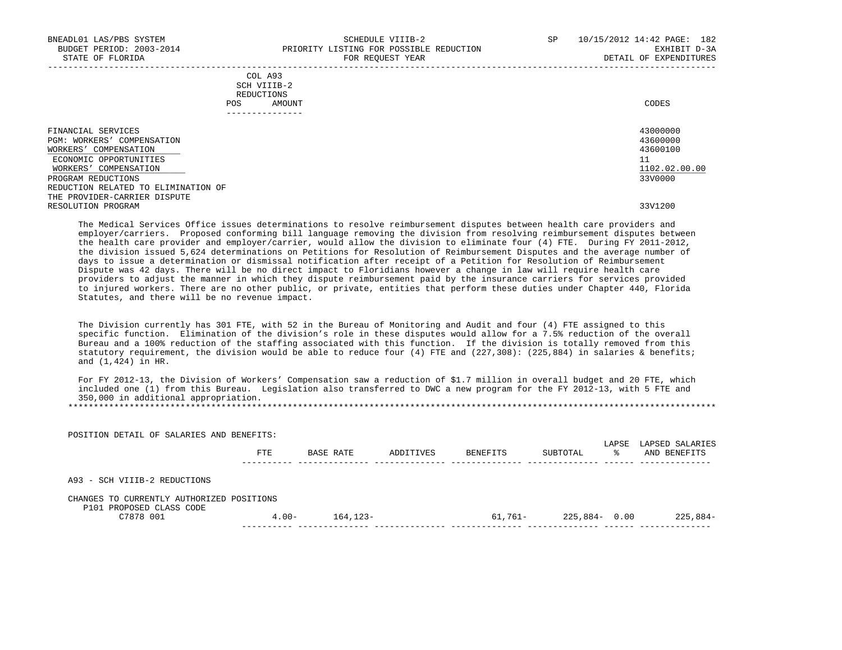| CODES                                                             |
|-------------------------------------------------------------------|
|                                                                   |
| 43000000                                                          |
| 43600000                                                          |
| 43600100                                                          |
| 11                                                                |
| 1102.02.00.00                                                     |
| 33V0000                                                           |
|                                                                   |
|                                                                   |
| 33V1200                                                           |
| COL AYS<br>SCH VIIIB-2<br>REDUCTIONS<br>AMOUNT<br>--------------- |

 The Medical Services Office issues determinations to resolve reimbursement disputes between health care providers and employer/carriers. Proposed conforming bill language removing the division from resolving reimbursement disputes between the health care provider and employer/carrier, would allow the division to eliminate four (4) FTE. During FY 2011-2012, the division issued 5,624 determinations on Petitions for Resolution of Reimbursement Disputes and the average number of days to issue a determination or dismissal notification after receipt of a Petition for Resolution of Reimbursement Dispute was 42 days. There will be no direct impact to Floridians however a change in law will require health care providers to adjust the manner in which they dispute reimbursement paid by the insurance carriers for services provided to injured workers. There are no other public, or private, entities that perform these duties under Chapter 440, Florida Statutes, and there will be no revenue impact.

 The Division currently has 301 FTE, with 52 in the Bureau of Monitoring and Audit and four (4) FTE assigned to this specific function. Elimination of the division's role in these disputes would allow for a 7.5% reduction of the overall Bureau and a 100% reduction of the staffing associated with this function. If the division is totally removed from this statutory requirement, the division would be able to reduce four (4) FTE and (227,308): (225,884) in salaries & benefits; and (1,424) in HR.

 For FY 2012-13, the Division of Workers' Compensation saw a reduction of \$1.7 million in overall budget and 20 FTE, which included one (1) from this Bureau. Legislation also transferred to DWC a new program for the FY 2012-13, with 5 FTE and 350,000 in additional appropriation. \*\*\*\*\*\*\*\*\*\*\*\*\*\*\*\*\*\*\*\*\*\*\*\*\*\*\*\*\*\*\*\*\*\*\*\*\*\*\*\*\*\*\*\*\*\*\*\*\*\*\*\*\*\*\*\*\*\*\*\*\*\*\*\*\*\*\*\*\*\*\*\*\*\*\*\*\*\*\*\*\*\*\*\*\*\*\*\*\*\*\*\*\*\*\*\*\*\*\*\*\*\*\*\*\*\*\*\*\*\*\*\*\*\*\*\*\*\*\*\*\*\*\*\*\*\*\*

| POSITION DETAIL OF SALARIES AND BENEFITS:                             |            |             |           |          |                  | LAPSE | LAPSED SALARIES |
|-----------------------------------------------------------------------|------------|-------------|-----------|----------|------------------|-------|-----------------|
|                                                                       | <b>FTE</b> | BASE RATE   | ADDITIVES | BENEFITS | SUBTOTAL         | °≈    | AND BENEFITS    |
| A93 - SCH VIIIB-2 REDUCTIONS                                          |            |             |           |          |                  |       |                 |
| CHANGES TO CURRENTLY AUTHORIZED POSITIONS<br>P101 PROPOSED CLASS CODE |            |             |           |          |                  |       |                 |
| C7878 001                                                             | $4.00 -$   | $164.123 -$ |           | 61,761-  | $225,884 - 0.00$ |       | $225,884-$      |
|                                                                       |            |             |           |          |                  |       |                 |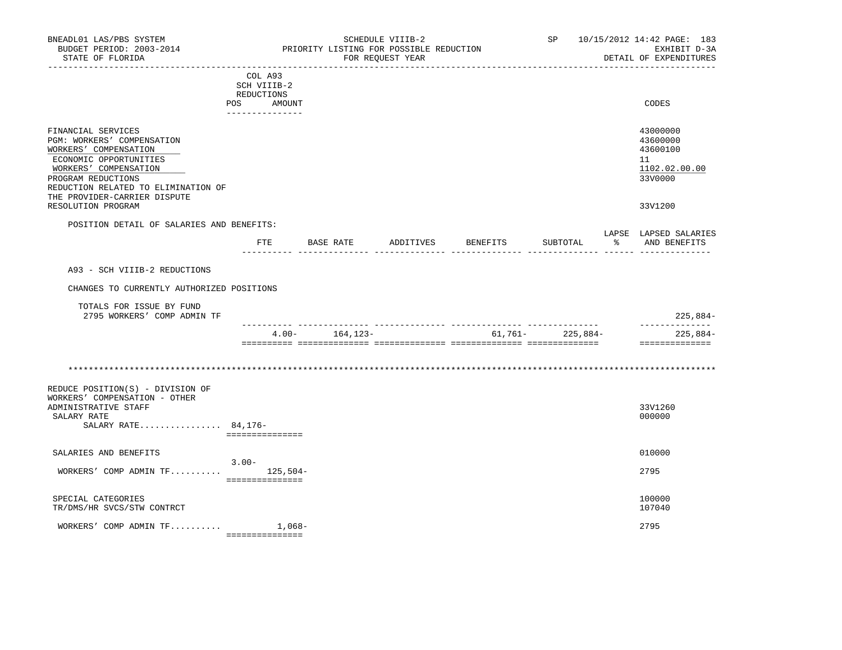| BNEADL01 LAS/PBS SYSTEM<br>BUDGET PERIOD: 2003-2014<br>STATE OF FLORIDA                                                                                                                                                   |                                                                                      | PRIORITY LISTING FOR POSSIBLE REDUCTION | SCHEDULE VIIIB-2<br>FOR REOUEST YEAR |                 |                      | SP 10/15/2012 14:42 PAGE: 183<br>EXHIBIT D-3A<br>DETAIL OF EXPENDITURES |
|---------------------------------------------------------------------------------------------------------------------------------------------------------------------------------------------------------------------------|--------------------------------------------------------------------------------------|-----------------------------------------|--------------------------------------|-----------------|----------------------|-------------------------------------------------------------------------|
|                                                                                                                                                                                                                           | COL A93<br>SCH VIIIB-2<br><b>REDUCTIONS</b><br>POS AMOUNT<br><u> ---------------</u> |                                         |                                      |                 |                      | CODES                                                                   |
| FINANCIAL SERVICES<br>PGM: WORKERS' COMPENSATION<br>WORKERS' COMPENSATION<br>ECONOMIC OPPORTUNITIES<br>WORKERS' COMPENSATION<br>PROGRAM REDUCTIONS<br>REDUCTION RELATED TO ELIMINATION OF<br>THE PROVIDER-CARRIER DISPUTE |                                                                                      |                                         |                                      |                 |                      | 43000000<br>43600000<br>43600100<br>11<br>1102.02.00.00<br>33V0000      |
| RESOLUTION PROGRAM                                                                                                                                                                                                        |                                                                                      |                                         |                                      |                 |                      | 33V1200                                                                 |
| POSITION DETAIL OF SALARIES AND BENEFITS:                                                                                                                                                                                 | FTE                                                                                  | BASE RATE                               | ADDITIVES                            | <b>BENEFITS</b> | SUBTOTAL             | LAPSE LAPSED SALARIES<br>AND BENEFITS                                   |
| A93 - SCH VIIIB-2 REDUCTIONS                                                                                                                                                                                              |                                                                                      |                                         |                                      |                 |                      |                                                                         |
| CHANGES TO CURRENTLY AUTHORIZED POSITIONS                                                                                                                                                                                 |                                                                                      |                                         |                                      |                 |                      |                                                                         |
| TOTALS FOR ISSUE BY FUND<br>2795 WORKERS' COMP ADMIN TF                                                                                                                                                                   |                                                                                      |                                         |                                      |                 |                      | $225,884-$                                                              |
|                                                                                                                                                                                                                           |                                                                                      | $4.00 - 164,123 -$                      |                                      |                 | $61,761 - 225,884 -$ | --------------<br>$225,884-$<br>==============                          |
|                                                                                                                                                                                                                           |                                                                                      |                                         |                                      |                 |                      |                                                                         |
| REDUCE POSITION(S) - DIVISION OF<br>WORKERS' COMPENSATION - OTHER<br>ADMINISTRATIVE STAFF<br>SALARY RATE<br>SALARY RATE 84,176-                                                                                           | ===============                                                                      |                                         |                                      |                 |                      | 33V1260<br>000000                                                       |
| SALARIES AND BENEFITS                                                                                                                                                                                                     |                                                                                      |                                         |                                      |                 |                      | 010000                                                                  |
| WORKERS' COMP ADMIN TF                                                                                                                                                                                                    | $3.00 -$<br>125,504-<br>===============                                              |                                         |                                      |                 |                      | 2795                                                                    |
| SPECIAL CATEGORIES<br>TR/DMS/HR SVCS/STW CONTRCT                                                                                                                                                                          |                                                                                      |                                         |                                      |                 |                      | 100000<br>107040                                                        |
| WORKERS' COMP ADMIN TF                                                                                                                                                                                                    | 1,068–<br>===============                                                            |                                         |                                      |                 |                      | 2795                                                                    |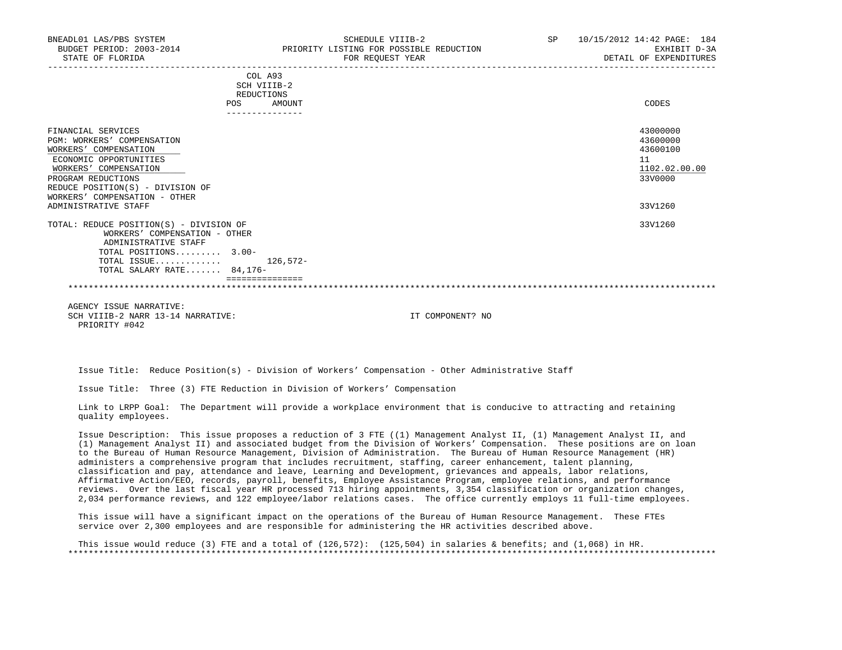| BNEADL01 LAS/PBS SYSTEM<br>BUDGET PERIOD: 2003-2014<br>STATE OF FLORIDA                                                                                                                                                        | SCHEDULE VIIIB-2<br>PRIORITY LISTING FOR POSSIBLE REDUCTION<br>FOR REQUEST YEAR | <b>SP</b> | 10/15/2012 14:42 PAGE: 184<br>EXHIBIT D-3A<br>DETAIL OF EXPENDITURES |
|--------------------------------------------------------------------------------------------------------------------------------------------------------------------------------------------------------------------------------|---------------------------------------------------------------------------------|-----------|----------------------------------------------------------------------|
| <b>POS</b>                                                                                                                                                                                                                     | COL A93<br>SCH VIIIB-2<br>REDUCTIONS<br>AMOUNT                                  |           | CODES                                                                |
| FINANCIAL SERVICES<br><b>PGM: WORKERS' COMPENSATION</b><br>WORKERS' COMPENSATION<br>ECONOMIC OPPORTUNITIES<br>WORKERS' COMPENSATION<br>PROGRAM REDUCTIONS<br>REDUCE POSITION(S) - DIVISION OF<br>WORKERS' COMPENSATION - OTHER |                                                                                 |           | 43000000<br>43600000<br>43600100<br>11<br>1102.02.00.00<br>33V0000   |
| ADMINISTRATIVE STAFF                                                                                                                                                                                                           |                                                                                 |           | 33V1260                                                              |
| TOTAL: REDUCE POSITION(S) - DIVISION OF<br>WORKERS' COMPENSATION - OTHER<br>ADMINISTRATIVE STAFF<br>TOTAL POSITIONS 3.00-<br>TOTAL ISSUE<br>TOTAL SALARY RATE 84,176-                                                          | $126.572-$                                                                      |           | 33V1260                                                              |
|                                                                                                                                                                                                                                |                                                                                 |           |                                                                      |

 AGENCY ISSUE NARRATIVE: SCH VIIIB-2 NARR 13-14 NARRATIVE: IT COMPONENT? NO PRIORITY #042

Issue Title: Reduce Position(s) - Division of Workers' Compensation - Other Administrative Staff

Issue Title: Three (3) FTE Reduction in Division of Workers' Compensation

 Link to LRPP Goal: The Department will provide a workplace environment that is conducive to attracting and retaining quality employees.

 Issue Description: This issue proposes a reduction of 3 FTE ((1) Management Analyst II, (1) Management Analyst II, and (1) Management Analyst II) and associated budget from the Division of Workers' Compensation. These positions are on loan to the Bureau of Human Resource Management, Division of Administration. The Bureau of Human Resource Management (HR) administers a comprehensive program that includes recruitment, staffing, career enhancement, talent planning, classification and pay, attendance and leave, Learning and Development, grievances and appeals, labor relations, Affirmative Action/EEO, records, payroll, benefits, Employee Assistance Program, employee relations, and performance reviews. Over the last fiscal year HR processed 713 hiring appointments, 3,354 classification or organization changes, 2,034 performance reviews, and 122 employee/labor relations cases. The office currently employs 11 full-time employees.

 This issue will have a significant impact on the operations of the Bureau of Human Resource Management. These FTEs service over 2,300 employees and are responsible for administering the HR activities described above.

 This issue would reduce (3) FTE and a total of (126,572): (125,504) in salaries & benefits; and (1,068) in HR. \*\*\*\*\*\*\*\*\*\*\*\*\*\*\*\*\*\*\*\*\*\*\*\*\*\*\*\*\*\*\*\*\*\*\*\*\*\*\*\*\*\*\*\*\*\*\*\*\*\*\*\*\*\*\*\*\*\*\*\*\*\*\*\*\*\*\*\*\*\*\*\*\*\*\*\*\*\*\*\*\*\*\*\*\*\*\*\*\*\*\*\*\*\*\*\*\*\*\*\*\*\*\*\*\*\*\*\*\*\*\*\*\*\*\*\*\*\*\*\*\*\*\*\*\*\*\*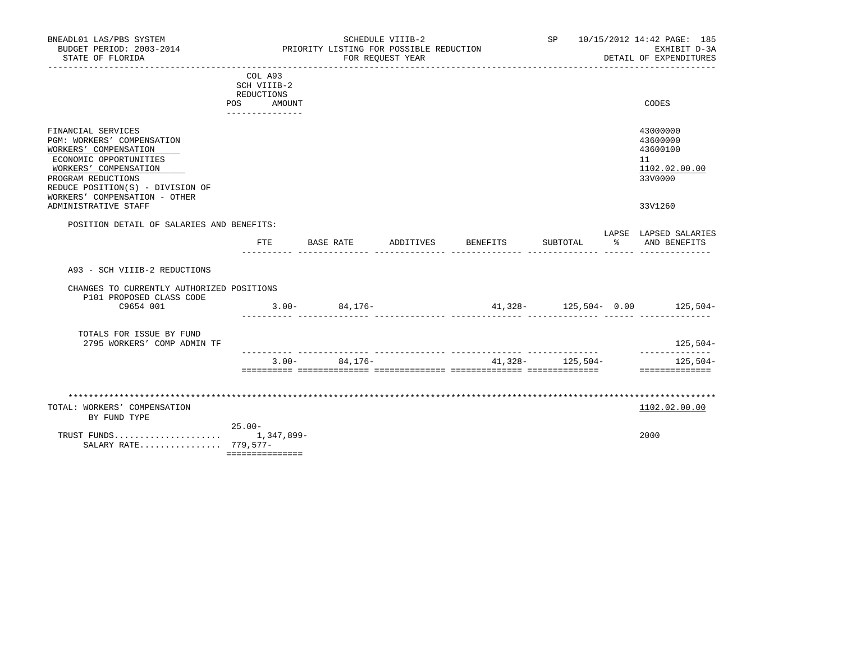| BNEADL01 LAS/PBS SYSTEM<br>BUDGET PERIOD: 2003-2014<br>STATE OF FLORIDA                                                                                                                                                                         | ____________________________                                                    | PRIORITY LISTING FOR POSSIBLE REDUCTION | SCHEDULE VIIIB-2<br>FOR REOUEST YEAR |          |                   | SP 10/15/2012 14:42 PAGE: 185<br>EXHIBIT D-3A<br>DETAIL OF EXPENDITURES       |
|-------------------------------------------------------------------------------------------------------------------------------------------------------------------------------------------------------------------------------------------------|---------------------------------------------------------------------------------|-----------------------------------------|--------------------------------------|----------|-------------------|-------------------------------------------------------------------------------|
|                                                                                                                                                                                                                                                 | COL A93<br>SCH VIIIB-2<br>REDUCTIONS<br><b>POS</b><br>AMOUNT<br>_______________ |                                         |                                      |          |                   | CODES                                                                         |
| FINANCIAL SERVICES<br>PGM: WORKERS' COMPENSATION<br>WORKERS' COMPENSATION<br>ECONOMIC OPPORTUNITIES<br>WORKERS' COMPENSATION<br>PROGRAM REDUCTIONS<br>REDUCE POSITION(S) - DIVISION OF<br>WORKERS' COMPENSATION - OTHER<br>ADMINISTRATIVE STAFF |                                                                                 |                                         |                                      |          |                   | 43000000<br>43600000<br>43600100<br>11<br>1102.02.00.00<br>33V0000<br>33V1260 |
| POSITION DETAIL OF SALARIES AND BENEFITS:                                                                                                                                                                                                       |                                                                                 |                                         |                                      |          |                   | LAPSE LAPSED SALARIES                                                         |
|                                                                                                                                                                                                                                                 |                                                                                 | FTE BASE RATE                           | ADDITIVES                            | BENEFITS | SUBTOTAL          | % AND BENEFITS                                                                |
| A93 - SCH VIIIB-2 REDUCTIONS                                                                                                                                                                                                                    |                                                                                 |                                         |                                      |          |                   |                                                                               |
| CHANGES TO CURRENTLY AUTHORIZED POSITIONS<br>P101 PROPOSED CLASS CODE                                                                                                                                                                           |                                                                                 |                                         |                                      |          |                   |                                                                               |
| C9654 001                                                                                                                                                                                                                                       |                                                                                 | $3.00 - 84,176 -$                       |                                      |          |                   | $41,328-125,504-0.00$ 125,504-                                                |
| TOTALS FOR ISSUE BY FUND<br>2795 WORKERS' COMP ADMIN TF                                                                                                                                                                                         |                                                                                 |                                         |                                      |          |                   | 125,504-                                                                      |
|                                                                                                                                                                                                                                                 |                                                                                 | $3.00 - 84,176 -$                       |                                      |          | $41,328-125,504-$ | --------------<br>$125,504-$<br>==============                                |
| TOTAL: WORKERS' COMPENSATION<br>BY FUND TYPE<br>SALARY RATE 779,577-                                                                                                                                                                            | $25.00 -$<br>===============                                                    |                                         |                                      |          |                   | 1102.02.00.00<br>2000                                                         |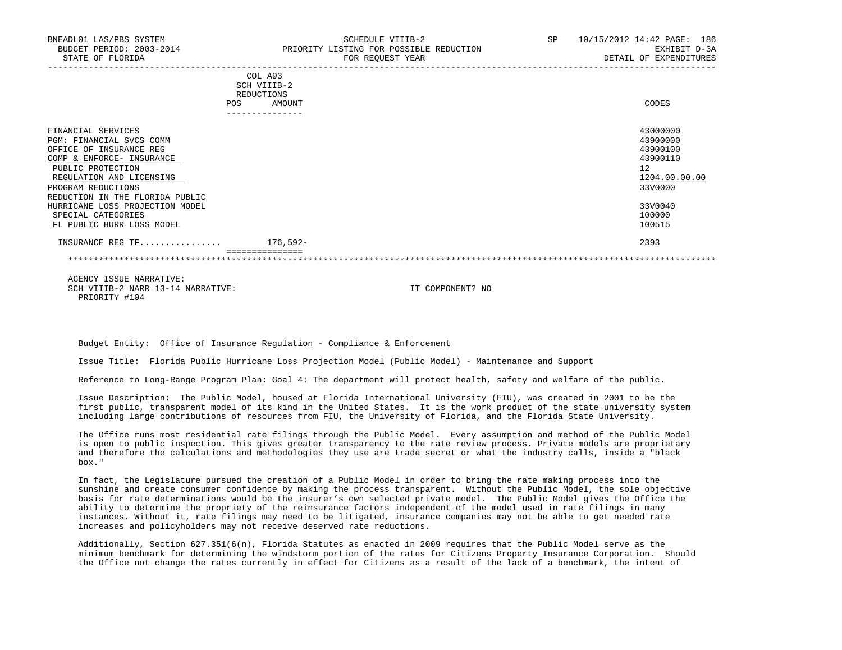| BNEADL01 LAS/PBS SYSTEM<br>BUDGET PERIOD: 2003-2014<br>STATE OF FLORIDA                                                                                                                                                                                                                                | SCHEDULE VIIIB-2<br>PRIORITY LISTING FOR POSSIBLE REDUCTION<br>FOR REQUEST YEAR | SP<br>10/15/2012 14:42 PAGE: 186<br>EXHIBIT D-3A<br>DETAIL OF EXPENDITURES                                    |
|--------------------------------------------------------------------------------------------------------------------------------------------------------------------------------------------------------------------------------------------------------------------------------------------------------|---------------------------------------------------------------------------------|---------------------------------------------------------------------------------------------------------------|
|                                                                                                                                                                                                                                                                                                        | COL A93<br>SCH VIIIB-2<br>REDUCTIONS<br>AMOUNT<br><b>POS</b>                    | CODES                                                                                                         |
| FINANCIAL SERVICES<br>PGM: FINANCIAL SVCS COMM<br>OFFICE OF INSURANCE REG<br>COMP & ENFORCE- INSURANCE<br>PUBLIC PROTECTION<br>REGULATION AND LICENSING<br>PROGRAM REDUCTIONS<br>REDUCTION IN THE FLORIDA PUBLIC<br>HURRICANE LOSS PROJECTION MODEL<br>SPECIAL CATEGORIES<br>FL PUBLIC HURR LOSS MODEL |                                                                                 | 43000000<br>43900000<br>43900100<br>43900110<br>12<br>1204.00.00.00<br>33V0000<br>33V0040<br>100000<br>100515 |
| INSURANCE REG TF $176,592-$                                                                                                                                                                                                                                                                            |                                                                                 | 2393                                                                                                          |
|                                                                                                                                                                                                                                                                                                        |                                                                                 |                                                                                                               |

 AGENCY ISSUE NARRATIVE: SCH VIIIB-2 NARR 13-14 NARRATIVE: IT COMPONENT? NO PRIORITY #104

Budget Entity: Office of Insurance Regulation - Compliance & Enforcement

Issue Title: Florida Public Hurricane Loss Projection Model (Public Model) - Maintenance and Support

Reference to Long-Range Program Plan: Goal 4: The department will protect health, safety and welfare of the public.

 Issue Description: The Public Model, housed at Florida International University (FIU), was created in 2001 to be the first public, transparent model of its kind in the United States. It is the work product of the state university system including large contributions of resources from FIU, the University of Florida, and the Florida State University.

 The Office runs most residential rate filings through the Public Model. Every assumption and method of the Public Model is open to public inspection. This gives greater transparency to the rate review process. Private models are proprietary and therefore the calculations and methodologies they use are trade secret or what the industry calls, inside a "black box."

 In fact, the Legislature pursued the creation of a Public Model in order to bring the rate making process into the sunshine and create consumer confidence by making the process transparent. Without the Public Model, the sole objective basis for rate determinations would be the insurer's own selected private model. The Public Model gives the Office the ability to determine the propriety of the reinsurance factors independent of the model used in rate filings in many instances. Without it, rate filings may need to be litigated, insurance companies may not be able to get needed rate increases and policyholders may not receive deserved rate reductions.

 Additionally, Section 627.351(6(n), Florida Statutes as enacted in 2009 requires that the Public Model serve as the minimum benchmark for determining the windstorm portion of the rates for Citizens Property Insurance Corporation. Should the Office not change the rates currently in effect for Citizens as a result of the lack of a benchmark, the intent of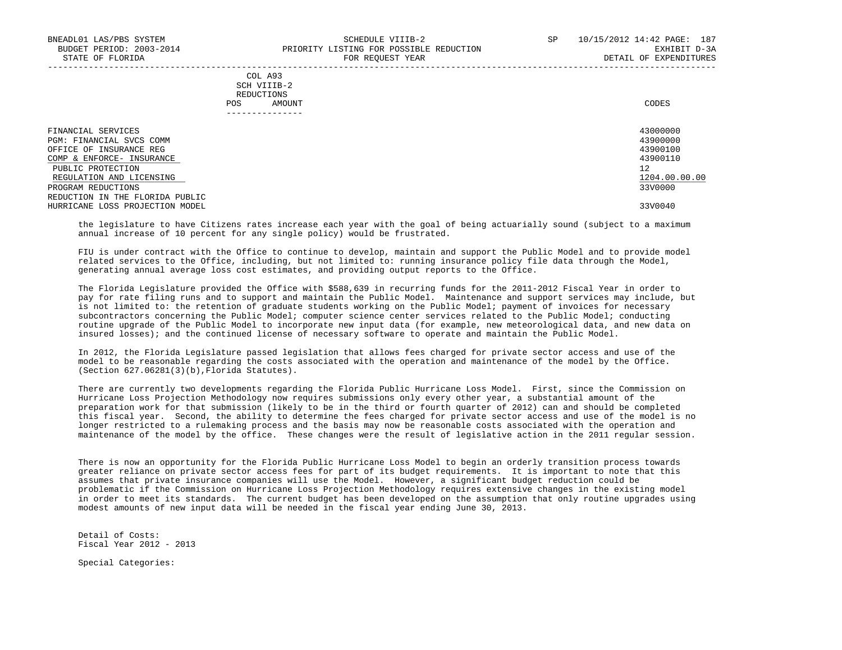|            | COL A93     |       |
|------------|-------------|-------|
|            | SCH VIIIB-2 |       |
| REDUCTIONS |             |       |
| POS        | AMOUNT      | CODES |

| - - - - - - - - - - - - -       |               |
|---------------------------------|---------------|
| FINANCIAL SERVICES              | 43000000      |
| PGM: FINANCIAL SVCS COMM        | 43900000      |
| OFFICE OF INSURANCE REG         | 43900100      |
| COMP & ENFORCE- INSURANCE       | 43900110      |
| PUBLIC PROTECTION               | 12            |
| REGULATION AND LICENSING        | 1204.00.00.00 |
| PROGRAM REDUCTIONS              | 33V0000       |
| REDUCTION IN THE FLORIDA PUBLIC |               |
| HURRICANE LOSS PROJECTION MODEL | 33V0040       |

 the legislature to have Citizens rates increase each year with the goal of being actuarially sound (subject to a maximum annual increase of 10 percent for any single policy) would be frustrated.

 FIU is under contract with the Office to continue to develop, maintain and support the Public Model and to provide model related services to the Office, including, but not limited to: running insurance policy file data through the Model, generating annual average loss cost estimates, and providing output reports to the Office.

 The Florida Legislature provided the Office with \$588,639 in recurring funds for the 2011-2012 Fiscal Year in order to pay for rate filing runs and to support and maintain the Public Model. Maintenance and support services may include, but is not limited to: the retention of graduate students working on the Public Model; payment of invoices for necessary subcontractors concerning the Public Model; computer science center services related to the Public Model; conducting routine upgrade of the Public Model to incorporate new input data (for example, new meteorological data, and new data on insured losses); and the continued license of necessary software to operate and maintain the Public Model.

 In 2012, the Florida Legislature passed legislation that allows fees charged for private sector access and use of the model to be reasonable regarding the costs associated with the operation and maintenance of the model by the Office. (Section 627.06281(3)(b),Florida Statutes).

There are currently two developments regarding the Florida Public Hurricane Loss Model. First, since the Commission on Hurricane Loss Projection Methodology now requires submissions only every other year, a substantial amount of the preparation work for that submission (likely to be in the third or fourth quarter of 2012) can and should be completed this fiscal year. Second, the ability to determine the fees charged for private sector access and use of the model is no longer restricted to a rulemaking process and the basis may now be reasonable costs associated with the operation and maintenance of the model by the office. These changes were the result of legislative action in the 2011 regular session.

 There is now an opportunity for the Florida Public Hurricane Loss Model to begin an orderly transition process towards greater reliance on private sector access fees for part of its budget requirements. It is important to note that this assumes that private insurance companies will use the Model. However, a significant budget reduction could be problematic if the Commission on Hurricane Loss Projection Methodology requires extensive changes in the existing model in order to meet its standards. The current budget has been developed on the assumption that only routine upgrades using modest amounts of new input data will be needed in the fiscal year ending June 30, 2013.

 Detail of Costs: Fiscal Year 2012 - 2013

Special Categories: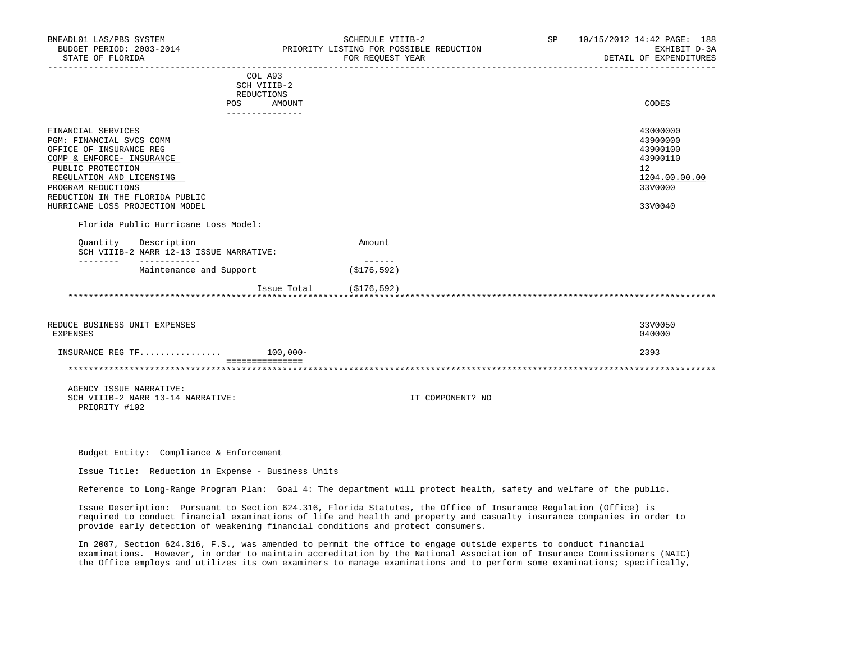| BNEADL01 LAS/PBS SYSTEM<br>BUDGET PERIOD: 2003-2014<br>STATE OF FLORIDA                                                                                                                                                                                                                     |                                                                       | SCHEDULE VIIIB-2<br>PRIORITY LISTING FOR POSSIBLE REDUCTION<br>FOR REQUEST YEAR | SP 10/15/2012 14:42 PAGE: 188<br>EXHIBIT D-3A<br>DETAIL OF EXPENDITURES                                |
|---------------------------------------------------------------------------------------------------------------------------------------------------------------------------------------------------------------------------------------------------------------------------------------------|-----------------------------------------------------------------------|---------------------------------------------------------------------------------|--------------------------------------------------------------------------------------------------------|
|                                                                                                                                                                                                                                                                                             | COL A93<br>SCH VIIIB-2<br>REDUCTIONS<br>POS AMOUNT<br>_______________ |                                                                                 | CODES                                                                                                  |
| FINANCIAL SERVICES<br>PGM: FINANCIAL SVCS COMM<br>OFFICE OF INSURANCE REG<br>COMP & ENFORCE- INSURANCE<br>PUBLIC PROTECTION<br>REGULATION AND LICENSING<br>PROGRAM REDUCTIONS<br>REDUCTION IN THE FLORIDA PUBLIC<br>HURRICANE LOSS PROJECTION MODEL<br>Florida Public Hurricane Loss Model: |                                                                       |                                                                                 | 43000000<br>43900000<br>43900100<br>43900110<br>12 <sup>°</sup><br>1204.00.00.00<br>33V0000<br>33V0040 |
| Description<br>Ouantity<br>SCH VIIIB-2 NARR 12-13 ISSUE NARRATIVE:                                                                                                                                                                                                                          |                                                                       | Amount                                                                          |                                                                                                        |
| ---------<br>------------<br>Maintenance and Support                                                                                                                                                                                                                                        |                                                                       | $- - - - - - -$<br>(\$176,592)                                                  |                                                                                                        |
|                                                                                                                                                                                                                                                                                             | Issue Total (\$176,592)                                               |                                                                                 |                                                                                                        |
| REDUCE BUSINESS UNIT EXPENSES<br><b>EXPENSES</b>                                                                                                                                                                                                                                            |                                                                       |                                                                                 | 33V0050<br>040000                                                                                      |
| INSURANCE REG TF 100,000-                                                                                                                                                                                                                                                                   | ===============                                                       |                                                                                 | 2393                                                                                                   |
|                                                                                                                                                                                                                                                                                             |                                                                       |                                                                                 |                                                                                                        |
| AGENCY ISSUE NARRATIVE:<br>SCH VIIIB-2 NARR 13-14 NARRATIVE:<br>PRIORITY #102                                                                                                                                                                                                               |                                                                       | IT COMPONENT? NO                                                                |                                                                                                        |

Budget Entity: Compliance & Enforcement

Issue Title: Reduction in Expense - Business Units

Reference to Long-Range Program Plan: Goal 4: The department will protect health, safety and welfare of the public.

 Issue Description: Pursuant to Section 624.316, Florida Statutes, the Office of Insurance Regulation (Office) is required to conduct financial examinations of life and health and property and casualty insurance companies in order to provide early detection of weakening financial conditions and protect consumers.

 In 2007, Section 624.316, F.S., was amended to permit the office to engage outside experts to conduct financial examinations. However, in order to maintain accreditation by the National Association of Insurance Commissioners (NAIC) the Office employs and utilizes its own examiners to manage examinations and to perform some examinations; specifically,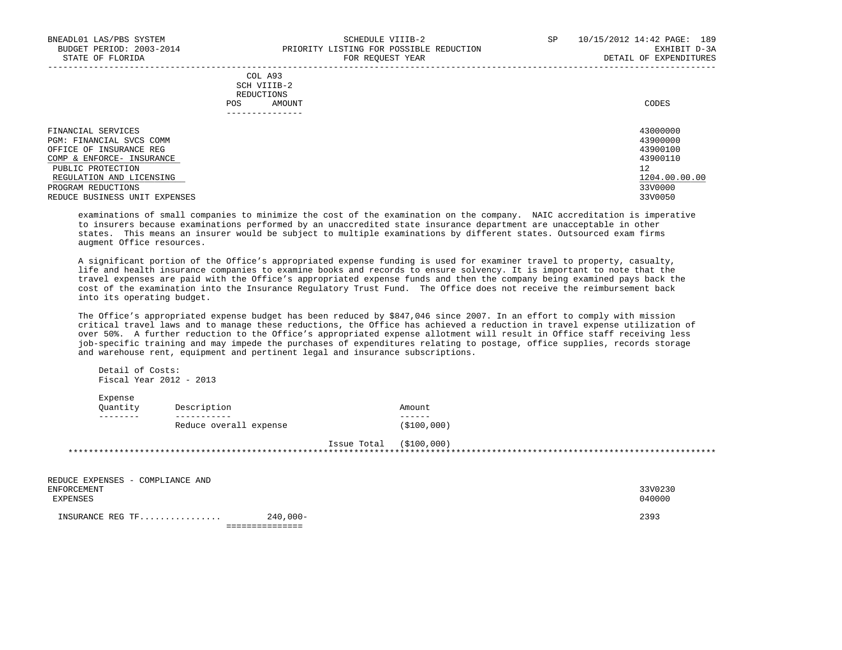|            | COL A93     |       |
|------------|-------------|-------|
|            | SCH VIIIB-2 |       |
| REDUCTIONS |             |       |
| POS        | AMOUNT      | CODES |

| FINANCIAL SERVICES            | 43000000      |
|-------------------------------|---------------|
| PGM: FINANCIAL SVCS COMM      | 43900000      |
| OFFICE OF INSURANCE REG       | 43900100      |
| COMP & ENFORCE- INSURANCE     | 43900110      |
| PUBLIC PROTECTION             | 12            |
| REGULATION AND LICENSING      | 1204.00.00.00 |
| PROGRAM REDUCTIONS            | 33V0000       |
| REDUCE BUSINESS UNIT EXPENSES | 33V0050       |

 examinations of small companies to minimize the cost of the examination on the company. NAIC accreditation is imperative to insurers because examinations performed by an unaccredited state insurance department are unacceptable in other states. This means an insurer would be subject to multiple examinations by different states. Outsourced exam firms augment Office resources.

 A significant portion of the Office's appropriated expense funding is used for examiner travel to property, casualty, life and health insurance companies to examine books and records to ensure solvency. It is important to note that the travel expenses are paid with the Office's appropriated expense funds and then the company being examined pays back the cost of the examination into the Insurance Regulatory Trust Fund. The Office does not receive the reimbursement back into its operating budget.

 The Office's appropriated expense budget has been reduced by \$847,046 since 2007. In an effort to comply with mission critical travel laws and to manage these reductions, the Office has achieved a reduction in travel expense utilization of over 50%. A further reduction to the Office's appropriated expense allotment will result in Office staff receiving less job-specific training and may impede the purchases of expenditures relating to postage, office supplies, records storage and warehouse rent, equipment and pertinent legal and insurance subscriptions.

 Detail of Costs: Fiscal Year 2012 - 2013

 Expense Quantity Description **Amount** Amount -------- ----------- ------ Reduce overall expense (\$100,000) Issue Total (\$100,000) \*\*\*\*\*\*\*\*\*\*\*\*\*\*\*\*\*\*\*\*\*\*\*\*\*\*\*\*\*\*\*\*\*\*\*\*\*\*\*\*\*\*\*\*\*\*\*\*\*\*\*\*\*\*\*\*\*\*\*\*\*\*\*\*\*\*\*\*\*\*\*\*\*\*\*\*\*\*\*\*\*\*\*\*\*\*\*\*\*\*\*\*\*\*\*\*\*\*\*\*\*\*\*\*\*\*\*\*\*\*\*\*\*\*\*\*\*\*\*\*\*\*\*\*\*\*\*

REDUCE EXPENSES - COMPLIANCE AND<br>ENFORCEMENT ENFORCEMENT 33V0230 EXPENSES 040000 INSURANCE REG TF................ 240,000- 2393 ===============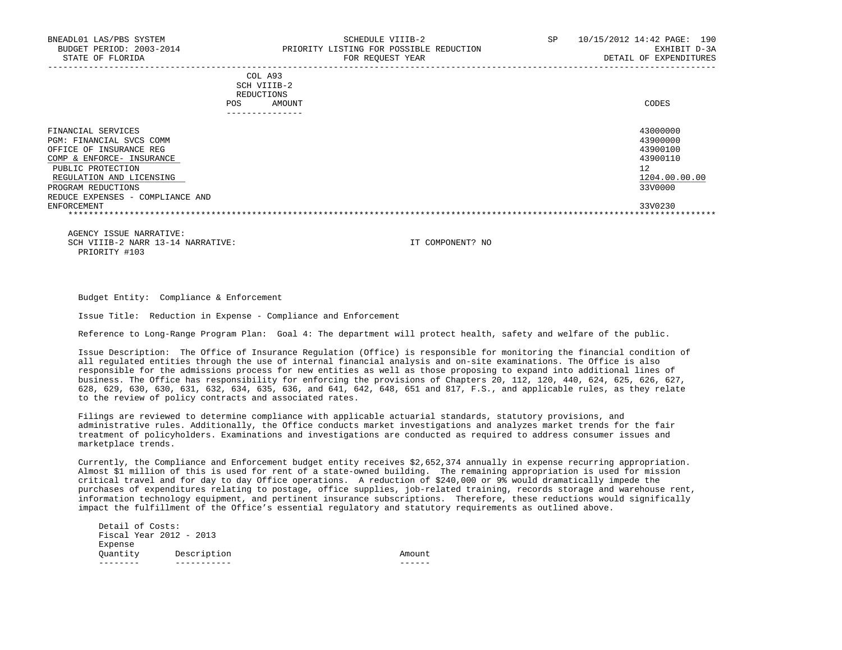| BNEADL01 LAS/PBS SYSTEM<br>BUDGET PERIOD: 2003-2014<br>STATE OF FLORIDA | SCHEDULE VIIIB-2<br>PRIORITY LISTING FOR POSSIBLE REDUCTION<br>FOR REOUEST YEAR | SP | 10/15/2012 14:42 PAGE: 190<br>EXHIBIT D-3A<br>DETAIL OF EXPENDITURES |
|-------------------------------------------------------------------------|---------------------------------------------------------------------------------|----|----------------------------------------------------------------------|
|                                                                         | COL A93<br>SCH VIIIB-2<br>REDUCTIONS<br>AMOUNT<br><b>POS</b><br>--------------  |    | CODES                                                                |
| FINANCIAL SERVICES<br>PGM: FINANCIAL SVCS COMM                          |                                                                                 |    | 43000000<br>43900000                                                 |
| OFFICE OF INSURANCE REG                                                 |                                                                                 |    | 43900100                                                             |
| COMP & ENFORCE- INSURANCE                                               |                                                                                 |    | 43900110                                                             |
| PUBLIC PROTECTION                                                       |                                                                                 |    | 12.                                                                  |
| REGULATION AND LICENSING                                                |                                                                                 |    | 1204.00.00.00                                                        |
| PROGRAM REDUCTIONS                                                      |                                                                                 |    | 33V0000                                                              |
| REDUCE EXPENSES - COMPLIANCE AND                                        |                                                                                 |    |                                                                      |

 ENFORCEMENT 33V0230 \*\*\*\*\*\*\*\*\*\*\*\*\*\*\*\*\*\*\*\*\*\*\*\*\*\*\*\*\*\*\*\*\*\*\*\*\*\*\*\*\*\*\*\*\*\*\*\*\*\*\*\*\*\*\*\*\*\*\*\*\*\*\*\*\*\*\*\*\*\*\*\*\*\*\*\*\*\*\*\*\*\*\*\*\*\*\*\*\*\*\*\*\*\*\*\*\*\*\*\*\*\*\*\*\*\*\*\*\*\*\*\*\*\*\*\*\*\*\*\*\*\*\*\*\*\*\*

 AGENCY ISSUE NARRATIVE: SCH VIIIB-2 NARR 13-14 NARRATIVE: IT COMPONENT? NO PRIORITY #103

Budget Entity: Compliance & Enforcement

Issue Title: Reduction in Expense - Compliance and Enforcement

Reference to Long-Range Program Plan: Goal 4: The department will protect health, safety and welfare of the public.

 Issue Description: The Office of Insurance Regulation (Office) is responsible for monitoring the financial condition of all regulated entities through the use of internal financial analysis and on-site examinations. The Office is also responsible for the admissions process for new entities as well as those proposing to expand into additional lines of business. The Office has responsibility for enforcing the provisions of Chapters 20, 112, 120, 440, 624, 625, 626, 627, 628, 629, 630, 630, 631, 632, 634, 635, 636, and 641, 642, 648, 651 and 817, F.S., and applicable rules, as they relate to the review of policy contracts and associated rates.

 Filings are reviewed to determine compliance with applicable actuarial standards, statutory provisions, and administrative rules. Additionally, the Office conducts market investigations and analyzes market trends for the fair treatment of policyholders. Examinations and investigations are conducted as required to address consumer issues and marketplace trends.

 Currently, the Compliance and Enforcement budget entity receives \$2,652,374 annually in expense recurring appropriation. Almost \$1 million of this is used for rent of a state-owned building. The remaining appropriation is used for mission critical travel and for day to day Office operations. A reduction of \$240,000 or 9% would dramatically impede the purchases of expenditures relating to postage, office supplies, job-related training, records storage and warehouse rent, information technology equipment, and pertinent insurance subscriptions. Therefore, these reductions would significally impact the fulfillment of the Office's essential regulatory and statutory requirements as outlined above.

 Detail of Costs: Fiscal Year 2012 - 2013 Expense Quantity Description Amount -------- ----------- ------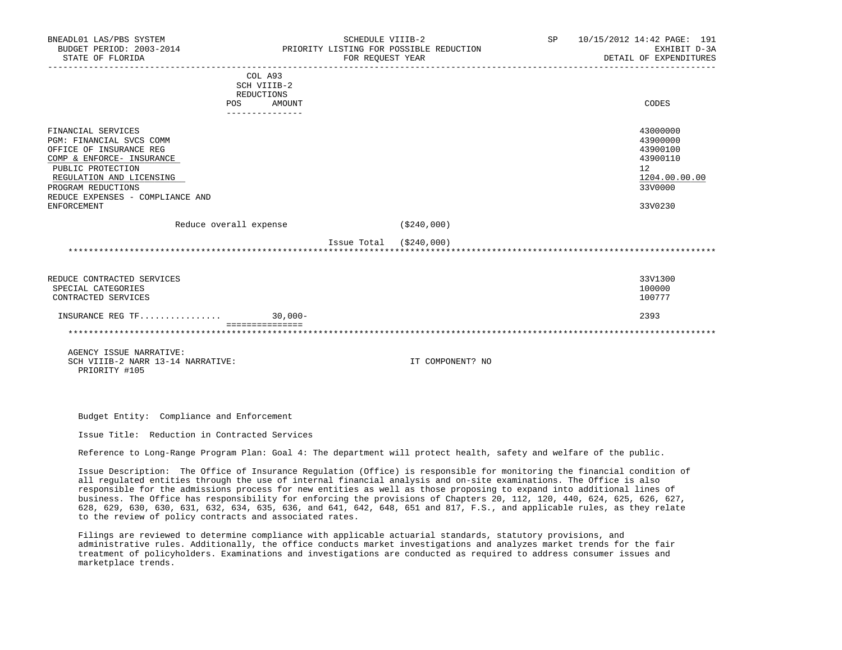| BNEADL01 LAS/PBS SYSTEM<br>BUDGET PERIOD: 2003-2014 PRIORITY LISTING FOR POSSIBLE REDUCTION<br>STATE OF FLORIDA                                                                                                                         |                                                                             | SCHEDULE VIIIB-2<br>FOR REOUEST YEAR | SP 10/15/2012 14:42 PAGE: 191<br>EXHIBIT D-3A<br>DETAIL OF EXPENDITURES                   |
|-----------------------------------------------------------------------------------------------------------------------------------------------------------------------------------------------------------------------------------------|-----------------------------------------------------------------------------|--------------------------------------|-------------------------------------------------------------------------------------------|
|                                                                                                                                                                                                                                         | COL A93<br>SCH VIIIB-2<br>REDUCTIONS<br>POS FOR<br>AMOUNT<br>-------------- |                                      | CODES                                                                                     |
| FINANCIAL SERVICES<br>PGM: FINANCIAL SVCS COMM<br>OFFICE OF INSURANCE REG<br>COMP & ENFORCE- INSURANCE<br>PUBLIC PROTECTION<br>REGULATION AND LICENSING<br>PROGRAM REDUCTIONS<br>REDUCE EXPENSES - COMPLIANCE AND<br><b>ENFORCEMENT</b> |                                                                             |                                      | 43000000<br>43900000<br>43900100<br>43900110<br>12<br>1204.00.00.00<br>33V0000<br>33V0230 |
| Reduce overall expense                                                                                                                                                                                                                  |                                                                             | ( \$240,000)                         |                                                                                           |
|                                                                                                                                                                                                                                         |                                                                             | Issue Total ( \$240,000)             |                                                                                           |
| REDUCE CONTRACTED SERVICES<br>SPECIAL CATEGORIES<br>CONTRACTED SERVICES                                                                                                                                                                 |                                                                             |                                      | 33V1300<br>100000<br>100777                                                               |
| INSURANCE REG TF                                                                                                                                                                                                                        | $30.000 -$<br>----------------                                              |                                      | 2393                                                                                      |
|                                                                                                                                                                                                                                         |                                                                             |                                      |                                                                                           |
| AGENCY ISSUE NARRATIVE:<br>SCH VIIIB-2 NARR 13-14 NARRATIVE:<br>PRIORITY #105                                                                                                                                                           |                                                                             | IT COMPONENT? NO                     |                                                                                           |

Budget Entity: Compliance and Enforcement

Issue Title: Reduction in Contracted Services

Reference to Long-Range Program Plan: Goal 4: The department will protect health, safety and welfare of the public.

 Issue Description: The Office of Insurance Regulation (Office) is responsible for monitoring the financial condition of all regulated entities through the use of internal financial analysis and on-site examinations. The Office is also responsible for the admissions process for new entities as well as those proposing to expand into additional lines of business. The Office has responsibility for enforcing the provisions of Chapters 20, 112, 120, 440, 624, 625, 626, 627, 628, 629, 630, 630, 631, 632, 634, 635, 636, and 641, 642, 648, 651 and 817, F.S., and applicable rules, as they relate to the review of policy contracts and associated rates.

 Filings are reviewed to determine compliance with applicable actuarial standards, statutory provisions, and administrative rules. Additionally, the office conducts market investigations and analyzes market trends for the fair treatment of policyholders. Examinations and investigations are conducted as required to address consumer issues and marketplace trends.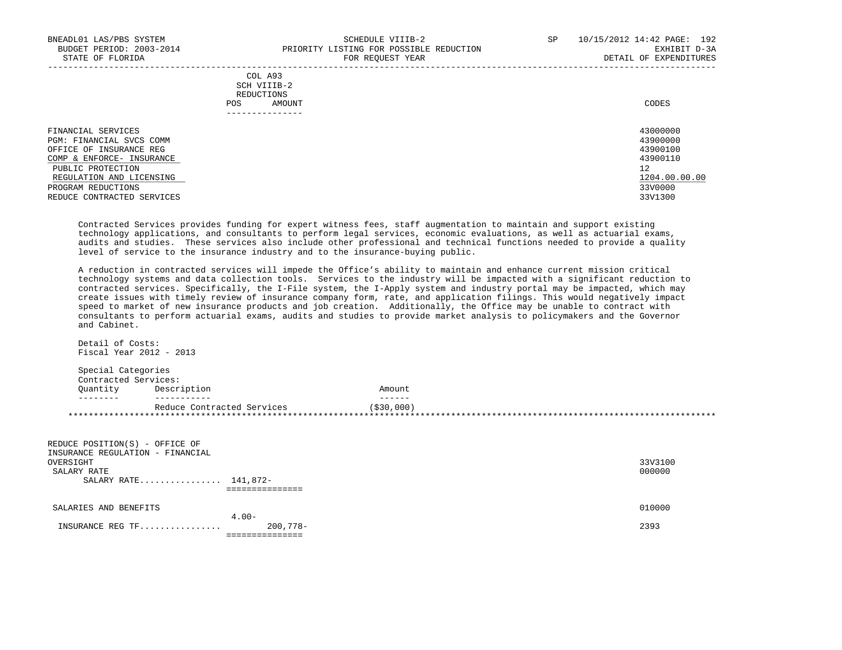|     | --------------- |       |
|-----|-----------------|-------|
| POS | AMOUNT          | CODES |
|     | REDUCTIONS      |       |
|     | SCH VIIIB-2     |       |
|     | COL A93         |       |

| FINANCIAL SERVICES         | 43000000      |
|----------------------------|---------------|
| PGM: FINANCIAL SVCS COMM   | 43900000      |
| OFFICE OF INSURANCE REG    | 43900100      |
| COMP & ENFORCE- INSURANCE  | 43900110      |
| PUBLIC PROTECTION          | 12            |
| REGULATION AND LICENSING   | 1204.00.00.00 |
| PROGRAM REDUCTIONS         | 33V0000       |
| REDUCE CONTRACTED SERVICES | 33V1300       |
|                            |               |

 Contracted Services provides funding for expert witness fees, staff augmentation to maintain and support existing technology applications, and consultants to perform legal services, economic evaluations, as well as actuarial exams, audits and studies. These services also include other professional and technical functions needed to provide a quality level of service to the insurance industry and to the insurance-buying public.

 A reduction in contracted services will impede the Office's ability to maintain and enhance current mission critical technology systems and data collection tools. Services to the industry will be impacted with a significant reduction to contracted services. Specifically, the I-File system, the I-Apply system and industry portal may be impacted, which may create issues with timely review of insurance company form, rate, and application filings. This would negatively impact speed to market of new insurance products and job creation. Additionally, the Office may be unable to contract with consultants to perform actuarial exams, audits and studies to provide market analysis to policymakers and the Governor and Cabinet.

 Detail of Costs: Fiscal Year 2012 - 2013 Special Categories Contracted Services: Quantity Description Amount -------- ----------- ------ Reduce Contracted Services (\$30,000) \*\*\*\*\*\*\*\*\*\*\*\*\*\*\*\*\*\*\*\*\*\*\*\*\*\*\*\*\*\*\*\*\*\*\*\*\*\*\*\*\*\*\*\*\*\*\*\*\*\*\*\*\*\*\*\*\*\*\*\*\*\*\*\*\*\*\*\*\*\*\*\*\*\*\*\*\*\*\*\*\*\*\*\*\*\*\*\*\*\*\*\*\*\*\*\*\*\*\*\*\*\*\*\*\*\*\*\*\*\*\*\*\*\*\*\*\*\*\*\*\*\*\*\*\*\*\* REDUCE POSITION(S) - OFFICE OF

| INSURANCE REG TF                 | 200,778- | 2393    |
|----------------------------------|----------|---------|
|                                  | $4.00 -$ |         |
| SALARIES AND BENEFITS            |          | 010000  |
|                                  |          |         |
| SALARY RATE 141,872-             |          |         |
| SALARY RATE                      |          | 000000  |
| OVERSIGHT                        |          | 33V3100 |
| INSURANCE REGULATION - FINANCIAL |          |         |
| KADOCA FOSIIION(S) - OFFICA OF   |          |         |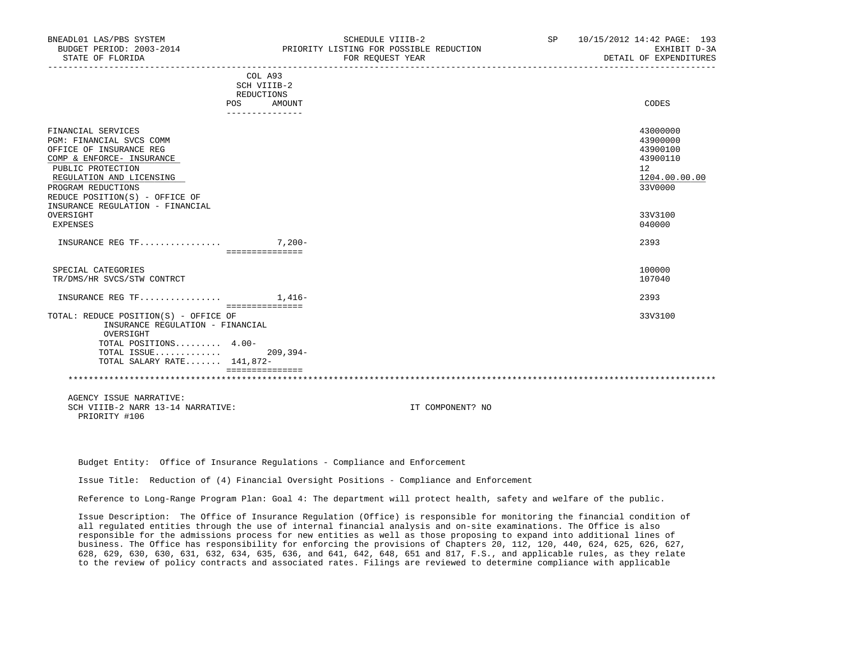| BNEADL01 LAS/PBS SYSTEM<br>BUDGET PERIOD: 2003-2014<br>STATE OF FLORIDA                                                                                                                                         | SCHEDULE VIIIB-2<br>PRIORITY LISTING FOR POSSIBLE REDUCTION<br>FOR REOUEST YEAR | SP | 10/15/2012 14:42 PAGE: 193<br>EXHIBIT D-3A<br>DETAIL OF EXPENDITURES           |
|-----------------------------------------------------------------------------------------------------------------------------------------------------------------------------------------------------------------|---------------------------------------------------------------------------------|----|--------------------------------------------------------------------------------|
|                                                                                                                                                                                                                 | COL A93<br>SCH VIIIB-2<br>REDUCTIONS<br>POS<br>AMOUNT<br>______________         |    | CODES                                                                          |
| FINANCIAL SERVICES<br>PGM: FINANCIAL SVCS COMM<br>OFFICE OF INSURANCE REG<br>COMP & ENFORCE- INSURANCE<br>PUBLIC PROTECTION<br>REGULATION AND LICENSING<br>PROGRAM REDUCTIONS<br>REDUCE POSITION(S) - OFFICE OF |                                                                                 |    | 43000000<br>43900000<br>43900100<br>43900110<br>12<br>1204.00.00.00<br>33V0000 |

 OVERSIGHT 33V3100 EXPENSES 040000 INSURANCE REG TF................ 7,200- 2393 =============== SPECIAL CATEGORIES 100000 TR/DMS/HR SVCS/STW CONTRCT

 INSURANCE REG TF................ 1,416- 2393 =============== TOTAL: REDUCE POSITION(S) - OFFICE OF 33V3100 INSURANCE REGULATION - FINANCIAL OVERSIGHT TOTAL POSITIONS......... 4.00- TOTAL ISSUE............. 209,394- TOTAL SALARY RATE....... 141,872-

===============

AGENCY ISSUE NARRATIVE:

SCH VIIIB-2 NARR 13-14 NARRATIVE: IT COMPONENT? NO PRIORITY #106

INSURANCE REGULATION - FINANCIAL

Budget Entity: Office of Insurance Regulations - Compliance and Enforcement

Issue Title: Reduction of (4) Financial Oversight Positions - Compliance and Enforcement

Reference to Long-Range Program Plan: Goal 4: The department will protect health, safety and welfare of the public.

\*\*\*\*\*\*\*\*\*\*\*\*\*\*\*\*\*\*\*\*\*\*\*\*\*\*\*\*\*\*\*\*\*\*\*\*\*\*\*\*\*\*\*\*\*\*\*\*\*\*\*\*\*\*\*\*\*\*\*\*\*\*\*\*\*\*\*\*\*\*\*\*\*\*\*\*\*\*\*\*\*\*\*\*\*\*\*\*\*\*\*\*\*\*\*\*\*\*\*\*\*\*\*\*\*\*\*\*\*\*\*\*\*\*\*\*\*\*\*\*\*\*\*\*\*\*\*

 Issue Description: The Office of Insurance Regulation (Office) is responsible for monitoring the financial condition of all regulated entities through the use of internal financial analysis and on-site examinations. The Office is also responsible for the admissions process for new entities as well as those proposing to expand into additional lines of business. The Office has responsibility for enforcing the provisions of Chapters 20, 112, 120, 440, 624, 625, 626, 627, 628, 629, 630, 630, 631, 632, 634, 635, 636, and 641, 642, 648, 651 and 817, F.S., and applicable rules, as they relate to the review of policy contracts and associated rates. Filings are reviewed to determine compliance with applicable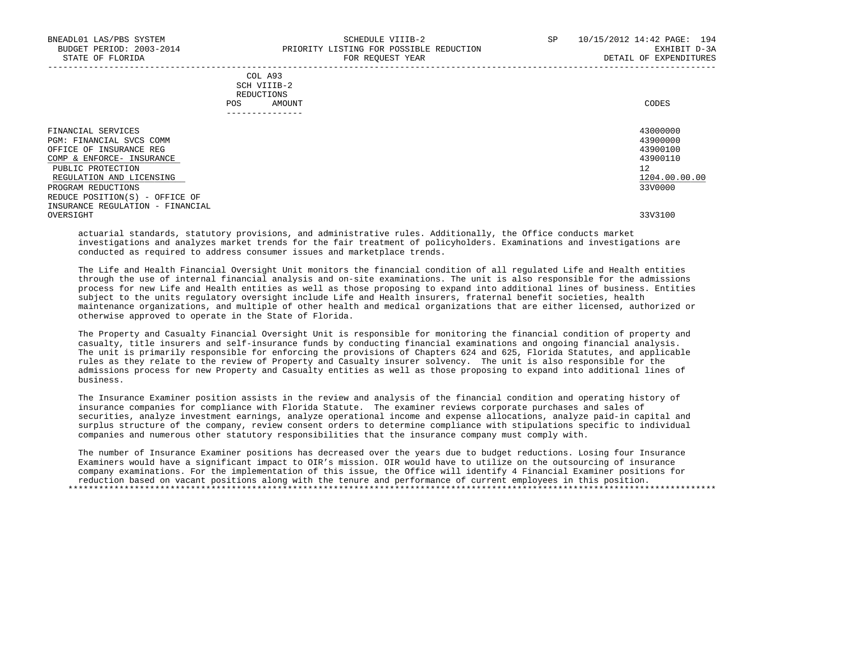|            | _______________ |       |
|------------|-----------------|-------|
| POS        | AMOUNT          | CODES |
| REDUCTIONS |                 |       |
|            | SCH VIIIB-2     |       |
|            | COL A93         |       |

|                                  | 43000000      |
|----------------------------------|---------------|
| FINANCIAL SERVICES               | 43900000      |
| PGM: FINANCIAL SVCS COMM         |               |
| OFFICE OF INSURANCE REG          | 43900100      |
| COMP & ENFORCE- INSURANCE        | 43900110      |
| PUBLIC PROTECTION                | 12            |
| REGULATION AND LICENSING         | 1204.00.00.00 |
| PROGRAM REDUCTIONS               | 33V0000       |
| REDUCE POSITION(S) - OFFICE OF   |               |
| INSURANCE REGULATION - FINANCIAL |               |
| OVERSIGHT                        | 33V3100       |

 actuarial standards, statutory provisions, and administrative rules. Additionally, the Office conducts market investigations and analyzes market trends for the fair treatment of policyholders. Examinations and investigations are conducted as required to address consumer issues and marketplace trends.

 The Life and Health Financial Oversight Unit monitors the financial condition of all regulated Life and Health entities through the use of internal financial analysis and on-site examinations. The unit is also responsible for the admissions process for new Life and Health entities as well as those proposing to expand into additional lines of business. Entities subject to the units regulatory oversight include Life and Health insurers, fraternal benefit societies, health maintenance organizations, and multiple of other health and medical organizations that are either licensed, authorized or otherwise approved to operate in the State of Florida.

 The Property and Casualty Financial Oversight Unit is responsible for monitoring the financial condition of property and casualty, title insurers and self-insurance funds by conducting financial examinations and ongoing financial analysis. The unit is primarily responsible for enforcing the provisions of Chapters 624 and 625, Florida Statutes, and applicable rules as they relate to the review of Property and Casualty insurer solvency. The unit is also responsible for the admissions process for new Property and Casualty entities as well as those proposing to expand into additional lines of business.

 The Insurance Examiner position assists in the review and analysis of the financial condition and operating history of insurance companies for compliance with Florida Statute. The examiner reviews corporate purchases and sales of securities, analyze investment earnings, analyze operational income and expense allocations, analyze paid-in capital and surplus structure of the company, review consent orders to determine compliance with stipulations specific to individual companies and numerous other statutory responsibilities that the insurance company must comply with.

 The number of Insurance Examiner positions has decreased over the years due to budget reductions. Losing four Insurance Examiners would have a significant impact to OIR's mission. OIR would have to utilize on the outsourcing of insurance company examinations. For the implementation of this issue, the Office will identify 4 Financial Examiner positions for reduction based on vacant positions along with the tenure and performance of current employees in this position. \*\*\*\*\*\*\*\*\*\*\*\*\*\*\*\*\*\*\*\*\*\*\*\*\*\*\*\*\*\*\*\*\*\*\*\*\*\*\*\*\*\*\*\*\*\*\*\*\*\*\*\*\*\*\*\*\*\*\*\*\*\*\*\*\*\*\*\*\*\*\*\*\*\*\*\*\*\*\*\*\*\*\*\*\*\*\*\*\*\*\*\*\*\*\*\*\*\*\*\*\*\*\*\*\*\*\*\*\*\*\*\*\*\*\*\*\*\*\*\*\*\*\*\*\*\*\*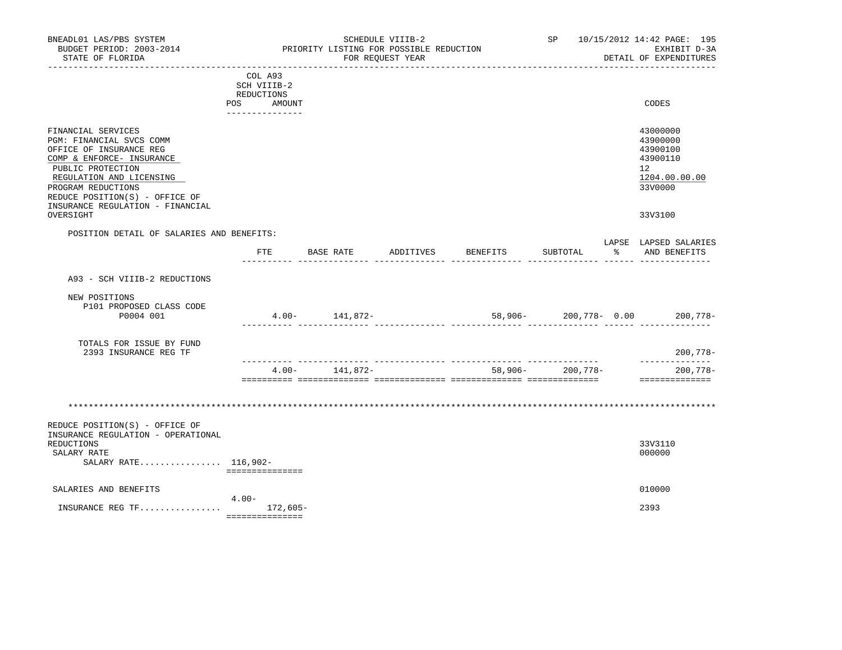| BNEADL01 LAS/PBS SYSTEM<br>BUDGET PERIOD: 2003-2014<br>STATE OF FLORIDA                                                                                                                                                                                          |                                                                                                        | PRIORITY LISTING FOR POSSIBLE REDUCTION | SCHEDULE VIIIB-2<br>FOR REOUEST YEAR |                                                                | SP <sub>2</sub> | 10/15/2012 14:42 PAGE: 195<br>EXHIBIT D-3A<br>DETAIL OF EXPENDITURES                                |
|------------------------------------------------------------------------------------------------------------------------------------------------------------------------------------------------------------------------------------------------------------------|--------------------------------------------------------------------------------------------------------|-----------------------------------------|--------------------------------------|----------------------------------------------------------------|-----------------|-----------------------------------------------------------------------------------------------------|
| ----------------------                                                                                                                                                                                                                                           | __________________________<br>COL A93<br>SCH VIIIB-2<br>REDUCTIONS<br>POS<br>AMOUNT<br>--------------- |                                         |                                      |                                                                |                 | CODES                                                                                               |
| FINANCIAL SERVICES<br>PGM: FINANCIAL SVCS COMM<br>OFFICE OF INSURANCE REG<br>COMP & ENFORCE- INSURANCE<br>PUBLIC PROTECTION<br>REGULATION AND LICENSING<br>PROGRAM REDUCTIONS<br>REDUCE POSITION(S) - OFFICE OF<br>INSURANCE REGULATION - FINANCIAL<br>OVERSIGHT |                                                                                                        |                                         |                                      |                                                                |                 | 43000000<br>43900000<br>43900100<br>43900110<br>$12^{\circ}$<br>1204.00.00.00<br>33V0000<br>33V3100 |
|                                                                                                                                                                                                                                                                  |                                                                                                        |                                         |                                      |                                                                |                 |                                                                                                     |
| POSITION DETAIL OF SALARIES AND BENEFITS:                                                                                                                                                                                                                        | FTE                                                                                                    | BASE RATE<br>------- ------             | ----- ----                           | ADDITIVES BENEFITS<br>----- --------                           | SUBTOTAL        | LAPSE LAPSED SALARIES<br>% AND BENEFITS<br>_______ ______ __________________                        |
| A93 - SCH VIIIB-2 REDUCTIONS                                                                                                                                                                                                                                     |                                                                                                        |                                         |                                      |                                                                |                 |                                                                                                     |
| NEW POSITIONS<br>P101 PROPOSED CLASS CODE<br>P0004 001                                                                                                                                                                                                           |                                                                                                        | $4.00 - 141,872 -$                      |                                      |                                                                |                 | 58,906- 200,778- 0.00 200,778-                                                                      |
| TOTALS FOR ISSUE BY FUND<br>2393 INSURANCE REG TF                                                                                                                                                                                                                |                                                                                                        |                                         |                                      |                                                                |                 | $200,778-$                                                                                          |
|                                                                                                                                                                                                                                                                  |                                                                                                        | $4.00 - 141,872 -$                      |                                      | .como concertenente contenentenen concertenente concertenenten | 58,906-200,778- | . _ _ _ _ _ _ _ _ _ _ _ _ _<br>$200,778-$<br>==============                                         |
| REDUCE POSITION(S) - OFFICE OF                                                                                                                                                                                                                                   |                                                                                                        |                                         |                                      |                                                                |                 |                                                                                                     |
| INSURANCE REGULATION - OPERATIONAL<br>REDUCTIONS<br>SALARY RATE<br>SALARY RATE 116,902-                                                                                                                                                                          | ===============                                                                                        |                                         |                                      |                                                                |                 | 33V3110<br>000000                                                                                   |
| SALARIES AND BENEFITS                                                                                                                                                                                                                                            |                                                                                                        |                                         |                                      |                                                                |                 | 010000                                                                                              |
| INSURANCE REG TF                                                                                                                                                                                                                                                 | $4.00 -$<br>172,605-<br>===============                                                                |                                         |                                      |                                                                |                 | 2393                                                                                                |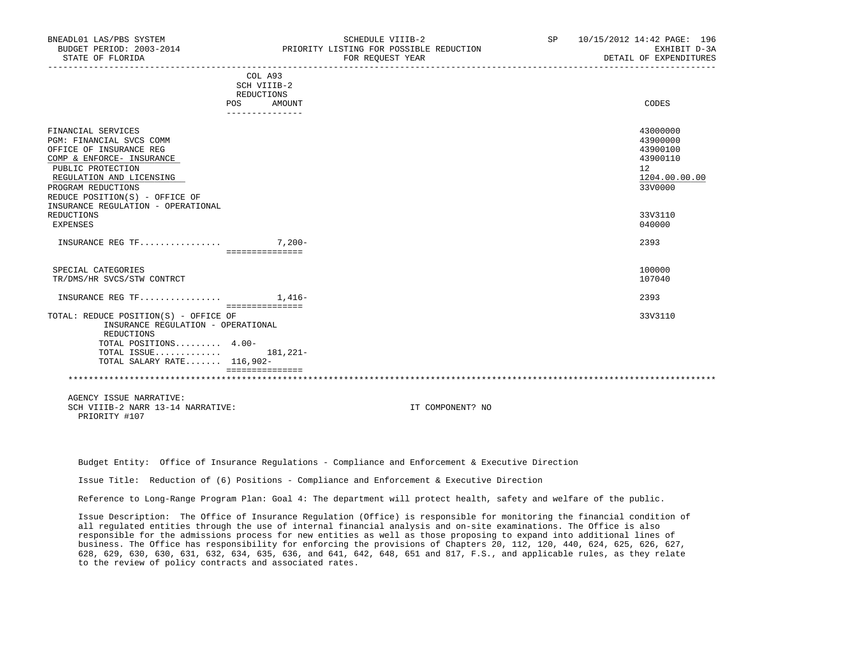| BNEADL01 LAS/PBS SYSTEM<br>BUDGET PERIOD: 2003-2014<br>STATE OF FLORIDA | SCHEDULE VIIIB-2<br>PRIORITY LISTING FOR POSSIBLE REDUCTION<br>FOR REOUEST YEAR | 10/15/2012 14:42 PAGE: 196<br><b>SP</b><br>EXHIBIT D-3A<br>DETAIL OF EXPENDITURES |
|-------------------------------------------------------------------------|---------------------------------------------------------------------------------|-----------------------------------------------------------------------------------|
|                                                                         | COL A93<br>SCH VIIIB-2                                                          |                                                                                   |
|                                                                         | REDUCTIONS                                                                      |                                                                                   |
|                                                                         | AMOUNT<br>POS.                                                                  | CODES                                                                             |
|                                                                         | -------------                                                                   |                                                                                   |
| FINANCIAL SERVICES                                                      |                                                                                 | 43000000                                                                          |
| PGM: FINANCIAL SVCS COMM                                                |                                                                                 | 43900000                                                                          |
| OFFICE OF INSURANCE REG                                                 |                                                                                 | 43900100                                                                          |
| COMP & ENFORCE- INSURANCE                                               |                                                                                 | 43900110                                                                          |

| PUBLIC PROTECTION                     | 12            |
|---------------------------------------|---------------|
| REGULATION AND LICENSING              | 1204.00.00.00 |
| PROGRAM REDUCTIONS                    | 33V0000       |
| REDUCE POSITION(S) - OFFICE OF        |               |
| INSURANCE REGULATION - OPERATIONAL    |               |
| REDUCTIONS                            | 33V3110       |
| EXPENSES                              | 040000        |
|                                       |               |
| INSURANCE REG TF 7,200-               | 2393          |
|                                       |               |
| SPECIAL CATEGORIES                    | 100000        |
| TR/DMS/HR SVCS/STW CONTRCT            | 107040        |
|                                       |               |
| INSURANCE REG TF $1,416-$             | 2393          |
|                                       |               |
| TOTAL: REDUCE POSITION(S) - OFFICE OF | 33V3110       |
| INSURANCE REGULATION - OPERATIONAL    |               |
| REDUCTIONS                            |               |
| TOTAL POSITIONS 4.00-                 |               |
| TOTAL ISSUE $181,221-$                |               |
| TOTAL SALARY RATE $116,902-$          |               |
|                                       |               |

 =============== \*\*\*\*\*\*\*\*\*\*\*\*\*\*\*\*\*\*\*\*\*\*\*\*\*\*\*\*\*\*\*\*\*\*\*\*\*\*\*\*\*\*\*\*\*\*\*\*\*\*\*\*\*\*\*\*\*\*\*\*\*\*\*\*\*\*\*\*\*\*\*\*\*\*\*\*\*\*\*\*\*\*\*\*\*\*\*\*\*\*\*\*\*\*\*\*\*\*\*\*\*\*\*\*\*\*\*\*\*\*\*\*\*\*\*\*\*\*\*\*\*\*\*\*\*\*\*

 AGENCY ISSUE NARRATIVE: SCH VIIIB-2 NARR 13-14 NARRATIVE: IT COMPONENT? NO PRIORITY #107

Budget Entity: Office of Insurance Regulations - Compliance and Enforcement & Executive Direction

Issue Title: Reduction of (6) Positions - Compliance and Enforcement & Executive Direction

Reference to Long-Range Program Plan: Goal 4: The department will protect health, safety and welfare of the public.

 Issue Description: The Office of Insurance Regulation (Office) is responsible for monitoring the financial condition of all regulated entities through the use of internal financial analysis and on-site examinations. The Office is also responsible for the admissions process for new entities as well as those proposing to expand into additional lines of business. The Office has responsibility for enforcing the provisions of Chapters 20, 112, 120, 440, 624, 625, 626, 627, 628, 629, 630, 630, 631, 632, 634, 635, 636, and 641, 642, 648, 651 and 817, F.S., and applicable rules, as they relate to the review of policy contracts and associated rates.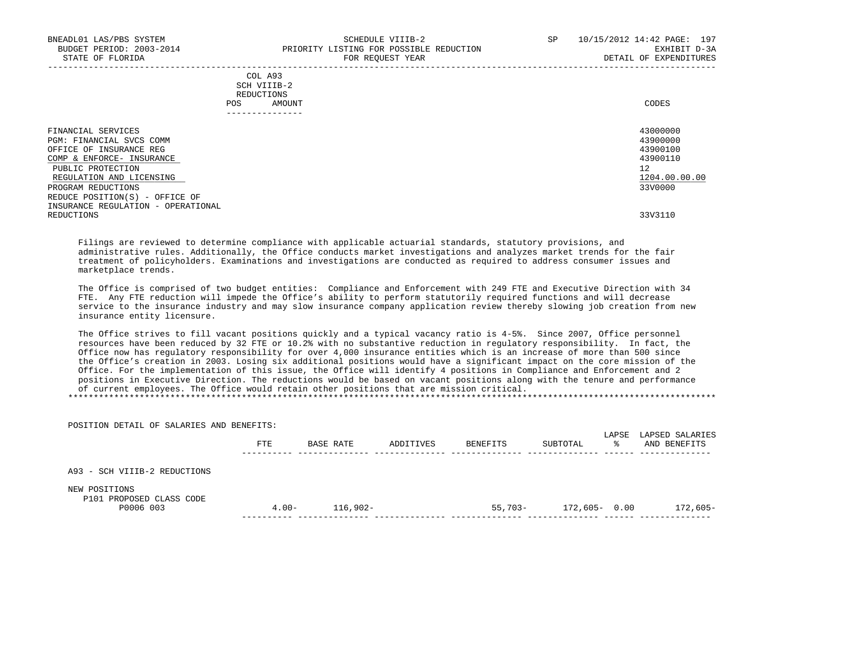|            | COL A93     |       |
|------------|-------------|-------|
|            | SCH VIIIB-2 |       |
| REDUCTIONS |             |       |
| POS        | AMOUNT      | CODES |

| _____________                                    |                      |
|--------------------------------------------------|----------------------|
| FINANCIAL SERVICES<br>PGM: FINANCIAL SVCS COMM   | 43000000<br>43900000 |
| OFFICE OF INSURANCE REG                          | 43900100             |
| COMP & ENFORCE- INSURANCE                        | 43900110             |
| PUBLIC PROTECTION<br>REGULATION AND LICENSING    | 12<br>1204.00.00.00  |
| PROGRAM REDUCTIONS                               | 33V0000              |
| REDUCE POSITION(S) - OFFICE OF                   |                      |
| INSURANCE REGULATION - OPERATIONAL<br>REDUCTIONS | 33V3110              |

 Filings are reviewed to determine compliance with applicable actuarial standards, statutory provisions, and administrative rules. Additionally, the Office conducts market investigations and analyzes market trends for the fair treatment of policyholders. Examinations and investigations are conducted as required to address consumer issues and marketplace trends.

 The Office is comprised of two budget entities: Compliance and Enforcement with 249 FTE and Executive Direction with 34 FTE. Any FTE reduction will impede the Office's ability to perform statutorily required functions and will decrease service to the insurance industry and may slow insurance company application review thereby slowing job creation from new insurance entity licensure.

 The Office strives to fill vacant positions quickly and a typical vacancy ratio is 4-5%. Since 2007, Office personnel resources have been reduced by 32 FTE or 10.2% with no substantive reduction in regulatory responsibility. In fact, the Office now has regulatory responsibility for over 4,000 insurance entities which is an increase of more than 500 since the Office's creation in 2003. Losing six additional positions would have a significant impact on the core mission of the Office. For the implementation of this issue, the Office will identify 4 positions in Compliance and Enforcement and 2 positions in Executive Direction. The reductions would be based on vacant positions along with the tenure and performance of current employees. The Office would retain other positions that are mission critical. \*\*\*\*\*\*\*\*\*\*\*\*\*\*\*\*\*\*\*\*\*\*\*\*\*\*\*\*\*\*\*\*\*\*\*\*\*\*\*\*\*\*\*\*\*\*\*\*\*\*\*\*\*\*\*\*\*\*\*\*\*\*\*\*\*\*\*\*\*\*\*\*\*\*\*\*\*\*\*\*\*\*\*\*\*\*\*\*\*\*\*\*\*\*\*\*\*\*\*\*\*\*\*\*\*\*\*\*\*\*\*\*\*\*\*\*\*\*\*\*\*\*\*\*\*\*\*

 POSITION DETAIL OF SALARIES AND BENEFITS: LAPSE LAPSED SALARIES FTE BASE RATE ADDITIVES BENEFITS SUBTOTAL % AND BENEFITS ---------- -------------- -------------- -------------- -------------- ------ -------------- A93 - SCH VIIIB-2 REDUCTIONS NEW POSITIONS P101 PROPOSED CLASS CODE P0006 003 4.00- 116,902- 55,703- 172,605- 0.00 172,605- ---------- -------------- -------------- -------------- -------------- ------ --------------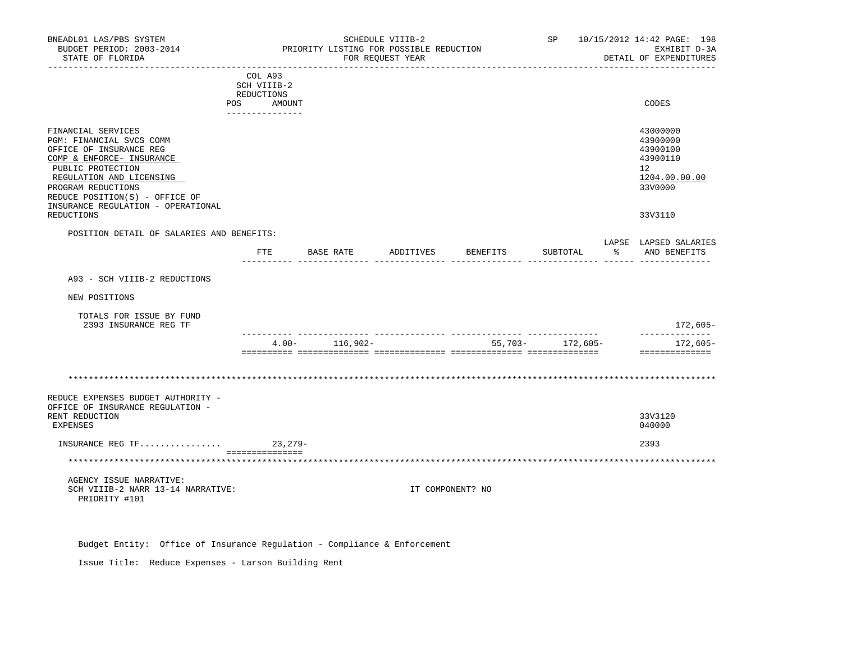| BNEADL01 LAS/PBS SYSTEM<br>BUDGET PERIOD: 2003-2014<br>STATE OF FLORIDA                                                                                                                                                                               | SCHEDULE VIIIB-2<br>PRIORITY LISTING FOR POSSIBLE REDUCTION<br>FOR REOUEST YEAR |           |                    |           |                                      | SP               |               | 10/15/2012 14:42 PAGE: 198<br>EXHIBIT D-3A<br>DETAIL OF EXPENDITURES                        |
|-------------------------------------------------------------------------------------------------------------------------------------------------------------------------------------------------------------------------------------------------------|---------------------------------------------------------------------------------|-----------|--------------------|-----------|--------------------------------------|------------------|---------------|---------------------------------------------------------------------------------------------|
|                                                                                                                                                                                                                                                       | COL A93<br>SCH VIIIB-2<br>REDUCTIONS<br>POS AMOUNT<br>---------------           |           |                    |           |                                      |                  |               | CODES                                                                                       |
| FINANCIAL SERVICES<br>PGM: FINANCIAL SVCS COMM<br>OFFICE OF INSURANCE REG<br>COMP & ENFORCE- INSURANCE<br>PUBLIC PROTECTION<br>REGULATION AND LICENSING<br>PROGRAM REDUCTIONS<br>REDUCE POSITION(S) - OFFICE OF<br>INSURANCE REGULATION - OPERATIONAL |                                                                                 |           |                    |           |                                      |                  |               | 43000000<br>43900000<br>43900100<br>43900110<br>12 <sup>°</sup><br>1204.00.00.00<br>33V0000 |
| REDUCTIONS                                                                                                                                                                                                                                            |                                                                                 |           |                    |           |                                      |                  |               | 33V3110                                                                                     |
| POSITION DETAIL OF SALARIES AND BENEFITS:                                                                                                                                                                                                             |                                                                                 |           |                    |           |                                      |                  |               | LAPSE LAPSED SALARIES                                                                       |
|                                                                                                                                                                                                                                                       | FTE                                                                             |           | BASE RATE          | ADDITIVES | BENEFITS                             | SUBTOTAL         | $\frac{1}{2}$ | AND BENEFITS                                                                                |
| A93 - SCH VIIIB-2 REDUCTIONS                                                                                                                                                                                                                          |                                                                                 |           |                    |           |                                      |                  |               |                                                                                             |
| NEW POSITIONS                                                                                                                                                                                                                                         |                                                                                 |           |                    |           |                                      |                  |               |                                                                                             |
| TOTALS FOR ISSUE BY FUND<br>2393 INSURANCE REG TF                                                                                                                                                                                                     |                                                                                 |           |                    |           |                                      |                  |               | 172,605-                                                                                    |
|                                                                                                                                                                                                                                                       |                                                                                 |           | $4.00 - 116,902 -$ |           | ____________________________________ | 55,703- 172,605- |               | --------------<br>172,605-<br>==============                                                |
|                                                                                                                                                                                                                                                       |                                                                                 |           |                    |           |                                      |                  |               |                                                                                             |
| REDUCE EXPENSES BUDGET AUTHORITY -<br>OFFICE OF INSURANCE REGULATION -<br>RENT REDUCTION                                                                                                                                                              |                                                                                 |           |                    |           |                                      |                  |               | 33V3120                                                                                     |
| EXPENSES                                                                                                                                                                                                                                              |                                                                                 |           |                    |           |                                      |                  |               | 040000                                                                                      |
| INSURANCE REG TF                                                                                                                                                                                                                                      | ===============                                                                 | $23,279-$ |                    |           |                                      |                  |               | 2393                                                                                        |
|                                                                                                                                                                                                                                                       |                                                                                 |           |                    |           |                                      |                  |               | *****************************                                                               |
| AGENCY ISSUE NARRATIVE:<br>SCH VIIIB-2 NARR 13-14 NARRATIVE:<br>PRIORITY #101                                                                                                                                                                         |                                                                                 |           |                    |           | IT COMPONENT? NO                     |                  |               |                                                                                             |

Budget Entity: Office of Insurance Regulation - Compliance & Enforcement

Issue Title: Reduce Expenses - Larson Building Rent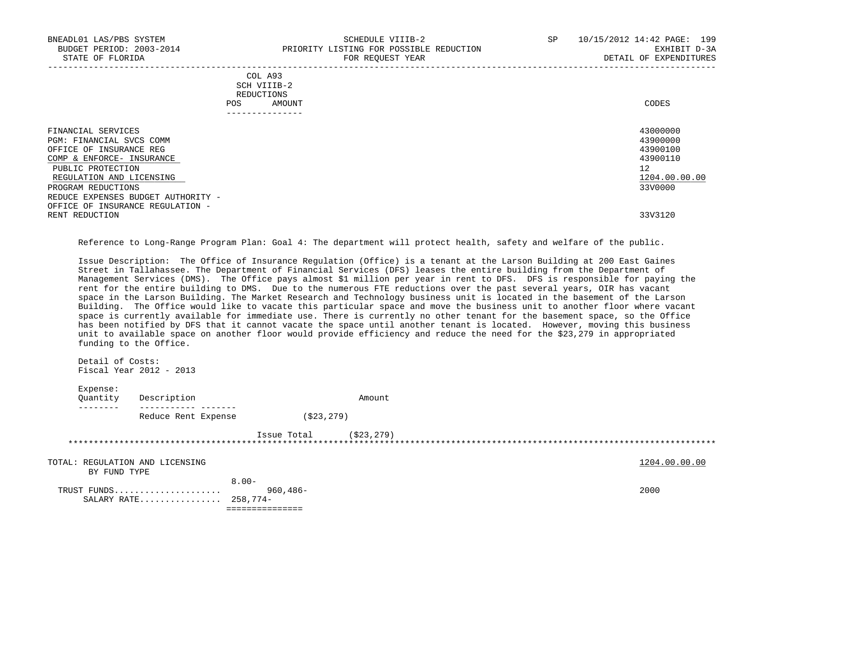| BNEADL01 LAS/PBS SYSTEM<br>BUDGET PERIOD: 2003-2014<br>STATE OF FLORIDA                                                                                 | SCHEDULE VIIIB-2<br>PRIORITY LISTING FOR POSSIBLE REDUCTION<br>FOR REOUEST YEAR | SP | 10/15/2012 14:42 PAGE: 199<br>EXHIBIT D-3A<br>DETAIL OF EXPENDITURES |
|---------------------------------------------------------------------------------------------------------------------------------------------------------|---------------------------------------------------------------------------------|----|----------------------------------------------------------------------|
|                                                                                                                                                         | COL A93<br>SCH VIIIB-2<br>REDUCTIONS<br>AMOUNT<br>POS.<br>--------------        |    | CODES                                                                |
| FINANCIAL SERVICES<br>PGM: FINANCIAL SVCS COMM<br>OFFICE OF INSURANCE REG<br>COMP & ENFORCE- INSURANCE<br>PUBLIC PROTECTION<br>REGULATION AND LICENSING |                                                                                 |    | 43000000<br>43900000<br>43900100<br>43900110<br>12<br>1204.00.00.00  |
| PROGRAM REDUCTIONS<br>REDUCE EXPENSES BUDGET AUTHORITY -                                                                                                |                                                                                 |    | 33V0000                                                              |

RENT REDUCTION 33V3120

Reference to Long-Range Program Plan: Goal 4: The department will protect health, safety and welfare of the public.

 Issue Description: The Office of Insurance Regulation (Office) is a tenant at the Larson Building at 200 East Gaines Street in Tallahassee. The Department of Financial Services (DFS) leases the entire building from the Department of Management Services (DMS). The Office pays almost \$1 million per year in rent to DFS. DFS is responsible for paying the rent for the entire building to DMS. Due to the numerous FTE reductions over the past several years, OIR has vacant space in the Larson Building. The Market Research and Technology business unit is located in the basement of the Larson Building. The Office would like to vacate this particular space and move the business unit to another floor where vacant space is currently available for immediate use. There is currently no other tenant for the basement space, so the Office has been notified by DFS that it cannot vacate the space until another tenant is located. However, moving this business unit to available space on another floor would provide efficiency and reduce the need for the \$23,279 in appropriated funding to the Office.

 Detail of Costs: Fiscal Year 2012 - 2013

OFFICE OF INSURANCE REGULATION -

| Expense:<br>Ouantity<br>-----   | Description         |              | Amount     |               |
|---------------------------------|---------------------|--------------|------------|---------------|
|                                 | Reduce Rent Expense | ( \$23, 279) |            |               |
|                                 |                     | Issue Total  | (S23, 279) |               |
| TOTAL: REGULATION AND LICENSING |                     |              |            | 1204.00.00.00 |

BY FUND TYPE

 8.00- TRUST FUNDS..................... 960,486- 2000 SALARY RATE................ 258,774- ===============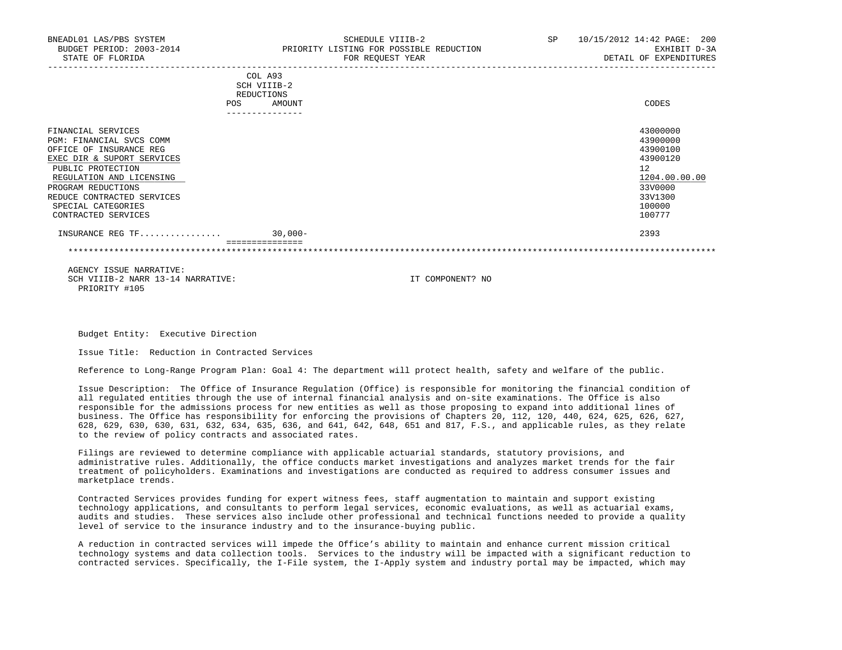| BNEADL01 LAS/PBS SYSTEM<br>BUDGET PERIOD: 2003-2014<br>STATE OF FLORIDA                                                                                                                                                                                   | SCHEDULE VIIIB-2<br>PRIORITY LISTING FOR POSSIBLE REDUCTION<br>FOR REQUEST YEAR | 10/15/2012 14:42 PAGE:<br><b>SP</b><br>200<br>EXHIBIT D-3A<br>DETAIL OF EXPENDITURES                          |
|-----------------------------------------------------------------------------------------------------------------------------------------------------------------------------------------------------------------------------------------------------------|---------------------------------------------------------------------------------|---------------------------------------------------------------------------------------------------------------|
|                                                                                                                                                                                                                                                           | COL A93<br>SCH VIIIB-2<br>REDUCTIONS<br>AMOUNT<br><b>POS</b>                    | CODES                                                                                                         |
| FINANCIAL SERVICES<br>PGM: FINANCIAL SVCS COMM<br>OFFICE OF INSURANCE REG<br>EXEC DIR & SUPORT SERVICES<br>PUBLIC PROTECTION<br>REGULATION AND LICENSING<br>PROGRAM REDUCTIONS<br>REDUCE CONTRACTED SERVICES<br>SPECIAL CATEGORIES<br>CONTRACTED SERVICES |                                                                                 | 43000000<br>43900000<br>43900100<br>43900120<br>12<br>1204.00.00.00<br>33V0000<br>33V1300<br>100000<br>100777 |
| INSURANCE REG TF 30,000-                                                                                                                                                                                                                                  |                                                                                 | 2393                                                                                                          |
|                                                                                                                                                                                                                                                           |                                                                                 |                                                                                                               |

 AGENCY ISSUE NARRATIVE: SCH VIIIB-2 NARR 13-14 NARRATIVE: IT COMPONENT? NO PRIORITY #105

Budget Entity: Executive Direction

Issue Title: Reduction in Contracted Services

Reference to Long-Range Program Plan: Goal 4: The department will protect health, safety and welfare of the public.

 Issue Description: The Office of Insurance Regulation (Office) is responsible for monitoring the financial condition of all regulated entities through the use of internal financial analysis and on-site examinations. The Office is also responsible for the admissions process for new entities as well as those proposing to expand into additional lines of business. The Office has responsibility for enforcing the provisions of Chapters 20, 112, 120, 440, 624, 625, 626, 627, 628, 629, 630, 630, 631, 632, 634, 635, 636, and 641, 642, 648, 651 and 817, F.S., and applicable rules, as they relate to the review of policy contracts and associated rates.

 Filings are reviewed to determine compliance with applicable actuarial standards, statutory provisions, and administrative rules. Additionally, the office conducts market investigations and analyzes market trends for the fair treatment of policyholders. Examinations and investigations are conducted as required to address consumer issues and marketplace trends.

 Contracted Services provides funding for expert witness fees, staff augmentation to maintain and support existing technology applications, and consultants to perform legal services, economic evaluations, as well as actuarial exams, audits and studies. These services also include other professional and technical functions needed to provide a quality level of service to the insurance industry and to the insurance-buying public.

 A reduction in contracted services will impede the Office's ability to maintain and enhance current mission critical technology systems and data collection tools. Services to the industry will be impacted with a significant reduction to contracted services. Specifically, the I-File system, the I-Apply system and industry portal may be impacted, which may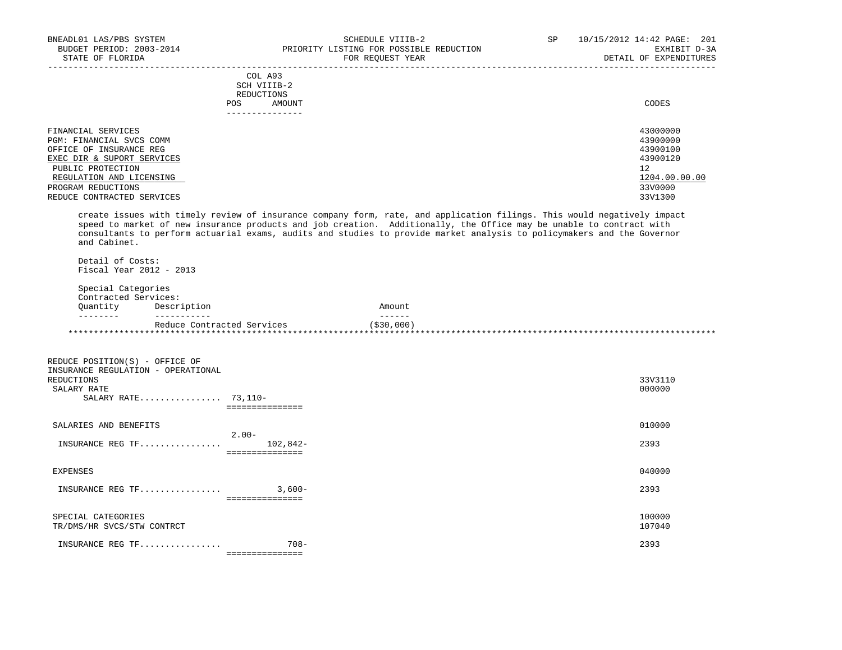-----------------------------------------------------------------------------------------------------------------------------------

|                    | COL A93<br>SCH VIIIB-2<br>REDUCTIONS |        |
|--------------------|--------------------------------------|--------|
|                    | AMOUNT<br>POS                        | CODES  |
|                    | -------------                        |        |
| FINANCIAL SERVICES |                                      | 430000 |

| ------------               |               |
|----------------------------|---------------|
|                            |               |
| FINANCIAL SERVICES         | 43000000      |
| PGM: FINANCIAL SVCS COMM   | 43900000      |
| OFFICE OF INSURANCE REG    | 43900100      |
| EXEC DIR & SUPORT SERVICES | 43900120      |
| PUBLIC PROTECTION          | 12            |
| REGULATION AND LICENSING   | 1204.00.00.00 |
| PROGRAM REDUCTIONS         | 33V0000       |
| REDUCE CONTRACTED SERVICES | 33V1300       |
|                            |               |

 create issues with timely review of insurance company form, rate, and application filings. This would negatively impact speed to market of new insurance products and job creation. Additionally, the Office may be unable to contract with consultants to perform actuarial exams, audits and studies to provide market analysis to policymakers and the Governor and Cabinet.

 Detail of Costs: Fiscal Year 2012 - 2013

 Special Categories Contracted Services: Quantity Description Amount -------- ----------- ------ Reduce Contracted Services (\$30,000) \*\*\*\*\*\*\*\*\*\*\*\*\*\*\*\*\*\*\*\*\*\*\*\*\*\*\*\*\*\*\*\*\*\*\*\*\*\*\*\*\*\*\*\*\*\*\*\*\*\*\*\*\*\*\*\*\*\*\*\*\*\*\*\*\*\*\*\*\*\*\*\*\*\*\*\*\*\*\*\*\*\*\*\*\*\*\*\*\*\*\*\*\*\*\*\*\*\*\*\*\*\*\*\*\*\*\*\*\*\*\*\*\*\*\*\*\*\*\*\*\*\*\*\*\*\*\*

| REDUCE POSITION(S) - OFFICE OF<br>INSURANCE REGULATION - OPERATIONAL<br>REDUCTIONS<br>SALARY RATE<br>SALARY RATE $73,110-$ | ------------                           | 33V3110<br>000000 |
|----------------------------------------------------------------------------------------------------------------------------|----------------------------------------|-------------------|
| SALARIES AND BENEFITS                                                                                                      |                                        | 010000            |
| INSURANCE REG TF                                                                                                           | $2.00-$<br>102,842-<br>=============== | 2393              |
| EXPENSES                                                                                                                   |                                        | 040000            |
| INSURANCE REG TF                                                                                                           | $3,600-$                               | 2393              |
| SPECIAL CATEGORIES<br>TR/DMS/HR SVCS/STW CONTRCT                                                                           |                                        | 100000<br>107040  |
| INSURANCE REG TF                                                                                                           | $708 -$<br>===============             | 2393              |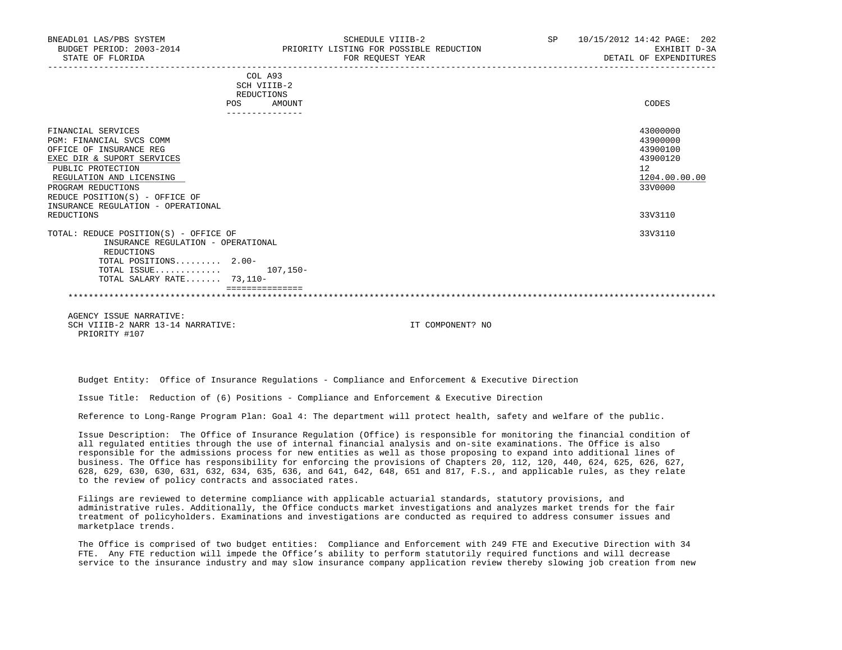| BNEADL01 LAS/PBS SYSTEM<br>BUDGET PERIOD: 2003-2014<br>STATE OF FLORIDA                                                                                                                                                                                              |                                             | PRIORITY LISTING FOR POSSIBLE REDUCTION | SCHEDULE VIIIB-2<br>FOR REQUEST YEAR |  | <b>SP</b> | 10/15/2012 14:42 PAGE: 202<br>EXHIBIT D-3A<br>DETAIL OF EXPENDITURES                                    |  |
|----------------------------------------------------------------------------------------------------------------------------------------------------------------------------------------------------------------------------------------------------------------------|---------------------------------------------|-----------------------------------------|--------------------------------------|--|-----------|---------------------------------------------------------------------------------------------------------|--|
|                                                                                                                                                                                                                                                                      | COL A93<br>SCH VIIIB-2<br>REDUCTIONS<br>POS | AMOUNT<br>--------------                |                                      |  |           | CODES                                                                                                   |  |
| FINANCIAL SERVICES<br>PGM: FINANCIAL SVCS COMM<br>OFFICE OF INSURANCE REG<br>EXEC DIR & SUPORT SERVICES<br>PUBLIC PROTECTION<br>REGULATION AND LICENSING<br>PROGRAM REDUCTIONS<br>REDUCE POSITION(S) - OFFICE OF<br>INSURANCE REGULATION - OPERATIONAL<br>REDUCTIONS |                                             |                                         |                                      |  |           | 43000000<br>43900000<br>43900100<br>43900120<br>12 <sup>12</sup><br>1204.00.00.00<br>33V0000<br>33V3110 |  |

 TOTAL: REDUCE POSITION(S) - OFFICE OF 33V3110 INSURANCE REGULATION - OPERATIONAL REDUCTIONS TOTAL POSITIONS......... 2.00- TOTAL ISSUE............. 107,150- TOTAL SALARY RATE....... 73,110- ===============

 AGENCY ISSUE NARRATIVE: SCH VIIIB-2 NARR 13-14 NARRATIVE: IT COMPONENT? NO PRIORITY #107

Budget Entity: Office of Insurance Regulations - Compliance and Enforcement & Executive Direction

Issue Title: Reduction of (6) Positions - Compliance and Enforcement & Executive Direction

Reference to Long-Range Program Plan: Goal 4: The department will protect health, safety and welfare of the public.

 Issue Description: The Office of Insurance Regulation (Office) is responsible for monitoring the financial condition of all regulated entities through the use of internal financial analysis and on-site examinations. The Office is also responsible for the admissions process for new entities as well as those proposing to expand into additional lines of business. The Office has responsibility for enforcing the provisions of Chapters 20, 112, 120, 440, 624, 625, 626, 627, 628, 629, 630, 630, 631, 632, 634, 635, 636, and 641, 642, 648, 651 and 817, F.S., and applicable rules, as they relate to the review of policy contracts and associated rates.

\*\*\*\*\*\*\*\*\*\*\*\*\*\*\*\*\*\*\*\*\*\*\*\*\*\*\*\*\*\*\*\*\*\*\*\*\*\*\*\*\*\*\*\*\*\*\*\*\*\*\*\*\*\*\*\*\*\*\*\*\*\*\*\*\*\*\*\*\*\*\*\*\*\*\*\*\*\*\*\*\*\*\*\*\*\*\*\*\*\*\*\*\*\*\*\*\*\*\*\*\*\*\*\*\*\*\*\*\*\*\*\*\*\*\*\*\*\*\*\*\*\*\*\*\*\*\*

 Filings are reviewed to determine compliance with applicable actuarial standards, statutory provisions, and administrative rules. Additionally, the Office conducts market investigations and analyzes market trends for the fair treatment of policyholders. Examinations and investigations are conducted as required to address consumer issues and marketplace trends.

 The Office is comprised of two budget entities: Compliance and Enforcement with 249 FTE and Executive Direction with 34 FTE. Any FTE reduction will impede the Office's ability to perform statutorily required functions and will decrease service to the insurance industry and may slow insurance company application review thereby slowing job creation from new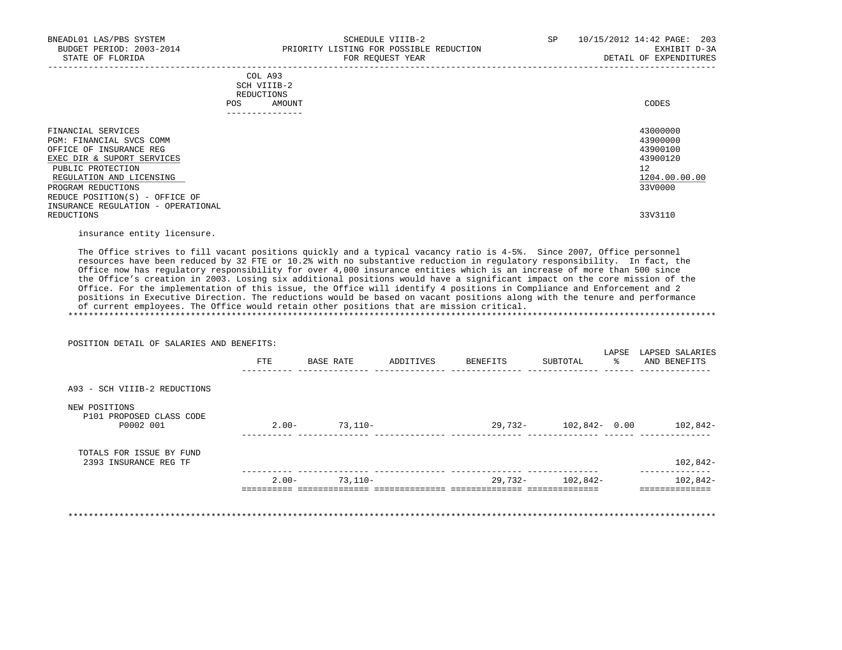## COL A93 SCH VIIIB-2 REDUCTIONS POS AMOUNT CODES ---------------

| FINANCIAL SERVICES                 | 43000000      |
|------------------------------------|---------------|
| PGM: FINANCIAL SVCS COMM           | 43900000      |
| OFFICE OF INSURANCE REG            | 43900100      |
| EXEC DIR & SUPORT SERVICES         | 43900120      |
| PUBLIC PROTECTION                  | 12            |
| REGULATION AND LICENSING           | 1204.00.00.00 |
| PROGRAM REDUCTIONS                 | 33V0000       |
| REDUCE POSITION(S) - OFFICE OF     |               |
| INSURANCE REGULATION - OPERATIONAL |               |
| REDUCTIONS                         | 33V3110       |

-----------------------------------------------------------------------------------------------------------------------------------

insurance entity licensure.

 The Office strives to fill vacant positions quickly and a typical vacancy ratio is 4-5%. Since 2007, Office personnel resources have been reduced by 32 FTE or 10.2% with no substantive reduction in regulatory responsibility. In fact, the Office now has regulatory responsibility for over 4,000 insurance entities which is an increase of more than 500 since the Office's creation in 2003. Losing six additional positions would have a significant impact on the core mission of the Office. For the implementation of this issue, the Office will identify 4 positions in Compliance and Enforcement and 2 positions in Executive Direction. The reductions would be based on vacant positions along with the tenure and performance of current employees. The Office would retain other positions that are mission critical. \*\*\*\*\*\*\*\*\*\*\*\*\*\*\*\*\*\*\*\*\*\*\*\*\*\*\*\*\*\*\*\*\*\*\*\*\*\*\*\*\*\*\*\*\*\*\*\*\*\*\*\*\*\*\*\*\*\*\*\*\*\*\*\*\*\*\*\*\*\*\*\*\*\*\*\*\*\*\*\*\*\*\*\*\*\*\*\*\*\*\*\*\*\*\*\*\*\*\*\*\*\*\*\*\*\*\*\*\*\*\*\*\*\*\*\*\*\*\*\*\*\*\*\*\*\*\*

POSITION DETAIL OF SALARIES AND BENEFITS:

|                                                        | FTE      | BASE RATE | ADDITIVES | BENEFITS               | SUBTOTAL         | LAPSE<br>៖ | LAPSED SALARIES<br>AND BENEFITS |
|--------------------------------------------------------|----------|-----------|-----------|------------------------|------------------|------------|---------------------------------|
| A93 - SCH VIIIB-2 REDUCTIONS                           |          |           |           |                        |                  |            |                                 |
| NEW POSITIONS<br>P101 PROPOSED CLASS CODE<br>P0002 001 | $2.00 -$ | $73,110-$ |           | 29,732-                | $102,842 - 0.00$ |            | $102,842-$                      |
| TOTALS FOR ISSUE BY FUND<br>2393 INSURANCE REG TF      |          |           |           |                        |                  |            | $102,842-$                      |
|                                                        | $2.00 -$ | 73,110-   |           | 29,732-                | 102,842-         |            | $102,842-$                      |
|                                                        |          |           |           | ====================== |                  |            | ========                        |

\*\*\*\*\*\*\*\*\*\*\*\*\*\*\*\*\*\*\*\*\*\*\*\*\*\*\*\*\*\*\*\*\*\*\*\*\*\*\*\*\*\*\*\*\*\*\*\*\*\*\*\*\*\*\*\*\*\*\*\*\*\*\*\*\*\*\*\*\*\*\*\*\*\*\*\*\*\*\*\*\*\*\*\*\*\*\*\*\*\*\*\*\*\*\*\*\*\*\*\*\*\*\*\*\*\*\*\*\*\*\*\*\*\*\*\*\*\*\*\*\*\*\*\*\*\*\*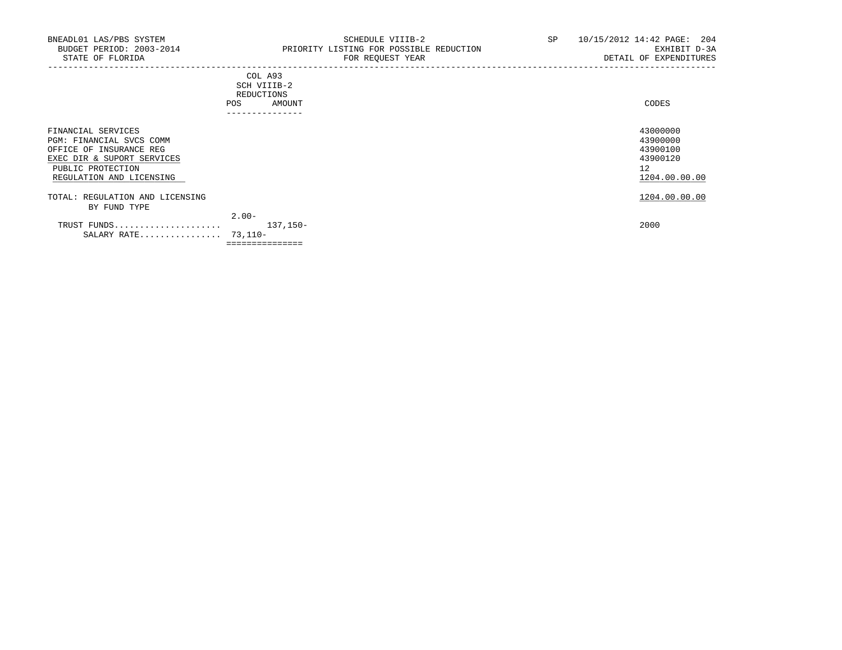# COL A93 SCH VIIIB-2 REDUCTIONS POS AMOUNT ---------------

| FINANCIAL SERVICES<br>PGM: FINANCIAL SVCS COMM<br>OFFICE OF INSURANCE REG<br>EXEC DIR & SUPORT SERVICES<br>PUBLIC PROTECTION<br>REGULATION AND LICENSING |                                 | 43000000<br>43900000<br>43900100<br>43900120<br>12<br>1204.00.00.00 |
|----------------------------------------------------------------------------------------------------------------------------------------------------------|---------------------------------|---------------------------------------------------------------------|
| TOTAL: REGULATION AND LICENSING<br>BY FUND TYPE                                                                                                          |                                 | 1204.00.00.00                                                       |
| TRUST FUNDS<br>SALARY RATE                                                                                                                               | $2.00 -$<br>137,150-<br>73,110- | 2000                                                                |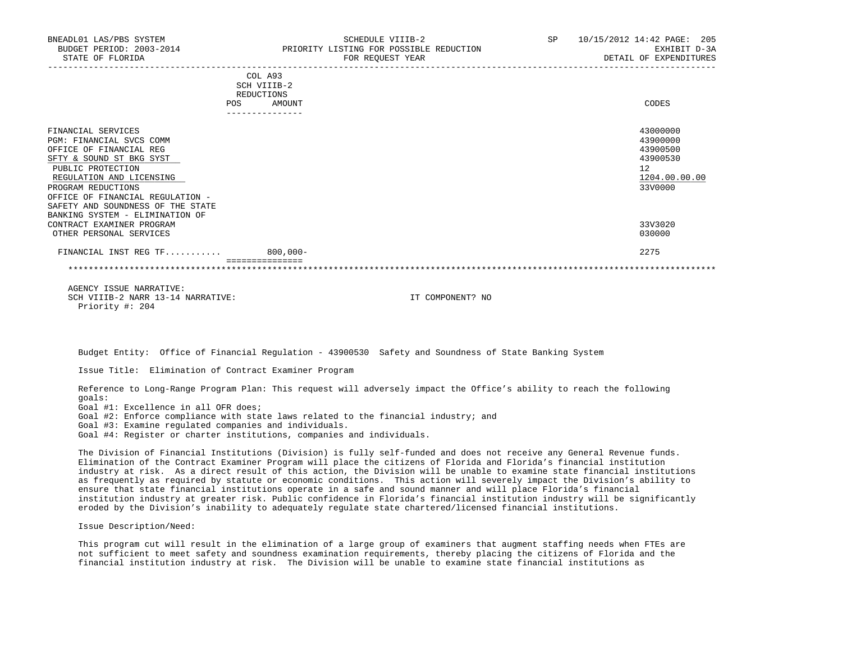| BNEADL01 LAS/PBS SYSTEM<br>BUDGET PERIOD: 2003-2014<br>STATE OF FLORIDA                                                                                                                                                                                                                  | SCHEDULE VIIIB-2<br>PRIORITY LISTING FOR POSSIBLE REDUCTION<br>FOR REQUEST YEAR | 10/15/2012 14:42 PAGE:<br>SP<br>205<br>EXHIBIT D-3A<br>DETAIL OF EXPENDITURES  |
|------------------------------------------------------------------------------------------------------------------------------------------------------------------------------------------------------------------------------------------------------------------------------------------|---------------------------------------------------------------------------------|--------------------------------------------------------------------------------|
|                                                                                                                                                                                                                                                                                          | COL A93<br>SCH VIIIB-2<br>REDUCTIONS<br>AMOUNT<br><b>POS</b>                    | CODES                                                                          |
| FINANCIAL SERVICES<br>PGM: FINANCIAL SVCS COMM<br>OFFICE OF FINANCIAL REG<br>SFTY & SOUND ST BKG SYST<br>PUBLIC PROTECTION<br>REGULATION AND LICENSING<br>PROGRAM REDUCTIONS<br>OFFICE OF FINANCIAL REGULATION -<br>SAFETY AND SOUNDNESS OF THE STATE<br>BANKING SYSTEM - ELIMINATION OF |                                                                                 | 43000000<br>43900000<br>43900500<br>43900530<br>12<br>1204.00.00.00<br>33V0000 |
| CONTRACT EXAMINER PROGRAM<br>OTHER PERSONAL SERVICES                                                                                                                                                                                                                                     |                                                                                 | 33V3020<br>030000                                                              |
| $\texttt{FINANCIAL}$ INST REG $\texttt{TF} \dots \dots \dots$ 800,000-                                                                                                                                                                                                                   |                                                                                 | 2275                                                                           |

 AGENCY ISSUE NARRATIVE: SCH VIIIB-2 NARR 13-14 NARRATIVE: IT COMPONENT? NO Priority #: 204

Budget Entity: Office of Financial Regulation - 43900530 Safety and Soundness of State Banking System

Issue Title: Elimination of Contract Examiner Program

 Reference to Long-Range Program Plan: This request will adversely impact the Office's ability to reach the following goals:

Goal #1: Excellence in all OFR does;

Goal #2: Enforce compliance with state laws related to the financial industry; and

- Goal #3: Examine regulated companies and individuals.
- Goal #4: Register or charter institutions, companies and individuals.

 The Division of Financial Institutions (Division) is fully self-funded and does not receive any General Revenue funds. Elimination of the Contract Examiner Program will place the citizens of Florida and Florida's financial institution industry at risk. As a direct result of this action, the Division will be unable to examine state financial institutions as frequently as required by statute or economic conditions. This action will severely impact the Division's ability to ensure that state financial institutions operate in a safe and sound manner and will place Florida's financial institution industry at greater risk. Public confidence in Florida's financial institution industry will be significantly eroded by the Division's inability to adequately regulate state chartered/licensed financial institutions.

Issue Description/Need:

 This program cut will result in the elimination of a large group of examiners that augment staffing needs when FTEs are not sufficient to meet safety and soundness examination requirements, thereby placing the citizens of Florida and the financial institution industry at risk. The Division will be unable to examine state financial institutions as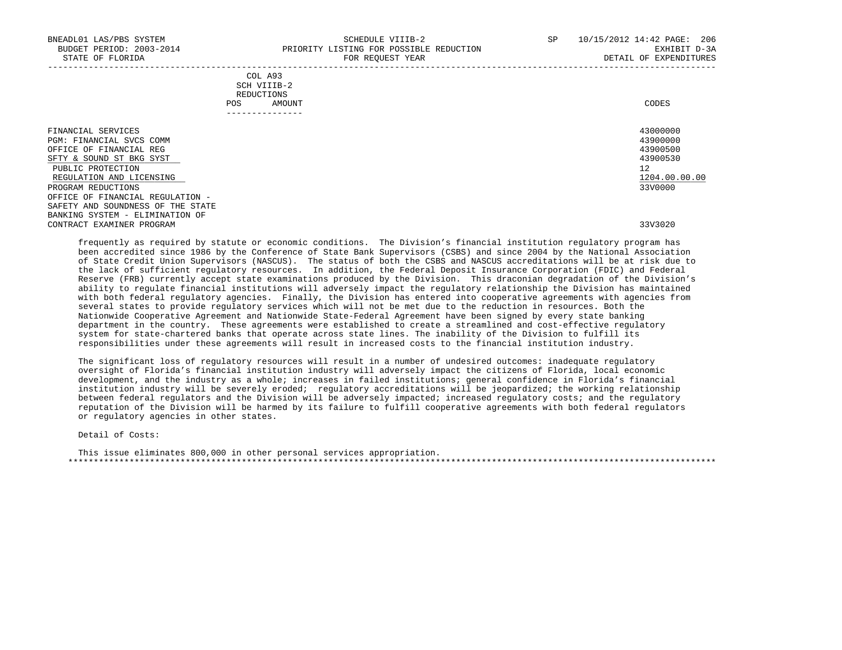|            | _______________ |       |
|------------|-----------------|-------|
| POS        | AMOUNT          | CODES |
| REDUCTIONS |                 |       |
|            | SCH VIIIB-2     |       |
|            | COL A93         |       |

FINANCIAL SERVICES PGM: FINANCIAL SVCS COMM OFFICE OF FINANCIAL REG SFTY & SOUND ST BKG SYST PUBLIC PROTECTION REGULATION AND LICENSING PROGRAM REDUCTIONS OFFICE OF FINANCIAL REGULATION - SAFETY AND SOUNDNESS OF THE STATE BANKING SYSTEM - ELIMINATION OF CONTRACT EXAMINER PROGRAM 33V3020

| CODES                                                                          |
|--------------------------------------------------------------------------------|
| 43000000<br>43900000<br>43900500<br>43900530<br>12<br>1204.00.00.00<br>3370000 |

 frequently as required by statute or economic conditions. The Division's financial institution regulatory program has been accredited since 1986 by the Conference of State Bank Supervisors (CSBS) and since 2004 by the National Association of State Credit Union Supervisors (NASCUS). The status of both the CSBS and NASCUS accreditations will be at risk due to the lack of sufficient regulatory resources. In addition, the Federal Deposit Insurance Corporation (FDIC) and Federal Reserve (FRB) currently accept state examinations produced by the Division. This draconian degradation of the Division's ability to regulate financial institutions will adversely impact the regulatory relationship the Division has maintained with both federal regulatory agencies. Finally, the Division has entered into cooperative agreements with agencies from several states to provide regulatory services which will not be met due to the reduction in resources. Both the Nationwide Cooperative Agreement and Nationwide State-Federal Agreement have been signed by every state banking department in the country. These agreements were established to create a streamlined and cost-effective regulatory

 system for state-chartered banks that operate across state lines. The inability of the Division to fulfill its responsibilities under these agreements will result in increased costs to the financial institution industry.

 The significant loss of regulatory resources will result in a number of undesired outcomes: inadequate regulatory oversight of Florida's financial institution industry will adversely impact the citizens of Florida, local economic development, and the industry as a whole; increases in failed institutions; general confidence in Florida's financial institution industry will be severely eroded; regulatory accreditations will be jeopardized; the working relationship between federal regulators and the Division will be adversely impacted; increased regulatory costs; and the regulatory reputation of the Division will be harmed by its failure to fulfill cooperative agreements with both federal regulators or regulatory agencies in other states.

Detail of Costs:

 This issue eliminates 800,000 in other personal services appropriation. \*\*\*\*\*\*\*\*\*\*\*\*\*\*\*\*\*\*\*\*\*\*\*\*\*\*\*\*\*\*\*\*\*\*\*\*\*\*\*\*\*\*\*\*\*\*\*\*\*\*\*\*\*\*\*\*\*\*\*\*\*\*\*\*\*\*\*\*\*\*\*\*\*\*\*\*\*\*\*\*\*\*\*\*\*\*\*\*\*\*\*\*\*\*\*\*\*\*\*\*\*\*\*\*\*\*\*\*\*\*\*\*\*\*\*\*\*\*\*\*\*\*\*\*\*\*\*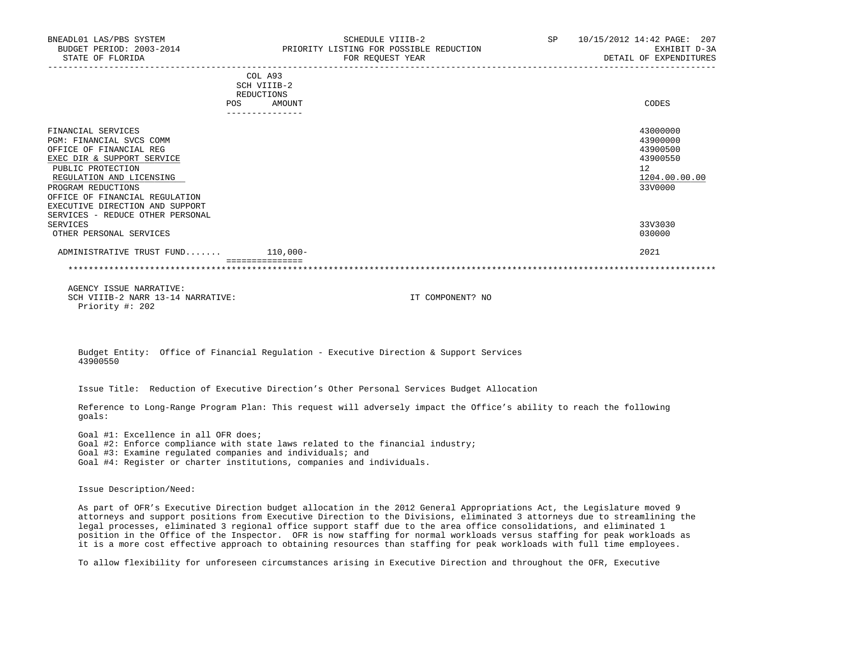| BNEADL01 LAS/PBS SYSTEM<br>STATE OF FLORIDA                                                                                                                                                                                                                                             | SCHEDULE VIIIB-2<br>BUDGET PERIOD: 2003-2014 PRIORITY LISTING FOR POSSIBLE REDUCTION<br>FOR REQUEST YEAR | SP <sub>2</sub> | 10/15/2012 14:42 PAGE: 207<br>EXHIBIT D-3A<br>DETAIL OF EXPENDITURES           |
|-----------------------------------------------------------------------------------------------------------------------------------------------------------------------------------------------------------------------------------------------------------------------------------------|----------------------------------------------------------------------------------------------------------|-----------------|--------------------------------------------------------------------------------|
|                                                                                                                                                                                                                                                                                         | COL A93<br>SCH VIIIB-2<br>REDUCTIONS<br>AMOUNT<br>POS<br>. <u>.</u> .                                    |                 | CODES                                                                          |
| FINANCIAL SERVICES<br>PGM: FINANCIAL SVCS COMM<br>OFFICE OF FINANCIAL REG<br>EXEC DIR & SUPPORT SERVICE<br>PUBLIC PROTECTION<br>REGULATION AND LICENSING<br>PROGRAM REDUCTIONS<br>OFFICE OF FINANCIAL REGULATION<br>EXECUTIVE DIRECTION AND SUPPORT<br>SERVICES - REDUCE OTHER PERSONAL |                                                                                                          |                 | 43000000<br>43900000<br>43900500<br>43900550<br>12<br>1204.00.00.00<br>33V0000 |
| <b>SERVICES</b><br>OTHER PERSONAL SERVICES                                                                                                                                                                                                                                              |                                                                                                          |                 | 33V3030<br>030000                                                              |
| ADMINISTRATIVE TRUST FUND 110,000-                                                                                                                                                                                                                                                      | ===============                                                                                          |                 | 2021                                                                           |

 AGENCY ISSUE NARRATIVE: SCH VIIIB-2 NARR 13-14 NARRATIVE: IT COMPONENT? NO Priority #: 202

 Budget Entity: Office of Financial Regulation - Executive Direction & Support Services 43900550

Issue Title: Reduction of Executive Direction's Other Personal Services Budget Allocation

 Reference to Long-Range Program Plan: This request will adversely impact the Office's ability to reach the following goals:

 Goal #1: Excellence in all OFR does; Goal #2: Enforce compliance with state laws related to the financial industry; Goal #3: Examine regulated companies and individuals; and Goal #4: Register or charter institutions, companies and individuals.

Issue Description/Need:

 As part of OFR's Executive Direction budget allocation in the 2012 General Appropriations Act, the Legislature moved 9 attorneys and support positions from Executive Direction to the Divisions, eliminated 3 attorneys due to streamlining the legal processes, eliminated 3 regional office support staff due to the area office consolidations, and eliminated 1 position in the Office of the Inspector. OFR is now staffing for normal workloads versus staffing for peak workloads as it is a more cost effective approach to obtaining resources than staffing for peak workloads with full time employees.

To allow flexibility for unforeseen circumstances arising in Executive Direction and throughout the OFR, Executive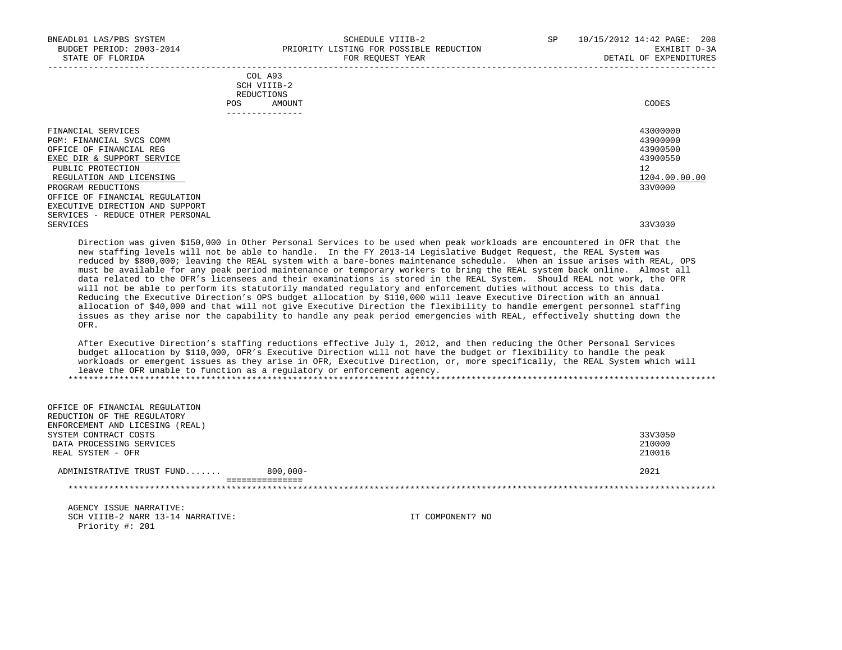| BNEADL01 LAS/PBS SYSTEM<br>BUDGET PERIOD: 2003-2014<br>STATE OF FLORIDA |            |                                                | SCHEDULE VIIIB-2<br>PRIORITY LISTING FOR POSSIBLE REDUCTION<br>FOR REQUEST YEAR | <b>SP</b> | 10/15/2012 14:42 PAGE: 208<br>EXHIBIT D-3A<br>DETAIL OF EXPENDITURES |
|-------------------------------------------------------------------------|------------|------------------------------------------------|---------------------------------------------------------------------------------|-----------|----------------------------------------------------------------------|
|                                                                         | <b>POS</b> | COL A93<br>SCH VIIIB-2<br>REDUCTIONS<br>AMOUNT |                                                                                 |           | CODES                                                                |
| FINANCIAL SERVICES<br>PGM: FINANCIAL SVCS COMM                          |            | ----------------                               |                                                                                 |           | 43000000<br>43900000                                                 |
| OFFICE OF FINANCIAL REG<br>EXEC DIR & SUPPORT SERVICE                   |            |                                                |                                                                                 |           | 43900500<br>43900550                                                 |
| PUBLIC PROTECTION<br>REGULATION AND LICENSING                           |            |                                                |                                                                                 |           | 12 <sup>°</sup><br>1204.00.00.00                                     |
| PROGRAM REDUCTIONS<br>OFFICE OF FINANCIAL REGULATION                    |            |                                                |                                                                                 |           | 33V0000                                                              |
| EXECUTIVE DIRECTION AND SUPPORT<br>SERVICES - REDUCE OTHER PERSONAL     |            |                                                |                                                                                 |           |                                                                      |
| SERVICES                                                                |            |                                                |                                                                                 |           | 33V3030                                                              |

 Direction was given \$150,000 in Other Personal Services to be used when peak workloads are encountered in OFR that the new staffing levels will not be able to handle. In the FY 2013-14 Legislative Budget Request, the REAL System was reduced by \$800,000; leaving the REAL system with a bare-bones maintenance schedule. When an issue arises with REAL, OPS must be available for any peak period maintenance or temporary workers to bring the REAL system back online. Almost all data related to the OFR's licensees and their examinations is stored in the REAL System. Should REAL not work, the OFR will not be able to perform its statutorily mandated regulatory and enforcement duties without access to this data. Reducing the Executive Direction's OPS budget allocation by \$110,000 will leave Executive Direction with an annual allocation of \$40,000 and that will not give Executive Direction the flexibility to handle emergent personnel staffing issues as they arise nor the capability to handle any peak period emergencies with REAL, effectively shutting down the OFR.

 After Executive Direction's staffing reductions effective July 1, 2012, and then reducing the Other Personal Services budget allocation by \$110,000, OFR's Executive Direction will not have the budget or flexibility to handle the peak workloads or emergent issues as they arise in OFR, Executive Direction, or, more specifically, the REAL System which will leave the OFR unable to function as a regulatory or enforcement agency. \*\*\*\*\*\*\*\*\*\*\*\*\*\*\*\*\*\*\*\*\*\*\*\*\*\*\*\*\*\*\*\*\*\*\*\*\*\*\*\*\*\*\*\*\*\*\*\*\*\*\*\*\*\*\*\*\*\*\*\*\*\*\*\*\*\*\*\*\*\*\*\*\*\*\*\*\*\*\*\*\*\*\*\*\*\*\*\*\*\*\*\*\*\*\*\*\*\*\*\*\*\*\*\*\*\*\*\*\*\*\*\*\*\*\*\*\*\*\*\*\*\*\*\*\*\*\*

 AGENCY ISSUE NARRATIVE: SCH VIIIB-2 NARR 13-14 NARRATIVE: IT COMPONENT? NO Priority #: 201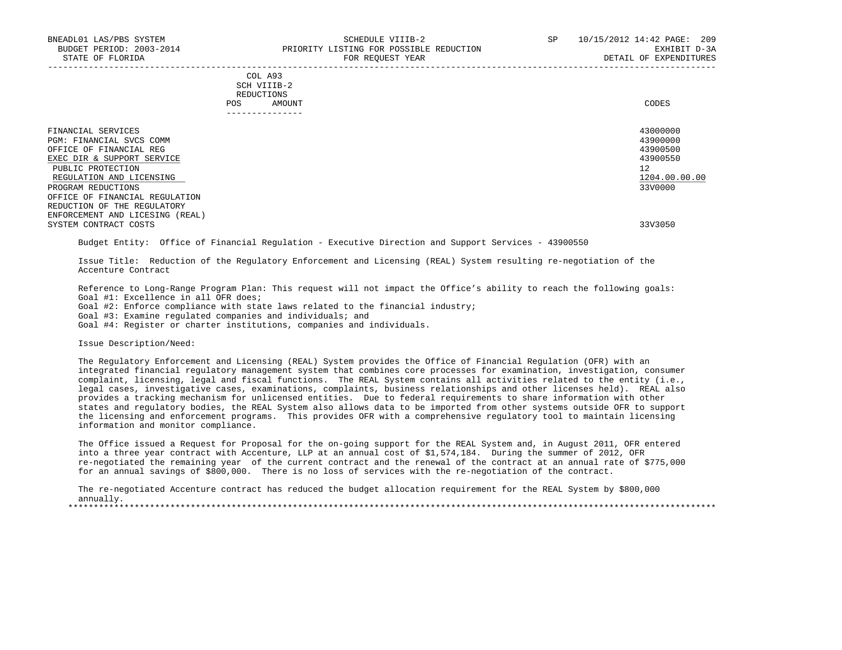|            | _______________ |       |
|------------|-----------------|-------|
| POS        | AMOUNT          | CODES |
| REDUCTIONS |                 |       |
|            | SCH VIIIB-2     |       |
|            | COL A93         |       |

| 43000000      |
|---------------|
| 43900000      |
| 43900500      |
| 43900550      |
| 12            |
| 1204.00.00.00 |
| 33V0000       |
|               |
|               |
|               |
| 33V3050       |
|               |

Budget Entity: Office of Financial Regulation - Executive Direction and Support Services - 43900550

 Issue Title: Reduction of the Regulatory Enforcement and Licensing (REAL) System resulting re-negotiation of the Accenture Contract

 Reference to Long-Range Program Plan: This request will not impact the Office's ability to reach the following goals: Goal #1: Excellence in all OFR does;

Goal #2: Enforce compliance with state laws related to the financial industry;

Goal #3: Examine regulated companies and individuals; and

Goal #4: Register or charter institutions, companies and individuals.

Issue Description/Need:

 The Regulatory Enforcement and Licensing (REAL) System provides the Office of Financial Regulation (OFR) with an integrated financial regulatory management system that combines core processes for examination, investigation, consumer complaint, licensing, legal and fiscal functions. The REAL System contains all activities related to the entity (i.e., legal cases, investigative cases, examinations, complaints, business relationships and other licenses held). REAL also provides a tracking mechanism for unlicensed entities. Due to federal requirements to share information with other states and regulatory bodies, the REAL System also allows data to be imported from other systems outside OFR to support the licensing and enforcement programs. This provides OFR with a comprehensive regulatory tool to maintain licensing information and monitor compliance.

 The Office issued a Request for Proposal for the on-going support for the REAL System and, in August 2011, OFR entered into a three year contract with Accenture, LLP at an annual cost of \$1,574,184. During the summer of 2012, OFR re-negotiated the remaining year of the current contract and the renewal of the contract at an annual rate of \$775,000 for an annual savings of \$800,000. There is no loss of services with the re-negotiation of the contract.

 The re-negotiated Accenture contract has reduced the budget allocation requirement for the REAL System by \$800,000 annually. \*\*\*\*\*\*\*\*\*\*\*\*\*\*\*\*\*\*\*\*\*\*\*\*\*\*\*\*\*\*\*\*\*\*\*\*\*\*\*\*\*\*\*\*\*\*\*\*\*\*\*\*\*\*\*\*\*\*\*\*\*\*\*\*\*\*\*\*\*\*\*\*\*\*\*\*\*\*\*\*\*\*\*\*\*\*\*\*\*\*\*\*\*\*\*\*\*\*\*\*\*\*\*\*\*\*\*\*\*\*\*\*\*\*\*\*\*\*\*\*\*\*\*\*\*\*\*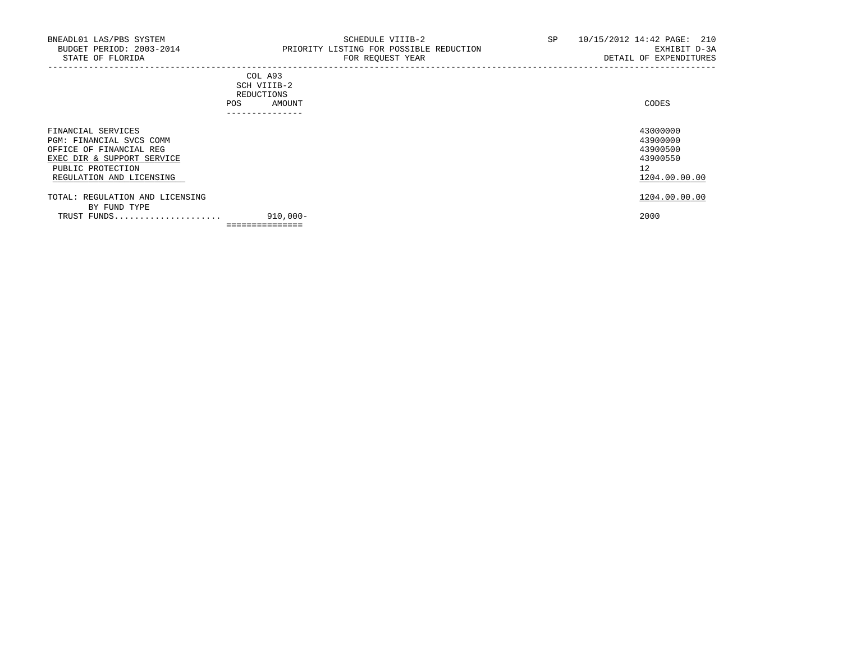# COL A93 SCH VIIIB-2 REDUCTIONS POS AMOUNT ---------------

| 12<br>2000                     |
|--------------------------------|
| 1204.00.00.00<br>1204.00.00.00 |
|                                |
|                                |
|                                |
|                                |
| 43900550                       |
| 43900500                       |
| 43900000                       |
| 43000000                       |
|                                |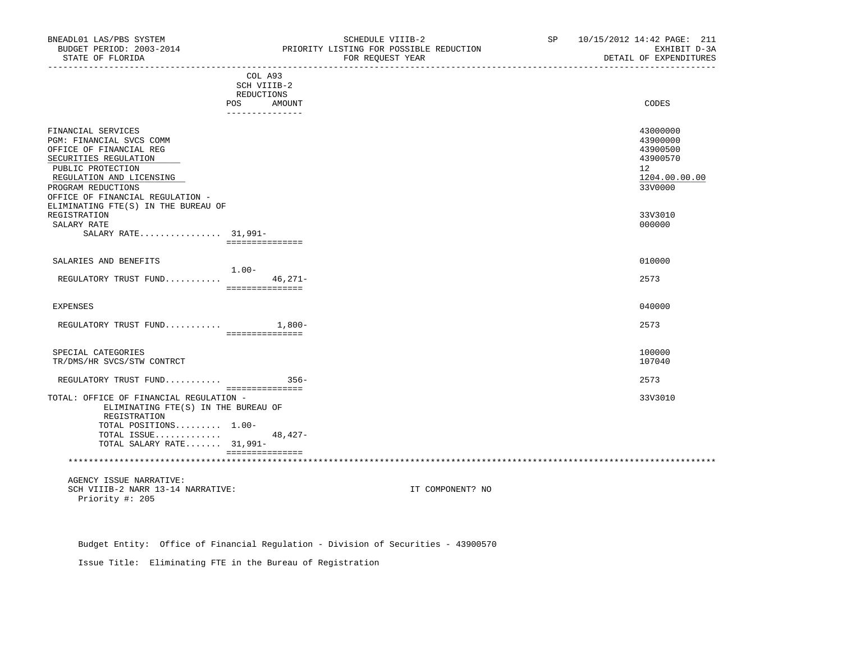| BNEADL01 LAS/PBS SYSTEM<br>BUDGET PERIOD: 2003-2014<br>STATE OF FLORIDA |                 | SCHEDULE VIIIB-2<br>PRIORITY LISTING FOR POSSIBLE REDUCTION<br>FOR REOUEST YEAR | SP 10/15/2012 14:42 PAGE: 211<br>EXHIBIT D-3A<br>DETAIL OF EXPENDITURES |
|-------------------------------------------------------------------------|-----------------|---------------------------------------------------------------------------------|-------------------------------------------------------------------------|
|                                                                         | COL A93         |                                                                                 |                                                                         |
|                                                                         | SCH VIIIB-2     |                                                                                 |                                                                         |
|                                                                         | REDUCTIONS      |                                                                                 |                                                                         |
|                                                                         | POS AMOUNT      |                                                                                 | CODES                                                                   |
|                                                                         | _______________ |                                                                                 |                                                                         |
| FINANCIAL SERVICES                                                      |                 |                                                                                 | 43000000                                                                |
| PGM: FINANCIAL SVCS COMM                                                |                 |                                                                                 | 43900000                                                                |
| OFFICE OF FINANCIAL REG                                                 |                 |                                                                                 | 43900500                                                                |
| SECURITIES REGULATION                                                   |                 |                                                                                 | 43900570                                                                |
| PUBLIC PROTECTION                                                       |                 |                                                                                 | 12 <sup>°</sup>                                                         |
| REGULATION AND LICENSING                                                |                 |                                                                                 | 1204.00.00.00                                                           |
| PROGRAM REDUCTIONS                                                      |                 |                                                                                 | 33V0000                                                                 |
| OFFICE OF FINANCIAL REGULATION -                                        |                 |                                                                                 |                                                                         |
| ELIMINATING FTE(S) IN THE BUREAU OF                                     |                 |                                                                                 |                                                                         |
| REGISTRATION                                                            |                 |                                                                                 | 33V3010                                                                 |
| SALARY RATE                                                             |                 |                                                                                 | 000000                                                                  |
| SALARY RATE 31,991-                                                     |                 |                                                                                 |                                                                         |
|                                                                         | =============== |                                                                                 |                                                                         |
|                                                                         |                 |                                                                                 | 010000                                                                  |
| SALARIES AND BENEFITS                                                   | $1.00 -$        |                                                                                 |                                                                         |
| REGULATORY TRUST FUND                                                   | $46,271-$       |                                                                                 | 2573                                                                    |
|                                                                         | =============== |                                                                                 |                                                                         |
|                                                                         |                 |                                                                                 |                                                                         |
| EXPENSES                                                                |                 |                                                                                 | 040000                                                                  |
|                                                                         |                 |                                                                                 |                                                                         |
| REGULATORY TRUST FUND 1,800-                                            |                 |                                                                                 | 2573                                                                    |
|                                                                         | =============== |                                                                                 |                                                                         |
| SPECIAL CATEGORIES                                                      |                 |                                                                                 | 100000                                                                  |
| TR/DMS/HR SVCS/STW CONTRCT                                              |                 |                                                                                 | 107040                                                                  |
|                                                                         |                 |                                                                                 |                                                                         |
| REGULATORY TRUST FUND $356 -$                                           |                 |                                                                                 | 2573                                                                    |
|                                                                         | =============== |                                                                                 |                                                                         |
| TOTAL: OFFICE OF FINANCIAL REGULATION -                                 |                 |                                                                                 | 33V3010                                                                 |
| ELIMINATING FTE(S) IN THE BUREAU OF                                     |                 |                                                                                 |                                                                         |
| REGISTRATION                                                            |                 |                                                                                 |                                                                         |
| TOTAL POSITIONS 1.00-                                                   |                 |                                                                                 |                                                                         |
| TOTAL ISSUE                                                             | 48,427-         |                                                                                 |                                                                         |
| TOTAL SALARY RATE 31,991-                                               |                 |                                                                                 |                                                                         |
|                                                                         | =============== |                                                                                 |                                                                         |
| AGENCY ISSUE NARRATIVE:                                                 |                 |                                                                                 |                                                                         |
| SCH VIIIB-2 NARR 13-14 NARRATIVE:                                       |                 | IT COMPONENT? NO                                                                |                                                                         |
| Priority #: 205                                                         |                 |                                                                                 |                                                                         |

Budget Entity: Office of Financial Regulation - Division of Securities - 43900570

Issue Title: Eliminating FTE in the Bureau of Registration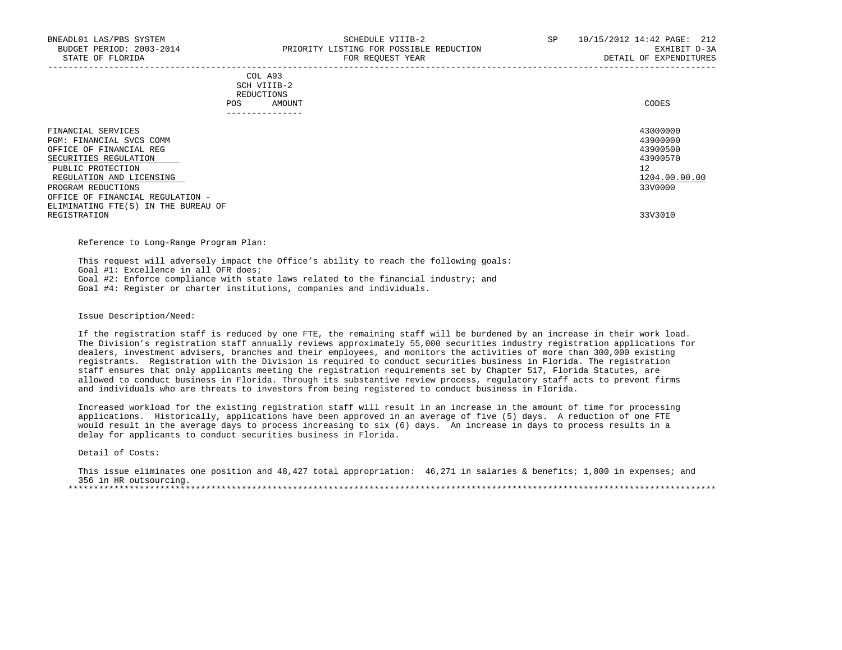## COL A93 SCH VIIIB-2 REDUCTIONS POS AMOUNT CODES ---------------

| FINANCIAL SERVICES                  | 43000000      |
|-------------------------------------|---------------|
| PGM: FINANCIAL SVCS COMM            | 43900000      |
| OFFICE OF FINANCIAL REG             | 43900500      |
| SECURITIES REGULATION               | 43900570      |
| PUBLIC PROTECTION                   | 12            |
| REGULATION AND LICENSING            | 1204.00.00.00 |
| PROGRAM REDUCTIONS                  | 33V0000       |
| OFFICE OF FINANCIAL REGULATION -    |               |
| ELIMINATING FTE(S) IN THE BUREAU OF |               |
| REGISTRATION                        | 33V3010       |

# Reference to Long-Range Program Plan:

 This request will adversely impact the Office's ability to reach the following goals: Goal #1: Excellence in all OFR does;

Goal #2: Enforce compliance with state laws related to the financial industry; and

Goal #4: Register or charter institutions, companies and individuals.

#### Issue Description/Need:

 If the registration staff is reduced by one FTE, the remaining staff will be burdened by an increase in their work load. The Division's registration staff annually reviews approximately 55,000 securities industry registration applications for dealers, investment advisers, branches and their employees, and monitors the activities of more than 300,000 existing registrants. Registration with the Division is required to conduct securities business in Florida. The registration staff ensures that only applicants meeting the registration requirements set by Chapter 517, Florida Statutes, are allowed to conduct business in Florida. Through its substantive review process, regulatory staff acts to prevent firms and individuals who are threats to investors from being registered to conduct business in Florida.

 Increased workload for the existing registration staff will result in an increase in the amount of time for processing applications. Historically, applications have been approved in an average of five (5) days. A reduction of one FTE would result in the average days to process increasing to six (6) days. An increase in days to process results in a delay for applicants to conduct securities business in Florida.

## Detail of Costs:

This issue eliminates one position and 48,427 total appropriation: 46,271 in salaries & benefits; 1,800 in expenses; and 356 in HR outsourcing. \*\*\*\*\*\*\*\*\*\*\*\*\*\*\*\*\*\*\*\*\*\*\*\*\*\*\*\*\*\*\*\*\*\*\*\*\*\*\*\*\*\*\*\*\*\*\*\*\*\*\*\*\*\*\*\*\*\*\*\*\*\*\*\*\*\*\*\*\*\*\*\*\*\*\*\*\*\*\*\*\*\*\*\*\*\*\*\*\*\*\*\*\*\*\*\*\*\*\*\*\*\*\*\*\*\*\*\*\*\*\*\*\*\*\*\*\*\*\*\*\*\*\*\*\*\*\*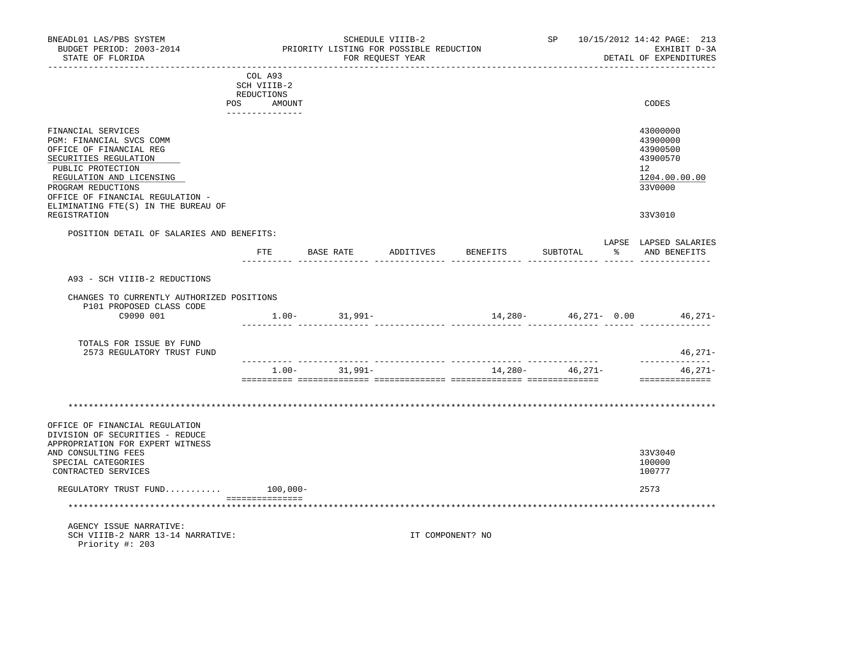| BNEADL01 LAS/PBS SYSTEM<br>BUDGET PERIOD: 2003-2014<br>STATE OF FLORIDA                                 |                                                | PRIORITY LISTING FOR POSSIBLE REDUCTION | SCHEDULE VIIIB-2<br>FOR REQUEST YEAR |                  |                  |         | SP 10/15/2012 14:42 PAGE: 213<br>EXHIBIT D-3A<br>DETAIL OF EXPENDITURES |
|---------------------------------------------------------------------------------------------------------|------------------------------------------------|-----------------------------------------|--------------------------------------|------------------|------------------|---------|-------------------------------------------------------------------------|
| POS                                                                                                     | COL A93<br>SCH VIIIB-2<br>REDUCTIONS<br>AMOUNT |                                         |                                      |                  |                  |         | CODES                                                                   |
| FINANCIAL SERVICES                                                                                      |                                                |                                         |                                      |                  |                  |         | 43000000                                                                |
| PGM: FINANCIAL SVCS COMM<br>OFFICE OF FINANCIAL REG<br>SECURITIES REGULATION                            |                                                |                                         |                                      |                  |                  |         | 43900000<br>43900500<br>43900570                                        |
| PUBLIC PROTECTION<br>REGULATION AND LICENSING<br>PROGRAM REDUCTIONS<br>OFFICE OF FINANCIAL REGULATION - |                                                |                                         |                                      |                  |                  |         | 12<br>1204.00.00.00<br>33V0000                                          |
| ELIMINATING FTE(S) IN THE BUREAU OF<br>REGISTRATION                                                     |                                                |                                         |                                      |                  |                  |         | 33V3010                                                                 |
| POSITION DETAIL OF SALARIES AND BENEFITS:                                                               | $_{\rm FTE}$                                   | BASE RATE                               | ADDITIVES                            |                  | SUBTOTAL         | - 왕 - 한 | LAPSE LAPSED SALARIES<br>AND BENEFITS                                   |
|                                                                                                         |                                                |                                         |                                      | BENEFITS         |                  |         |                                                                         |
| A93 - SCH VIIIB-2 REDUCTIONS                                                                            |                                                |                                         |                                      |                  |                  |         |                                                                         |
| CHANGES TO CURRENTLY AUTHORIZED POSITIONS<br>P101 PROPOSED CLASS CODE<br>C9090 001                      |                                                | $1.00 - 31,991 -$                       |                                      |                  |                  |         | 14,280- 46,271- 0.00 46,271-                                            |
|                                                                                                         |                                                |                                         |                                      |                  | ---------        |         |                                                                         |
| TOTALS FOR ISSUE BY FUND<br>2573 REGULATORY TRUST FUND                                                  |                                                |                                         |                                      |                  |                  |         | 46,271-<br>--------------                                               |
|                                                                                                         |                                                | $1.00 - 31,991 -$                       |                                      |                  | $14,280 46,271-$ |         | $46, 271 -$<br>==============                                           |
|                                                                                                         |                                                |                                         |                                      |                  |                  |         |                                                                         |
|                                                                                                         |                                                |                                         |                                      |                  |                  |         |                                                                         |
| OFFICE OF FINANCIAL REGULATION<br>DIVISION OF SECURITIES - REDUCE<br>APPROPRIATION FOR EXPERT WITNESS   |                                                |                                         |                                      |                  |                  |         |                                                                         |
| AND CONSULTING FEES<br>SPECIAL CATEGORIES<br>CONTRACTED SERVICES                                        |                                                |                                         |                                      |                  |                  |         | 33V3040<br>100000<br>100777                                             |
| REGULATORY TRUST FUND                                                                                   | $100,000 -$                                    |                                         |                                      |                  |                  |         | 2573                                                                    |
|                                                                                                         | ===============                                |                                         |                                      |                  |                  |         |                                                                         |
| AGENCY ISSUE NARRATIVE:                                                                                 |                                                |                                         |                                      |                  |                  |         |                                                                         |
| SCH VIIIB-2 NARR 13-14 NARRATIVE:<br>Priority #: 203                                                    |                                                |                                         |                                      | IT COMPONENT? NO |                  |         |                                                                         |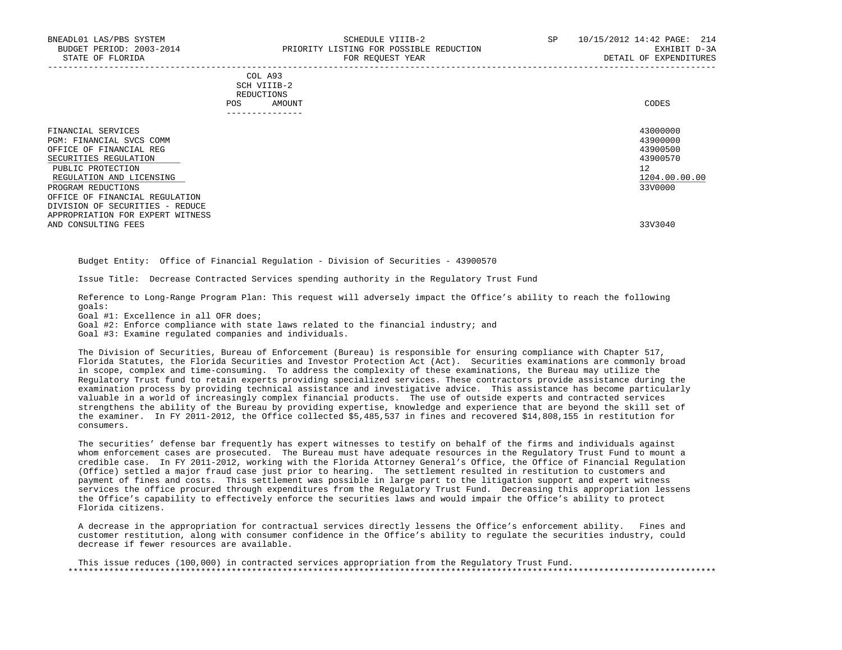|            | _______________ |       |
|------------|-----------------|-------|
| POS        | AMOUNT          | CODES |
| REDUCTIONS |                 |       |
|            | SCH VIIIB-2     |       |
|            | COL A93         |       |

| FINANCIAL SERVICES               | 43000000      |
|----------------------------------|---------------|
| PGM: FINANCIAL SVCS COMM         | 43900000      |
| OFFICE OF FINANCIAL REG          | 43900500      |
| SECURITIES REGULATION            | 43900570      |
| PUBLIC PROTECTION                | 12            |
| REGULATION AND LICENSING         | 1204.00.00.00 |
| PROGRAM REDUCTIONS               | 33V0000       |
| OFFICE OF FINANCIAL REGULATION   |               |
| DIVISION OF SECURITIES - REDUCE  |               |
| APPROPRIATION FOR EXPERT WITNESS |               |
| AND CONSULTING FEES              | 33V3040       |

Budget Entity: Office of Financial Regulation - Division of Securities - 43900570

Issue Title: Decrease Contracted Services spending authority in the Regulatory Trust Fund

 Reference to Long-Range Program Plan: This request will adversely impact the Office's ability to reach the following goals:

Goal #1: Excellence in all OFR does;

Goal #2: Enforce compliance with state laws related to the financial industry; and

Goal #3: Examine regulated companies and individuals.

 The Division of Securities, Bureau of Enforcement (Bureau) is responsible for ensuring compliance with Chapter 517, Florida Statutes, the Florida Securities and Investor Protection Act (Act). Securities examinations are commonly broad in scope, complex and time-consuming. To address the complexity of these examinations, the Bureau may utilize the Regulatory Trust fund to retain experts providing specialized services. These contractors provide assistance during the examination process by providing technical assistance and investigative advice. This assistance has become particularly valuable in a world of increasingly complex financial products. The use of outside experts and contracted services strengthens the ability of the Bureau by providing expertise, knowledge and experience that are beyond the skill set of the examiner. In FY 2011-2012, the Office collected \$5,485,537 in fines and recovered \$14,808,155 in restitution for consumers.

 The securities' defense bar frequently has expert witnesses to testify on behalf of the firms and individuals against whom enforcement cases are prosecuted. The Bureau must have adequate resources in the Regulatory Trust Fund to mount a credible case. In FY 2011-2012, working with the Florida Attorney General's Office, the Office of Financial Regulation (Office) settled a major fraud case just prior to hearing. The settlement resulted in restitution to customers and payment of fines and costs. This settlement was possible in large part to the litigation support and expert witness services the office procured through expenditures from the Regulatory Trust Fund. Decreasing this appropriation lessens the Office's capability to effectively enforce the securities laws and would impair the Office's ability to protect Florida citizens.

 A decrease in the appropriation for contractual services directly lessens the Office's enforcement ability. Fines and customer restitution, along with consumer confidence in the Office's ability to regulate the securities industry, could decrease if fewer resources are available.

 This issue reduces (100,000) in contracted services appropriation from the Regulatory Trust Fund. \*\*\*\*\*\*\*\*\*\*\*\*\*\*\*\*\*\*\*\*\*\*\*\*\*\*\*\*\*\*\*\*\*\*\*\*\*\*\*\*\*\*\*\*\*\*\*\*\*\*\*\*\*\*\*\*\*\*\*\*\*\*\*\*\*\*\*\*\*\*\*\*\*\*\*\*\*\*\*\*\*\*\*\*\*\*\*\*\*\*\*\*\*\*\*\*\*\*\*\*\*\*\*\*\*\*\*\*\*\*\*\*\*\*\*\*\*\*\*\*\*\*\*\*\*\*\*